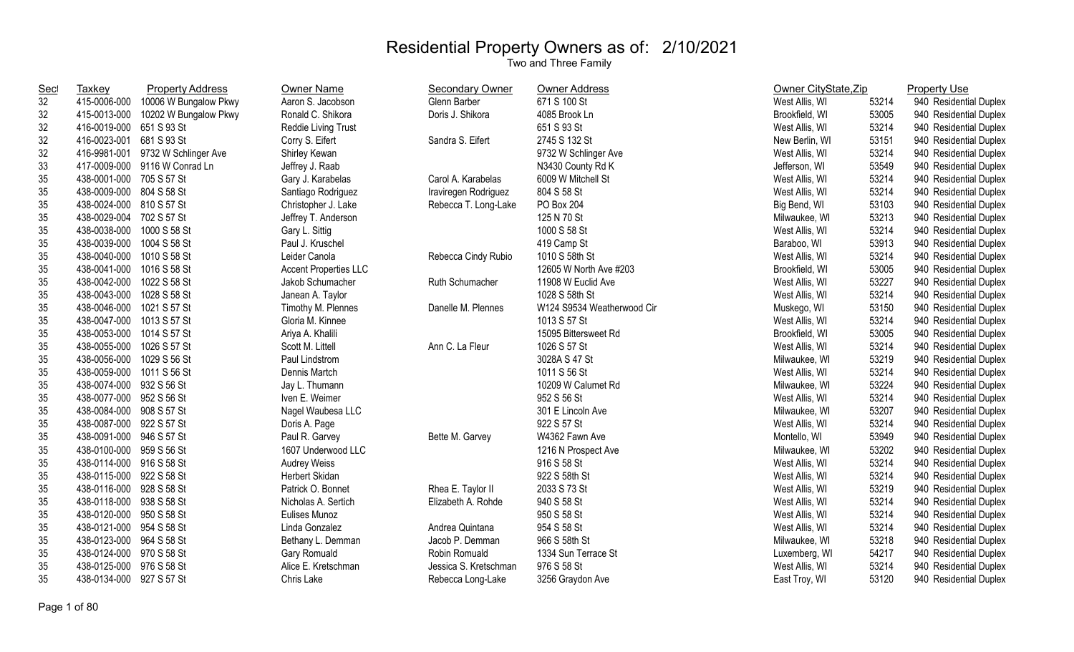| <b>Sec</b> | <b>Taxkey</b>             | <b>Property Address</b>            | <b>Owner Name</b>            | <b>Secondary Owner</b> | Owner Address              | Owner CityState, Zip |       | <b>Property Use</b>    |
|------------|---------------------------|------------------------------------|------------------------------|------------------------|----------------------------|----------------------|-------|------------------------|
| 32         | 415-0006-000              | 10006 W Bungalow Pkwy              | Aaron S. Jacobson            | Glenn Barber           | 671 S 100 St               | West Allis, WI       | 53214 | 940 Residential Duplex |
| 32         |                           | 415-0013-000 10202 W Bungalow Pkwy | Ronald C. Shikora            | Doris J. Shikora       | 4085 Brook Ln              | Brookfield, WI       | 53005 | 940 Residential Duplex |
| 32         | 416-0019-000 651 S 93 St  |                                    | Reddie Living Trust          |                        | 651 S 93 St                | West Allis, WI       | 53214 | 940 Residential Duplex |
| 32         | 416-0023-001 681 S 93 St  |                                    | Corry S. Eifert              | Sandra S. Eifert       | 2745 S 132 St              | New Berlin, WI       | 53151 | 940 Residential Duplex |
| 32         | 416-9981-001              | 9732 W Schlinger Ave               | Shirley Kewan                |                        | 9732 W Schlinger Ave       | West Allis, WI       | 53214 | 940 Residential Duplex |
| 33         |                           | 417-0009-000 9116 W Conrad Ln      | Jeffrey J. Raab              |                        | N3430 County Rd K          | Jefferson, WI        | 53549 | 940 Residential Duplex |
| 35         | 438-0001-000 705 S 57 St  |                                    | Gary J. Karabelas            | Carol A. Karabelas     | 6009 W Mitchell St         | West Allis, WI       | 53214 | 940 Residential Duplex |
| 35         | 438-0009-000 804 S 58 St  |                                    | Santiago Rodriguez           | Iraviregen Rodriguez   | 804 S 58 St                | West Allis, WI       | 53214 | 940 Residential Duplex |
| 35         | 438-0024-000 810 S 57 St  |                                    | Christopher J. Lake          | Rebecca T. Long-Lake   | PO Box 204                 | Big Bend, WI         | 53103 | 940 Residential Duplex |
| 35         | 438-0029-004 702 S 57 St  |                                    | Jeffrey T. Anderson          |                        | 125 N 70 St                | Milwaukee, WI        | 53213 | 940 Residential Duplex |
| 35         | 438-0038-000 1000 S 58 St |                                    | Gary L. Sittig               |                        | 1000 S 58 St               | West Allis, WI       | 53214 | 940 Residential Duplex |
| 35         | 438-0039-000 1004 S 58 St |                                    | Paul J. Kruschel             |                        | 419 Camp St                | Baraboo, WI          | 53913 | 940 Residential Duplex |
| 35         | 438-0040-000 1010 S 58 St |                                    | Leider Canola                | Rebecca Cindy Rubio    | 1010 S 58th St             | West Allis, WI       | 53214 | 940 Residential Duplex |
| 35         | 438-0041-000 1016 S 58 St |                                    | <b>Accent Properties LLC</b> |                        | 12605 W North Ave #203     | Brookfield, WI       | 53005 | 940 Residential Duplex |
| 35         | 438-0042-000 1022 S 58 St |                                    | Jakob Schumacher             | Ruth Schumacher        | 11908 W Euclid Ave         | West Allis, WI       | 53227 | 940 Residential Duplex |
| 35         | 438-0043-000 1028 S 58 St |                                    | Janean A. Taylor             |                        | 1028 S 58th St             | West Allis, WI       | 53214 | 940 Residential Duplex |
| 35         | 438-0046-000 1021 S 57 St |                                    | Timothy M. Plennes           | Danelle M. Plennes     | W124 S9534 Weatherwood Cir | Muskego, WI          | 53150 | 940 Residential Duplex |
| 35         | 438-0047-000 1013 S 57 St |                                    | Gloria M. Kinnee             |                        | 1013 S 57 St               | West Allis, WI       | 53214 | 940 Residential Duplex |
| 35         | 438-0053-000 1014 S 57 St |                                    | Ariya A. Khalili             |                        | 15095 Bittersweet Rd       | Brookfield, WI       | 53005 | 940 Residential Duplex |
| 35         | 438-0055-000 1026 S 57 St |                                    | Scott M. Littell             | Ann C. La Fleur        | 1026 S 57 St               | West Allis, WI       | 53214 | 940 Residential Duplex |
| 35         | 438-0056-000 1029 S 56 St |                                    | Paul Lindstrom               |                        | 3028A S 47 St              | Milwaukee, WI        | 53219 | 940 Residential Duplex |
| 35         | 438-0059-000 1011 S 56 St |                                    | Dennis Martch                |                        | 1011 S 56 St               | West Allis, WI       | 53214 | 940 Residential Duplex |
| 35         | 438-0074-000 932 S 56 St  |                                    | Jay L. Thumann               |                        | 10209 W Calumet Rd         | Milwaukee, WI        | 53224 | 940 Residential Duplex |
| 35         | 438-0077-000 952 S 56 St  |                                    | Iven E. Weimer               |                        | 952 S 56 St                | West Allis, WI       | 53214 | 940 Residential Duplex |
| 35         | 438-0084-000 908 S 57 St  |                                    | Nagel Waubesa LLC            |                        | 301 E Lincoln Ave          | Milwaukee, WI        | 53207 | 940 Residential Duplex |
| 35         | 438-0087-000 922 S 57 St  |                                    | Doris A. Page                |                        | 922 S 57 St                | West Allis, WI       | 53214 | 940 Residential Duplex |
| 35         | 438-0091-000 946 S 57 St  |                                    | Paul R. Garvey               | Bette M. Garvey        | W4362 Fawn Ave             | Montello, WI         | 53949 | 940 Residential Duplex |
| 35         | 438-0100-000 959 S 56 St  |                                    | 1607 Underwood LLC           |                        | 1216 N Prospect Ave        | Milwaukee, WI        | 53202 | 940 Residential Duplex |
| 35         | 438-0114-000 916 S 58 St  |                                    | Audrey Weiss                 |                        | 916 S 58 St                | West Allis, WI       | 53214 | 940 Residential Duplex |
| 35         | 438-0115-000 922 S 58 St  |                                    | Herbert Skidan               |                        | 922 S 58th St              | West Allis, WI       | 53214 | 940 Residential Duplex |
| 35         | 438-0116-000 928 S 58 St  |                                    | Patrick O. Bonnet            | Rhea E. Taylor II      | 2033 S 73 St               | West Allis, WI       | 53219 | 940 Residential Duplex |
| 35         | 438-0118-000 938 S 58 St  |                                    | Nicholas A. Sertich          | Elizabeth A. Rohde     | 940 S 58 St                | West Allis, WI       | 53214 | 940 Residential Duplex |
| 35         | 438-0120-000 950 S 58 St  |                                    | Eulises Munoz                |                        | 950 S 58 St                | West Allis, WI       | 53214 | 940 Residential Duplex |
| 35         | 438-0121-000 954 S 58 St  |                                    | Linda Gonzalez               | Andrea Quintana        | 954 S 58 St                | West Allis, WI       | 53214 | 940 Residential Duplex |
| 35         | 438-0123-000 964 S 58 St  |                                    | Bethany L. Demman            | Jacob P. Demman        | 966 S 58th St              | Milwaukee, WI        | 53218 | 940 Residential Duplex |
| 35         | 438-0124-000 970 S 58 St  |                                    | Gary Romuald                 | Robin Romuald          | 1334 Sun Terrace St        | Luxemberg, WI        | 54217 | 940 Residential Duplex |
| 35         | 438-0125-000 976 S 58 St  |                                    | Alice E. Kretschman          | Jessica S. Kretschman  | 976 S 58 St                | West Allis, WI       | 53214 | 940 Residential Duplex |
| 35         | 438-0134-000 927 S 57 St  |                                    | Chris Lake                   | Rebecca Long-Lake      | 3256 Graydon Ave           | East Troy, WI        | 53120 | 940 Residential Duplex |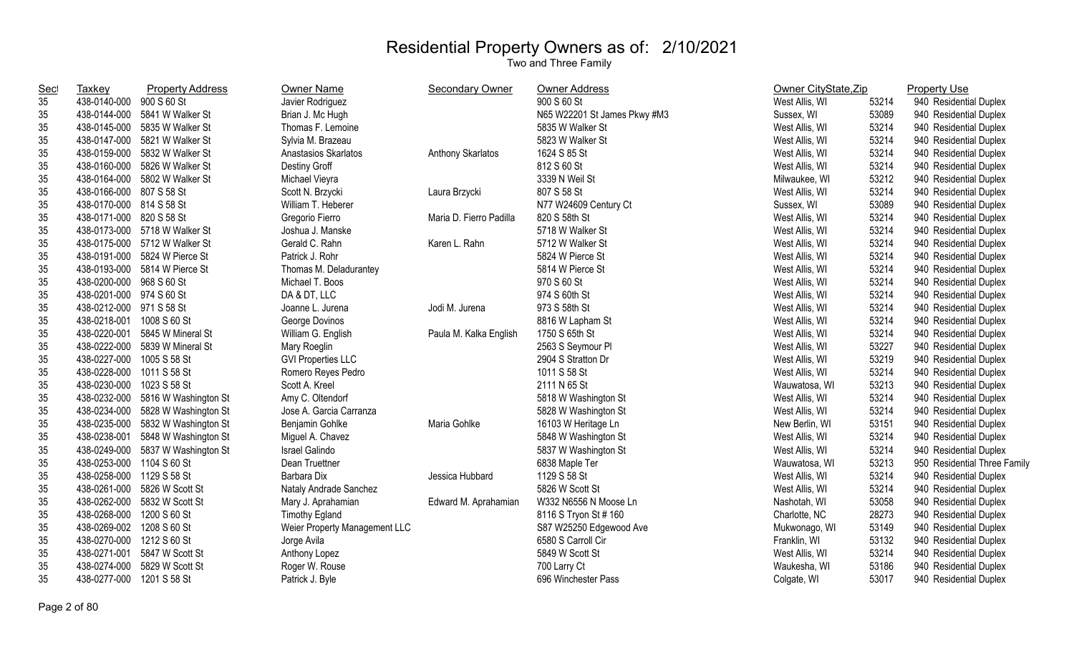| <b>Sec</b> | Taxkey                    | <b>Property Address</b>           | Owner Name                    | Secondary Owner         | Owner Address                | Owner CityState, Zip |       | <b>Property Use</b>          |
|------------|---------------------------|-----------------------------------|-------------------------------|-------------------------|------------------------------|----------------------|-------|------------------------------|
| 35         | 438-0140-000 900 S 60 St  |                                   | Javier Rodriguez              |                         | 900 S 60 St                  | West Allis, WI       | 53214 | 940 Residential Duplex       |
| 35         |                           | 438-0144-000 5841 W Walker St     | Brian J. Mc Hugh              |                         | N65 W22201 St James Pkwy #M3 | Sussex, WI           | 53089 | 940 Residential Duplex       |
| 35         |                           | 438-0145-000 5835 W Walker St     | Thomas F. Lemoine             |                         | 5835 W Walker St             | West Allis, WI       | 53214 | 940 Residential Duplex       |
| 35         |                           | 438-0147-000 5821 W Walker St     | Sylvia M. Brazeau             |                         | 5823 W Walker St             | West Allis, WI       | 53214 | 940 Residential Duplex       |
| 35         | 438-0159-000              | 5832 W Walker St                  | Anastasios Skarlatos          | Anthony Skarlatos       | 1624 S 85 St                 | West Allis, WI       | 53214 | 940 Residential Duplex       |
| 35         | 438-0160-000              | 5826 W Walker St                  | Destiny Groff                 |                         | 812 S 60 St                  | West Allis, WI       | 53214 | 940 Residential Duplex       |
| 35         | 438-0164-000              | 5802 W Walker St                  | Michael Vieyra                |                         | 3339 N Weil St               | Milwaukee, WI        | 53212 | 940 Residential Duplex       |
| 35         | 438-0166-000 807 S 58 St  |                                   | Scott N. Brzycki              | Laura Brzycki           | 807 S 58 St                  | West Allis, WI       | 53214 | 940 Residential Duplex       |
| 35         | 438-0170-000 814 S 58 St  |                                   | William T. Heberer            |                         | N77 W24609 Century Ct        | Sussex, WI           | 53089 | 940 Residential Duplex       |
| 35         | 438-0171-000 820 S 58 St  |                                   | Gregorio Fierro               | Maria D. Fierro Padilla | 820 S 58th St                | West Allis, WI       | 53214 | 940 Residential Duplex       |
| 35         |                           | 438-0173-000 5718 W Walker St     | Joshua J. Manske              |                         | 5718 W Walker St             | West Allis, WI       | 53214 | 940 Residential Duplex       |
| 35         |                           | 438-0175-000 5712 W Walker St     | Gerald C. Rahn                | Karen L. Rahn           | 5712 W Walker St             | West Allis, WI       | 53214 | 940 Residential Duplex       |
| 35         |                           | 438-0191-000 5824 W Pierce St     | Patrick J. Rohr               |                         | 5824 W Pierce St             | West Allis, WI       | 53214 | 940 Residential Duplex       |
| 35         |                           | 438-0193-000 5814 W Pierce St     | Thomas M. Deladurantey        |                         | 5814 W Pierce St             | West Allis, WI       | 53214 | 940 Residential Duplex       |
| 35         | 438-0200-000 968 S 60 St  |                                   | Michael T. Boos               |                         | 970 S 60 St                  | West Allis, WI       | 53214 | 940 Residential Duplex       |
| 35         | 438-0201-000 974 S 60 St  |                                   | DA & DT, LLC                  |                         | 974 S 60th St                | West Allis, WI       | 53214 | 940 Residential Duplex       |
| 35         | 438-0212-000 971 S 58 St  |                                   | Joanne L. Jurena              | Jodi M. Jurena          | 973 S 58th St                | West Allis, WI       | 53214 | 940 Residential Duplex       |
| 35         | 438-0218-001 1008 S 60 St |                                   | George Dovinos                |                         | 8816 W Lapham St             | West Allis, WI       | 53214 | 940 Residential Duplex       |
| 35         | 438-0220-001              | 5845 W Mineral St                 | William G. English            | Paula M. Kalka English  | 1750 S 65th St               | West Allis, WI       | 53214 | 940 Residential Duplex       |
| 35         |                           | 438-0222-000 5839 W Mineral St    | Mary Roeglin                  |                         | 2563 S Seymour PI            | West Allis, WI       | 53227 | 940 Residential Duplex       |
| 35         | 438-0227-000 1005 S 58 St |                                   | <b>GVI Properties LLC</b>     |                         | 2904 S Stratton Dr           | West Allis, WI       | 53219 | 940 Residential Duplex       |
| 35         | 438-0228-000 1011 S 58 St |                                   | Romero Reyes Pedro            |                         | 1011 S 58 St                 | West Allis, WI       | 53214 | 940 Residential Duplex       |
| 35         | 438-0230-000              | 1023 S 58 St                      | Scott A. Kreel                |                         | 2111 N 65 St                 | Wauwatosa, WI        | 53213 | 940 Residential Duplex       |
| 35         |                           | 438-0232-000 5816 W Washington St | Amy C. Oltendorf              |                         | 5818 W Washington St         | West Allis, WI       | 53214 | 940 Residential Duplex       |
| 35         |                           | 438-0234-000 5828 W Washington St | Jose A. Garcia Carranza       |                         | 5828 W Washington St         | West Allis, WI       | 53214 | 940 Residential Duplex       |
| 35         | 438-0235-000              | 5832 W Washington St              | Benjamin Gohlke               | Maria Gohlke            | 16103 W Heritage Ln          | New Berlin, WI       | 53151 | 940 Residential Duplex       |
| 35         | 438-0238-001              | 5848 W Washington St              | Miguel A. Chavez              |                         | 5848 W Washington St         | West Allis, WI       | 53214 | 940 Residential Duplex       |
| 35         |                           | 438-0249-000 5837 W Washington St | <b>Israel Galindo</b>         |                         | 5837 W Washington St         | West Allis, WI       | 53214 | 940 Residential Duplex       |
| 35         | 438-0253-000 1104 S 60 St |                                   | Dean Truettner                |                         | 6838 Maple Ter               | Wauwatosa, WI        | 53213 | 950 Residential Three Family |
| 35         | 438-0258-000 1129 S 58 St |                                   | Barbara Dix                   | Jessica Hubbard         | 1129 S 58 St                 | West Allis, WI       | 53214 | 940 Residential Duplex       |
| 35         |                           | 438-0261-000 5826 W Scott St      | Nataly Andrade Sanchez        |                         | 5826 W Scott St              | West Allis, WI       | 53214 | 940 Residential Duplex       |
| 35         |                           | 438-0262-000 5832 W Scott St      | Mary J. Aprahamian            | Edward M. Aprahamian    | W332 N6556 N Moose Ln        | Nashotah, WI         | 53058 | 940 Residential Duplex       |
| 35         | 438-0268-000 1200 S 60 St |                                   | <b>Timothy Egland</b>         |                         | 8116 S Tryon St # 160        | Charlotte, NC        | 28273 | 940 Residential Duplex       |
| 35         | 438-0269-002 1208 S 60 St |                                   | Weier Property Management LLC |                         | S87 W25250 Edgewood Ave      | Mukwonago, WI        | 53149 | 940 Residential Duplex       |
| 35         | 438-0270-000 1212 S 60 St |                                   | Jorge Avila                   |                         | 6580 S Carroll Cir           | Franklin, WI         | 53132 | 940 Residential Duplex       |
| 35         | 438-0271-001              | 5847 W Scott St                   | Anthony Lopez                 |                         | 5849 W Scott St              | West Allis, WI       | 53214 | 940 Residential Duplex       |
| 35         | 438-0274-000              | 5829 W Scott St                   | Roger W. Rouse                |                         | 700 Larry Ct                 | Waukesha, WI         | 53186 | 940 Residential Duplex       |
| 35         | 438-0277-000              | 1201 S 58 St                      | Patrick J. Byle               |                         | 696 Winchester Pass          | Colgate, WI          | 53017 | 940 Residential Duplex       |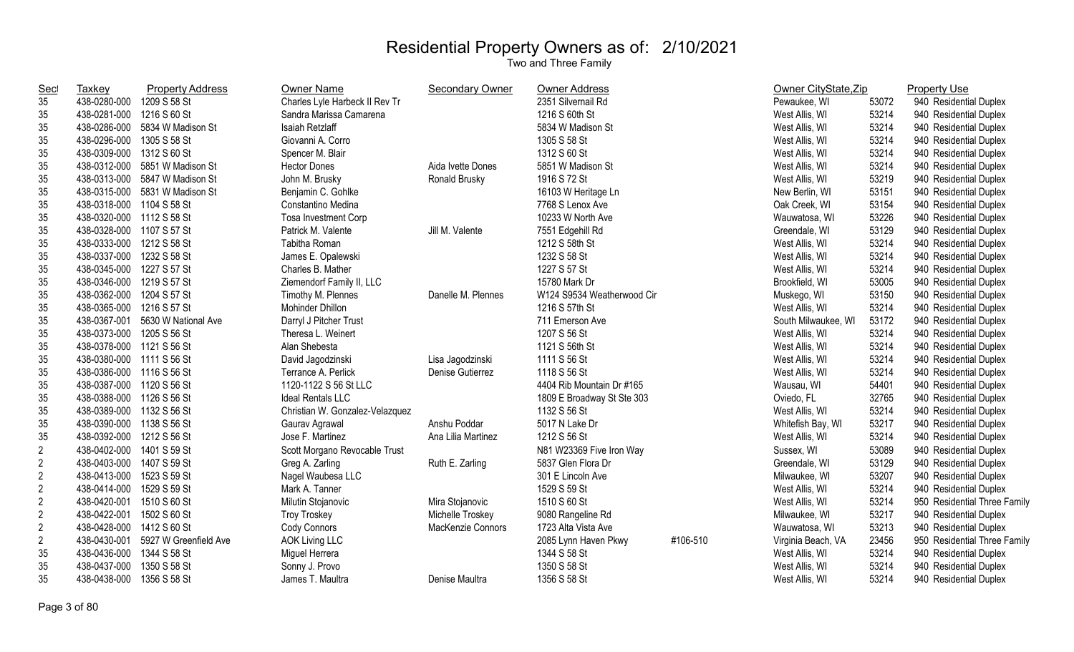| <b>Sec</b>     | Taxkey                    | <b>Property Address</b>        | Owner Name                      | <b>Secondary Owner</b> | <b>Owner Address</b>       |          | Owner CityState, Zip |       | <b>Property Use</b>          |
|----------------|---------------------------|--------------------------------|---------------------------------|------------------------|----------------------------|----------|----------------------|-------|------------------------------|
| 35             | 438-0280-000              | 1209 S 58 St                   | Charles Lyle Harbeck II Rev Tr  |                        | 2351 Silvernail Rd         |          | Pewaukee, WI         | 53072 | 940 Residential Duplex       |
| 35             | 438-0281-000              | 1216 S 60 St                   | Sandra Marissa Camarena         |                        | 1216 S 60th St             |          | West Allis, WI       | 53214 | 940 Residential Duplex       |
| 35             |                           | 438-0286-000 5834 W Madison St | Isaiah Retzlaff                 |                        | 5834 W Madison St          |          | West Allis, WI       | 53214 | 940 Residential Duplex       |
| 35             | 438-0296-000 1305 S 58 St |                                | Giovanni A. Corro               |                        | 1305 S 58 St               |          | West Allis, WI       | 53214 | 940 Residential Duplex       |
| 35             | 438-0309-000 1312 S 60 St |                                | Spencer M. Blair                |                        | 1312 S 60 St               |          | West Allis, WI       | 53214 | 940 Residential Duplex       |
| 35             | 438-0312-000              | 5851 W Madison St              | <b>Hector Dones</b>             | Aida Ivette Dones      | 5851 W Madison St          |          | West Allis, WI       | 53214 | 940 Residential Duplex       |
| 35             | 438-0313-000              | 5847 W Madison St              | John M. Brusky                  | Ronald Brusky          | 1916 S 72 St               |          | West Allis, WI       | 53219 | 940 Residential Duplex       |
| 35             |                           | 438-0315-000 5831 W Madison St | Benjamin C. Gohlke              |                        | 16103 W Heritage Ln        |          | New Berlin, WI       | 53151 | 940 Residential Duplex       |
| 35             | 438-0318-000 1104 S 58 St |                                | Constantino Medina              |                        | 7768 S Lenox Ave           |          | Oak Creek, WI        | 53154 | 940 Residential Duplex       |
| 35             | 438-0320-000 1112 S 58 St |                                | Tosa Investment Corp            |                        | 10233 W North Ave          |          | Wauwatosa, WI        | 53226 | 940 Residential Duplex       |
| 35             | 438-0328-000 1107 S 57 St |                                | Patrick M. Valente              | Jill M. Valente        | 7551 Edgehill Rd           |          | Greendale, WI        | 53129 | 940 Residential Duplex       |
| 35             | 438-0333-000 1212 S 58 St |                                | Tabitha Roman                   |                        | 1212 S 58th St             |          | West Allis, WI       | 53214 | 940 Residential Duplex       |
| 35             | 438-0337-000 1232 S 58 St |                                | James E. Opalewski              |                        | 1232 S 58 St               |          | West Allis, WI       | 53214 | 940 Residential Duplex       |
| 35             | 438-0345-000 1227 S 57 St |                                | Charles B. Mather               |                        | 1227 S 57 St               |          | West Allis, WI       | 53214 | 940 Residential Duplex       |
| 35             | 438-0346-000 1219 S 57 St |                                | Ziemendorf Family II, LLC       |                        | 15780 Mark Dr              |          | Brookfield, WI       | 53005 | 940 Residential Duplex       |
| 35             | 438-0362-000 1204 S 57 St |                                | Timothy M. Plennes              | Danelle M. Plennes     | W124 S9534 Weatherwood Cir |          | Muskego, WI          | 53150 | 940 Residential Duplex       |
| 35             | 438-0365-000 1216 S 57 St |                                | Mohinder Dhillon                |                        | 1216 S 57th St             |          | West Allis, WI       | 53214 | 940 Residential Duplex       |
| 35             | 438-0367-001              | 5630 W National Ave            | Darryl J Pitcher Trust          |                        | 711 Emerson Ave            |          | South Milwaukee, WI  | 53172 | 940 Residential Duplex       |
| 35             | 438-0373-000 1205 S 56 St |                                | Theresa L. Weinert              |                        | 1207 S 56 St               |          | West Allis, WI       | 53214 | 940 Residential Duplex       |
| 35             | 438-0378-000 1121 S 56 St |                                | Alan Shebesta                   |                        | 1121 S 56th St             |          | West Allis, WI       | 53214 | 940 Residential Duplex       |
| 35             | 438-0380-000 1111 S 56 St |                                | David Jagodzinski               | Lisa Jagodzinski       | 1111 S 56 St               |          | West Allis, WI       | 53214 | 940 Residential Duplex       |
| 35             | 438-0386-000 1116 S 56 St |                                | Terrance A. Perlick             | Denise Gutierrez       | 1118 S 56 St               |          | West Allis, WI       | 53214 | 940 Residential Duplex       |
| 35             | 438-0387-000 1120 S 56 St |                                | 1120-1122 S 56 St LLC           |                        | 4404 Rib Mountain Dr #165  |          | Wausau, WI           | 54401 | 940 Residential Duplex       |
| 35             | 438-0388-000 1126 S 56 St |                                | <b>Ideal Rentals LLC</b>        |                        | 1809 E Broadway St Ste 303 |          | Oviedo, FL           | 32765 | 940 Residential Duplex       |
| 35             | 438-0389-000 1132 S 56 St |                                | Christian W. Gonzalez-Velazquez |                        | 1132 S 56 St               |          | West Allis, WI       | 53214 | 940 Residential Duplex       |
| 35             | 438-0390-000 1138 S 56 St |                                | Gaurav Agrawal                  | Anshu Poddar           | 5017 N Lake Dr             |          | Whitefish Bay, WI    | 53217 | 940 Residential Duplex       |
| 35             | 438-0392-000 1212 S 56 St |                                | Jose F. Martinez                | Ana Lilia Martinez     | 1212 S 56 St               |          | West Allis, WI       | 53214 | 940 Residential Duplex       |
| $\overline{2}$ | 438-0402-000 1401 S 59 St |                                | Scott Morgano Revocable Trust   |                        | N81 W23369 Five Iron Way   |          | Sussex, WI           | 53089 | 940 Residential Duplex       |
| $\overline{2}$ | 438-0403-000 1407 S 59 St |                                | Greg A. Zarling                 | Ruth E. Zarling        | 5837 Glen Flora Dr         |          | Greendale, WI        | 53129 | 940 Residential Duplex       |
| $\overline{2}$ | 438-0413-000 1523 S 59 St |                                | Nagel Waubesa LLC               |                        | 301 E Lincoln Ave          |          | Milwaukee, WI        | 53207 | 940 Residential Duplex       |
| $\overline{2}$ | 438-0414-000 1529 S 59 St |                                | Mark A. Tanner                  |                        | 1529 S 59 St               |          | West Allis, WI       | 53214 | 940 Residential Duplex       |
| $\overline{2}$ | 438-0420-001              | 1510 S 60 St                   | Milutin Stojanovic              | Mira Stojanovic        | 1510 S 60 St               |          | West Allis, WI       | 53214 | 950 Residential Three Family |
| $\overline{2}$ | 438-0422-001              | 1502 S 60 St                   | <b>Troy Troskey</b>             | Michelle Troskey       | 9080 Rangeline Rd          |          | Milwaukee, WI        | 53217 | 940 Residential Duplex       |
| $\overline{2}$ | 438-0428-000              | 1412 S 60 St                   | Cody Connors                    | MacKenzie Connors      | 1723 Alta Vista Ave        |          | Wauwatosa, WI        | 53213 | 940 Residential Duplex       |
| $\overline{2}$ | 438-0430-001              | 5927 W Greenfield Ave          | <b>AOK Living LLC</b>           |                        | 2085 Lynn Haven Pkwy       | #106-510 | Virginia Beach, VA   | 23456 | 950 Residential Three Family |
| 35             | 438-0436-000 1344 S 58 St |                                | Miguel Herrera                  |                        | 1344 S 58 St               |          | West Allis, WI       | 53214 | 940 Residential Duplex       |
| 35             | 438-0437-000              | 1350 S 58 St                   | Sonny J. Provo                  |                        | 1350 S 58 St               |          | West Allis, WI       | 53214 | 940 Residential Duplex       |
| 35             | 438-0438-000 1356 S 58 St |                                | James T. Maultra                | Denise Maultra         | 1356 S 58 St               |          | West Allis, WI       | 53214 | 940 Residential Duplex       |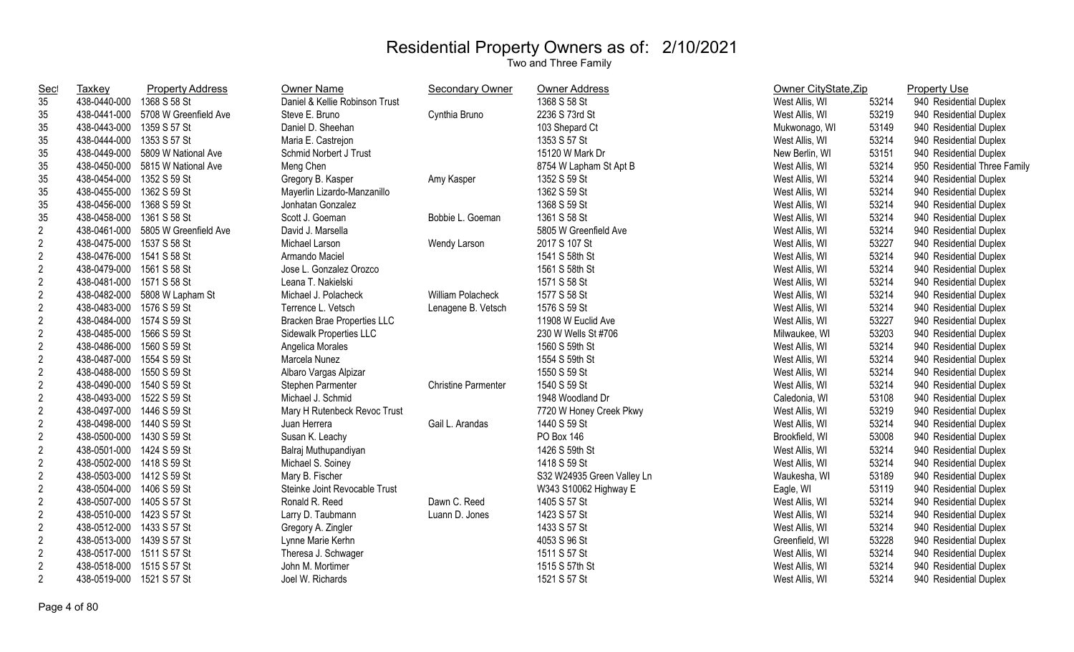| <u>Sec</u>     | Taxkey                    | <b>Property Address</b>            | <b>Owner Name</b>                  | <b>Secondary Owner</b>     | <b>Owner Address</b>       | Owner CityState, Zip |       | <b>Property Use</b>          |
|----------------|---------------------------|------------------------------------|------------------------------------|----------------------------|----------------------------|----------------------|-------|------------------------------|
| 35             | 438-0440-000              | 1368 S 58 St                       | Daniel & Kellie Robinson Trust     |                            | 1368 S 58 St               | West Allis, WI       | 53214 | 940 Residential Duplex       |
| 35             |                           | 438-0441-000 5708 W Greenfield Ave | Steve E. Bruno                     | Cynthia Bruno              | 2236 S 73rd St             | West Allis, WI       | 53219 | 940 Residential Duplex       |
| 35             | 438-0443-000 1359 S 57 St |                                    | Daniel D. Sheehan                  |                            | 103 Shepard Ct             | Mukwonago, WI        | 53149 | 940 Residential Duplex       |
| 35             | 438-0444-000 1353 S 57 St |                                    | Maria E. Castrejon                 |                            | 1353 S 57 St               | West Allis, WI       | 53214 | 940 Residential Duplex       |
| 35             |                           | 438-0449-000 5809 W National Ave   | Schmid Norbert J Trust             |                            | 15120 W Mark Dr            | New Berlin, WI       | 53151 | 940 Residential Duplex       |
| 35             |                           | 438-0450-000 5815 W National Ave   | Meng Chen                          |                            | 8754 W Lapham St Apt B     | West Allis, WI       | 53214 | 950 Residential Three Family |
| 35             | 438-0454-000 1352 S 59 St |                                    | Gregory B. Kasper                  | Amy Kasper                 | 1352 S 59 St               | West Allis, WI       | 53214 | 940 Residential Duplex       |
| 35             | 438-0455-000              | 1362 S 59 St                       | Mayerlin Lizardo-Manzanillo        |                            | 1362 S 59 St               | West Allis, WI       | 53214 | 940 Residential Duplex       |
| 35             | 438-0456-000              | 1368 S 59 St                       | Jonhatan Gonzalez                  |                            | 1368 S 59 St               | West Allis, WI       | 53214 | 940 Residential Duplex       |
| 35             | 438-0458-000              | 1361 S 58 St                       | Scott J. Goeman                    | Bobbie L. Goeman           | 1361 S 58 St               | West Allis, WI       | 53214 | 940 Residential Duplex       |
| $\sqrt{2}$     |                           | 438-0461-000 5805 W Greenfield Ave | David J. Marsella                  |                            | 5805 W Greenfield Ave      | West Allis, WI       | 53214 | 940 Residential Duplex       |
| $\sqrt{2}$     | 438-0475-000 1537 S 58 St |                                    | Michael Larson                     | Wendy Larson               | 2017 S 107 St              | West Allis, WI       | 53227 | 940 Residential Duplex       |
| $\overline{2}$ | 438-0476-000 1541 S 58 St |                                    | Armando Maciel                     |                            | 1541 S 58th St             | West Allis, WI       | 53214 | 940 Residential Duplex       |
| $\sqrt{2}$     | 438-0479-000 1561 S 58 St |                                    | Jose L. Gonzalez Orozco            |                            | 1561 S 58th St             | West Allis, WI       | 53214 | 940 Residential Duplex       |
| $\sqrt{2}$     | 438-0481-000 1571 S 58 St |                                    | Leana T. Nakielski                 |                            | 1571 S 58 St               | West Allis, WI       | 53214 | 940 Residential Duplex       |
| $\sqrt{2}$     |                           | 438-0482-000 5808 W Lapham St      | Michael J. Polacheck               | <b>William Polacheck</b>   | 1577 S 58 St               | West Allis, WI       | 53214 | 940 Residential Duplex       |
| $\sqrt{2}$     | 438-0483-000              | 1576 S 59 St                       | Terrence L. Vetsch                 | Lenagene B. Vetsch         | 1576 S 59 St               | West Allis, WI       | 53214 | 940 Residential Duplex       |
| $\sqrt{2}$     | 438-0484-000              | 1574 S 59 St                       | <b>Bracken Brae Properties LLC</b> |                            | 11908 W Euclid Ave         | West Allis, WI       | 53227 | 940 Residential Duplex       |
| $\sqrt{2}$     | 438-0485-000              | 1566 S 59 St                       | Sidewalk Properties LLC            |                            | 230 W Wells St #706        | Milwaukee, WI        | 53203 | 940 Residential Duplex       |
| $\sqrt{2}$     | 438-0486-000              | 1560 S 59 St                       | Angelica Morales                   |                            | 1560 S 59th St             | West Allis, WI       | 53214 | 940 Residential Duplex       |
| $\sqrt{2}$     | 438-0487-000              | 1554 S 59 St                       | Marcela Nunez                      |                            | 1554 S 59th St             | West Allis, WI       | 53214 | 940 Residential Duplex       |
| $\sqrt{2}$     | 438-0488-000              | 1550 S 59 St                       | Albaro Vargas Alpizar              |                            | 1550 S 59 St               | West Allis, WI       | 53214 | 940 Residential Duplex       |
| $\sqrt{2}$     | 438-0490-000 1540 S 59 St |                                    | Stephen Parmenter                  | <b>Christine Parmenter</b> | 1540 S 59 St               | West Allis, WI       | 53214 | 940 Residential Duplex       |
| $\sqrt{2}$     | 438-0493-000 1522 S 59 St |                                    | Michael J. Schmid                  |                            | 1948 Woodland Dr           | Caledonia, WI        | 53108 | 940 Residential Duplex       |
| $\overline{2}$ | 438-0497-000 1446 S 59 St |                                    | Mary H Rutenbeck Revoc Trust       |                            | 7720 W Honey Creek Pkwy    | West Allis, WI       | 53219 | 940 Residential Duplex       |
| $\overline{2}$ | 438-0498-000 1440 S 59 St |                                    | Juan Herrera                       | Gail L. Arandas            | 1440 S 59 St               | West Allis, WI       | 53214 | 940 Residential Duplex       |
| $\overline{2}$ | 438-0500-000              | 1430 S 59 St                       | Susan K. Leachy                    |                            | PO Box 146                 | Brookfield, WI       | 53008 | 940 Residential Duplex       |
| $\sqrt{2}$     | 438-0501-000 1424 S 59 St |                                    | Balraj Muthupandiyan               |                            | 1426 S 59th St             | West Allis, WI       | 53214 | 940 Residential Duplex       |
| $\sqrt{2}$     | 438-0502-000 1418 S 59 St |                                    | Michael S. Soiney                  |                            | 1418 S 59 St               | West Allis, WI       | 53214 | 940 Residential Duplex       |
| $\sqrt{2}$     | 438-0503-000 1412 S 59 St |                                    | Mary B. Fischer                    |                            | S32 W24935 Green Valley Ln | Waukesha, WI         | 53189 | 940 Residential Duplex       |
| $\sqrt{2}$     | 438-0504-000 1406 S 59 St |                                    | Steinke Joint Revocable Trust      |                            | W343 S10062 Highway E      | Eagle, WI            | 53119 | 940 Residential Duplex       |
| $\overline{2}$ | 438-0507-000 1405 S 57 St |                                    | Ronald R. Reed                     | Dawn C. Reed               | 1405 S 57 St               | West Allis, WI       | 53214 | 940 Residential Duplex       |
| $\sqrt{2}$     | 438-0510-000 1423 S 57 St |                                    | Larry D. Taubmann                  | Luann D. Jones             | 1423 S 57 St               | West Allis, WI       | 53214 | 940 Residential Duplex       |
| $\overline{2}$ | 438-0512-000 1433 S 57 St |                                    | Gregory A. Zingler                 |                            | 1433 S 57 St               | West Allis, WI       | 53214 | 940 Residential Duplex       |
| $\overline{c}$ | 438-0513-000 1439 S 57 St |                                    | Lynne Marie Kerhn                  |                            | 4053 S 96 St               | Greenfield, WI       | 53228 | 940 Residential Duplex       |
| $\sqrt{2}$     | 438-0517-000 1511 S 57 St |                                    | Theresa J. Schwager                |                            | 1511 S 57 St               | West Allis, WI       | 53214 | 940 Residential Duplex       |
| $\sqrt{2}$     | 438-0518-000              | 1515 S 57 St                       | John M. Mortimer                   |                            | 1515 S 57th St             | West Allis, WI       | 53214 | 940 Residential Duplex       |
| $\overline{2}$ | 438-0519-000              | 1521 S 57 St                       | Joel W. Richards                   |                            | 1521 S 57 St               | West Allis, WI       | 53214 | 940 Residential Duplex       |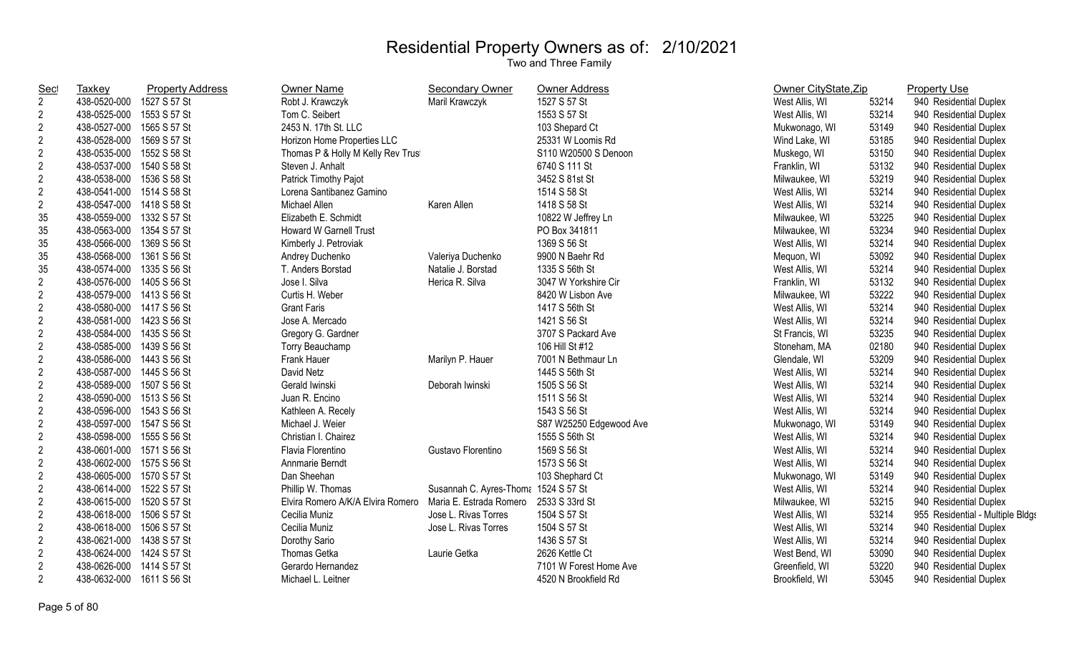| <b>Sec</b>     | Taxkey                    | <b>Property Address</b> | Owner Name                        | <b>Secondary Owner</b>               | <b>Owner Address</b>    | Owner CityState, Zip |       | <b>Property Use</b>              |
|----------------|---------------------------|-------------------------|-----------------------------------|--------------------------------------|-------------------------|----------------------|-------|----------------------------------|
| $\overline{2}$ | 438-0520-000              | 1527 S 57 St            | Robt J. Krawczyk                  | Maril Krawczyk                       | 1527 S 57 St            | West Allis, WI       | 53214 | 940 Residential Duplex           |
| $\overline{c}$ | 438-0525-000              | 1553 S 57 St            | Tom C. Seibert                    |                                      | 1553 S 57 St            | West Allis, WI       | 53214 | 940 Residential Duplex           |
| $\mathbf{2}$   | 438-0527-000 1565 S 57 St |                         | 2453 N. 17th St. LLC              |                                      | 103 Shepard Ct          | Mukwonago, WI        | 53149 | 940 Residential Duplex           |
| $\overline{2}$ | 438-0528-000              | 1569 S 57 St            | Horizon Home Properties LLC       |                                      | 25331 W Loomis Rd       | Wind Lake, WI        | 53185 | 940 Residential Duplex           |
| $\overline{c}$ | 438-0535-000              | 1552 S 58 St            | Thomas P & Holly M Kelly Rev Trus |                                      | S110 W20500 S Denoon    | Muskego, WI          | 53150 | 940 Residential Duplex           |
| $\overline{2}$ | 438-0537-000              | 1540 S 58 St            | Steven J. Anhalt                  |                                      | 6740 S 111 St           | Franklin, WI         | 53132 | 940 Residential Duplex           |
| $\mathbf{2}$   | 438-0538-000              | 1536 S 58 St            | Patrick Timothy Pajot             |                                      | 3452 S 81st St          | Milwaukee, WI        | 53219 | 940 Residential Duplex           |
| $\overline{2}$ | 438-0541-000              | 1514 S 58 St            | Lorena Santibanez Gamino          |                                      | 1514 S 58 St            | West Allis, WI       | 53214 | 940 Residential Duplex           |
| $\overline{2}$ | 438-0547-000              | 1418 S 58 St            | Michael Allen                     | Karen Allen                          | 1418 S 58 St            | West Allis, WI       | 53214 | 940 Residential Duplex           |
| 35             | 438-0559-000              | 1332 S 57 St            | Elizabeth E. Schmidt              |                                      | 10822 W Jeffrey Ln      | Milwaukee, WI        | 53225 | 940 Residential Duplex           |
| 35             | 438-0563-000              | 1354 S 57 St            | <b>Howard W Garnell Trust</b>     |                                      | PO Box 341811           | Milwaukee, WI        | 53234 | 940 Residential Duplex           |
| 35             | 438-0566-000              | 1369 S 56 St            | Kimberly J. Petroviak             |                                      | 1369 S 56 St            | West Allis, WI       | 53214 | 940 Residential Duplex           |
| 35             | 438-0568-000              | 1361 S 56 St            | Andrey Duchenko                   | Valeriya Duchenko                    | 9900 N Baehr Rd         | Mequon, WI           | 53092 | 940 Residential Duplex           |
| 35             | 438-0574-000              | 1335 S 56 St            | T. Anders Borstad                 | Natalie J. Borstad                   | 1335 S 56th St          | West Allis, WI       | 53214 | 940 Residential Duplex           |
| $\overline{2}$ | 438-0576-000              | 1405 S 56 St            | Jose I. Silva                     | Herica R. Silva                      | 3047 W Yorkshire Cir    | Franklin, WI         | 53132 | 940 Residential Duplex           |
| $\overline{c}$ | 438-0579-000 1413 S 56 St |                         | Curtis H. Weber                   |                                      | 8420 W Lisbon Ave       | Milwaukee, WI        | 53222 | 940 Residential Duplex           |
| $\overline{2}$ | 438-0580-000 1417 S 56 St |                         | <b>Grant Faris</b>                |                                      | 1417 S 56th St          | West Allis, WI       | 53214 | 940 Residential Duplex           |
| $\overline{2}$ | 438-0581-000 1423 S 56 St |                         | Jose A. Mercado                   |                                      | 1421 S 56 St            | West Allis, WI       | 53214 | 940 Residential Duplex           |
| $\overline{2}$ | 438-0584-000 1435 S 56 St |                         | Gregory G. Gardner                |                                      | 3707 S Packard Ave      | St Francis, WI       | 53235 | 940 Residential Duplex           |
| $\overline{2}$ | 438-0585-000 1439 S 56 St |                         | Torry Beauchamp                   |                                      | 106 Hill St #12         | Stoneham, MA         | 02180 | 940 Residential Duplex           |
| $\overline{2}$ | 438-0586-000              | 1443 S 56 St            | Frank Hauer                       | Marilyn P. Hauer                     | 7001 N Bethmaur Ln      | Glendale, WI         | 53209 | 940 Residential Duplex           |
| $\overline{2}$ | 438-0587-000              | 1445 S 56 St            | David Netz                        |                                      | 1445 S 56th St          | West Allis, WI       | 53214 | 940 Residential Duplex           |
| $\overline{2}$ | 438-0589-000              | 1507 S 56 St            | Gerald Iwinski                    | Deborah Iwinski                      | 1505 S 56 St            | West Allis, WI       | 53214 | 940 Residential Duplex           |
| $\overline{2}$ | 438-0590-000 1513 S 56 St |                         | Juan R. Encino                    |                                      | 1511 S 56 St            | West Allis, WI       | 53214 | 940 Residential Duplex           |
| $\overline{2}$ | 438-0596-000 1543 S 56 St |                         | Kathleen A. Recely                |                                      | 1543 S 56 St            | West Allis, WI       | 53214 | 940 Residential Duplex           |
| $\overline{2}$ | 438-0597-000 1547 S 56 St |                         | Michael J. Weier                  |                                      | S87 W25250 Edgewood Ave | Mukwonago, WI        | 53149 | 940 Residential Duplex           |
| $\overline{c}$ | 438-0598-000              | 1555 S 56 St            | Christian I. Chairez              |                                      | 1555 S 56th St          | West Allis, WI       | 53214 | 940 Residential Duplex           |
| $\overline{c}$ | 438-0601-000              | 1571 S 56 St            | Flavia Florentino                 | Gustavo Florentino                   | 1569 S 56 St            | West Allis, WI       | 53214 | 940 Residential Duplex           |
| $\overline{c}$ | 438-0602-000 1575 S 56 St |                         | Annmarie Berndt                   |                                      | 1573 S 56 St            | West Allis, WI       | 53214 | 940 Residential Duplex           |
| $\overline{c}$ | 438-0605-000 1570 S 57 St |                         | Dan Sheehan                       |                                      | 103 Shephard Ct         | Mukwonago, WI        | 53149 | 940 Residential Duplex           |
| $\overline{2}$ | 438-0614-000 1522 S 57 St |                         | Phillip W. Thomas                 | Susannah C. Ayres-Thoma 1524 S 57 St |                         | West Allis, WI       | 53214 | 940 Residential Duplex           |
| $\overline{2}$ | 438-0615-000 1520 S 57 St |                         | Elvira Romero A/K/A Elvira Romero | Maria E. Estrada Romero              | 2533 S 33rd St          | Milwaukee, WI        | 53215 | 940 Residential Duplex           |
| $\overline{2}$ | 438-0618-000              | 1506 S 57 St            | Cecilia Muniz                     | Jose L. Rivas Torres                 | 1504 S 57 St            | West Allis, WI       | 53214 | 955 Residential - Multiple Bldgs |
| $\overline{2}$ | 438-0618-000              | 1506 S 57 St            | Cecilia Muniz                     | Jose L. Rivas Torres                 | 1504 S 57 St            | West Allis, WI       | 53214 | 940 Residential Duplex           |
| $\overline{2}$ | 438-0621-000              | 1438 S 57 St            | Dorothy Sario                     |                                      | 1436 S 57 St            | West Allis, WI       | 53214 | 940 Residential Duplex           |
| $\overline{c}$ | 438-0624-000              | 1424 S 57 St            | Thomas Getka                      | Laurie Getka                         | 2626 Kettle Ct          | West Bend, WI        | 53090 | 940 Residential Duplex           |
| $\overline{c}$ | 438-0626-000              | 1414 S 57 St            | Gerardo Hernandez                 |                                      | 7101 W Forest Home Ave  | Greenfield, WI       | 53220 | 940 Residential Duplex           |
| $\overline{2}$ | 438-0632-000              | 1611 S 56 St            | Michael L. Leitner                |                                      | 4520 N Brookfield Rd    | Brookfield, WI       | 53045 | 940 Residential Duplex           |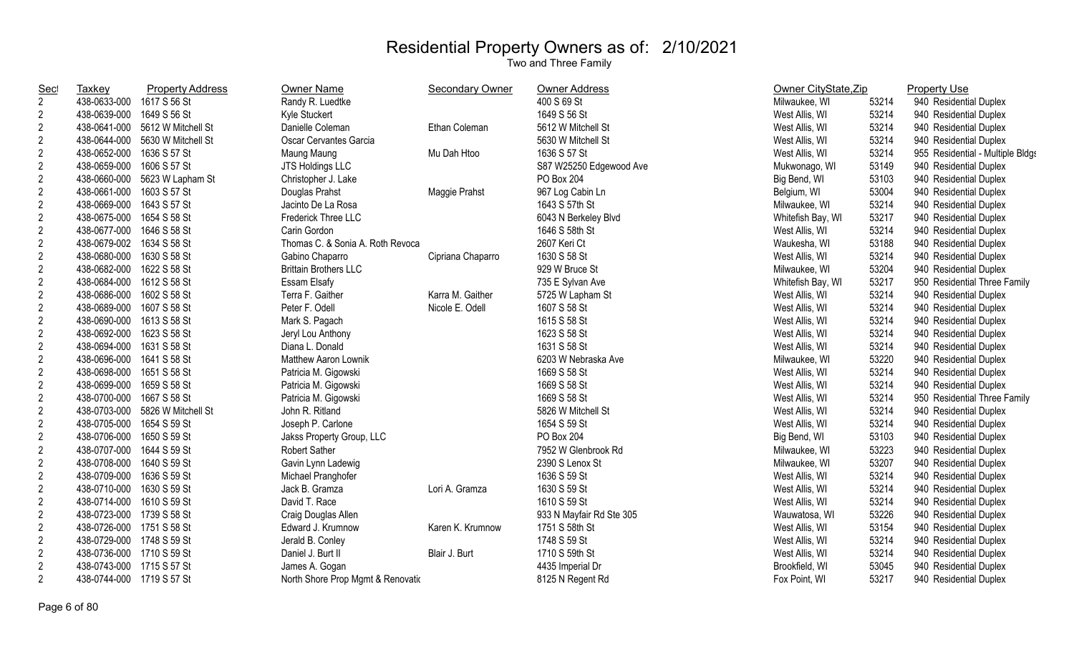| <b>Sec</b>     | <b>Taxkey</b>             | <b>Property Address</b>         | <b>Owner Name</b>                 | <b>Secondary Owner</b> | Owner Address            | Owner CityState, Zip |       | <b>Property Use</b>              |
|----------------|---------------------------|---------------------------------|-----------------------------------|------------------------|--------------------------|----------------------|-------|----------------------------------|
| $\overline{2}$ | 438-0633-000              | 1617 S 56 St                    | Randy R. Luedtke                  |                        | 400 S 69 St              | Milwaukee, WI        | 53214 | 940 Residential Duplex           |
| $\overline{2}$ | 438-0639-000              | 1649 S 56 St                    | Kyle Stuckert                     |                        | 1649 S 56 St             | West Allis, WI       | 53214 | 940 Residential Duplex           |
| $\overline{2}$ |                           | 438-0641-000 5612 W Mitchell St | Danielle Coleman                  | Ethan Coleman          | 5612 W Mitchell St       | West Allis, WI       | 53214 | 940 Residential Duplex           |
| $\overline{2}$ | 438-0644-000              | 5630 W Mitchell St              | Oscar Cervantes Garcia            |                        | 5630 W Mitchell St       | West Allis, WI       | 53214 | 940 Residential Duplex           |
| $\overline{2}$ | 438-0652-000              | 1636 S 57 St                    | Maung Maung                       | Mu Dah Htoo            | 1636 S 57 St             | West Allis, WI       | 53214 | 955 Residential - Multiple Bldgs |
| $\overline{2}$ | 438-0659-000              | 1606 S 57 St                    | JTS Holdings LLC                  |                        | S87 W25250 Edgewood Ave  | Mukwonago, WI        | 53149 | 940 Residential Duplex           |
| $\overline{c}$ | 438-0660-000              | 5623 W Lapham St                | Christopher J. Lake               |                        | PO Box 204               | Big Bend, WI         | 53103 | 940 Residential Duplex           |
| $\overline{2}$ | 438-0661-000              | 1603 S 57 St                    | Douglas Prahst                    | Maggie Prahst          | 967 Log Cabin Ln         | Belgium, WI          | 53004 | 940 Residential Duplex           |
| $\overline{2}$ | 438-0669-000              | 1643 S 57 St                    | Jacinto De La Rosa                |                        | 1643 S 57th St           | Milwaukee, WI        | 53214 | 940 Residential Duplex           |
| $\overline{2}$ | 438-0675-000              | 1654 S 58 St                    | Frederick Three LLC               |                        | 6043 N Berkeley Blvd     | Whitefish Bay, WI    | 53217 | 940 Residential Duplex           |
| $\overline{2}$ | 438-0677-000              | 1646 S 58 St                    | Carin Gordon                      |                        | 1646 S 58th St           | West Allis, WI       | 53214 | 940 Residential Duplex           |
| $\overline{c}$ | 438-0679-002 1634 S 58 St |                                 | Thomas C. & Sonia A. Roth Revoca  |                        | 2607 Keri Ct             | Waukesha, WI         | 53188 | 940 Residential Duplex           |
| $\overline{c}$ | 438-0680-000              | 1630 S 58 St                    | Gabino Chaparro                   | Cipriana Chaparro      | 1630 S 58 St             | West Allis, WI       | 53214 | 940 Residential Duplex           |
| $\overline{2}$ | 438-0682-000              | 1622 S 58 St                    | <b>Brittain Brothers LLC</b>      |                        | 929 W Bruce St           | Milwaukee, WI        | 53204 | 940 Residential Duplex           |
| $\overline{c}$ | 438-0684-000 1612 S 58 St |                                 | Essam Elsafy                      |                        | 735 E Sylvan Ave         | Whitefish Bay, WI    | 53217 | 950 Residential Three Family     |
| $\overline{2}$ | 438-0686-000 1602 S 58 St |                                 | Terra F. Gaither                  | Karra M. Gaither       | 5725 W Lapham St         | West Allis, WI       | 53214 | 940 Residential Duplex           |
| $\overline{2}$ | 438-0689-000 1607 S 58 St |                                 | Peter F. Odell                    | Nicole E. Odell        | 1607 S 58 St             | West Allis, WI       | 53214 | 940 Residential Duplex           |
| $\overline{2}$ | 438-0690-000 1613 S 58 St |                                 | Mark S. Pagach                    |                        | 1615 S 58 St             | West Allis, WI       | 53214 | 940 Residential Duplex           |
| $\overline{2}$ | 438-0692-000 1623 S 58 St |                                 | Jeryl Lou Anthony                 |                        | 1623 S 58 St             | West Allis, WI       | 53214 | 940 Residential Duplex           |
| $\overline{2}$ | 438-0694-000 1631 S 58 St |                                 | Diana L. Donald                   |                        | 1631 S 58 St             | West Allis, WI       | 53214 | 940 Residential Duplex           |
| $\overline{2}$ | 438-0696-000              | 1641 S 58 St                    | Matthew Aaron Lownik              |                        | 6203 W Nebraska Ave      | Milwaukee, WI        | 53220 | 940 Residential Duplex           |
| $\overline{2}$ | 438-0698-000              | 1651 S 58 St                    | Patricia M. Gigowski              |                        | 1669 S 58 St             | West Allis, WI       | 53214 | 940 Residential Duplex           |
| $\overline{2}$ | 438-0699-000              | 1659 S 58 St                    | Patricia M. Gigowski              |                        | 1669 S 58 St             | West Allis, WI       | 53214 | 940 Residential Duplex           |
| $\overline{2}$ | 438-0700-000              | 1667 S 58 St                    | Patricia M. Gigowski              |                        | 1669 S 58 St             | West Allis, WI       | 53214 | 950 Residential Three Family     |
| $\overline{2}$ |                           | 438-0703-000 5826 W Mitchell St | John R. Ritland                   |                        | 5826 W Mitchell St       | West Allis, WI       | 53214 | 940 Residential Duplex           |
| $\overline{2}$ | 438-0705-000 1654 S 59 St |                                 | Joseph P. Carlone                 |                        | 1654 S 59 St             | West Allis, WI       | 53214 | 940 Residential Duplex           |
| $\overline{2}$ | 438-0706-000              | 1650 S 59 St                    | Jakss Property Group, LLC         |                        | PO Box 204               | Big Bend, WI         | 53103 | 940 Residential Duplex           |
| $\overline{2}$ | 438-0707-000 1644 S 59 St |                                 | Robert Sather                     |                        | 7952 W Glenbrook Rd      | Milwaukee, WI        | 53223 | 940 Residential Duplex           |
| $\overline{c}$ | 438-0708-000 1640 S 59 St |                                 | Gavin Lynn Ladewig                |                        | 2390 S Lenox St          | Milwaukee, WI        | 53207 | 940 Residential Duplex           |
| $\overline{2}$ | 438-0709-000 1636 S 59 St |                                 | Michael Pranghofer                |                        | 1636 S 59 St             | West Allis, WI       | 53214 | 940 Residential Duplex           |
| $\overline{2}$ | 438-0710-000 1630 S 59 St |                                 | Jack B. Gramza                    | Lori A. Gramza         | 1630 S 59 St             | West Allis, WI       | 53214 | 940 Residential Duplex           |
| $\overline{2}$ | 438-0714-000 1610 S 59 St |                                 | David T. Race                     |                        | 1610 S 59 St             | West Allis, WI       | 53214 | 940 Residential Duplex           |
| $\mathbf{2}$   | 438-0723-000 1739 S 58 St |                                 | Craig Douglas Allen               |                        | 933 N Mayfair Rd Ste 305 | Wauwatosa, WI        | 53226 | 940 Residential Duplex           |
| $\overline{2}$ | 438-0726-000 1751 S 58 St |                                 | Edward J. Krumnow                 | Karen K. Krumnow       | 1751 S 58th St           | West Allis, WI       | 53154 | 940 Residential Duplex           |
| $\overline{2}$ | 438-0729-000 1748 S 59 St |                                 | Jerald B. Conley                  |                        | 1748 S 59 St             | West Allis, WI       | 53214 | 940 Residential Duplex           |
| $\overline{2}$ | 438-0736-000 1710 S 59 St |                                 | Daniel J. Burt II                 | Blair J. Burt          | 1710 S 59th St           | West Allis, WI       | 53214 | 940 Residential Duplex           |
| $\mathbf{2}$   | 438-0743-000 1715 S 57 St |                                 | James A. Gogan                    |                        | 4435 Imperial Dr         | Brookfield, WI       | 53045 | 940 Residential Duplex           |
| $\overline{2}$ | 438-0744-000 1719 S 57 St |                                 | North Shore Prop Mgmt & Renovatio |                        | 8125 N Regent Rd         | Fox Point, WI        | 53217 | 940 Residential Duplex           |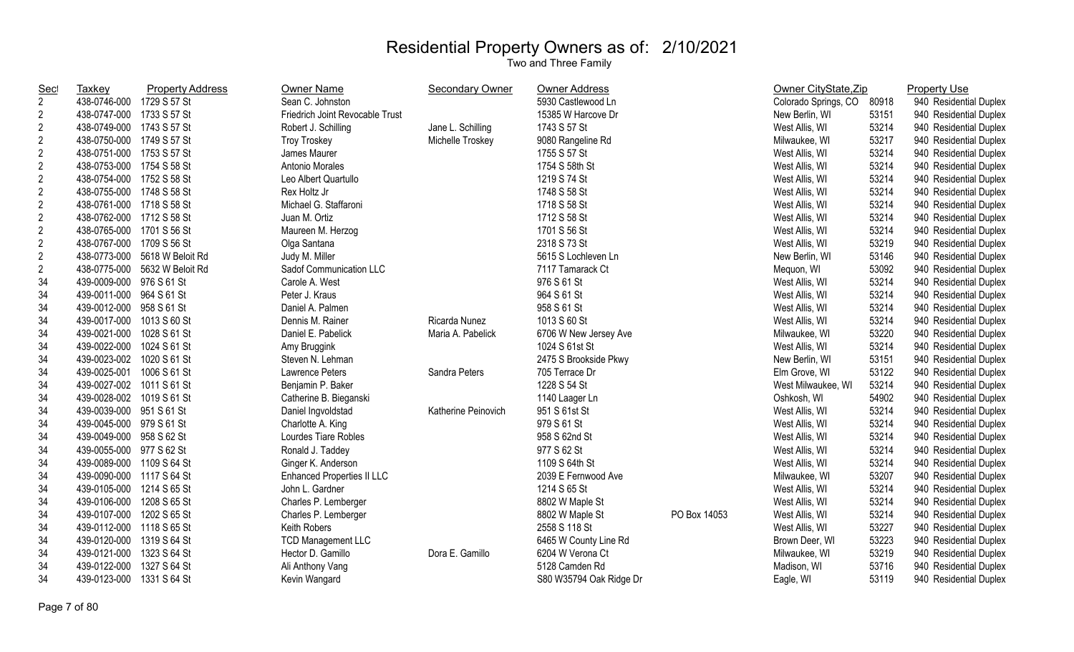| <b>Sec</b>       | <b>Taxkey</b>             | <b>Property Address</b>       | Owner Name                        | <b>Secondary Owner</b> | <b>Owner Address</b>    |              | Owner CityState, Zip |       | <b>Property Use</b>    |
|------------------|---------------------------|-------------------------------|-----------------------------------|------------------------|-------------------------|--------------|----------------------|-------|------------------------|
| $\overline{2}$   | 438-0746-000              | 1729 S 57 St                  | Sean C. Johnston                  |                        | 5930 Castlewood Ln      |              | Colorado Springs, CO | 80918 | 940 Residential Duplex |
| $\overline{c}$   | 438-0747-000 1733 S 57 St |                               | Friedrich Joint Revocable Trust   |                        | 15385 W Harcove Dr      |              | New Berlin, WI       | 53151 | 940 Residential Duplex |
| $\sqrt{2}$       | 438-0749-000 1743 S 57 St |                               | Robert J. Schilling               | Jane L. Schilling      | 1743 S 57 St            |              | West Allis, WI       | 53214 | 940 Residential Duplex |
| $\sqrt{2}$       | 438-0750-000 1749 S 57 St |                               | <b>Troy Troskey</b>               | Michelle Troskey       | 9080 Rangeline Rd       |              | Milwaukee, WI        | 53217 | 940 Residential Duplex |
| $\boldsymbol{2}$ | 438-0751-000 1753 S 57 St |                               | James Maurer                      |                        | 1755 S 57 St            |              | West Allis, WI       | 53214 | 940 Residential Duplex |
| $\boldsymbol{2}$ | 438-0753-000 1754 S 58 St |                               | Antonio Morales                   |                        | 1754 S 58th St          |              | West Allis, WI       | 53214 | 940 Residential Duplex |
| $\sqrt{2}$       | 438-0754-000 1752 S 58 St |                               | Leo Albert Quartullo              |                        | 1219 S 74 St            |              | West Allis, WI       | 53214 | 940 Residential Duplex |
| $\boldsymbol{2}$ | 438-0755-000 1748 S 58 St |                               | Rex Holtz Jr                      |                        | 1748 S 58 St            |              | West Allis, WI       | 53214 | 940 Residential Duplex |
| $\sqrt{2}$       | 438-0761-000 1718 S 58 St |                               | Michael G. Staffaroni             |                        | 1718 S 58 St            |              | West Allis, WI       | 53214 | 940 Residential Duplex |
| $\sqrt{2}$       | 438-0762-000 1712 S 58 St |                               | Juan M. Ortiz                     |                        | 1712 S 58 St            |              | West Allis, WI       | 53214 | 940 Residential Duplex |
| $\sqrt{2}$       | 438-0765-000 1701 S 56 St |                               | Maureen M. Herzog                 |                        | 1701 S 56 St            |              | West Allis, WI       | 53214 | 940 Residential Duplex |
| $\sqrt{2}$       | 438-0767-000 1709 S 56 St |                               | Olga Santana                      |                        | 2318 S 73 St            |              | West Allis, WI       | 53219 | 940 Residential Duplex |
| $\overline{c}$   |                           | 438-0773-000 5618 W Beloit Rd | Judy M. Miller                    |                        | 5615 S Lochleven Ln     |              | New Berlin, WI       | 53146 | 940 Residential Duplex |
| $\mathbf{2}$     |                           | 438-0775-000 5632 W Beloit Rd | Sadof Communication LLC           |                        | 7117 Tamarack Ct        |              | Mequon, WI           | 53092 | 940 Residential Duplex |
| 34               | 439-0009-000 976 S 61 St  |                               | Carole A. West                    |                        | 976 S 61 St             |              | West Allis, WI       | 53214 | 940 Residential Duplex |
| 34               | 439-0011-000 964 S 61 St  |                               | Peter J. Kraus                    |                        | 964 S 61 St             |              | West Allis, WI       | 53214 | 940 Residential Duplex |
| 34               | 439-0012-000 958 S 61 St  |                               | Daniel A. Palmen                  |                        | 958 S 61 St             |              | West Allis, WI       | 53214 | 940 Residential Duplex |
| 34               | 439-0017-000 1013 S 60 St |                               | Dennis M. Rainer                  | Ricarda Nunez          | 1013 S 60 St            |              | West Allis, WI       | 53214 | 940 Residential Duplex |
| 34               | 439-0021-000 1028 S 61 St |                               | Daniel E. Pabelick                | Maria A. Pabelick      | 6706 W New Jersey Ave   |              | Milwaukee, WI        | 53220 | 940 Residential Duplex |
| 34               | 439-0022-000 1024 S 61 St |                               | Amy Bruggink                      |                        | 1024 S 61st St          |              | West Allis, WI       | 53214 | 940 Residential Duplex |
| 34               | 439-0023-002 1020 S 61 St |                               | Steven N. Lehman                  |                        | 2475 S Brookside Pkwy   |              | New Berlin, WI       | 53151 | 940 Residential Duplex |
| 34               | 439-0025-001 1006 S 61 St |                               | <b>Lawrence Peters</b>            | Sandra Peters          | 705 Terrace Dr          |              | Elm Grove, WI        | 53122 | 940 Residential Duplex |
| 34               | 439-0027-002 1011 S 61 St |                               | Benjamin P. Baker                 |                        | 1228 S 54 St            |              | West Milwaukee, WI   | 53214 | 940 Residential Duplex |
| 34               | 439-0028-002 1019 S 61 St |                               | Catherine B. Bieganski            |                        | 1140 Laager Ln          |              | Oshkosh, WI          | 54902 | 940 Residential Duplex |
| 34               | 439-0039-000 951 S 61 St  |                               | Daniel Ingvoldstad                | Katherine Peinovich    | 951 S 61st St           |              | West Allis, WI       | 53214 | 940 Residential Duplex |
| 34               | 439-0045-000 979 S 61 St  |                               | Charlotte A. King                 |                        | 979 S 61 St             |              | West Allis, WI       | 53214 | 940 Residential Duplex |
| 34               | 439-0049-000 958 S 62 St  |                               | Lourdes Tiare Robles              |                        | 958 S 62nd St           |              | West Allis, WI       | 53214 | 940 Residential Duplex |
| 34               | 439-0055-000 977 S 62 St  |                               | Ronald J. Taddey                  |                        | 977 S 62 St             |              | West Allis, WI       | 53214 | 940 Residential Duplex |
| 34               | 439-0089-000 1109 S 64 St |                               | Ginger K. Anderson                |                        | 1109 S 64th St          |              | West Allis, WI       | 53214 | 940 Residential Duplex |
| 34               | 439-0090-000 1117 S 64 St |                               | <b>Enhanced Properties II LLC</b> |                        | 2039 E Fernwood Ave     |              | Milwaukee, WI        | 53207 | 940 Residential Duplex |
| 34               | 439-0105-000 1214 S 65 St |                               | John L. Gardner                   |                        | 1214 S 65 St            |              | West Allis, WI       | 53214 | 940 Residential Duplex |
| 34               | 439-0106-000 1208 S 65 St |                               | Charles P. Lemberger              |                        | 8802 W Maple St         |              | West Allis, WI       | 53214 | 940 Residential Duplex |
| 34               | 439-0107-000 1202 S 65 St |                               | Charles P. Lemberger              |                        | 8802 W Maple St         | PO Box 14053 | West Allis, WI       | 53214 | 940 Residential Duplex |
| 34               | 439-0112-000 1118 S 65 St |                               | Keith Robers                      |                        | 2558 S 118 St           |              | West Allis, WI       | 53227 | 940 Residential Duplex |
| 34               | 439-0120-000 1319 S 64 St |                               | <b>TCD Management LLC</b>         |                        | 6465 W County Line Rd   |              | Brown Deer, WI       | 53223 | 940 Residential Duplex |
| 34               | 439-0121-000              | 1323 S 64 St                  | Hector D. Gamillo                 | Dora E. Gamillo        | 6204 W Verona Ct        |              | Milwaukee, WI        | 53219 | 940 Residential Duplex |
| 34               | 439-0122-000              | 1327 S 64 St                  | Ali Anthony Vang                  |                        | 5128 Camden Rd          |              | Madison, WI          | 53716 | 940 Residential Duplex |
| 34               | 439-0123-000              | 1331 S 64 St                  | Kevin Wangard                     |                        | S80 W35794 Oak Ridge Dr |              | Eagle, WI            | 53119 | 940 Residential Duplex |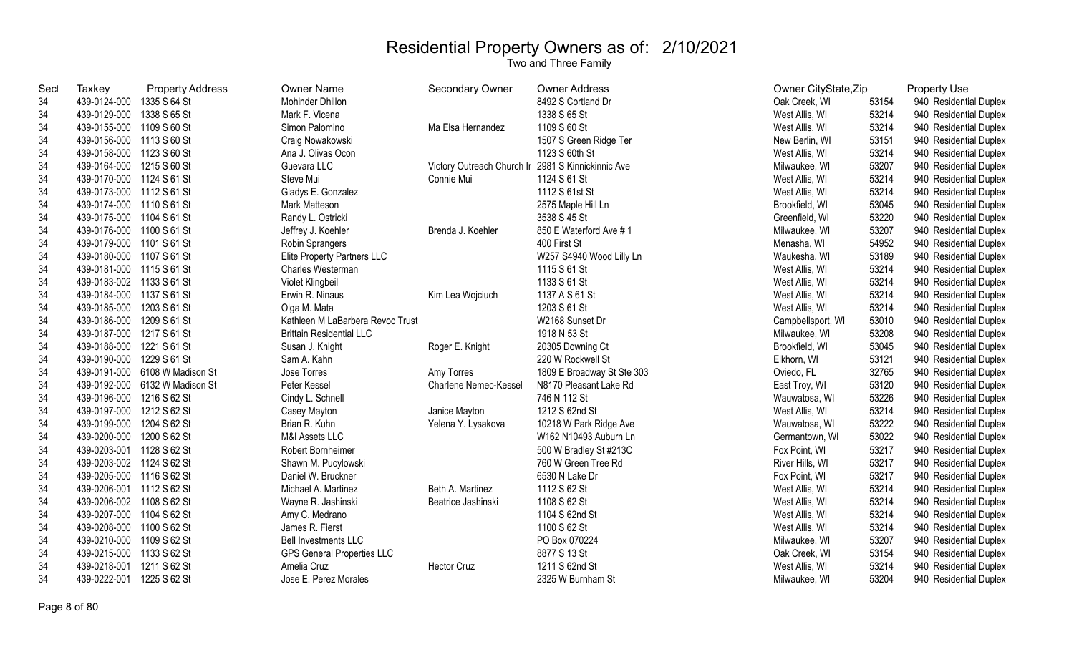| <b>Sec</b> | Taxkey                    | <b>Property Address</b>        | <b>Owner Name</b>                 | Secondary Owner            | <b>Owner Address</b>       | Owner CityState, Zip |       | <b>Property Use</b>    |
|------------|---------------------------|--------------------------------|-----------------------------------|----------------------------|----------------------------|----------------------|-------|------------------------|
| 34         | 439-0124-000              | 1335 S 64 St                   | Mohinder Dhillon                  |                            | 8492 S Cortland Dr         | Oak Creek, WI        | 53154 | 940 Residential Duplex |
| 34         | 439-0129-000              | 1338 S 65 St                   | Mark F. Vicena                    |                            | 1338 S 65 St               | West Allis, WI       | 53214 | 940 Residential Duplex |
| 34         | 439-0155-000 1109 S 60 St |                                | Simon Palomino                    | Ma Elsa Hernandez          | 1109 S 60 St               | West Allis, WI       | 53214 | 940 Residential Duplex |
| 34         | 439-0156-000 1113 S 60 St |                                | Craig Nowakowski                  |                            | 1507 S Green Ridge Ter     | New Berlin, WI       | 53151 | 940 Residential Duplex |
| 34         | 439-0158-000 1123 S 60 St |                                | Ana J. Olivas Ocon                |                            | 1123 S 60th St             | West Allis, WI       | 53214 | 940 Residential Duplex |
| 34         | 439-0164-000 1215 S 60 St |                                | Guevara LLC                       | Victory Outreach Church Ir | 2981 S Kinnickinnic Ave    | Milwaukee, WI        | 53207 | 940 Residential Duplex |
| 34         | 439-0170-000 1124 S 61 St |                                | Steve Mui                         | Connie Mui                 | 1124 S 61 St               | West Allis, WI       | 53214 | 940 Residential Duplex |
| 34         | 439-0173-000 1112 S 61 St |                                | Gladys E. Gonzalez                |                            | 1112 S 61st St             | West Allis, WI       | 53214 | 940 Residential Duplex |
| 34         | 439-0174-000 1110 S 61 St |                                | Mark Matteson                     |                            | 2575 Maple Hill Ln         | Brookfield, WI       | 53045 | 940 Residential Duplex |
| 34         | 439-0175-000 1104 S 61 St |                                | Randy L. Ostricki                 |                            | 3538 S 45 St               | Greenfield, WI       | 53220 | 940 Residential Duplex |
| 34         | 439-0176-000 1100 S 61 St |                                | Jeffrey J. Koehler                | Brenda J. Koehler          | 850 E Waterford Ave #1     | Milwaukee, WI        | 53207 | 940 Residential Duplex |
| 34         | 439-0179-000 1101 S 61 St |                                | Robin Sprangers                   |                            | 400 First St               | Menasha, WI          | 54952 | 940 Residential Duplex |
| 34         | 439-0180-000 1107 S 61 St |                                | Elite Property Partners LLC       |                            | W257 S4940 Wood Lilly Ln   | Waukesha, WI         | 53189 | 940 Residential Duplex |
| 34         | 439-0181-000 1115 S 61 St |                                | Charles Westerman                 |                            | 1115 S 61 St               | West Allis, WI       | 53214 | 940 Residential Duplex |
| 34         | 439-0183-002 1133 S 61 St |                                | Violet Klingbeil                  |                            | 1133 S 61 St               | West Allis, WI       | 53214 | 940 Residential Duplex |
| 34         | 439-0184-000 1137 S 61 St |                                | Erwin R. Ninaus                   | Kim Lea Wojciuch           | 1137 A S 61 St             | West Allis, WI       | 53214 | 940 Residential Duplex |
| 34         | 439-0185-000 1203 S 61 St |                                | Olga M. Mata                      |                            | 1203 S 61 St               | West Allis, WI       | 53214 | 940 Residential Duplex |
| 34         | 439-0186-000 1209 S 61 St |                                | Kathleen M LaBarbera Revoc Trust  |                            | W2168 Sunset Dr            | Campbellsport, WI    | 53010 | 940 Residential Duplex |
| 34         | 439-0187-000 1217 S 61 St |                                | <b>Brittain Residential LLC</b>   |                            | 1918 N 53 St               | Milwaukee, WI        | 53208 | 940 Residential Duplex |
| 34         | 439-0188-000 1221 S 61 St |                                | Susan J. Knight                   | Roger E. Knight            | 20305 Downing Ct           | Brookfield, WI       | 53045 | 940 Residential Duplex |
| 34         | 439-0190-000 1229 S 61 St |                                | Sam A. Kahn                       |                            | 220 W Rockwell St          | Elkhorn, WI          | 53121 | 940 Residential Duplex |
| 34         |                           | 439-0191-000 6108 W Madison St | Jose Torres                       | Amy Torres                 | 1809 E Broadway St Ste 303 | Oviedo, FL           | 32765 | 940 Residential Duplex |
| 34         |                           | 439-0192-000 6132 W Madison St | Peter Kessel                      | Charlene Nemec-Kessel      | N8170 Pleasant Lake Rd     | East Troy, WI        | 53120 | 940 Residential Duplex |
| 34         | 439-0196-000 1216 S 62 St |                                | Cindy L. Schnell                  |                            | 746 N 112 St               | Wauwatosa, WI        | 53226 | 940 Residential Duplex |
| 34         | 439-0197-000 1212 S 62 St |                                | Casey Mayton                      | Janice Mayton              | 1212 S 62nd St             | West Allis, WI       | 53214 | 940 Residential Duplex |
| 34         | 439-0199-000 1204 S 62 St |                                | Brian R. Kuhn                     | Yelena Y. Lysakova         | 10218 W Park Ridge Ave     | Wauwatosa, WI        | 53222 | 940 Residential Duplex |
| 34         | 439-0200-000 1200 S 62 St |                                | M&I Assets LLC                    |                            | W162 N10493 Auburn Ln      | Germantown, WI       | 53022 | 940 Residential Duplex |
| 34         | 439-0203-001 1128 S 62 St |                                | Robert Bornheimer                 |                            | 500 W Bradley St #213C     | Fox Point, WI        | 53217 | 940 Residential Duplex |
| 34         | 439-0203-002 1124 S 62 St |                                | Shawn M. Pucylowski               |                            | 760 W Green Tree Rd        | River Hills, WI      | 53217 | 940 Residential Duplex |
| 34         | 439-0205-000 1116 S 62 St |                                | Daniel W. Bruckner                |                            | 6530 N Lake Dr             | Fox Point, WI        | 53217 | 940 Residential Duplex |
| 34         | 439-0206-001 1112 S 62 St |                                | Michael A. Martinez               | Beth A. Martinez           | 1112 S 62 St               | West Allis, WI       | 53214 | 940 Residential Duplex |
| 34         | 439-0206-002 1108 S 62 St |                                | Wayne R. Jashinski                | Beatrice Jashinski         | 1108 S 62 St               | West Allis, WI       | 53214 | 940 Residential Duplex |
| 34         | 439-0207-000 1104 S 62 St |                                | Amy C. Medrano                    |                            | 1104 S 62nd St             | West Allis, WI       | 53214 | 940 Residential Duplex |
| 34         | 439-0208-000 1100 S 62 St |                                | James R. Fierst                   |                            | 1100 S 62 St               | West Allis, WI       | 53214 | 940 Residential Duplex |
| 34         | 439-0210-000 1109 S 62 St |                                | <b>Bell Investments LLC</b>       |                            | PO Box 070224              | Milwaukee, WI        | 53207 | 940 Residential Duplex |
| 34         | 439-0215-000 1133 S 62 St |                                | <b>GPS General Properties LLC</b> |                            | 8877 S 13 St               | Oak Creek, WI        | 53154 | 940 Residential Duplex |
| 34         | 439-0218-001              | 1211 S 62 St                   | Amelia Cruz                       | <b>Hector Cruz</b>         | 1211 S 62nd St             | West Allis, WI       | 53214 | 940 Residential Duplex |
| 34         | 439-0222-001              | 1225 S 62 St                   | Jose E. Perez Morales             |                            | 2325 W Burnham St          | Milwaukee, WI        | 53204 | 940 Residential Duplex |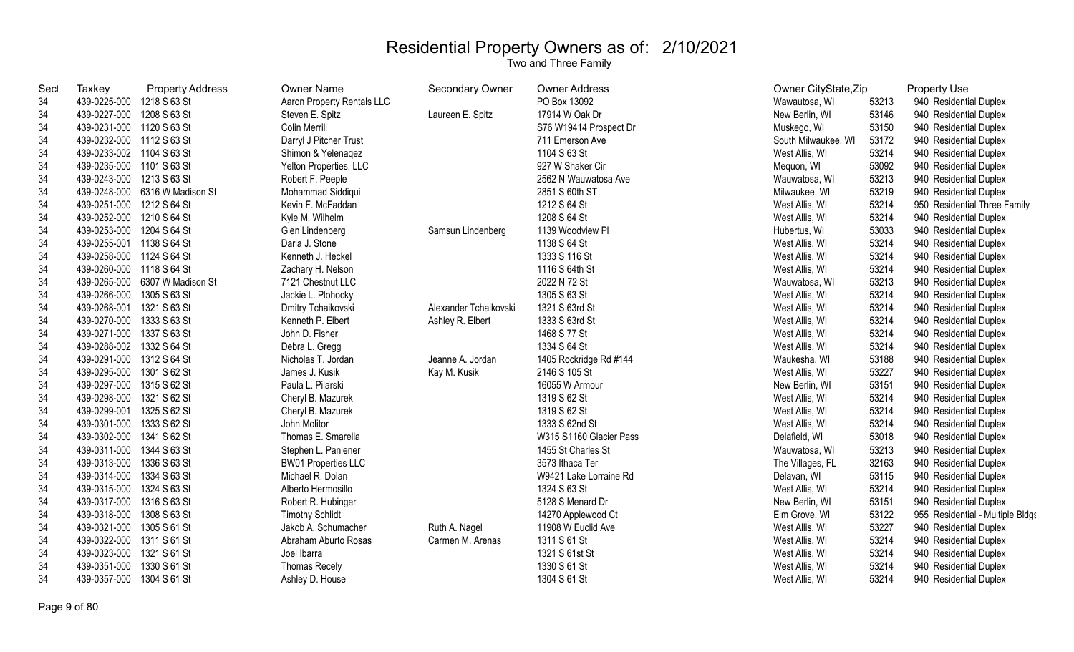| <b>Sec</b> | <b>Taxkey</b>             | <b>Property Address</b>        | <b>Owner Name</b>          | <b>Secondary Owner</b> | <b>Owner Address</b>    | Owner CityState, Zip |       | <b>Property Use</b>              |
|------------|---------------------------|--------------------------------|----------------------------|------------------------|-------------------------|----------------------|-------|----------------------------------|
| 34         | 439-0225-000 1218 S 63 St |                                | Aaron Property Rentals LLC |                        | PO Box 13092            | Wawautosa, WI        | 53213 | 940 Residential Duplex           |
| 34         | 439-0227-000              | 1208 S 63 St                   | Steven E. Spitz            | Laureen E. Spitz       | 17914 W Oak Dr          | New Berlin, WI       | 53146 | 940 Residential Duplex           |
| 34         | 439-0231-000 1120 S 63 St |                                | <b>Colin Merrill</b>       |                        | S76 W19414 Prospect Dr  | Muskego, WI          | 53150 | 940 Residential Duplex           |
| 34         | 439-0232-000 1112 S 63 St |                                | Darryl J Pitcher Trust     |                        | 711 Emerson Ave         | South Milwaukee, WI  | 53172 | 940 Residential Duplex           |
| 34         | 439-0233-002 1104 S 63 St |                                | Shimon & Yelenagez         |                        | 1104 S 63 St            | West Allis, WI       | 53214 | 940 Residential Duplex           |
| 34         | 439-0235-000 1101 S 63 St |                                | Yelton Properties, LLC     |                        | 927 W Shaker Cir        | Mequon, WI           | 53092 | 940 Residential Duplex           |
| 34         | 439-0243-000 1213 S 63 St |                                | Robert F. Peeple           |                        | 2562 N Wauwatosa Ave    | Wauwatosa, WI        | 53213 | 940 Residential Duplex           |
| 34         |                           | 439-0248-000 6316 W Madison St | Mohammad Siddiqui          |                        | 2851 S 60th ST          | Milwaukee, WI        | 53219 | 940 Residential Duplex           |
| 34         | 439-0251-000 1212 S 64 St |                                | Kevin F. McFaddan          |                        | 1212 S 64 St            | West Allis, WI       | 53214 | 950 Residential Three Family     |
| 34         | 439-0252-000 1210 S 64 St |                                | Kyle M. Wilhelm            |                        | 1208 S 64 St            | West Allis, WI       | 53214 | 940 Residential Duplex           |
| 34         | 439-0253-000 1204 S 64 St |                                | Glen Lindenberg            | Samsun Lindenberg      | 1139 Woodview Pl        | Hubertus, WI         | 53033 | 940 Residential Duplex           |
| 34         | 439-0255-001 1138 S 64 St |                                | Darla J. Stone             |                        | 1138 S 64 St            | West Allis, WI       | 53214 | 940 Residential Duplex           |
| 34         | 439-0258-000 1124 S 64 St |                                | Kenneth J. Heckel          |                        | 1333 S 116 St           | West Allis, WI       | 53214 | 940 Residential Duplex           |
| 34         | 439-0260-000 1118 S 64 St |                                | Zachary H. Nelson          |                        | 1116 S 64th St          | West Allis, WI       | 53214 | 940 Residential Duplex           |
| 34         |                           | 439-0265-000 6307 W Madison St | 7121 Chestnut LLC          |                        | 2022 N 72 St            | Wauwatosa, WI        | 53213 | 940 Residential Duplex           |
| 34         | 439-0266-000 1305 S 63 St |                                | Jackie L. Plohocky         |                        | 1305 S 63 St            | West Allis, WI       | 53214 | 940 Residential Duplex           |
| 34         | 439-0268-001              | 1321 S 63 St                   | Dmitry Tchaikovski         | Alexander Tchaikovski  | 1321 S 63rd St          | West Allis, WI       | 53214 | 940 Residential Duplex           |
| 34         | 439-0270-000              | 1333 S 63 St                   | Kenneth P. Elbert          | Ashley R. Elbert       | 1333 S 63rd St          | West Allis, WI       | 53214 | 940 Residential Duplex           |
| 34         | 439-0271-000 1337 S 63 St |                                | John D. Fisher             |                        | 1468 S 77 St            | West Allis, WI       | 53214 | 940 Residential Duplex           |
| 34         | 439-0288-002 1332 S 64 St |                                | Debra L. Gregg             |                        | 1334 S 64 St            | West Allis, WI       | 53214 | 940 Residential Duplex           |
| 34         | 439-0291-000 1312 S 64 St |                                | Nicholas T. Jordan         | Jeanne A. Jordan       | 1405 Rockridge Rd #144  | Waukesha, WI         | 53188 | 940 Residential Duplex           |
| 34         | 439-0295-000 1301 S 62 St |                                | James J. Kusik             | Kay M. Kusik           | 2146 S 105 St           | West Allis, WI       | 53227 | 940 Residential Duplex           |
| 34         | 439-0297-000 1315 S 62 St |                                | Paula L. Pilarski          |                        | 16055 W Armour          | New Berlin, WI       | 53151 | 940 Residential Duplex           |
| 34         | 439-0298-000 1321 S 62 St |                                | Cheryl B. Mazurek          |                        | 1319 S 62 St            | West Allis, WI       | 53214 | 940 Residential Duplex           |
| 34         | 439-0299-001 1325 S 62 St |                                | Cheryl B. Mazurek          |                        | 1319 S 62 St            | West Allis, WI       | 53214 | 940 Residential Duplex           |
| 34         | 439-0301-000 1333 S 62 St |                                | John Molitor               |                        | 1333 S 62nd St          | West Allis, WI       | 53214 | 940 Residential Duplex           |
| 34         | 439-0302-000 1341 S 62 St |                                | Thomas E. Smarella         |                        | W315 S1160 Glacier Pass | Delafield, WI        | 53018 | 940 Residential Duplex           |
| 34         | 439-0311-000 1344 S 63 St |                                | Stephen L. Panlener        |                        | 1455 St Charles St      | Wauwatosa, WI        | 53213 | 940 Residential Duplex           |
| 34         | 439-0313-000 1336 S 63 St |                                | <b>BW01 Properties LLC</b> |                        | 3573 Ithaca Ter         | The Villages, FL     | 32163 | 940 Residential Duplex           |
| 34         | 439-0314-000 1334 S 63 St |                                | Michael R. Dolan           |                        | W9421 Lake Lorraine Rd  | Delavan, WI          | 53115 | 940 Residential Duplex           |
| 34         | 439-0315-000 1324 S 63 St |                                | Alberto Hermosillo         |                        | 1324 S 63 St            | West Allis, WI       | 53214 | 940 Residential Duplex           |
| 34         | 439-0317-000 1316 S 63 St |                                | Robert R. Hubinger         |                        | 5128 S Menard Dr        | New Berlin, WI       | 53151 | 940 Residential Duplex           |
| 34         | 439-0318-000 1308 S 63 St |                                | <b>Timothy Schlidt</b>     |                        | 14270 Applewood Ct      | Elm Grove, WI        | 53122 | 955 Residential - Multiple Bldgs |
| 34         | 439-0321-000 1305 S 61 St |                                | Jakob A. Schumacher        | Ruth A. Nagel          | 11908 W Euclid Ave      | West Allis, WI       | 53227 | 940 Residential Duplex           |
| 34         | 439-0322-000 1311 S 61 St |                                | Abraham Aburto Rosas       | Carmen M. Arenas       | 1311 S 61 St            | West Allis, WI       | 53214 | 940 Residential Duplex           |
| 34         | 439-0323-000 1321 S 61 St |                                | Joel Ibarra                |                        | 1321 S 61st St          | West Allis, WI       | 53214 | 940 Residential Duplex           |
| 34         | 439-0351-000              | 1330 S 61 St                   | <b>Thomas Recely</b>       |                        | 1330 S 61 St            | West Allis, WI       | 53214 | 940 Residential Duplex           |
| 34         | 439-0357-000              | 1304 S 61 St                   | Ashley D. House            |                        | 1304 S 61 St            | West Allis, WI       | 53214 | 940 Residential Duplex           |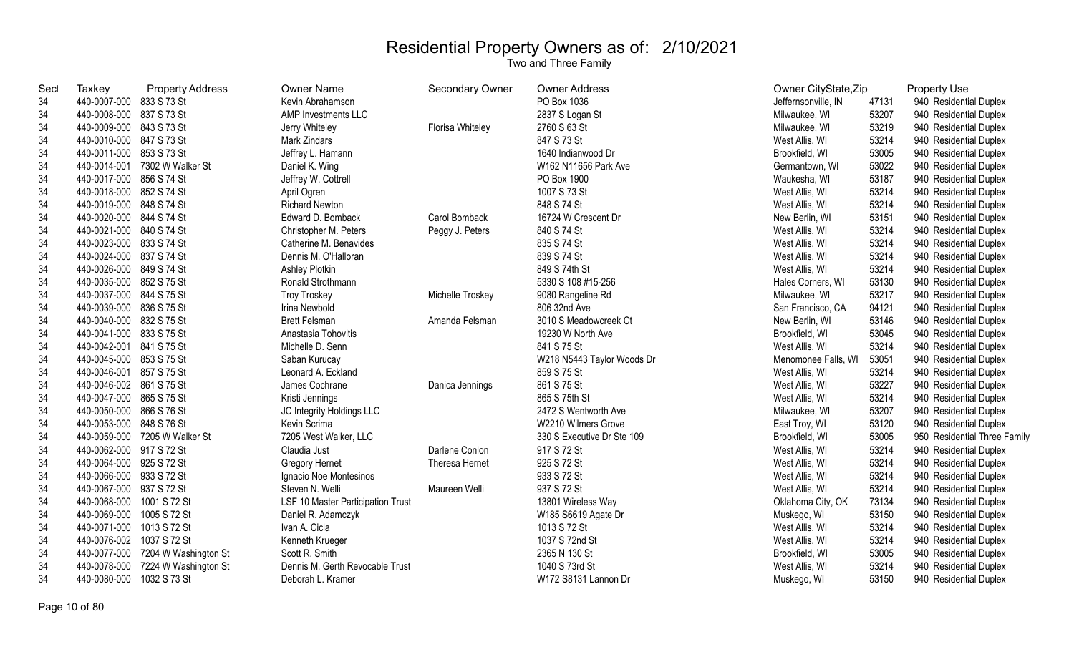| <b>Sec</b> | Taxkey                    | <b>Property Address</b>           | <b>Owner Name</b>                 | <b>Secondary Owner</b> | <b>Owner Address</b>       | Owner CityState, Zip |       | <b>Property Use</b>          |
|------------|---------------------------|-----------------------------------|-----------------------------------|------------------------|----------------------------|----------------------|-------|------------------------------|
| 34         | 440-0007-000 833 S 73 St  |                                   | Kevin Abrahamson                  |                        | PO Box 1036                | Jeffernsonville, IN  | 47131 | 940 Residential Duplex       |
| 34         | 440-0008-000 837 S 73 St  |                                   | AMP Investments LLC               |                        | 2837 S Logan St            | Milwaukee, WI        | 53207 | 940 Residential Duplex       |
| 34         | 440-0009-000 843 S 73 St  |                                   | Jerry Whiteley                    | Florisa Whiteley       | 2760 S 63 St               | Milwaukee, WI        | 53219 | 940 Residential Duplex       |
| 34         | 440-0010-000 847 S 73 St  |                                   | <b>Mark Zindars</b>               |                        | 847 S 73 St                | West Allis, WI       | 53214 | 940 Residential Duplex       |
| 34         | 440-0011-000 853 S 73 St  |                                   | Jeffrey L. Hamann                 |                        | 1640 Indianwood Dr         | Brookfield, WI       | 53005 | 940 Residential Duplex       |
| 34         |                           | 440-0014-001 7302 W Walker St     | Daniel K. Wing                    |                        | W162 N11656 Park Ave       | Germantown, WI       | 53022 | 940 Residential Duplex       |
| 34         | 440-0017-000 856 S 74 St  |                                   | Jeffrey W. Cottrell               |                        | PO Box 1900                | Waukesha, WI         | 53187 | 940 Residential Duplex       |
| 34         | 440-0018-000 852 S 74 St  |                                   | April Ogren                       |                        | 1007 S 73 St               | West Allis, WI       | 53214 | 940 Residential Duplex       |
| 34         | 440-0019-000 848 S 74 St  |                                   | <b>Richard Newton</b>             |                        | 848 S 74 St                | West Allis, WI       | 53214 | 940 Residential Duplex       |
| 34         | 440-0020-000 844 S 74 St  |                                   | Edward D. Bomback                 | Carol Bomback          | 16724 W Crescent Dr        | New Berlin, WI       | 53151 | 940 Residential Duplex       |
| 34         | 440-0021-000 840 S 74 St  |                                   | Christopher M. Peters             | Peggy J. Peters        | 840 S 74 St                | West Allis, WI       | 53214 | 940 Residential Duplex       |
| 34         | 440-0023-000 833 S 74 St  |                                   | Catherine M. Benavides            |                        | 835 S 74 St                | West Allis, WI       | 53214 | 940 Residential Duplex       |
| 34         | 440-0024-000 837 S 74 St  |                                   | Dennis M. O'Halloran              |                        | 839 S 74 St                | West Allis, WI       | 53214 | 940 Residential Duplex       |
| 34         | 440-0026-000 849 S 74 St  |                                   | Ashley Plotkin                    |                        | 849 S 74th St              | West Allis, WI       | 53214 | 940 Residential Duplex       |
| 34         | 440-0035-000 852 S 75 St  |                                   | Ronald Strothmann                 |                        | 5330 S 108 #15-256         | Hales Corners, WI    | 53130 | 940 Residential Duplex       |
| 34         | 440-0037-000 844 S 75 St  |                                   | <b>Troy Troskey</b>               | Michelle Troskey       | 9080 Rangeline Rd          | Milwaukee, WI        | 53217 | 940 Residential Duplex       |
| 34         | 440-0039-000 836 S 75 St  |                                   | Irina Newbold                     |                        | 806 32nd Ave               | San Francisco, CA    | 94121 | 940 Residential Duplex       |
| 34         | 440-0040-000 832 S 75 St  |                                   | <b>Brett Felsman</b>              | Amanda Felsman         | 3010 S Meadowcreek Ct      | New Berlin, WI       | 53146 | 940 Residential Duplex       |
| 34         | 440-0041-000 833 S 75 St  |                                   | Anastasia Tohovitis               |                        | 19230 W North Ave          | Brookfield, WI       | 53045 | 940 Residential Duplex       |
| 34         | 440-0042-001 841 S 75 St  |                                   | Michelle D. Senn                  |                        | 841 S 75 St                | West Allis, WI       | 53214 | 940 Residential Duplex       |
| 34         | 440-0045-000 853 S 75 St  |                                   | Saban Kurucay                     |                        | W218 N5443 Taylor Woods Dr | Menomonee Falls, WI  | 53051 | 940 Residential Duplex       |
| 34         | 440-0046-001 857 S 75 St  |                                   | Leonard A. Eckland                |                        | 859 S 75 St                | West Allis, WI       | 53214 | 940 Residential Duplex       |
| 34         | 440-0046-002 861 S 75 St  |                                   | James Cochrane                    | Danica Jennings        | 861 S 75 St                | West Allis, WI       | 53227 | 940 Residential Duplex       |
| 34         | 440-0047-000 865 S 75 St  |                                   | Kristi Jennings                   |                        | 865 S 75th St              | West Allis, WI       | 53214 | 940 Residential Duplex       |
| 34         | 440-0050-000 866 S 76 St  |                                   | JC Integrity Holdings LLC         |                        | 2472 S Wentworth Ave       | Milwaukee, WI        | 53207 | 940 Residential Duplex       |
| 34         | 440-0053-000 848 S 76 St  |                                   | Kevin Scrima                      |                        | W2210 Wilmers Grove        | East Troy, WI        | 53120 | 940 Residential Duplex       |
| 34         |                           | 440-0059-000 7205 W Walker St     | 7205 West Walker, LLC             |                        | 330 S Executive Dr Ste 109 | Brookfield, WI       | 53005 | 950 Residential Three Family |
| 34         | 440-0062-000 917 S 72 St  |                                   | Claudia Just                      | Darlene Conlon         | 917 S 72 St                | West Allis, WI       | 53214 | 940 Residential Duplex       |
| 34         | 440-0064-000 925 S 72 St  |                                   | <b>Gregory Hernet</b>             | Theresa Hernet         | 925 S 72 St                | West Allis, WI       | 53214 | 940 Residential Duplex       |
| 34         | 440-0066-000 933 S 72 St  |                                   | Ignacio Noe Montesinos            |                        | 933 S 72 St                | West Allis, WI       | 53214 | 940 Residential Duplex       |
| 34         | 440-0067-000 937 S 72 St  |                                   | Steven N. Welli                   | Maureen Welli          | 937 S 72 St                | West Allis, WI       | 53214 | 940 Residential Duplex       |
| 34         | 440-0068-000 1001 S 72 St |                                   | LSF 10 Master Participation Trust |                        | 13801 Wireless Way         | Oklahoma City, OK    | 73134 | 940 Residential Duplex       |
| 34         | 440-0069-000 1005 S 72 St |                                   | Daniel R. Adamczyk                |                        | W185 S6619 Agate Dr        | Muskego, WI          | 53150 | 940 Residential Duplex       |
| 34         | 440-0071-000              | 1013 S 72 St                      | Ivan A. Cicla                     |                        | 1013 S 72 St               | West Allis, WI       | 53214 | 940 Residential Duplex       |
| 34         | 440-0076-002              | 1037 S 72 St                      | Kenneth Krueger                   |                        | 1037 S 72nd St             | West Allis, WI       | 53214 | 940 Residential Duplex       |
| 34         |                           | 440-0077-000 7204 W Washington St | Scott R. Smith                    |                        | 2365 N 130 St              | Brookfield, WI       | 53005 | 940 Residential Duplex       |
| 34         |                           | 440-0078-000 7224 W Washington St | Dennis M. Gerth Revocable Trust   |                        | 1040 S 73rd St             | West Allis, WI       | 53214 | 940 Residential Duplex       |
| 34         | 440-0080-000              | 1032 S 73 St                      | Deborah L. Kramer                 |                        | W172 S8131 Lannon Dr       | Muskego, WI          | 53150 | 940 Residential Duplex       |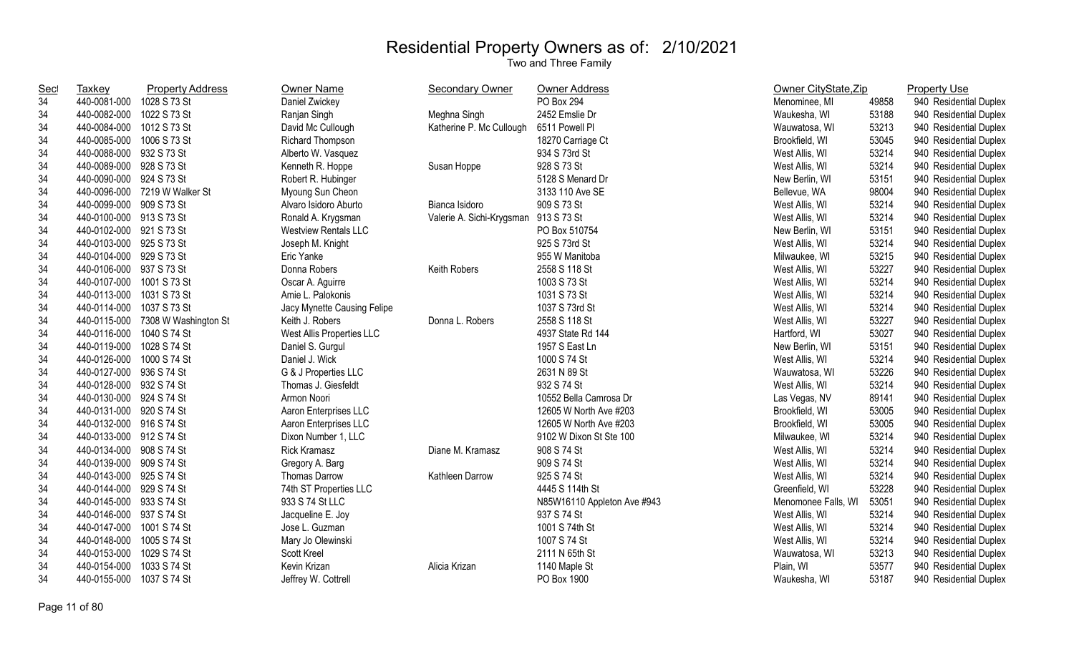| <b>Sec</b> | <b>Taxkey</b>             | <b>Property Address</b>           | Owner Name                  | <b>Secondary Owner</b>    | Owner Address               | Owner CityState, Zip |       | <b>Property Use</b>    |
|------------|---------------------------|-----------------------------------|-----------------------------|---------------------------|-----------------------------|----------------------|-------|------------------------|
| 34         | 440-0081-000              | 1028 S 73 St                      | Daniel Zwickey              |                           | PO Box 294                  | Menominee, MI        | 49858 | 940 Residential Duplex |
| 34         | 440-0082-000              | 1022 S 73 St                      | Ranjan Singh                | Meghna Singh              | 2452 Emslie Dr              | Waukesha, WI         | 53188 | 940 Residential Duplex |
| 34         | 440-0084-000              | 1012 S 73 St                      | David Mc Cullough           | Katherine P. Mc Cullough  | 6511 Powell Pl              | Wauwatosa, WI        | 53213 | 940 Residential Duplex |
| 34         | 440-0085-000              | 1006 S 73 St                      | Richard Thompson            |                           | 18270 Carriage Ct           | Brookfield, WI       | 53045 | 940 Residential Duplex |
| 34         | 440-0088-000 932 S 73 St  |                                   | Alberto W. Vasquez          |                           | 934 S 73rd St               | West Allis, WI       | 53214 | 940 Residential Duplex |
| 34         | 440-0089-000 928 S 73 St  |                                   | Kenneth R. Hoppe            | Susan Hoppe               | 928 S 73 St                 | West Allis, WI       | 53214 | 940 Residential Duplex |
| 34         | 440-0090-000 924 S 73 St  |                                   | Robert R. Hubinger          |                           | 5128 S Menard Dr            | New Berlin, WI       | 53151 | 940 Residential Duplex |
| 34         |                           | 440-0096-000 7219 W Walker St     | Myoung Sun Cheon            |                           | 3133 110 Ave SE             | Bellevue, WA         | 98004 | 940 Residential Duplex |
| 34         | 440-0099-000 909 S 73 St  |                                   | Alvaro Isidoro Aburto       | Bianca Isidoro            | 909 S 73 St                 | West Allis, WI       | 53214 | 940 Residential Duplex |
| 34         | 440-0100-000 913 S 73 St  |                                   | Ronald A. Krygsman          | Valerie A. Sichi-Krygsman | 913 S 73 St                 | West Allis, WI       | 53214 | 940 Residential Duplex |
| 34         | 440-0102-000 921 S 73 St  |                                   | <b>Westview Rentals LLC</b> |                           | PO Box 510754               | New Berlin, WI       | 53151 | 940 Residential Duplex |
| 34         | 440-0103-000              | 925 S 73 St                       | Joseph M. Knight            |                           | 925 S 73rd St               | West Allis, WI       | 53214 | 940 Residential Duplex |
| 34         | 440-0104-000 929 S 73 St  |                                   | Eric Yanke                  |                           | 955 W Manitoba              | Milwaukee, WI        | 53215 | 940 Residential Duplex |
| 34         | 440-0106-000 937 S 73 St  |                                   | Donna Robers                | Keith Robers              | 2558 S 118 St               | West Allis, WI       | 53227 | 940 Residential Duplex |
| 34         | 440-0107-000              | 1001 S 73 St                      | Oscar A. Aguirre            |                           | 1003 S 73 St                | West Allis, WI       | 53214 | 940 Residential Duplex |
| 34         | 440-0113-000 1031 S 73 St |                                   | Amie L. Palokonis           |                           | 1031 S 73 St                | West Allis, WI       | 53214 | 940 Residential Duplex |
| 34         | 440-0114-000 1037 S 73 St |                                   | Jacy Mynette Causing Felipe |                           | 1037 S 73rd St              | West Allis, WI       | 53214 | 940 Residential Duplex |
| 34         |                           | 440-0115-000 7308 W Washington St | Keith J. Robers             | Donna L. Robers           | 2558 S 118 St               | West Allis, WI       | 53227 | 940 Residential Duplex |
| 34         | 440-0116-000              | 1040 S 74 St                      | West Allis Properties LLC   |                           | 4937 State Rd 144           | Hartford, WI         | 53027 | 940 Residential Duplex |
| 34         | 440-0119-000              | 1028 S 74 St                      | Daniel S. Gurgul            |                           | 1957 S East Ln              | New Berlin, WI       | 53151 | 940 Residential Duplex |
| 34         | 440-0126-000              | 1000 S 74 St                      | Daniel J. Wick              |                           | 1000 S 74 St                | West Allis, WI       | 53214 | 940 Residential Duplex |
| 34         | 440-0127-000 936 S 74 St  |                                   | G & J Properties LLC        |                           | 2631 N 89 St                | Wauwatosa, WI        | 53226 | 940 Residential Duplex |
| 34         | 440-0128-000 932 S 74 St  |                                   | Thomas J. Giesfeldt         |                           | 932 S 74 St                 | West Allis, WI       | 53214 | 940 Residential Duplex |
| 34         | 440-0130-000 924 S 74 St  |                                   | Armon Noori                 |                           | 10552 Bella Camrosa Dr      | Las Vegas, NV        | 89141 | 940 Residential Duplex |
| 34         | 440-0131-000 920 S 74 St  |                                   | Aaron Enterprises LLC       |                           | 12605 W North Ave #203      | Brookfield, WI       | 53005 | 940 Residential Duplex |
| 34         | 440-0132-000 916 S 74 St  |                                   | Aaron Enterprises LLC       |                           | 12605 W North Ave #203      | Brookfield, WI       | 53005 | 940 Residential Duplex |
| 34         | 440-0133-000 912 S 74 St  |                                   | Dixon Number 1, LLC         |                           | 9102 W Dixon St Ste 100     | Milwaukee, WI        | 53214 | 940 Residential Duplex |
| 34         | 440-0134-000 908 S 74 St  |                                   | <b>Rick Kramasz</b>         | Diane M. Kramasz          | 908 S 74 St                 | West Allis, WI       | 53214 | 940 Residential Duplex |
| 34         | 440-0139-000 909 S 74 St  |                                   | Gregory A. Barg             |                           | 909 S 74 St                 | West Allis, WI       | 53214 | 940 Residential Duplex |
| 34         | 440-0143-000 925 S 74 St  |                                   | Thomas Darrow               | Kathleen Darrow           | 925 S 74 St                 | West Allis, WI       | 53214 | 940 Residential Duplex |
| 34         | 440-0144-000 929 S 74 St  |                                   | 74th ST Properties LLC      |                           | 4445 S 114th St             | Greenfield, WI       | 53228 | 940 Residential Duplex |
| 34         | 440-0145-000 933 S 74 St  |                                   | 933 S 74 St LLC             |                           | N85W16110 Appleton Ave #943 | Menomonee Falls, WI  | 53051 | 940 Residential Duplex |
| 34         | 440-0146-000 937 S 74 St  |                                   | Jacqueline E. Joy           |                           | 937 S 74 St                 | West Allis, WI       | 53214 | 940 Residential Duplex |
| 34         | 440-0147-000              | 1001 S 74 St                      | Jose L. Guzman              |                           | 1001 S 74th St              | West Allis, WI       | 53214 | 940 Residential Duplex |
| 34         | 440-0148-000              | 1005 S 74 St                      | Mary Jo Olewinski           |                           | 1007 S 74 St                | West Allis, WI       | 53214 | 940 Residential Duplex |
| 34         | 440-0153-000              | 1029 S 74 St                      | Scott Kreel                 |                           | 2111 N 65th St              | Wauwatosa, WI        | 53213 | 940 Residential Duplex |
| 34         | 440-0154-000              | 1033 S 74 St                      | Kevin Krizan                | Alicia Krizan             | 1140 Maple St               | Plain, WI            | 53577 | 940 Residential Duplex |
| 34         | 440-0155-000              | 1037 S 74 St                      | Jeffrey W. Cottrell         |                           | PO Box 1900                 | Waukesha, WI         | 53187 | 940 Residential Duplex |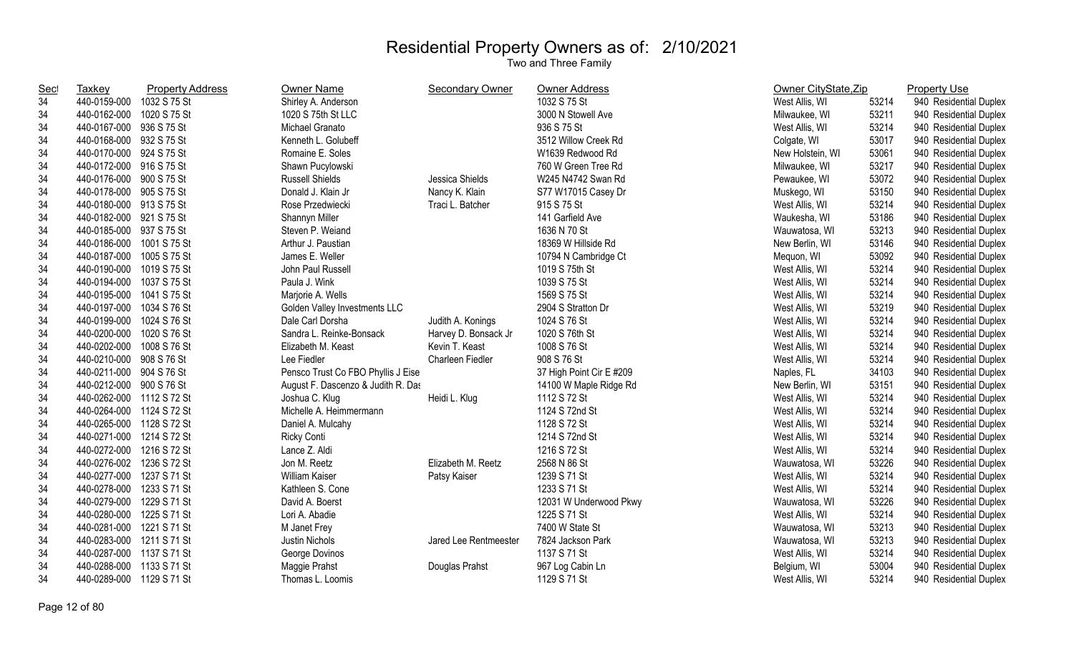| <b>Sec</b> | <b>Taxkey</b>             | <b>Property Address</b> | Owner Name                         | Secondary Owner       | Owner Address            | Owner CityState, Zip |       | <b>Property Use</b>    |
|------------|---------------------------|-------------------------|------------------------------------|-----------------------|--------------------------|----------------------|-------|------------------------|
| 34         | 440-0159-000              | 1032 S 75 St            | Shirley A. Anderson                |                       | 1032 S 75 St             | West Allis, WI       | 53214 | 940 Residential Duplex |
| 34         | 440-0162-000 1020 S 75 St |                         | 1020 S 75th St LLC                 |                       | 3000 N Stowell Ave       | Milwaukee, WI        | 53211 | 940 Residential Duplex |
| 34         | 440-0167-000 936 S 75 St  |                         | Michael Granato                    |                       | 936 S 75 St              | West Allis, WI       | 53214 | 940 Residential Duplex |
| 34         | 440-0168-000 932 S 75 St  |                         | Kenneth L. Golubeff                |                       | 3512 Willow Creek Rd     | Colgate, WI          | 53017 | 940 Residential Duplex |
| 34         | 440-0170-000 924 S 75 St  |                         | Romaine E. Soles                   |                       | W1639 Redwood Rd         | New Holstein, WI     | 53061 | 940 Residential Duplex |
| 34         | 440-0172-000 916 S 75 St  |                         | Shawn Pucylowski                   |                       | 760 W Green Tree Rd      | Milwaukee, WI        | 53217 | 940 Residential Duplex |
| 34         | 440-0176-000 900 S 75 St  |                         | <b>Russell Shields</b>             | Jessica Shields       | W245 N4742 Swan Rd       | Pewaukee, WI         | 53072 | 940 Residential Duplex |
| 34         | 440-0178-000 905 S 75 St  |                         | Donald J. Klain Jr                 | Nancy K. Klain        | S77 W17015 Casey Dr      | Muskego, WI          | 53150 | 940 Residential Duplex |
| 34         | 440-0180-000 913 S 75 St  |                         | Rose Przedwiecki                   | Traci L. Batcher      | 915 S 75 St              | West Allis, WI       | 53214 | 940 Residential Duplex |
| 34         | 440-0182-000 921 S 75 St  |                         | Shannyn Miller                     |                       | 141 Garfield Ave         | Waukesha, WI         | 53186 | 940 Residential Duplex |
| 34         | 440-0185-000 937 S 75 St  |                         | Steven P. Weiand                   |                       | 1636 N 70 St             | Wauwatosa, WI        | 53213 | 940 Residential Duplex |
| 34         | 440-0186-000 1001 S 75 St |                         | Arthur J. Paustian                 |                       | 18369 W Hillside Rd      | New Berlin, WI       | 53146 | 940 Residential Duplex |
| 34         | 440-0187-000 1005 S 75 St |                         | James E. Weller                    |                       | 10794 N Cambridge Ct     | Mequon, WI           | 53092 | 940 Residential Duplex |
| 34         | 440-0190-000 1019 S 75 St |                         | John Paul Russell                  |                       | 1019 S 75th St           | West Allis, WI       | 53214 | 940 Residential Duplex |
| 34         | 440-0194-000 1037 S 75 St |                         | Paula J. Wink                      |                       | 1039 S 75 St             | West Allis, WI       | 53214 | 940 Residential Duplex |
| 34         | 440-0195-000 1041 S 75 St |                         | Marjorie A. Wells                  |                       | 1569 S 75 St             | West Allis, WI       | 53214 | 940 Residential Duplex |
| 34         | 440-0197-000 1034 S 76 St |                         | Golden Valley Investments LLC      |                       | 2904 S Stratton Dr       | West Allis, WI       | 53219 | 940 Residential Duplex |
| 34         | 440-0199-000 1024 S 76 St |                         | Dale Carl Dorsha                   | Judith A. Konings     | 1024 S 76 St             | West Allis, WI       | 53214 | 940 Residential Duplex |
| 34         | 440-0200-000 1020 S 76 St |                         | Sandra L. Reinke-Bonsack           | Harvey D. Bonsack Jr  | 1020 S 76th St           | West Allis, WI       | 53214 | 940 Residential Duplex |
| 34         | 440-0202-000 1008 S 76 St |                         | Elizabeth M. Keast                 | Kevin T. Keast        | 1008 S 76 St             | West Allis, WI       | 53214 | 940 Residential Duplex |
| 34         | 440-0210-000 908 S 76 St  |                         | Lee Fiedler                        | Charleen Fiedler      | 908 S 76 St              | West Allis, WI       | 53214 | 940 Residential Duplex |
| 34         | 440-0211-000 904 S 76 St  |                         | Pensco Trust Co FBO Phyllis J Eise |                       | 37 High Point Cir E #209 | Naples, FL           | 34103 | 940 Residential Duplex |
| 34         | 440-0212-000 900 S 76 St  |                         | August F. Dascenzo & Judith R. Das |                       | 14100 W Maple Ridge Rd   | New Berlin, WI       | 53151 | 940 Residential Duplex |
| 34         | 440-0262-000 1112 S 72 St |                         | Joshua C. Klug                     | Heidi L. Klug         | 1112 S 72 St             | West Allis, WI       | 53214 | 940 Residential Duplex |
| 34         | 440-0264-000 1124 S 72 St |                         | Michelle A. Heimmermann            |                       | 1124 S 72nd St           | West Allis, WI       | 53214 | 940 Residential Duplex |
| 34         | 440-0265-000 1128 S 72 St |                         | Daniel A. Mulcahy                  |                       | 1128 S 72 St             | West Allis, WI       | 53214 | 940 Residential Duplex |
| 34         | 440-0271-000 1214 S 72 St |                         | <b>Ricky Conti</b>                 |                       | 1214 S 72nd St           | West Allis, WI       | 53214 | 940 Residential Duplex |
| 34         | 440-0272-000 1216 S 72 St |                         | Lance Z. Aldi                      |                       | 1216 S 72 St             | West Allis, WI       | 53214 | 940 Residential Duplex |
| 34         | 440-0276-002 1236 S 72 St |                         | Jon M. Reetz                       | Elizabeth M. Reetz    | 2568 N 86 St             | Wauwatosa, WI        | 53226 | 940 Residential Duplex |
| 34         | 440-0277-000 1237 S 71 St |                         | <b>William Kaiser</b>              | Patsy Kaiser          | 1239 S 71 St             | West Allis, WI       | 53214 | 940 Residential Duplex |
| 34         | 440-0278-000 1233 S 71 St |                         | Kathleen S. Cone                   |                       | 1233 S 71 St             | West Allis, WI       | 53214 | 940 Residential Duplex |
| 34         | 440-0279-000 1229 S 71 St |                         | David A. Boerst                    |                       | 12031 W Underwood Pkwy   | Wauwatosa, WI        | 53226 | 940 Residential Duplex |
| 34         | 440-0280-000 1225 S 71 St |                         | Lori A. Abadie                     |                       | 1225 S 71 St             | West Allis, WI       | 53214 | 940 Residential Duplex |
| 34         | 440-0281-000 1221 S 71 St |                         | M Janet Frey                       |                       | 7400 W State St          | Wauwatosa, WI        | 53213 | 940 Residential Duplex |
| 34         | 440-0283-000 1211 S 71 St |                         | Justin Nichols                     | Jared Lee Rentmeester | 7824 Jackson Park        | Wauwatosa, WI        | 53213 | 940 Residential Duplex |
| 34         | 440-0287-000 1137 S 71 St |                         | George Dovinos                     |                       | 1137 S 71 St             | West Allis, WI       | 53214 | 940 Residential Duplex |
| 34         | 440-0288-000 1133 S 71 St |                         | Maggie Prahst                      | Douglas Prahst        | 967 Log Cabin Ln         | Belgium, WI          | 53004 | 940 Residential Duplex |
| 34         | 440-0289-000 1129 S 71 St |                         | Thomas L. Loomis                   |                       | 1129 S 71 St             | West Allis, WI       | 53214 | 940 Residential Duplex |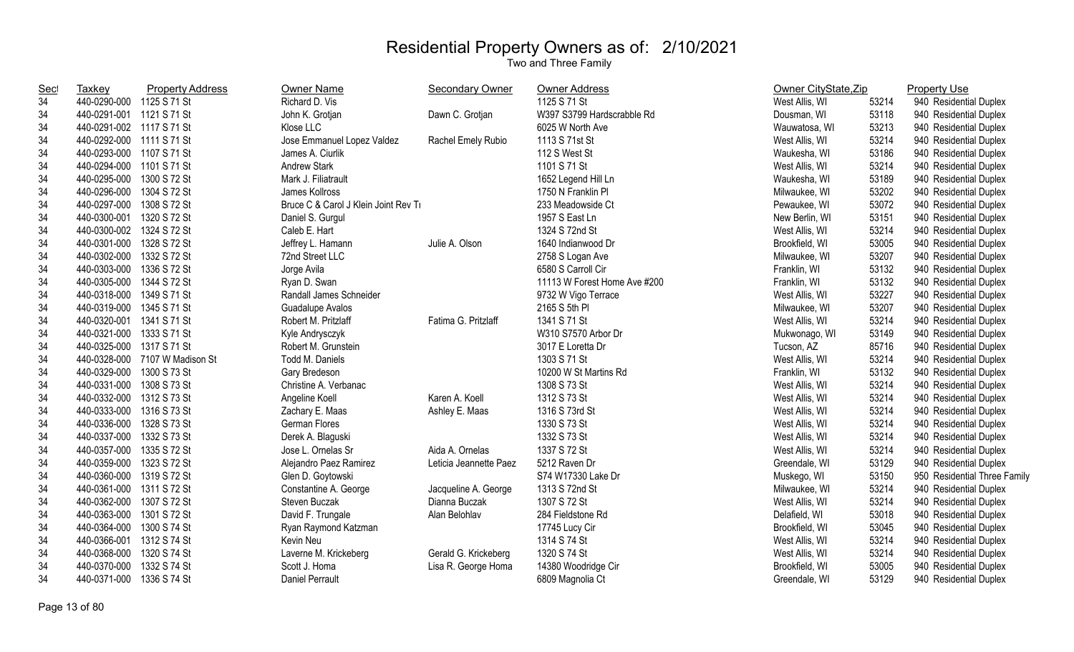| <b>Sec</b> | Taxkey                    | <b>Property Address</b>        | <b>Owner Name</b>                    | <b>Secondary Owner</b> | Owner Address                | Owner CityState, Zip |       | <b>Property Use</b>          |
|------------|---------------------------|--------------------------------|--------------------------------------|------------------------|------------------------------|----------------------|-------|------------------------------|
| 34         | 440-0290-000 1125 S 71 St |                                | Richard D. Vis                       |                        | 1125 S 71 St                 | West Allis, WI       | 53214 | 940 Residential Duplex       |
| 34         | 440-0291-001 1121 S 71 St |                                | John K. Grotjan                      | Dawn C. Grotjan        | W397 S3799 Hardscrabble Rd   | Dousman, WI          | 53118 | 940 Residential Duplex       |
| 34         | 440-0291-002 1117 S 71 St |                                | Klose LLC                            |                        | 6025 W North Ave             | Wauwatosa, WI        | 53213 | 940 Residential Duplex       |
| 34         | 440-0292-000 1111 S 71 St |                                | Jose Emmanuel Lopez Valdez           | Rachel Emely Rubio     | 1113 S 71st St               | West Allis, WI       | 53214 | 940 Residential Duplex       |
| 34         | 440-0293-000 1107 S 71 St |                                | James A. Ciurlik                     |                        | 112 S West St                | Waukesha, WI         | 53186 | 940 Residential Duplex       |
| 34         | 440-0294-000 1101 S 71 St |                                | <b>Andrew Stark</b>                  |                        | 1101 S 71 St                 | West Allis, WI       | 53214 | 940 Residential Duplex       |
| 34         | 440-0295-000              | 1300 S 72 St                   | Mark J. Filiatrault                  |                        | 1652 Legend Hill Ln          | Waukesha, WI         | 53189 | 940 Residential Duplex       |
| 34         | 440-0296-000              | 1304 S 72 St                   | James Kollross                       |                        | 1750 N Franklin Pl           | Milwaukee, WI        | 53202 | 940 Residential Duplex       |
| 34         | 440-0297-000 1308 S 72 St |                                | Bruce C & Carol J Klein Joint Rev Tr |                        | 233 Meadowside Ct            | Pewaukee, WI         | 53072 | 940 Residential Duplex       |
| 34         | 440-0300-001 1320 S 72 St |                                | Daniel S. Gurgul                     |                        | 1957 S East Ln               | New Berlin, WI       | 53151 | 940 Residential Duplex       |
| 34         | 440-0300-002 1324 S 72 St |                                | Caleb E. Hart                        |                        | 1324 S 72nd St               | West Allis, WI       | 53214 | 940 Residential Duplex       |
| 34         | 440-0301-000              | 1328 S 72 St                   | Jeffrey L. Hamann                    | Julie A. Olson         | 1640 Indianwood Dr           | Brookfield, WI       | 53005 | 940 Residential Duplex       |
| 34         | 440-0302-000              | 1332 S 72 St                   | 72nd Street LLC                      |                        | 2758 S Logan Ave             | Milwaukee, WI        | 53207 | 940 Residential Duplex       |
| 34         | 440-0303-000              | 1336 S 72 St                   | Jorge Avila                          |                        | 6580 S Carroll Cir           | Franklin, WI         | 53132 | 940 Residential Duplex       |
| 34         | 440-0305-000 1344 S 72 St |                                | Ryan D. Swan                         |                        | 11113 W Forest Home Ave #200 | Franklin, WI         | 53132 | 940 Residential Duplex       |
| 34         | 440-0318-000 1349 S 71 St |                                | Randall James Schneider              |                        | 9732 W Vigo Terrace          | West Allis, WI       | 53227 | 940 Residential Duplex       |
| 34         | 440-0319-000 1345 S 71 St |                                | Guadalupe Avalos                     |                        | 2165 S 5th PI                | Milwaukee, WI        | 53207 | 940 Residential Duplex       |
| 34         | 440-0320-001 1341 S 71 St |                                | Robert M. Pritzlaff                  | Fatima G. Pritzlaff    | 1341 S 71 St                 | West Allis, WI       | 53214 | 940 Residential Duplex       |
| 34         | 440-0321-000 1333 S 71 St |                                | Kyle Andrysczyk                      |                        | W310 S7570 Arbor Dr          | Mukwonago, WI        | 53149 | 940 Residential Duplex       |
| 34         | 440-0325-000 1317 S 71 St |                                | Robert M. Grunstein                  |                        | 3017 E Loretta Dr            | Tucson, AZ           | 85716 | 940 Residential Duplex       |
| 34         |                           | 440-0328-000 7107 W Madison St | Todd M. Daniels                      |                        | 1303 S 71 St                 | West Allis, WI       | 53214 | 940 Residential Duplex       |
| 34         | 440-0329-000              | 1300 S 73 St                   | Gary Bredeson                        |                        | 10200 W St Martins Rd        | Franklin, WI         | 53132 | 940 Residential Duplex       |
| 34         | 440-0331-000 1308 S 73 St |                                | Christine A. Verbanac                |                        | 1308 S 73 St                 | West Allis, WI       | 53214 | 940 Residential Duplex       |
| 34         | 440-0332-000 1312 S 73 St |                                | Angeline Koell                       | Karen A. Koell         | 1312 S 73 St                 | West Allis, WI       | 53214 | 940 Residential Duplex       |
| 34         | 440-0333-000 1316 S 73 St |                                | Zachary E. Maas                      | Ashley E. Maas         | 1316 S 73rd St               | West Allis, WI       | 53214 | 940 Residential Duplex       |
| 34         | 440-0336-000 1328 S 73 St |                                | German Flores                        |                        | 1330 S 73 St                 | West Allis, WI       | 53214 | 940 Residential Duplex       |
| 34         | 440-0337-000 1332 S 73 St |                                | Derek A. Blaguski                    |                        | 1332 S 73 St                 | West Allis, WI       | 53214 | 940 Residential Duplex       |
| 34         | 440-0357-000              | 1335 S 72 St                   | Jose L. Ornelas Sr                   | Aida A. Ornelas        | 1337 S 72 St                 | West Allis, WI       | 53214 | 940 Residential Duplex       |
| 34         | 440-0359-000 1323 S 72 St |                                | Alejandro Paez Ramirez               | Leticia Jeannette Paez | 5212 Raven Dr                | Greendale, WI        | 53129 | 940 Residential Duplex       |
| 34         | 440-0360-000 1319 S 72 St |                                | Glen D. Goytowski                    |                        | S74 W17330 Lake Dr           | Muskego, WI          | 53150 | 950 Residential Three Family |
| 34         | 440-0361-000 1311 S 72 St |                                | Constantine A. George                | Jacqueline A. George   | 1313 S 72nd St               | Milwaukee, WI        | 53214 | 940 Residential Duplex       |
| 34         | 440-0362-000 1307 S 72 St |                                | Steven Buczak                        | Dianna Buczak          | 1307 S 72 St                 | West Allis, WI       | 53214 | 940 Residential Duplex       |
| 34         | 440-0363-000 1301 S 72 St |                                | David F. Trungale                    | Alan Belohlav          | 284 Fieldstone Rd            | Delafield, WI        | 53018 | 940 Residential Duplex       |
| 34         | 440-0364-000              | 1300 S 74 St                   | Ryan Raymond Katzman                 |                        | 17745 Lucy Cir               | Brookfield, WI       | 53045 | 940 Residential Duplex       |
| 34         | 440-0366-001 1312 S 74 St |                                | Kevin Neu                            |                        | 1314 S 74 St                 | West Allis, WI       | 53214 | 940 Residential Duplex       |
| 34         | 440-0368-000              | 1320 S 74 St                   | Laverne M. Krickeberg                | Gerald G. Krickeberg   | 1320 S 74 St                 | West Allis, WI       | 53214 | 940 Residential Duplex       |
| 34         | 440-0370-000              | 1332 S 74 St                   | Scott J. Homa                        | Lisa R. George Homa    | 14380 Woodridge Cir          | Brookfield, WI       | 53005 | 940 Residential Duplex       |
| 34         | 440-0371-000              | 1336 S 74 St                   | <b>Daniel Perrault</b>               |                        | 6809 Magnolia Ct             | Greendale, WI        | 53129 | 940 Residential Duplex       |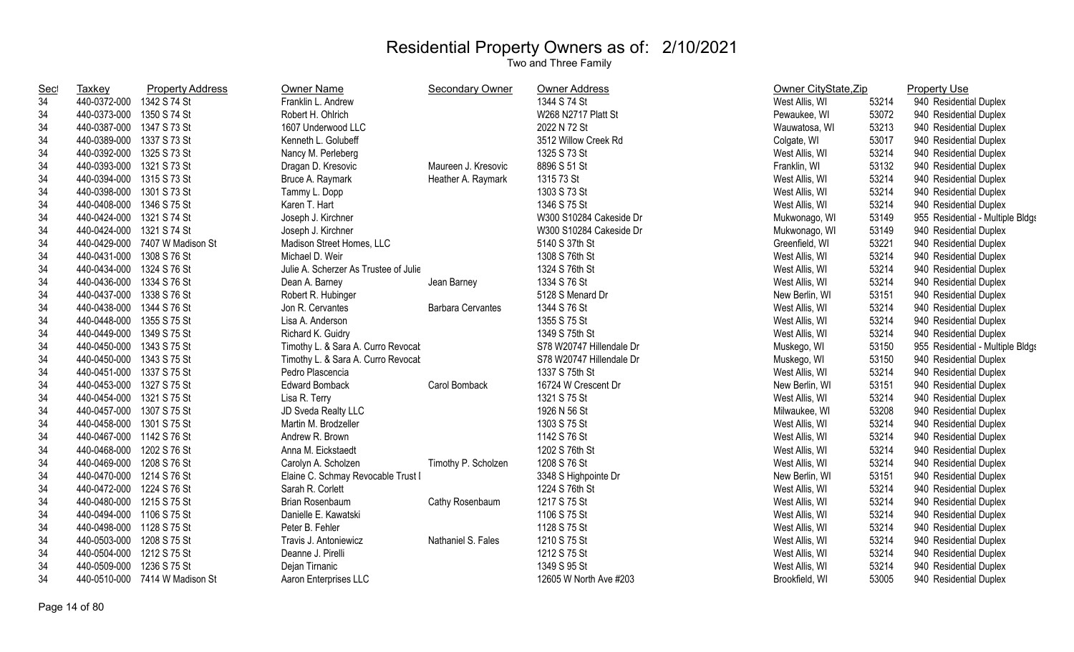| <b>Sec</b> | Taxkey                    | <b>Property Address</b>        | <b>Owner Name</b>                     | Secondary Owner          | <b>Owner Address</b>     | Owner CityState, Zip |       | <b>Property Use</b>              |
|------------|---------------------------|--------------------------------|---------------------------------------|--------------------------|--------------------------|----------------------|-------|----------------------------------|
| 34         | 440-0372-000              | 1342 S 74 St                   | Franklin L. Andrew                    |                          | 1344 S 74 St             | West Allis, WI       | 53214 | 940 Residential Duplex           |
| 34         | 440-0373-000              | 1350 S 74 St                   | Robert H. Ohlrich                     |                          | W268 N2717 Platt St      | Pewaukee, WI         | 53072 | 940 Residential Duplex           |
| 34         | 440-0387-000 1347 S 73 St |                                | 1607 Underwood LLC                    |                          | 2022 N 72 St             | Wauwatosa, WI        | 53213 | 940 Residential Duplex           |
| 34         | 440-0389-000 1337 S 73 St |                                | Kenneth L. Golubeff                   |                          | 3512 Willow Creek Rd     | Colgate, WI          | 53017 | 940 Residential Duplex           |
| 34         | 440-0392-000 1325 S 73 St |                                | Nancy M. Perleberg                    |                          | 1325 S 73 St             | West Allis, WI       | 53214 | 940 Residential Duplex           |
| 34         | 440-0393-000 1321 S 73 St |                                | Dragan D. Kresovic                    | Maureen J. Kresovic      | 8896 S 51 St             | Franklin, WI         | 53132 | 940 Residential Duplex           |
| 34         | 440-0394-000 1315 S 73 St |                                | Bruce A. Raymark                      | Heather A. Raymark       | 1315 73 St               | West Allis, WI       | 53214 | 940 Residential Duplex           |
| 34         | 440-0398-000 1301 S 73 St |                                | Tammy L. Dopp                         |                          | 1303 S 73 St             | West Allis, WI       | 53214 | 940 Residential Duplex           |
| 34         | 440-0408-000 1346 S 75 St |                                | Karen T. Hart                         |                          | 1346 S 75 St             | West Allis, WI       | 53214 | 940 Residential Duplex           |
| 34         | 440-0424-000 1321 S 74 St |                                | Joseph J. Kirchner                    |                          | W300 S10284 Cakeside Dr  | Mukwonago, WI        | 53149 | 955 Residential - Multiple Bldgs |
| 34         | 440-0424-000 1321 S 74 St |                                | Joseph J. Kirchner                    |                          | W300 S10284 Cakeside Dr  | Mukwonago, WI        | 53149 | 940 Residential Duplex           |
| 34         |                           | 440-0429-000 7407 W Madison St | Madison Street Homes, LLC             |                          | 5140 S 37th St           | Greenfield, WI       | 53221 | 940 Residential Duplex           |
| 34         | 440-0431-000 1308 S 76 St |                                | Michael D. Weir                       |                          | 1308 S 76th St           | West Allis, WI       | 53214 | 940 Residential Duplex           |
| 34         | 440-0434-000 1324 S 76 St |                                | Julie A. Scherzer As Trustee of Julie |                          | 1324 S 76th St           | West Allis, WI       | 53214 | 940 Residential Duplex           |
| 34         | 440-0436-000 1334 S 76 St |                                | Dean A. Barney                        | Jean Barney              | 1334 S 76 St             | West Allis, WI       | 53214 | 940 Residential Duplex           |
| 34         | 440-0437-000 1338 S 76 St |                                | Robert R. Hubinger                    |                          | 5128 S Menard Dr         | New Berlin, WI       | 53151 | 940 Residential Duplex           |
| 34         | 440-0438-000              | 1344 S 76 St                   | Jon R. Cervantes                      | <b>Barbara Cervantes</b> | 1344 S 76 St             | West Allis, WI       | 53214 | 940 Residential Duplex           |
| 34         | 440-0448-000 1355 S 75 St |                                | Lisa A. Anderson                      |                          | 1355 S 75 St             | West Allis, WI       | 53214 | 940 Residential Duplex           |
| 34         | 440-0449-000 1349 S 75 St |                                | Richard K. Guidry                     |                          | 1349 S 75th St           | West Allis, WI       | 53214 | 940 Residential Duplex           |
| 34         | 440-0450-000 1343 S 75 St |                                | Timothy L. & Sara A. Curro Revocal    |                          | S78 W20747 Hillendale Dr | Muskego, WI          | 53150 | 955 Residential - Multiple Bldgs |
| 34         | 440-0450-000 1343 S 75 St |                                | Timothy L. & Sara A. Curro Revocal    |                          | S78 W20747 Hillendale Dr | Muskego, WI          | 53150 | 940 Residential Duplex           |
| 34         | 440-0451-000 1337 S 75 St |                                | Pedro Plascencia                      |                          | 1337 S 75th St           | West Allis, WI       | 53214 | 940 Residential Duplex           |
| 34         | 440-0453-000 1327 S 75 St |                                | <b>Edward Bomback</b>                 | Carol Bomback            | 16724 W Crescent Dr      | New Berlin, WI       | 53151 | 940 Residential Duplex           |
| 34         | 440-0454-000 1321 S 75 St |                                | Lisa R. Terry                         |                          | 1321 S 75 St             | West Allis, WI       | 53214 | 940 Residential Duplex           |
| 34         | 440-0457-000 1307 S 75 St |                                | JD Sveda Realty LLC                   |                          | 1926 N 56 St             | Milwaukee, WI        | 53208 | 940 Residential Duplex           |
| 34         | 440-0458-000 1301 S 75 St |                                | Martin M. Brodzeller                  |                          | 1303 S 75 St             | West Allis, WI       | 53214 | 940 Residential Duplex           |
| 34         | 440-0467-000 1142 S 76 St |                                | Andrew R. Brown                       |                          | 1142 S 76 St             | West Allis, WI       | 53214 | 940 Residential Duplex           |
| 34         | 440-0468-000 1202 S 76 St |                                | Anna M. Eickstaedt                    |                          | 1202 S 76th St           | West Allis, WI       | 53214 | 940 Residential Duplex           |
| 34         | 440-0469-000 1208 S 76 St |                                | Carolyn A. Scholzen                   | Timothy P. Scholzen      | 1208 S 76 St             | West Allis, WI       | 53214 | 940 Residential Duplex           |
| 34         | 440-0470-000 1214 S 76 St |                                | Elaine C. Schmay Revocable Trust I    |                          | 3348 S Highpointe Dr     | New Berlin, WI       | 53151 | 940 Residential Duplex           |
| 34         | 440-0472-000              | 1224 S 76 St                   | Sarah R. Corlett                      |                          | 1224 S 76th St           | West Allis, WI       | 53214 | 940 Residential Duplex           |
| 34         | 440-0480-000 1215 S 75 St |                                | Brian Rosenbaum                       | Cathy Rosenbaum          | 1217 S 75 St             | West Allis, WI       | 53214 | 940 Residential Duplex           |
| 34         | 440-0494-000 1106 S 75 St |                                | Danielle E. Kawatski                  |                          | 1106 S 75 St             | West Allis, WI       | 53214 | 940 Residential Duplex           |
| 34         | 440-0498-000 1128 S 75 St |                                | Peter B. Fehler                       |                          | 1128 S 75 St             | West Allis, WI       | 53214 | 940 Residential Duplex           |
| 34         | 440-0503-000 1208 S 75 St |                                | Travis J. Antoniewicz                 | Nathaniel S. Fales       | 1210 S 75 St             | West Allis, WI       | 53214 | 940 Residential Duplex           |
| 34         | 440-0504-000 1212 S 75 St |                                | Deanne J. Pirelli                     |                          | 1212 S 75 St             | West Allis, WI       | 53214 | 940 Residential Duplex           |
| 34         | 440-0509-000              | 1236 S 75 St                   | Dejan Tirnanic                        |                          | 1349 S 95 St             | West Allis, WI       | 53214 | 940 Residential Duplex           |
| 34         | 440-0510-000              | 7414 W Madison St              | Aaron Enterprises LLC                 |                          | 12605 W North Ave #203   | Brookfield, WI       | 53005 | 940 Residential Duplex           |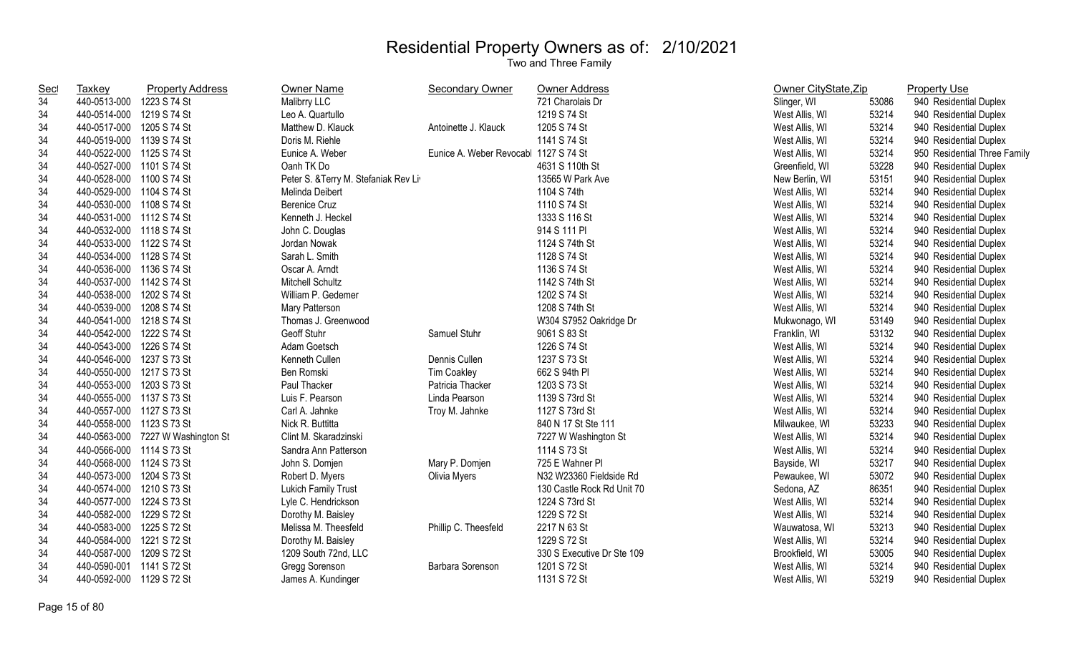| Sec | Taxkey                    | <b>Property Address</b>           | Owner Name                           | Secondary Owner         | <b>Owner Address</b>       | Owner CityState, Zip |       | <b>Property Use</b>          |
|-----|---------------------------|-----------------------------------|--------------------------------------|-------------------------|----------------------------|----------------------|-------|------------------------------|
| 34  | 440-0513-000              | 1223 S 74 St                      | Malibrry LLC                         |                         | 721 Charolais Dr           | Slinger, WI          | 53086 | 940 Residential Duplex       |
| 34  | 440-0514-000              | 1219 S 74 St                      | Leo A. Quartullo                     |                         | 1219 S 74 St               | West Allis, WI       | 53214 | 940 Residential Duplex       |
| 34  | 440-0517-000 1205 S 74 St |                                   | Matthew D. Klauck                    | Antoinette J. Klauck    | 1205 S 74 St               | West Allis, WI       | 53214 | 940 Residential Duplex       |
| 34  | 440-0519-000 1139 S 74 St |                                   | Doris M. Riehle                      |                         | 1141 S 74 St               | West Allis, WI       | 53214 | 940 Residential Duplex       |
| 34  | 440-0522-000 1125 S 74 St |                                   | Eunice A. Weber                      | Eunice A. Weber Revocab | 1127 S 74 St               | West Allis, WI       | 53214 | 950 Residential Three Family |
| 34  | 440-0527-000 1101 S 74 St |                                   | Oanh TK Do                           |                         | 4631 S 110th St            | Greenfield, WI       | 53228 | 940 Residential Duplex       |
| 34  | 440-0528-000 1100 S 74 St |                                   | Peter S. & Terry M. Stefaniak Rev Li |                         | 13565 W Park Ave           | New Berlin, WI       | 53151 | 940 Residential Duplex       |
| 34  | 440-0529-000 1104 S 74 St |                                   | Melinda Deibert                      |                         | 1104 S 74th                | West Allis, WI       | 53214 | 940 Residential Duplex       |
| 34  | 440-0530-000 1108 S 74 St |                                   | <b>Berenice Cruz</b>                 |                         | 1110 S 74 St               | West Allis, WI       | 53214 | 940 Residential Duplex       |
| 34  | 440-0531-000 1112 S 74 St |                                   | Kenneth J. Heckel                    |                         | 1333 S 116 St              | West Allis, WI       | 53214 | 940 Residential Duplex       |
| 34  | 440-0532-000 1118 S 74 St |                                   | John C. Douglas                      |                         | 914 S 111 PI               | West Allis, WI       | 53214 | 940 Residential Duplex       |
| 34  | 440-0533-000 1122 S 74 St |                                   | Jordan Nowak                         |                         | 1124 S 74th St             | West Allis, WI       | 53214 | 940 Residential Duplex       |
| 34  | 440-0534-000 1128 S 74 St |                                   | Sarah L. Smith                       |                         | 1128 S 74 St               | West Allis, WI       | 53214 | 940 Residential Duplex       |
| 34  | 440-0536-000 1136 S 74 St |                                   | Oscar A. Arndt                       |                         | 1136 S 74 St               | West Allis, WI       | 53214 | 940 Residential Duplex       |
| 34  | 440-0537-000 1142 S 74 St |                                   | Mitchell Schultz                     |                         | 1142 S 74th St             | West Allis, WI       | 53214 | 940 Residential Duplex       |
| 34  | 440-0538-000 1202 S 74 St |                                   | William P. Gedemer                   |                         | 1202 S 74 St               | West Allis, WI       | 53214 | 940 Residential Duplex       |
| 34  | 440-0539-000 1208 S 74 St |                                   | Mary Patterson                       |                         | 1208 S 74th St             | West Allis, WI       | 53214 | 940 Residential Duplex       |
| 34  | 440-0541-000 1218 S 74 St |                                   | Thomas J. Greenwood                  |                         | W304 S7952 Oakridge Dr     | Mukwonago, WI        | 53149 | 940 Residential Duplex       |
| 34  | 440-0542-000 1222 S 74 St |                                   | Geoff Stuhr                          | Samuel Stuhr            | 9061 S 83 St               | Franklin, WI         | 53132 | 940 Residential Duplex       |
| 34  | 440-0543-000 1226 S 74 St |                                   | Adam Goetsch                         |                         | 1226 S 74 St               | West Allis, WI       | 53214 | 940 Residential Duplex       |
| 34  | 440-0546-000              | 1237 S 73 St                      | Kenneth Cullen                       | Dennis Cullen           | 1237 S 73 St               | West Allis, WI       | 53214 | 940 Residential Duplex       |
| 34  | 440-0550-000 1217 S 73 St |                                   | Ben Romski                           | <b>Tim Coakley</b>      | 662 S 94th PI              | West Allis, WI       | 53214 | 940 Residential Duplex       |
| 34  | 440-0553-000 1203 S 73 St |                                   | Paul Thacker                         | Patricia Thacker        | 1203 S 73 St               | West Allis, WI       | 53214 | 940 Residential Duplex       |
| 34  | 440-0555-000 1137 S 73 St |                                   | Luis F. Pearson                      | Linda Pearson           | 1139 S 73rd St             | West Allis, WI       | 53214 | 940 Residential Duplex       |
| 34  | 440-0557-000 1127 S 73 St |                                   | Carl A. Jahnke                       | Troy M. Jahnke          | 1127 S 73rd St             | West Allis, WI       | 53214 | 940 Residential Duplex       |
| 34  | 440-0558-000 1123 S 73 St |                                   | Nick R. Buttitta                     |                         | 840 N 17 St Ste 111        | Milwaukee, WI        | 53233 | 940 Residential Duplex       |
| 34  |                           | 440-0563-000 7227 W Washington St | Clint M. Skaradzinski                |                         | 7227 W Washington St       | West Allis, WI       | 53214 | 940 Residential Duplex       |
| 34  | 440-0566-000 1114 S 73 St |                                   | Sandra Ann Patterson                 |                         | 1114 S 73 St               | West Allis, WI       | 53214 | 940 Residential Duplex       |
| 34  | 440-0568-000 1124 S 73 St |                                   | John S. Domjen                       | Mary P. Domjen          | 725 E Wahner PI            | Bayside, WI          | 53217 | 940 Residential Duplex       |
| 34  | 440-0573-000 1204 S 73 St |                                   | Robert D. Myers                      | Olivia Myers            | N32 W23360 Fieldside Rd    | Pewaukee, WI         | 53072 | 940 Residential Duplex       |
| 34  | 440-0574-000 1210 S 73 St |                                   | Lukich Family Trust                  |                         | 130 Castle Rock Rd Unit 70 | Sedona, AZ           | 86351 | 940 Residential Duplex       |
| 34  | 440-0577-000              | 1224 S 73 St                      | Lyle C. Hendrickson                  |                         | 1224 S 73rd St             | West Allis, WI       | 53214 | 940 Residential Duplex       |
| 34  | 440-0582-000 1229 S 72 St |                                   | Dorothy M. Baisley                   |                         | 1229 S 72 St               | West Allis, WI       | 53214 | 940 Residential Duplex       |
| 34  | 440-0583-000 1225 S 72 St |                                   | Melissa M. Theesfeld                 | Phillip C. Theesfeld    | 2217 N 63 St               | Wauwatosa, WI        | 53213 | 940 Residential Duplex       |
| 34  | 440-0584-000 1221 S 72 St |                                   | Dorothy M. Baisley                   |                         | 1229 S 72 St               | West Allis, WI       | 53214 | 940 Residential Duplex       |
| 34  | 440-0587-000 1209 S 72 St |                                   | 1209 South 72nd, LLC                 |                         | 330 S Executive Dr Ste 109 | Brookfield, WI       | 53005 | 940 Residential Duplex       |
| 34  | 440-0590-001 1141 S 72 St |                                   | Gregg Sorenson                       | Barbara Sorenson        | 1201 S 72 St               | West Allis, WI       | 53214 | 940 Residential Duplex       |
| 34  | 440-0592-000 1129 S 72 St |                                   | James A. Kundinger                   |                         | 1131 S 72 St               | West Allis, WI       | 53219 | 940 Residential Duplex       |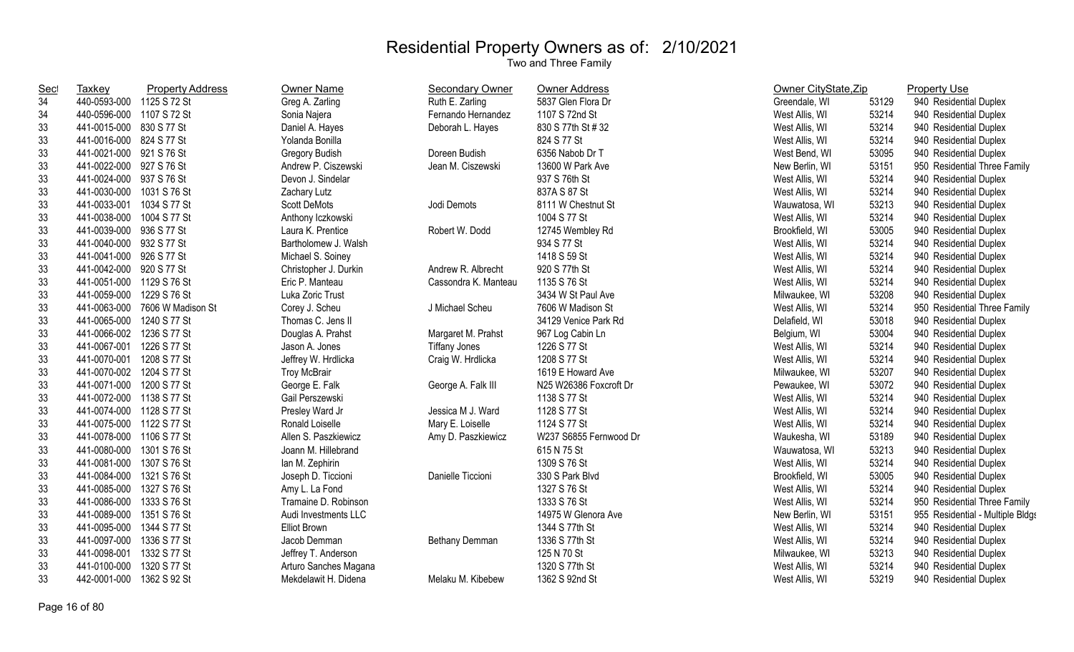| <b>Sec</b> | <b>Taxkey</b>             | <b>Property Address</b> | Owner Name            | <b>Secondary Owner</b> | <b>Owner Address</b>   | Owner CityState, Zip |       | <b>Property Use</b>              |
|------------|---------------------------|-------------------------|-----------------------|------------------------|------------------------|----------------------|-------|----------------------------------|
| 34         | 440-0593-000 1125 S 72 St |                         | Greg A. Zarling       | Ruth E. Zarling        | 5837 Glen Flora Dr     | Greendale, WI        | 53129 | 940 Residential Duplex           |
| 34         | 440-0596-000 1107 S 72 St |                         | Sonia Najera          | Fernando Hernandez     | 1107 S 72nd St         | West Allis, WI       | 53214 | 940 Residential Duplex           |
| 33         | 441-0015-000 830 S 77 St  |                         | Daniel A. Hayes       | Deborah L. Hayes       | 830 S 77th St # 32     | West Allis, WI       | 53214 | 940 Residential Duplex           |
| 33         | 441-0016-000 824 S 77 St  |                         | Yolanda Bonilla       |                        | 824 S 77 St            | West Allis, WI       | 53214 | 940 Residential Duplex           |
| 33         | 441-0021-000 921 S 76 St  |                         | Gregory Budish        | Doreen Budish          | 6356 Nabob Dr T        | West Bend, WI        | 53095 | 940 Residential Duplex           |
| 33         | 441-0022-000 927 S 76 St  |                         | Andrew P. Ciszewski   | Jean M. Ciszewski      | 13600 W Park Ave       | New Berlin, WI       | 53151 | 950 Residential Three Family     |
| 33         | 441-0024-000 937 S 76 St  |                         | Devon J. Sindelar     |                        | 937 S 76th St          | West Allis, WI       | 53214 | 940 Residential Duplex           |
| 33         | 441-0030-000 1031 S 76 St |                         | Zachary Lutz          |                        | 837A S 87 St           | West Allis, WI       | 53214 | 940 Residential Duplex           |
| 33         | 441-0033-001 1034 S 77 St |                         | <b>Scott DeMots</b>   | Jodi Demots            | 8111 W Chestnut St     | Wauwatosa, WI        | 53213 | 940 Residential Duplex           |
| 33         | 441-0038-000              | 1004 S 77 St            | Anthony Iczkowski     |                        | 1004 S 77 St           | West Allis, WI       | 53214 | 940 Residential Duplex           |
| 33         | 441-0039-000 936 S 77 St  |                         | Laura K. Prentice     | Robert W. Dodd         | 12745 Wembley Rd       | Brookfield, WI       | 53005 | 940 Residential Duplex           |
| 33         | 441-0040-000 932 S 77 St  |                         | Bartholomew J. Walsh  |                        | 934 S 77 St            | West Allis, WI       | 53214 | 940 Residential Duplex           |
| 33         | 441-0041-000 926 S 77 St  |                         | Michael S. Soiney     |                        | 1418 S 59 St           | West Allis, WI       | 53214 | 940 Residential Duplex           |
| 33         | 441-0042-000 920 S 77 St  |                         | Christopher J. Durkin | Andrew R. Albrecht     | 920 S 77th St          | West Allis, WI       | 53214 | 940 Residential Duplex           |
| 33         | 441-0051-000 1129 S 76 St |                         | Eric P. Manteau       | Cassondra K. Manteau   | 1135 S 76 St           | West Allis, WI       | 53214 | 940 Residential Duplex           |
| 33         | 441-0059-000              | 1229 S 76 St            | Luka Zoric Trust      |                        | 3434 W St Paul Ave     | Milwaukee, WI        | 53208 | 940 Residential Duplex           |
| 33         | 441-0063-000              | 7606 W Madison St       | Corey J. Scheu        | J Michael Scheu        | 7606 W Madison St      | West Allis, WI       | 53214 | 950 Residential Three Family     |
| 33         | 441-0065-000              | 1240 S 77 St            | Thomas C. Jens II     |                        | 34129 Venice Park Rd   | Delafield, WI        | 53018 | 940 Residential Duplex           |
| 33         | 441-0066-002 1236 S 77 St |                         | Douglas A. Prahst     | Margaret M. Prahst     | 967 Log Cabin Ln       | Belgium, WI          | 53004 | 940 Residential Duplex           |
| 33         | 441-0067-001 1226 S 77 St |                         | Jason A. Jones        | <b>Tiffany Jones</b>   | 1226 S 77 St           | West Allis, WI       | 53214 | 940 Residential Duplex           |
| 33         | 441-0070-001 1208 S 77 St |                         | Jeffrey W. Hrdlicka   | Craig W. Hrdlicka      | 1208 S 77 St           | West Allis, WI       | 53214 | 940 Residential Duplex           |
| 33         | 441-0070-002 1204 S 77 St |                         | <b>Troy McBrair</b>   |                        | 1619 E Howard Ave      | Milwaukee, WI        | 53207 | 940 Residential Duplex           |
| 33         | 441-0071-000 1200 S 77 St |                         | George E. Falk        | George A. Falk III     | N25 W26386 Foxcroft Dr | Pewaukee, WI         | 53072 | 940 Residential Duplex           |
| 33         | 441-0072-000 1138 S 77 St |                         | Gail Perszewski       |                        | 1138 S 77 St           | West Allis, WI       | 53214 | 940 Residential Duplex           |
| 33         | 441-0074-000 1128 S 77 St |                         | Presley Ward Jr       | Jessica M J. Ward      | 1128 S 77 St           | West Allis, WI       | 53214 | 940 Residential Duplex           |
| 33         | 441-0075-000 1122 S 77 St |                         | Ronald Loiselle       | Mary E. Loiselle       | 1124 S 77 St           | West Allis, WI       | 53214 | 940 Residential Duplex           |
| 33         | 441-0078-000 1106 S 77 St |                         | Allen S. Paszkiewicz  | Amy D. Paszkiewicz     | W237 S6855 Fernwood Dr | Waukesha, WI         | 53189 | 940 Residential Duplex           |
| 33         | 441-0080-000              | 1301 S 76 St            | Joann M. Hillebrand   |                        | 615 N 75 St            | Wauwatosa, WI        | 53213 | 940 Residential Duplex           |
| 33         | 441-0081-000              | 1307 S 76 St            | lan M. Zephirin       |                        | 1309 S 76 St           | West Allis, WI       | 53214 | 940 Residential Duplex           |
| 33         | 441-0084-000              | 1321 S 76 St            | Joseph D. Ticcioni    | Danielle Ticcioni      | 330 S Park Blvd        | Brookfield, WI       | 53005 | 940 Residential Duplex           |
| 33         | 441-0085-000 1327 S 76 St |                         | Amy L. La Fond        |                        | 1327 S 76 St           | West Allis, WI       | 53214 | 940 Residential Duplex           |
| 33         | 441-0086-000 1333 S 76 St |                         | Tramaine D. Robinson  |                        | 1333 S 76 St           | West Allis, WI       | 53214 | 950 Residential Three Family     |
| 33         | 441-0089-000 1351 S 76 St |                         | Audi Investments LLC  |                        | 14975 W Glenora Ave    | New Berlin, WI       | 53151 | 955 Residential - Multiple Bldgs |
| 33         | 441-0095-000 1344 S 77 St |                         | <b>Elliot Brown</b>   |                        | 1344 S 77th St         | West Allis, WI       | 53214 | 940 Residential Duplex           |
| 33         | 441-0097-000              | 1336 S 77 St            | Jacob Demman          | Bethany Demman         | 1336 S 77th St         | West Allis, WI       | 53214 | 940 Residential Duplex           |
| 33         | 441-0098-001              | 1332 S 77 St            | Jeffrey T. Anderson   |                        | 125 N 70 St            | Milwaukee, WI        | 53213 | 940 Residential Duplex           |
| 33         | 441-0100-000              | 1320 S 77 St            | Arturo Sanches Magana |                        | 1320 S 77th St         | West Allis, WI       | 53214 | 940 Residential Duplex           |
| 33         | 442-0001-000              | 1362 S 92 St            | Mekdelawit H. Didena  | Melaku M. Kibebew      | 1362 S 92nd St         | West Allis, WI       | 53219 | 940 Residential Duplex           |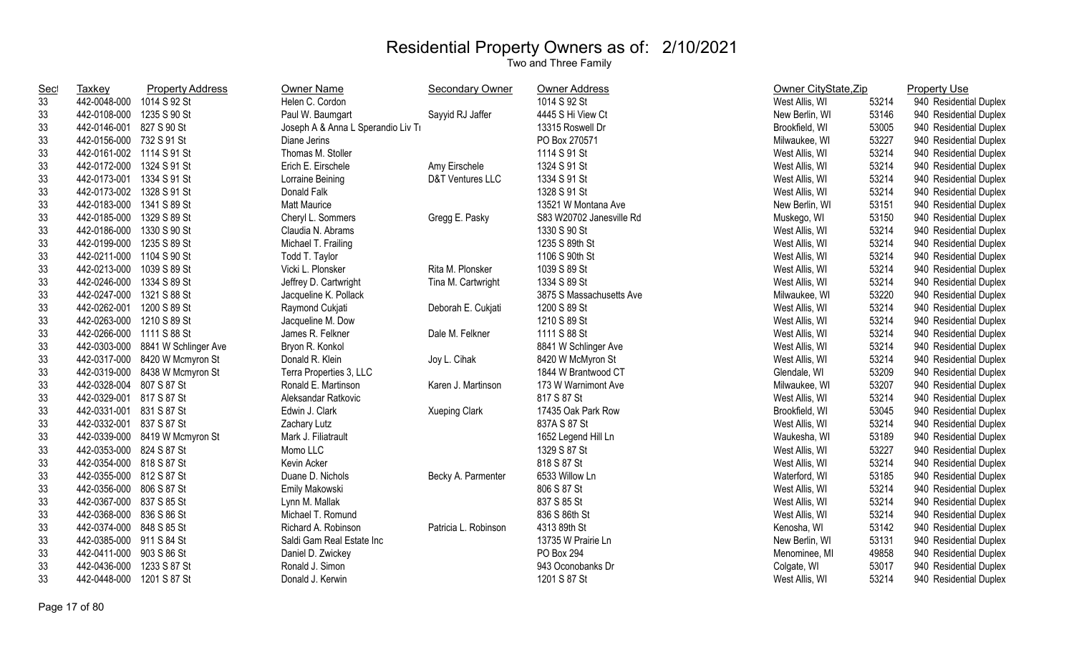| Sec | <b>Taxkey</b>             | <b>Property Address</b>           | Owner Name                         | <b>Secondary Owner</b> | Owner Address            | Owner CityState, Zip |       | <b>Property Use</b>    |
|-----|---------------------------|-----------------------------------|------------------------------------|------------------------|--------------------------|----------------------|-------|------------------------|
| 33  | 442-0048-000 1014 S 92 St |                                   | Helen C. Cordon                    |                        | 1014 S 92 St             | West Allis, WI       | 53214 | 940 Residential Duplex |
| 33  | 442-0108-000 1235 S 90 St |                                   | Paul W. Baumgart                   | Sayyid RJ Jaffer       | 4445 S Hi View Ct        | New Berlin, WI       | 53146 | 940 Residential Duplex |
| 33  | 442-0146-001 827 S 90 St  |                                   | Joseph A & Anna L Sperandio Liv Ti |                        | 13315 Roswell Dr         | Brookfield, WI       | 53005 | 940 Residential Duplex |
| 33  | 442-0156-000 732 S 91 St  |                                   | Diane Jerins                       |                        | PO Box 270571            | Milwaukee, WI        | 53227 | 940 Residential Duplex |
| 33  | 442-0161-002 1114 S 91 St |                                   | Thomas M. Stoller                  |                        | 1114 S 91 St             | West Allis, WI       | 53214 | 940 Residential Duplex |
| 33  | 442-0172-000 1324 S 91 St |                                   | Erich E. Eirschele                 | Amy Eirschele          | 1324 S 91 St             | West Allis, WI       | 53214 | 940 Residential Duplex |
| 33  | 442-0173-001 1334 S 91 St |                                   | Lorraine Beining                   | D&T Ventures LLC       | 1334 S 91 St             | West Allis, WI       | 53214 | 940 Residential Duplex |
| 33  | 442-0173-002 1328 S 91 St |                                   | Donald Falk                        |                        | 1328 S 91 St             | West Allis, WI       | 53214 | 940 Residential Duplex |
| 33  | 442-0183-000 1341 S 89 St |                                   | <b>Matt Maurice</b>                |                        | 13521 W Montana Ave      | New Berlin, WI       | 53151 | 940 Residential Duplex |
| 33  | 442-0185-000 1329 S 89 St |                                   | Cheryl L. Sommers                  | Gregg E. Pasky         | S83 W20702 Janesville Rd | Muskego, WI          | 53150 | 940 Residential Duplex |
| 33  | 442-0186-000 1330 S 90 St |                                   | Claudia N. Abrams                  |                        | 1330 S 90 St             | West Allis, WI       | 53214 | 940 Residential Duplex |
| 33  | 442-0199-000 1235 S 89 St |                                   | Michael T. Frailing                |                        | 1235 S 89th St           | West Allis, WI       | 53214 | 940 Residential Duplex |
| 33  | 442-0211-000 1104 S 90 St |                                   | Todd T. Taylor                     |                        | 1106 S 90th St           | West Allis, WI       | 53214 | 940 Residential Duplex |
| 33  | 442-0213-000 1039 S 89 St |                                   | Vicki L. Plonsker                  | Rita M. Plonsker       | 1039 S 89 St             | West Allis, WI       | 53214 | 940 Residential Duplex |
| 33  | 442-0246-000 1334 S 89 St |                                   | Jeffrey D. Cartwright              | Tina M. Cartwright     | 1334 S 89 St             | West Allis, WI       | 53214 | 940 Residential Duplex |
| 33  | 442-0247-000 1321 S 88 St |                                   | Jacqueline K. Pollack              |                        | 3875 S Massachusetts Ave | Milwaukee, WI        | 53220 | 940 Residential Duplex |
| 33  | 442-0262-001 1200 S 89 St |                                   | Raymond Cukjati                    | Deborah E. Cukjati     | 1200 S 89 St             | West Allis, WI       | 53214 | 940 Residential Duplex |
| 33  | 442-0263-000 1210 S 89 St |                                   | Jacqueline M. Dow                  |                        | 1210 S 89 St             | West Allis, WI       | 53214 | 940 Residential Duplex |
| 33  | 442-0266-000 1111 S 88 St |                                   | James R. Felkner                   | Dale M. Felkner        | 1111 S 88 St             | West Allis, WI       | 53214 | 940 Residential Duplex |
| 33  |                           | 442-0303-000 8841 W Schlinger Ave | Bryon R. Konkol                    |                        | 8841 W Schlinger Ave     | West Allis, WI       | 53214 | 940 Residential Duplex |
| 33  |                           | 442-0317-000 8420 W Mcmyron St    | Donald R. Klein                    | Joy L. Cihak           | 8420 W McMyron St        | West Allis, WI       | 53214 | 940 Residential Duplex |
| 33  |                           | 442-0319-000 8438 W Mcmyron St    | Terra Properties 3, LLC            |                        | 1844 W Brantwood CT      | Glendale, WI         | 53209 | 940 Residential Duplex |
| 33  | 442-0328-004 807 S 87 St  |                                   | Ronald E. Martinson                | Karen J. Martinson     | 173 W Warnimont Ave      | Milwaukee, WI        | 53207 | 940 Residential Duplex |
| 33  | 442-0329-001 817 S 87 St  |                                   | Aleksandar Ratkovic                |                        | 817 S 87 St              | West Allis, WI       | 53214 | 940 Residential Duplex |
| 33  | 442-0331-001 831 S 87 St  |                                   | Edwin J. Clark                     | <b>Xueping Clark</b>   | 17435 Oak Park Row       | Brookfield, WI       | 53045 | 940 Residential Duplex |
| 33  | 442-0332-001 837 S 87 St  |                                   | Zachary Lutz                       |                        | 837A S 87 St             | West Allis, WI       | 53214 | 940 Residential Duplex |
| 33  |                           | 442-0339-000 8419 W Mcmyron St    | Mark J. Filiatrault                |                        | 1652 Legend Hill Ln      | Waukesha, WI         | 53189 | 940 Residential Duplex |
| 33  | 442-0353-000 824 S 87 St  |                                   | Momo LLC                           |                        | 1329 S 87 St             | West Allis, WI       | 53227 | 940 Residential Duplex |
| 33  | 442-0354-000 818 S 87 St  |                                   | Kevin Acker                        |                        | 818 S 87 St              | West Allis, WI       | 53214 | 940 Residential Duplex |
| 33  | 442-0355-000 812 S 87 St  |                                   | Duane D. Nichols                   | Becky A. Parmenter     | 6533 Willow Ln           | Waterford, WI        | 53185 | 940 Residential Duplex |
| 33  | 442-0356-000 806 S 87 St  |                                   | Emily Makowski                     |                        | 806 S 87 St              | West Allis, WI       | 53214 | 940 Residential Duplex |
| 33  | 442-0367-000 837 S 85 St  |                                   | Lynn M. Mallak                     |                        | 837 S 85 St              | West Allis, WI       | 53214 | 940 Residential Duplex |
| 33  | 442-0368-000 836 S 86 St  |                                   | Michael T. Romund                  |                        | 836 S 86th St            | West Allis, WI       | 53214 | 940 Residential Duplex |
| 33  | 442-0374-000 848 S 85 St  |                                   | Richard A. Robinson                | Patricia L. Robinson   | 4313 89th St             | Kenosha, WI          | 53142 | 940 Residential Duplex |
| 33  | 442-0385-000 911 S 84 St  |                                   | Saldi Gam Real Estate Inc          |                        | 13735 W Prairie Ln       | New Berlin, WI       | 53131 | 940 Residential Duplex |
| 33  | 442-0411-000 903 S 86 St  |                                   | Daniel D. Zwickey                  |                        | PO Box 294               | Menominee, MI        | 49858 | 940 Residential Duplex |
| 33  | 442-0436-000 1233 S 87 St |                                   | Ronald J. Simon                    |                        | 943 Oconobanks Dr        | Colgate, WI          | 53017 | 940 Residential Duplex |
| 33  | 442-0448-000              | 1201 S 87 St                      | Donald J. Kerwin                   |                        | 1201 S 87 St             | West Allis, WI       | 53214 | 940 Residential Duplex |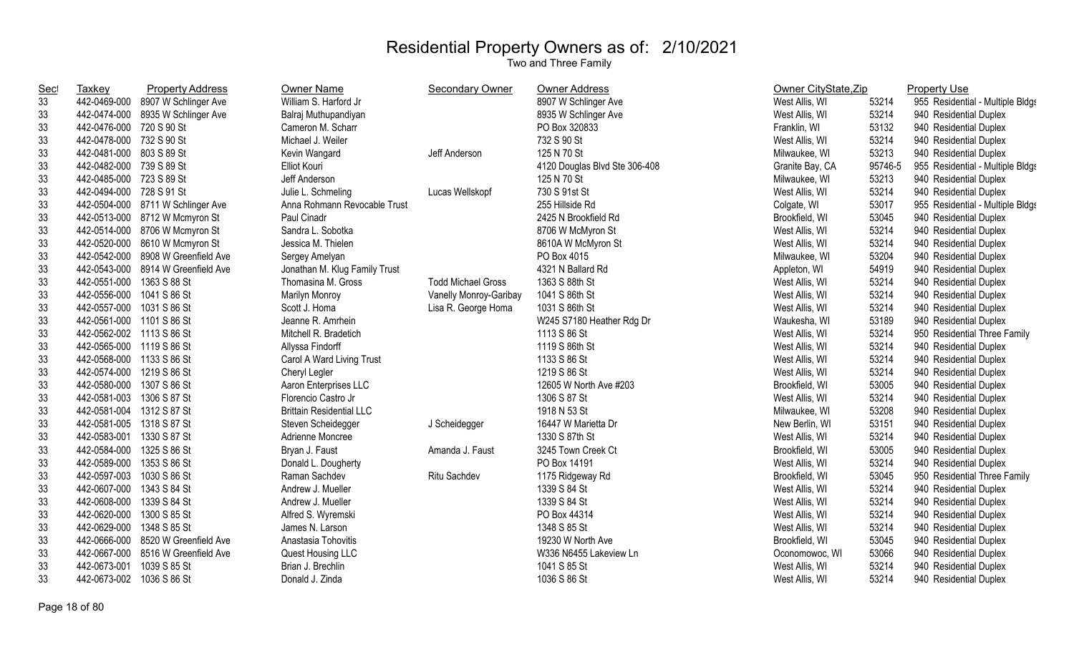| <u>Sec</u> | Taxkey                    | <b>Property Address</b>            | Owner Name                      | Secondary Owner           | <b>Owner Address</b>          | Owner CityState, Zip |         | <b>Property Use</b>              |
|------------|---------------------------|------------------------------------|---------------------------------|---------------------------|-------------------------------|----------------------|---------|----------------------------------|
| 33         | 442-0469-000              | 8907 W Schlinger Ave               | William S. Harford Jr           |                           | 8907 W Schlinger Ave          | West Allis, WI       | 53214   | 955 Residential - Multiple Bldgs |
| 33         | 442-0474-000              | 8935 W Schlinger Ave               | Balraj Muthupandiyan            |                           | 8935 W Schlinger Ave          | West Allis, WI       | 53214   | 940 Residential Duplex           |
| 33         | 442-0476-000              | 720 S 90 St                        | Cameron M. Scharr               |                           | PO Box 320833                 | Franklin, WI         | 53132   | 940 Residential Duplex           |
| 33         | 442-0478-000              | 732 S 90 St                        | Michael J. Weiler               |                           | 732 S 90 St                   | West Allis, WI       | 53214   | 940 Residential Duplex           |
| 33         | 442-0481-000 803 S 89 St  |                                    | Kevin Wangard                   | Jeff Anderson             | 125 N 70 St                   | Milwaukee, WI        | 53213   | 940 Residential Duplex           |
| 33         | 442-0482-000 739 S 89 St  |                                    | <b>Elliot Kouri</b>             |                           | 4120 Douglas Blvd Ste 306-408 | Granite Bay, CA      | 95746-5 | 955 Residential - Multiple Bldgs |
| 33         | 442-0485-000 723 S 89 St  |                                    | Jeff Anderson                   |                           | 125 N 70 St                   | Milwaukee, WI        | 53213   | 940 Residential Duplex           |
| 33         | 442-0494-000 728 S 91 St  |                                    | Julie L. Schmeling              | Lucas Wellskopf           | 730 S 91st St                 | West Allis, WI       | 53214   | 940 Residential Duplex           |
| 33         |                           | 442-0504-000 8711 W Schlinger Ave  | Anna Rohmann Revocable Trust    |                           | 255 Hillside Rd               | Colgate, WI          | 53017   | 955 Residential - Multiple Bldgs |
| 33         |                           | 442-0513-000 8712 W Mcmyron St     | Paul Cinadr                     |                           | 2425 N Brookfield Rd          | Brookfield, WI       | 53045   | 940 Residential Duplex           |
| 33         |                           | 442-0514-000 8706 W Mcmyron St     | Sandra L. Sobotka               |                           | 8706 W McMyron St             | West Allis, WI       | 53214   | 940 Residential Duplex           |
| 33         | 442-0520-000              | 8610 W Mcmyron St                  | Jessica M. Thielen              |                           | 8610A W McMyron St            | West Allis, WI       | 53214   | 940 Residential Duplex           |
| 33         | 442-0542-000              | 8908 W Greenfield Ave              | Sergey Amelyan                  |                           | PO Box 4015                   | Milwaukee, WI        | 53204   | 940 Residential Duplex           |
| 33         |                           | 442-0543-000 8914 W Greenfield Ave | Jonathan M. Klug Family Trust   |                           | 4321 N Ballard Rd             | Appleton, WI         | 54919   | 940 Residential Duplex           |
| 33         | 442-0551-000 1363 S 88 St |                                    | Thomasina M. Gross              | <b>Todd Michael Gross</b> | 1363 S 88th St                | West Allis, WI       | 53214   | 940 Residential Duplex           |
| 33         | 442-0556-000              | 1041 S 86 St                       | <b>Marilyn Monroy</b>           | Vanelly Monroy-Garibay    | 1041 S 86th St                | West Allis, WI       | 53214   | 940 Residential Duplex           |
| 33         | 442-0557-000 1031 S 86 St |                                    | Scott J. Homa                   | Lisa R. George Homa       | 1031 S 86th St                | West Allis, WI       | 53214   | 940 Residential Duplex           |
| 33         | 442-0561-000 1101 S 86 St |                                    | Jeanne R. Amrhein               |                           | W245 S7180 Heather Rdg Dr     | Waukesha, WI         | 53189   | 940 Residential Duplex           |
| 33         | 442-0562-002 1113 S 86 St |                                    | Mitchell R. Bradetich           |                           | 1113 S 86 St                  | West Allis, WI       | 53214   | 950 Residential Three Family     |
| 33         | 442-0565-000 1119 S 86 St |                                    | Allyssa Findorff                |                           | 1119 S 86th St                | West Allis, WI       | 53214   | 940 Residential Duplex           |
| 33         | 442-0568-000 1133 S 86 St |                                    | Carol A Ward Living Trust       |                           | 1133 S 86 St                  | West Allis, WI       | 53214   | 940 Residential Duplex           |
| 33         | 442-0574-000              | 1219 S 86 St                       | Cheryl Legler                   |                           | 1219 S 86 St                  | West Allis, WI       | 53214   | 940 Residential Duplex           |
| 33         | 442-0580-000              | 1307 S 86 St                       | Aaron Enterprises LLC           |                           | 12605 W North Ave #203        | Brookfield, WI       | 53005   | 940 Residential Duplex           |
| 33         | 442-0581-003 1306 S 87 St |                                    | Florencio Castro Jr             |                           | 1306 S 87 St                  | West Allis, WI       | 53214   | 940 Residential Duplex           |
| 33         | 442-0581-004 1312 S 87 St |                                    | <b>Brittain Residential LLC</b> |                           | 1918 N 53 St                  | Milwaukee, WI        | 53208   | 940 Residential Duplex           |
| 33         | 442-0581-005 1318 S 87 St |                                    | Steven Scheidegger              | J Scheidegger             | 16447 W Marietta Dr           | New Berlin, WI       | 53151   | 940 Residential Duplex           |
| 33         | 442-0583-001              | 1330 S 87 St                       | Adrienne Moncree                |                           | 1330 S 87th St                | West Allis, WI       | 53214   | 940 Residential Duplex           |
| 33         | 442-0584-000              | 1325 S 86 St                       | Bryan J. Faust                  | Amanda J. Faust           | 3245 Town Creek Ct            | Brookfield, WI       | 53005   | 940 Residential Duplex           |
| 33         | 442-0589-000              | 1353 S 86 St                       | Donald L. Dougherty             |                           | PO Box 14191                  | West Allis, WI       | 53214   | 940 Residential Duplex           |
| 33         | 442-0597-003              | 1030 S 86 St                       | Raman Sachdev                   | Ritu Sachdev              | 1175 Ridgeway Rd              | Brookfield, WI       | 53045   | 950 Residential Three Family     |
| 33         | 442-0607-000              | 1343 S 84 St                       | Andrew J. Mueller               |                           | 1339 S 84 St                  | West Allis, WI       | 53214   | 940 Residential Duplex           |
| 33         | 442-0608-000              | 1339 S 84 St                       | Andrew J. Mueller               |                           | 1339 S 84 St                  | West Allis, WI       | 53214   | 940 Residential Duplex           |
| 33         | 442-0620-000              | 1300 S 85 St                       | Alfred S. Wyremski              |                           | PO Box 44314                  | West Allis, WI       | 53214   | 940 Residential Duplex           |
| 33         | 442-0629-000 1348 S 85 St |                                    | James N. Larson                 |                           | 1348 S 85 St                  | West Allis, WI       | 53214   | 940 Residential Duplex           |
| 33         | 442-0666-000              | 8520 W Greenfield Ave              | Anastasia Tohovitis             |                           | 19230 W North Ave             | Brookfield, WI       | 53045   | 940 Residential Duplex           |
| 33         | 442-0667-000              | 8516 W Greenfield Ave              | Quest Housing LLC               |                           | W336 N6455 Lakeview Ln        | Oconomowoc, WI       | 53066   | 940 Residential Duplex           |
| 33         | 442-0673-001              | 1039 S 85 St                       | Brian J. Brechlin               |                           | 1041 S 85 St                  | West Allis, WI       | 53214   | 940 Residential Duplex           |
| 33         | 442-0673-002              | 1036 S 86 St                       | Donald J. Zinda                 |                           | 1036 S 86 St                  | West Allis, WI       | 53214   | 940 Residential Duplex           |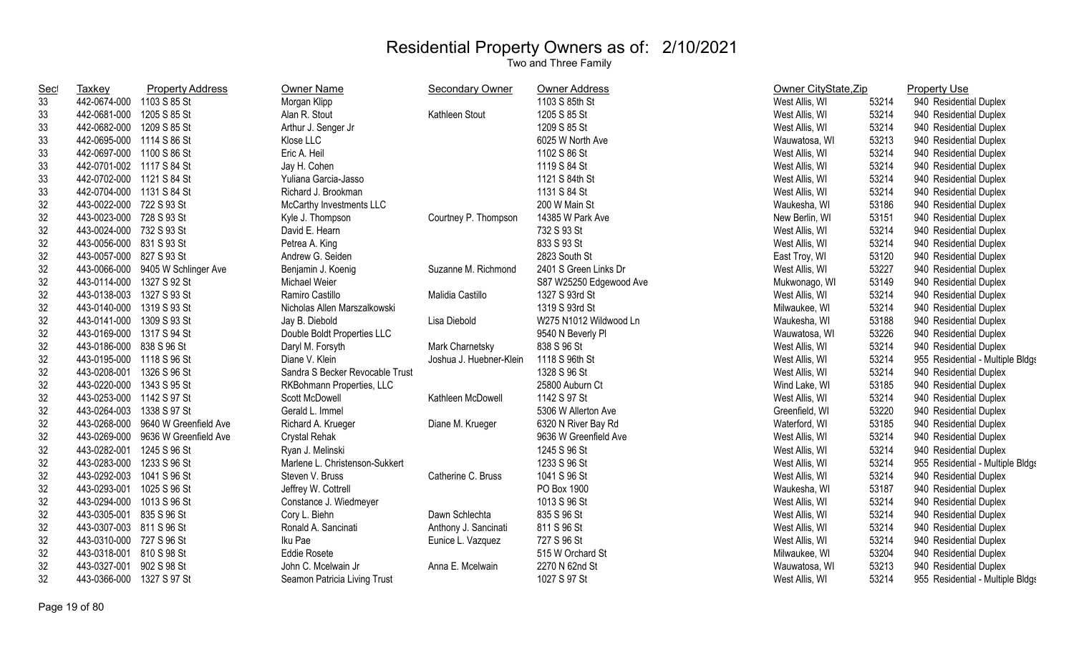| <b>Sec</b> | Taxkey                    | <b>Property Address</b>           | Owner Name                      | <b>Secondary Owner</b>  | <b>Owner Address</b>    | Owner CityState, Zip |       | <b>Property Use</b>              |
|------------|---------------------------|-----------------------------------|---------------------------------|-------------------------|-------------------------|----------------------|-------|----------------------------------|
| 33         | 442-0674-000              | 1103 S 85 St                      | Morgan Klipp                    |                         | 1103 S 85th St          | West Allis, WI       | 53214 | 940 Residential Duplex           |
| 33         | 442-0681-000              | 1205 S 85 St                      | Alan R. Stout                   | Kathleen Stout          | 1205 S 85 St            | West Allis, WI       | 53214 | 940 Residential Duplex           |
| 33         | 442-0682-000              | 1209 S 85 St                      | Arthur J. Senger Jr             |                         | 1209 S 85 St            | West Allis, WI       | 53214 | 940 Residential Duplex           |
| 33         | 442-0695-000              | 1114 S 86 St                      | Klose LLC                       |                         | 6025 W North Ave        | Wauwatosa, WI        | 53213 | 940 Residential Duplex           |
| 33         | 442-0697-000 1100 S 86 St |                                   | Eric A. Heil                    |                         | 1102 S 86 St            | West Allis, WI       | 53214 | 940 Residential Duplex           |
| 33         | 442-0701-002 1117 S 84 St |                                   | Jay H. Cohen                    |                         | 1119 S 84 St            | West Allis, WI       | 53214 | 940 Residential Duplex           |
| 33         | 442-0702-000 1121 S 84 St |                                   | Yuliana Garcia-Jasso            |                         | 1121 S 84th St          | West Allis, WI       | 53214 | 940 Residential Duplex           |
| 33         | 442-0704-000 1131 S 84 St |                                   | Richard J. Brookman             |                         | 1131 S 84 St            | West Allis, WI       | 53214 | 940 Residential Duplex           |
| 32         | 443-0022-000              | 722 S 93 St                       | McCarthy Investments LLC        |                         | 200 W Main St           | Waukesha, WI         | 53186 | 940 Residential Duplex           |
| 32         | 443-0023-000 728 S 93 St  |                                   | Kyle J. Thompson                | Courtney P. Thompson    | 14385 W Park Ave        | New Berlin, WI       | 53151 | 940 Residential Duplex           |
| 32         | 443-0024-000 732 S 93 St  |                                   | David E. Hearn                  |                         | 732 S 93 St             | West Allis, WI       | 53214 | 940 Residential Duplex           |
| 32         | 443-0056-000              | 831 S 93 St                       | Petrea A. King                  |                         | 833 S 93 St             | West Allis, WI       | 53214 | 940 Residential Duplex           |
| 32         | 443-0057-000              | 827 S 93 St                       | Andrew G. Seiden                |                         | 2823 South St           | East Troy, WI        | 53120 | 940 Residential Duplex           |
| 32         |                           | 443-0066-000 9405 W Schlinger Ave | Benjamin J. Koenig              | Suzanne M. Richmond     | 2401 S Green Links Dr   | West Allis, WI       | 53227 | 940 Residential Duplex           |
| 32         | 443-0114-000              | 1327 S 92 St                      | Michael Weier                   |                         | S87 W25250 Edgewood Ave | Mukwonago, WI        | 53149 | 940 Residential Duplex           |
| 32         | 443-0138-003              | 1327 S 93 St                      | Ramiro Castillo                 | Malidia Castillo        | 1327 S 93rd St          | West Allis, WI       | 53214 | 940 Residential Duplex           |
| 32         | 443-0140-000              | 1319 S 93 St                      | Nicholas Allen Marszalkowski    |                         | 1319 S 93rd St          | Milwaukee, WI        | 53214 | 940 Residential Duplex           |
| 32         | 443-0141-000              | 1309 S 93 St                      | Jay B. Diebold                  | Lisa Diebold            | W275 N1012 Wildwood Ln  | Waukesha, WI         | 53188 | 940 Residential Duplex           |
| 32         | 443-0169-000              | 1317 S 94 St                      | Double Boldt Properties LLC     |                         | 9540 N Beverly Pl       | Wauwatosa, WI        | 53226 | 940 Residential Duplex           |
| 32         | 443-0186-000              | 838 S 96 St                       | Daryl M. Forsyth                | Mark Charnetsky         | 838 S 96 St             | West Allis, WI       | 53214 | 940 Residential Duplex           |
| 32         | 443-0195-000              | 1118 S 96 St                      | Diane V. Klein                  | Joshua J. Huebner-Klein | 1118 S 96th St          | West Allis, WI       | 53214 | 955 Residential - Multiple Bldgs |
| 32         | 443-0208-001              | 1326 S 96 St                      | Sandra S Becker Revocable Trust |                         | 1328 S 96 St            | West Allis, WI       | 53214 | 940 Residential Duplex           |
| 32         | 443-0220-000              | 1343 S 95 St                      | RKBohmann Properties, LLC       |                         | 25800 Auburn Ct         | Wind Lake, WI        | 53185 | 940 Residential Duplex           |
| 32         | 443-0253-000              | 1142 S 97 St                      | Scott McDowell                  | Kathleen McDowell       | 1142 S 97 St            | West Allis, WI       | 53214 | 940 Residential Duplex           |
| 32         | 443-0264-003              | 1338 S 97 St                      | Gerald L. Immel                 |                         | 5306 W Allerton Ave     | Greenfield, WI       | 53220 | 940 Residential Duplex           |
| 32         | 443-0268-000              | 9640 W Greenfield Ave             | Richard A. Krueger              | Diane M. Krueger        | 6320 N River Bay Rd     | Waterford, WI        | 53185 | 940 Residential Duplex           |
| 32         | 443-0269-000              | 9636 W Greenfield Ave             | Crystal Rehak                   |                         | 9636 W Greenfield Ave   | West Allis, WI       | 53214 | 940 Residential Duplex           |
| 32         | 443-0282-001              | 1245 S 96 St                      | Ryan J. Melinski                |                         | 1245 S 96 St            | West Allis, WI       | 53214 | 940 Residential Duplex           |
| 32         | 443-0283-000              | 1233 S 96 St                      | Marlene L. Christenson-Sukkert  |                         | 1233 S 96 St            | West Allis, WI       | 53214 | 955 Residential - Multiple Bldgs |
| 32         | 443-0292-003              | 1041 S 96 St                      | Steven V. Bruss                 | Catherine C. Bruss      | 1041 S 96 St            | West Allis, WI       | 53214 | 940 Residential Duplex           |
| 32         | 443-0293-001              | 1025 S 96 St                      | Jeffrey W. Cottrell             |                         | PO Box 1900             | Waukesha, WI         | 53187 | 940 Residential Duplex           |
| 32         | 443-0294-000              | 1013 S 96 St                      | Constance J. Wiedmeyer          |                         | 1013 S 96 St            | West Allis, WI       | 53214 | 940 Residential Duplex           |
| 32         | 443-0305-001              | 835 S 96 St                       | Cory L. Biehn                   | Dawn Schlechta          | 835 S 96 St             | West Allis, WI       | 53214 | 940 Residential Duplex           |
| 32         | 443-0307-003 811 S 96 St  |                                   | Ronald A. Sancinati             | Anthony J. Sancinati    | 811 S 96 St             | West Allis, WI       | 53214 | 940 Residential Duplex           |
| 32         | 443-0310-000 727 S 96 St  |                                   | Iku Pae                         | Eunice L. Vazquez       | 727 S 96 St             | West Allis, WI       | 53214 | 940 Residential Duplex           |
| 32         | 443-0318-001              | 810 S 98 St                       | Eddie Rosete                    |                         | 515 W Orchard St        | Milwaukee, WI        | 53204 | 940 Residential Duplex           |
| 32         | 443-0327-001              | 902 S 98 St                       | John C. Mcelwain Jr             | Anna E. Mcelwain        | 2270 N 62nd St          | Wauwatosa, WI        | 53213 | 940 Residential Duplex           |
| 32         | 443-0366-000              | 1327 S 97 St                      | Seamon Patricia Living Trust    |                         | 1027 S 97 St            | West Allis, WI       | 53214 | 955 Residential - Multiple Bldgs |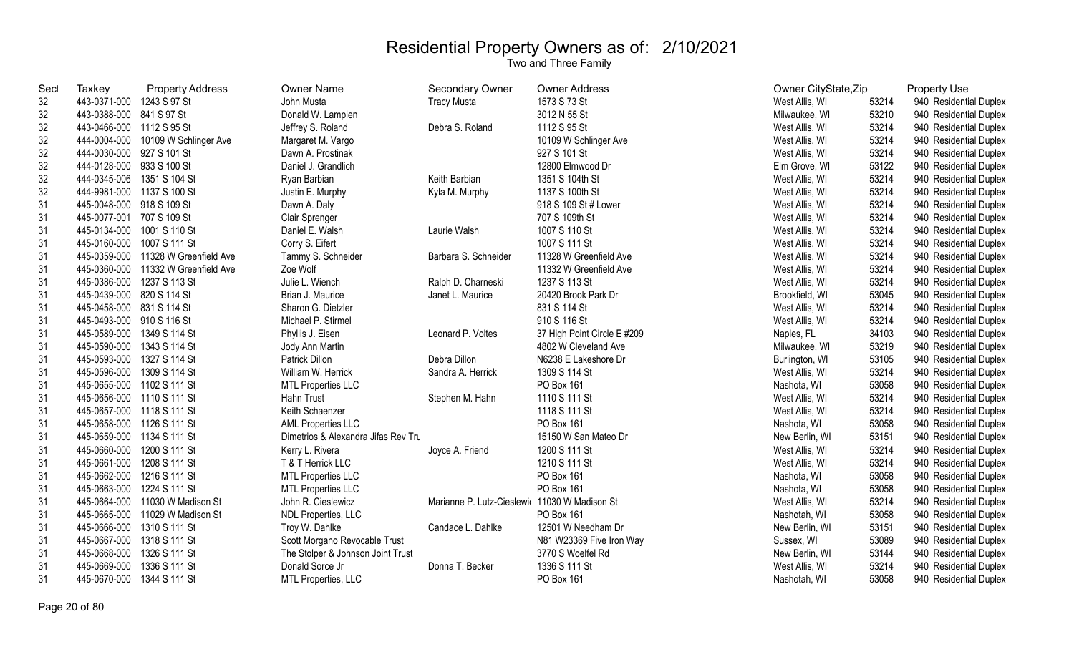| <b>Sec</b> | <b>Taxkey</b>              | <b>Property Address</b>             | Owner Name                          | <b>Secondary Owner</b>     | Owner Address               | Owner CityState, Zip |       | <b>Property Use</b>    |
|------------|----------------------------|-------------------------------------|-------------------------------------|----------------------------|-----------------------------|----------------------|-------|------------------------|
| 32         | 443-0371-000 1243 S 97 St  |                                     | John Musta                          | <b>Tracy Musta</b>         | 1573 S 73 St                | West Allis, WI       | 53214 | 940 Residential Duplex |
| 32         | 443-0388-000 841 S 97 St   |                                     | Donald W. Lampien                   |                            | 3012 N 55 St                | Milwaukee, WI        | 53210 | 940 Residential Duplex |
| 32         | 443-0466-000 1112 S 95 St  |                                     | Jeffrey S. Roland                   | Debra S. Roland            | 1112 S 95 St                | West Allis, WI       | 53214 | 940 Residential Duplex |
| 32         |                            | 444-0004-000 10109 W Schlinger Ave  | Margaret M. Vargo                   |                            | 10109 W Schlinger Ave       | West Allis, WI       | 53214 | 940 Residential Duplex |
| 32         | 444-0030-000 927 S 101 St  |                                     | Dawn A. Prostinak                   |                            | 927 S 101 St                | West Allis, WI       | 53214 | 940 Residential Duplex |
| 32         | 444-0128-000 933 S 100 St  |                                     | Daniel J. Grandlich                 |                            | 12800 Elmwood Dr            | Elm Grove, WI        | 53122 | 940 Residential Duplex |
| 32         | 444-0345-006 1351 S 104 St |                                     | Ryan Barbian                        | Keith Barbian              | 1351 S 104th St             | West Allis, WI       | 53214 | 940 Residential Duplex |
| 32         | 444-9981-000 1137 S 100 St |                                     | Justin E. Murphy                    | Kyla M. Murphy             | 1137 S 100th St             | West Allis, WI       | 53214 | 940 Residential Duplex |
| 31         | 445-0048-000 918 S 109 St  |                                     | Dawn A. Daly                        |                            | 918 S 109 St # Lower        | West Allis, WI       | 53214 | 940 Residential Duplex |
| 31         | 445-0077-001 707 S 109 St  |                                     | Clair Sprenger                      |                            | 707 S 109th St              | West Allis, WI       | 53214 | 940 Residential Duplex |
| 31         | 445-0134-000 1001 S 110 St |                                     | Daniel E. Walsh                     | Laurie Walsh               | 1007 S 110 St               | West Allis, WI       | 53214 | 940 Residential Duplex |
| 31         | 445-0160-000 1007 S 111 St |                                     | Corry S. Eifert                     |                            | 1007 S 111 St               | West Allis, WI       | 53214 | 940 Residential Duplex |
| 31         |                            | 445-0359-000 11328 W Greenfield Ave | Tammy S. Schneider                  | Barbara S. Schneider       | 11328 W Greenfield Ave      | West Allis, WI       | 53214 | 940 Residential Duplex |
| 31         |                            | 445-0360-000 11332 W Greenfield Ave | Zoe Wolf                            |                            | 11332 W Greenfield Ave      | West Allis, WI       | 53214 | 940 Residential Duplex |
| 31         | 445-0386-000 1237 S 113 St |                                     | Julie L. Wiench                     | Ralph D. Charneski         | 1237 S 113 St               | West Allis, WI       | 53214 | 940 Residential Duplex |
| 31         | 445-0439-000 820 S 114 St  |                                     | Brian J. Maurice                    | Janet L. Maurice           | 20420 Brook Park Dr         | Brookfield, WI       | 53045 | 940 Residential Duplex |
| 31         | 445-0458-000 831 S 114 St  |                                     | Sharon G. Dietzler                  |                            | 831 S 114 St                | West Allis, WI       | 53214 | 940 Residential Duplex |
| 31         | 445-0493-000 910 S 116 St  |                                     | Michael P. Stirmel                  |                            | 910 S 116 St                | West Allis, WI       | 53214 | 940 Residential Duplex |
| 31         | 445-0589-000 1349 S 114 St |                                     | Phyllis J. Eisen                    | Leonard P. Voltes          | 37 High Point Circle E #209 | Naples, FL           | 34103 | 940 Residential Duplex |
| 31         | 445-0590-000 1343 S 114 St |                                     | Jody Ann Martin                     |                            | 4802 W Cleveland Ave        | Milwaukee, WI        | 53219 | 940 Residential Duplex |
| 31         | 445-0593-000 1327 S 114 St |                                     | Patrick Dillon                      | Debra Dillon               | N6238 E Lakeshore Dr        | Burlington, WI       | 53105 | 940 Residential Duplex |
| 31         | 445-0596-000 1309 S 114 St |                                     | William W. Herrick                  | Sandra A. Herrick          | 1309 S 114 St               | West Allis, WI       | 53214 | 940 Residential Duplex |
| 31         | 445-0655-000 1102 S 111 St |                                     | <b>MTL Properties LLC</b>           |                            | PO Box 161                  | Nashota, WI          | 53058 | 940 Residential Duplex |
| 31         | 445-0656-000 1110 S 111 St |                                     | Hahn Trust                          | Stephen M. Hahn            | 1110 S 111 St               | West Allis, WI       | 53214 | 940 Residential Duplex |
| 31         | 445-0657-000 1118 S 111 St |                                     | Keith Schaenzer                     |                            | 1118 S 111 St               | West Allis, WI       | 53214 | 940 Residential Duplex |
| 31         | 445-0658-000 1126 S 111 St |                                     | <b>AML Properties LLC</b>           |                            | PO Box 161                  | Nashota, WI          | 53058 | 940 Residential Duplex |
| 31         | 445-0659-000 1134 S 111 St |                                     | Dimetrios & Alexandra Jifas Rev Tru |                            | 15150 W San Mateo Dr        | New Berlin, WI       | 53151 | 940 Residential Duplex |
| 31         | 445-0660-000 1200 S 111 St |                                     | Kerry L. Rivera                     | Joyce A. Friend            | 1200 S 111 St               | West Allis, WI       | 53214 | 940 Residential Duplex |
| 31         | 445-0661-000 1208 S 111 St |                                     | T & T Herrick LLC                   |                            | 1210 S 111 St               | West Allis, WI       | 53214 | 940 Residential Duplex |
| 31         | 445-0662-000 1216 S 111 St |                                     | <b>MTL Properties LLC</b>           |                            | PO Box 161                  | Nashota, WI          | 53058 | 940 Residential Duplex |
| 31         | 445-0663-000 1224 S 111 St |                                     | <b>MTL Properties LLC</b>           |                            | PO Box 161                  | Nashota, WI          | 53058 | 940 Residential Duplex |
| 31         |                            | 445-0664-000 11030 W Madison St     | John R. Cieslewicz                  | Marianne P. Lutz-Cieslewio | 11030 W Madison St          | West Allis, WI       | 53214 | 940 Residential Duplex |
| 31         |                            | 445-0665-000 11029 W Madison St     | NDL Properties, LLC                 |                            | PO Box 161                  | Nashotah, WI         | 53058 | 940 Residential Duplex |
| 31         | 445-0666-000 1310 S 111 St |                                     | Troy W. Dahlke                      | Candace L. Dahlke          | 12501 W Needham Dr          | New Berlin, WI       | 53151 | 940 Residential Duplex |
| 31         | 445-0667-000 1318 S 111 St |                                     | Scott Morgano Revocable Trust       |                            | N81 W23369 Five Iron Way    | Sussex, WI           | 53089 | 940 Residential Duplex |
| 31         | 445-0668-000               | 1326 S 111 St                       | The Stolper & Johnson Joint Trust   |                            | 3770 S Woelfel Rd           | New Berlin, WI       | 53144 | 940 Residential Duplex |
| 31         | 445-0669-000               | 1336 S 111 St                       | Donald Sorce Jr                     | Donna T. Becker            | 1336 S 111 St               | West Allis, WI       | 53214 | 940 Residential Duplex |
| 31         | 445-0670-000               | 1344 S 111 St                       | MTL Properties, LLC                 |                            | PO Box 161                  | Nashotah, WI         | 53058 | 940 Residential Duplex |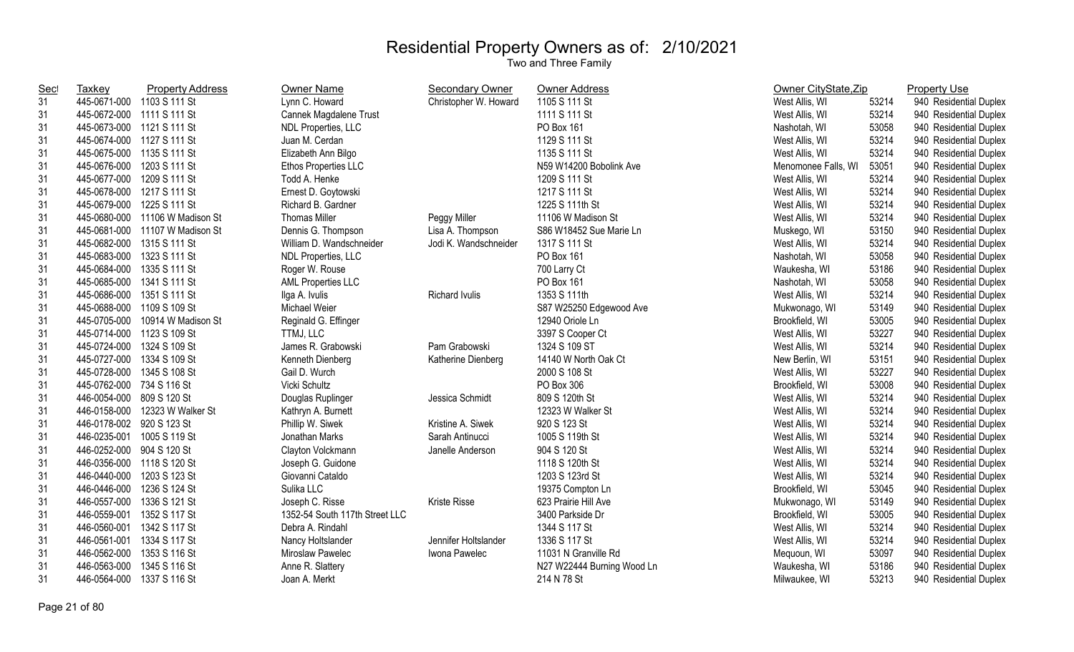| <u>Sec</u> | <b>Taxkey</b>              | <b>Property Address</b>         | Owner Name                     | <b>Secondary Owner</b> | Owner Address              | Owner CityState, Zip |       | <b>Property Use</b>    |
|------------|----------------------------|---------------------------------|--------------------------------|------------------------|----------------------------|----------------------|-------|------------------------|
| 31         | 445-0671-000 1103 S 111 St |                                 | Lynn C. Howard                 | Christopher W. Howard  | 1105 S 111 St              | West Allis, WI       | 53214 | 940 Residential Duplex |
| 31         | 445-0672-000 1111 S 111 St |                                 | Cannek Magdalene Trust         |                        | 1111 S 111 St              | West Allis, WI       | 53214 | 940 Residential Duplex |
| 31         | 445-0673-000 1121 S 111 St |                                 | NDL Properties, LLC            |                        | PO Box 161                 | Nashotah, WI         | 53058 | 940 Residential Duplex |
| 31         | 445-0674-000 1127 S 111 St |                                 | Juan M. Cerdan                 |                        | 1129 S 111 St              | West Allis, WI       | 53214 | 940 Residential Duplex |
| 31         | 445-0675-000 1135 S 111 St |                                 | Elizabeth Ann Bilgo            |                        | 1135 S 111 St              | West Allis, WI       | 53214 | 940 Residential Duplex |
| 31         | 445-0676-000 1203 S 111 St |                                 | Ethos Properties LLC           |                        | N59 W14200 Bobolink Ave    | Menomonee Falls, WI  | 53051 | 940 Residential Duplex |
| 31         | 445-0677-000 1209 S 111 St |                                 | Todd A. Henke                  |                        | 1209 S 111 St              | West Allis, WI       | 53214 | 940 Residential Duplex |
| 31         | 445-0678-000 1217 S 111 St |                                 | Ernest D. Goytowski            |                        | 1217 S 111 St              | West Allis, WI       | 53214 | 940 Residential Duplex |
| 31         | 445-0679-000 1225 S 111 St |                                 | Richard B. Gardner             |                        | 1225 S 111th St            | West Allis, WI       | 53214 | 940 Residential Duplex |
| 31         |                            | 445-0680-000 11106 W Madison St | <b>Thomas Miller</b>           | Peggy Miller           | 11106 W Madison St         | West Allis, WI       | 53214 | 940 Residential Duplex |
| 31         |                            | 445-0681-000 11107 W Madison St | Dennis G. Thompson             | Lisa A. Thompson       | S86 W18452 Sue Marie Ln    | Muskego, WI          | 53150 | 940 Residential Duplex |
| 31         | 445-0682-000 1315 S 111 St |                                 | William D. Wandschneider       | Jodi K. Wandschneider  | 1317 S 111 St              | West Allis, WI       | 53214 | 940 Residential Duplex |
| 31         | 445-0683-000 1323 S 111 St |                                 | NDL Properties, LLC            |                        | PO Box 161                 | Nashotah, WI         | 53058 | 940 Residential Duplex |
| 31         | 445-0684-000 1335 S 111 St |                                 | Roger W. Rouse                 |                        | 700 Larry Ct               | Waukesha, WI         | 53186 | 940 Residential Duplex |
| 31         | 445-0685-000 1341 S 111 St |                                 | <b>AML Properties LLC</b>      |                        | PO Box 161                 | Nashotah, WI         | 53058 | 940 Residential Duplex |
| 31         | 445-0686-000 1351 S 111 St |                                 | Ilga A. Ivulis                 | Richard Ivulis         | 1353 S 111th               | West Allis, WI       | 53214 | 940 Residential Duplex |
| 31         | 445-0688-000 1109 S 109 St |                                 | Michael Weier                  |                        | S87 W25250 Edgewood Ave    | Mukwonago, WI        | 53149 | 940 Residential Duplex |
| 31         | 445-0705-000               | 10914 W Madison St              | Reginald G. Effinger           |                        | 12940 Oriole Ln            | Brookfield, WI       | 53005 | 940 Residential Duplex |
| 31         | 445-0714-000 1123 S 109 St |                                 | TTMJ, LLC                      |                        | 3397 S Cooper Ct           | West Allis, WI       | 53227 | 940 Residential Duplex |
| 31         | 445-0724-000 1324 S 109 St |                                 | James R. Grabowski             | Pam Grabowski          | 1324 S 109 ST              | West Allis, WI       | 53214 | 940 Residential Duplex |
| 31         | 445-0727-000 1334 S 109 St |                                 | Kenneth Dienberg               | Katherine Dienberg     | 14140 W North Oak Ct       | New Berlin, WI       | 53151 | 940 Residential Duplex |
| 31         | 445-0728-000 1345 S 108 St |                                 | Gail D. Wurch                  |                        | 2000 S 108 St              | West Allis, WI       | 53227 | 940 Residential Duplex |
| 31         | 445-0762-000 734 S 116 St  |                                 | Vicki Schultz                  |                        | PO Box 306                 | Brookfield, WI       | 53008 | 940 Residential Duplex |
| 31         | 446-0054-000 809 S 120 St  |                                 | Douglas Ruplinger              | Jessica Schmidt        | 809 S 120th St             | West Allis, WI       | 53214 | 940 Residential Duplex |
| 31         |                            | 446-0158-000 12323 W Walker St  | Kathryn A. Burnett             |                        | 12323 W Walker St          | West Allis, WI       | 53214 | 940 Residential Duplex |
| 31         | 446-0178-002 920 S 123 St  |                                 | Phillip W. Siwek               | Kristine A. Siwek      | 920 S 123 St               | West Allis, WI       | 53214 | 940 Residential Duplex |
| 31         | 446-0235-001               | 1005 S 119 St                   | Jonathan Marks                 | Sarah Antinucci        | 1005 S 119th St            | West Allis, WI       | 53214 | 940 Residential Duplex |
| 31         | 446-0252-000 904 S 120 St  |                                 | Clayton Volckmann              | Janelle Anderson       | 904 S 120 St               | West Allis, WI       | 53214 | 940 Residential Duplex |
| 31         | 446-0356-000 1118 S 120 St |                                 | Joseph G. Guidone              |                        | 1118 S 120th St            | West Allis, WI       | 53214 | 940 Residential Duplex |
| 31         | 446-0440-000               | 1203 S 123 St                   | Giovanni Cataldo               |                        | 1203 S 123rd St            | West Allis, WI       | 53214 | 940 Residential Duplex |
| 31         | 446-0446-000               | 1236 S 124 St                   | Sulika LLC                     |                        | 19375 Compton Ln           | Brookfield, WI       | 53045 | 940 Residential Duplex |
| 31         | 446-0557-000               | 1336 S 121 St                   | Joseph C. Risse                | Kriste Risse           | 623 Prairie Hill Ave       | Mukwonago, WI        | 53149 | 940 Residential Duplex |
| 31         | 446-0559-001               | 1352 S 117 St                   | 1352-54 South 117th Street LLC |                        | 3400 Parkside Dr           | Brookfield, WI       | 53005 | 940 Residential Duplex |
| 31         | 446-0560-001 1342 S 117 St |                                 | Debra A. Rindahl               |                        | 1344 S 117 St              | West Allis, WI       | 53214 | 940 Residential Duplex |
| 31         | 446-0561-001 1334 S 117 St |                                 | Nancy Holtslander              | Jennifer Holtslander   | 1336 S 117 St              | West Allis, WI       | 53214 | 940 Residential Duplex |
| 31         | 446-0562-000               | 1353 S 116 St                   | Miroslaw Pawelec               | Iwona Pawelec          | 11031 N Granville Rd       | Mequoun, WI          | 53097 | 940 Residential Duplex |
| 31         | 446-0563-000               | 1345 S 116 St                   | Anne R. Slattery               |                        | N27 W22444 Burning Wood Ln | Waukesha, WI         | 53186 | 940 Residential Duplex |
| 31         | 446-0564-000               | 1337 S 116 St                   | Joan A. Merkt                  |                        | 214 N 78 St                | Milwaukee, WI        | 53213 | 940 Residential Duplex |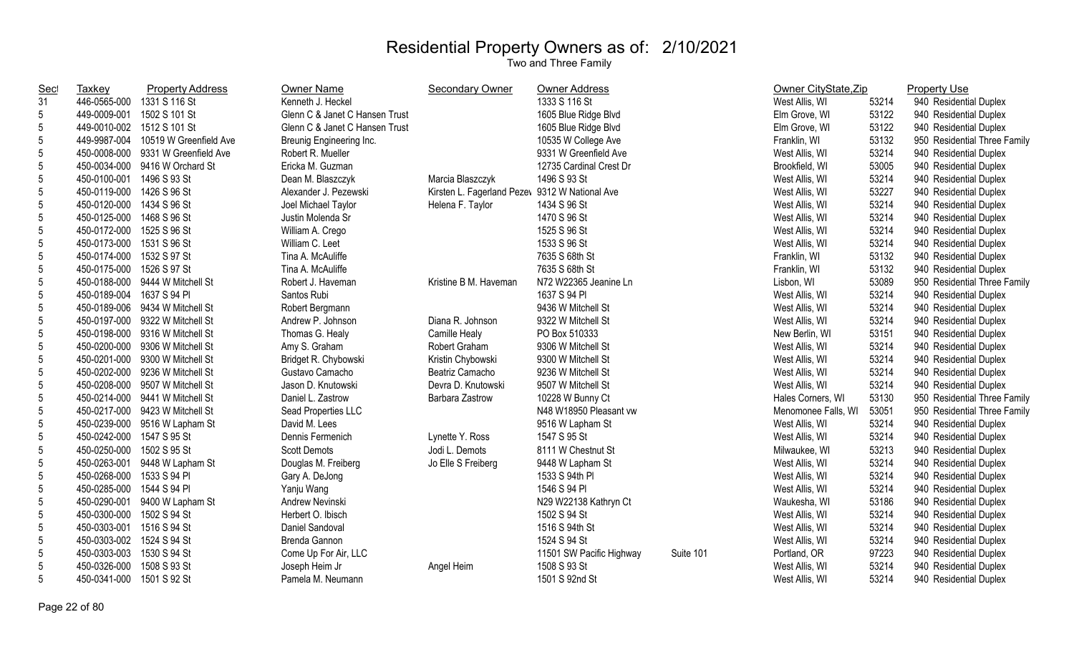| Sec             | <b>Taxkey</b>              | <b>Property Address</b>            | Owner Name                     | Secondary Owner            | Owner Address            |           | Owner CityState, Zip |       | <b>Property Use</b>          |
|-----------------|----------------------------|------------------------------------|--------------------------------|----------------------------|--------------------------|-----------|----------------------|-------|------------------------------|
| 31              | 446-0565-000               | 1331 S 116 St                      | Kenneth J. Heckel              |                            | 1333 S 116 St            |           | West Allis, WI       | 53214 | 940 Residential Duplex       |
| 5               | 449-0009-001               | 1502 S 101 St                      | Glenn C & Janet C Hansen Trust |                            | 1605 Blue Ridge Blvd     |           | Elm Grove, WI        | 53122 | 940 Residential Duplex       |
| 5               | 449-0010-002 1512 S 101 St |                                    | Glenn C & Janet C Hansen Trust |                            | 1605 Blue Ridge Blvd     |           | Elm Grove, WI        | 53122 | 940 Residential Duplex       |
| 5               | 449-9987-004               | 10519 W Greenfield Ave             | Breunig Engineering Inc.       |                            | 10535 W College Ave      |           | Franklin, WI         | 53132 | 950 Residential Three Family |
| 5               |                            | 450-0008-000 9331 W Greenfield Ave | Robert R. Mueller              |                            | 9331 W Greenfield Ave    |           | West Allis, WI       | 53214 | 940 Residential Duplex       |
| 5               |                            | 450-0034-000 9416 W Orchard St     | Ericka M. Guzman               |                            | 12735 Cardinal Crest Dr  |           | Brookfield, WI       | 53005 | 940 Residential Duplex       |
| 5               | 450-0100-001 1496 S 93 St  |                                    | Dean M. Blaszczyk              | Marcia Blaszczyk           | 1496 S 93 St             |           | West Allis, WI       | 53214 | 940 Residential Duplex       |
| 5               | 450-0119-000               | 1426 S 96 St                       | Alexander J. Pezewski          | Kirsten L. Fagerland Pezey | 9312 W National Ave      |           | West Allis, WI       | 53227 | 940 Residential Duplex       |
| 5               | 450-0120-000 1434 S 96 St  |                                    | Joel Michael Taylor            | Helena F. Taylor           | 1434 S 96 St             |           | West Allis, WI       | 53214 | 940 Residential Duplex       |
| $5\overline{)}$ | 450-0125-000               | 1468 S 96 St                       | Justin Molenda Sr              |                            | 1470 S 96 St             |           | West Allis, WI       | 53214 | 940 Residential Duplex       |
| $5\phantom{.0}$ | 450-0172-000               | 1525 S 96 St                       | William A. Crego               |                            | 1525 S 96 St             |           | West Allis, WI       | 53214 | 940 Residential Duplex       |
| 5               | 450-0173-000               | 1531 S 96 St                       | William C. Leet                |                            | 1533 S 96 St             |           | West Allis, WI       | 53214 | 940 Residential Duplex       |
| 5               | 450-0174-000               | 1532 S 97 St                       | Tina A. McAuliffe              |                            | 7635 S 68th St           |           | Franklin, WI         | 53132 | 940 Residential Duplex       |
| $5\overline{)}$ | 450-0175-000 1526 S 97 St  |                                    | Tina A. McAuliffe              |                            | 7635 S 68th St           |           | Franklin, WI         | 53132 | 940 Residential Duplex       |
| 5               | 450-0188-000               | 9444 W Mitchell St                 | Robert J. Haveman              | Kristine B M. Haveman      | N72 W22365 Jeanine Ln    |           | Lisbon, WI           | 53089 | 950 Residential Three Family |
| 5               | 450-0189-004               | 1637 S 94 PI                       | Santos Rubi                    |                            | 1637 S 94 PI             |           | West Allis, WI       | 53214 | 940 Residential Duplex       |
| 5               | 450-0189-006               | 9434 W Mitchell St                 | Robert Bergmann                |                            | 9436 W Mitchell St       |           | West Allis, WI       | 53214 | 940 Residential Duplex       |
| 5               | 450-0197-000               | 9322 W Mitchell St                 | Andrew P. Johnson              | Diana R. Johnson           | 9322 W Mitchell St       |           | West Allis, WI       | 53214 | 940 Residential Duplex       |
| 5               | 450-0198-000               | 9316 W Mitchell St                 | Thomas G. Healy                | Camille Healy              | PO Box 510333            |           | New Berlin, WI       | 53151 | 940 Residential Duplex       |
| 5               | 450-0200-000               | 9306 W Mitchell St                 | Amy S. Graham                  | Robert Graham              | 9306 W Mitchell St       |           | West Allis, WI       | 53214 | 940 Residential Duplex       |
| 5               | 450-0201-000               | 9300 W Mitchell St                 | Bridget R. Chybowski           | Kristin Chybowski          | 9300 W Mitchell St       |           | West Allis, WI       | 53214 | 940 Residential Duplex       |
| 5               | 450-0202-000               | 9236 W Mitchell St                 | Gustavo Camacho                | Beatriz Camacho            | 9236 W Mitchell St       |           | West Allis, WI       | 53214 | 940 Residential Duplex       |
| 5               |                            | 450-0208-000 9507 W Mitchell St    | Jason D. Knutowski             | Devra D. Knutowski         | 9507 W Mitchell St       |           | West Allis, WI       | 53214 | 940 Residential Duplex       |
| $5\phantom{.0}$ | 450-0214-000               | 9441 W Mitchell St                 | Daniel L. Zastrow              | Barbara Zastrow            | 10228 W Bunny Ct         |           | Hales Corners, WI    | 53130 | 950 Residential Three Family |
| 5               |                            | 450-0217-000 9423 W Mitchell St    | Sead Properties LLC            |                            | N48 W18950 Pleasant vw   |           | Menomonee Falls, WI  | 53051 | 950 Residential Three Family |
| 5               |                            | 450-0239-000 9516 W Lapham St      | David M. Lees                  |                            | 9516 W Lapham St         |           | West Allis, WI       | 53214 | 940 Residential Duplex       |
| $5\phantom{.0}$ | 450-0242-000 1547 S 95 St  |                                    | Dennis Fermenich               | Lynette Y. Ross            | 1547 S 95 St             |           | West Allis, WI       | 53214 | 940 Residential Duplex       |
| 5               | 450-0250-000               | 1502 S 95 St                       | <b>Scott Demots</b>            | Jodi L. Demots             | 8111 W Chestnut St       |           | Milwaukee, WI        | 53213 | 940 Residential Duplex       |
| 5               |                            | 450-0263-001 9448 W Lapham St      | Douglas M. Freiberg            | Jo Elle S Freiberg         | 9448 W Lapham St         |           | West Allis, WI       | 53214 | 940 Residential Duplex       |
| 5               | 450-0268-000               | 1533 S 94 PI                       | Gary A. DeJong                 |                            | 1533 S 94th PI           |           | West Allis, WI       | 53214 | 940 Residential Duplex       |
| 5               | 450-0285-000 1544 S 94 PI  |                                    | Yanju Wang                     |                            | 1546 S 94 PI             |           | West Allis, WI       | 53214 | 940 Residential Duplex       |
| 5               |                            | 450-0290-001 9400 W Lapham St      | Andrew Nevinski                |                            | N29 W22138 Kathryn Ct    |           | Waukesha, WI         | 53186 | 940 Residential Duplex       |
| 5               | 450-0300-000               | 1502 S 94 St                       | Herbert O. Ibisch              |                            | 1502 S 94 St             |           | West Allis, WI       | 53214 | 940 Residential Duplex       |
| $5\phantom{.0}$ | 450-0303-001               | 1516 S 94 St                       | Daniel Sandoval                |                            | 1516 S 94th St           |           | West Allis, WI       | 53214 | 940 Residential Duplex       |
| 5               | 450-0303-002               | 1524 S 94 St                       | Brenda Gannon                  |                            | 1524 S 94 St             |           | West Allis, WI       | 53214 | 940 Residential Duplex       |
| 5               | 450-0303-003               | 1530 S 94 St                       | Come Up For Air, LLC           |                            | 11501 SW Pacific Highway | Suite 101 | Portland, OR         | 97223 | 940 Residential Duplex       |
| $5\phantom{.0}$ | 450-0326-000               | 1508 S 93 St                       | Joseph Heim Jr                 | Angel Heim                 | 1508 S 93 St             |           | West Allis, WI       | 53214 | 940 Residential Duplex       |
| 5 <sup>5</sup>  | 450-0341-000 1501 S 92 St  |                                    | Pamela M. Neumann              |                            | 1501 S 92nd St           |           | West Allis, WI       | 53214 | 940 Residential Duplex       |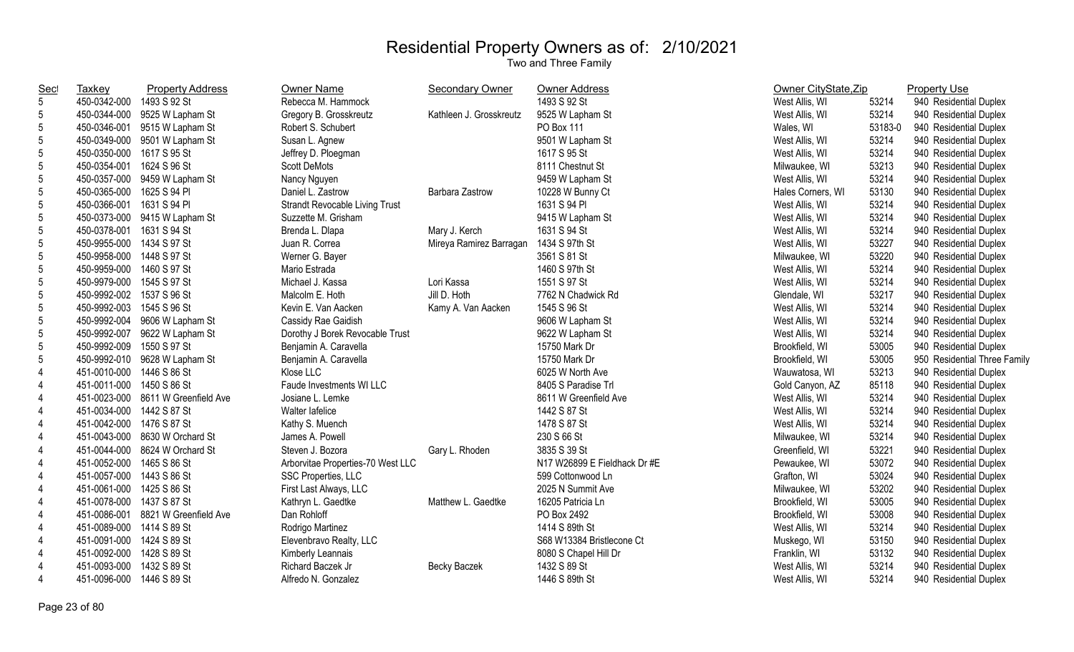| Sec             | <b>Taxkey</b>             | <b>Property Address</b>            | <b>Owner Name</b>                 | <b>Secondary Owner</b>  | <b>Owner Address</b>         | Owner CityState, Zip |         | <b>Property Use</b>          |
|-----------------|---------------------------|------------------------------------|-----------------------------------|-------------------------|------------------------------|----------------------|---------|------------------------------|
| 5               | 450-0342-000              | 1493 S 92 St                       | Rebecca M. Hammock                |                         | 1493 S 92 St                 | West Allis, WI       | 53214   | 940 Residential Duplex       |
| 5               |                           | 450-0344-000 9525 W Lapham St      | Gregory B. Grosskreutz            | Kathleen J. Grosskreutz | 9525 W Lapham St             | West Allis, WI       | 53214   | 940 Residential Duplex       |
| 5               | 450-0346-001              | 9515 W Lapham St                   | Robert S. Schubert                |                         | PO Box 111                   | Wales, WI            | 53183-0 | 940 Residential Duplex       |
| 5               |                           | 450-0349-000 9501 W Lapham St      | Susan L. Agnew                    |                         | 9501 W Lapham St             | West Allis, WI       | 53214   | 940 Residential Duplex       |
| $\overline{5}$  | 450-0350-000 1617 S 95 St |                                    | Jeffrey D. Ploegman               |                         | 1617 S 95 St                 | West Allis, WI       | 53214   | 940 Residential Duplex       |
| 5               | 450-0354-001 1624 S 96 St |                                    | <b>Scott DeMots</b>               |                         | 8111 Chestnut St             | Milwaukee, WI        | 53213   | 940 Residential Duplex       |
| 5               |                           | 450-0357-000 9459 W Lapham St      | Nancy Nguyen                      |                         | 9459 W Lapham St             | West Allis, WI       | 53214   | 940 Residential Duplex       |
| 5               | 450-0365-000 1625 S 94 PI |                                    | Daniel L. Zastrow                 | Barbara Zastrow         | 10228 W Bunny Ct             | Hales Corners, WI    | 53130   | 940 Residential Duplex       |
| 5               | 450-0366-001              | 1631 S 94 PI                       | Strandt Revocable Living Trust    |                         | 1631 S 94 PI                 | West Allis, WI       | 53214   | 940 Residential Duplex       |
| 5               |                           | 450-0373-000 9415 W Lapham St      | Suzzette M. Grisham               |                         | 9415 W Lapham St             | West Allis, WI       | 53214   | 940 Residential Duplex       |
| 5               | 450-0378-001              | 1631 S 94 St                       | Brenda L. Dlapa                   | Mary J. Kerch           | 1631 S 94 St                 | West Allis, WI       | 53214   | 940 Residential Duplex       |
| 5               | 450-9955-000 1434 S 97 St |                                    | Juan R. Correa                    | Mireya Ramirez Barragan | 1434 S 97th St               | West Allis, WI       | 53227   | 940 Residential Duplex       |
| $5\phantom{.0}$ | 450-9958-000 1448 S 97 St |                                    | Werner G. Bayer                   |                         | 3561 S 81 St                 | Milwaukee, WI        | 53220   | 940 Residential Duplex       |
| 5               | 450-9959-000 1460 S 97 St |                                    | Mario Estrada                     |                         | 1460 S 97th St               | West Allis, WI       | 53214   | 940 Residential Duplex       |
| 5               | 450-9979-000 1545 S 97 St |                                    | Michael J. Kassa                  | Lori Kassa              | 1551 S 97 St                 | West Allis, WI       | 53214   | 940 Residential Duplex       |
| 5               | 450-9992-002 1537 S 96 St |                                    | Malcolm E. Hoth                   | Jill D. Hoth            | 7762 N Chadwick Rd           | Glendale, WI         | 53217   | 940 Residential Duplex       |
| 5               | 450-9992-003 1545 S 96 St |                                    | Kevin E. Van Aacken               | Kamy A. Van Aacken      | 1545 S 96 St                 | West Allis, WI       | 53214   | 940 Residential Duplex       |
| 5               |                           | 450-9992-004 9606 W Lapham St      | Cassidy Rae Gaidish               |                         | 9606 W Lapham St             | West Allis, WI       | 53214   | 940 Residential Duplex       |
| $5\overline{)}$ |                           | 450-9992-007 9622 W Lapham St      | Dorothy J Borek Revocable Trust   |                         | 9622 W Lapham St             | West Allis, WI       | 53214   | 940 Residential Duplex       |
| 5               | 450-9992-009 1550 S 97 St |                                    | Benjamin A. Caravella             |                         | 15750 Mark Dr                | Brookfield, WI       | 53005   | 940 Residential Duplex       |
| 5               |                           | 450-9992-010 9628 W Lapham St      | Benjamin A. Caravella             |                         | 15750 Mark Dr                | Brookfield, WI       | 53005   | 950 Residential Three Family |
| $\overline{4}$  | 451-0010-000 1446 S 86 St |                                    | Klose LLC                         |                         | 6025 W North Ave             | Wauwatosa, WI        | 53213   | 940 Residential Duplex       |
| 4               | 451-0011-000 1450 S 86 St |                                    | Faude Investments WI LLC          |                         | 8405 S Paradise Trl          | Gold Canyon, AZ      | 85118   | 940 Residential Duplex       |
|                 |                           | 451-0023-000 8611 W Greenfield Ave | Josiane L. Lemke                  |                         | 8611 W Greenfield Ave        | West Allis, WI       | 53214   | 940 Residential Duplex       |
|                 | 451-0034-000 1442 S 87 St |                                    | Walter lafelice                   |                         | 1442 S 87 St                 | West Allis, WI       | 53214   | 940 Residential Duplex       |
|                 | 451-0042-000 1476 S 87 St |                                    | Kathy S. Muench                   |                         | 1478 S 87 St                 | West Allis, WI       | 53214   | 940 Residential Duplex       |
| $\overline{4}$  |                           | 451-0043-000 8630 W Orchard St     | James A. Powell                   |                         | 230 S 66 St                  | Milwaukee, WI        | 53214   | 940 Residential Duplex       |
|                 |                           | 451-0044-000 8624 W Orchard St     | Steven J. Bozora                  | Gary L. Rhoden          | 3835 S 39 St                 | Greenfield, WI       | 53221   | 940 Residential Duplex       |
| 4               | 451-0052-000 1465 S 86 St |                                    | Arborvitae Properties-70 West LLC |                         | N17 W26899 E Fieldhack Dr #E | Pewaukee, WI         | 53072   | 940 Residential Duplex       |
| 4               | 451-0057-000 1443 S 86 St |                                    | SSC Properties, LLC               |                         | 599 Cottonwood Ln            | Grafton, WI          | 53024   | 940 Residential Duplex       |
| 4               | 451-0061-000 1425 S 86 St |                                    | First Last Always, LLC            |                         | 2025 N Summit Ave            | Milwaukee, WI        | 53202   | 940 Residential Duplex       |
|                 | 451-0078-000 1437 S 87 St |                                    | Kathryn L. Gaedtke                | Matthew L. Gaedtke      | 16205 Patricia Ln            | Brookfield, WI       | 53005   | 940 Residential Duplex       |
| $\overline{4}$  |                           | 451-0086-001 8821 W Greenfield Ave | Dan Rohloff                       |                         | PO Box 2492                  | Brookfield, WI       | 53008   | 940 Residential Duplex       |
|                 | 451-0089-000 1414 S 89 St |                                    | Rodrigo Martinez                  |                         | 1414 S 89th St               | West Allis, WI       | 53214   | 940 Residential Duplex       |
| 4               | 451-0091-000 1424 S 89 St |                                    | Elevenbravo Realty, LLC           |                         | S68 W13384 Bristlecone Ct    | Muskego, WI          | 53150   | 940 Residential Duplex       |
| 4               | 451-0092-000 1428 S 89 St |                                    | Kimberly Leannais                 |                         | 8080 S Chapel Hill Dr        | Franklin, WI         | 53132   | 940 Residential Duplex       |
| 4               | 451-0093-000 1432 S 89 St |                                    | Richard Baczek Jr                 | <b>Becky Baczek</b>     | 1432 S 89 St                 | West Allis, WI       | 53214   | 940 Residential Duplex       |
| $\overline{4}$  | 451-0096-000 1446 S 89 St |                                    | Alfredo N. Gonzalez               |                         | 1446 S 89th St               | West Allis, WI       | 53214   | 940 Residential Duplex       |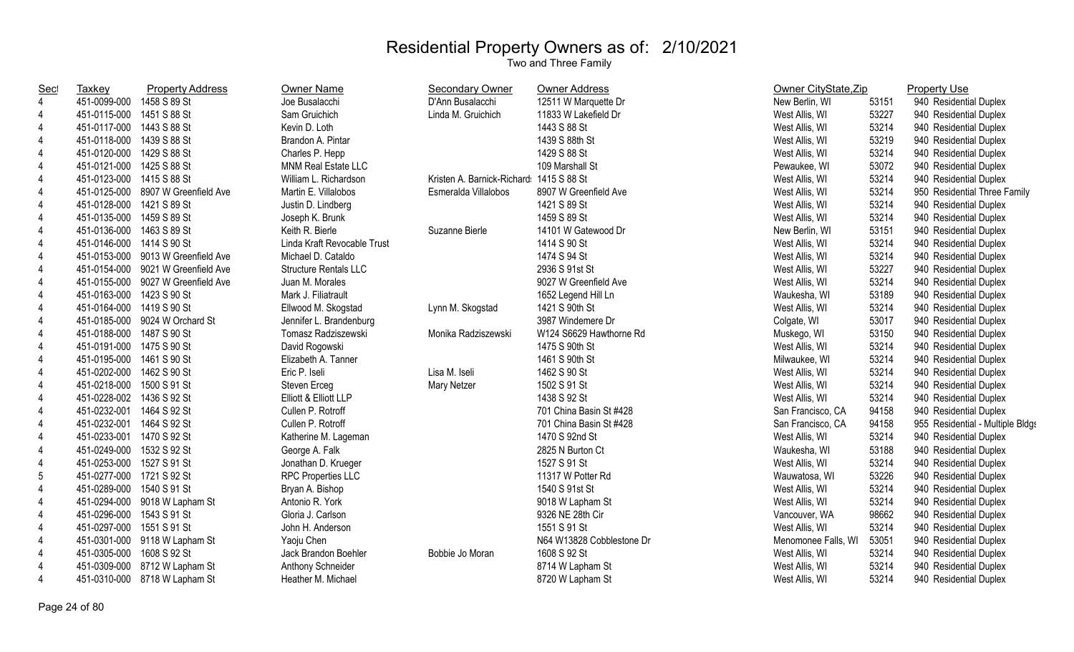| <u>Sec</u>     | <b>Taxkey</b>             | <b>Property Address</b>            | <b>Owner Name</b>            | <b>Secondary Owner</b>     | <b>Owner Address</b>      | Owner CityState, Zip |       | <b>Property Use</b>              |
|----------------|---------------------------|------------------------------------|------------------------------|----------------------------|---------------------------|----------------------|-------|----------------------------------|
| $\overline{4}$ | 451-0099-000 1458 S 89 St |                                    | Joe Busalacchi               | D'Ann Busalacchi           | 12511 W Marquette Dr      | New Berlin, WI       | 53151 | 940 Residential Duplex           |
| $\overline{4}$ | 451-0115-000 1451 S 88 St |                                    | Sam Gruichich                | Linda M. Gruichich         | 11833 W Lakefield Dr      | West Allis, WI       | 53227 | 940 Residential Duplex           |
| 4              | 451-0117-000 1443 S 88 St |                                    | Kevin D. Loth                |                            | 1443 S 88 St              | West Allis, WI       | 53214 | 940 Residential Duplex           |
| 4              | 451-0118-000 1439 S 88 St |                                    | Brandon A. Pintar            |                            | 1439 S 88th St            | West Allis, WI       | 53219 | 940 Residential Duplex           |
| 4              | 451-0120-000 1429 S 88 St |                                    | Charles P. Hepp              |                            | 1429 S 88 St              | West Allis, WI       | 53214 | 940 Residential Duplex           |
| 4              | 451-0121-000 1425 S 88 St |                                    | MNM Real Estate LLC          |                            | 109 Marshall St           | Pewaukee, WI         | 53072 | 940 Residential Duplex           |
| 4              | 451-0123-000 1415 S 88 St |                                    | William L. Richardson        | Kristen A. Barnick-Richard | 1415 S 88 St              | West Allis, WI       | 53214 | 940 Residential Duplex           |
| 4              |                           | 451-0125-000 8907 W Greenfield Ave | Martin E. Villalobos         | Esmeralda Villalobos       | 8907 W Greenfield Ave     | West Allis, WI       | 53214 | 950 Residential Three Family     |
| $\overline{4}$ | 451-0128-000 1421 S 89 St |                                    | Justin D. Lindberg           |                            | 1421 S 89 St              | West Allis, WI       | 53214 | 940 Residential Duplex           |
| $\overline{4}$ | 451-0135-000 1459 S 89 St |                                    | Joseph K. Brunk              |                            | 1459 S 89 St              | West Allis, WI       | 53214 | 940 Residential Duplex           |
| 4              | 451-0136-000 1463 S 89 St |                                    | Keith R. Bierle              | Suzanne Bierle             | 14101 W Gatewood Dr       | New Berlin, WI       | 53151 | 940 Residential Duplex           |
| $\overline{4}$ | 451-0146-000 1414 S 90 St |                                    | Linda Kraft Revocable Trust  |                            | 1414 S 90 St              | West Allis, WI       | 53214 | 940 Residential Duplex           |
| 4              |                           | 451-0153-000 9013 W Greenfield Ave | Michael D. Cataldo           |                            | 1474 S 94 St              | West Allis, WI       | 53214 | 940 Residential Duplex           |
| 4              |                           | 451-0154-000 9021 W Greenfield Ave | <b>Structure Rentals LLC</b> |                            | 2936 S 91st St            | West Allis, WI       | 53227 | 940 Residential Duplex           |
| 4              |                           | 451-0155-000 9027 W Greenfield Ave | Juan M. Morales              |                            | 9027 W Greenfield Ave     | West Allis, WI       | 53214 | 940 Residential Duplex           |
| $\overline{4}$ | 451-0163-000 1423 S 90 St |                                    | Mark J. Filiatrault          |                            | 1652 Legend Hill Ln       | Waukesha, WI         | 53189 | 940 Residential Duplex           |
| $\overline{4}$ | 451-0164-000 1419 S 90 St |                                    | Ellwood M. Skogstad          | Lynn M. Skogstad           | 1421 S 90th St            | West Allis, WI       | 53214 | 940 Residential Duplex           |
| 4              |                           | 451-0185-000 9024 W Orchard St     | Jennifer L. Brandenburg      |                            | 3987 Windemere Dr         | Colgate, WI          | 53017 | 940 Residential Duplex           |
| 4              | 451-0188-000 1487 S 90 St |                                    | Tomasz Radziszewski          | Monika Radziszewski        | W124 S6629 Hawthorne Rd   | Muskego, WI          | 53150 | 940 Residential Duplex           |
| $\overline{4}$ | 451-0191-000 1475 S 90 St |                                    | David Rogowski               |                            | 1475 S 90th St            | West Allis, WI       | 53214 | 940 Residential Duplex           |
| 4              | 451-0195-000 1461 S 90 St |                                    | Elizabeth A. Tanner          |                            | 1461 S 90th St            | Milwaukee, WI        | 53214 | 940 Residential Duplex           |
| 4              | 451-0202-000 1462 S 90 St |                                    | Eric P. Iseli                | Lisa M. Iseli              | 1462 S 90 St              | West Allis, WI       | 53214 | 940 Residential Duplex           |
| $\overline{4}$ | 451-0218-000 1500 S 91 St |                                    | Steven Erceg                 | Mary Netzer                | 1502 S 91 St              | West Allis, WI       | 53214 | 940 Residential Duplex           |
| $\overline{4}$ | 451-0228-002 1436 S 92 St |                                    | Elliott & Elliott LLP        |                            | 1438 S 92 St              | West Allis, WI       | 53214 | 940 Residential Duplex           |
| $\overline{4}$ | 451-0232-001 1464 S 92 St |                                    | Cullen P. Rotroff            |                            | 701 China Basin St #428   | San Francisco, CA    | 94158 | 940 Residential Duplex           |
| 4              | 451-0232-001 1464 S 92 St |                                    | Cullen P. Rotroff            |                            | 701 China Basin St #428   | San Francisco, CA    | 94158 | 955 Residential - Multiple Bldgs |
| $\overline{4}$ | 451-0233-001 1470 S 92 St |                                    | Katherine M. Lageman         |                            | 1470 S 92nd St            | West Allis, WI       | 53214 | 940 Residential Duplex           |
| 4              | 451-0249-000 1532 S 92 St |                                    | George A. Falk               |                            | 2825 N Burton Ct          | Waukesha, WI         | 53188 | 940 Residential Duplex           |
| 4              | 451-0253-000 1527 S 91 St |                                    | Jonathan D. Krueger          |                            | 1527 S 91 St              | West Allis, WI       | 53214 | 940 Residential Duplex           |
| 5              | 451-0277-000 1721 S 92 St |                                    | <b>RPC Properties LLC</b>    |                            | 11317 W Potter Rd         | Wauwatosa, WI        | 53226 | 940 Residential Duplex           |
| $\overline{4}$ | 451-0289-000 1540 S 91 St |                                    | Bryan A. Bishop              |                            | 1540 S 91st St            | West Allis, WI       | 53214 | 940 Residential Duplex           |
| 4              |                           | 451-0294-000 9018 W Lapham St      | Antonio R. York              |                            | 9018 W Lapham St          | West Allis, WI       | 53214 | 940 Residential Duplex           |
| 4              | 451-0296-000 1543 S 91 St |                                    | Gloria J. Carlson            |                            | 9326 NE 28th Cir          | Vancouver, WA        | 98662 | 940 Residential Duplex           |
| 4              | 451-0297-000 1551 S 91 St |                                    | John H. Anderson             |                            | 1551 S 91 St              | West Allis, WI       | 53214 | 940 Residential Duplex           |
| 4              |                           | 451-0301-000 9118 W Lapham St      | Yaoju Chen                   |                            | N64 W13828 Cobblestone Dr | Menomonee Falls, WI  | 53051 | 940 Residential Duplex           |
| 4              | 451-0305-000 1608 S 92 St |                                    | Jack Brandon Boehler         | Bobbie Jo Moran            | 1608 S 92 St              | West Allis, WI       | 53214 | 940 Residential Duplex           |
| 4              |                           | 451-0309-000 8712 W Lapham St      | Anthony Schneider            |                            | 8714 W Lapham St          | West Allis, WI       | 53214 | 940 Residential Duplex           |
| $\overline{4}$ |                           | 451-0310-000 8718 W Lapham St      | Heather M. Michael           |                            | 8720 W Lapham St          | West Allis, WI       | 53214 | 940 Residential Duplex           |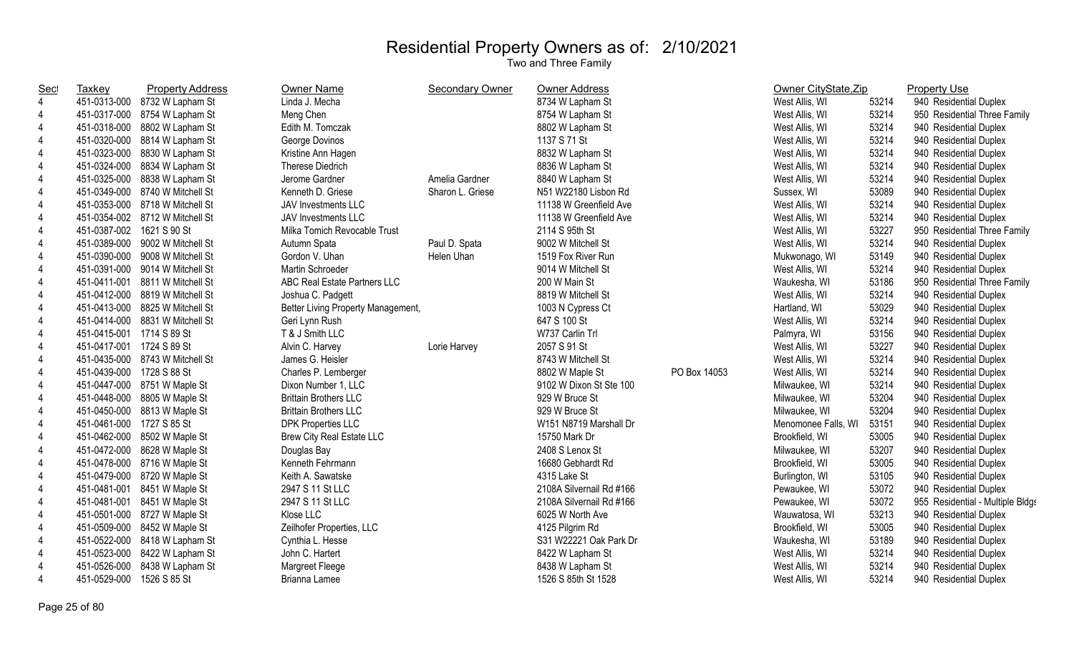| Sec            | Taxkey                    | <b>Property Address</b>         | <b>Owner Name</b>                  | <b>Secondary Owner</b> | <b>Owner Address</b>     |              | Owner CityState, Zip |       | <b>Property Use</b>              |
|----------------|---------------------------|---------------------------------|------------------------------------|------------------------|--------------------------|--------------|----------------------|-------|----------------------------------|
| $\overline{4}$ | 451-0313-000              | 8732 W Lapham St                | Linda J. Mecha                     |                        | 8734 W Lapham St         |              | West Allis, WI       | 53214 | 940 Residential Duplex           |
| $\overline{4}$ | 451-0317-000              | 8754 W Lapham St                | Meng Chen                          |                        | 8754 W Lapham St         |              | West Allis, WI       | 53214 | 950 Residential Three Family     |
| $\overline{4}$ | 451-0318-000              | 8802 W Lapham St                | Edith M. Tomczak                   |                        | 8802 W Lapham St         |              | West Allis, WI       | 53214 | 940 Residential Duplex           |
| 4              | 451-0320-000              | 8814 W Lapham St                | George Dovinos                     |                        | 1137 S 71 St             |              | West Allis, WI       | 53214 | 940 Residential Duplex           |
| $\overline{4}$ | 451-0323-000              | 8830 W Lapham St                | Kristine Ann Hagen                 |                        | 8832 W Lapham St         |              | West Allis, WI       | 53214 | 940 Residential Duplex           |
| 4              | 451-0324-000              | 8834 W Lapham St                | Therese Diedrich                   |                        | 8836 W Lapham St         |              | West Allis, WI       | 53214 | 940 Residential Duplex           |
| 4              | 451-0325-000              | 8838 W Lapham St                | Jerome Gardner                     | Amelia Gardner         | 8840 W Lapham St         |              | West Allis, WI       | 53214 | 940 Residential Duplex           |
| $\overline{4}$ |                           | 451-0349-000 8740 W Mitchell St | Kenneth D. Griese                  | Sharon L. Griese       | N51 W22180 Lisbon Rd     |              | Sussex, WI           | 53089 | 940 Residential Duplex           |
| 4              |                           | 451-0353-000 8718 W Mitchell St | <b>JAV Investments LLC</b>         |                        | 11138 W Greenfield Ave   |              | West Allis, WI       | 53214 | 940 Residential Duplex           |
| $\overline{4}$ |                           | 451-0354-002 8712 W Mitchell St | <b>JAV Investments LLC</b>         |                        | 11138 W Greenfield Ave   |              | West Allis, WI       | 53214 | 940 Residential Duplex           |
| $\overline{4}$ | 451-0387-002 1621 S 90 St |                                 | Milka Tomich Revocable Trust       |                        | 2114 S 95th St           |              | West Allis, WI       | 53227 | 950 Residential Three Family     |
| 4              | 451-0389-000              | 9002 W Mitchell St              | Autumn Spata                       | Paul D. Spata          | 9002 W Mitchell St       |              | West Allis, WI       | 53214 | 940 Residential Duplex           |
| 4              | 451-0390-000              | 9008 W Mitchell St              | Gordon V. Uhan                     | Helen Uhan             | 1519 Fox River Run       |              | Mukwonago, WI        | 53149 | 940 Residential Duplex           |
| 4              | 451-0391-000              | 9014 W Mitchell St              | Martin Schroeder                   |                        | 9014 W Mitchell St       |              | West Allis, WI       | 53214 | 940 Residential Duplex           |
| 4              | 451-0411-001              | 8811 W Mitchell St              | ABC Real Estate Partners LLC       |                        | 200 W Main St            |              | Waukesha, WI         | 53186 | 950 Residential Three Family     |
| 4              | 451-0412-000              | 8819 W Mitchell St              | Joshua C. Padgett                  |                        | 8819 W Mitchell St       |              | West Allis, WI       | 53214 | 940 Residential Duplex           |
| 4              | 451-0413-000              | 8825 W Mitchell St              | Better Living Property Management, |                        | 1003 N Cypress Ct        |              | Hartland, WI         | 53029 | 940 Residential Duplex           |
| 4              | 451-0414-000              | 8831 W Mitchell St              | Geri Lynn Rush                     |                        | 647 S 100 St             |              | West Allis, WI       | 53214 | 940 Residential Duplex           |
| 4              | 451-0415-001 1714 S 89 St |                                 | T & J Smith LLC                    |                        | W737 Carlin Trl          |              | Palmyra, WI          | 53156 | 940 Residential Duplex           |
| 4              | 451-0417-001              | 1724 S 89 St                    | Alvin C. Harvey                    | Lorie Harvey           | 2057 S 91 St             |              | West Allis, WI       | 53227 | 940 Residential Duplex           |
| 4              |                           | 451-0435-000 8743 W Mitchell St | James G. Heisler                   |                        | 8743 W Mitchell St       |              | West Allis, WI       | 53214 | 940 Residential Duplex           |
| $\overline{4}$ | 451-0439-000              | 1728 S 88 St                    | Charles P. Lemberger               |                        | 8802 W Maple St          | PO Box 14053 | West Allis, WI       | 53214 | 940 Residential Duplex           |
| $\overline{4}$ | 451-0447-000              | 8751 W Maple St                 | Dixon Number 1, LLC                |                        | 9102 W Dixon St Ste 100  |              | Milwaukee, WI        | 53214 | 940 Residential Duplex           |
| $\overline{4}$ | 451-0448-000              | 8805 W Maple St                 | <b>Brittain Brothers LLC</b>       |                        | 929 W Bruce St           |              | Milwaukee, WI        | 53204 | 940 Residential Duplex           |
| $\overline{4}$ | 451-0450-000              | 8813 W Maple St                 | <b>Brittain Brothers LLC</b>       |                        | 929 W Bruce St           |              | Milwaukee, WI        | 53204 | 940 Residential Duplex           |
| $\overline{4}$ | 451-0461-000 1727 S 85 St |                                 | <b>DPK Properties LLC</b>          |                        | W151 N8719 Marshall Dr   |              | Menomonee Falls, WI  | 53151 | 940 Residential Duplex           |
| $\overline{4}$ | 451-0462-000              | 8502 W Maple St                 | <b>Brew City Real Estate LLC</b>   |                        | 15750 Mark Dr            |              | Brookfield, WI       | 53005 | 940 Residential Duplex           |
| $\overline{4}$ | 451-0472-000              | 8628 W Maple St                 | Douglas Bay                        |                        | 2408 S Lenox St          |              | Milwaukee, WI        | 53207 | 940 Residential Duplex           |
| $\overline{4}$ |                           | 451-0478-000 8716 W Maple St    | Kenneth Fehrmann                   |                        | 16680 Gebhardt Rd        |              | Brookfield, WI       | 53005 | 940 Residential Duplex           |
| 4              | 451-0479-000              | 8720 W Maple St                 | Keith A. Sawatske                  |                        | 4315 Lake St             |              | Burlington, WI       | 53105 | 940 Residential Duplex           |
| 4              | 451-0481-001              | 8451 W Maple St                 | 2947 S 11 St LLC                   |                        | 2108A Silvernail Rd #166 |              | Pewaukee, WI         | 53072 | 940 Residential Duplex           |
| 4              | 451-0481-001              | 8451 W Maple St                 | 2947 S 11 St LLC                   |                        | 2108A Silvernail Rd #166 |              | Pewaukee, WI         | 53072 | 955 Residential - Multiple Bldgs |
| 4              | 451-0501-000              | 8727 W Maple St                 | Klose LLC                          |                        | 6025 W North Ave         |              | Wauwatosa, WI        | 53213 | 940 Residential Duplex           |
| 4              |                           | 451-0509-000 8452 W Maple St    | Zeilhofer Properties, LLC          |                        | 4125 Pilgrim Rd          |              | Brookfield, WI       | 53005 | 940 Residential Duplex           |
| 4              | 451-0522-000              | 8418 W Lapham St                | Cynthia L. Hesse                   |                        | S31 W22221 Oak Park Dr   |              | Waukesha, WI         | 53189 | 940 Residential Duplex           |
| 4              | 451-0523-000              | 8422 W Lapham St                | John C. Hartert                    |                        | 8422 W Lapham St         |              | West Allis, WI       | 53214 | 940 Residential Duplex           |
| 4              | 451-0526-000              | 8438 W Lapham St                | <b>Margreet Fleege</b>             |                        | 8438 W Lapham St         |              | West Allis, WI       | 53214 | 940 Residential Duplex           |
| $\overline{4}$ | 451-0529-000              | 1526 S 85 St                    | Brianna Lamee                      |                        | 1526 S 85th St 1528      |              | West Allis, WI       | 53214 | 940 Residential Duplex           |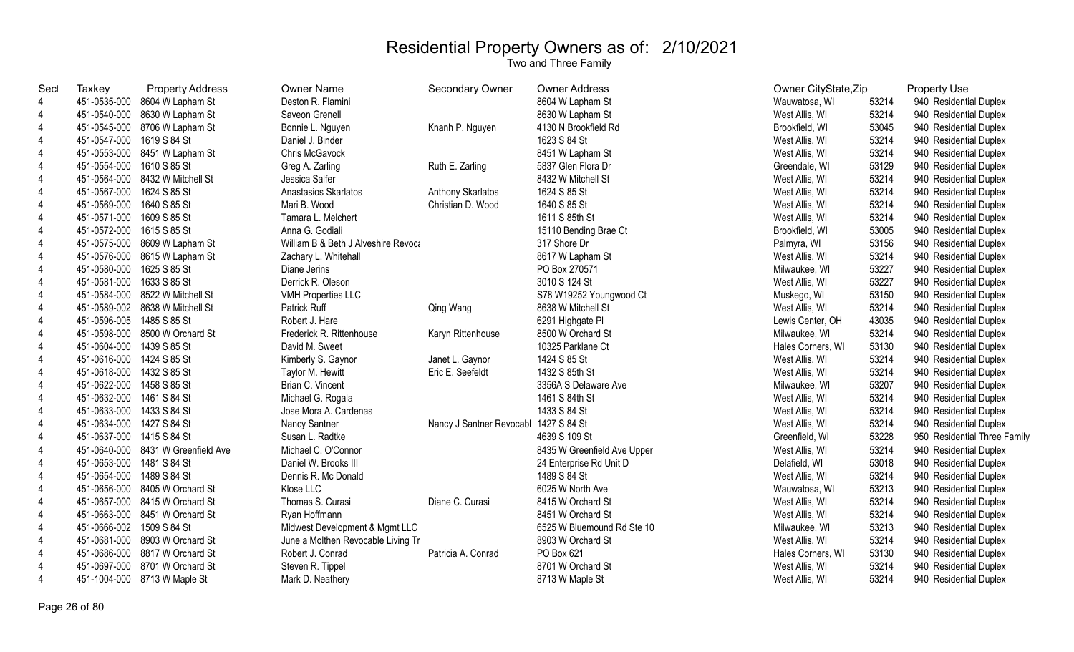| Sec            | Taxkey                    | <b>Property Address</b>            | Owner Name                          | <b>Secondary Owner</b>                | Owner Address               | Owner CityState, Zip |       | <b>Property Use</b>          |
|----------------|---------------------------|------------------------------------|-------------------------------------|---------------------------------------|-----------------------------|----------------------|-------|------------------------------|
| $\overline{4}$ | 451-0535-000              | 8604 W Lapham St                   | Deston R. Flamini                   |                                       | 8604 W Lapham St            | Wauwatosa, WI        | 53214 | 940 Residential Duplex       |
| 4              |                           | 451-0540-000 8630 W Lapham St      | Saveon Grenell                      |                                       | 8630 W Lapham St            | West Allis, WI       | 53214 | 940 Residential Duplex       |
| 4              |                           | 451-0545-000 8706 W Lapham St      | Bonnie L. Nguyen                    | Knanh P. Nguyen                       | 4130 N Brookfield Rd        | Brookfield, WI       | 53045 | 940 Residential Duplex       |
| 4              | 451-0547-000 1619 S 84 St |                                    | Daniel J. Binder                    |                                       | 1623 S 84 St                | West Allis, WI       | 53214 | 940 Residential Duplex       |
| $\overline{4}$ |                           | 451-0553-000 8451 W Lapham St      | Chris McGavock                      |                                       | 8451 W Lapham St            | West Allis, WI       | 53214 | 940 Residential Duplex       |
| 4              | 451-0554-000              | 1610 S 85 St                       | Greg A. Zarling                     | Ruth E. Zarling                       | 5837 Glen Flora Dr          | Greendale, WI        | 53129 | 940 Residential Duplex       |
| 4              | 451-0564-000              | 8432 W Mitchell St                 | Jessica Salfer                      |                                       | 8432 W Mitchell St          | West Allis, WI       | 53214 | 940 Residential Duplex       |
| 4              | 451-0567-000              | 1624 S 85 St                       | Anastasios Skarlatos                | Anthony Skarlatos                     | 1624 S 85 St                | West Allis, WI       | 53214 | 940 Residential Duplex       |
| $\overline{4}$ | 451-0569-000              | 1640 S 85 St                       | Mari B. Wood                        | Christian D. Wood                     | 1640 S 85 St                | West Allis, WI       | 53214 | 940 Residential Duplex       |
| 4              | 451-0571-000              | 1609 S 85 St                       | Tamara L. Melchert                  |                                       | 1611 S 85th St              | West Allis, WI       | 53214 | 940 Residential Duplex       |
| 4              | 451-0572-000              | 1615 S 85 St                       | Anna G. Godiali                     |                                       | 15110 Bending Brae Ct       | Brookfield, WI       | 53005 | 940 Residential Duplex       |
| $\overline{4}$ |                           | 451-0575-000 8609 W Lapham St      | William B & Beth J Alveshire Revoca |                                       | 317 Shore Dr                | Palmyra, WI          | 53156 | 940 Residential Duplex       |
| 4              |                           | 451-0576-000 8615 W Lapham St      | Zachary L. Whitehall                |                                       | 8617 W Lapham St            | West Allis, WI       | 53214 | 940 Residential Duplex       |
| 4              | 451-0580-000 1625 S 85 St |                                    | Diane Jerins                        |                                       | PO Box 270571               | Milwaukee, WI        | 53227 | 940 Residential Duplex       |
| 4              | 451-0581-000 1633 S 85 St |                                    | Derrick R. Oleson                   |                                       | 3010 S 124 St               | West Allis, WI       | 53227 | 940 Residential Duplex       |
| $\overline{4}$ |                           | 451-0584-000 8522 W Mitchell St    | <b>VMH Properties LLC</b>           |                                       | S78 W19252 Youngwood Ct     | Muskego, WI          | 53150 | 940 Residential Duplex       |
| $\overline{4}$ |                           | 451-0589-002 8638 W Mitchell St    | Patrick Ruff                        | Qing Wang                             | 8638 W Mitchell St          | West Allis, WI       | 53214 | 940 Residential Duplex       |
| $\overline{4}$ | 451-0596-005 1485 S 85 St |                                    | Robert J. Hare                      |                                       | 6291 Highgate PI            | Lewis Center, OH     | 43035 | 940 Residential Duplex       |
| $\overline{4}$ |                           | 451-0598-000 8500 W Orchard St     | Frederick R. Rittenhouse            | Karyn Rittenhouse                     | 8500 W Orchard St           | Milwaukee, WI        | 53214 | 940 Residential Duplex       |
| $\overline{4}$ | 451-0604-000 1439 S 85 St |                                    | David M. Sweet                      |                                       | 10325 Parklane Ct           | Hales Corners, WI    | 53130 | 940 Residential Duplex       |
| $\overline{4}$ | 451-0616-000 1424 S 85 St |                                    | Kimberly S. Gaynor                  | Janet L. Gaynor                       | 1424 S 85 St                | West Allis, WI       | 53214 | 940 Residential Duplex       |
| $\overline{4}$ | 451-0618-000 1432 S 85 St |                                    | Taylor M. Hewitt                    | Eric E. Seefeldt                      | 1432 S 85th St              | West Allis, WI       | 53214 | 940 Residential Duplex       |
|                | 451-0622-000 1458 S 85 St |                                    | Brian C. Vincent                    |                                       | 3356A S Delaware Ave        | Milwaukee, WI        | 53207 | 940 Residential Duplex       |
| $\overline{4}$ | 451-0632-000 1461 S 84 St |                                    | Michael G. Rogala                   |                                       | 1461 S 84th St              | West Allis, WI       | 53214 | 940 Residential Duplex       |
| $\overline{4}$ | 451-0633-000 1433 S 84 St |                                    | Jose Mora A. Cardenas               |                                       | 1433 S 84 St                | West Allis, WI       | 53214 | 940 Residential Duplex       |
| 4              | 451-0634-000 1427 S 84 St |                                    | Nancy Santner                       | Nancy J Santner Revocabl 1427 S 84 St |                             | West Allis, WI       | 53214 | 940 Residential Duplex       |
| 4              | 451-0637-000 1415 S 84 St |                                    | Susan L. Radtke                     |                                       | 4639 S 109 St               | Greenfield, WI       | 53228 | 950 Residential Three Family |
| 4              |                           | 451-0640-000 8431 W Greenfield Ave | Michael C. O'Connor                 |                                       | 8435 W Greenfield Ave Upper | West Allis, WI       | 53214 | 940 Residential Duplex       |
| 4              | 451-0653-000 1481 S 84 St |                                    | Daniel W. Brooks III                |                                       | 24 Enterprise Rd Unit D     | Delafield, WI        | 53018 | 940 Residential Duplex       |
| 4              | 451-0654-000 1489 S 84 St |                                    | Dennis R. Mc Donald                 |                                       | 1489 S 84 St                | West Allis, WI       | 53214 | 940 Residential Duplex       |
| $\overline{4}$ | 451-0656-000              | 8405 W Orchard St                  | Klose LLC                           |                                       | 6025 W North Ave            | Wauwatosa, WI        | 53213 | 940 Residential Duplex       |
| 4              | 451-0657-000              | 8415 W Orchard St                  | Thomas S. Curasi                    | Diane C. Curasi                       | 8415 W Orchard St           | West Allis, WI       | 53214 | 940 Residential Duplex       |
| 4              | 451-0663-000              | 8451 W Orchard St                  | Ryan Hoffmann                       |                                       | 8451 W Orchard St           | West Allis, WI       | 53214 | 940 Residential Duplex       |
| 4              | 451-0666-002              | 1509 S 84 St                       | Midwest Development & Mgmt LLC      |                                       | 6525 W Bluemound Rd Ste 10  | Milwaukee, WI        | 53213 | 940 Residential Duplex       |
| 4              |                           | 451-0681-000 8903 W Orchard St     | June a Molthen Revocable Living Tr  |                                       | 8903 W Orchard St           | West Allis, WI       | 53214 | 940 Residential Duplex       |
|                |                           | 451-0686-000 8817 W Orchard St     | Robert J. Conrad                    | Patricia A. Conrad                    | PO Box 621                  | Hales Corners, WI    | 53130 | 940 Residential Duplex       |
| 4              | 451-0697-000              | 8701 W Orchard St                  | Steven R. Tippel                    |                                       | 8701 W Orchard St           | West Allis, WI       | 53214 | 940 Residential Duplex       |
| $\overline{4}$ |                           | 451-1004-000 8713 W Maple St       | Mark D. Neathery                    |                                       | 8713 W Maple St             | West Allis, WI       | 53214 | 940 Residential Duplex       |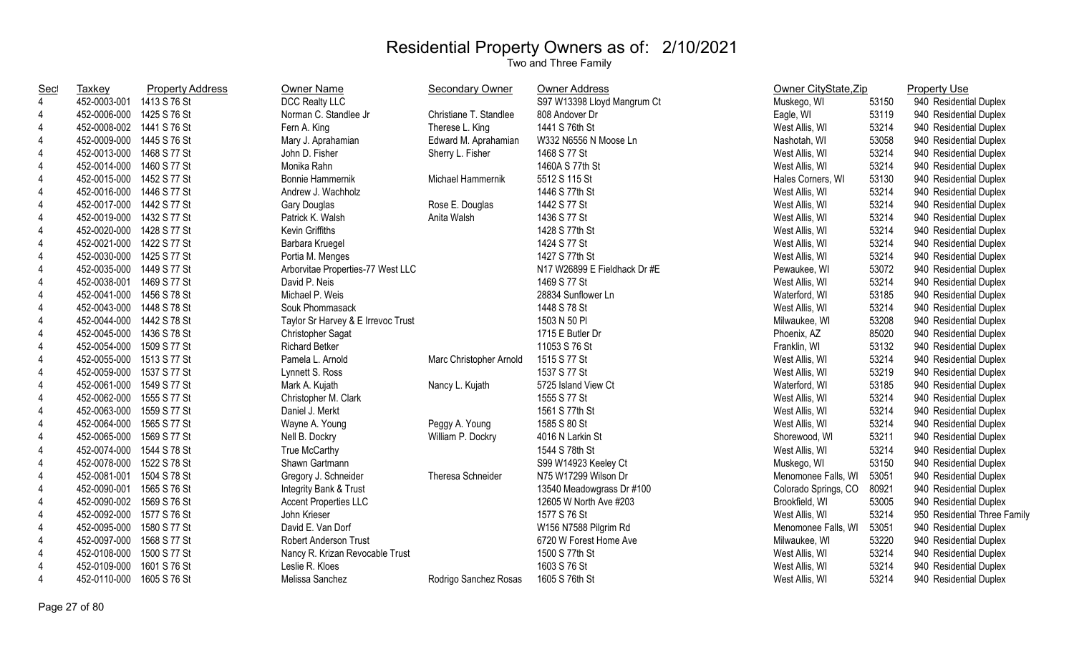| Sec            | Taxkey                    | <b>Property Address</b> | Owner Name                         | <b>Secondary Owner</b>  | <b>Owner Address</b>         | Owner CityState, Zip |       | <b>Property Use</b>          |
|----------------|---------------------------|-------------------------|------------------------------------|-------------------------|------------------------------|----------------------|-------|------------------------------|
| $\overline{4}$ | 452-0003-001 1413 S 76 St |                         | DCC Realty LLC                     |                         | S97 W13398 Lloyd Mangrum Ct  | Muskego, WI          | 53150 | 940 Residential Duplex       |
| $\overline{4}$ | 452-0006-000 1425 S 76 St |                         | Norman C. Standlee Jr              | Christiane T. Standlee  | 808 Andover Dr               | Eagle, WI            | 53119 | 940 Residential Duplex       |
| 4              | 452-0008-002 1441 S 76 St |                         | Fern A. King                       | Therese L. King         | 1441 S 76th St               | West Allis, WI       | 53214 | 940 Residential Duplex       |
| $\overline{4}$ | 452-0009-000 1445 S 76 St |                         | Mary J. Aprahamian                 | Edward M. Aprahamian    | W332 N6556 N Moose Ln        | Nashotah, WI         | 53058 | 940 Residential Duplex       |
| 4              | 452-0013-000 1468 S 77 St |                         | John D. Fisher                     | Sherry L. Fisher        | 1468 S 77 St                 | West Allis, WI       | 53214 | 940 Residential Duplex       |
| $\overline{4}$ | 452-0014-000 1460 S 77 St |                         | Monika Rahn                        |                         | 1460A S 77th St              | West Allis, WI       | 53214 | 940 Residential Duplex       |
| 4              | 452-0015-000              | 1452 S 77 St            | <b>Bonnie Hammernik</b>            | Michael Hammernik       | 5512 S 115 St                | Hales Corners, WI    | 53130 | 940 Residential Duplex       |
| 4              | 452-0016-000 1446 S 77 St |                         | Andrew J. Wachholz                 |                         | 1446 S 77th St               | West Allis, WI       | 53214 | 940 Residential Duplex       |
| $\overline{4}$ | 452-0017-000 1442 S 77 St |                         | Gary Douglas                       | Rose E. Douglas         | 1442 S 77 St                 | West Allis, WI       | 53214 | 940 Residential Duplex       |
| $\overline{4}$ | 452-0019-000 1432 S 77 St |                         | Patrick K. Walsh                   | Anita Walsh             | 1436 S 77 St                 | West Allis, WI       | 53214 | 940 Residential Duplex       |
| $\overline{4}$ | 452-0020-000 1428 S 77 St |                         | Kevin Griffiths                    |                         | 1428 S 77th St               | West Allis, WI       | 53214 | 940 Residential Duplex       |
| 4              | 452-0021-000 1422 S 77 St |                         | Barbara Kruegel                    |                         | 1424 S 77 St                 | West Allis, WI       | 53214 | 940 Residential Duplex       |
| $\overline{4}$ | 452-0030-000 1425 S 77 St |                         | Portia M. Menges                   |                         | 1427 S 77th St               | West Allis, WI       | 53214 | 940 Residential Duplex       |
| $\overline{4}$ | 452-0035-000 1449 S 77 St |                         | Arborvitae Properties-77 West LLC  |                         | N17 W26899 E Fieldhack Dr #E | Pewaukee, WI         | 53072 | 940 Residential Duplex       |
| 4              | 452-0038-001 1469 S 77 St |                         | David P. Neis                      |                         | 1469 S 77 St                 | West Allis, WI       | 53214 | 940 Residential Duplex       |
| $\overline{4}$ | 452-0041-000 1456 S 78 St |                         | Michael P. Weis                    |                         | 28834 Sunflower Ln           | Waterford, WI        | 53185 | 940 Residential Duplex       |
| 4              | 452-0043-000 1448 S 78 St |                         | Souk Phommasack                    |                         | 1448 S 78 St                 | West Allis, WI       | 53214 | 940 Residential Duplex       |
| 4              | 452-0044-000 1442 S 78 St |                         | Taylor Sr Harvey & E Irrevoc Trust |                         | 1503 N 50 PI                 | Milwaukee, WI        | 53208 | 940 Residential Duplex       |
| $\overline{4}$ | 452-0045-000 1436 S 78 St |                         | <b>Christopher Sagat</b>           |                         | 1715 E Butler Dr             | Phoenix, AZ          | 85020 | 940 Residential Duplex       |
| $\overline{4}$ | 452-0054-000 1509 S 77 St |                         | <b>Richard Betker</b>              |                         | 11053 S 76 St                | Franklin, WI         | 53132 | 940 Residential Duplex       |
| 4              | 452-0055-000 1513 S 77 St |                         | Pamela L. Arnold                   | Marc Christopher Arnold | 1515 S 77 St                 | West Allis, WI       | 53214 | 940 Residential Duplex       |
| 4              | 452-0059-000 1537 S 77 St |                         | Lynnett S. Ross                    |                         | 1537 S 77 St                 | West Allis, WI       | 53219 | 940 Residential Duplex       |
| 4              | 452-0061-000 1549 S 77 St |                         | Mark A. Kujath                     | Nancy L. Kujath         | 5725 Island View Ct          | Waterford, WI        | 53185 | 940 Residential Duplex       |
| $\overline{4}$ | 452-0062-000 1555 S 77 St |                         | Christopher M. Clark               |                         | 1555 S 77 St                 | West Allis, WI       | 53214 | 940 Residential Duplex       |
| 4              | 452-0063-000 1559 S 77 St |                         | Daniel J. Merkt                    |                         | 1561 S 77th St               | West Allis, WI       | 53214 | 940 Residential Duplex       |
| 4              | 452-0064-000 1565 S 77 St |                         | Wayne A. Young                     | Peggy A. Young          | 1585 S 80 St                 | West Allis, WI       | 53214 | 940 Residential Duplex       |
| 4              | 452-0065-000 1569 S 77 St |                         | Nell B. Dockry                     | William P. Dockry       | 4016 N Larkin St             | Shorewood, WI        | 53211 | 940 Residential Duplex       |
| 4              | 452-0074-000 1544 S 78 St |                         | True McCarthy                      |                         | 1544 S 78th St               | West Allis, WI       | 53214 | 940 Residential Duplex       |
| 4              | 452-0078-000 1522 S 78 St |                         | Shawn Gartmann                     |                         | S99 W14923 Keeley Ct         | Muskego, WI          | 53150 | 940 Residential Duplex       |
| 4              | 452-0081-001 1504 S 78 St |                         | Gregory J. Schneider               | Theresa Schneider       | N75 W17299 Wilson Dr         | Menomonee Falls, WI  | 53051 | 940 Residential Duplex       |
| 4              | 452-0090-001 1565 S 76 St |                         | Integrity Bank & Trust             |                         | 13540 Meadowgrass Dr #100    | Colorado Springs, CO | 80921 | 940 Residential Duplex       |
| 4              | 452-0090-002 1569 S 76 St |                         | <b>Accent Properties LLC</b>       |                         | 12605 W North Ave #203       | Brookfield, WI       | 53005 | 940 Residential Duplex       |
| $\overline{4}$ | 452-0092-000 1577 S 76 St |                         | John Krieser                       |                         | 1577 S 76 St                 | West Allis, WI       | 53214 | 950 Residential Three Family |
| 4              | 452-0095-000 1580 S 77 St |                         | David E. Van Dorf                  |                         | W156 N7588 Pilgrim Rd        | Menomonee Falls, WI  | 53051 | 940 Residential Duplex       |
| $\overline{4}$ | 452-0097-000              | 1568 S 77 St            | <b>Robert Anderson Trust</b>       |                         | 6720 W Forest Home Ave       | Milwaukee, WI        | 53220 | 940 Residential Duplex       |
| 4              | 452-0108-000              | 1500 S 77 St            | Nancy R. Krizan Revocable Trust    |                         | 1500 S 77th St               | West Allis, WI       | 53214 | 940 Residential Duplex       |
| 4              | 452-0109-000              | 1601 S 76 St            | Leslie R. Kloes                    |                         | 1603 S 76 St                 | West Allis, WI       | 53214 | 940 Residential Duplex       |
| 4              | 452-0110-000              | 1605 S 76 St            | Melissa Sanchez                    | Rodrigo Sanchez Rosas   | 1605 S 76th St               | West Allis, WI       | 53214 | 940 Residential Duplex       |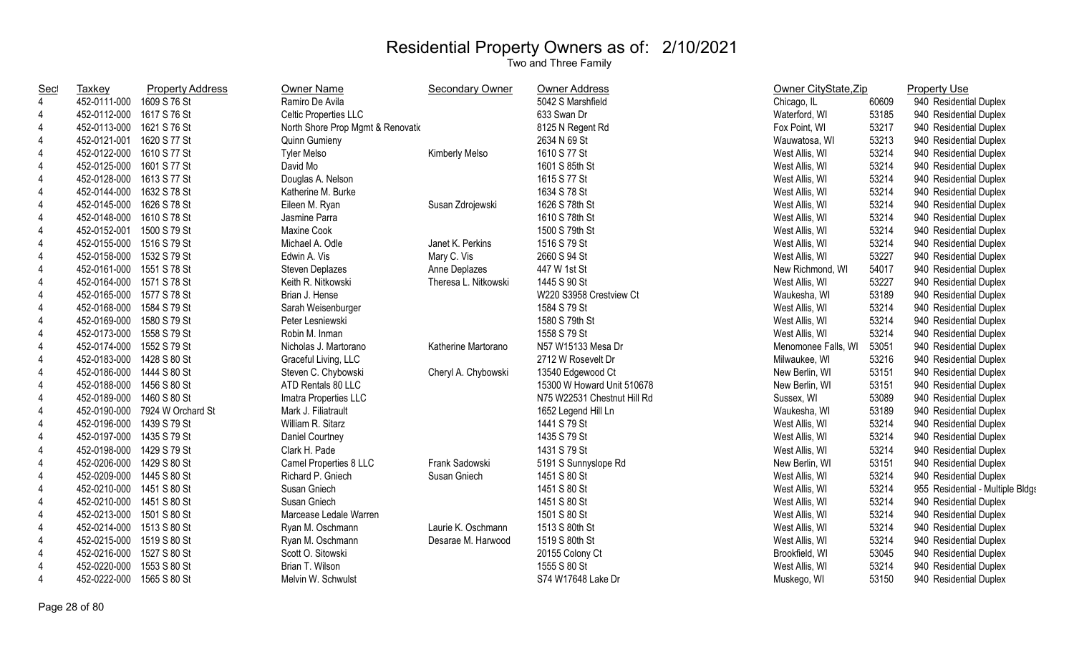| Sec            | <b>Taxkey</b>             | <b>Property Address</b>        | <b>Owner Name</b>                 | <b>Secondary Owner</b> | Owner Address               | Owner CityState, Zip |       | <b>Property Use</b>              |
|----------------|---------------------------|--------------------------------|-----------------------------------|------------------------|-----------------------------|----------------------|-------|----------------------------------|
| $\overline{4}$ | 452-0111-000              | 1609 S 76 St                   | Ramiro De Avila                   |                        | 5042 S Marshfield           | Chicago, IL          | 60609 | 940 Residential Duplex           |
| 4              | 452-0112-000 1617 S 76 St |                                | Celtic Properties LLC             |                        | 633 Swan Dr                 | Waterford, WI        | 53185 | 940 Residential Duplex           |
| 4              | 452-0113-000 1621 S 76 St |                                | North Shore Prop Mgmt & Renovatio |                        | 8125 N Regent Rd            | Fox Point, WI        | 53217 | 940 Residential Duplex           |
| 4              | 452-0121-001 1620 S 77 St |                                | <b>Quinn Gumieny</b>              |                        | 2634 N 69 St                | Wauwatosa, WI        | 53213 | 940 Residential Duplex           |
| 4              | 452-0122-000 1610 S 77 St |                                | <b>Tyler Melso</b>                | Kimberly Melso         | 1610 S 77 St                | West Allis, WI       | 53214 | 940 Residential Duplex           |
| 4              | 452-0125-000              | 1601 S 77 St                   | David Mo                          |                        | 1601 S 85th St              | West Allis, WI       | 53214 | 940 Residential Duplex           |
| 4              | 452-0128-000              | 1613 S 77 St                   | Douglas A. Nelson                 |                        | 1615 S 77 St                | West Allis, WI       | 53214 | 940 Residential Duplex           |
| 4              | 452-0144-000              | 1632 S 78 St                   | Katherine M. Burke                |                        | 1634 S 78 St                | West Allis, WI       | 53214 | 940 Residential Duplex           |
| $\overline{4}$ | 452-0145-000              | 1626 S 78 St                   | Eileen M. Ryan                    | Susan Zdrojewski       | 1626 S 78th St              | West Allis, WI       | 53214 | 940 Residential Duplex           |
| $\overline{4}$ | 452-0148-000              | 1610 S 78 St                   | Jasmine Parra                     |                        | 1610 S 78th St              | West Allis, WI       | 53214 | 940 Residential Duplex           |
| $\overline{4}$ | 452-0152-001 1500 S 79 St |                                | <b>Maxine Cook</b>                |                        | 1500 S 79th St              | West Allis, WI       | 53214 | 940 Residential Duplex           |
| $\overline{4}$ | 452-0155-000 1516 S 79 St |                                | Michael A. Odle                   | Janet K. Perkins       | 1516 S 79 St                | West Allis, WI       | 53214 | 940 Residential Duplex           |
| $\overline{4}$ | 452-0158-000              | 1532 S 79 St                   | Edwin A. Vis                      | Mary C. Vis            | 2660 S 94 St                | West Allis, WI       | 53227 | 940 Residential Duplex           |
| 4              | 452-0161-000 1551 S 78 St |                                | Steven Deplazes                   | Anne Deplazes          | 447 W 1st St                | New Richmond, WI     | 54017 | 940 Residential Duplex           |
| 4              | 452-0164-000 1571 S 78 St |                                | Keith R. Nitkowski                | Theresa L. Nitkowski   | 1445 S 90 St                | West Allis, WI       | 53227 | 940 Residential Duplex           |
| $\overline{4}$ | 452-0165-000 1577 S 78 St |                                | Brian J. Hense                    |                        | W220 S3958 Crestview Ct     | Waukesha, WI         | 53189 | 940 Residential Duplex           |
| $\overline{4}$ | 452-0168-000 1584 S 79 St |                                | Sarah Weisenburger                |                        | 1584 S 79 St                | West Allis, WI       | 53214 | 940 Residential Duplex           |
| $\overline{4}$ | 452-0169-000 1580 S 79 St |                                | Peter Lesniewski                  |                        | 1580 S 79th St              | West Allis, WI       | 53214 | 940 Residential Duplex           |
| 4              | 452-0173-000 1558 S 79 St |                                | Robin M. Inman                    |                        | 1558 S 79 St                | West Allis, WI       | 53214 | 940 Residential Duplex           |
| $\overline{4}$ | 452-0174-000 1552 S 79 St |                                | Nicholas J. Martorano             | Katherine Martorano    | N57 W15133 Mesa Dr          | Menomonee Falls, WI  | 53051 | 940 Residential Duplex           |
| 4              | 452-0183-000 1428 S 80 St |                                | Graceful Living, LLC              |                        | 2712 W Rosevelt Dr          | Milwaukee, WI        | 53216 | 940 Residential Duplex           |
| $\overline{4}$ | 452-0186-000 1444 S 80 St |                                | Steven C. Chybowski               | Cheryl A. Chybowski    | 13540 Edgewood Ct           | New Berlin, WI       | 53151 | 940 Residential Duplex           |
| $\overline{4}$ | 452-0188-000 1456 S 80 St |                                | ATD Rentals 80 LLC                |                        | 15300 W Howard Unit 510678  | New Berlin, WI       | 53151 | 940 Residential Duplex           |
| 4              | 452-0189-000 1460 S 80 St |                                | Imatra Properties LLC             |                        | N75 W22531 Chestnut Hill Rd | Sussex, WI           | 53089 | 940 Residential Duplex           |
| 4              |                           | 452-0190-000 7924 W Orchard St | Mark J. Filiatrault               |                        | 1652 Legend Hill Ln         | Waukesha, WI         | 53189 | 940 Residential Duplex           |
| 4              | 452-0196-000 1439 S 79 St |                                | William R. Sitarz                 |                        | 1441 S 79 St                | West Allis, WI       | 53214 | 940 Residential Duplex           |
| 4              | 452-0197-000 1435 S 79 St |                                | Daniel Courtney                   |                        | 1435 S 79 St                | West Allis, WI       | 53214 | 940 Residential Duplex           |
| 4              | 452-0198-000 1429 S 79 St |                                | Clark H. Pade                     |                        | 1431 S 79 St                | West Allis, WI       | 53214 | 940 Residential Duplex           |
| $\overline{4}$ | 452-0206-000 1429 S 80 St |                                | Camel Properties 8 LLC            | Frank Sadowski         | 5191 S Sunnyslope Rd        | New Berlin, WI       | 53151 | 940 Residential Duplex           |
| 4              | 452-0209-000 1445 S 80 St |                                | Richard P. Gniech                 | Susan Gniech           | 1451 S 80 St                | West Allis, WI       | 53214 | 940 Residential Duplex           |
| $\overline{4}$ | 452-0210-000 1451 S 80 St |                                | Susan Gniech                      |                        | 1451 S 80 St                | West Allis, WI       | 53214 | 955 Residential - Multiple Bldgs |
| 4              | 452-0210-000 1451 S 80 St |                                | Susan Gniech                      |                        | 1451 S 80 St                | West Allis, WI       | 53214 | 940 Residential Duplex           |
| 4              | 452-0213-000 1501 S 80 St |                                | Marcease Ledale Warren            |                        | 1501 S 80 St                | West Allis, WI       | 53214 | 940 Residential Duplex           |
| 4              | 452-0214-000 1513 S 80 St |                                | Ryan M. Oschmann                  | Laurie K. Oschmann     | 1513 S 80th St              | West Allis, WI       | 53214 | 940 Residential Duplex           |
| 4              | 452-0215-000 1519 S 80 St |                                | Ryan M. Oschmann                  | Desarae M. Harwood     | 1519 S 80th St              | West Allis, WI       | 53214 | 940 Residential Duplex           |
| $\overline{4}$ | 452-0216-000              | 1527 S 80 St                   | Scott O. Sitowski                 |                        | 20155 Colony Ct             | Brookfield, WI       | 53045 | 940 Residential Duplex           |
| 4              | 452-0220-000              | 1553 S 80 St                   | Brian T. Wilson                   |                        | 1555 S 80 St                | West Allis, WI       | 53214 | 940 Residential Duplex           |
| 4              | 452-0222-000              | 1565 S 80 St                   | Melvin W. Schwulst                |                        | S74 W17648 Lake Dr          | Muskego, WI          | 53150 | 940 Residential Duplex           |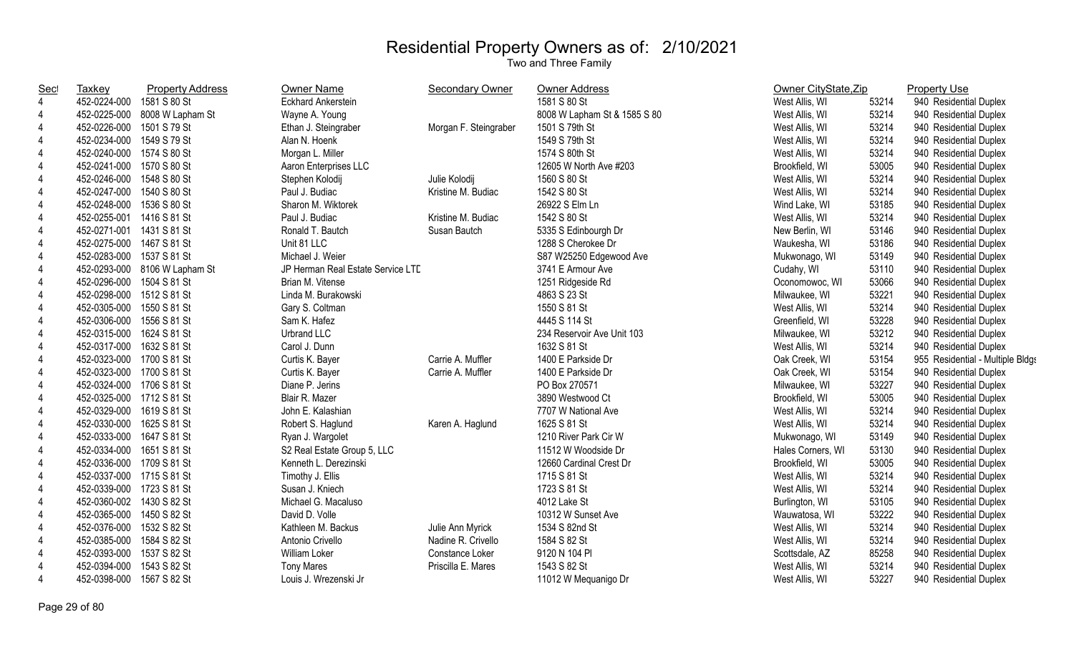| <u>Sec</u>     | <b>Taxkey</b>             | <b>Property Address</b>       | <b>Owner Name</b>                 | <b>Secondary Owner</b> | Owner Address                | Owner CityState, Zip |       | <b>Property Use</b>              |
|----------------|---------------------------|-------------------------------|-----------------------------------|------------------------|------------------------------|----------------------|-------|----------------------------------|
| $\overline{4}$ | 452-0224-000 1581 S 80 St |                               | <b>Eckhard Ankerstein</b>         |                        | 1581 S 80 St                 | West Allis, WI       | 53214 | 940 Residential Duplex           |
| $\overline{4}$ |                           | 452-0225-000 8008 W Lapham St | Wayne A. Young                    |                        | 8008 W Lapham St & 1585 S 80 | West Allis, WI       | 53214 | 940 Residential Duplex           |
| 4              | 452-0226-000 1501 S 79 St |                               | Ethan J. Steingraber              | Morgan F. Steingraber  | 1501 S 79th St               | West Allis, WI       | 53214 | 940 Residential Duplex           |
| 4              | 452-0234-000 1549 S 79 St |                               | Alan N. Hoenk                     |                        | 1549 S 79th St               | West Allis, WI       | 53214 | 940 Residential Duplex           |
| 4              | 452-0240-000 1574 S 80 St |                               | Morgan L. Miller                  |                        | 1574 S 80th St               | West Allis, WI       | 53214 | 940 Residential Duplex           |
| 4              | 452-0241-000 1570 S 80 St |                               | Aaron Enterprises LLC             |                        | 12605 W North Ave #203       | Brookfield, WI       | 53005 | 940 Residential Duplex           |
| 4              | 452-0246-000 1548 S 80 St |                               | Stephen Kolodij                   | Julie Kolodij          | 1560 S 80 St                 | West Allis, WI       | 53214 | 940 Residential Duplex           |
| $\overline{4}$ | 452-0247-000 1540 S 80 St |                               | Paul J. Budiac                    | Kristine M. Budiac     | 1542 S 80 St                 | West Allis, WI       | 53214 | 940 Residential Duplex           |
| $\overline{4}$ | 452-0248-000 1536 S 80 St |                               | Sharon M. Wiktorek                |                        | 26922 S Elm Ln               | Wind Lake, WI        | 53185 | 940 Residential Duplex           |
| $\overline{4}$ | 452-0255-001 1416 S 81 St |                               | Paul J. Budiac                    | Kristine M. Budiac     | 1542 S 80 St                 | West Allis, WI       | 53214 | 940 Residential Duplex           |
| $\overline{4}$ | 452-0271-001 1431 S 81 St |                               | Ronald T. Bautch                  | Susan Bautch           | 5335 S Edinbourgh Dr         | New Berlin, WI       | 53146 | 940 Residential Duplex           |
| $\overline{4}$ | 452-0275-000 1467 S 81 St |                               | Unit 81 LLC                       |                        | 1288 S Cherokee Dr           | Waukesha, WI         | 53186 | 940 Residential Duplex           |
| $\overline{4}$ | 452-0283-000 1537 S 81 St |                               | Michael J. Weier                  |                        | S87 W25250 Edgewood Ave      | Mukwonago, WI        | 53149 | 940 Residential Duplex           |
| $\overline{4}$ |                           | 452-0293-000 8106 W Lapham St | JP Herman Real Estate Service LTD |                        | 3741 E Armour Ave            | Cudahy, WI           | 53110 | 940 Residential Duplex           |
| 4              | 452-0296-000 1504 S 81 St |                               | Brian M. Vitense                  |                        | 1251 Ridgeside Rd            | Oconomowoc, WI       | 53066 | 940 Residential Duplex           |
| $\overline{4}$ | 452-0298-000 1512 S 81 St |                               | Linda M. Burakowski               |                        | 4863 S 23 St                 | Milwaukee, WI        | 53221 | 940 Residential Duplex           |
| 4              | 452-0305-000 1550 S 81 St |                               | Gary S. Coltman                   |                        | 1550 S 81 St                 | West Allis, WI       | 53214 | 940 Residential Duplex           |
| $\overline{4}$ | 452-0306-000 1556 S 81 St |                               | Sam K. Hafez                      |                        | 4445 S 114 St                | Greenfield, WI       | 53228 | 940 Residential Duplex           |
| 4              | 452-0315-000 1624 S 81 St |                               | Urbrand LLC                       |                        | 234 Reservoir Ave Unit 103   | Milwaukee, WI        | 53212 | 940 Residential Duplex           |
| $\overline{4}$ | 452-0317-000 1632 S 81 St |                               | Carol J. Dunn                     |                        | 1632 S 81 St                 | West Allis, WI       | 53214 | 940 Residential Duplex           |
| $\overline{4}$ | 452-0323-000 1700 S 81 St |                               | Curtis K. Bayer                   | Carrie A. Muffler      | 1400 E Parkside Dr           | Oak Creek, WI        | 53154 | 955 Residential - Multiple Bldgs |
| 4              | 452-0323-000 1700 S 81 St |                               | Curtis K. Bayer                   | Carrie A. Muffler      | 1400 E Parkside Dr           | Oak Creek, WI        | 53154 | 940 Residential Duplex           |
| $\overline{4}$ | 452-0324-000 1706 S 81 St |                               | Diane P. Jerins                   |                        | PO Box 270571                | Milwaukee, WI        | 53227 | 940 Residential Duplex           |
| $\overline{4}$ | 452-0325-000 1712 S 81 St |                               | Blair R. Mazer                    |                        | 3890 Westwood Ct             | Brookfield, WI       | 53005 | 940 Residential Duplex           |
| $\overline{4}$ | 452-0329-000 1619 S 81 St |                               | John E. Kalashian                 |                        | 7707 W National Ave          | West Allis, WI       | 53214 | 940 Residential Duplex           |
| $\overline{4}$ | 452-0330-000 1625 S 81 St |                               | Robert S. Haglund                 | Karen A. Haglund       | 1625 S 81 St                 | West Allis, WI       | 53214 | 940 Residential Duplex           |
| $\overline{4}$ | 452-0333-000 1647 S 81 St |                               | Ryan J. Wargolet                  |                        | 1210 River Park Cir W        | Mukwonago, WI        | 53149 | 940 Residential Duplex           |
| $\overline{4}$ | 452-0334-000 1651 S 81 St |                               | S2 Real Estate Group 5, LLC       |                        | 11512 W Woodside Dr          | Hales Corners, WI    | 53130 | 940 Residential Duplex           |
| $\overline{4}$ | 452-0336-000 1709 S 81 St |                               | Kenneth L. Derezinski             |                        | 12660 Cardinal Crest Dr      | Brookfield, WI       | 53005 | 940 Residential Duplex           |
| $\overline{4}$ | 452-0337-000 1715 S 81 St |                               | Timothy J. Ellis                  |                        | 1715 S 81 St                 | West Allis, WI       | 53214 | 940 Residential Duplex           |
| $\overline{4}$ | 452-0339-000 1723 S 81 St |                               | Susan J. Kniech                   |                        | 1723 S 81 St                 | West Allis, WI       | 53214 | 940 Residential Duplex           |
| 4              | 452-0360-002 1430 S 82 St |                               | Michael G. Macaluso               |                        | 4012 Lake St                 | Burlington, WI       | 53105 | 940 Residential Duplex           |
| $\overline{4}$ | 452-0365-000 1450 S 82 St |                               | David D. Volle                    |                        | 10312 W Sunset Ave           | Wauwatosa, WI        | 53222 | 940 Residential Duplex           |
| 4              | 452-0376-000 1532 S 82 St |                               | Kathleen M. Backus                | Julie Ann Myrick       | 1534 S 82nd St               | West Allis, WI       | 53214 | 940 Residential Duplex           |
| 4              | 452-0385-000 1584 S 82 St |                               | Antonio Crivello                  | Nadine R. Crivello     | 1584 S 82 St                 | West Allis, WI       | 53214 | 940 Residential Duplex           |
| 4              | 452-0393-000 1537 S 82 St |                               | William Loker                     | Constance Loker        | 9120 N 104 PI                | Scottsdale, AZ       | 85258 | 940 Residential Duplex           |
| $\overline{4}$ | 452-0394-000 1543 S 82 St |                               | <b>Tony Mares</b>                 | Priscilla E. Mares     | 1543 S 82 St                 | West Allis, WI       | 53214 | 940 Residential Duplex           |
| $\overline{4}$ | 452-0398-000 1567 S 82 St |                               | Louis J. Wrezenski Jr             |                        | 11012 W Meguanigo Dr         | West Allis, WI       | 53227 | 940 Residential Duplex           |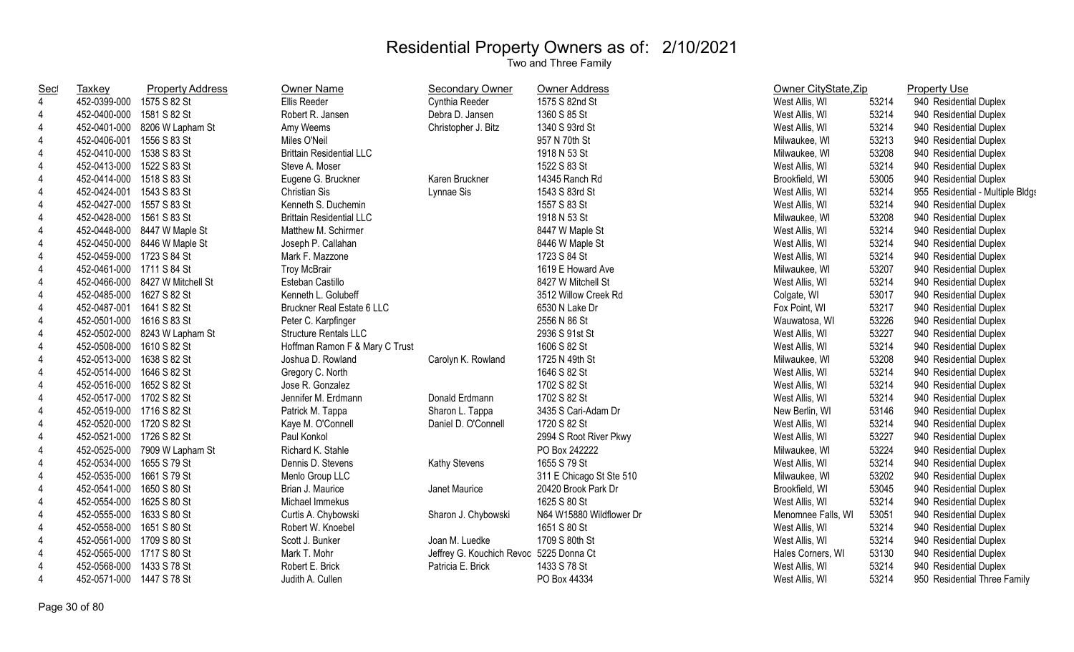| <u>Sec</u>     | <b>Taxkey</b>             | <b>Property Address</b>         | Owner Name                      | <b>Secondary Owner</b>                  | Owner Address            | Owner CityState, Zip |       | <b>Property Use</b>              |
|----------------|---------------------------|---------------------------------|---------------------------------|-----------------------------------------|--------------------------|----------------------|-------|----------------------------------|
| $\overline{4}$ | 452-0399-000 1575 S 82 St |                                 | Ellis Reeder                    | Cynthia Reeder                          | 1575 S 82nd St           | West Allis, WI       | 53214 | 940 Residential Duplex           |
| 4              | 452-0400-000 1581 S 82 St |                                 | Robert R. Jansen                | Debra D. Jansen                         | 1360 S 85 St             | West Allis, WI       | 53214 | 940 Residential Duplex           |
| 4              |                           | 452-0401-000 8206 W Lapham St   | Amy Weems                       | Christopher J. Bitz                     | 1340 S 93rd St           | West Allis, WI       | 53214 | 940 Residential Duplex           |
| 4              | 452-0406-001 1556 S 83 St |                                 | Miles O'Neil                    |                                         | 957 N 70th St            | Milwaukee, WI        | 53213 | 940 Residential Duplex           |
| 4              | 452-0410-000 1538 S 83 St |                                 | <b>Brittain Residential LLC</b> |                                         | 1918 N 53 St             | Milwaukee, WI        | 53208 | 940 Residential Duplex           |
| 4              | 452-0413-000 1522 S 83 St |                                 | Steve A. Moser                  |                                         | 1522 S 83 St             | West Allis, WI       | 53214 | 940 Residential Duplex           |
| 4              | 452-0414-000 1518 S 83 St |                                 | Eugene G. Bruckner              | Karen Bruckner                          | 14345 Ranch Rd           | Brookfield, WI       | 53005 | 940 Residential Duplex           |
| 4              | 452-0424-001 1543 S 83 St |                                 | <b>Christian Sis</b>            | Lynnae Sis                              | 1543 S 83rd St           | West Allis, WI       | 53214 | 955 Residential - Multiple Bldgs |
| $\overline{4}$ | 452-0427-000 1557 S 83 St |                                 | Kenneth S. Duchemin             |                                         | 1557 S 83 St             | West Allis, WI       | 53214 | 940 Residential Duplex           |
| $\overline{4}$ | 452-0428-000 1561 S 83 St |                                 | <b>Brittain Residential LLC</b> |                                         | 1918 N 53 St             | Milwaukee, WI        | 53208 | 940 Residential Duplex           |
| 4              |                           | 452-0448-000 8447 W Maple St    | Matthew M. Schirmer             |                                         | 8447 W Maple St          | West Allis, WI       | 53214 | 940 Residential Duplex           |
| $\overline{4}$ |                           | 452-0450-000 8446 W Maple St    | Joseph P. Callahan              |                                         | 8446 W Maple St          | West Allis, WI       | 53214 | 940 Residential Duplex           |
| 4              | 452-0459-000 1723 S 84 St |                                 | Mark F. Mazzone                 |                                         | 1723 S 84 St             | West Allis, WI       | 53214 | 940 Residential Duplex           |
| 4              | 452-0461-000 1711 S 84 St |                                 | <b>Troy McBrair</b>             |                                         | 1619 E Howard Ave        | Milwaukee, WI        | 53207 | 940 Residential Duplex           |
| 4              |                           | 452-0466-000 8427 W Mitchell St | Esteban Castillo                |                                         | 8427 W Mitchell St       | West Allis, WI       | 53214 | 940 Residential Duplex           |
| $\overline{4}$ | 452-0485-000 1627 S 82 St |                                 | Kenneth L. Golubeff             |                                         | 3512 Willow Creek Rd     | Colgate, WI          | 53017 | 940 Residential Duplex           |
| 4              | 452-0487-001 1641 S 82 St |                                 | Bruckner Real Estate 6 LLC      |                                         | 6530 N Lake Dr           | Fox Point, WI        | 53217 | 940 Residential Duplex           |
| 4              | 452-0501-000 1616 S 83 St |                                 | Peter C. Karpfinger             |                                         | 2556 N 86 St             | Wauwatosa, WI        | 53226 | 940 Residential Duplex           |
| 4              |                           | 452-0502-000 8243 W Lapham St   | <b>Structure Rentals LLC</b>    |                                         | 2936 S 91st St           | West Allis, WI       | 53227 | 940 Residential Duplex           |
| $\overline{4}$ | 452-0508-000 1610 S 82 St |                                 | Hoffman Ramon F & Mary C Trust  |                                         | 1606 S 82 St             | West Allis, WI       | 53214 | 940 Residential Duplex           |
| 4              | 452-0513-000 1638 S 82 St |                                 | Joshua D. Rowland               | Carolyn K. Rowland                      | 1725 N 49th St           | Milwaukee, WI        | 53208 | 940 Residential Duplex           |
| 4              | 452-0514-000 1646 S 82 St |                                 | Gregory C. North                |                                         | 1646 S 82 St             | West Allis, WI       | 53214 | 940 Residential Duplex           |
| 4              | 452-0516-000 1652 S 82 St |                                 | Jose R. Gonzalez                |                                         | 1702 S 82 St             | West Allis, WI       | 53214 | 940 Residential Duplex           |
| $\overline{4}$ | 452-0517-000 1702 S 82 St |                                 | Jennifer M. Erdmann             | Donald Erdmann                          | 1702 S 82 St             | West Allis, WI       | 53214 | 940 Residential Duplex           |
| $\overline{4}$ | 452-0519-000 1716 S 82 St |                                 | Patrick M. Tappa                | Sharon L. Tappa                         | 3435 S Cari-Adam Dr      | New Berlin, WI       | 53146 | 940 Residential Duplex           |
|                | 452-0520-000 1720 S 82 St |                                 | Kaye M. O'Connell               | Daniel D. O'Connell                     | 1720 S 82 St             | West Allis, WI       | 53214 | 940 Residential Duplex           |
| $\overline{4}$ | 452-0521-000 1726 S 82 St |                                 | Paul Konkol                     |                                         | 2994 S Root River Pkwy   | West Allis, WI       | 53227 | 940 Residential Duplex           |
| 4              |                           | 452-0525-000 7909 W Lapham St   | Richard K. Stahle               |                                         | PO Box 242222            | Milwaukee, WI        | 53224 | 940 Residential Duplex           |
| 4              | 452-0534-000 1655 S 79 St |                                 | Dennis D. Stevens               | <b>Kathy Stevens</b>                    | 1655 S 79 St             | West Allis, WI       | 53214 | 940 Residential Duplex           |
| 4              | 452-0535-000 1661 S 79 St |                                 | Menlo Group LLC                 |                                         | 311 E Chicago St Ste 510 | Milwaukee, WI        | 53202 | 940 Residential Duplex           |
| 4              | 452-0541-000 1650 S 80 St |                                 | Brian J. Maurice                | Janet Maurice                           | 20420 Brook Park Dr      | Brookfield, WI       | 53045 | 940 Residential Duplex           |
| 4              | 452-0554-000 1625 S 80 St |                                 | Michael Immekus                 |                                         | 1625 S 80 St             | West Allis, WI       | 53214 | 940 Residential Duplex           |
| 4              | 452-0555-000 1633 S 80 St |                                 | Curtis A. Chybowski             | Sharon J. Chybowski                     | N64 W15880 Wildflower Dr | Menomnee Falls, WI   | 53051 | 940 Residential Duplex           |
| 4              | 452-0558-000 1651 S 80 St |                                 | Robert W. Knoebel               |                                         | 1651 S 80 St             | West Allis, WI       | 53214 | 940 Residential Duplex           |
| 4              | 452-0561-000 1709 S 80 St |                                 | Scott J. Bunker                 | Joan M. Luedke                          | 1709 S 80th St           | West Allis, WI       | 53214 | 940 Residential Duplex           |
| 4              | 452-0565-000 1717 S 80 St |                                 | Mark T. Mohr                    | Jeffrey G. Kouchich Revoc 5225 Donna Ct |                          | Hales Corners, WI    | 53130 | 940 Residential Duplex           |
| 4              | 452-0568-000 1433 S 78 St |                                 | Robert E. Brick                 | Patricia E. Brick                       | 1433 S 78 St             | West Allis, WI       | 53214 | 940 Residential Duplex           |
| $\overline{4}$ | 452-0571-000 1447 S 78 St |                                 | Judith A. Cullen                |                                         | PO Box 44334             | West Allis, WI       | 53214 | 950 Residential Three Family     |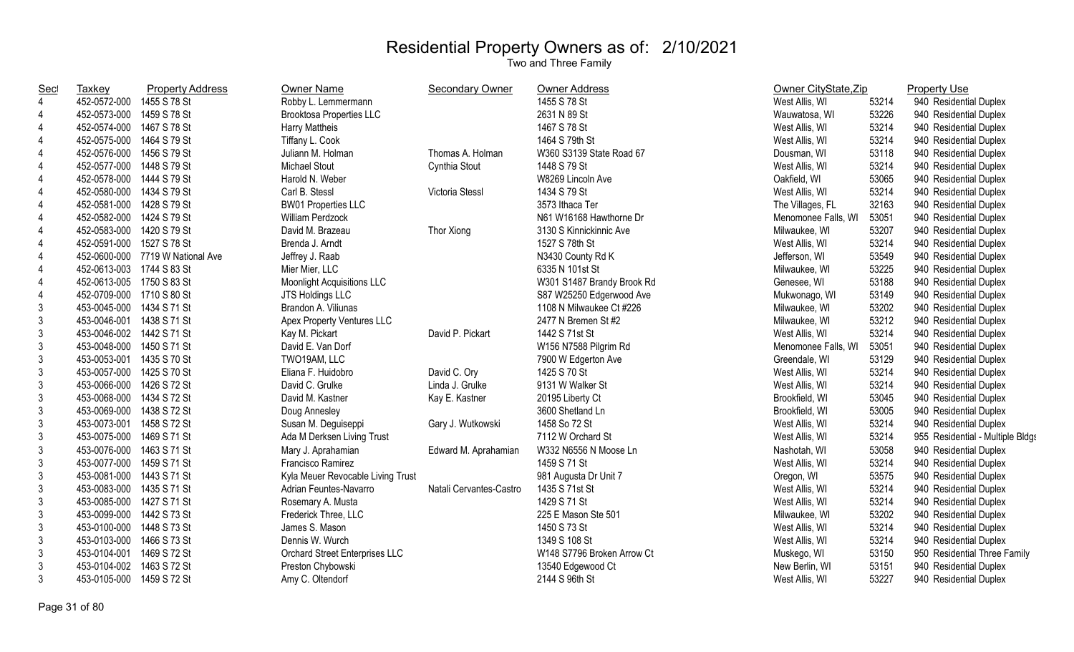| <b>Sec</b>     | Taxkey                    | <b>Property Address</b>          | Owner Name                        | <b>Secondary Owner</b>  | <b>Owner Address</b>       | Owner CityState, Zip |       | <b>Property Use</b>              |
|----------------|---------------------------|----------------------------------|-----------------------------------|-------------------------|----------------------------|----------------------|-------|----------------------------------|
| $\overline{4}$ | 452-0572-000              | 1455 S 78 St                     | Robby L. Lemmermann               |                         | 1455 S 78 St               | West Allis, WI       | 53214 | 940 Residential Duplex           |
| 4              | 452-0573-000              | 1459 S 78 St                     | <b>Brooktosa Properties LLC</b>   |                         | 2631 N 89 St               | Wauwatosa, WI        | 53226 | 940 Residential Duplex           |
| 4              | 452-0574-000 1467 S 78 St |                                  | Harry Mattheis                    |                         | 1467 S 78 St               | West Allis, WI       | 53214 | 940 Residential Duplex           |
| 4              | 452-0575-000 1464 S 79 St |                                  | Tiffany L. Cook                   |                         | 1464 S 79th St             | West Allis, WI       | 53214 | 940 Residential Duplex           |
| 4              | 452-0576-000 1456 S 79 St |                                  | Juliann M. Holman                 | Thomas A. Holman        | W360 S3139 State Road 67   | Dousman, WI          | 53118 | 940 Residential Duplex           |
| 4              | 452-0577-000              | 1448 S 79 St                     | <b>Michael Stout</b>              | Cynthia Stout           | 1448 S 79 St               | West Allis, WI       | 53214 | 940 Residential Duplex           |
| 4              | 452-0578-000              | 1444 S 79 St                     | Harold N. Weber                   |                         | W8269 Lincoln Ave          | Oakfield, WI         | 53065 | 940 Residential Duplex           |
| 4              | 452-0580-000              | 1434 S 79 St                     | Carl B. Stessl                    | Victoria Stessl         | 1434 S 79 St               | West Allis, WI       | 53214 | 940 Residential Duplex           |
| $\overline{4}$ | 452-0581-000              | 1428 S 79 St                     | <b>BW01 Properties LLC</b>        |                         | 3573 Ithaca Ter            | The Villages, FL     | 32163 | 940 Residential Duplex           |
| $\overline{4}$ | 452-0582-000 1424 S 79 St |                                  | William Perdzock                  |                         | N61 W16168 Hawthorne Dr    | Menomonee Falls, WI  | 53051 | 940 Residential Duplex           |
| 4              | 452-0583-000 1420 S 79 St |                                  | David M. Brazeau                  | Thor Xiong              | 3130 S Kinnickinnic Ave    | Milwaukee, WI        | 53207 | 940 Residential Duplex           |
| 4              | 452-0591-000 1527 S 78 St |                                  | Brenda J. Arndt                   |                         | 1527 S 78th St             | West Allis, WI       | 53214 | 940 Residential Duplex           |
| $\overline{4}$ |                           | 452-0600-000 7719 W National Ave | Jeffrey J. Raab                   |                         | N3430 County Rd K          | Jefferson, WI        | 53549 | 940 Residential Duplex           |
| 4              | 452-0613-003 1744 S 83 St |                                  | Mier Mier, LLC                    |                         | 6335 N 101st St            | Milwaukee, WI        | 53225 | 940 Residential Duplex           |
| 4              | 452-0613-005 1750 S 83 St |                                  | <b>Moonlight Acquisitions LLC</b> |                         | W301 S1487 Brandy Brook Rd | Genesee, WI          | 53188 | 940 Residential Duplex           |
| 4              | 452-0709-000 1710 S 80 St |                                  | JTS Holdings LLC                  |                         | S87 W25250 Edgerwood Ave   | Mukwonago, WI        | 53149 | 940 Residential Duplex           |
| 3              | 453-0045-000 1434 S 71 St |                                  | Brandon A. Viliunas               |                         | 1108 N Milwaukee Ct #226   | Milwaukee, WI        | 53202 | 940 Residential Duplex           |
| 3              | 453-0046-001 1438 S 71 St |                                  | Apex Property Ventures LLC        |                         | 2477 N Bremen St #2        | Milwaukee, WI        | 53212 | 940 Residential Duplex           |
| 3              | 453-0046-002 1442 S 71 St |                                  | Kay M. Pickart                    | David P. Pickart        | 1442 S 71st St             | West Allis, WI       | 53214 | 940 Residential Duplex           |
| $\mathfrak{Z}$ | 453-0048-000 1450 S 71 St |                                  | David E. Van Dorf                 |                         | W156 N7588 Pilgrim Rd      | Menomonee Falls, WI  | 53051 | 940 Residential Duplex           |
| 3              | 453-0053-001              | 1435 S 70 St                     | TWO19AM, LLC                      |                         | 7900 W Edgerton Ave        | Greendale, WI        | 53129 | 940 Residential Duplex           |
| 3              | 453-0057-000              | 1425 S 70 St                     | Eliana F. Huidobro                | David C. Ory            | 1425 S 70 St               | West Allis, WI       | 53214 | 940 Residential Duplex           |
| $\mathfrak{Z}$ | 453-0066-000              | 1426 S 72 St                     | David C. Grulke                   | Linda J. Grulke         | 9131 W Walker St           | West Allis, WI       | 53214 | 940 Residential Duplex           |
| $\mathfrak{Z}$ | 453-0068-000 1434 S 72 St |                                  | David M. Kastner                  | Kay E. Kastner          | 20195 Liberty Ct           | Brookfield, WI       | 53045 | 940 Residential Duplex           |
| $\mathfrak{Z}$ | 453-0069-000 1438 S 72 St |                                  | Doug Annesley                     |                         | 3600 Shetland Ln           | Brookfield, WI       | 53005 | 940 Residential Duplex           |
| $\mathfrak{Z}$ | 453-0073-001 1458 S 72 St |                                  | Susan M. Deguiseppi               | Gary J. Wutkowski       | 1458 So 72 St              | West Allis, WI       | 53214 | 940 Residential Duplex           |
| 3              | 453-0075-000 1469 S 71 St |                                  | Ada M Derksen Living Trust        |                         | 7112 W Orchard St          | West Allis, WI       | 53214 | 955 Residential - Multiple Bldgs |
| 3              | 453-0076-000              | 1463 S 71 St                     | Mary J. Aprahamian                | Edward M. Aprahamian    | W332 N6556 N Moose Ln      | Nashotah, WI         | 53058 | 940 Residential Duplex           |
| 3              | 453-0077-000 1459 S 71 St |                                  | Francisco Ramirez                 |                         | 1459 S 71 St               | West Allis, WI       | 53214 | 940 Residential Duplex           |
| 3              | 453-0081-000 1443 S 71 St |                                  | Kyla Meuer Revocable Living Trust |                         | 981 Augusta Dr Unit 7      | Oregon, WI           | 53575 | 940 Residential Duplex           |
| 3              | 453-0083-000 1435 S 71 St |                                  | Adrian Feuntes-Navarro            | Natali Cervantes-Castro | 1435 S 71st St             | West Allis, WI       | 53214 | 940 Residential Duplex           |
| 3              | 453-0085-000 1427 S 71 St |                                  | Rosemary A. Musta                 |                         | 1429 S 71 St               | West Allis, WI       | 53214 | 940 Residential Duplex           |
| $\mathfrak{Z}$ | 453-0099-000 1442 S 73 St |                                  | Frederick Three, LLC              |                         | 225 E Mason Ste 501        | Milwaukee, WI        | 53202 | 940 Residential Duplex           |
| 3              | 453-0100-000              | 1448 S 73 St                     | James S. Mason                    |                         | 1450 S 73 St               | West Allis, WI       | 53214 | 940 Residential Duplex           |
| 3              | 453-0103-000              | 1466 S 73 St                     | Dennis W. Wurch                   |                         | 1349 S 108 St              | West Allis, WI       | 53214 | 940 Residential Duplex           |
| 3              | 453-0104-001              | 1469 S 72 St                     | Orchard Street Enterprises LLC    |                         | W148 S7796 Broken Arrow Ct | Muskego, WI          | 53150 | 950 Residential Three Family     |
| 3              | 453-0104-002              | 1463 S 72 St                     | Preston Chybowski                 |                         | 13540 Edgewood Ct          | New Berlin, WI       | 53151 | 940 Residential Duplex           |
| 3              | 453-0105-000              | 1459 S 72 St                     | Amy C. Oltendorf                  |                         | 2144 S 96th St             | West Allis, WI       | 53227 | 940 Residential Duplex           |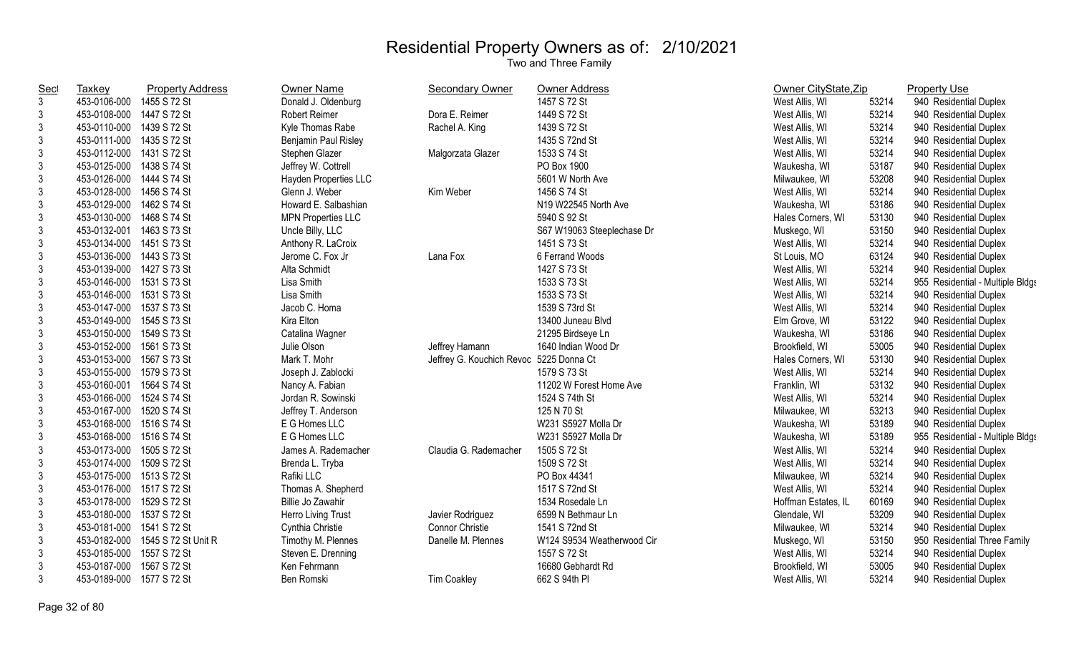| <b>Sec</b>     | <b>Taxkey</b>             | <b>Property Address</b> | Owner Name                | <b>Secondary Owner</b>                  | Owner Address              | Owner CityState, Zip |       | <b>Property Use</b>              |
|----------------|---------------------------|-------------------------|---------------------------|-----------------------------------------|----------------------------|----------------------|-------|----------------------------------|
| $\mathbf{3}$   | 453-0106-000              | 1455 S 72 St            | Donald J. Oldenburg       |                                         | 1457 S 72 St               | West Allis, WI       | 53214 | 940 Residential Duplex           |
| 3              | 453-0108-000 1447 S 72 St |                         | <b>Robert Reimer</b>      | Dora E. Reimer                          | 1449 S 72 St               | West Allis, WI       | 53214 | 940 Residential Duplex           |
| $\mathfrak{Z}$ | 453-0110-000 1439 S 72 St |                         | Kyle Thomas Rabe          | Rachel A. King                          | 1439 S 72 St               | West Allis, WI       | 53214 | 940 Residential Duplex           |
| 3              | 453-0111-000 1435 S 72 St |                         | Benjamin Paul Risley      |                                         | 1435 S 72nd St             | West Allis, WI       | 53214 | 940 Residential Duplex           |
| 3              | 453-0112-000 1431 S 72 St |                         | Stephen Glazer            | Malgorzata Glazer                       | 1533 S 74 St               | West Allis, WI       | 53214 | 940 Residential Duplex           |
| 3              | 453-0125-000 1438 S 74 St |                         | Jeffrey W. Cottrell       |                                         | PO Box 1900                | Waukesha, WI         | 53187 | 940 Residential Duplex           |
| 3              | 453-0126-000 1444 S 74 St |                         | Hayden Properties LLC     |                                         | 5601 W North Ave           | Milwaukee, WI        | 53208 | 940 Residential Duplex           |
| 3              | 453-0128-000              | 1456 S 74 St            | Glenn J. Weber            | Kim Weber                               | 1456 S 74 St               | West Allis, WI       | 53214 | 940 Residential Duplex           |
| $\mathfrak{Z}$ | 453-0129-000              | 1462 S 74 St            | Howard E. Salbashian      |                                         | N19 W22545 North Ave       | Waukesha, WI         | 53186 | 940 Residential Duplex           |
| $\mathfrak{Z}$ | 453-0130-000 1468 S 74 St |                         | <b>MPN Properties LLC</b> |                                         | 5940 S 92 St               | Hales Corners, WI    | 53130 | 940 Residential Duplex           |
| $\mathfrak{Z}$ | 453-0132-001              | 1463 S 73 St            | Uncle Billy, LLC          |                                         | S67 W19063 Steeplechase Dr | Muskego, WI          | 53150 | 940 Residential Duplex           |
| $\mathfrak{Z}$ | 453-0134-000              | 1451 S 73 St            | Anthony R. LaCroix        |                                         | 1451 S 73 St               | West Allis, WI       | 53214 | 940 Residential Duplex           |
| 3              | 453-0136-000 1443 S 73 St |                         | Jerome C. Fox Jr          | Lana Fox                                | 6 Ferrand Woods            | St Louis, MO         | 63124 | 940 Residential Duplex           |
| 3              | 453-0139-000 1427 S 73 St |                         | Alta Schmidt              |                                         | 1427 S 73 St               | West Allis, WI       | 53214 | 940 Residential Duplex           |
| 3              | 453-0146-000 1531 S 73 St |                         | Lisa Smith                |                                         | 1533 S 73 St               | West Allis, WI       | 53214 | 955 Residential - Multiple Bldgs |
| $\mathfrak{Z}$ | 453-0146-000 1531 S 73 St |                         | Lisa Smith                |                                         | 1533 S 73 St               | West Allis, WI       | 53214 | 940 Residential Duplex           |
| $\mathfrak{Z}$ | 453-0147-000 1537 S 73 St |                         | Jacob C. Homa             |                                         | 1539 S 73rd St             | West Allis, WI       | 53214 | 940 Residential Duplex           |
| 3              | 453-0149-000 1545 S 73 St |                         | Kira Elton                |                                         | 13400 Juneau Blvd          | Elm Grove, WI        | 53122 | 940 Residential Duplex           |
| 3              | 453-0150-000 1549 S 73 St |                         | Catalina Wagner           |                                         | 21295 Birdseye Ln          | Waukesha, WI         | 53186 | 940 Residential Duplex           |
| $\mathfrak{Z}$ | 453-0152-000 1561 S 73 St |                         | Julie Olson               | Jeffrey Hamann                          | 1640 Indian Wood Dr        | Brookfield, WI       | 53005 | 940 Residential Duplex           |
| 3              | 453-0153-000 1567 S 73 St |                         | Mark T. Mohr              | Jeffrey G. Kouchich Revoc 5225 Donna Ct |                            | Hales Corners, WI    | 53130 | 940 Residential Duplex           |
| 3              | 453-0155-000 1579 S 73 St |                         | Joseph J. Zablocki        |                                         | 1579 S 73 St               | West Allis, WI       | 53214 | 940 Residential Duplex           |
| 3              | 453-0160-001 1564 S 74 St |                         | Nancy A. Fabian           |                                         | 11202 W Forest Home Ave    | Franklin, WI         | 53132 | 940 Residential Duplex           |
| $\mathfrak{Z}$ | 453-0166-000 1524 S 74 St |                         | Jordan R. Sowinski        |                                         | 1524 S 74th St             | West Allis, WI       | 53214 | 940 Residential Duplex           |
| $\mathfrak{Z}$ | 453-0167-000 1520 S 74 St |                         | Jeffrey T. Anderson       |                                         | 125 N 70 St                | Milwaukee, WI        | 53213 | 940 Residential Duplex           |
| $\mathfrak{Z}$ | 453-0168-000 1516 S 74 St |                         | E G Homes LLC             |                                         | W231 S5927 Molla Dr        | Waukesha, WI         | 53189 | 940 Residential Duplex           |
| $\mathfrak{Z}$ | 453-0168-000 1516 S 74 St |                         | E G Homes LLC             |                                         | W231 S5927 Molla Dr        | Waukesha, WI         | 53189 | 955 Residential - Multiple Bldgs |
| $\mathfrak{Z}$ | 453-0173-000              | 1505 S 72 St            | James A. Rademacher       | Claudia G. Rademacher                   | 1505 S 72 St               | West Allis, WI       | 53214 | 940 Residential Duplex           |
| 3              | 453-0174-000 1509 S 72 St |                         | Brenda L. Tryba           |                                         | 1509 S 72 St               | West Allis, WI       | 53214 | 940 Residential Duplex           |
| 3              | 453-0175-000 1513 S 72 St |                         | Rafiki LLC                |                                         | PO Box 44341               | Milwaukee, WI        | 53214 | 940 Residential Duplex           |
| $\mathfrak{Z}$ | 453-0176-000 1517 S 72 St |                         | Thomas A. Shepherd        |                                         | 1517 S 72nd St             | West Allis, WI       | 53214 | 940 Residential Duplex           |
| 3              | 453-0178-000 1529 S 72 St |                         | Billie Jo Zawahir         |                                         | 1534 Rosedale Ln           | Hoffman Estates, IL  | 60169 | 940 Residential Duplex           |
| $\mathfrak{Z}$ | 453-0180-000 1537 S 72 St |                         | Herro Living Trust        | Javier Rodriguez                        | 6599 N Bethmaur Ln         | Glendale, WI         | 53209 | 940 Residential Duplex           |
| 3              | 453-0181-000 1541 S 72 St |                         | Cynthia Christie          | <b>Connor Christie</b>                  | 1541 S 72nd St             | Milwaukee, WI        | 53214 | 940 Residential Duplex           |
| 3              | 453-0182-000              | 1545 S 72 St Unit R     | Timothy M. Plennes        | Danelle M. Plennes                      | W124 S9534 Weatherwood Cir | Muskego, WI          | 53150 | 950 Residential Three Family     |
| 3              | 453-0185-000              | 1557 S 72 St            | Steven E. Drenning        |                                         | 1557 S 72 St               | West Allis, WI       | 53214 | 940 Residential Duplex           |
| 3              | 453-0187-000              | 1567 S 72 St            | Ken Fehrmann              |                                         | 16680 Gebhardt Rd          | Brookfield, WI       | 53005 | 940 Residential Duplex           |
| $\mathfrak{Z}$ | 453-0189-000              | 1577 S 72 St            | Ben Romski                | <b>Tim Coakley</b>                      | 662 S 94th PI              | West Allis, WI       | 53214 | 940 Residential Duplex           |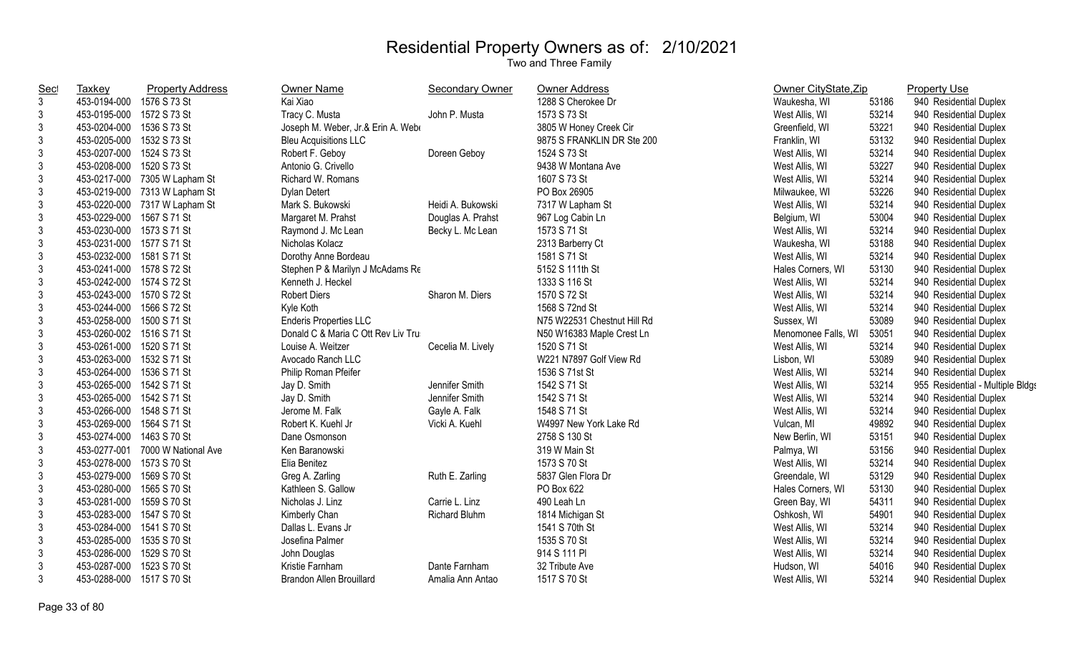| <b>Sec</b>     | Taxkey                    | <b>Property Address</b>          | Owner Name                         | <b>Secondary Owner</b> | <b>Owner Address</b>        | Owner CityState, Zip |       | <b>Property Use</b>              |
|----------------|---------------------------|----------------------------------|------------------------------------|------------------------|-----------------------------|----------------------|-------|----------------------------------|
| $\mathbf{3}$   | 453-0194-000              | 1576 S 73 St                     | Kai Xiao                           |                        | 1288 S Cherokee Dr          | Waukesha, WI         | 53186 | 940 Residential Duplex           |
| 3              | 453-0195-000 1572 S 73 St |                                  | Tracy C. Musta                     | John P. Musta          | 1573 S 73 St                | West Allis, WI       | 53214 | 940 Residential Duplex           |
| 3              | 453-0204-000 1536 S 73 St |                                  | Joseph M. Weber, Jr.& Erin A. Web  |                        | 3805 W Honey Creek Cir      | Greenfield, WI       | 53221 | 940 Residential Duplex           |
| 3              | 453-0205-000 1532 S 73 St |                                  | <b>Bleu Acquisitions LLC</b>       |                        | 9875 S FRANKLIN DR Ste 200  | Franklin, WI         | 53132 | 940 Residential Duplex           |
| $\sqrt{3}$     | 453-0207-000 1524 S 73 St |                                  | Robert F. Geboy                    | Doreen Geboy           | 1524 S 73 St                | West Allis, WI       | 53214 | 940 Residential Duplex           |
| 3              | 453-0208-000 1520 S 73 St |                                  | Antonio G. Crivello                |                        | 9438 W Montana Ave          | West Allis, WI       | 53227 | 940 Residential Duplex           |
| 3              |                           | 453-0217-000 7305 W Lapham St    | Richard W. Romans                  |                        | 1607 S 73 St                | West Allis, WI       | 53214 | 940 Residential Duplex           |
| 3              |                           | 453-0219-000 7313 W Lapham St    | <b>Dylan Detert</b>                |                        | PO Box 26905                | Milwaukee, WI        | 53226 | 940 Residential Duplex           |
| $\mathfrak{Z}$ |                           | 453-0220-000 7317 W Lapham St    | Mark S. Bukowski                   | Heidi A. Bukowski      | 7317 W Lapham St            | West Allis, WI       | 53214 | 940 Residential Duplex           |
| $\sqrt{3}$     | 453-0229-000 1567 S 71 St |                                  | Margaret M. Prahst                 | Douglas A. Prahst      | 967 Log Cabin Ln            | Belgium, WI          | 53004 | 940 Residential Duplex           |
| $\sqrt{3}$     | 453-0230-000 1573 S 71 St |                                  | Raymond J. Mc Lean                 | Becky L. Mc Lean       | 1573 S 71 St                | West Allis, WI       | 53214 | 940 Residential Duplex           |
| $\sqrt{3}$     | 453-0231-000 1577 S 71 St |                                  | Nicholas Kolacz                    |                        | 2313 Barberry Ct            | Waukesha, WI         | 53188 | 940 Residential Duplex           |
| $\mathfrak{Z}$ | 453-0232-000 1581 S 71 St |                                  | Dorothy Anne Bordeau               |                        | 1581 S 71 St                | West Allis, WI       | 53214 | 940 Residential Duplex           |
| 3              | 453-0241-000 1578 S 72 St |                                  | Stephen P & Marilyn J McAdams Re   |                        | 5152 S 111th St             | Hales Corners, WI    | 53130 | 940 Residential Duplex           |
| 3              | 453-0242-000 1574 S 72 St |                                  | Kenneth J. Heckel                  |                        | 1333 S 116 St               | West Allis, WI       | 53214 | 940 Residential Duplex           |
| $\mathfrak{Z}$ | 453-0243-000 1570 S 72 St |                                  | <b>Robert Diers</b>                | Sharon M. Diers        | 1570 S 72 St                | West Allis, WI       | 53214 | 940 Residential Duplex           |
| $\mathfrak{Z}$ | 453-0244-000 1566 S 72 St |                                  | Kyle Koth                          |                        | 1568 S 72nd St              | West Allis, WI       | 53214 | 940 Residential Duplex           |
| 3              | 453-0258-000 1500 S 71 St |                                  | <b>Enderis Properties LLC</b>      |                        | N75 W22531 Chestnut Hill Rd | Sussex, WI           | 53089 | 940 Residential Duplex           |
| $\mathfrak{Z}$ | 453-0260-002 1516 S 71 St |                                  | Donald C & Maria C Ott Rev Liv Tru |                        | N50 W16383 Maple Crest Ln   | Menomonee Falls, WI  | 53051 | 940 Residential Duplex           |
| $\mathfrak{Z}$ | 453-0261-000 1520 S 71 St |                                  | Louise A. Weitzer                  | Cecelia M. Lively      | 1520 S 71 St                | West Allis, WI       | 53214 | 940 Residential Duplex           |
| $\sqrt{3}$     | 453-0263-000 1532 S 71 St |                                  | Avocado Ranch LLC                  |                        | W221 N7897 Golf View Rd     | Lisbon, WI           | 53089 | 940 Residential Duplex           |
| 3              | 453-0264-000 1536 S 71 St |                                  | Philip Roman Pfeifer               |                        | 1536 S 71st St              | West Allis, WI       | 53214 | 940 Residential Duplex           |
| $\sqrt{3}$     | 453-0265-000 1542 S 71 St |                                  | Jay D. Smith                       | Jennifer Smith         | 1542 S 71 St                | West Allis, WI       | 53214 | 955 Residential - Multiple Bldgs |
| $\sqrt{3}$     | 453-0265-000 1542 S 71 St |                                  | Jay D. Smith                       | Jennifer Smith         | 1542 S 71 St                | West Allis, WI       | 53214 | 940 Residential Duplex           |
| $\mathfrak{Z}$ | 453-0266-000 1548 S 71 St |                                  | Jerome M. Falk                     | Gayle A. Falk          | 1548 S 71 St                | West Allis, WI       | 53214 | 940 Residential Duplex           |
| 3              | 453-0269-000 1564 S 71 St |                                  | Robert K. Kuehl Jr                 | Vicki A. Kuehl         | W4997 New York Lake Rd      | Vulcan, MI           | 49892 | 940 Residential Duplex           |
| 3              | 453-0274-000 1463 S 70 St |                                  | Dane Osmonson                      |                        | 2758 S 130 St               | New Berlin, WI       | 53151 | 940 Residential Duplex           |
| 3              |                           | 453-0277-001 7000 W National Ave | Ken Baranowski                     |                        | 319 W Main St               | Palmya, WI           | 53156 | 940 Residential Duplex           |
| 3              | 453-0278-000 1573 S 70 St |                                  | Elia Benitez                       |                        | 1573 S 70 St                | West Allis, WI       | 53214 | 940 Residential Duplex           |
| $\sqrt{3}$     | 453-0279-000 1569 S 70 St |                                  | Greg A. Zarling                    | Ruth E. Zarling        | 5837 Glen Flora Dr          | Greendale, WI        | 53129 | 940 Residential Duplex           |
| 3              | 453-0280-000              | 1565 S 70 St                     | Kathleen S. Gallow                 |                        | PO Box 622                  | Hales Corners, WI    | 53130 | 940 Residential Duplex           |
| 3              | 453-0281-000              | 1559 S 70 St                     | Nicholas J. Linz                   | Carrie L. Linz         | 490 Leah Ln                 | Green Bay, WI        | 54311 | 940 Residential Duplex           |
| $\mathfrak{Z}$ | 453-0283-000              | 1547 S 70 St                     | Kimberly Chan                      | Richard Bluhm          | 1814 Michigan St            | Oshkosh, WI          | 54901 | 940 Residential Duplex           |
| 3              | 453-0284-000 1541 S 70 St |                                  | Dallas L. Evans Jr                 |                        | 1541 S 70th St              | West Allis, WI       | 53214 | 940 Residential Duplex           |
| $\sqrt{3}$     | 453-0285-000 1535 S 70 St |                                  | Josefina Palmer                    |                        | 1535 S 70 St                | West Allis, WI       | 53214 | 940 Residential Duplex           |
| 3              | 453-0286-000              | 1529 S 70 St                     | John Douglas                       |                        | 914 S 111 PI                | West Allis, WI       | 53214 | 940 Residential Duplex           |
| 3              | 453-0287-000              | 1523 S 70 St                     | Kristie Farnham                    | Dante Farnham          | 32 Tribute Ave              | Hudson, WI           | 54016 | 940 Residential Duplex           |
| 3              | 453-0288-000 1517 S 70 St |                                  | <b>Brandon Allen Brouillard</b>    | Amalia Ann Antao       | 1517 S 70 St                | West Allis, WI       | 53214 | 940 Residential Duplex           |
|                |                           |                                  |                                    |                        |                             |                      |       |                                  |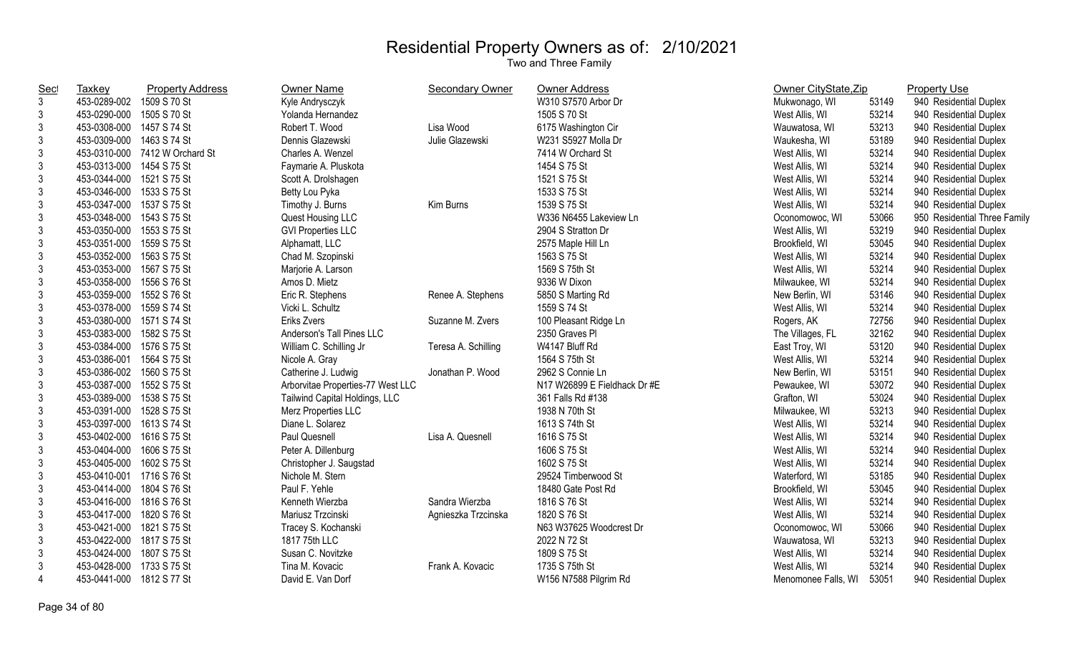| <b>Sec</b>     | <b>Taxkey</b>             | <b>Property Address</b>        | Owner Name                        | Secondary Owner     | <b>Owner Address</b>         | Owner CityState, Zip |       | <b>Property Use</b>          |
|----------------|---------------------------|--------------------------------|-----------------------------------|---------------------|------------------------------|----------------------|-------|------------------------------|
| $\mathfrak{Z}$ | 453-0289-002              | 1509 S 70 St                   | Kyle Andrysczyk                   |                     | W310 S7570 Arbor Dr          | Mukwonago, WI        | 53149 | 940 Residential Duplex       |
| $\mathfrak{Z}$ | 453-0290-000              | 1505 S 70 St                   | Yolanda Hernandez                 |                     | 1505 S 70 St                 | West Allis, WI       | 53214 | 940 Residential Duplex       |
| $\mathfrak{Z}$ | 453-0308-000 1457 S 74 St |                                | Robert T. Wood                    | Lisa Wood           | 6175 Washington Cir          | Wauwatosa, WI        | 53213 | 940 Residential Duplex       |
| 3              | 453-0309-000 1463 S 74 St |                                | Dennis Glazewski                  | Julie Glazewski     | W231 S5927 Molla Dr          | Waukesha, WI         | 53189 | 940 Residential Duplex       |
| $\mathfrak{Z}$ |                           | 453-0310-000 7412 W Orchard St | Charles A. Wenzel                 |                     | 7414 W Orchard St            | West Allis, WI       | 53214 | 940 Residential Duplex       |
| $\mathfrak{Z}$ | 453-0313-000 1454 S 75 St |                                | Faymarie A. Pluskota              |                     | 1454 S 75 St                 | West Allis, WI       | 53214 | 940 Residential Duplex       |
| $\mathfrak{Z}$ | 453-0344-000 1521 S 75 St |                                | Scott A. Drolshagen               |                     | 1521 S 75 St                 | West Allis, WI       | 53214 | 940 Residential Duplex       |
| $\mathfrak{Z}$ | 453-0346-000 1533 S 75 St |                                | Betty Lou Pyka                    |                     | 1533 S 75 St                 | West Allis, WI       | 53214 | 940 Residential Duplex       |
| $\mathfrak{Z}$ | 453-0347-000 1537 S 75 St |                                | Timothy J. Burns                  | Kim Burns           | 1539 S 75 St                 | West Allis, WI       | 53214 | 940 Residential Duplex       |
| $\mathfrak{Z}$ | 453-0348-000 1543 S 75 St |                                | Quest Housing LLC                 |                     | W336 N6455 Lakeview Ln       | Oconomowoc, WI       | 53066 | 950 Residential Three Family |
| $\mathfrak{Z}$ | 453-0350-000 1553 S 75 St |                                | <b>GVI Properties LLC</b>         |                     | 2904 S Stratton Dr           | West Allis, WI       | 53219 | 940 Residential Duplex       |
| $\mathfrak{Z}$ | 453-0351-000 1559 S 75 St |                                | Alphamatt, LLC                    |                     | 2575 Maple Hill Ln           | Brookfield, WI       | 53045 | 940 Residential Duplex       |
| $\mathfrak{Z}$ | 453-0352-000 1563 S 75 St |                                | Chad M. Szopinski                 |                     | 1563 S 75 St                 | West Allis, WI       | 53214 | 940 Residential Duplex       |
| $\mathfrak{Z}$ | 453-0353-000 1567 S 75 St |                                | Marjorie A. Larson                |                     | 1569 S 75th St               | West Allis, WI       | 53214 | 940 Residential Duplex       |
| $\mathfrak{Z}$ | 453-0358-000 1556 S 76 St |                                | Amos D. Mietz                     |                     | 9336 W Dixon                 | Milwaukee, WI        | 53214 | 940 Residential Duplex       |
| $\mathfrak{Z}$ | 453-0359-000 1552 S 76 St |                                | Eric R. Stephens                  | Renee A. Stephens   | 5850 S Marting Rd            | New Berlin, WI       | 53146 | 940 Residential Duplex       |
| 3              | 453-0378-000              | 1559 S 74 St                   | Vicki L. Schultz                  |                     | 1559 S 74 St                 | West Allis, WI       | 53214 | 940 Residential Duplex       |
| $\mathfrak{Z}$ | 453-0380-000 1571 S 74 St |                                | Eriks Zvers                       | Suzanne M. Zvers    | 100 Pleasant Ridge Ln        | Rogers, AK           | 72756 | 940 Residential Duplex       |
| $\mathfrak{Z}$ | 453-0383-000 1582 S 75 St |                                | Anderson's Tall Pines LLC         |                     | 2350 Graves Pl               | The Villages, FL     | 32162 | 940 Residential Duplex       |
| $\mathsf 3$    | 453-0384-000              | 1576 S 75 St                   | William C. Schilling Jr           | Teresa A. Schilling | W4147 Bluff Rd               | East Troy, WI        | 53120 | 940 Residential Duplex       |
| $\mathfrak{Z}$ | 453-0386-001              | 1564 S 75 St                   | Nicole A. Gray                    |                     | 1564 S 75th St               | West Allis, WI       | 53214 | 940 Residential Duplex       |
| $\mathfrak{Z}$ | 453-0386-002 1560 S 75 St |                                | Catherine J. Ludwig               | Jonathan P. Wood    | 2962 S Connie Ln             | New Berlin, WI       | 53151 | 940 Residential Duplex       |
| $\mathfrak{Z}$ | 453-0387-000 1552 S 75 St |                                | Arborvitae Properties-77 West LLC |                     | N17 W26899 E Fieldhack Dr #E | Pewaukee, WI         | 53072 | 940 Residential Duplex       |
| $\mathsf 3$    | 453-0389-000 1538 S 75 St |                                | Tailwind Capital Holdings, LLC    |                     | 361 Falls Rd #138            | Grafton, WI          | 53024 | 940 Residential Duplex       |
| $\mathfrak{Z}$ | 453-0391-000 1528 S 75 St |                                | Merz Properties LLC               |                     | 1938 N 70th St               | Milwaukee, WI        | 53213 | 940 Residential Duplex       |
| $\mathfrak{Z}$ | 453-0397-000 1613 S 74 St |                                | Diane L. Solarez                  |                     | 1613 S 74th St               | West Allis, WI       | 53214 | 940 Residential Duplex       |
| $\mathfrak{Z}$ | 453-0402-000 1616 S 75 St |                                | Paul Quesnell                     | Lisa A. Quesnell    | 1616 S 75 St                 | West Allis, WI       | 53214 | 940 Residential Duplex       |
| $\mathfrak{Z}$ | 453-0404-000              | 1606 S 75 St                   | Peter A. Dillenburg               |                     | 1606 S 75 St                 | West Allis, WI       | 53214 | 940 Residential Duplex       |
| $\mathfrak{Z}$ | 453-0405-000 1602 S 75 St |                                | Christopher J. Saugstad           |                     | 1602 S 75 St                 | West Allis, WI       | 53214 | 940 Residential Duplex       |
| $\mathfrak{Z}$ | 453-0410-001 1716 S 76 St |                                | Nichole M. Stern                  |                     | 29524 Timberwood St          | Waterford, WI        | 53185 | 940 Residential Duplex       |
| $\mathfrak{Z}$ | 453-0414-000 1804 S 76 St |                                | Paul F. Yehle                     |                     | 18480 Gate Post Rd           | Brookfield, WI       | 53045 | 940 Residential Duplex       |
| $\mathfrak{Z}$ | 453-0416-000 1816 S 76 St |                                | Kenneth Wierzba                   | Sandra Wierzba      | 1816 S 76 St                 | West Allis, WI       | 53214 | 940 Residential Duplex       |
| $\mathfrak{Z}$ | 453-0417-000 1820 S 76 St |                                | Mariusz Trzcinski                 | Agnieszka Trzcinska | 1820 S 76 St                 | West Allis, WI       | 53214 | 940 Residential Duplex       |
| $\mathfrak{Z}$ | 453-0421-000 1821 S 75 St |                                | Tracey S. Kochanski               |                     | N63 W37625 Woodcrest Dr      | Oconomowoc, WI       | 53066 | 940 Residential Duplex       |
| $\mathfrak{Z}$ | 453-0422-000              | 1817 S 75 St                   | 1817 75th LLC                     |                     | 2022 N 72 St                 | Wauwatosa, WI        | 53213 | 940 Residential Duplex       |
| $\mathfrak{Z}$ | 453-0424-000              | 1807 S 75 St                   | Susan C. Novitzke                 |                     | 1809 S 75 St                 | West Allis, WI       | 53214 | 940 Residential Duplex       |
| $\mathfrak{Z}$ | 453-0428-000              | 1733 S 75 St                   | Tina M. Kovacic                   | Frank A. Kovacic    | 1735 S 75th St               | West Allis, WI       | 53214 | 940 Residential Duplex       |
| $\overline{4}$ | 453-0441-000 1812 S 77 St |                                | David E. Van Dorf                 |                     | W156 N7588 Pilgrim Rd        | Menomonee Falls, WI  | 53051 | 940 Residential Duplex       |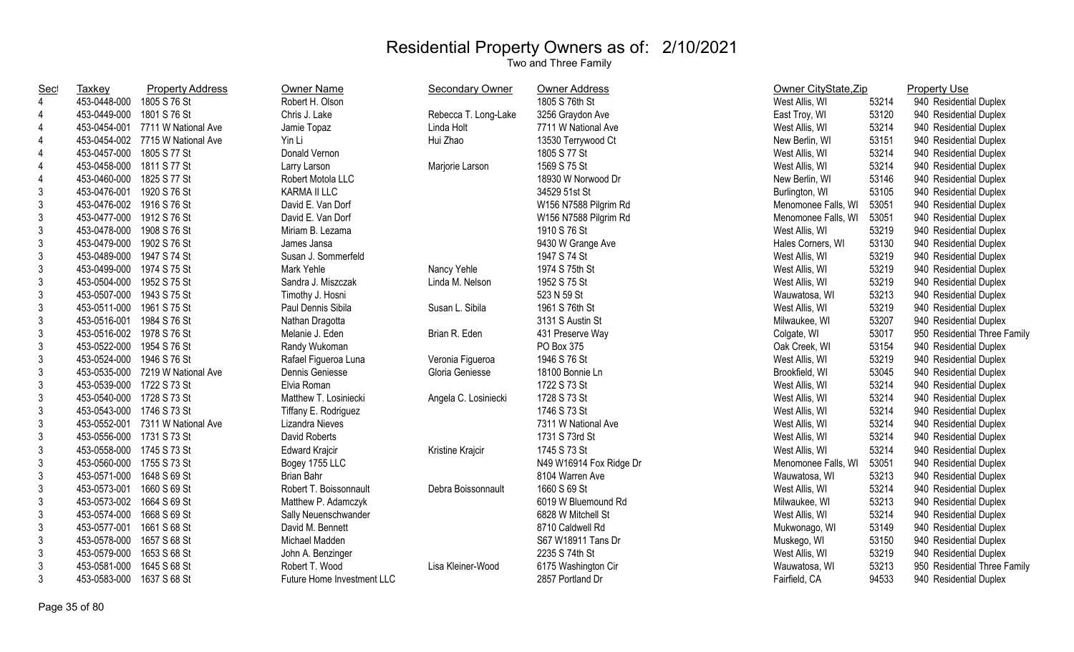| Sec            | Taxkey                    | <b>Property Address</b>          | Owner Name                 | <b>Secondary Owner</b> | <b>Owner Address</b>    | Owner CityState, Zip |       | <b>Property Use</b>          |
|----------------|---------------------------|----------------------------------|----------------------------|------------------------|-------------------------|----------------------|-------|------------------------------|
| $\overline{4}$ | 453-0448-000 1805 S 76 St |                                  | Robert H. Olson            |                        | 1805 S 76th St          | West Allis, WI       | 53214 | 940 Residential Duplex       |
| 4              | 453-0449-000 1801 S 76 St |                                  | Chris J. Lake              | Rebecca T. Long-Lake   | 3256 Graydon Ave        | East Troy, WI        | 53120 | 940 Residential Duplex       |
| 4              |                           | 453-0454-001 7711 W National Ave | Jamie Topaz                | Linda Holt             | 7711 W National Ave     | West Allis, WI       | 53214 | 940 Residential Duplex       |
| 4              |                           | 453-0454-002 7715 W National Ave | Yin Li                     | Hui Zhao               | 13530 Terrywood Ct      | New Berlin, WI       | 53151 | 940 Residential Duplex       |
| 4              | 453-0457-000 1805 S 77 St |                                  | Donald Vernon              |                        | 1805 S 77 St            | West Allis, WI       | 53214 | 940 Residential Duplex       |
| 4              | 453-0458-000              | 1811 S 77 St                     | Larry Larson               | Marjorie Larson        | 1569 S 75 St            | West Allis, WI       | 53214 | 940 Residential Duplex       |
| 4              | 453-0460-000              | 1825 S 77 St                     | Robert Motola LLC          |                        | 18930 W Norwood Dr      | New Berlin, WI       | 53146 | 940 Residential Duplex       |
| $\mathfrak{Z}$ | 453-0476-001              | 1920 S 76 St                     | KARMA II LLC               |                        | 34529 51st St           | Burlington, WI       | 53105 | 940 Residential Duplex       |
| $\mathfrak{Z}$ | 453-0476-002 1916 S 76 St |                                  | David E. Van Dorf          |                        | W156 N7588 Pilgrim Rd   | Menomonee Falls, WI  | 53051 | 940 Residential Duplex       |
| $\mathsf 3$    | 453-0477-000 1912 S 76 St |                                  | David E. Van Dorf          |                        | W156 N7588 Pilgrim Rd   | Menomonee Falls, WI  | 53051 | 940 Residential Duplex       |
| $\mathfrak{Z}$ | 453-0478-000              | 1908 S 76 St                     | Miriam B. Lezama           |                        | 1910 S 76 St            | West Allis, WI       | 53219 | 940 Residential Duplex       |
| 3              | 453-0479-000              | 1902 S 76 St                     | James Jansa                |                        | 9430 W Grange Ave       | Hales Corners, WI    | 53130 | 940 Residential Duplex       |
| 3              | 453-0489-000 1947 S 74 St |                                  | Susan J. Sommerfeld        |                        | 1947 S 74 St            | West Allis, WI       | 53219 | 940 Residential Duplex       |
| $\mathfrak{Z}$ | 453-0499-000 1974 S 75 St |                                  | Mark Yehle                 | Nancy Yehle            | 1974 S 75th St          | West Allis, WI       | 53219 | 940 Residential Duplex       |
| $\mathfrak{Z}$ | 453-0504-000 1952 S 75 St |                                  | Sandra J. Miszczak         | Linda M. Nelson        | 1952 S 75 St            | West Allis, WI       | 53219 | 940 Residential Duplex       |
| $\mathfrak{Z}$ | 453-0507-000 1943 S 75 St |                                  | Timothy J. Hosni           |                        | 523 N 59 St             | Wauwatosa, WI        | 53213 | 940 Residential Duplex       |
| 3              | 453-0511-000 1961 S 75 St |                                  | Paul Dennis Sibila         | Susan L. Sibila        | 1961 S 76th St          | West Allis, WI       | 53219 | 940 Residential Duplex       |
| 3              | 453-0516-001              | 1984 S 76 St                     | Nathan Dragotta            |                        | 3131 S Austin St        | Milwaukee, WI        | 53207 | 940 Residential Duplex       |
| 3              | 453-0516-002 1978 S 76 St |                                  | Melanie J. Eden            | Brian R. Eden          | 431 Preserve Way        | Colgate, WI          | 53017 | 950 Residential Three Family |
| $\mathfrak{Z}$ | 453-0522-000 1954 S 76 St |                                  | Randy Wukoman              |                        | PO Box 375              | Oak Creek, WI        | 53154 | 940 Residential Duplex       |
| $\mathfrak{Z}$ | 453-0524-000 1946 S 76 St |                                  | Rafael Figueroa Luna       | Veronia Figueroa       | 1946 S 76 St            | West Allis, WI       | 53219 | 940 Residential Duplex       |
| $\mathsf 3$    |                           | 453-0535-000 7219 W National Ave | Dennis Geniesse            | Gloria Geniesse        | 18100 Bonnie Ln         | Brookfield, WI       | 53045 | 940 Residential Duplex       |
| $\mathfrak{Z}$ | 453-0539-000 1722 S 73 St |                                  | Elvia Roman                |                        | 1722 S 73 St            | West Allis, WI       | 53214 | 940 Residential Duplex       |
| 3              | 453-0540-000 1728 S 73 St |                                  | Matthew T. Losiniecki      | Angela C. Losiniecki   | 1728 S 73 St            | West Allis, WI       | 53214 | 940 Residential Duplex       |
| $\mathfrak{Z}$ | 453-0543-000 1746 S 73 St |                                  | Tiffany E. Rodriguez       |                        | 1746 S 73 St            | West Allis, WI       | 53214 | 940 Residential Duplex       |
| $\mathfrak{Z}$ |                           | 453-0552-001 7311 W National Ave | Lizandra Nieves            |                        | 7311 W National Ave     | West Allis, WI       | 53214 | 940 Residential Duplex       |
| $\mathfrak{Z}$ | 453-0556-000 1731 S 73 St |                                  | David Roberts              |                        | 1731 S 73rd St          | West Allis, WI       | 53214 | 940 Residential Duplex       |
| $\mathfrak{Z}$ | 453-0558-000 1745 S 73 St |                                  | <b>Edward Krajcir</b>      | Kristine Krajcir       | 1745 S 73 St            | West Allis, WI       | 53214 | 940 Residential Duplex       |
| 3              | 453-0560-000 1755 S 73 St |                                  | Bogey 1755 LLC             |                        | N49 W16914 Fox Ridge Dr | Menomonee Falls, WI  | 53051 | 940 Residential Duplex       |
| 3              | 453-0571-000 1648 S 69 St |                                  | <b>Brian Bahr</b>          |                        | 8104 Warren Ave         | Wauwatosa, WI        | 53213 | 940 Residential Duplex       |
| 3              | 453-0573-001              | 1660 S 69 St                     | Robert T. Boissonnault     | Debra Boissonnault     | 1660 S 69 St            | West Allis, WI       | 53214 | 940 Residential Duplex       |
| $\mathfrak{Z}$ | 453-0573-002              | 1664 S 69 St                     | Matthew P. Adamczyk        |                        | 6019 W Bluemound Rd     | Milwaukee, WI        | 53213 | 940 Residential Duplex       |
| $\mathfrak{Z}$ | 453-0574-000              | 1668 S 69 St                     | Sally Neuenschwander       |                        | 6828 W Mitchell St      | West Allis, WI       | 53214 | 940 Residential Duplex       |
| $\mathfrak{Z}$ | 453-0577-001              | 1661 S 68 St                     | David M. Bennett           |                        | 8710 Caldwell Rd        | Mukwonago, WI        | 53149 | 940 Residential Duplex       |
| $\mathfrak{Z}$ | 453-0578-000              | 1657 S 68 St                     | Michael Madden             |                        | S67 W18911 Tans Dr      | Muskego, WI          | 53150 | 940 Residential Duplex       |
| 3              | 453-0579-000              | 1653 S 68 St                     | John A. Benzinger          |                        | 2235 S 74th St          | West Allis, WI       | 53219 | 940 Residential Duplex       |
| 3              | 453-0581-000              | 1645 S 68 St                     | Robert T. Wood             | Lisa Kleiner-Wood      | 6175 Washington Cir     | Wauwatosa, WI        | 53213 | 950 Residential Three Family |
| $\mathfrak{Z}$ | 453-0583-000 1637 S 68 St |                                  | Future Home Investment LLC |                        | 2857 Portland Dr        | Fairfield, CA        | 94533 | 940 Residential Duplex       |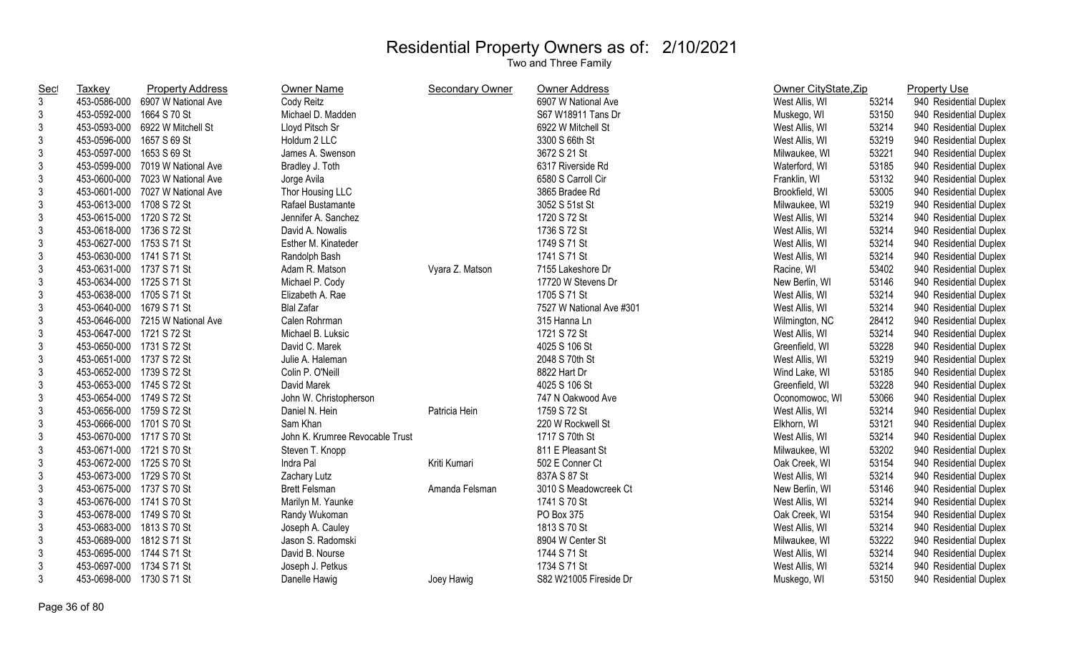| <u>Sec</u>     | <b>Taxkey</b>             | <b>Property Address</b>          | Owner Name                      | <b>Secondary Owner</b> | Owner Address            | Owner CityState, Zip |       | <b>Property Use</b>    |
|----------------|---------------------------|----------------------------------|---------------------------------|------------------------|--------------------------|----------------------|-------|------------------------|
| 3              |                           | 453-0586-000 6907 W National Ave | Cody Reitz                      |                        | 6907 W National Ave      | West Allis, WI       | 53214 | 940 Residential Duplex |
| $\mathfrak{Z}$ | 453-0592-000              | 1664 S 70 St                     | Michael D. Madden               |                        | S67 W18911 Tans Dr       | Muskego, WI          | 53150 | 940 Residential Duplex |
| $\mathfrak{Z}$ |                           | 453-0593-000 6922 W Mitchell St  | Lloyd Pitsch Sr                 |                        | 6922 W Mitchell St       | West Allis, WI       | 53214 | 940 Residential Duplex |
| 3              | 453-0596-000 1657 S 69 St |                                  | Holdum 2 LLC                    |                        | 3300 S 66th St           | West Allis, WI       | 53219 | 940 Residential Duplex |
| $\mathfrak{S}$ | 453-0597-000 1653 S 69 St |                                  | James A. Swenson                |                        | 3672 S 21 St             | Milwaukee, WI        | 53221 | 940 Residential Duplex |
| $\mathfrak{S}$ |                           | 453-0599-000 7019 W National Ave | Bradley J. Toth                 |                        | 6317 Riverside Rd        | Waterford, WI        | 53185 | 940 Residential Duplex |
| $\mathfrak{S}$ |                           | 453-0600-000 7023 W National Ave | Jorge Avila                     |                        | 6580 S Carroll Cir       | Franklin, WI         | 53132 | 940 Residential Duplex |
| $\mathfrak{Z}$ |                           | 453-0601-000 7027 W National Ave | Thor Housing LLC                |                        | 3865 Bradee Rd           | Brookfield, WI       | 53005 | 940 Residential Duplex |
| $\mathfrak{S}$ | 453-0613-000 1708 S 72 St |                                  | Rafael Bustamante               |                        | 3052 S 51st St           | Milwaukee, WI        | 53219 | 940 Residential Duplex |
| $\mathfrak{Z}$ | 453-0615-000 1720 S 72 St |                                  | Jennifer A. Sanchez             |                        | 1720 S 72 St             | West Allis, WI       | 53214 | 940 Residential Duplex |
| $\mathfrak{S}$ | 453-0618-000 1736 S 72 St |                                  | David A. Nowalis                |                        | 1736 S 72 St             | West Allis, WI       | 53214 | 940 Residential Duplex |
| $\mathfrak{S}$ | 453-0627-000 1753 S 71 St |                                  | Esther M. Kinateder             |                        | 1749 S 71 St             | West Allis, WI       | 53214 | 940 Residential Duplex |
| 3              | 453-0630-000 1741 S 71 St |                                  | Randolph Bash                   |                        | 1741 S 71 St             | West Allis, WI       | 53214 | 940 Residential Duplex |
| 3              | 453-0631-000 1737 S 71 St |                                  | Adam R. Matson                  | Vyara Z. Matson        | 7155 Lakeshore Dr        | Racine, WI           | 53402 | 940 Residential Duplex |
| $\mathfrak{S}$ | 453-0634-000 1725 S 71 St |                                  | Michael P. Cody                 |                        | 17720 W Stevens Dr       | New Berlin, WI       | 53146 | 940 Residential Duplex |
| $\mathfrak{Z}$ | 453-0638-000 1705 S 71 St |                                  | Elizabeth A. Rae                |                        | 1705 S 71 St             | West Allis, WI       | 53214 | 940 Residential Duplex |
| 3              | 453-0640-000 1679 S 71 St |                                  | <b>Blal Zafar</b>               |                        | 7527 W National Ave #301 | West Allis, WI       | 53214 | 940 Residential Duplex |
| 3              |                           | 453-0646-000 7215 W National Ave | Calen Rohrman                   |                        | 315 Hanna Ln             | Wilmington, NC       | 28412 | 940 Residential Duplex |
| $\mathfrak{Z}$ | 453-0647-000 1721 S 72 St |                                  | Michael B. Luksic               |                        | 1721 S 72 St             | West Allis, WI       | 53214 | 940 Residential Duplex |
| $\mathfrak{S}$ | 453-0650-000 1731 S 72 St |                                  | David C. Marek                  |                        | 4025 S 106 St            | Greenfield, WI       | 53228 | 940 Residential Duplex |
| $\mathfrak{S}$ | 453-0651-000 1737 S 72 St |                                  | Julie A. Haleman                |                        | 2048 S 70th St           | West Allis, WI       | 53219 | 940 Residential Duplex |
| $\mathfrak{Z}$ | 453-0652-000 1739 S 72 St |                                  | Colin P. O'Neill                |                        | 8822 Hart Dr             | Wind Lake, WI        | 53185 | 940 Residential Duplex |
| 3              | 453-0653-000 1745 S 72 St |                                  | David Marek                     |                        | 4025 S 106 St            | Greenfield, WI       | 53228 | 940 Residential Duplex |
| $\mathfrak{S}$ | 453-0654-000 1749 S 72 St |                                  | John W. Christopherson          |                        | 747 N Oakwood Ave        | Oconomowoc, WI       | 53066 | 940 Residential Duplex |
| 3              | 453-0656-000 1759 S 72 St |                                  | Daniel N. Hein                  | Patricia Hein          | 1759 S 72 St             | West Allis, WI       | 53214 | 940 Residential Duplex |
| 3              | 453-0666-000 1701 S 70 St |                                  | Sam Khan                        |                        | 220 W Rockwell St        | Elkhorn, WI          | 53121 | 940 Residential Duplex |
| 3              | 453-0670-000 1717 S 70 St |                                  | John K. Krumree Revocable Trust |                        | 1717 S 70th St           | West Allis, WI       | 53214 | 940 Residential Duplex |
| $\mathfrak{Z}$ | 453-0671-000 1721 S 70 St |                                  | Steven T. Knopp                 |                        | 811 E Pleasant St        | Milwaukee, WI        | 53202 | 940 Residential Duplex |
| 3              | 453-0672-000 1725 S 70 St |                                  | Indra Pal                       | Kriti Kumari           | 502 E Conner Ct          | Oak Creek, WI        | 53154 | 940 Residential Duplex |
| 3              | 453-0673-000 1729 S 70 St |                                  | Zachary Lutz                    |                        | 837A S 87 St             | West Allis, WI       | 53214 | 940 Residential Duplex |
| 3              | 453-0675-000 1737 S 70 St |                                  | <b>Brett Felsman</b>            | Amanda Felsman         | 3010 S Meadowcreek Ct    | New Berlin, WI       | 53146 | 940 Residential Duplex |
| 3              | 453-0676-000 1741 S 70 St |                                  | Marilyn M. Yaunke               |                        | 1741 S 70 St             | West Allis, WI       | 53214 | 940 Residential Duplex |
| 3              | 453-0678-000 1749 S 70 St |                                  | Randy Wukoman                   |                        | PO Box 375               | Oak Creek, WI        | 53154 | 940 Residential Duplex |
| 3              | 453-0683-000 1813 S 70 St |                                  | Joseph A. Cauley                |                        | 1813 S 70 St             | West Allis, WI       | 53214 | 940 Residential Duplex |
| 3              | 453-0689-000 1812 S 71 St |                                  | Jason S. Radomski               |                        | 8904 W Center St         | Milwaukee, WI        | 53222 | 940 Residential Duplex |
| 3              | 453-0695-000 1744 S 71 St |                                  | David B. Nourse                 |                        | 1744 S 71 St             | West Allis, WI       | 53214 | 940 Residential Duplex |
| 3              | 453-0697-000 1734 S 71 St |                                  | Joseph J. Petkus                |                        | 1734 S 71 St             | West Allis, WI       | 53214 | 940 Residential Duplex |
| $\mathfrak{Z}$ | 453-0698-000 1730 S 71 St |                                  | Danelle Hawig                   | Joey Hawig             | S82 W21005 Fireside Dr   | Muskego, WI          | 53150 | 940 Residential Duplex |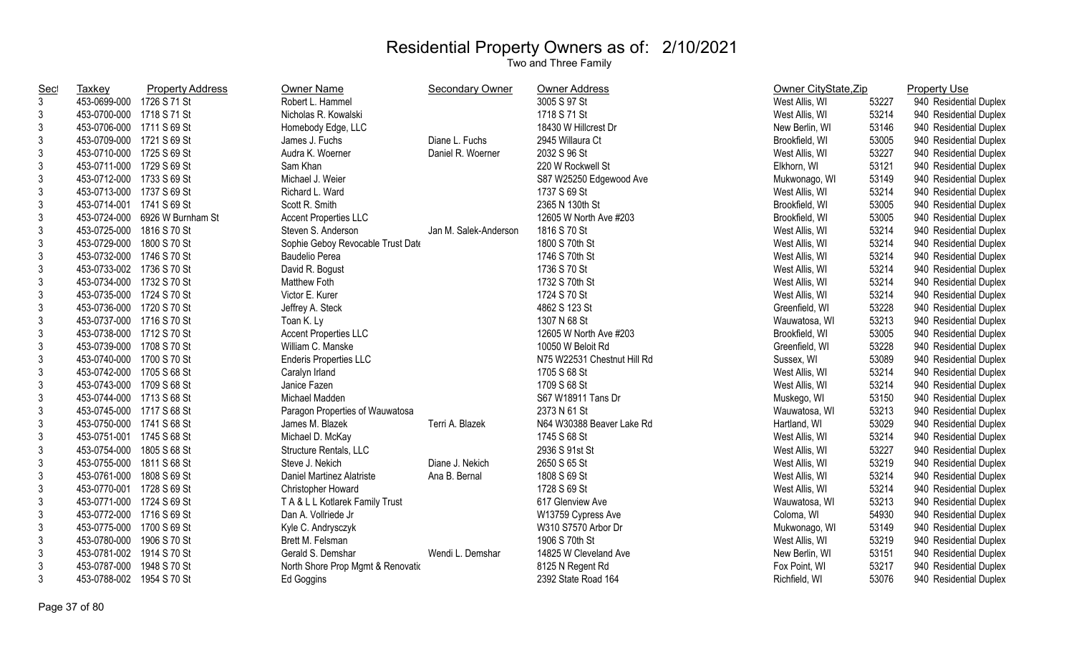| <u>Sec</u>                | Taxkey                    | <b>Property Address</b>        | <b>Owner Name</b>                 | <b>Secondary Owner</b> | <b>Owner Address</b>        | Owner CityState, Zip |       | <b>Property Use</b>    |
|---------------------------|---------------------------|--------------------------------|-----------------------------------|------------------------|-----------------------------|----------------------|-------|------------------------|
| $\mathfrak{Z}$            | 453-0699-000              | 1726 S 71 St                   | Robert L. Hammel                  |                        | 3005 S 97 St                | West Allis, WI       | 53227 | 940 Residential Duplex |
| 3                         | 453-0700-000 1718 S 71 St |                                | Nicholas R. Kowalski              |                        | 1718 S 71 St                | West Allis, WI       | 53214 | 940 Residential Duplex |
| 3                         | 453-0706-000 1711 S 69 St |                                | Homebody Edge, LLC                |                        | 18430 W Hillcrest Dr        | New Berlin, WI       | 53146 | 940 Residential Duplex |
| $\sqrt{3}$                | 453-0709-000 1721 S 69 St |                                | James J. Fuchs                    | Diane L. Fuchs         | 2945 Willaura Ct            | Brookfield, WI       | 53005 | 940 Residential Duplex |
| $\mathsf 3$               | 453-0710-000 1725 S 69 St |                                | Audra K. Woerner                  | Daniel R. Woerner      | 2032 S 96 St                | West Allis, WI       | 53227 | 940 Residential Duplex |
| $\mathsf 3$               | 453-0711-000 1729 S 69 St |                                | Sam Khan                          |                        | 220 W Rockwell St           | Elkhorn, WI          | 53121 | 940 Residential Duplex |
| $\sqrt{3}$                | 453-0712-000 1733 S 69 St |                                | Michael J. Weier                  |                        | S87 W25250 Edgewood Ave     | Mukwonago, WI        | 53149 | 940 Residential Duplex |
| $\sqrt{3}$                | 453-0713-000 1737 S 69 St |                                | Richard L. Ward                   |                        | 1737 S 69 St                | West Allis, WI       | 53214 | 940 Residential Duplex |
| $\mathsf 3$               | 453-0714-001 1741 S 69 St |                                | Scott R. Smith                    |                        | 2365 N 130th St             | Brookfield, WI       | 53005 | 940 Residential Duplex |
| $\sqrt{3}$                |                           | 453-0724-000 6926 W Burnham St | <b>Accent Properties LLC</b>      |                        | 12605 W North Ave #203      | Brookfield, WI       | 53005 | 940 Residential Duplex |
| $\sqrt{3}$                | 453-0725-000 1816 S 70 St |                                | Steven S. Anderson                | Jan M. Salek-Anderson  | 1816 S 70 St                | West Allis, WI       | 53214 | 940 Residential Duplex |
| $\sqrt{3}$                | 453-0729-000 1800 S 70 St |                                | Sophie Geboy Revocable Trust Date |                        | 1800 S 70th St              | West Allis, WI       | 53214 | 940 Residential Duplex |
| $\mathfrak{Z}$            | 453-0732-000 1746 S 70 St |                                | <b>Baudelio Perea</b>             |                        | 1746 S 70th St              | West Allis, WI       | 53214 | 940 Residential Duplex |
| $\mathfrak{Z}$            | 453-0733-002 1736 S 70 St |                                | David R. Bogust                   |                        | 1736 S 70 St                | West Allis, WI       | 53214 | 940 Residential Duplex |
| $\sqrt{3}$                | 453-0734-000 1732 S 70 St |                                | Matthew Foth                      |                        | 1732 S 70th St              | West Allis, WI       | 53214 | 940 Residential Duplex |
| $\sqrt{3}$                | 453-0735-000 1724 S 70 St |                                | Victor E. Kurer                   |                        | 1724 S 70 St                | West Allis, WI       | 53214 | 940 Residential Duplex |
| 3                         | 453-0736-000 1720 S 70 St |                                | Jeffrey A. Steck                  |                        | 4862 S 123 St               | Greenfield, WI       | 53228 | 940 Residential Duplex |
| $\sqrt{3}$                | 453-0737-000 1716 S 70 St |                                | Toan K. Ly                        |                        | 1307 N 68 St                | Wauwatosa, WI        | 53213 | 940 Residential Duplex |
| $\mathsf 3$               | 453-0738-000 1712 S 70 St |                                | <b>Accent Properties LLC</b>      |                        | 12605 W North Ave #203      | Brookfield, WI       | 53005 | 940 Residential Duplex |
| $\sqrt{3}$                | 453-0739-000 1708 S 70 St |                                | William C. Manske                 |                        | 10050 W Beloit Rd           | Greenfield, WI       | 53228 | 940 Residential Duplex |
| $\mathsf 3$               | 453-0740-000 1700 S 70 St |                                | <b>Enderis Properties LLC</b>     |                        | N75 W22531 Chestnut Hill Rd | Sussex, WI           | 53089 | 940 Residential Duplex |
| $\sqrt{3}$                | 453-0742-000 1705 S 68 St |                                | Caralyn Irland                    |                        | 1705 S 68 St                | West Allis, WI       | 53214 | 940 Residential Duplex |
| $\sqrt{3}$                | 453-0743-000 1709 S 68 St |                                | Janice Fazen                      |                        | 1709 S 68 St                | West Allis, WI       | 53214 | 940 Residential Duplex |
| $\mathfrak{Z}$            | 453-0744-000 1713 S 68 St |                                | Michael Madden                    |                        | S67 W18911 Tans Dr          | Muskego, WI          | 53150 | 940 Residential Duplex |
| $\sqrt{3}$                | 453-0745-000 1717 S 68 St |                                | Paragon Properties of Wauwatosa   |                        | 2373 N 61 St                | Wauwatosa, WI        | 53213 | 940 Residential Duplex |
| $\sqrt{3}$                | 453-0750-000 1741 S 68 St |                                | James M. Blazek                   | Terri A. Blazek        | N64 W30388 Beaver Lake Rd   | Hartland, WI         | 53029 | 940 Residential Duplex |
| $\mathfrak{Z}$            | 453-0751-001 1745 S 68 St |                                | Michael D. McKay                  |                        | 1745 S 68 St                | West Allis, WI       | 53214 | 940 Residential Duplex |
| $\mathfrak{Z}$            | 453-0754-000 1805 S 68 St |                                | Structure Rentals, LLC            |                        | 2936 S 91st St              | West Allis, WI       | 53227 | 940 Residential Duplex |
| $\mathsf 3$               | 453-0755-000 1811 S 68 St |                                | Steve J. Nekich                   | Diane J. Nekich        | 2650 S 65 St                | West Allis, WI       | 53219 | 940 Residential Duplex |
| $\mathsf 3$               | 453-0761-000 1808 S 69 St |                                | Daniel Martinez Alatriste         | Ana B. Bernal          | 1808 S 69 St                | West Allis, WI       | 53214 | 940 Residential Duplex |
| $\ensuremath{\mathsf{3}}$ | 453-0770-001 1728 S 69 St |                                | Christopher Howard                |                        | 1728 S 69 St                | West Allis, WI       | 53214 | 940 Residential Duplex |
| $\sqrt{3}$                | 453-0771-000 1724 S 69 St |                                | TA& L L Kotlarek Family Trust     |                        | 617 Glenview Ave            | Wauwatosa, WI        | 53213 | 940 Residential Duplex |
| $\ensuremath{\mathsf{3}}$ | 453-0772-000 1716 S 69 St |                                | Dan A. Vollriede Jr               |                        | W13759 Cypress Ave          | Coloma, WI           | 54930 | 940 Residential Duplex |
| $\sqrt{3}$                | 453-0775-000 1700 S 69 St |                                | Kyle C. Andrysczyk                |                        | W310 S7570 Arbor Dr         | Mukwonago, WI        | 53149 | 940 Residential Duplex |
| $\ensuremath{\mathsf{3}}$ | 453-0780-000 1906 S 70 St |                                | Brett M. Felsman                  |                        | 1906 S 70th St              | West Allis, WI       | 53219 | 940 Residential Duplex |
| $\sqrt{3}$                | 453-0781-002 1914 S 70 St |                                | Gerald S. Demshar                 | Wendi L. Demshar       | 14825 W Cleveland Ave       | New Berlin, WI       | 53151 | 940 Residential Duplex |
| $\mathfrak{Z}$            | 453-0787-000              | 1948 S 70 St                   | North Shore Prop Mgmt & Renovatio |                        | 8125 N Regent Rd            | Fox Point, WI        | 53217 | 940 Residential Duplex |
| $\mathfrak{Z}$            | 453-0788-002 1954 S 70 St |                                | Ed Goggins                        |                        | 2392 State Road 164         | Richfield, WI        | 53076 | 940 Residential Duplex |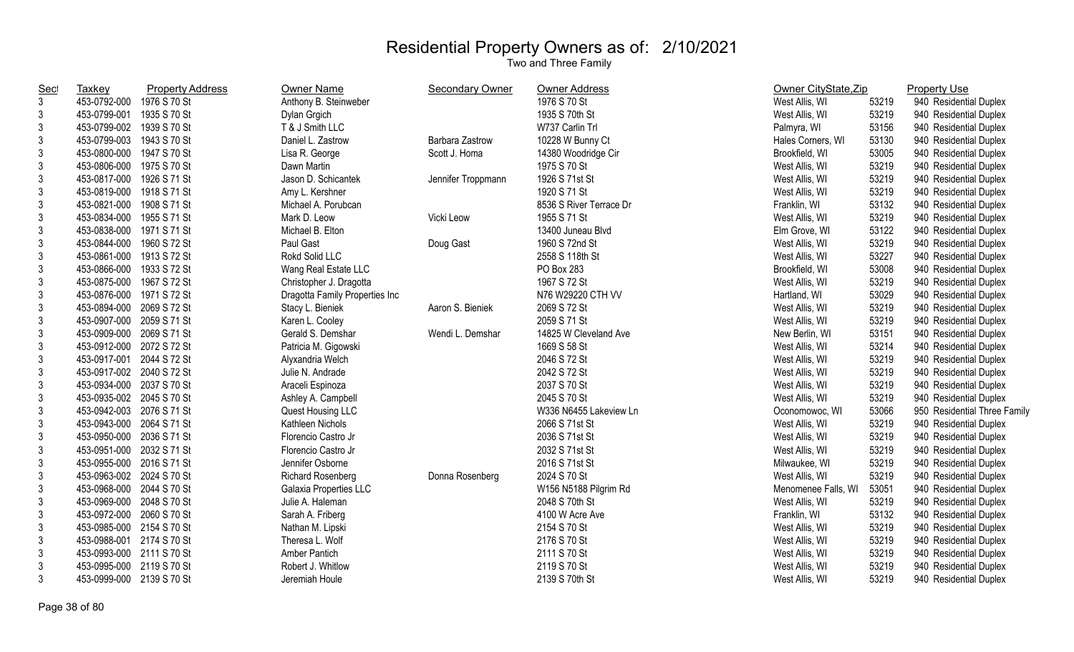| <b>Sec</b>     | <b>Taxkey</b>             | <b>Property Address</b> | <b>Owner Name</b>              | Secondary Owner    | Owner Address           | Owner CityState, Zip |       | <b>Property Use</b>          |
|----------------|---------------------------|-------------------------|--------------------------------|--------------------|-------------------------|----------------------|-------|------------------------------|
| 3              | 453-0792-000 1976 S 70 St |                         | Anthony B. Steinweber          |                    | 1976 S 70 St            | West Allis, WI       | 53219 | 940 Residential Duplex       |
| 3              | 453-0799-001              | 1935 S 70 St            | Dylan Grgich                   |                    | 1935 S 70th St          | West Allis, WI       | 53219 | 940 Residential Duplex       |
| 3              | 453-0799-002 1939 S 70 St |                         | T & J Smith LLC                |                    | W737 Carlin Trl         | Palmyra, WI          | 53156 | 940 Residential Duplex       |
| 3              | 453-0799-003 1943 S 70 St |                         | Daniel L. Zastrow              | Barbara Zastrow    | 10228 W Bunny Ct        | Hales Corners, WI    | 53130 | 940 Residential Duplex       |
| 3              | 453-0800-000 1947 S 70 St |                         | Lisa R. George                 | Scott J. Homa      | 14380 Woodridge Cir     | Brookfield, WI       | 53005 | 940 Residential Duplex       |
| 3              | 453-0806-000 1975 S 70 St |                         | Dawn Martin                    |                    | 1975 S 70 St            | West Allis, WI       | 53219 | 940 Residential Duplex       |
| 3              | 453-0817-000 1926 S 71 St |                         | Jason D. Schicantek            | Jennifer Troppmann | 1926 S 71st St          | West Allis, WI       | 53219 | 940 Residential Duplex       |
| 3              | 453-0819-000 1918 S 71 St |                         | Amy L. Kershner                |                    | 1920 S 71 St            | West Allis, WI       | 53219 | 940 Residential Duplex       |
| 3              | 453-0821-000 1908 S 71 St |                         | Michael A. Porubcan            |                    | 8536 S River Terrace Dr | Franklin, WI         | 53132 | 940 Residential Duplex       |
| $\mathfrak{Z}$ | 453-0834-000 1955 S 71 St |                         | Mark D. Leow                   | Vicki Leow         | 1955 S 71 St            | West Allis, WI       | 53219 | 940 Residential Duplex       |
| $\mathfrak{Z}$ | 453-0838-000 1971 S 71 St |                         | Michael B. Elton               |                    | 13400 Juneau Blvd       | Elm Grove, WI        | 53122 | 940 Residential Duplex       |
| 3              | 453-0844-000 1960 S 72 St |                         | Paul Gast                      | Doug Gast          | 1960 S 72nd St          | West Allis, WI       | 53219 | 940 Residential Duplex       |
| 3              | 453-0861-000 1913 S 72 St |                         | Rokd Solid LLC                 |                    | 2558 S 118th St         | West Allis, WI       | 53227 | 940 Residential Duplex       |
| 3              | 453-0866-000 1933 S 72 St |                         | Wang Real Estate LLC           |                    | PO Box 283              | Brookfield, WI       | 53008 | 940 Residential Duplex       |
| 3              | 453-0875-000 1967 S 72 St |                         | Christopher J. Dragotta        |                    | 1967 S 72 St            | West Allis, WI       | 53219 | 940 Residential Duplex       |
| 3              | 453-0876-000 1971 S 72 St |                         | Dragotta Family Properties Inc |                    | N76 W29220 CTH VV       | Hartland, WI         | 53029 | 940 Residential Duplex       |
| 3              | 453-0894-000 2069 S 72 St |                         | Stacy L. Bieniek               | Aaron S. Bieniek   | 2069 S 72 St            | West Allis, WI       | 53219 | 940 Residential Duplex       |
| 3              | 453-0907-000 2059 S 71 St |                         | Karen L. Cooley                |                    | 2059 S 71 St            | West Allis, WI       | 53219 | 940 Residential Duplex       |
| 3              | 453-0909-000 2069 S 71 St |                         | Gerald S. Demshar              | Wendi L. Demshar   | 14825 W Cleveland Ave   | New Berlin, WI       | 53151 | 940 Residential Duplex       |
| 3              | 453-0912-000 2072 S 72 St |                         | Patricia M. Gigowski           |                    | 1669 S 58 St            | West Allis, WI       | 53214 | 940 Residential Duplex       |
| 3              | 453-0917-001 2044 S 72 St |                         | Alyxandria Welch               |                    | 2046 S 72 St            | West Allis, WI       | 53219 | 940 Residential Duplex       |
| 3              | 453-0917-002 2040 S 72 St |                         | Julie N. Andrade               |                    | 2042 S 72 St            | West Allis, WI       | 53219 | 940 Residential Duplex       |
| 3              | 453-0934-000 2037 S 70 St |                         | Araceli Espinoza               |                    | 2037 S 70 St            | West Allis, WI       | 53219 | 940 Residential Duplex       |
| 3              | 453-0935-002 2045 S 70 St |                         | Ashley A. Campbell             |                    | 2045 S 70 St            | West Allis, WI       | 53219 | 940 Residential Duplex       |
| 3              | 453-0942-003 2076 S 71 St |                         | Quest Housing LLC              |                    | W336 N6455 Lakeview Ln  | Oconomowoc, WI       | 53066 | 950 Residential Three Family |
| 3              | 453-0943-000 2064 S 71 St |                         | Kathleen Nichols               |                    | 2066 S 71st St          | West Allis, WI       | 53219 | 940 Residential Duplex       |
| 3              | 453-0950-000 2036 S 71 St |                         | Florencio Castro Jr            |                    | 2036 S 71st St          | West Allis, WI       | 53219 | 940 Residential Duplex       |
| 3              | 453-0951-000 2032 S 71 St |                         | Florencio Castro Jr            |                    | 2032 S 71st St          | West Allis, WI       | 53219 | 940 Residential Duplex       |
| 3              | 453-0955-000 2016 S 71 St |                         | Jennifer Osborne               |                    | 2016 S 71st St          | Milwaukee, WI        | 53219 | 940 Residential Duplex       |
| 3              | 453-0963-002 2024 S 70 St |                         | Richard Rosenberg              | Donna Rosenberg    | 2024 S 70 St            | West Allis, WI       | 53219 | 940 Residential Duplex       |
| 3              | 453-0968-000 2044 S 70 St |                         | Galaxia Properties LLC         |                    | W156 N5188 Pilgrim Rd   | Menomenee Falls, WI  | 53051 | 940 Residential Duplex       |
| 3              | 453-0969-000 2048 S 70 St |                         | Julie A. Haleman               |                    | 2048 S 70th St          | West Allis, WI       | 53219 | 940 Residential Duplex       |
| 3              | 453-0972-000 2060 S 70 St |                         | Sarah A. Friberg               |                    | 4100 W Acre Ave         | Franklin, WI         | 53132 | 940 Residential Duplex       |
| 3              | 453-0985-000 2154 S 70 St |                         | Nathan M. Lipski               |                    | 2154 S 70 St            | West Allis, WI       | 53219 | 940 Residential Duplex       |
| 3              | 453-0988-001 2174 S 70 St |                         | Theresa L. Wolf                |                    | 2176 S 70 St            | West Allis, WI       | 53219 | 940 Residential Duplex       |
| 3              | 453-0993-000 2111 S 70 St |                         | Amber Pantich                  |                    | 2111 S 70 St            | West Allis, WI       | 53219 | 940 Residential Duplex       |
| 3              | 453-0995-000 2119 S 70 St |                         | Robert J. Whitlow              |                    | 2119 S 70 St            | West Allis, WI       | 53219 | 940 Residential Duplex       |
| $\mathfrak{Z}$ | 453-0999-000 2139 S 70 St |                         | Jeremiah Houle                 |                    | 2139 S 70th St          | West Allis, WI       | 53219 | 940 Residential Duplex       |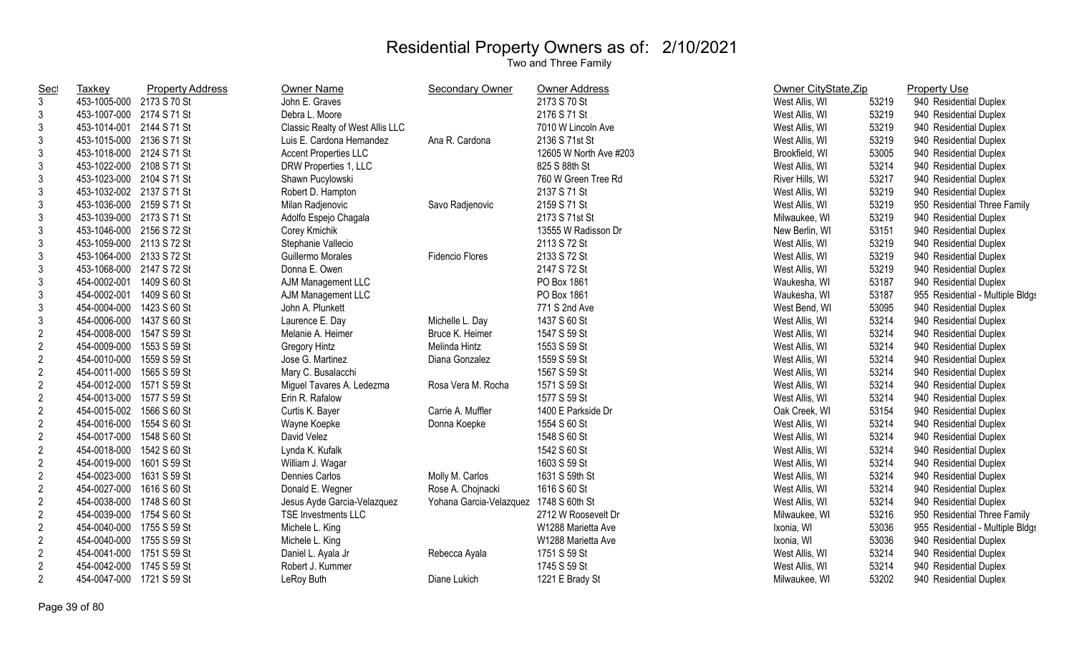| <b>Sec</b>     | <b>Taxkey</b>             | <b>Property Address</b> | Owner Name                       | <b>Secondary Owner</b>  | Owner Address          | Owner CityState, Zip |       | <b>Property Use</b>              |
|----------------|---------------------------|-------------------------|----------------------------------|-------------------------|------------------------|----------------------|-------|----------------------------------|
| $\mathbf{3}$   | 453-1005-000 2173 S 70 St |                         | John E. Graves                   |                         | 2173 S 70 St           | West Allis, WI       | 53219 | 940 Residential Duplex           |
| 3              | 453-1007-000 2174 S 71 St |                         | Debra L. Moore                   |                         | 2176 S 71 St           | West Allis, WI       | 53219 | 940 Residential Duplex           |
| 3              | 453-1014-001 2144 S 71 St |                         | Classic Realty of West Allis LLC |                         | 7010 W Lincoln Ave     | West Allis, WI       | 53219 | 940 Residential Duplex           |
| 3              | 453-1015-000 2136 S 71 St |                         | Luis E. Cardona Hernandez        | Ana R. Cardona          | 2136 S 71st St         | West Allis, WI       | 53219 | 940 Residential Duplex           |
| 3              | 453-1018-000 2124 S 71 St |                         | <b>Accent Properties LLC</b>     |                         | 12605 W North Ave #203 | Brookfield, WI       | 53005 | 940 Residential Duplex           |
| 3              | 453-1022-000 2108 S 71 St |                         | DRW Properties 1, LLC            |                         | 825 S 88th St          | West Allis, WI       | 53214 | 940 Residential Duplex           |
| 3              | 453-1023-000 2104 S 71 St |                         | Shawn Pucylowski                 |                         | 760 W Green Tree Rd    | River Hills, WI      | 53217 | 940 Residential Duplex           |
| 3              | 453-1032-002 2137 S 71 St |                         | Robert D. Hampton                |                         | 2137 S 71 St           | West Allis, WI       | 53219 | 940 Residential Duplex           |
| $\mathfrak{Z}$ | 453-1036-000 2159 S 71 St |                         | Milan Radjenovic                 | Savo Radjenovic         | 2159 S 71 St           | West Allis, WI       | 53219 | 950 Residential Three Family     |
| $\mathfrak{Z}$ | 453-1039-000 2173 S 71 St |                         | Adolfo Espejo Chagala            |                         | 2173 S 71st St         | Milwaukee, WI        | 53219 | 940 Residential Duplex           |
| $\mathfrak{Z}$ | 453-1046-000 2156 S 72 St |                         | Corey Kmichik                    |                         | 13555 W Radisson Dr    | New Berlin, WI       | 53151 | 940 Residential Duplex           |
| $\mathfrak{Z}$ | 453-1059-000 2113 S 72 St |                         | Stephanie Vallecio               |                         | 2113 S 72 St           | West Allis, WI       | 53219 | 940 Residential Duplex           |
| 3              | 453-1064-000 2133 S 72 St |                         | Guillermo Morales                | <b>Fidencio Flores</b>  | 2133 S 72 St           | West Allis, WI       | 53219 | 940 Residential Duplex           |
| 3              | 453-1068-000 2147 S 72 St |                         | Donna E. Owen                    |                         | 2147 S 72 St           | West Allis, WI       | 53219 | 940 Residential Duplex           |
| 3              | 454-0002-001 1409 S 60 St |                         | AJM Management LLC               |                         | PO Box 1861            | Waukesha, WI         | 53187 | 940 Residential Duplex           |
| $\mathfrak{Z}$ | 454-0002-001 1409 S 60 St |                         | AJM Management LLC               |                         | PO Box 1861            | Waukesha, WI         | 53187 | 955 Residential - Multiple Bldgs |
| $\mathfrak{Z}$ | 454-0004-000 1423 S 60 St |                         | John A. Plunkett                 |                         | 771 S 2nd Ave          | West Bend, WI        | 53095 | 940 Residential Duplex           |
| 3              | 454-0006-000 1437 S 60 St |                         | Laurence E. Day                  | Michelle L. Day         | 1437 S 60 St           | West Allis, WI       | 53214 | 940 Residential Duplex           |
| $\overline{2}$ | 454-0008-000 1547 S 59 St |                         | Melanie A. Heimer                | Bruce K. Heimer         | 1547 S 59 St           | West Allis, WI       | 53214 | 940 Residential Duplex           |
| $\overline{2}$ | 454-0009-000 1553 S 59 St |                         | Gregory Hintz                    | Melinda Hintz           | 1553 S 59 St           | West Allis, WI       | 53214 | 940 Residential Duplex           |
| $\overline{2}$ | 454-0010-000              | 1559 S 59 St            | Jose G. Martinez                 | Diana Gonzalez          | 1559 S 59 St           | West Allis, WI       | 53214 | 940 Residential Duplex           |
| $\overline{2}$ | 454-0011-000 1565 S 59 St |                         | Mary C. Busalacchi               |                         | 1567 S 59 St           | West Allis, WI       | 53214 | 940 Residential Duplex           |
| $\overline{2}$ | 454-0012-000 1571 S 59 St |                         | Miguel Tavares A. Ledezma        | Rosa Vera M. Rocha      | 1571 S 59 St           | West Allis, WI       | 53214 | 940 Residential Duplex           |
| $\overline{2}$ | 454-0013-000 1577 S 59 St |                         | Erin R. Rafalow                  |                         | 1577 S 59 St           | West Allis, WI       | 53214 | 940 Residential Duplex           |
| $\overline{2}$ | 454-0015-002 1566 S 60 St |                         | Curtis K. Bayer                  | Carrie A. Muffler       | 1400 E Parkside Dr     | Oak Creek, WI        | 53154 | 940 Residential Duplex           |
| $\overline{2}$ | 454-0016-000 1554 S 60 St |                         | Wayne Koepke                     | Donna Koepke            | 1554 S 60 St           | West Allis, WI       | 53214 | 940 Residential Duplex           |
| $\overline{2}$ | 454-0017-000              | 1548 S 60 St            | David Velez                      |                         | 1548 S 60 St           | West Allis, WI       | 53214 | 940 Residential Duplex           |
| $\overline{2}$ | 454-0018-000 1542 S 60 St |                         | Lynda K. Kufalk                  |                         | 1542 S 60 St           | West Allis, WI       | 53214 | 940 Residential Duplex           |
| $\overline{c}$ | 454-0019-000              | 1601 S 59 St            | William J. Wagar                 |                         | 1603 S 59 St           | West Allis, WI       | 53214 | 940 Residential Duplex           |
| $\mathbf{2}$   | 454-0023-000              | 1631 S 59 St            | <b>Dennies Carlos</b>            | Molly M. Carlos         | 1631 S 59th St         | West Allis, WI       | 53214 | 940 Residential Duplex           |
| $\overline{2}$ | 454-0027-000 1616 S 60 St |                         | Donald E. Wegner                 | Rose A. Chojnacki       | 1616 S 60 St           | West Allis, WI       | 53214 | 940 Residential Duplex           |
| $\overline{2}$ | 454-0038-000 1748 S 60 St |                         | Jesus Ayde Garcia-Velazquez      | Yohana Garcia-Velazquez | 1748 S 60th St         | West Allis, WI       | 53214 | 940 Residential Duplex           |
| $\overline{2}$ | 454-0039-000 1754 S 60 St |                         | TSE Investments LLC              |                         | 2712 W Roosevelt Dr    | Milwaukee, WI        | 53216 | 950 Residential Three Family     |
| $\overline{c}$ | 454-0040-000 1755 S 59 St |                         | Michele L. King                  |                         | W1288 Marietta Ave     | Ixonia, WI           | 53036 | 955 Residential - Multiple Bldgs |
| $\overline{2}$ | 454-0040-000 1755 S 59 St |                         | Michele L. King                  |                         | W1288 Marietta Ave     | Ixonia, WI           | 53036 | 940 Residential Duplex           |
| $\overline{2}$ | 454-0041-000 1751 S 59 St |                         | Daniel L. Ayala Jr               | Rebecca Ayala           | 1751 S 59 St           | West Allis, WI       | 53214 | 940 Residential Duplex           |
| $\overline{c}$ | 454-0042-000 1745 S 59 St |                         | Robert J. Kummer                 |                         | 1745 S 59 St           | West Allis, WI       | 53214 | 940 Residential Duplex           |
| $\overline{2}$ | 454-0047-000 1721 S 59 St |                         | LeRoy Buth                       | Diane Lukich            | 1221 E Brady St        | Milwaukee, WI        | 53202 | 940 Residential Duplex           |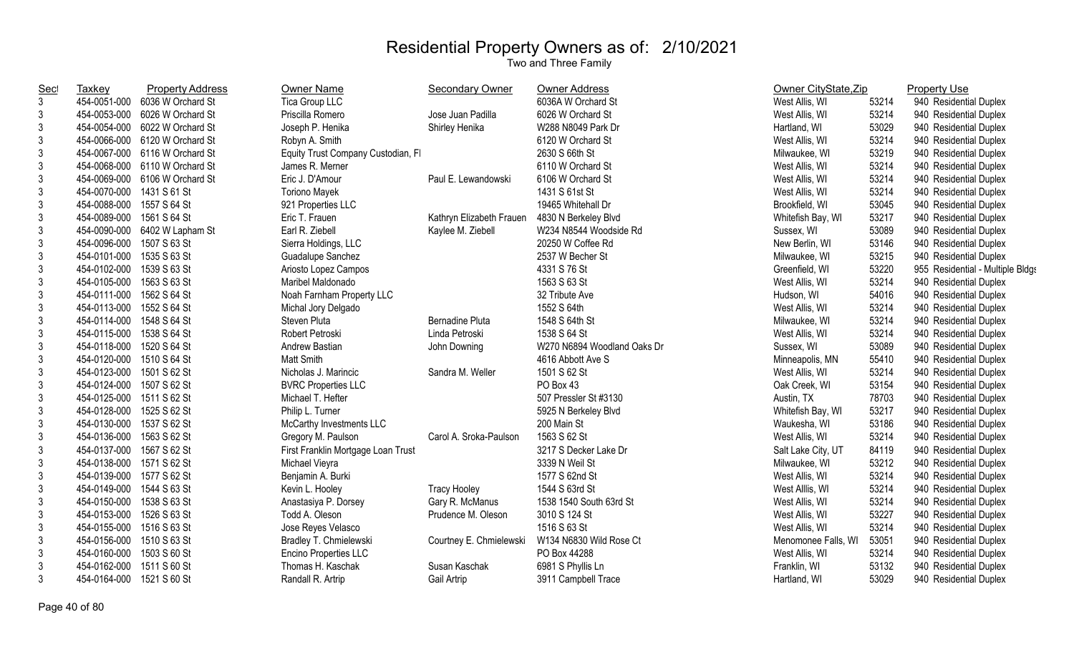| <b>Sec</b>     | Taxkey                    | <b>Property Address</b>        | <b>Owner Name</b>                  | <b>Secondary Owner</b>   | <b>Owner Address</b>        | Owner CityState, Zip |       | <b>Property Use</b>              |
|----------------|---------------------------|--------------------------------|------------------------------------|--------------------------|-----------------------------|----------------------|-------|----------------------------------|
| 3              | 454-0051-000              | 6036 W Orchard St              | Tica Group LLC                     |                          | 6036A W Orchard St          | West Allis, WI       | 53214 | 940 Residential Duplex           |
| 3              | 454-0053-000              | 6026 W Orchard St              | Priscilla Romero                   | Jose Juan Padilla        | 6026 W Orchard St           | West Allis, WI       | 53214 | 940 Residential Duplex           |
| 3              |                           | 454-0054-000 6022 W Orchard St | Joseph P. Henika                   | Shirley Henika           | W288 N8049 Park Dr          | Hartland, WI         | 53029 | 940 Residential Duplex           |
| 3              |                           | 454-0066-000 6120 W Orchard St | Robyn A. Smith                     |                          | 6120 W Orchard St           | West Allis, WI       | 53214 | 940 Residential Duplex           |
| 3              |                           | 454-0067-000 6116 W Orchard St | Equity Trust Company Custodian, FI |                          | 2630 S 66th St              | Milwaukee, WI        | 53219 | 940 Residential Duplex           |
| 3              | 454-0068-000              | 6110 W Orchard St              | James R. Merner                    |                          | 6110 W Orchard St           | West Allis, WI       | 53214 | 940 Residential Duplex           |
| 3              | 454-0069-000              | 6106 W Orchard St              | Eric J. D'Amour                    | Paul E. Lewandowski      | 6106 W Orchard St           | West Allis, WI       | 53214 | 940 Residential Duplex           |
| 3              | 454-0070-000              | 1431 S 61 St                   | <b>Toriono Mayek</b>               |                          | 1431 S 61st St              | West Allis, WI       | 53214 | 940 Residential Duplex           |
| 3              | 454-0088-000              | 1557 S 64 St                   | 921 Properties LLC                 |                          | 19465 Whitehall Dr          | Brookfield, WI       | 53045 | 940 Residential Duplex           |
| 3              | 454-0089-000              | 1561 S 64 St                   | Eric T. Frauen                     | Kathryn Elizabeth Frauen | 4830 N Berkeley Blvd        | Whitefish Bay, WI    | 53217 | 940 Residential Duplex           |
| 3              |                           | 454-0090-000 6402 W Lapham St  | Earl R. Ziebell                    | Kaylee M. Ziebell        | W234 N8544 Woodside Rd      | Sussex, WI           | 53089 | 940 Residential Duplex           |
| 3              | 454-0096-000 1507 S 63 St |                                | Sierra Holdings, LLC               |                          | 20250 W Coffee Rd           | New Berlin, WI       | 53146 | 940 Residential Duplex           |
| 3              | 454-0101-000              | 1535 S 63 St                   | Guadalupe Sanchez                  |                          | 2537 W Becher St            | Milwaukee, WI        | 53215 | 940 Residential Duplex           |
| 3              | 454-0102-000              | 1539 S 63 St                   | Ariosto Lopez Campos               |                          | 4331 S 76 St                | Greenfield, WI       | 53220 | 955 Residential - Multiple Bldgs |
| 3              | 454-0105-000              | 1563 S 63 St                   | Maribel Maldonado                  |                          | 1563 S 63 St                | West Allis, WI       | 53214 | 940 Residential Duplex           |
| 3              | 454-0111-000 1562 S 64 St |                                | Noah Farnham Property LLC          |                          | 32 Tribute Ave              | Hudson, WI           | 54016 | 940 Residential Duplex           |
| 3              | 454-0113-000 1552 S 64 St |                                | Michal Jory Delgado                |                          | 1552 S 64th                 | West Allis, WI       | 53214 | 940 Residential Duplex           |
| 3              | 454-0114-000 1548 S 64 St |                                | Steven Pluta                       | <b>Bernadine Pluta</b>   | 1548 S 64th St              | Milwaukee, WI        | 53214 | 940 Residential Duplex           |
| 3              | 454-0115-000 1538 S 64 St |                                | Robert Petroski                    | Linda Petroski           | 1538 S 64 St                | West Allis, WI       | 53214 | 940 Residential Duplex           |
| 3              | 454-0118-000 1520 S 64 St |                                | Andrew Bastian                     | John Downing             | W270 N6894 Woodland Oaks Dr | Sussex, WI           | 53089 | 940 Residential Duplex           |
| 3              | 454-0120-000 1510 S 64 St |                                | Matt Smith                         |                          | 4616 Abbott Ave S           | Minneapolis, MN      | 55410 | 940 Residential Duplex           |
| 3              | 454-0123-000 1501 S 62 St |                                | Nicholas J. Marincic               | Sandra M. Weller         | 1501 S 62 St                | West Allis, WI       | 53214 | 940 Residential Duplex           |
| 3              | 454-0124-000 1507 S 62 St |                                | <b>BVRC Properties LLC</b>         |                          | PO Box 43                   | Oak Creek, WI        | 53154 | 940 Residential Duplex           |
| 3              | 454-0125-000 1511 S 62 St |                                | Michael T. Hefter                  |                          | 507 Pressler St #3130       | Austin, TX           | 78703 | 940 Residential Duplex           |
| 3              | 454-0128-000 1525 S 62 St |                                | Philip L. Turner                   |                          | 5925 N Berkeley Blvd        | Whitefish Bay, WI    | 53217 | 940 Residential Duplex           |
| $\mathsf 3$    | 454-0130-000 1537 S 62 St |                                | McCarthy Investments LLC           |                          | 200 Main St                 | Waukesha, WI         | 53186 | 940 Residential Duplex           |
| 3              | 454-0136-000              | 1563 S 62 St                   | Gregory M. Paulson                 | Carol A. Sroka-Paulson   | 1563 S 62 St                | West Allis, WI       | 53214 | 940 Residential Duplex           |
| 3              | 454-0137-000 1567 S 62 St |                                | First Franklin Mortgage Loan Trust |                          | 3217 S Decker Lake Dr       | Salt Lake City, UT   | 84119 | 940 Residential Duplex           |
| 3              | 454-0138-000 1571 S 62 St |                                | Michael Vieyra                     |                          | 3339 N Weil St              | Milwaukee, WI        | 53212 | 940 Residential Duplex           |
| 3              | 454-0139-000 1577 S 62 St |                                | Benjamin A. Burki                  |                          | 1577 S 62nd St              | West Allis, WI       | 53214 | 940 Residential Duplex           |
| 3              | 454-0149-000 1544 S 63 St |                                | Kevin L. Hooley                    | <b>Tracy Hooley</b>      | 1544 S 63rd St              | West Alllis, WI      | 53214 | 940 Residential Duplex           |
| 3              | 454-0150-000 1538 S 63 St |                                | Anastasiya P. Dorsey               | Gary R. McManus          | 1538 1540 South 63rd St     | West Allis, WI       | 53214 | 940 Residential Duplex           |
| 3              | 454-0153-000              | 1526 S 63 St                   | Todd A. Oleson                     | Prudence M. Oleson       | 3010 S 124 St               | West Allis, WI       | 53227 | 940 Residential Duplex           |
| 3              | 454-0155-000              | 1516 S 63 St                   | Jose Reyes Velasco                 |                          | 1516 S 63 St                | West Allis, WI       | 53214 | 940 Residential Duplex           |
| 3              | 454-0156-000              | 1510 S 63 St                   | Bradley T. Chmielewski             | Courtney E. Chmielewski  | W134 N6830 Wild Rose Ct     | Menomonee Falls, WI  | 53051 | 940 Residential Duplex           |
| 3              | 454-0160-000 1503 S 60 St |                                | <b>Encino Properties LLC</b>       |                          | PO Box 44288                | West Allis, WI       | 53214 | 940 Residential Duplex           |
| 3              | 454-0162-000              | 1511 S 60 St                   | Thomas H. Kaschak                  | Susan Kaschak            | 6981 S Phyllis Ln           | Franklin, WI         | 53132 | 940 Residential Duplex           |
| $\mathfrak{Z}$ | 454-0164-000 1521 S 60 St |                                | Randall R. Artrip                  | Gail Artrip              | 3911 Campbell Trace         | Hartland, WI         | 53029 | 940 Residential Duplex           |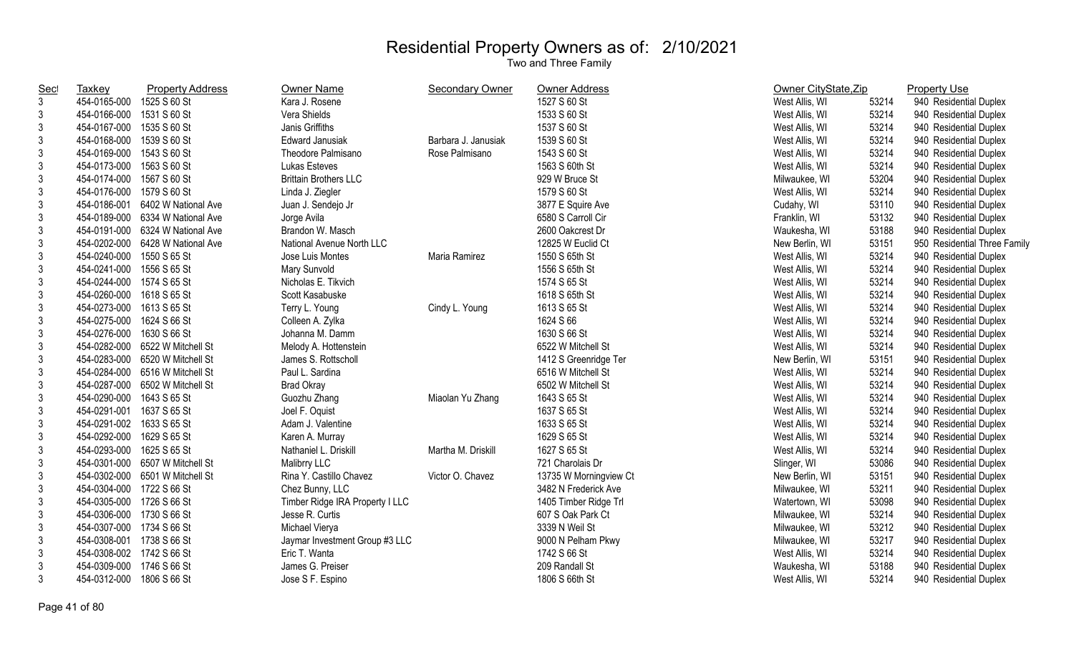| <b>Sec</b>     | Taxkey                    | <b>Property Address</b>          | Owner Name                      | <b>Secondary Owner</b> | Owner Address          | Owner CityState, Zip |       | <b>Property Use</b>          |
|----------------|---------------------------|----------------------------------|---------------------------------|------------------------|------------------------|----------------------|-------|------------------------------|
| $\mathbf{3}$   | 454-0165-000              | 1525 S 60 St                     | Kara J. Rosene                  |                        | 1527 S 60 St           | West Allis, WI       | 53214 | 940 Residential Duplex       |
| $\mathbf{3}$   | 454-0166-000              | 1531 S 60 St                     | Vera Shields                    |                        | 1533 S 60 St           | West Allis, WI       | 53214 | 940 Residential Duplex       |
| 3              | 454-0167-000              | 1535 S 60 St                     | Janis Griffiths                 |                        | 1537 S 60 St           | West Allis, WI       | 53214 | 940 Residential Duplex       |
| 3              | 454-0168-000              | 1539 S 60 St                     | <b>Edward Janusiak</b>          | Barbara J. Janusiak    | 1539 S 60 St           | West Allis, WI       | 53214 | 940 Residential Duplex       |
| 3              | 454-0169-000 1543 S 60 St |                                  | Theodore Palmisano              | Rose Palmisano         | 1543 S 60 St           | West Allis, WI       | 53214 | 940 Residential Duplex       |
| $\mathbf{3}$   | 454-0173-000 1563 S 60 St |                                  | Lukas Esteves                   |                        | 1563 S 60th St         | West Allis, WI       | 53214 | 940 Residential Duplex       |
| $\mathbf{3}$   | 454-0174-000 1567 S 60 St |                                  | <b>Brittain Brothers LLC</b>    |                        | 929 W Bruce St         | Milwaukee, WI        | 53204 | 940 Residential Duplex       |
| 3              | 454-0176-000 1579 S 60 St |                                  | Linda J. Ziegler                |                        | 1579 S 60 St           | West Allis, WI       | 53214 | 940 Residential Duplex       |
| $\mathfrak{Z}$ |                           | 454-0186-001 6402 W National Ave | Juan J. Sendejo Jr              |                        | 3877 E Squire Ave      | Cudahy, WI           | 53110 | 940 Residential Duplex       |
| $\sqrt{3}$     |                           | 454-0189-000 6334 W National Ave | Jorge Avila                     |                        | 6580 S Carroll Cir     | Franklin, WI         | 53132 | 940 Residential Duplex       |
| 3              |                           | 454-0191-000 6324 W National Ave | Brandon W. Masch                |                        | 2600 Oakcrest Dr       | Waukesha, WI         | 53188 | 940 Residential Duplex       |
| $\mathfrak{Z}$ |                           | 454-0202-000 6428 W National Ave | National Avenue North LLC       |                        | 12825 W Euclid Ct      | New Berlin, WI       | 53151 | 950 Residential Three Family |
| $\mathbf{3}$   | 454-0240-000              | 1550 S 65 St                     | Jose Luis Montes                | Maria Ramirez          | 1550 S 65th St         | West Allis, WI       | 53214 | 940 Residential Duplex       |
| $\mathbf{3}$   | 454-0241-000              | 1556 S 65 St                     | Mary Sunvold                    |                        | 1556 S 65th St         | West Allis, WI       | 53214 | 940 Residential Duplex       |
| $\mathbf{3}$   | 454-0244-000 1574 S 65 St |                                  | Nicholas E. Tikvich             |                        | 1574 S 65 St           | West Allis, WI       | 53214 | 940 Residential Duplex       |
| 3              | 454-0260-000 1618 S 65 St |                                  | Scott Kasabuske                 |                        | 1618 S 65th St         | West Allis, WI       | 53214 | 940 Residential Duplex       |
| 3              | 454-0273-000 1613 S 65 St |                                  | Terry L. Young                  | Cindy L. Young         | 1613 S 65 St           | West Allis, WI       | 53214 | 940 Residential Duplex       |
| $\mathbf{3}$   | 454-0275-000 1624 S 66 St |                                  | Colleen A. Zylka                |                        | 1624 S 66              | West Allis, WI       | 53214 | 940 Residential Duplex       |
| $\mathbf{3}$   | 454-0276-000 1630 S 66 St |                                  | Johanna M. Damm                 |                        | 1630 S 66 St           | West Allis, WI       | 53214 | 940 Residential Duplex       |
| $\mathbf{3}$   |                           | 454-0282-000 6522 W Mitchell St  | Melody A. Hottenstein           |                        | 6522 W Mitchell St     | West Allis, WI       | 53214 | 940 Residential Duplex       |
| $\mathbf{3}$   |                           | 454-0283-000 6520 W Mitchell St  | James S. Rottscholl             |                        | 1412 S Greenridge Ter  | New Berlin, WI       | 53151 | 940 Residential Duplex       |
| $\mathbf{3}$   |                           | 454-0284-000 6516 W Mitchell St  | Paul L. Sardina                 |                        | 6516 W Mitchell St     | West Allis, WI       | 53214 | 940 Residential Duplex       |
| $\mathbf{3}$   |                           | 454-0287-000 6502 W Mitchell St  | <b>Brad Okray</b>               |                        | 6502 W Mitchell St     | West Allis, WI       | 53214 | 940 Residential Duplex       |
| $\mathfrak{Z}$ | 454-0290-000              | 1643 S 65 St                     | Guozhu Zhang                    | Miaolan Yu Zhang       | 1643 S 65 St           | West Allis, WI       | 53214 | 940 Residential Duplex       |
| $\sqrt{3}$     | 454-0291-001              | 1637 S 65 St                     | Joel F. Oquist                  |                        | 1637 S 65 St           | West Allis, WI       | 53214 | 940 Residential Duplex       |
| $\mathfrak{Z}$ | 454-0291-002 1633 S 65 St |                                  | Adam J. Valentine               |                        | 1633 S 65 St           | West Allis, WI       | 53214 | 940 Residential Duplex       |
| $\mathfrak{Z}$ | 454-0292-000 1629 S 65 St |                                  | Karen A. Murray                 |                        | 1629 S 65 St           | West Allis, WI       | 53214 | 940 Residential Duplex       |
| $\mathbf{3}$   | 454-0293-000              | 1625 S 65 St                     | Nathaniel L. Driskill           | Martha M. Driskill     | 1627 S 65 St           | West Allis, WI       | 53214 | 940 Residential Duplex       |
| $\mathbf{3}$   |                           | 454-0301-000 6507 W Mitchell St  | Malibrry LLC                    |                        | 721 Charolais Dr       | Slinger, WI          | 53086 | 940 Residential Duplex       |
| 3              |                           | 454-0302-000 6501 W Mitchell St  | Rina Y. Castillo Chavez         | Victor O. Chavez       | 13735 W Morningview Ct | New Berlin, WI       | 53151 | 940 Residential Duplex       |
| 3              | 454-0304-000 1722 S 66 St |                                  | Chez Bunny, LLC                 |                        | 3482 N Frederick Ave   | Milwaukee, WI        | 53211 | 940 Residential Duplex       |
| 3              | 454-0305-000 1726 S 66 St |                                  | Timber Ridge IRA Property I LLC |                        | 1405 Timber Ridge Trl  | Watertown, WI        | 53098 | 940 Residential Duplex       |
| 3              | 454-0306-000 1730 S 66 St |                                  | Jesse R. Curtis                 |                        | 607 S Oak Park Ct      | Milwaukee, WI        | 53214 | 940 Residential Duplex       |
| $\mathbf{3}$   | 454-0307-000 1734 S 66 St |                                  | Michael Vierya                  |                        | 3339 N Weil St         | Milwaukee, WI        | 53212 | 940 Residential Duplex       |
| $\mathbf{3}$   | 454-0308-001 1738 S 66 St |                                  | Jaymar Investment Group #3 LLC  |                        | 9000 N Pelham Pkwy     | Milwaukee, WI        | 53217 | 940 Residential Duplex       |
| 3              | 454-0308-002 1742 S 66 St |                                  | Eric T. Wanta                   |                        | 1742 S 66 St           | West Allis, WI       | 53214 | 940 Residential Duplex       |
| 3              | 454-0309-000              | 1746 S 66 St                     | James G. Preiser                |                        | 209 Randall St         | Waukesha, WI         | 53188 | 940 Residential Duplex       |
| $\mathbf{3}$   | 454-0312-000              | 1806 S 66 St                     | Jose S F. Espino                |                        | 1806 S 66th St         | West Allis, WI       | 53214 | 940 Residential Duplex       |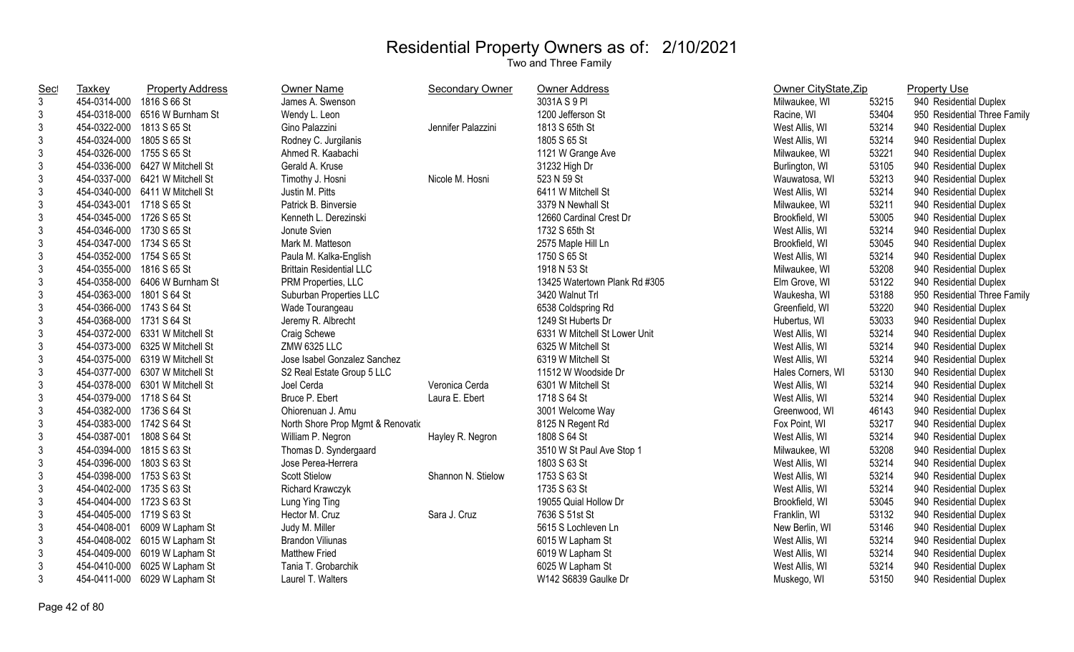| <b>Sec</b>     | <b>Taxkey</b>             | <b>Property Address</b>         | Owner Name                        | <b>Secondary Owner</b> | <b>Owner Address</b>          | Owner CityState, Zip |       | <b>Property Use</b>          |
|----------------|---------------------------|---------------------------------|-----------------------------------|------------------------|-------------------------------|----------------------|-------|------------------------------|
| 3              | 454-0314-000              | 1816 S 66 St                    | James A. Swenson                  |                        | 3031A S 9 PI                  | Milwaukee, WI        | 53215 | 940 Residential Duplex       |
| 3              |                           | 454-0318-000 6516 W Burnham St  | Wendy L. Leon                     |                        | 1200 Jefferson St             | Racine, WI           | 53404 | 950 Residential Three Family |
| 3              | 454-0322-000 1813 S 65 St |                                 | Gino Palazzini                    | Jennifer Palazzini     | 1813 S 65th St                | West Allis, WI       | 53214 | 940 Residential Duplex       |
| 3              | 454-0324-000 1805 S 65 St |                                 | Rodney C. Jurgilanis              |                        | 1805 S 65 St                  | West Allis, WI       | 53214 | 940 Residential Duplex       |
| 3              | 454-0326-000 1755 S 65 St |                                 | Ahmed R. Kaabachi                 |                        | 1121 W Grange Ave             | Milwaukee, WI        | 53221 | 940 Residential Duplex       |
| 3              |                           | 454-0336-000 6427 W Mitchell St | Gerald A. Kruse                   |                        | 31232 High Dr                 | Burlington, WI       | 53105 | 940 Residential Duplex       |
| 3              | 454-0337-000              | 6421 W Mitchell St              | Timothy J. Hosni                  | Nicole M. Hosni        | 523 N 59 St                   | Wauwatosa, WI        | 53213 | 940 Residential Duplex       |
| 3              | 454-0340-000              | 6411 W Mitchell St              | Justin M. Pitts                   |                        | 6411 W Mitchell St            | West Allis, WI       | 53214 | 940 Residential Duplex       |
| $\mathfrak{Z}$ | 454-0343-001 1718 S 65 St |                                 | Patrick B. Binversie              |                        | 3379 N Newhall St             | Milwaukee, WI        | 53211 | 940 Residential Duplex       |
| 3              | 454-0345-000 1726 S 65 St |                                 | Kenneth L. Derezinski             |                        | 12660 Cardinal Crest Dr       | Brookfield, WI       | 53005 | 940 Residential Duplex       |
| 3              | 454-0346-000 1730 S 65 St |                                 | Jonute Svien                      |                        | 1732 S 65th St                | West Allis, WI       | 53214 | 940 Residential Duplex       |
| 3              | 454-0347-000 1734 S 65 St |                                 | Mark M. Matteson                  |                        | 2575 Maple Hill Ln            | Brookfield, WI       | 53045 | 940 Residential Duplex       |
| 3              | 454-0352-000 1754 S 65 St |                                 | Paula M. Kalka-English            |                        | 1750 S 65 St                  | West Allis, WI       | 53214 | 940 Residential Duplex       |
| 3              | 454-0355-000 1816 S 65 St |                                 | <b>Brittain Residential LLC</b>   |                        | 1918 N 53 St                  | Milwaukee, WI        | 53208 | 940 Residential Duplex       |
| 3              |                           | 454-0358-000 6406 W Burnham St  | PRM Properties, LLC               |                        | 13425 Watertown Plank Rd #305 | Elm Grove, WI        | 53122 | 940 Residential Duplex       |
| $\mathsf 3$    | 454-0363-000 1801 S 64 St |                                 | Suburban Properties LLC           |                        | 3420 Walnut Trl               | Waukesha, WI         | 53188 | 950 Residential Three Family |
| 3              | 454-0366-000 1743 S 64 St |                                 | Wade Tourangeau                   |                        | 6538 Coldspring Rd            | Greenfield, WI       | 53220 | 940 Residential Duplex       |
| 3              | 454-0368-000 1731 S 64 St |                                 | Jeremy R. Albrecht                |                        | 1249 St Huberts Dr            | Hubertus, WI         | 53033 | 940 Residential Duplex       |
| 3              |                           | 454-0372-000 6331 W Mitchell St | Craig Schewe                      |                        | 6331 W Mitchell St Lower Unit | West Allis, WI       | 53214 | 940 Residential Duplex       |
| 3              |                           | 454-0373-000 6325 W Mitchell St | <b>ZMW 6325 LLC</b>               |                        | 6325 W Mitchell St            | West Allis, WI       | 53214 | 940 Residential Duplex       |
| 3              |                           | 454-0375-000 6319 W Mitchell St | Jose Isabel Gonzalez Sanchez      |                        | 6319 W Mitchell St            | West Allis, WI       | 53214 | 940 Residential Duplex       |
| 3              | 454-0377-000              | 6307 W Mitchell St              | S2 Real Estate Group 5 LLC        |                        | 11512 W Woodside Dr           | Hales Corners, WI    | 53130 | 940 Residential Duplex       |
| $\mathfrak{Z}$ |                           | 454-0378-000 6301 W Mitchell St | Joel Cerda                        | Veronica Cerda         | 6301 W Mitchell St            | West Allis, WI       | 53214 | 940 Residential Duplex       |
| $\sqrt{3}$     | 454-0379-000 1718 S 64 St |                                 | Bruce P. Ebert                    | Laura E. Ebert         | 1718 S 64 St                  | West Allis, WI       | 53214 | 940 Residential Duplex       |
| 3              | 454-0382-000 1736 S 64 St |                                 | Ohiorenuan J. Amu                 |                        | 3001 Welcome Way              | Greenwood, WI        | 46143 | 940 Residential Duplex       |
| 3              | 454-0383-000 1742 S 64 St |                                 | North Shore Prop Mgmt & Renovatio |                        | 8125 N Regent Rd              | Fox Point, WI        | 53217 | 940 Residential Duplex       |
| 3              | 454-0387-001 1808 S 64 St |                                 | William P. Negron                 | Hayley R. Negron       | 1808 S 64 St                  | West Allis, WI       | 53214 | 940 Residential Duplex       |
| 3              | 454-0394-000              | 1815 S 63 St                    | Thomas D. Syndergaard             |                        | 3510 W St Paul Ave Stop 1     | Milwaukee, WI        | 53208 | 940 Residential Duplex       |
| 3              | 454-0396-000 1803 S 63 St |                                 | Jose Perea-Herrera                |                        | 1803 S 63 St                  | West Allis, WI       | 53214 | 940 Residential Duplex       |
| 3              | 454-0398-000 1753 S 63 St |                                 | <b>Scott Stielow</b>              | Shannon N. Stielow     | 1753 S 63 St                  | West Allis, WI       | 53214 | 940 Residential Duplex       |
| 3              | 454-0402-000 1735 S 63 St |                                 | Richard Krawczyk                  |                        | 1735 S 63 St                  | West Allis, WI       | 53214 | 940 Residential Duplex       |
| 3              | 454-0404-000 1723 S 63 St |                                 | Lung Ying Ting                    |                        | 19055 Quial Hollow Dr         | Brookfield, WI       | 53045 | 940 Residential Duplex       |
| 3              | 454-0405-000 1719 S 63 St |                                 | Hector M. Cruz                    | Sara J. Cruz           | 7636 S 51st St                | Franklin, WI         | 53132 | 940 Residential Duplex       |
| 3              | 454-0408-001              | 6009 W Lapham St                | Judy M. Miller                    |                        | 5615 S Lochleven Ln           | New Berlin, WI       | 53146 | 940 Residential Duplex       |
| 3              |                           | 454-0408-002 6015 W Lapham St   | <b>Brandon Viliunas</b>           |                        | 6015 W Lapham St              | West Allis, WI       | 53214 | 940 Residential Duplex       |
| 3              | 454-0409-000              | 6019 W Lapham St                | <b>Matthew Fried</b>              |                        | 6019 W Lapham St              | West Allis, WI       | 53214 | 940 Residential Duplex       |
| 3              | 454-0410-000              | 6025 W Lapham St                | Tania T. Grobarchik               |                        | 6025 W Lapham St              | West Allis, WI       | 53214 | 940 Residential Duplex       |
| $\mathfrak{Z}$ |                           | 454-0411-000 6029 W Lapham St   | Laurel T. Walters                 |                        | W142 S6839 Gaulke Dr          | Muskego, WI          | 53150 | 940 Residential Duplex       |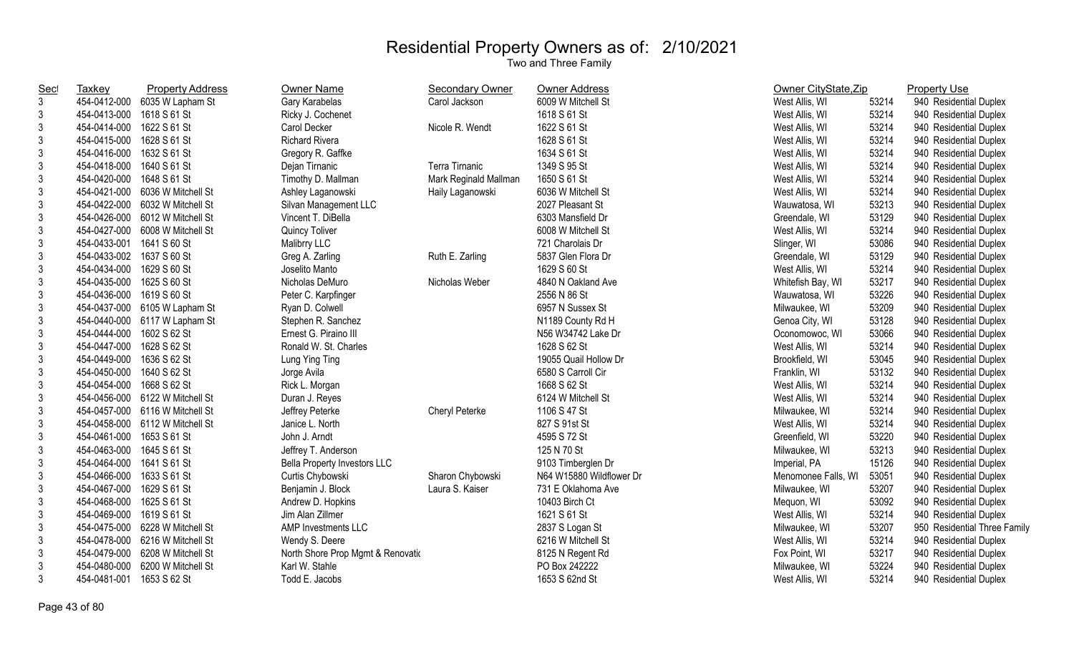| <b>Sec</b>     | Taxkey                    | <b>Property Address</b>         | Owner Name                          | Secondary Owner       | Owner Address            | Owner CityState, Zip |       | <b>Property Use</b>          |
|----------------|---------------------------|---------------------------------|-------------------------------------|-----------------------|--------------------------|----------------------|-------|------------------------------|
| $\mathfrak{Z}$ | 454-0412-000              | 6035 W Lapham St                | Gary Karabelas                      | Carol Jackson         | 6009 W Mitchell St       | West Allis, WI       | 53214 | 940 Residential Duplex       |
| 3              | 454-0413-000              | 1618 S 61 St                    | Ricky J. Cochenet                   |                       | 1618 S 61 St             | West Allis, WI       | 53214 | 940 Residential Duplex       |
| 3              | 454-0414-000              | 1622 S 61 St                    | Carol Decker                        | Nicole R. Wendt       | 1622 S 61 St             | West Allis, WI       | 53214 | 940 Residential Duplex       |
| 3              | 454-0415-000              | 1628 S 61 St                    | <b>Richard Rivera</b>               |                       | 1628 S 61 St             | West Allis, WI       | 53214 | 940 Residential Duplex       |
| 3              | 454-0416-000              | 1632 S 61 St                    | Gregory R. Gaffke                   |                       | 1634 S 61 St             | West Allis, WI       | 53214 | 940 Residential Duplex       |
| 3              | 454-0418-000              | 1640 S 61 St                    | Dejan Tirnanic                      | Terra Tirnanic        | 1349 S 95 St             | West Allis, WI       | 53214 | 940 Residential Duplex       |
| 3              | 454-0420-000              | 1648 S 61 St                    | Timothy D. Mallman                  | Mark Reginald Mallman | 1650 S 61 St             | West Allis, WI       | 53214 | 940 Residential Duplex       |
| 3              | 454-0421-000              | 6036 W Mitchell St              | Ashley Laganowski                   | Haily Laganowski      | 6036 W Mitchell St       | West Allis, WI       | 53214 | 940 Residential Duplex       |
| 3              | 454-0422-000              | 6032 W Mitchell St              | Silvan Management LLC               |                       | 2027 Pleasant St         | Wauwatosa, WI        | 53213 | 940 Residential Duplex       |
| $\mathfrak{Z}$ | 454-0426-000              | 6012 W Mitchell St              | Vincent T. DiBella                  |                       | 6303 Mansfield Dr        | Greendale, WI        | 53129 | 940 Residential Duplex       |
| $\mathfrak{Z}$ | 454-0427-000              | 6008 W Mitchell St              | Quincy Toliver                      |                       | 6008 W Mitchell St       | West Allis, WI       | 53214 | 940 Residential Duplex       |
| $\mathfrak{Z}$ | 454-0433-001              | 1641 S 60 St                    | Malibrry LLC                        |                       | 721 Charolais Dr         | Slinger, WI          | 53086 | 940 Residential Duplex       |
| $\mathfrak{Z}$ | 454-0433-002 1637 S 60 St |                                 | Greg A. Zarling                     | Ruth E. Zarling       | 5837 Glen Flora Dr       | Greendale, WI        | 53129 | 940 Residential Duplex       |
| 3              | 454-0434-000              | 1629 S 60 St                    | Joselito Manto                      |                       | 1629 S 60 St             | West Allis, WI       | 53214 | 940 Residential Duplex       |
| $\mathfrak{Z}$ | 454-0435-000              | 1625 S 60 St                    | Nicholas DeMuro                     | Nicholas Weber        | 4840 N Oakland Ave       | Whitefish Bay, WI    | 53217 | 940 Residential Duplex       |
| 3              | 454-0436-000 1619 S 60 St |                                 | Peter C. Karpfinger                 |                       | 2556 N 86 St             | Wauwatosa, WI        | 53226 | 940 Residential Duplex       |
| 3              |                           | 454-0437-000 6105 W Lapham St   | Ryan D. Colwell                     |                       | 6957 N Sussex St         | Milwaukee, WI        | 53209 | 940 Residential Duplex       |
| $\mathfrak{Z}$ |                           | 454-0440-000 6117 W Lapham St   | Stephen R. Sanchez                  |                       | N1189 County Rd H        | Genoa City, WI       | 53128 | 940 Residential Duplex       |
| 3              | 454-0444-000              | 1602 S 62 St                    | Ernest G. Piraino III               |                       | N56 W34742 Lake Dr       | Oconomowoc, WI       | 53066 | 940 Residential Duplex       |
| 3              | 454-0447-000              | 1628 S 62 St                    | Ronald W. St. Charles               |                       | 1628 S 62 St             | West Allis, WI       | 53214 | 940 Residential Duplex       |
| 3              | 454-0449-000              | 1636 S 62 St                    | Lung Ying Ting                      |                       | 19055 Quail Hollow Dr    | Brookfield, WI       | 53045 | 940 Residential Duplex       |
| $\mathbf{3}$   | 454-0450-000              | 1640 S 62 St                    | Jorge Avila                         |                       | 6580 S Carroll Cir       | Franklin, WI         | 53132 | 940 Residential Duplex       |
| $\mathfrak{Z}$ | 454-0454-000              | 1668 S 62 St                    | Rick L. Morgan                      |                       | 1668 S 62 St             | West Allis, WI       | 53214 | 940 Residential Duplex       |
| $\mathfrak{Z}$ |                           | 454-0456-000 6122 W Mitchell St | Duran J. Reyes                      |                       | 6124 W Mitchell St       | West Allis, WI       | 53214 | 940 Residential Duplex       |
| 3              |                           | 454-0457-000 6116 W Mitchell St | Jeffrey Peterke                     | Cheryl Peterke        | 1106 S 47 St             | Milwaukee, WI        | 53214 | 940 Residential Duplex       |
| 3              |                           | 454-0458-000 6112 W Mitchell St | Janice L. North                     |                       | 827 S 91st St            | West Allis, WI       | 53214 | 940 Residential Duplex       |
| 3              | 454-0461-000              | 1653 S 61 St                    | John J. Arndt                       |                       | 4595 S 72 St             | Greenfield, WI       | 53220 | 940 Residential Duplex       |
| 3              | 454-0463-000              | 1645 S 61 St                    | Jeffrey T. Anderson                 |                       | 125 N 70 St              | Milwaukee, WI        | 53213 | 940 Residential Duplex       |
| 3              | 454-0464-000 1641 S 61 St |                                 | <b>Bella Property Investors LLC</b> |                       | 9103 Timberglen Dr       | Imperial, PA         | 15126 | 940 Residential Duplex       |
| 3              | 454-0466-000 1633 S 61 St |                                 | Curtis Chybowski                    | Sharon Chybowski      | N64 W15880 Wildflower Dr | Menomonee Falls, WI  | 53051 | 940 Residential Duplex       |
| 3              | 454-0467-000 1629 S 61 St |                                 | Benjamin J. Block                   | Laura S. Kaiser       | 731 E Oklahoma Ave       | Milwaukee, WI        | 53207 | 940 Residential Duplex       |
| 3              | 454-0468-000              | 1625 S 61 St                    | Andrew D. Hopkins                   |                       | 10403 Birch Ct           | Mequon, WI           | 53092 | 940 Residential Duplex       |
| 3              | 454-0469-000              | 1619 S 61 St                    | Jim Alan Zillmer                    |                       | 1621 S 61 St             | West Allis, WI       | 53214 | 940 Residential Duplex       |
| 3              | 454-0475-000              | 6228 W Mitchell St              | AMP Investments LLC                 |                       | 2837 S Logan St          | Milwaukee, WI        | 53207 | 950 Residential Three Family |
| 3              | 454-0478-000              | 6216 W Mitchell St              | Wendy S. Deere                      |                       | 6216 W Mitchell St       | West Allis, WI       | 53214 | 940 Residential Duplex       |
| $\mathfrak{Z}$ | 454-0479-000              | 6208 W Mitchell St              | North Shore Prop Mgmt & Renovatio   |                       | 8125 N Regent Rd         | Fox Point, WI        | 53217 | 940 Residential Duplex       |
| 3              | 454-0480-000              | 6200 W Mitchell St              | Karl W. Stahle                      |                       | PO Box 242222            | Milwaukee, WI        | 53224 | 940 Residential Duplex       |
| 3              | 454-0481-001              | 1653 S 62 St                    | Todd E. Jacobs                      |                       | 1653 S 62nd St           | West Allis, WI       | 53214 | 940 Residential Duplex       |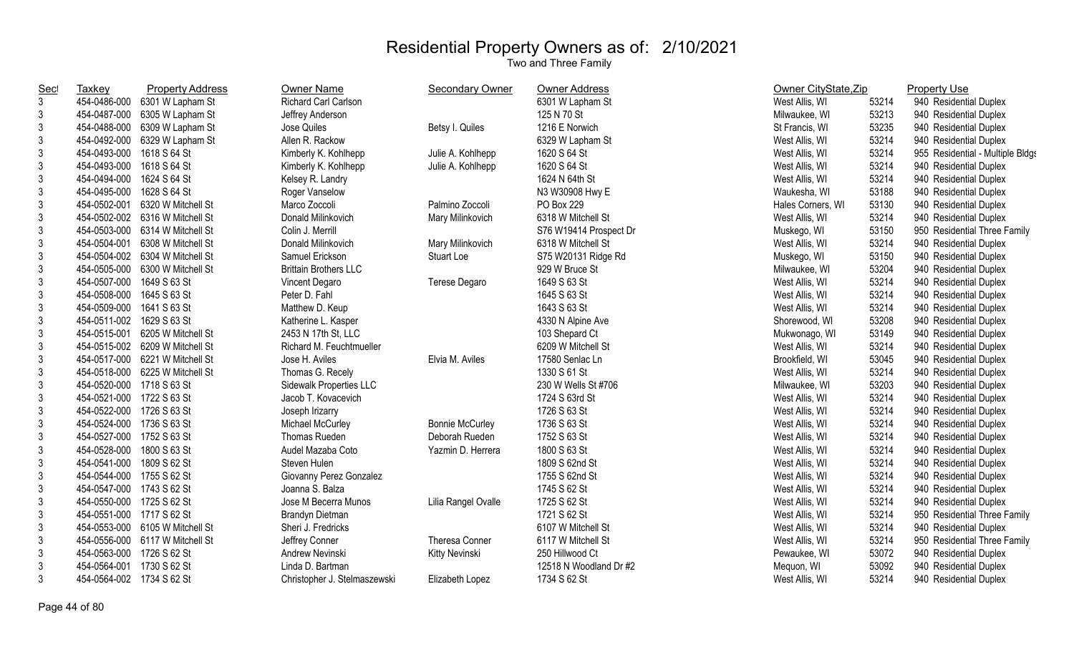| Taxkey       | <b>Property Address</b> | <b>Owner Name</b>                                                                                                                                                                                                                                                                                                                                                                                                                                                                                                                                                                                                                                                                                                                                                                                                                                                                                                                                                                                                                          | Secondary Owner        | Owner Address          |                   |       | <b>Property Use</b>              |
|--------------|-------------------------|--------------------------------------------------------------------------------------------------------------------------------------------------------------------------------------------------------------------------------------------------------------------------------------------------------------------------------------------------------------------------------------------------------------------------------------------------------------------------------------------------------------------------------------------------------------------------------------------------------------------------------------------------------------------------------------------------------------------------------------------------------------------------------------------------------------------------------------------------------------------------------------------------------------------------------------------------------------------------------------------------------------------------------------------|------------------------|------------------------|-------------------|-------|----------------------------------|
| 454-0486-000 |                         | Richard Carl Carlson                                                                                                                                                                                                                                                                                                                                                                                                                                                                                                                                                                                                                                                                                                                                                                                                                                                                                                                                                                                                                       |                        | 6301 W Lapham St       | West Allis, WI    | 53214 | 940 Residential Duplex           |
| 454-0487-000 |                         | Jeffrey Anderson                                                                                                                                                                                                                                                                                                                                                                                                                                                                                                                                                                                                                                                                                                                                                                                                                                                                                                                                                                                                                           |                        | 125 N 70 St            | Milwaukee, WI     | 53213 | 940 Residential Duplex           |
|              |                         | Jose Quiles                                                                                                                                                                                                                                                                                                                                                                                                                                                                                                                                                                                                                                                                                                                                                                                                                                                                                                                                                                                                                                | Betsy I. Quiles        | 1216 E Norwich         | St Francis, WI    | 53235 | 940 Residential Duplex           |
| 454-0492-000 |                         | Allen R. Rackow                                                                                                                                                                                                                                                                                                                                                                                                                                                                                                                                                                                                                                                                                                                                                                                                                                                                                                                                                                                                                            |                        | 6329 W Lapham St       | West Allis, WI    | 53214 | 940 Residential Duplex           |
| 454-0493-000 |                         | Kimberly K. Kohlhepp                                                                                                                                                                                                                                                                                                                                                                                                                                                                                                                                                                                                                                                                                                                                                                                                                                                                                                                                                                                                                       | Julie A. Kohlhepp      | 1620 S 64 St           | West Allis, WI    | 53214 | 955 Residential - Multiple Bldgs |
| 454-0493-000 |                         | Kimberly K. Kohlhepp                                                                                                                                                                                                                                                                                                                                                                                                                                                                                                                                                                                                                                                                                                                                                                                                                                                                                                                                                                                                                       | Julie A. Kohlhepp      | 1620 S 64 St           | West Allis, WI    | 53214 | 940 Residential Duplex           |
| 454-0494-000 | 1624 S 64 St            | Kelsey R. Landry                                                                                                                                                                                                                                                                                                                                                                                                                                                                                                                                                                                                                                                                                                                                                                                                                                                                                                                                                                                                                           |                        | 1624 N 64th St         | West Allis, WI    | 53214 | 940 Residential Duplex           |
| 454-0495-000 | 1628 S 64 St            | Roger Vanselow                                                                                                                                                                                                                                                                                                                                                                                                                                                                                                                                                                                                                                                                                                                                                                                                                                                                                                                                                                                                                             |                        | N3 W30908 Hwy E        | Waukesha, WI      | 53188 | 940 Residential Duplex           |
| 454-0502-001 | 6320 W Mitchell St      | Marco Zoccoli                                                                                                                                                                                                                                                                                                                                                                                                                                                                                                                                                                                                                                                                                                                                                                                                                                                                                                                                                                                                                              | Palmino Zoccoli        | PO Box 229             | Hales Corners, WI | 53130 | 940 Residential Duplex           |
|              |                         | Donald Milinkovich                                                                                                                                                                                                                                                                                                                                                                                                                                                                                                                                                                                                                                                                                                                                                                                                                                                                                                                                                                                                                         | Mary Milinkovich       | 6318 W Mitchell St     | West Allis, WI    | 53214 | 940 Residential Duplex           |
|              |                         | Colin J. Merrill                                                                                                                                                                                                                                                                                                                                                                                                                                                                                                                                                                                                                                                                                                                                                                                                                                                                                                                                                                                                                           |                        | S76 W19414 Prospect Dr | Muskego, WI       | 53150 | 950 Residential Three Family     |
| 454-0504-001 |                         | Donald Milinkovich                                                                                                                                                                                                                                                                                                                                                                                                                                                                                                                                                                                                                                                                                                                                                                                                                                                                                                                                                                                                                         | Mary Milinkovich       | 6318 W Mitchell St     | West Allis, WI    | 53214 | 940 Residential Duplex           |
|              |                         | Samuel Erickson                                                                                                                                                                                                                                                                                                                                                                                                                                                                                                                                                                                                                                                                                                                                                                                                                                                                                                                                                                                                                            | Stuart Loe             | S75 W20131 Ridge Rd    | Muskego, WI       | 53150 | 940 Residential Duplex           |
|              |                         | <b>Brittain Brothers LLC</b>                                                                                                                                                                                                                                                                                                                                                                                                                                                                                                                                                                                                                                                                                                                                                                                                                                                                                                                                                                                                               |                        | 929 W Bruce St         | Milwaukee, WI     | 53204 | 940 Residential Duplex           |
|              |                         | Vincent Degaro                                                                                                                                                                                                                                                                                                                                                                                                                                                                                                                                                                                                                                                                                                                                                                                                                                                                                                                                                                                                                             | Terese Degaro          | 1649 S 63 St           | West Allis, WI    | 53214 | 940 Residential Duplex           |
|              |                         | Peter D. Fahl                                                                                                                                                                                                                                                                                                                                                                                                                                                                                                                                                                                                                                                                                                                                                                                                                                                                                                                                                                                                                              |                        | 1645 S 63 St           | West Allis, WI    | 53214 | 940 Residential Duplex           |
|              |                         | Matthew D. Keup                                                                                                                                                                                                                                                                                                                                                                                                                                                                                                                                                                                                                                                                                                                                                                                                                                                                                                                                                                                                                            |                        | 1643 S 63 St           | West Allis, WI    | 53214 | 940 Residential Duplex           |
|              |                         | Katherine L. Kasper                                                                                                                                                                                                                                                                                                                                                                                                                                                                                                                                                                                                                                                                                                                                                                                                                                                                                                                                                                                                                        |                        | 4330 N Alpine Ave      | Shorewood, WI     | 53208 | 940 Residential Duplex           |
| 454-0515-001 |                         | 2453 N 17th St, LLC                                                                                                                                                                                                                                                                                                                                                                                                                                                                                                                                                                                                                                                                                                                                                                                                                                                                                                                                                                                                                        |                        | 103 Shepard Ct         | Mukwonago, WI     | 53149 | 940 Residential Duplex           |
|              |                         | Richard M. Feuchtmueller                                                                                                                                                                                                                                                                                                                                                                                                                                                                                                                                                                                                                                                                                                                                                                                                                                                                                                                                                                                                                   |                        | 6209 W Mitchell St     | West Allis, WI    | 53214 | 940 Residential Duplex           |
|              |                         | Jose H. Aviles                                                                                                                                                                                                                                                                                                                                                                                                                                                                                                                                                                                                                                                                                                                                                                                                                                                                                                                                                                                                                             | Elvia M. Aviles        | 17580 Senlac Ln        | Brookfield, WI    | 53045 | 940 Residential Duplex           |
|              |                         | Thomas G. Recely                                                                                                                                                                                                                                                                                                                                                                                                                                                                                                                                                                                                                                                                                                                                                                                                                                                                                                                                                                                                                           |                        | 1330 S 61 St           | West Allis, WI    | 53214 | 940 Residential Duplex           |
|              |                         | Sidewalk Properties LLC                                                                                                                                                                                                                                                                                                                                                                                                                                                                                                                                                                                                                                                                                                                                                                                                                                                                                                                                                                                                                    |                        | 230 W Wells St #706    | Milwaukee, WI     | 53203 | 940 Residential Duplex           |
|              |                         | Jacob T. Kovacevich                                                                                                                                                                                                                                                                                                                                                                                                                                                                                                                                                                                                                                                                                                                                                                                                                                                                                                                                                                                                                        |                        | 1724 S 63rd St         | West Allis, WI    | 53214 | 940 Residential Duplex           |
|              |                         | Joseph Irizarry                                                                                                                                                                                                                                                                                                                                                                                                                                                                                                                                                                                                                                                                                                                                                                                                                                                                                                                                                                                                                            |                        | 1726 S 63 St           | West Allis, WI    | 53214 | 940 Residential Duplex           |
|              |                         | Michael McCurley                                                                                                                                                                                                                                                                                                                                                                                                                                                                                                                                                                                                                                                                                                                                                                                                                                                                                                                                                                                                                           | <b>Bonnie McCurley</b> | 1736 S 63 St           | West Allis, WI    | 53214 | 940 Residential Duplex           |
|              |                         | Thomas Rueden                                                                                                                                                                                                                                                                                                                                                                                                                                                                                                                                                                                                                                                                                                                                                                                                                                                                                                                                                                                                                              | Deborah Rueden         | 1752 S 63 St           | West Allis, WI    | 53214 | 940 Residential Duplex           |
|              |                         | Audel Mazaba Coto                                                                                                                                                                                                                                                                                                                                                                                                                                                                                                                                                                                                                                                                                                                                                                                                                                                                                                                                                                                                                          | Yazmin D. Herrera      | 1800 S 63 St           | West Allis, WI    | 53214 | 940 Residential Duplex           |
|              |                         | Steven Hulen                                                                                                                                                                                                                                                                                                                                                                                                                                                                                                                                                                                                                                                                                                                                                                                                                                                                                                                                                                                                                               |                        | 1809 S 62nd St         | West Allis, WI    | 53214 | 940 Residential Duplex           |
|              |                         | Giovanny Perez Gonzalez                                                                                                                                                                                                                                                                                                                                                                                                                                                                                                                                                                                                                                                                                                                                                                                                                                                                                                                                                                                                                    |                        | 1755 S 62nd St         | West Allis, WI    | 53214 | 940 Residential Duplex           |
|              |                         | Joanna S. Balza                                                                                                                                                                                                                                                                                                                                                                                                                                                                                                                                                                                                                                                                                                                                                                                                                                                                                                                                                                                                                            |                        | 1745 S 62 St           | West Allis, WI    | 53214 | 940 Residential Duplex           |
|              |                         | Jose M Becerra Munos                                                                                                                                                                                                                                                                                                                                                                                                                                                                                                                                                                                                                                                                                                                                                                                                                                                                                                                                                                                                                       | Lilia Rangel Ovalle    | 1725 S 62 St           | West Allis, WI    | 53214 | 940 Residential Duplex           |
|              |                         | Brandyn Dietman                                                                                                                                                                                                                                                                                                                                                                                                                                                                                                                                                                                                                                                                                                                                                                                                                                                                                                                                                                                                                            |                        | 1721 S 62 St           | West Allis, WI    | 53214 | 950 Residential Three Family     |
|              |                         | Sheri J. Fredricks                                                                                                                                                                                                                                                                                                                                                                                                                                                                                                                                                                                                                                                                                                                                                                                                                                                                                                                                                                                                                         |                        | 6107 W Mitchell St     | West Allis, WI    | 53214 | 940 Residential Duplex           |
|              |                         | Jeffrey Conner                                                                                                                                                                                                                                                                                                                                                                                                                                                                                                                                                                                                                                                                                                                                                                                                                                                                                                                                                                                                                             | Theresa Conner         | 6117 W Mitchell St     | West Allis, WI    | 53214 | 950 Residential Three Family     |
|              |                         | Andrew Nevinski                                                                                                                                                                                                                                                                                                                                                                                                                                                                                                                                                                                                                                                                                                                                                                                                                                                                                                                                                                                                                            | Kitty Nevinski         | 250 Hillwood Ct        | Pewaukee, WI      | 53072 | 940 Residential Duplex           |
|              |                         | Linda D. Bartman                                                                                                                                                                                                                                                                                                                                                                                                                                                                                                                                                                                                                                                                                                                                                                                                                                                                                                                                                                                                                           |                        | 12518 N Woodland Dr #2 | Mequon, WI        | 53092 | 940 Residential Duplex           |
|              |                         | Christopher J. Stelmaszewski                                                                                                                                                                                                                                                                                                                                                                                                                                                                                                                                                                                                                                                                                                                                                                                                                                                                                                                                                                                                               | Elizabeth Lopez        | 1734 S 62 St           | West Allis, WI    | 53214 | 940 Residential Duplex           |
|              |                         | 6301 W Lapham St<br>6305 W Lapham St<br>454-0488-000 6309 W Lapham St<br>6329 W Lapham St<br>1618 S 64 St<br>1618 S 64 St<br>454-0502-002 6316 W Mitchell St<br>454-0503-000 6314 W Mitchell St<br>6308 W Mitchell St<br>454-0504-002 6304 W Mitchell St<br>454-0505-000 6300 W Mitchell St<br>454-0507-000 1649 S 63 St<br>454-0508-000 1645 S 63 St<br>454-0509-000 1641 S 63 St<br>454-0511-002 1629 S 63 St<br>6205 W Mitchell St<br>454-0515-002 6209 W Mitchell St<br>454-0517-000 6221 W Mitchell St<br>454-0518-000 6225 W Mitchell St<br>454-0520-000 1718 S 63 St<br>454-0521-000 1722 S 63 St<br>454-0522-000 1726 S 63 St<br>454-0524-000 1736 S 63 St<br>454-0527-000 1752 S 63 St<br>454-0528-000 1800 S 63 St<br>454-0541-000 1809 S 62 St<br>454-0544-000 1755 S 62 St<br>454-0547-000 1743 S 62 St<br>454-0550-000 1725 S 62 St<br>454-0551-000 1717 S 62 St<br>454-0553-000 6105 W Mitchell St<br>454-0556-000 6117 W Mitchell St<br>454-0563-000 1726 S 62 St<br>454-0564-001 1730 S 62 St<br>454-0564-002 1734 S 62 St |                        |                        |                   |       | Owner CityState, Zip             |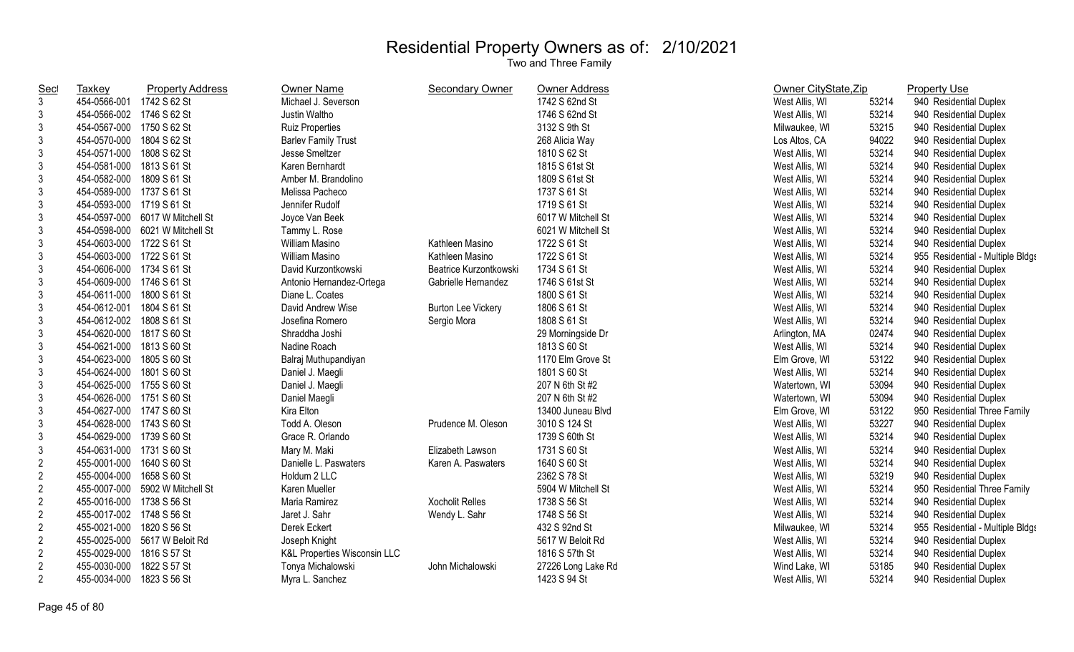| <u>Sec</u>     | <b>Taxkey</b>             | <b>Property Address</b>         | <b>Owner Name</b>                       | <b>Secondary Owner</b>    | Owner Address      | Owner CityState, Zip |       | <b>Property Use</b>              |
|----------------|---------------------------|---------------------------------|-----------------------------------------|---------------------------|--------------------|----------------------|-------|----------------------------------|
| 3              | 454-0566-001 1742 S 62 St |                                 | Michael J. Severson                     |                           | 1742 S 62nd St     | West Allis, WI       | 53214 | 940 Residential Duplex           |
| 3              | 454-0566-002 1746 S 62 St |                                 | Justin Waltho                           |                           | 1746 S 62nd St     | West Allis, WI       | 53214 | 940 Residential Duplex           |
| 3              | 454-0567-000 1750 S 62 St |                                 | Ruiz Properties                         |                           | 3132 S 9th St      | Milwaukee, WI        | 53215 | 940 Residential Duplex           |
| 3              | 454-0570-000 1804 S 62 St |                                 | <b>Barlev Family Trust</b>              |                           | 268 Alicia Way     | Los Altos, CA        | 94022 | 940 Residential Duplex           |
| 3              | 454-0571-000 1808 S 62 St |                                 | Jesse Smeltzer                          |                           | 1810 S 62 St       | West Allis, WI       | 53214 | 940 Residential Duplex           |
| 3              | 454-0581-000 1813 S 61 St |                                 | Karen Bernhardt                         |                           | 1815 S 61st St     | West Allis, WI       | 53214 | 940 Residential Duplex           |
| 3              | 454-0582-000              | 1809 S 61 St                    | Amber M. Brandolino                     |                           | 1809 S 61st St     | West Allis, WI       | 53214 | 940 Residential Duplex           |
| 3              | 454-0589-000 1737 S 61 St |                                 | Melissa Pacheco                         |                           | 1737 S 61 St       | West Allis, WI       | 53214 | 940 Residential Duplex           |
| 3              | 454-0593-000 1719 S 61 St |                                 | Jennifer Rudolf                         |                           | 1719 S 61 St       | West Allis, WI       | 53214 | 940 Residential Duplex           |
| 3              |                           | 454-0597-000 6017 W Mitchell St | Joyce Van Beek                          |                           | 6017 W Mitchell St | West Allis, WI       | 53214 | 940 Residential Duplex           |
| 3              |                           | 454-0598-000 6021 W Mitchell St | Tammy L. Rose                           |                           | 6021 W Mitchell St | West Allis, WI       | 53214 | 940 Residential Duplex           |
| 3              | 454-0603-000 1722 S 61 St |                                 | William Masino                          | Kathleen Masino           | 1722 S 61 St       | West Allis, WI       | 53214 | 940 Residential Duplex           |
| 3              | 454-0603-000 1722 S 61 St |                                 | <b>William Masino</b>                   | Kathleen Masino           | 1722 S 61 St       | West Allis, WI       | 53214 | 955 Residential - Multiple Bldgs |
| 3              | 454-0606-000 1734 S 61 St |                                 | David Kurzontkowski                     | Beatrice Kurzontkowski    | 1734 S 61 St       | West Allis, WI       | 53214 | 940 Residential Duplex           |
| 3              | 454-0609-000 1746 S 61 St |                                 | Antonio Hernandez-Ortega                | Gabrielle Hernandez       | 1746 S 61st St     | West Allis, WI       | 53214 | 940 Residential Duplex           |
| 3              | 454-0611-000 1800 S 61 St |                                 | Diane L. Coates                         |                           | 1800 S 61 St       | West Allis, WI       | 53214 | 940 Residential Duplex           |
| 3              | 454-0612-001 1804 S 61 St |                                 | David Andrew Wise                       | <b>Burton Lee Vickery</b> | 1806 S 61 St       | West Allis, WI       | 53214 | 940 Residential Duplex           |
| 3              | 454-0612-002 1808 S 61 St |                                 | Josefina Romero                         | Sergio Mora               | 1808 S 61 St       | West Allis, WI       | 53214 | 940 Residential Duplex           |
| $\mathfrak{Z}$ | 454-0620-000 1817 S 60 St |                                 | Shraddha Joshi                          |                           | 29 Morningside Dr  | Arlington, MA        | 02474 | 940 Residential Duplex           |
| 3              | 454-0621-000 1813 S 60 St |                                 | Nadine Roach                            |                           | 1813 S 60 St       | West Allis, WI       | 53214 | 940 Residential Duplex           |
| 3              | 454-0623-000 1805 S 60 St |                                 | Balraj Muthupandiyan                    |                           | 1170 Elm Grove St  | Elm Grove, WI        | 53122 | 940 Residential Duplex           |
| 3              | 454-0624-000 1801 S 60 St |                                 | Daniel J. Maegli                        |                           | 1801 S 60 St       | West Allis, WI       | 53214 | 940 Residential Duplex           |
| 3              | 454-0625-000 1755 S 60 St |                                 | Daniel J. Maegli                        |                           | 207 N 6th St #2    | Watertown, WI        | 53094 | 940 Residential Duplex           |
| $\mathfrak{Z}$ | 454-0626-000 1751 S 60 St |                                 | Daniel Maegli                           |                           | 207 N 6th St #2    | Watertown, WI        | 53094 | 940 Residential Duplex           |
| 3              | 454-0627-000 1747 S 60 St |                                 | Kira Elton                              |                           | 13400 Juneau Blvd  | Elm Grove, WI        | 53122 | 950 Residential Three Family     |
| $\sqrt{3}$     | 454-0628-000 1743 S 60 St |                                 | Todd A. Oleson                          | Prudence M. Oleson        | 3010 S 124 St      | West Allis, WI       | 53227 | 940 Residential Duplex           |
| $\sqrt{3}$     | 454-0629-000 1739 S 60 St |                                 | Grace R. Orlando                        |                           | 1739 S 60th St     | West Allis, WI       | 53214 | 940 Residential Duplex           |
| 3              | 454-0631-000 1731 S 60 St |                                 | Mary M. Maki                            | Elizabeth Lawson          | 1731 S 60 St       | West Allis, WI       | 53214 | 940 Residential Duplex           |
| $\overline{2}$ | 455-0001-000 1640 S 60 St |                                 | Danielle L. Paswaters                   | Karen A. Paswaters        | 1640 S 60 St       | West Allis, WI       | 53214 | 940 Residential Duplex           |
| $\overline{2}$ | 455-0004-000 1658 S 60 St |                                 | Holdum 2 LLC                            |                           | 2362 S 78 St       | West Allis, WI       | 53219 | 940 Residential Duplex           |
| $\overline{2}$ |                           | 455-0007-000 5902 W Mitchell St | Karen Mueller                           |                           | 5904 W Mitchell St | West Allis, WI       | 53214 | 950 Residential Three Family     |
| $\overline{2}$ | 455-0016-000 1738 S 56 St |                                 | Maria Ramirez                           | <b>Xocholit Relles</b>    | 1738 S 56 St       | West Allis, WI       | 53214 | 940 Residential Duplex           |
| $\overline{2}$ | 455-0017-002 1748 S 56 St |                                 | Jaret J. Sahr                           | Wendy L. Sahr             | 1748 S 56 St       | West Allis, WI       | 53214 | 940 Residential Duplex           |
| $\overline{2}$ | 455-0021-000 1820 S 56 St |                                 | Derek Eckert                            |                           | 432 S 92nd St      | Milwaukee, WI        | 53214 | 955 Residential - Multiple Bldgs |
| $\overline{2}$ |                           | 455-0025-000 5617 W Beloit Rd   | Joseph Knight                           |                           | 5617 W Beloit Rd   | West Allis, WI       | 53214 | 940 Residential Duplex           |
| $\overline{2}$ | 455-0029-000 1816 S 57 St |                                 | <b>K&amp;L Properties Wisconsin LLC</b> |                           | 1816 S 57th St     | West Allis, WI       | 53214 | 940 Residential Duplex           |
| $\overline{2}$ | 455-0030-000              | 1822 S 57 St                    | Tonya Michalowski                       | John Michalowski          | 27226 Long Lake Rd | Wind Lake, WI        | 53185 | 940 Residential Duplex           |
| $\overline{2}$ | 455-0034-000 1823 S 56 St |                                 | Myra L. Sanchez                         |                           | 1423 S 94 St       | West Allis, WI       | 53214 | 940 Residential Duplex           |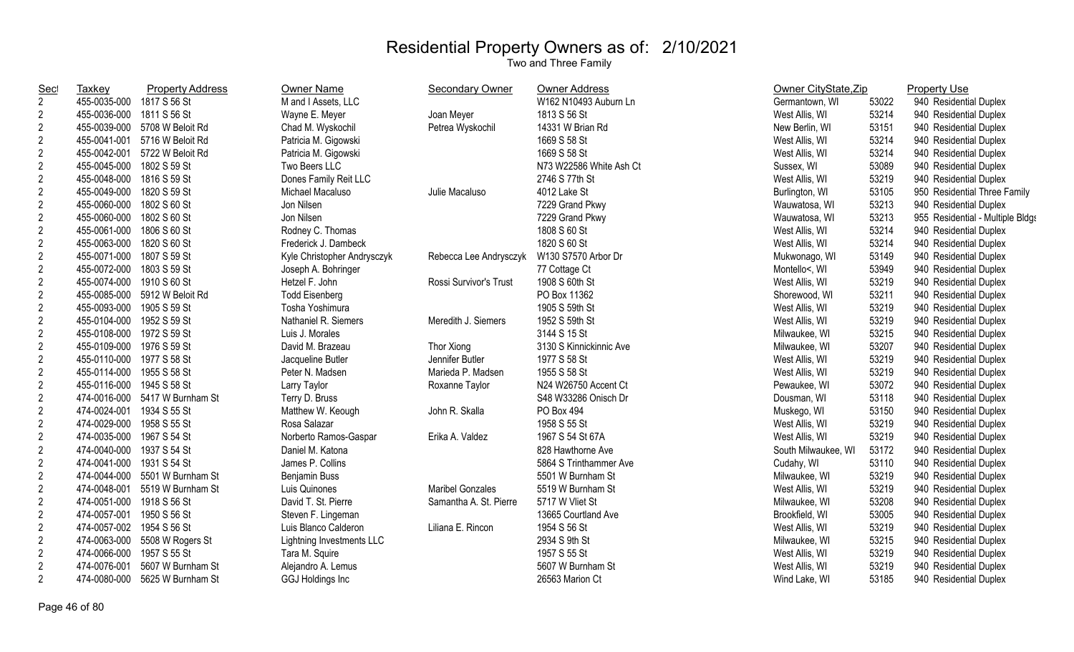| <b>Sec</b>     | <b>Taxkey</b>             | <b>Property Address</b>        | <b>Owner Name</b>           | Secondary Owner         | <b>Owner Address</b>    | Owner CityState, Zip |       | <b>Property Use</b>              |
|----------------|---------------------------|--------------------------------|-----------------------------|-------------------------|-------------------------|----------------------|-------|----------------------------------|
| $\overline{2}$ | 455-0035-000 1817 S 56 St |                                | M and I Assets, LLC         |                         | W162 N10493 Auburn Ln   | Germantown, WI       | 53022 | 940 Residential Duplex           |
| $\overline{2}$ | 455-0036-000 1811 S 56 St |                                | Wayne E. Meyer              | Joan Meyer              | 1813 S 56 St            | West Allis, WI       | 53214 | 940 Residential Duplex           |
| $\sqrt{2}$     |                           | 455-0039-000 5708 W Beloit Rd  | Chad M. Wyskochil           | Petrea Wyskochil        | 14331 W Brian Rd        | New Berlin, WI       | 53151 | 940 Residential Duplex           |
| $\sqrt{2}$     | 455-0041-001              | 5716 W Beloit Rd               | Patricia M. Gigowski        |                         | 1669 S 58 St            | West Allis, WI       | 53214 | 940 Residential Duplex           |
| $\overline{c}$ | 455-0042-001              | 5722 W Beloit Rd               | Patricia M. Gigowski        |                         | 1669 S 58 St            | West Allis, WI       | 53214 | 940 Residential Duplex           |
| $\overline{2}$ | 455-0045-000              | 1802 S 59 St                   | Two Beers LLC               |                         | N73 W22586 White Ash Ct | Sussex, WI           | 53089 | 940 Residential Duplex           |
| $\sqrt{2}$     | 455-0048-000              | 1816 S 59 St                   | Dones Family Reit LLC       |                         | 2746 S 77th St          | West Allis, WI       | 53219 | 940 Residential Duplex           |
| $\sqrt{2}$     | 455-0049-000              | 1820 S 59 St                   | Michael Macaluso            | Julie Macaluso          | 4012 Lake St            | Burlington, WI       | 53105 | 950 Residential Three Family     |
| $\sqrt{2}$     | 455-0060-000 1802 S 60 St |                                | Jon Nilsen                  |                         | 7229 Grand Pkwy         | Wauwatosa, WI        | 53213 | 940 Residential Duplex           |
| $\overline{2}$ | 455-0060-000 1802 S 60 St |                                | Jon Nilsen                  |                         | 7229 Grand Pkwy         | Wauwatosa, WI        | 53213 | 955 Residential - Multiple Bldgs |
| $\sqrt{2}$     | 455-0061-000              | 1806 S 60 St                   | Rodney C. Thomas            |                         | 1808 S 60 St            | West Allis, WI       | 53214 | 940 Residential Duplex           |
| $\sqrt{2}$     | 455-0063-000 1820 S 60 St |                                | Frederick J. Dambeck        |                         | 1820 S 60 St            | West Allis, WI       | 53214 | 940 Residential Duplex           |
| $\sqrt{2}$     | 455-0071-000 1807 S 59 St |                                | Kyle Christopher Andrysczyk | Rebecca Lee Andrysczyk  | W130 S7570 Arbor Dr     | Mukwonago, WI        | 53149 | 940 Residential Duplex           |
| $\sqrt{2}$     | 455-0072-000 1803 S 59 St |                                | Joseph A. Bohringer         |                         | 77 Cottage Ct           | Montello<, WI        | 53949 | 940 Residential Duplex           |
| $\overline{2}$ | 455-0074-000 1910 S 60 St |                                | Hetzel F. John              | Rossi Survivor's Trust  | 1908 S 60th St          | West Allis, WI       | 53219 | 940 Residential Duplex           |
| $\overline{2}$ |                           | 455-0085-000 5912 W Beloit Rd  | <b>Todd Eisenberg</b>       |                         | PO Box 11362            | Shorewood, WI        | 53211 | 940 Residential Duplex           |
| $\sqrt{2}$     | 455-0093-000 1905 S 59 St |                                | Tosha Yoshimura             |                         | 1905 S 59th St          | West Allis, WI       | 53219 | 940 Residential Duplex           |
| $\sqrt{2}$     | 455-0104-000 1952 S 59 St |                                | Nathaniel R. Siemers        | Meredith J. Siemers     | 1952 S 59th St          | West Allis, WI       | 53219 | 940 Residential Duplex           |
| $\overline{c}$ | 455-0108-000 1972 S 59 St |                                | Luis J. Morales             |                         | 3144 S 15 St            | Milwaukee, WI        | 53215 | 940 Residential Duplex           |
| $\sqrt{2}$     | 455-0109-000 1976 S 59 St |                                | David M. Brazeau            | Thor Xiong              | 3130 S Kinnickinnic Ave | Milwaukee, WI        | 53207 | 940 Residential Duplex           |
| $\sqrt{2}$     | 455-0110-000 1977 S 58 St |                                | Jacqueline Butler           | Jennifer Butler         | 1977 S 58 St            | West Allis, WI       | 53219 | 940 Residential Duplex           |
| $\overline{2}$ | 455-0114-000 1955 S 58 St |                                | Peter N. Madsen             | Marieda P. Madsen       | 1955 S 58 St            | West Allis, WI       | 53219 | 940 Residential Duplex           |
| $\sqrt{2}$     | 455-0116-000 1945 S 58 St |                                | Larry Taylor                | Roxanne Taylor          | N24 W26750 Accent Ct    | Pewaukee, WI         | 53072 | 940 Residential Duplex           |
| $\sqrt{2}$     |                           | 474-0016-000 5417 W Burnham St | Terry D. Bruss              |                         | S48 W33286 Onisch Dr    | Dousman, WI          | 53118 | 940 Residential Duplex           |
| $\overline{c}$ | 474-0024-001 1934 S 55 St |                                | Matthew W. Keough           | John R. Skalla          | PO Box 494              | Muskego, WI          | 53150 | 940 Residential Duplex           |
| $\sqrt{2}$     | 474-0029-000 1958 S 55 St |                                | Rosa Salazar                |                         | 1958 S 55 St            | West Allis, WI       | 53219 | 940 Residential Duplex           |
| $\overline{2}$ | 474-0035-000 1967 S 54 St |                                | Norberto Ramos-Gaspar       | Erika A. Valdez         | 1967 S 54 St 67A        | West Allis, WI       | 53219 | 940 Residential Duplex           |
| $\overline{2}$ | 474-0040-000 1937 S 54 St |                                | Daniel M. Katona            |                         | 828 Hawthorne Ave       | South Milwaukee, WI  | 53172 | 940 Residential Duplex           |
| $\sqrt{2}$     | 474-0041-000 1931 S 54 St |                                | James P. Collins            |                         | 5864 S Trinthammer Ave  | Cudahy, WI           | 53110 | 940 Residential Duplex           |
| $\overline{2}$ |                           | 474-0044-000 5501 W Burnham St | <b>Benjamin Buss</b>        |                         | 5501 W Burnham St       | Milwaukee, WI        | 53219 | 940 Residential Duplex           |
| $\sqrt{2}$     | 474-0048-001              | 5519 W Burnham St              | Luis Quinones               | <b>Maribel Gonzales</b> | 5519 W Burnham St       | West Allis, WI       | 53219 | 940 Residential Duplex           |
| $\sqrt{2}$     | 474-0051-000 1918 S 56 St |                                | David T. St. Pierre         | Samantha A. St. Pierre  | 5717 W Vliet St         | Milwaukee, WI        | 53208 | 940 Residential Duplex           |
| $\overline{c}$ | 474-0057-001              | 1950 S 56 St                   | Steven F. Lingeman          |                         | 13665 Courtland Ave     | Brookfield, WI       | 53005 | 940 Residential Duplex           |
| $\sqrt{2}$     | 474-0057-002 1954 S 56 St |                                | Luis Blanco Calderon        | Liliana E. Rincon       | 1954 S 56 St            | West Allis, WI       | 53219 | 940 Residential Duplex           |
| $\sqrt{2}$     |                           | 474-0063-000 5508 W Rogers St  | Lightning Investments LLC   |                         | 2934 S 9th St           | Milwaukee, WI        | 53215 | 940 Residential Duplex           |
| $\overline{2}$ | 474-0066-000              | 1957 S 55 St                   | Tara M. Squire              |                         | 1957 S 55 St            | West Allis, WI       | 53219 | 940 Residential Duplex           |
| $\sqrt{2}$     | 474-0076-001              | 5607 W Burnham St              | Alejandro A. Lemus          |                         | 5607 W Burnham St       | West Allis, WI       | 53219 | 940 Residential Duplex           |
| $\overline{2}$ | 474-0080-000              | 5625 W Burnham St              | <b>GGJ Holdings Inc</b>     |                         | 26563 Marion Ct         | Wind Lake, WI        | 53185 | 940 Residential Duplex           |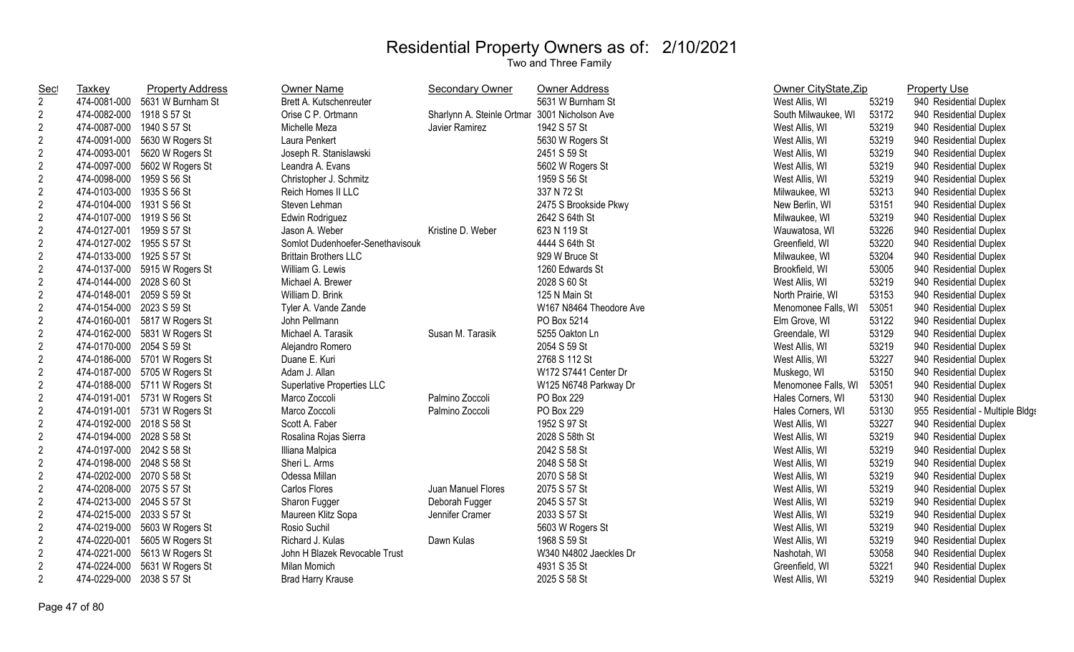| <u>Sec</u>     | Taxkey                    | <b>Property Address</b> | <b>Owner Name</b>                 | <b>Secondary Owner</b>     | <b>Owner Address</b>    | Owner CityState, Zip |       | <b>Property Use</b>              |
|----------------|---------------------------|-------------------------|-----------------------------------|----------------------------|-------------------------|----------------------|-------|----------------------------------|
| $\overline{2}$ | 474-0081-000              | 5631 W Burnham St       | Brett A. Kutschenreuter           |                            | 5631 W Burnham St       | West Allis, WI       | 53219 | 940 Residential Duplex           |
| $\overline{2}$ | 474-0082-000              | 1918 S 57 St            | Orise C P. Ortmann                | Sharlynn A. Steinle Ortmar | 3001 Nicholson Ave      | South Milwaukee, WI  | 53172 | 940 Residential Duplex           |
| $\overline{2}$ | 474-0087-000              | 1940 S 57 St            | Michelle Meza                     | Javier Ramirez             | 1942 S 57 St            | West Allis, WI       | 53219 | 940 Residential Duplex           |
| $\overline{2}$ | 474-0091-000              | 5630 W Rogers St        | Laura Penkert                     |                            | 5630 W Rogers St        | West Allis, WI       | 53219 | 940 Residential Duplex           |
| $\overline{2}$ | 474-0093-001              | 5620 W Rogers St        | Joseph R. Stanislawski            |                            | 2451 S 59 St            | West Allis, WI       | 53219 | 940 Residential Duplex           |
| $\overline{2}$ | 474-0097-000              | 5602 W Rogers St        | Leandra A. Evans                  |                            | 5602 W Rogers St        | West Allis, WI       | 53219 | 940 Residential Duplex           |
| $\overline{2}$ | 474-0098-000              | 1959 S 56 St            | Christopher J. Schmitz            |                            | 1959 S 56 St            | West Allis, WI       | 53219 | 940 Residential Duplex           |
| $\overline{2}$ | 474-0103-000              | 1935 S 56 St            | Reich Homes II LLC                |                            | 337 N 72 St             | Milwaukee, WI        | 53213 | 940 Residential Duplex           |
| $\overline{2}$ | 474-0104-000              | 1931 S 56 St            | Steven Lehman                     |                            | 2475 S Brookside Pkwy   | New Berlin, WI       | 53151 | 940 Residential Duplex           |
| $\overline{c}$ | 474-0107-000              | 1919 S 56 St            | Edwin Rodriguez                   |                            | 2642 S 64th St          | Milwaukee, WI        | 53219 | 940 Residential Duplex           |
| $\overline{2}$ | 474-0127-001              | 1959 S 57 St            | Jason A. Weber                    | Kristine D. Weber          | 623 N 119 St            | Wauwatosa, WI        | 53226 | 940 Residential Duplex           |
| $\overline{2}$ | 474-0127-002              | 1955 S 57 St            | Somlot Dudenhoefer-Senethavisouk  |                            | 4444 S 64th St          | Greenfield, WI       | 53220 | 940 Residential Duplex           |
| $\overline{2}$ | 474-0133-000              | 1925 S 57 St            | <b>Brittain Brothers LLC</b>      |                            | 929 W Bruce St          | Milwaukee, WI        | 53204 | 940 Residential Duplex           |
| $\overline{2}$ | 474-0137-000              | 5915 W Rogers St        | William G. Lewis                  |                            | 1260 Edwards St         | Brookfield, WI       | 53005 | 940 Residential Duplex           |
| $\mathbf{2}$   | 474-0144-000              | 2028 S 60 St            | Michael A. Brewer                 |                            | 2028 S 60 St            | West Allis, WI       | 53219 | 940 Residential Duplex           |
| $\overline{2}$ | 474-0148-001              | 2059 S 59 St            | William D. Brink                  |                            | 125 N Main St           | North Prairie, WI    | 53153 | 940 Residential Duplex           |
| $\overline{2}$ | 474-0154-000              | 2023 S 59 St            | Tyler A. Vande Zande              |                            | W167 N8464 Theodore Ave | Menomonee Falls, WI  | 53051 | 940 Residential Duplex           |
| $\overline{2}$ | 474-0160-001              | 5817 W Rogers St        | John Pellmann                     |                            | PO Box 5214             | Elm Grove, WI        | 53122 | 940 Residential Duplex           |
| $\overline{2}$ | 474-0162-000              | 5831 W Rogers St        | Michael A. Tarasik                | Susan M. Tarasik           | 5255 Oakton Ln          | Greendale, WI        | 53129 | 940 Residential Duplex           |
| $\overline{2}$ | 474-0170-000              | 2054 S 59 St            | Alejandro Romero                  |                            | 2054 S 59 St            | West Allis, WI       | 53219 | 940 Residential Duplex           |
| $\overline{2}$ | 474-0186-000              | 5701 W Rogers St        | Duane E. Kuri                     |                            | 2768 S 112 St           | West Allis, WI       | 53227 | 940 Residential Duplex           |
| $\overline{2}$ | 474-0187-000              | 5705 W Rogers St        | Adam J. Allan                     |                            | W172 S7441 Center Dr    | Muskego, WI          | 53150 | 940 Residential Duplex           |
| $\overline{2}$ | 474-0188-000              | 5711 W Rogers St        | <b>Superlative Properties LLC</b> |                            | W125 N6748 Parkway Dr   | Menomonee Falls, WI  | 53051 | 940 Residential Duplex           |
| $\overline{c}$ | 474-0191-001              | 5731 W Rogers St        | Marco Zoccoli                     | Palmino Zoccoli            | PO Box 229              | Hales Corners, WI    | 53130 | 940 Residential Duplex           |
| $\overline{2}$ | 474-0191-001              | 5731 W Rogers St        | Marco Zoccoli                     | Palmino Zoccoli            | PO Box 229              | Hales Corners, WI    | 53130 | 955 Residential - Multiple Bldgs |
| $\overline{2}$ | 474-0192-000              | 2018 S 58 St            | Scott A. Faber                    |                            | 1952 S 97 St            | West Allis, WI       | 53227 | 940 Residential Duplex           |
| $\overline{2}$ | 474-0194-000              | 2028 S 58 St            | Rosalina Rojas Sierra             |                            | 2028 S 58th St          | West Allis, WI       | 53219 | 940 Residential Duplex           |
| $\overline{2}$ | 474-0197-000              | 2042 S 58 St            | Illiana Malpica                   |                            | 2042 S 58 St            | West Allis, WI       | 53219 | 940 Residential Duplex           |
| $\overline{2}$ | 474-0198-000              | 2048 S 58 St            | Sheri L. Arms                     |                            | 2048 S 58 St            | West Allis, WI       | 53219 | 940 Residential Duplex           |
| $\overline{2}$ | 474-0202-000              | 2070 S 58 St            | Odessa Millan                     |                            | 2070 S 58 St            | West Allis, WI       | 53219 | 940 Residential Duplex           |
| $\overline{2}$ | 474-0208-000              | 2075 S 57 St            | Carlos Flores                     | Juan Manuel Flores         | 2075 S 57 St            | West Allis, WI       | 53219 | 940 Residential Duplex           |
| $\overline{2}$ | 474-0213-000 2045 S 57 St |                         | Sharon Fugger                     | Deborah Fugger             | 2045 S 57 St            | West Allis, WI       | 53219 | 940 Residential Duplex           |
| $\overline{2}$ | 474-0215-000              | 2033 S 57 St            | Maureen Klitz Sopa                | Jennifer Cramer            | 2033 S 57 St            | West Allis, WI       | 53219 | 940 Residential Duplex           |
| $\overline{c}$ | 474-0219-000              | 5603 W Rogers St        | Rosio Suchil                      |                            | 5603 W Rogers St        | West Allis, WI       | 53219 | 940 Residential Duplex           |
| $\mathbf{2}$   | 474-0220-001              | 5605 W Rogers St        | Richard J. Kulas                  | Dawn Kulas                 | 1968 S 59 St            | West Allis, WI       | 53219 | 940 Residential Duplex           |
| $\mathbf{2}$   | 474-0221-000              | 5613 W Rogers St        | John H Blazek Revocable Trust     |                            | W340 N4802 Jaeckles Dr  | Nashotah, WI         | 53058 | 940 Residential Duplex           |
| $\overline{2}$ | 474-0224-000              | 5631 W Rogers St        | Milan Momich                      |                            | 4931 S 35 St            | Greenfield, WI       | 53221 | 940 Residential Duplex           |
| $\overline{2}$ | 474-0229-000              | 2038 S 57 St            | <b>Brad Harry Krause</b>          |                            | 2025 S 58 St            | West Allis, WI       | 53219 | 940 Residential Duplex           |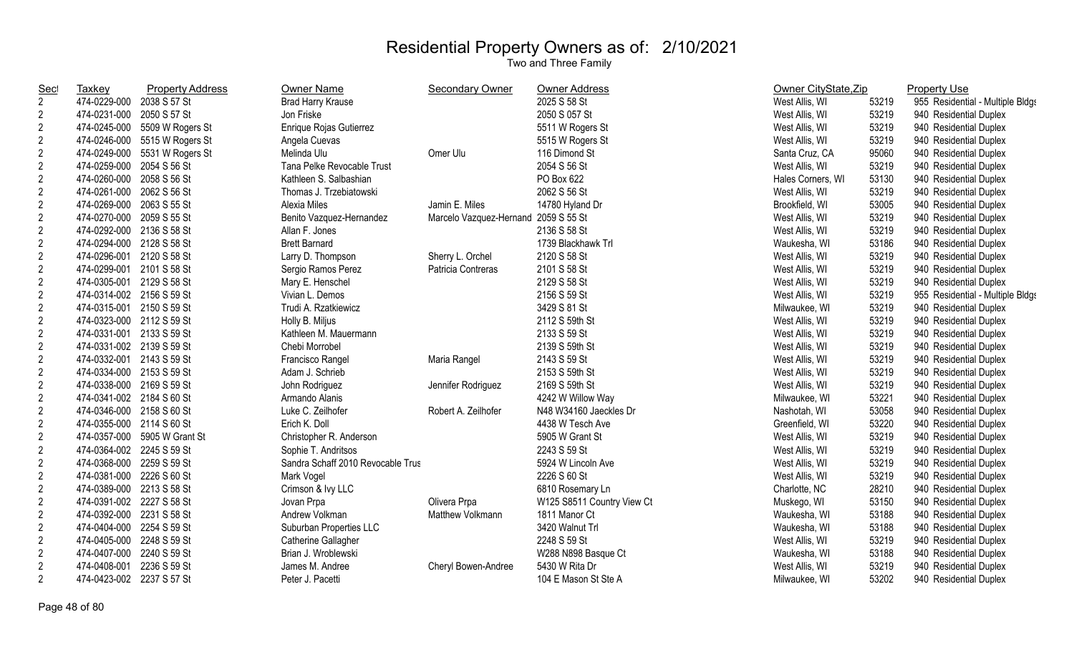| <b>Sec</b>     | <b>Taxkey</b>             | <b>Property Address</b>       | <b>Owner Name</b>                 | <b>Secondary Owner</b>               | Owner Address              | Owner CityState, Zip |       | <b>Property Use</b>              |
|----------------|---------------------------|-------------------------------|-----------------------------------|--------------------------------------|----------------------------|----------------------|-------|----------------------------------|
| $\overline{2}$ | 474-0229-000 2038 S 57 St |                               | <b>Brad Harry Krause</b>          |                                      | 2025 S 58 St               | West Allis, WI       | 53219 | 955 Residential - Multiple Bldgs |
| $\overline{2}$ | 474-0231-000 2050 S 57 St |                               | Jon Friske                        |                                      | 2050 S 057 St              | West Allis, WI       | 53219 | 940 Residential Duplex           |
| $\sqrt{2}$     |                           | 474-0245-000 5509 W Rogers St | Enrique Rojas Gutierrez           |                                      | 5511 W Rogers St           | West Allis, WI       | 53219 | 940 Residential Duplex           |
| $\overline{2}$ |                           | 474-0246-000 5515 W Rogers St | Angela Cuevas                     |                                      | 5515 W Rogers St           | West Allis, WI       | 53219 | 940 Residential Duplex           |
| $\overline{2}$ |                           | 474-0249-000 5531 W Rogers St | Melinda Ulu                       | Omer Ulu                             | 116 Dimond St              | Santa Cruz, CA       | 95060 | 940 Residential Duplex           |
| $\overline{2}$ | 474-0259-000 2054 S 56 St |                               | Tana Pelke Revocable Trust        |                                      | 2054 S 56 St               | West Allis, WI       | 53219 | 940 Residential Duplex           |
| $\overline{2}$ | 474-0260-000 2058 S 56 St |                               | Kathleen S. Salbashian            |                                      | PO Box 622                 | Hales Corners, WI    | 53130 | 940 Residential Duplex           |
| $\sqrt{2}$     | 474-0261-000 2062 S 56 St |                               | Thomas J. Trzebiatowski           |                                      | 2062 S 56 St               | West Allis, WI       | 53219 | 940 Residential Duplex           |
| $\sqrt{2}$     | 474-0269-000 2063 S 55 St |                               | Alexia Miles                      | Jamin E. Miles                       | 14780 Hyland Dr            | Brookfield, WI       | 53005 | 940 Residential Duplex           |
| $\sqrt{2}$     | 474-0270-000 2059 S 55 St |                               | Benito Vazquez-Hernandez          | Marcelo Vazquez-Hernand 2059 S 55 St |                            | West Allis, WI       | 53219 | 940 Residential Duplex           |
| $\overline{c}$ | 474-0292-000 2136 S 58 St |                               | Allan F. Jones                    |                                      | 2136 S 58 St               | West Allis, WI       | 53219 | 940 Residential Duplex           |
| $\sqrt{2}$     | 474-0294-000 2128 S 58 St |                               | <b>Brett Barnard</b>              |                                      | 1739 Blackhawk Trl         | Waukesha, WI         | 53186 | 940 Residential Duplex           |
| $\overline{2}$ | 474-0296-001 2120 S 58 St |                               | Larry D. Thompson                 | Sherry L. Orchel                     | 2120 S 58 St               | West Allis, WI       | 53219 | 940 Residential Duplex           |
| $\overline{2}$ | 474-0299-001 2101 S 58 St |                               | Sergio Ramos Perez                | Patricia Contreras                   | 2101 S 58 St               | West Allis, WI       | 53219 | 940 Residential Duplex           |
| $\overline{2}$ | 474-0305-001 2129 S 58 St |                               | Mary E. Henschel                  |                                      | 2129 S 58 St               | West Allis, WI       | 53219 | 940 Residential Duplex           |
| $\overline{2}$ | 474-0314-002 2156 S 59 St |                               | Vivian L. Demos                   |                                      | 2156 S 59 St               | West Allis, WI       | 53219 | 955 Residential - Multiple Bldgs |
| $\overline{2}$ | 474-0315-001 2150 S 59 St |                               | Trudi A. Rzatkiewicz              |                                      | 3429 S 81 St               | Milwaukee, WI        | 53219 | 940 Residential Duplex           |
| $\overline{2}$ | 474-0323-000 2112 S 59 St |                               | Holly B. Miljus                   |                                      | 2112 S 59th St             | West Allis, WI       | 53219 | 940 Residential Duplex           |
| $\overline{2}$ | 474-0331-001 2133 S 59 St |                               | Kathleen M. Mauermann             |                                      | 2133 S 59 St               | West Allis, WI       | 53219 | 940 Residential Duplex           |
| $\overline{2}$ | 474-0331-002 2139 S 59 St |                               | Chebi Morrobel                    |                                      | 2139 S 59th St             | West Allis, WI       | 53219 | 940 Residential Duplex           |
| $\overline{2}$ | 474-0332-001 2143 S 59 St |                               | Francisco Rangel                  | Maria Rangel                         | 2143 S 59 St               | West Allis, WI       | 53219 | 940 Residential Duplex           |
| $\overline{2}$ | 474-0334-000 2153 S 59 St |                               | Adam J. Schrieb                   |                                      | 2153 S 59th St             | West Allis, WI       | 53219 | 940 Residential Duplex           |
| $\overline{2}$ | 474-0338-000 2169 S 59 St |                               | John Rodriguez                    | Jennifer Rodriguez                   | 2169 S 59th St             | West Allis, WI       | 53219 | 940 Residential Duplex           |
| $\sqrt{2}$     | 474-0341-002 2184 S 60 St |                               | Armando Alanis                    |                                      | 4242 W Willow Way          | Milwaukee, WI        | 53221 | 940 Residential Duplex           |
| $\sqrt{2}$     | 474-0346-000 2158 S 60 St |                               | Luke C. Zeilhofer                 | Robert A. Zeilhofer                  | N48 W34160 Jaeckles Dr     | Nashotah, WI         | 53058 | 940 Residential Duplex           |
| $\overline{2}$ | 474-0355-000 2114 S 60 St |                               | Erich K. Doll                     |                                      | 4438 W Tesch Ave           | Greenfield, WI       | 53220 | 940 Residential Duplex           |
| $\overline{2}$ |                           | 474-0357-000 5905 W Grant St  | Christopher R. Anderson           |                                      | 5905 W Grant St            | West Allis, WI       | 53219 | 940 Residential Duplex           |
| $\overline{2}$ | 474-0364-002 2245 S 59 St |                               | Sophie T. Andritsos               |                                      | 2243 S 59 St               | West Allis, WI       | 53219 | 940 Residential Duplex           |
| $\sqrt{2}$     | 474-0368-000 2259 S 59 St |                               | Sandra Schaff 2010 Revocable Trus |                                      | 5924 W Lincoln Ave         | West Allis, WI       | 53219 | 940 Residential Duplex           |
| $\overline{2}$ | 474-0381-000 2226 S 60 St |                               | Mark Vogel                        |                                      | 2226 S 60 St               | West Allis, WI       | 53219 | 940 Residential Duplex           |
| $\overline{2}$ | 474-0389-000 2213 S 58 St |                               | Crimson & Ivy LLC                 |                                      | 6810 Rosemary Ln           | Charlotte, NC        | 28210 | 940 Residential Duplex           |
| $\overline{2}$ | 474-0391-002 2227 S 58 St |                               | Jovan Prpa                        | Olivera Prpa                         | W125 S8511 Country View Ct | Muskego, WI          | 53150 | 940 Residential Duplex           |
| $\overline{2}$ | 474-0392-000 2231 S 58 St |                               | Andrew Volkman                    | Matthew Volkmann                     | 1811 Manor Ct              | Waukesha, WI         | 53188 | 940 Residential Duplex           |
| $\overline{2}$ | 474-0404-000 2254 S 59 St |                               | Suburban Properties LLC           |                                      | 3420 Walnut Trl            | Waukesha, WI         | 53188 | 940 Residential Duplex           |
| $\sqrt{2}$     | 474-0405-000 2248 S 59 St |                               | Catherine Gallagher               |                                      | 2248 S 59 St               | West Allis, WI       | 53219 | 940 Residential Duplex           |
| $\overline{2}$ | 474-0407-000 2240 S 59 St |                               | Brian J. Wroblewski               |                                      | W288 N898 Basque Ct        | Waukesha, WI         | 53188 | 940 Residential Duplex           |
| $\overline{2}$ | 474-0408-001              | 2236 S 59 St                  | James M. Andree                   | Cheryl Bowen-Andree                  | 5430 W Rita Dr             | West Allis, WI       | 53219 | 940 Residential Duplex           |
| $\overline{2}$ | 474-0423-002 2237 S 57 St |                               | Peter J. Pacetti                  |                                      | 104 E Mason St Ste A       | Milwaukee, WI        | 53202 | 940 Residential Duplex           |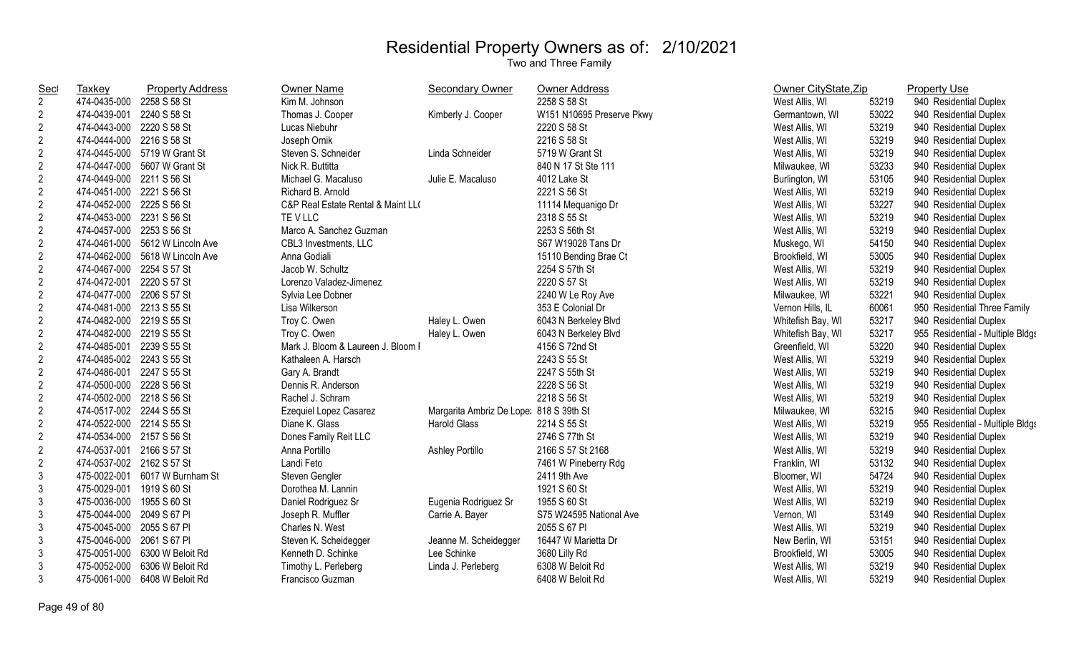| <b>Sec</b>     | Taxkey                    | <b>Property Address</b>         | Owner Name                         | <b>Secondary Owner</b>                  | Owner Address             | Owner CityState, Zip |       | <b>Property Use</b>              |
|----------------|---------------------------|---------------------------------|------------------------------------|-----------------------------------------|---------------------------|----------------------|-------|----------------------------------|
| $\overline{2}$ | 474-0435-000 2258 S 58 St |                                 | Kim M. Johnson                     |                                         | 2258 S 58 St              | West Allis, WI       | 53219 | 940 Residential Duplex           |
| $\overline{2}$ | 474-0439-001 2240 S 58 St |                                 | Thomas J. Cooper                   | Kimberly J. Cooper                      | W151 N10695 Preserve Pkwy | Germantown, WI       | 53022 | 940 Residential Duplex           |
| $\overline{2}$ | 474-0443-000 2220 S 58 St |                                 | Lucas Niebuhr                      |                                         | 2220 S 58 St              | West Allis, WI       | 53219 | 940 Residential Duplex           |
| $\overline{2}$ | 474-0444-000 2216 S 58 St |                                 | Joseph Ornik                       |                                         | 2216 S 58 St              | West Allis, WI       | 53219 | 940 Residential Duplex           |
| $\overline{2}$ |                           | 474-0445-000 5719 W Grant St    | Steven S. Schneider                | Linda Schneider                         | 5719 W Grant St           | West Allis, WI       | 53219 | 940 Residential Duplex           |
| $\overline{2}$ | 474-0447-000              | 5607 W Grant St                 | Nick R. Buttitta                   |                                         | 840 N 17 St Ste 111       | Milwaukee, WI        | 53233 | 940 Residential Duplex           |
| $\overline{c}$ | 474-0449-000              | 2211 S 56 St                    | Michael G. Macaluso                | Julie E. Macaluso                       | 4012 Lake St              | Burlington, WI       | 53105 | 940 Residential Duplex           |
| $\overline{2}$ | 474-0451-000 2221 S 56 St |                                 | Richard B. Arnold                  |                                         | 2221 S 56 St              | West Allis, WI       | 53219 | 940 Residential Duplex           |
| $\overline{2}$ | 474-0452-000 2225 S 56 St |                                 | C&P Real Estate Rental & Maint LL( |                                         | 11114 Mequanigo Dr        | West Allis, WI       | 53227 | 940 Residential Duplex           |
| $\overline{c}$ | 474-0453-000 2231 S 56 St |                                 | TE V LLC                           |                                         | 2318 S 55 St              | West Allis, WI       | 53219 | 940 Residential Duplex           |
| $\overline{2}$ | 474-0457-000 2253 S 56 St |                                 | Marco A. Sanchez Guzman            |                                         | 2253 S 56th St            | West Allis, WI       | 53219 | 940 Residential Duplex           |
| $\overline{c}$ |                           | 474-0461-000 5612 W Lincoln Ave | CBL3 Investments, LLC              |                                         | S67 W19028 Tans Dr        | Muskego, WI          | 54150 | 940 Residential Duplex           |
| $\overline{c}$ |                           | 474-0462-000 5618 W Lincoln Ave | Anna Godiali                       |                                         | 15110 Bending Brae Ct     | Brookfield, WI       | 53005 | 940 Residential Duplex           |
| $\overline{2}$ | 474-0467-000 2254 S 57 St |                                 | Jacob W. Schultz                   |                                         | 2254 S 57th St            | West Allis, WI       | 53219 | 940 Residential Duplex           |
| $\overline{2}$ | 474-0472-001 2220 S 57 St |                                 | Lorenzo Valadez-Jimenez            |                                         | 2220 S 57 St              | West Allis, WI       | 53219 | 940 Residential Duplex           |
| $\overline{2}$ | 474-0477-000 2206 S 57 St |                                 | Sylvia Lee Dobner                  |                                         | 2240 W Le Roy Ave         | Milwaukee, WI        | 53221 | 940 Residential Duplex           |
| $\overline{2}$ | 474-0481-000 2213 S 55 St |                                 | Lisa Wilkerson                     |                                         | 353 E Colonial Dr         | Vernon Hills, IL     | 60061 | 950 Residential Three Family     |
| $\overline{2}$ | 474-0482-000 2219 S 55 St |                                 | Troy C. Owen                       | Haley L. Owen                           | 6043 N Berkeley Blvd      | Whitefish Bay, WI    | 53217 | 940 Residential Duplex           |
| $\overline{2}$ | 474-0482-000 2219 S 55 St |                                 | Troy C. Owen                       | Haley L. Owen                           | 6043 N Berkeley Blvd      | Whitefish Bay, WI    | 53217 | 955 Residential - Multiple Bldgs |
| $\overline{2}$ | 474-0485-001 2239 S 55 St |                                 | Mark J. Bloom & Laureen J. Bloom I |                                         | 4156 S 72nd St            | Greenfield, WI       | 53220 | 940 Residential Duplex           |
| $\overline{2}$ | 474-0485-002 2243 S 55 St |                                 | Kathaleen A. Harsch                |                                         | 2243 S 55 St              | West Allis, WI       | 53219 | 940 Residential Duplex           |
| $\overline{2}$ | 474-0486-001 2247 S 55 St |                                 | Gary A. Brandt                     |                                         | 2247 S 55th St            | West Allis, WI       | 53219 | 940 Residential Duplex           |
| $\overline{c}$ | 474-0500-000 2228 S 56 St |                                 | Dennis R. Anderson                 |                                         | 2228 S 56 St              | West Allis, WI       | 53219 | 940 Residential Duplex           |
| $\overline{2}$ | 474-0502-000 2218 S 56 St |                                 | Rachel J. Schram                   |                                         | 2218 S 56 St              | West Allis, WI       | 53219 | 940 Residential Duplex           |
| $\overline{c}$ | 474-0517-002 2244 S 55 St |                                 | Ezequiel Lopez Casarez             | Margarita Ambriz De Lope: 818 S 39th St |                           | Milwaukee, WI        | 53215 | 940 Residential Duplex           |
| $\overline{c}$ | 474-0522-000 2214 S 55 St |                                 | Diane K. Glass                     | <b>Harold Glass</b>                     | 2214 S 55 St              | West Allis, WI       | 53219 | 955 Residential - Multiple Bldgs |
| $\overline{2}$ | 474-0534-000 2157 S 56 St |                                 | Dones Family Reit LLC              |                                         | 2746 S 77th St            | West Allis, WI       | 53219 | 940 Residential Duplex           |
| $\overline{2}$ | 474-0537-001 2166 S 57 St |                                 | Anna Portillo                      | <b>Ashley Portillo</b>                  | 2166 S 57 St 2168         | West Allis, WI       | 53219 | 940 Residential Duplex           |
| $\overline{2}$ | 474-0537-002 2162 S 57 St |                                 | Landi Feto                         |                                         | 7461 W Pineberry Rdg      | Franklin, WI         | 53132 | 940 Residential Duplex           |
| 3              |                           | 475-0022-001 6017 W Burnham St  | Steven Gengler                     |                                         | 2411 9th Ave              | Bloomer, WI          | 54724 | 940 Residential Duplex           |
| 3              | 475-0029-001              | 1919 S 60 St                    | Dorothea M. Lannin                 |                                         | 1921 S 60 St              | West Allis, WI       | 53219 | 940 Residential Duplex           |
| $\mathfrak{Z}$ | 475-0036-000              | 1955 S 60 St                    | Daniel Rodriguez Sr                | Eugenia Rodriguez Sr                    | 1955 S 60 St              | West Allis, WI       | 53219 | 940 Residential Duplex           |
| $\mathfrak{Z}$ | 475-0044-000 2049 S 67 PI |                                 | Joseph R. Muffler                  | Carrie A. Bayer                         | S75 W24595 National Ave   | Vernon, WI           | 53149 | 940 Residential Duplex           |
| $\mathfrak{Z}$ | 475-0045-000 2055 S 67 PI |                                 | Charles N. West                    |                                         | 2055 S 67 PI              | West Allis, WI       | 53219 | 940 Residential Duplex           |
| 3              | 475-0046-000 2061 S 67 PI |                                 | Steven K. Scheidegger              | Jeanne M. Scheidegger                   | 16447 W Marietta Dr       | New Berlin, WI       | 53151 | 940 Residential Duplex           |
| 3              |                           | 475-0051-000 6300 W Beloit Rd   | Kenneth D. Schinke                 | Lee Schinke                             | 3680 Lilly Rd             | Brookfield, WI       | 53005 | 940 Residential Duplex           |
| 3              | 475-0052-000              | 6306 W Beloit Rd                | Timothy L. Perleberg               | Linda J. Perleberg                      | 6308 W Beloit Rd          | West Allis, WI       | 53219 | 940 Residential Duplex           |
| 3              |                           | 475-0061-000 6408 W Beloit Rd   | Francisco Guzman                   |                                         | 6408 W Beloit Rd          | West Allis, WI       | 53219 | 940 Residential Duplex           |
|                |                           |                                 |                                    |                                         |                           |                      |       |                                  |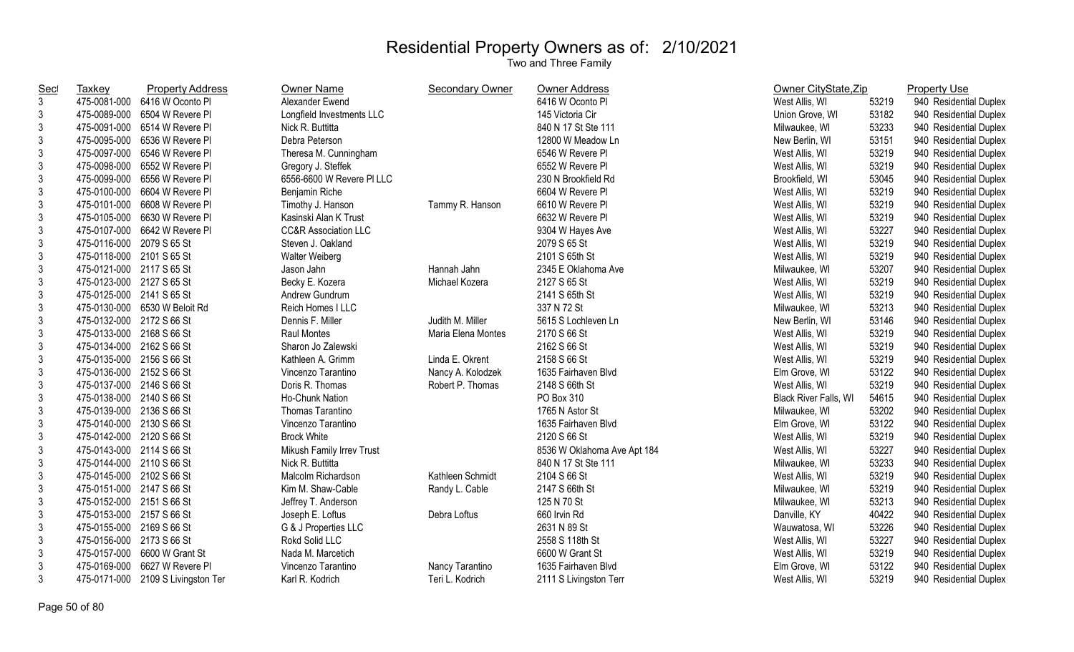| Sec            | <b>Taxkey</b>             | <b>Property Address</b>            | Owner Name                      | <b>Secondary Owner</b> | Owner Address               | Owner CityState, Zip  |       | <b>Property Use</b>    |
|----------------|---------------------------|------------------------------------|---------------------------------|------------------------|-----------------------------|-----------------------|-------|------------------------|
| $\mathbf{3}$   |                           | 475-0081-000 6416 W Oconto PI      | Alexander Ewend                 |                        | 6416 W Oconto PI            | West Allis, WI        | 53219 | 940 Residential Duplex |
| $\mathfrak{Z}$ |                           | 475-0089-000 6504 W Revere PI      | Longfield Investments LLC       |                        | 145 Victoria Cir            | Union Grove, WI       | 53182 | 940 Residential Duplex |
| $\mathfrak{Z}$ |                           | 475-0091-000 6514 W Revere PI      | Nick R. Buttitta                |                        | 840 N 17 St Ste 111         | Milwaukee, WI         | 53233 | 940 Residential Duplex |
| $\mathfrak{Z}$ |                           | 475-0095-000 6536 W Revere PI      | Debra Peterson                  |                        | 12800 W Meadow Ln           | New Berlin, WI        | 53151 | 940 Residential Duplex |
| $\mathfrak{Z}$ |                           | 475-0097-000 6546 W Revere PI      | Theresa M. Cunningham           |                        | 6546 W Revere PI            | West Allis, WI        | 53219 | 940 Residential Duplex |
| $\mathfrak{Z}$ |                           | 475-0098-000 6552 W Revere PI      | Gregory J. Steffek              |                        | 6552 W Revere PI            | West Allis, WI        | 53219 | 940 Residential Duplex |
| $\mathfrak{Z}$ |                           | 475-0099-000 6556 W Revere PI      | 6556-6600 W Revere PI LLC       |                        | 230 N Brookfield Rd         | Brookfield, WI        | 53045 | 940 Residential Duplex |
| $\mathfrak{Z}$ |                           | 475-0100-000 6604 W Revere PI      | Benjamin Riche                  |                        | 6604 W Revere PI            | West Allis, WI        | 53219 | 940 Residential Duplex |
| $\mathfrak{Z}$ |                           | 475-0101-000 6608 W Revere PI      | Timothy J. Hanson               | Tammy R. Hanson        | 6610 W Revere PI            | West Allis, WI        | 53219 | 940 Residential Duplex |
| $\mathfrak{Z}$ |                           | 475-0105-000 6630 W Revere PI      | Kasinski Alan K Trust           |                        | 6632 W Revere PI            | West Allis, WI        | 53219 | 940 Residential Duplex |
| $\mathfrak{Z}$ |                           | 475-0107-000 6642 W Revere PI      | <b>CC&amp;R Association LLC</b> |                        | 9304 W Hayes Ave            | West Allis, WI        | 53227 | 940 Residential Duplex |
| $\mathfrak{Z}$ | 475-0116-000 2079 S 65 St |                                    | Steven J. Oakland               |                        | 2079 S 65 St                | West Allis, WI        | 53219 | 940 Residential Duplex |
| $\mathfrak{Z}$ | 475-0118-000 2101 S 65 St |                                    | <b>Walter Weiberg</b>           |                        | 2101 S 65th St              | West Allis, WI        | 53219 | 940 Residential Duplex |
| 3              | 475-0121-000 2117 S 65 St |                                    | Jason Jahn                      | Hannah Jahn            | 2345 E Oklahoma Ave         | Milwaukee, WI         | 53207 | 940 Residential Duplex |
| 3              | 475-0123-000 2127 S 65 St |                                    | Becky E. Kozera                 | Michael Kozera         | 2127 S 65 St                | West Allis, WI        | 53219 | 940 Residential Duplex |
| $\mathfrak{Z}$ | 475-0125-000 2141 S 65 St |                                    | Andrew Gundrum                  |                        | 2141 S 65th St              | West Allis, WI        | 53219 | 940 Residential Duplex |
| $\mathfrak{Z}$ |                           | 475-0130-000 6530 W Beloit Rd      | Reich Homes I LLC               |                        | 337 N 72 St                 | Milwaukee, WI         | 53213 | 940 Residential Duplex |
| $\mathfrak{Z}$ | 475-0132-000 2172 S 66 St |                                    | Dennis F. Miller                | Judith M. Miller       | 5615 S Lochleven Ln         | New Berlin, WI        | 53146 | 940 Residential Duplex |
| $\mathfrak{Z}$ | 475-0133-000 2168 S 66 St |                                    | Raul Montes                     | Maria Elena Montes     | 2170 S 66 St                | West Allis, WI        | 53219 | 940 Residential Duplex |
| $\mathfrak{Z}$ | 475-0134-000 2162 S 66 St |                                    | Sharon Jo Zalewski              |                        | 2162 S 66 St                | West Allis, WI        | 53219 | 940 Residential Duplex |
| $\mathfrak{Z}$ | 475-0135-000 2156 S 66 St |                                    | Kathleen A. Grimm               | Linda E. Okrent        | 2158 S 66 St                | West Allis, WI        | 53219 | 940 Residential Duplex |
| $\mathfrak{Z}$ | 475-0136-000 2152 S 66 St |                                    | Vincenzo Tarantino              | Nancy A. Kolodzek      | 1635 Fairhaven Blvd         | Elm Grove, WI         | 53122 | 940 Residential Duplex |
| $\mathfrak{Z}$ | 475-0137-000 2146 S 66 St |                                    | Doris R. Thomas                 | Robert P. Thomas       | 2148 S 66th St              | West Allis, WI        | 53219 | 940 Residential Duplex |
| $\mathfrak{Z}$ | 475-0138-000 2140 S 66 St |                                    | Ho-Chunk Nation                 |                        | PO Box 310                  | Black River Falls, WI | 54615 | 940 Residential Duplex |
| $\mathfrak{Z}$ | 475-0139-000 2136 S 66 St |                                    | Thomas Tarantino                |                        | 1765 N Astor St             | Milwaukee, WI         | 53202 | 940 Residential Duplex |
| $\mathfrak{Z}$ | 475-0140-000 2130 S 66 St |                                    | Vincenzo Tarantino              |                        | 1635 Fairhaven Blvd         | Elm Grove, WI         | 53122 | 940 Residential Duplex |
| 3              | 475-0142-000 2120 S 66 St |                                    | <b>Brock White</b>              |                        | 2120 S 66 St                | West Allis, WI        | 53219 | 940 Residential Duplex |
| 3              | 475-0143-000 2114 S 66 St |                                    | Mikush Family Irrev Trust       |                        | 8536 W Oklahoma Ave Apt 184 | West Allis, WI        | 53227 | 940 Residential Duplex |
| 3              | 475-0144-000 2110 S 66 St |                                    | Nick R. Buttitta                |                        | 840 N 17 St Ste 111         | Milwaukee, WI         | 53233 | 940 Residential Duplex |
| 3              | 475-0145-000 2102 S 66 St |                                    | Malcolm Richardson              | Kathleen Schmidt       | 2104 S 66 St                | West Allis, WI        | 53219 | 940 Residential Duplex |
| $\mathfrak{Z}$ | 475-0151-000 2147 S 66 St |                                    | Kim M. Shaw-Cable               | Randy L. Cable         | 2147 S 66th St              | Milwaukee, WI         | 53219 | 940 Residential Duplex |
| 3              | 475-0152-000 2151 S 66 St |                                    | Jeffrey T. Anderson             |                        | 125 N 70 St                 | Milwaukee, WI         | 53213 | 940 Residential Duplex |
| $\mathfrak{Z}$ | 475-0153-000 2157 S 66 St |                                    | Joseph E. Loftus                | Debra Loftus           | 660 Irvin Rd                | Danville, KY          | 40422 | 940 Residential Duplex |
| $\mathfrak{Z}$ | 475-0155-000 2169 S 66 St |                                    | G & J Properties LLC            |                        | 2631 N 89 St                | Wauwatosa, WI         | 53226 | 940 Residential Duplex |
| $\mathfrak{Z}$ | 475-0156-000 2173 S 66 St |                                    | Rokd Solid LLC                  |                        | 2558 S 118th St             | West Allis, WI        | 53227 | 940 Residential Duplex |
| 3              |                           | 475-0157-000 6600 W Grant St       | Nada M. Marcetich               |                        | 6600 W Grant St             | West Allis, WI        | 53219 | 940 Residential Duplex |
| $\mathbf{3}$   |                           | 475-0169-000 6627 W Revere PI      | Vincenzo Tarantino              | Nancy Tarantino        | 1635 Fairhaven Blvd         | Elm Grove, WI         | 53122 | 940 Residential Duplex |
| 3              |                           | 475-0171-000 2109 S Livingston Ter | Karl R. Kodrich                 | Teri L. Kodrich        | 2111 S Livingston Terr      | West Allis, WI        | 53219 | 940 Residential Duplex |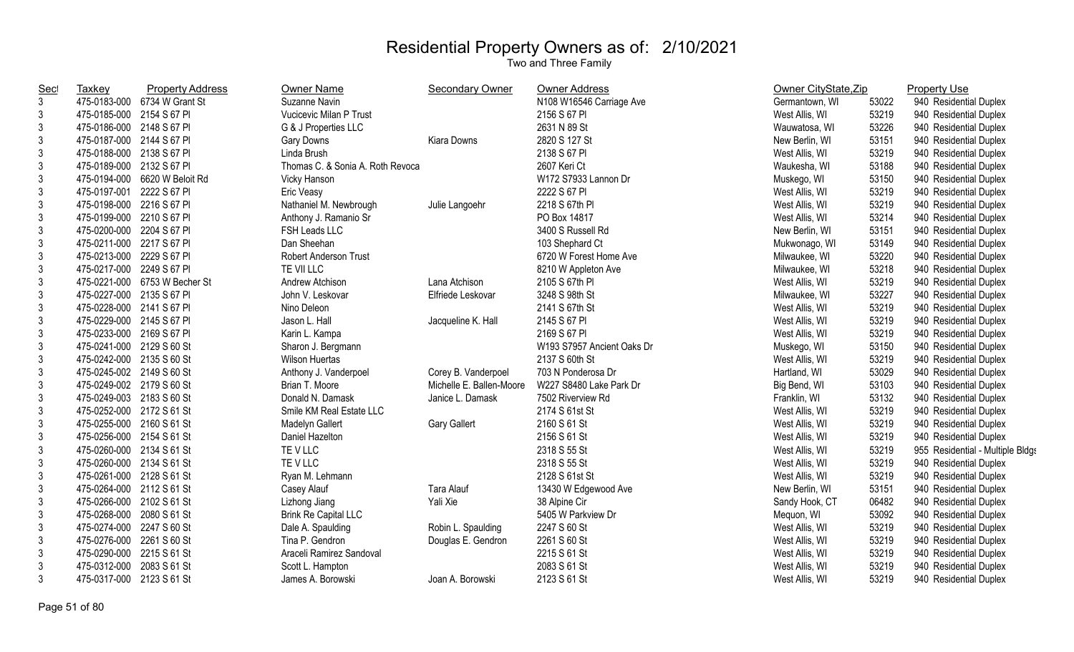| <b>Sec</b>     | Taxkey                    | <b>Property Address</b>       | <b>Owner Name</b>                | Secondary Owner          | <b>Owner Address</b>       | Owner CityState, Zip |       | <b>Property Use</b>              |
|----------------|---------------------------|-------------------------------|----------------------------------|--------------------------|----------------------------|----------------------|-------|----------------------------------|
| $\mathfrak{Z}$ |                           | 475-0183-000 6734 W Grant St  | Suzanne Navin                    |                          | N108 W16546 Carriage Ave   | Germantown, WI       | 53022 | 940 Residential Duplex           |
| 3              | 475-0185-000 2154 S 67 PI |                               | Vucicevic Milan P Trust          |                          | 2156 S 67 PI               | West Allis, WI       | 53219 | 940 Residential Duplex           |
| 3              | 475-0186-000 2148 S 67 PI |                               | G & J Properties LLC             |                          | 2631 N 89 St               | Wauwatosa, WI        | 53226 | 940 Residential Duplex           |
| 3              | 475-0187-000 2144 S 67 PI |                               | Gary Downs                       | Kiara Downs              | 2820 S 127 St              | New Berlin, WI       | 53151 | 940 Residential Duplex           |
| $\mathfrak{Z}$ | 475-0188-000 2138 S 67 PI |                               | Linda Brush                      |                          | 2138 S 67 PI               | West Allis, WI       | 53219 | 940 Residential Duplex           |
| $\mathbf{3}$   | 475-0189-000 2132 S 67 PI |                               | Thomas C. & Sonia A. Roth Revoca |                          | 2607 Keri Ct               | Waukesha, WI         | 53188 | 940 Residential Duplex           |
| $\mathfrak{Z}$ | 475-0194-000              | 6620 W Beloit Rd              | Vicky Hanson                     |                          | W172 S7933 Lannon Dr       | Muskego, WI          | 53150 | 940 Residential Duplex           |
| $\mathfrak{Z}$ | 475-0197-001              | 2222 S 67 PI                  | Eric Veasy                       |                          | 2222 S 67 PI               | West Allis, WI       | 53219 | 940 Residential Duplex           |
| $\mathfrak{Z}$ | 475-0198-000 2216 S 67 PI |                               | Nathaniel M. Newbrough           | Julie Langoehr           | 2218 S 67th PI             | West Allis, WI       | 53219 | 940 Residential Duplex           |
| $\mathfrak{Z}$ | 475-0199-000 2210 S 67 PI |                               | Anthony J. Ramanio Sr            |                          | PO Box 14817               | West Allis, WI       | 53214 | 940 Residential Duplex           |
| 3              | 475-0200-000 2204 S 67 PI |                               | FSH Leads LLC                    |                          | 3400 S Russell Rd          | New Berlin, WI       | 53151 | 940 Residential Duplex           |
| 3              | 475-0211-000 2217 S 67 PI |                               | Dan Sheehan                      |                          | 103 Shephard Ct            | Mukwonago, WI        | 53149 | 940 Residential Duplex           |
| 3              | 475-0213-000 2229 S 67 PI |                               | Robert Anderson Trust            |                          | 6720 W Forest Home Ave     | Milwaukee, WI        | 53220 | 940 Residential Duplex           |
| $\mathfrak{Z}$ | 475-0217-000 2249 S 67 PI |                               | TE VII LLC                       |                          | 8210 W Appleton Ave        | Milwaukee, WI        | 53218 | 940 Residential Duplex           |
| 3              |                           | 475-0221-000 6753 W Becher St | Andrew Atchison                  | Lana Atchison            | 2105 S 67th PI             | West Allis, WI       | 53219 | 940 Residential Duplex           |
| 3              | 475-0227-000 2135 S 67 PI |                               | John V. Leskovar                 | Elfriede Leskovar        | 3248 S 98th St             | Milwaukee, WI        | 53227 | 940 Residential Duplex           |
| $\mathbf{3}$   | 475-0228-000 2141 S 67 PI |                               | Nino Deleon                      |                          | 2141 S 67th St             | West Allis, WI       | 53219 | 940 Residential Duplex           |
| $\mathfrak{Z}$ | 475-0229-000 2145 S 67 PI |                               | Jason L. Hall                    | Jacqueline K. Hall       | 2145 S 67 PI               | West Allis, WI       | 53219 | 940 Residential Duplex           |
| $\mathbf{3}$   | 475-0233-000 2169 S 67 PI |                               | Karin L. Kampa                   |                          | 2169 S 67 PI               | West Allis, WI       | 53219 | 940 Residential Duplex           |
| $\mathfrak{Z}$ | 475-0241-000 2129 S 60 St |                               | Sharon J. Bergmann               |                          | W193 S7957 Ancient Oaks Dr | Muskego, WI          | 53150 | 940 Residential Duplex           |
| $\mathfrak{Z}$ | 475-0242-000 2135 S 60 St |                               | <b>Wilson Huertas</b>            |                          | 2137 S 60th St             | West Allis, WI       | 53219 | 940 Residential Duplex           |
| $\sqrt{3}$     | 475-0245-002 2149 S 60 St |                               | Anthony J. Vanderpoel            | Corey B. Vanderpoel      | 703 N Ponderosa Dr         | Hartland, WI         | 53029 | 940 Residential Duplex           |
| $\mathfrak{Z}$ | 475-0249-002 2179 S 60 St |                               | Brian T. Moore                   | Michelle E. Ballen-Moore | W227 S8480 Lake Park Dr    | Big Bend, WI         | 53103 | 940 Residential Duplex           |
| 3              | 475-0249-003 2183 S 60 St |                               | Donald N. Damask                 | Janice L. Damask         | 7502 Riverview Rd          | Franklin, WI         | 53132 | 940 Residential Duplex           |
| 3              | 475-0252-000 2172 S 61 St |                               | Smile KM Real Estate LLC         |                          | 2174 S 61st St             | West Allis, WI       | 53219 | 940 Residential Duplex           |
| 3              | 475-0255-000 2160 S 61 St |                               | Madelyn Gallert                  | <b>Gary Gallert</b>      | 2160 S 61 St               | West Allis, WI       | 53219 | 940 Residential Duplex           |
| 3              | 475-0256-000 2154 S 61 St |                               | Daniel Hazelton                  |                          | 2156 S 61 St               | West Allis, WI       | 53219 | 940 Residential Duplex           |
| 3              | 475-0260-000 2134 S 61 St |                               | TE V LLC                         |                          | 2318 S 55 St               | West Allis, WI       | 53219 | 955 Residential - Multiple Bldgs |
| $\mathfrak{Z}$ | 475-0260-000 2134 S 61 St |                               | TE V LLC                         |                          | 2318 S 55 St               | West Allis, WI       | 53219 | 940 Residential Duplex           |
| 3              | 475-0261-000 2128 S 61 St |                               | Ryan M. Lehmann                  |                          | 2128 S 61st St             | West Allis, WI       | 53219 | 940 Residential Duplex           |
| 3              | 475-0264-000 2112 S 61 St |                               | Casey Alauf                      | <b>Tara Alauf</b>        | 13430 W Edgewood Ave       | New Berlin, WI       | 53151 | 940 Residential Duplex           |
| $\mathfrak{Z}$ | 475-0266-000 2102 S 61 St |                               | Lizhong Jiang                    | Yali Xie                 | 38 Alpine Cir              | Sandy Hook, CT       | 06482 | 940 Residential Duplex           |
| $\mathfrak{Z}$ | 475-0268-000 2080 S 61 St |                               | <b>Brink Re Capital LLC</b>      |                          | 5405 W Parkview Dr         | Mequon, WI           | 53092 | 940 Residential Duplex           |
| $\mathfrak{Z}$ | 475-0274-000 2247 S 60 St |                               | Dale A. Spaulding                | Robin L. Spaulding       | 2247 S 60 St               | West Allis, WI       | 53219 | 940 Residential Duplex           |
| 3              | 475-0276-000 2261 S 60 St |                               | Tina P. Gendron                  | Douglas E. Gendron       | 2261 S 60 St               | West Allis, WI       | 53219 | 940 Residential Duplex           |
| 3              | 475-0290-000 2215 S 61 St |                               | Araceli Ramirez Sandoval         |                          | 2215 S 61 St               | West Allis, WI       | 53219 | 940 Residential Duplex           |
| 3              | 475-0312-000              | 2083 S 61 St                  | Scott L. Hampton                 |                          | 2083 S 61 St               | West Allis, WI       | 53219 | 940 Residential Duplex           |
| 3              | 475-0317-000 2123 S 61 St |                               | James A. Borowski                | Joan A. Borowski         | 2123 S 61 St               | West Allis, WI       | 53219 | 940 Residential Duplex           |
|                |                           |                               |                                  |                          |                            |                      |       |                                  |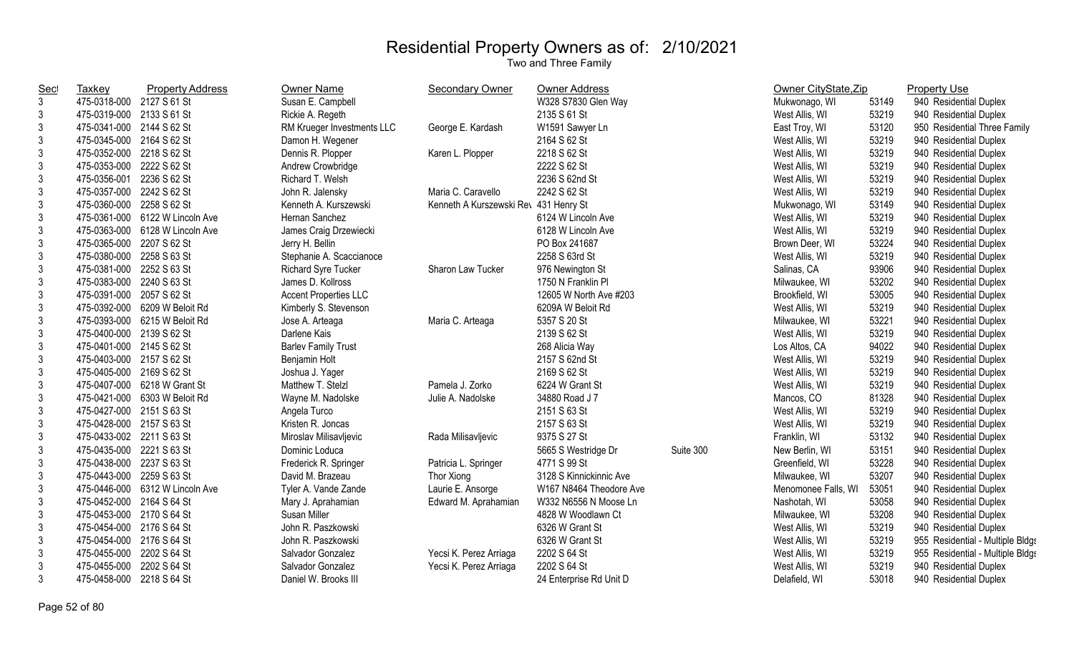| $\mathfrak{Z}$<br>475-0318-000 2127 S 61 St<br>Susan E. Campbell<br>W328 S7830 Glen Way<br>Mukwonago, WI<br>53149<br>940 Residential Duplex<br>2135 S 61 St<br>3<br>475-0319-000 2133 S 61 St<br>Rickie A. Regeth<br>53219<br>940 Residential Duplex<br>West Allis, WI<br>$\mathfrak{Z}$<br>475-0341-000 2144 S 62 St<br>George E. Kardash<br>W1591 Sawyer Ln<br>53120<br>RM Krueger Investments LLC<br>East Troy, WI<br>950 Residential Three Family<br>3<br>475-0345-000 2164 S 62 St<br>Damon H. Wegener<br>2164 S 62 St<br>53219<br>940 Residential Duplex<br>West Allis, WI<br>3<br>53219<br>Karen L. Plopper<br>2218 S 62 St<br>475-0352-000 2218 S 62 St<br>Dennis R. Plopper<br>West Allis, WI<br>940 Residential Duplex<br>3<br>2222 S 62 St<br>53219<br>475-0353-000 2222 S 62 St<br>Andrew Crowbridge<br>West Allis, WI<br>940 Residential Duplex<br>3<br>475-0356-001<br>2236 S 62 St<br>Richard T. Welsh<br>2236 S 62nd St<br>53219<br>940 Residential Duplex<br>West Allis, WI<br>3<br>2242 S 62 St<br>53219<br>475-0357-000 2242 S 62 St<br>John R. Jalensky<br>Maria C. Caravello<br>940 Residential Duplex<br>West Allis, WI<br>$\mathfrak{Z}$<br>475-0360-000 2258 S 62 St<br>Kenneth A Kurszewski Rev 431 Henry St<br>53149<br>Kenneth A. Kurszewski<br>940 Residential Duplex<br>Mukwonago, WI<br>$\mathfrak{Z}$<br>53219<br>475-0361-000 6122 W Lincoln Ave<br>Hernan Sanchez<br>6124 W Lincoln Ave<br>940 Residential Duplex<br>West Allis, WI<br>3<br>53219<br>475-0363-000 6128 W Lincoln Ave<br>6128 W Lincoln Ave<br>940 Residential Duplex<br>James Craig Drzewiecki<br>West Allis, WI<br>3<br>475-0365-000 2207 S 62 St<br>Jerry H. Bellin<br>53224<br>940 Residential Duplex<br>PO Box 241687<br>Brown Deer, WI<br>3<br>53219<br>475-0380-000 2258 S 63 St<br>Stephanie A. Scaccianoce<br>2258 S 63rd St<br>940 Residential Duplex<br>West Allis, WI<br>$\mathfrak{Z}$<br>475-0381-000 2252 S 63 St<br>93906<br><b>Richard Syre Tucker</b><br>Sharon Law Tucker<br>976 Newington St<br>Salinas, CA<br>940 Residential Duplex<br>3<br>475-0383-000 2240 S 63 St<br>James D. Kollross<br>53202<br>1750 N Franklin Pl<br>940 Residential Duplex<br>Milwaukee, WI<br>3<br>53005<br>475-0391-000 2057 S 62 St<br><b>Accent Properties LLC</b><br>12605 W North Ave #203<br>940 Residential Duplex<br>Brookfield, WI<br>3<br>475-0392-000 6209 W Beloit Rd<br>6209A W Beloit Rd<br>53219<br>Kimberly S. Stevenson<br>West Allis, WI<br>940 Residential Duplex<br>3<br>53221<br>475-0393-000 6215 W Beloit Rd<br>5357 S 20 St<br>940 Residential Duplex<br>Jose A. Arteaga<br>Maria C. Arteaga<br>Milwaukee, WI<br>$\mathfrak{Z}$<br>475-0400-000 2139 S 62 St<br>53219<br>2139 S 62 St<br>940 Residential Duplex<br>Darlene Kais<br>West Allis, WI<br>$\mathfrak{Z}$<br>475-0401-000 2145 S 62 St<br>94022<br>940 Residential Duplex<br><b>Barlev Family Trust</b><br>268 Alicia Way<br>Los Altos, CA<br>$\mathfrak{Z}$<br>475-0403-000 2157 S 62 St<br>2157 S 62nd St<br>53219<br>940 Residential Duplex<br>Benjamin Holt<br>West Allis, WI<br>$\mathsf 3$<br>2169 S 62 St<br>475-0405-000 2169 S 62 St<br>Joshua J. Yager<br>53219<br>940 Residential Duplex<br>West Allis, WI<br>$\mathfrak{Z}$<br>475-0407-000 6218 W Grant St<br>Matthew T. Stelzl<br>53219<br>Pamela J. Zorko<br>6224 W Grant St<br>940 Residential Duplex<br>West Allis, WI<br>3<br>81328<br>475-0421-000 6303 W Beloit Rd<br>34880 Road J 7<br>940 Residential Duplex<br>Wayne M. Nadolske<br>Julie A. Nadolske<br>Mancos, CO<br>$\mathfrak{Z}$<br>475-0427-000 2151 S 63 St<br>2151 S 63 St<br>53219<br>Angela Turco<br>West Allis, WI<br>940 Residential Duplex<br>3<br>Kristen R. Joncas<br>2157 S 63 St<br>53219<br>475-0428-000 2157 S 63 St<br>940 Residential Duplex<br>West Allis, WI<br>3<br>53132<br>475-0433-002 2211 S 63 St<br>Rada Milisavljevic<br>9375 S 27 St<br>940 Residential Duplex<br>Miroslav Milisavljevic<br>Franklin, WI<br>3<br>Suite 300<br>53151<br>475-0435-000 2221 S 63 St<br>Dominic Loduca<br>5665 S Westridge Dr<br>940 Residential Duplex<br>New Berlin, WI<br>3<br>53228<br>475-0438-000 2237 S 63 St<br>Patricia L. Springer<br>4771 S 99 St<br>940 Residential Duplex<br>Frederick R. Springer<br>Greenfield, WI<br>3<br>475-0443-000 2259 S 63 St<br>David M. Brazeau<br>3128 S Kinnickinnic Ave<br>53207<br>940 Residential Duplex<br>Thor Xiong<br>Milwaukee, WI<br>3<br>475-0446-000 6312 W Lincoln Ave<br>Laurie E. Ansorge<br>W167 N8464 Theodore Ave<br>Tyler A. Vande Zande<br>Menomonee Falls, WI<br>53051<br>940 Residential Duplex<br>3<br>W332 N6556 N Moose Ln<br>475-0452-000 2164 S 64 St<br>53058<br>940 Residential Duplex<br>Mary J. Aprahamian<br>Edward M. Aprahamian<br>Nashotah, WI<br>$\mathfrak{Z}$<br>475-0453-000 2170 S 64 St<br>4828 W Woodlawn Ct<br>53208<br>Susan Miller<br>Milwaukee, WI<br>940 Residential Duplex<br>3<br>475-0454-000 2176 S 64 St<br>53219<br>John R. Paszkowski<br>6326 W Grant St<br>940 Residential Duplex<br>West Allis, WI<br>3<br>475-0454-000 2176 S 64 St<br>John R. Paszkowski<br>6326 W Grant St<br>53219<br>955 Residential - Multiple Bldgs<br>West Allis, WI<br>$\mathfrak{Z}$<br>53219<br>475-0455-000 2202 S 64 St<br>Salvador Gonzalez<br>Yecsi K. Perez Arriaga<br>2202 S 64 St<br>955 Residential - Multiple Bldgs<br>West Allis, WI<br>3<br>2202 S 64 St<br>53219<br>475-0455-000 2202 S 64 St<br>Salvador Gonzalez<br>Yecsi K. Perez Arriaga<br>940 Residential Duplex<br>West Allis, WI<br>3<br>475-0458-000 2218 S 64 St<br>53018<br>Daniel W. Brooks III<br>24 Enterprise Rd Unit D<br>940 Residential Duplex<br>Delafield, WI | <u>Sec</u> | Taxkey | <b>Property Address</b> | <b>Owner Name</b> | <b>Secondary Owner</b> | <b>Owner Address</b> | Owner CityState, Zip | <b>Property Use</b> |
|------------------------------------------------------------------------------------------------------------------------------------------------------------------------------------------------------------------------------------------------------------------------------------------------------------------------------------------------------------------------------------------------------------------------------------------------------------------------------------------------------------------------------------------------------------------------------------------------------------------------------------------------------------------------------------------------------------------------------------------------------------------------------------------------------------------------------------------------------------------------------------------------------------------------------------------------------------------------------------------------------------------------------------------------------------------------------------------------------------------------------------------------------------------------------------------------------------------------------------------------------------------------------------------------------------------------------------------------------------------------------------------------------------------------------------------------------------------------------------------------------------------------------------------------------------------------------------------------------------------------------------------------------------------------------------------------------------------------------------------------------------------------------------------------------------------------------------------------------------------------------------------------------------------------------------------------------------------------------------------------------------------------------------------------------------------------------------------------------------------------------------------------------------------------------------------------------------------------------------------------------------------------------------------------------------------------------------------------------------------------------------------------------------------------------------------------------------------------------------------------------------------------------------------------------------------------------------------------------------------------------------------------------------------------------------------------------------------------------------------------------------------------------------------------------------------------------------------------------------------------------------------------------------------------------------------------------------------------------------------------------------------------------------------------------------------------------------------------------------------------------------------------------------------------------------------------------------------------------------------------------------------------------------------------------------------------------------------------------------------------------------------------------------------------------------------------------------------------------------------------------------------------------------------------------------------------------------------------------------------------------------------------------------------------------------------------------------------------------------------------------------------------------------------------------------------------------------------------------------------------------------------------------------------------------------------------------------------------------------------------------------------------------------------------------------------------------------------------------------------------------------------------------------------------------------------------------------------------------------------------------------------------------------------------------------------------------------------------------------------------------------------------------------------------------------------------------------------------------------------------------------------------------------------------------------------------------------------------------------------------------------------------------------------------------------------------------------------------------------------------------------------------------------------------------------------------------------------------------------------------------------------------------------------------------------------------------------------------------------------------------------------------------------------------------------------------------------------------------------------------------------------------------------------------------------------------------------------------------------------------------------------------------------------------------------------------------------------------------------------------------------------------------------------------------------------------------------------------------------------------------------------------------------------------------------------------------------------------------------------------------------------------|------------|--------|-------------------------|-------------------|------------------------|----------------------|----------------------|---------------------|
|                                                                                                                                                                                                                                                                                                                                                                                                                                                                                                                                                                                                                                                                                                                                                                                                                                                                                                                                                                                                                                                                                                                                                                                                                                                                                                                                                                                                                                                                                                                                                                                                                                                                                                                                                                                                                                                                                                                                                                                                                                                                                                                                                                                                                                                                                                                                                                                                                                                                                                                                                                                                                                                                                                                                                                                                                                                                                                                                                                                                                                                                                                                                                                                                                                                                                                                                                                                                                                                                                                                                                                                                                                                                                                                                                                                                                                                                                                                                                                                                                                                                                                                                                                                                                                                                                                                                                                                                                                                                                                                                                                                                                                                                                                                                                                                                                                                                                                                                                                                                                                                                                                                                                                                                                                                                                                                                                                                                                                                                                                                                                                                                                                                |            |        |                         |                   |                        |                      |                      |                     |
|                                                                                                                                                                                                                                                                                                                                                                                                                                                                                                                                                                                                                                                                                                                                                                                                                                                                                                                                                                                                                                                                                                                                                                                                                                                                                                                                                                                                                                                                                                                                                                                                                                                                                                                                                                                                                                                                                                                                                                                                                                                                                                                                                                                                                                                                                                                                                                                                                                                                                                                                                                                                                                                                                                                                                                                                                                                                                                                                                                                                                                                                                                                                                                                                                                                                                                                                                                                                                                                                                                                                                                                                                                                                                                                                                                                                                                                                                                                                                                                                                                                                                                                                                                                                                                                                                                                                                                                                                                                                                                                                                                                                                                                                                                                                                                                                                                                                                                                                                                                                                                                                                                                                                                                                                                                                                                                                                                                                                                                                                                                                                                                                                                                |            |        |                         |                   |                        |                      |                      |                     |
|                                                                                                                                                                                                                                                                                                                                                                                                                                                                                                                                                                                                                                                                                                                                                                                                                                                                                                                                                                                                                                                                                                                                                                                                                                                                                                                                                                                                                                                                                                                                                                                                                                                                                                                                                                                                                                                                                                                                                                                                                                                                                                                                                                                                                                                                                                                                                                                                                                                                                                                                                                                                                                                                                                                                                                                                                                                                                                                                                                                                                                                                                                                                                                                                                                                                                                                                                                                                                                                                                                                                                                                                                                                                                                                                                                                                                                                                                                                                                                                                                                                                                                                                                                                                                                                                                                                                                                                                                                                                                                                                                                                                                                                                                                                                                                                                                                                                                                                                                                                                                                                                                                                                                                                                                                                                                                                                                                                                                                                                                                                                                                                                                                                |            |        |                         |                   |                        |                      |                      |                     |
|                                                                                                                                                                                                                                                                                                                                                                                                                                                                                                                                                                                                                                                                                                                                                                                                                                                                                                                                                                                                                                                                                                                                                                                                                                                                                                                                                                                                                                                                                                                                                                                                                                                                                                                                                                                                                                                                                                                                                                                                                                                                                                                                                                                                                                                                                                                                                                                                                                                                                                                                                                                                                                                                                                                                                                                                                                                                                                                                                                                                                                                                                                                                                                                                                                                                                                                                                                                                                                                                                                                                                                                                                                                                                                                                                                                                                                                                                                                                                                                                                                                                                                                                                                                                                                                                                                                                                                                                                                                                                                                                                                                                                                                                                                                                                                                                                                                                                                                                                                                                                                                                                                                                                                                                                                                                                                                                                                                                                                                                                                                                                                                                                                                |            |        |                         |                   |                        |                      |                      |                     |
|                                                                                                                                                                                                                                                                                                                                                                                                                                                                                                                                                                                                                                                                                                                                                                                                                                                                                                                                                                                                                                                                                                                                                                                                                                                                                                                                                                                                                                                                                                                                                                                                                                                                                                                                                                                                                                                                                                                                                                                                                                                                                                                                                                                                                                                                                                                                                                                                                                                                                                                                                                                                                                                                                                                                                                                                                                                                                                                                                                                                                                                                                                                                                                                                                                                                                                                                                                                                                                                                                                                                                                                                                                                                                                                                                                                                                                                                                                                                                                                                                                                                                                                                                                                                                                                                                                                                                                                                                                                                                                                                                                                                                                                                                                                                                                                                                                                                                                                                                                                                                                                                                                                                                                                                                                                                                                                                                                                                                                                                                                                                                                                                                                                |            |        |                         |                   |                        |                      |                      |                     |
|                                                                                                                                                                                                                                                                                                                                                                                                                                                                                                                                                                                                                                                                                                                                                                                                                                                                                                                                                                                                                                                                                                                                                                                                                                                                                                                                                                                                                                                                                                                                                                                                                                                                                                                                                                                                                                                                                                                                                                                                                                                                                                                                                                                                                                                                                                                                                                                                                                                                                                                                                                                                                                                                                                                                                                                                                                                                                                                                                                                                                                                                                                                                                                                                                                                                                                                                                                                                                                                                                                                                                                                                                                                                                                                                                                                                                                                                                                                                                                                                                                                                                                                                                                                                                                                                                                                                                                                                                                                                                                                                                                                                                                                                                                                                                                                                                                                                                                                                                                                                                                                                                                                                                                                                                                                                                                                                                                                                                                                                                                                                                                                                                                                |            |        |                         |                   |                        |                      |                      |                     |
|                                                                                                                                                                                                                                                                                                                                                                                                                                                                                                                                                                                                                                                                                                                                                                                                                                                                                                                                                                                                                                                                                                                                                                                                                                                                                                                                                                                                                                                                                                                                                                                                                                                                                                                                                                                                                                                                                                                                                                                                                                                                                                                                                                                                                                                                                                                                                                                                                                                                                                                                                                                                                                                                                                                                                                                                                                                                                                                                                                                                                                                                                                                                                                                                                                                                                                                                                                                                                                                                                                                                                                                                                                                                                                                                                                                                                                                                                                                                                                                                                                                                                                                                                                                                                                                                                                                                                                                                                                                                                                                                                                                                                                                                                                                                                                                                                                                                                                                                                                                                                                                                                                                                                                                                                                                                                                                                                                                                                                                                                                                                                                                                                                                |            |        |                         |                   |                        |                      |                      |                     |
|                                                                                                                                                                                                                                                                                                                                                                                                                                                                                                                                                                                                                                                                                                                                                                                                                                                                                                                                                                                                                                                                                                                                                                                                                                                                                                                                                                                                                                                                                                                                                                                                                                                                                                                                                                                                                                                                                                                                                                                                                                                                                                                                                                                                                                                                                                                                                                                                                                                                                                                                                                                                                                                                                                                                                                                                                                                                                                                                                                                                                                                                                                                                                                                                                                                                                                                                                                                                                                                                                                                                                                                                                                                                                                                                                                                                                                                                                                                                                                                                                                                                                                                                                                                                                                                                                                                                                                                                                                                                                                                                                                                                                                                                                                                                                                                                                                                                                                                                                                                                                                                                                                                                                                                                                                                                                                                                                                                                                                                                                                                                                                                                                                                |            |        |                         |                   |                        |                      |                      |                     |
|                                                                                                                                                                                                                                                                                                                                                                                                                                                                                                                                                                                                                                                                                                                                                                                                                                                                                                                                                                                                                                                                                                                                                                                                                                                                                                                                                                                                                                                                                                                                                                                                                                                                                                                                                                                                                                                                                                                                                                                                                                                                                                                                                                                                                                                                                                                                                                                                                                                                                                                                                                                                                                                                                                                                                                                                                                                                                                                                                                                                                                                                                                                                                                                                                                                                                                                                                                                                                                                                                                                                                                                                                                                                                                                                                                                                                                                                                                                                                                                                                                                                                                                                                                                                                                                                                                                                                                                                                                                                                                                                                                                                                                                                                                                                                                                                                                                                                                                                                                                                                                                                                                                                                                                                                                                                                                                                                                                                                                                                                                                                                                                                                                                |            |        |                         |                   |                        |                      |                      |                     |
|                                                                                                                                                                                                                                                                                                                                                                                                                                                                                                                                                                                                                                                                                                                                                                                                                                                                                                                                                                                                                                                                                                                                                                                                                                                                                                                                                                                                                                                                                                                                                                                                                                                                                                                                                                                                                                                                                                                                                                                                                                                                                                                                                                                                                                                                                                                                                                                                                                                                                                                                                                                                                                                                                                                                                                                                                                                                                                                                                                                                                                                                                                                                                                                                                                                                                                                                                                                                                                                                                                                                                                                                                                                                                                                                                                                                                                                                                                                                                                                                                                                                                                                                                                                                                                                                                                                                                                                                                                                                                                                                                                                                                                                                                                                                                                                                                                                                                                                                                                                                                                                                                                                                                                                                                                                                                                                                                                                                                                                                                                                                                                                                                                                |            |        |                         |                   |                        |                      |                      |                     |
|                                                                                                                                                                                                                                                                                                                                                                                                                                                                                                                                                                                                                                                                                                                                                                                                                                                                                                                                                                                                                                                                                                                                                                                                                                                                                                                                                                                                                                                                                                                                                                                                                                                                                                                                                                                                                                                                                                                                                                                                                                                                                                                                                                                                                                                                                                                                                                                                                                                                                                                                                                                                                                                                                                                                                                                                                                                                                                                                                                                                                                                                                                                                                                                                                                                                                                                                                                                                                                                                                                                                                                                                                                                                                                                                                                                                                                                                                                                                                                                                                                                                                                                                                                                                                                                                                                                                                                                                                                                                                                                                                                                                                                                                                                                                                                                                                                                                                                                                                                                                                                                                                                                                                                                                                                                                                                                                                                                                                                                                                                                                                                                                                                                |            |        |                         |                   |                        |                      |                      |                     |
|                                                                                                                                                                                                                                                                                                                                                                                                                                                                                                                                                                                                                                                                                                                                                                                                                                                                                                                                                                                                                                                                                                                                                                                                                                                                                                                                                                                                                                                                                                                                                                                                                                                                                                                                                                                                                                                                                                                                                                                                                                                                                                                                                                                                                                                                                                                                                                                                                                                                                                                                                                                                                                                                                                                                                                                                                                                                                                                                                                                                                                                                                                                                                                                                                                                                                                                                                                                                                                                                                                                                                                                                                                                                                                                                                                                                                                                                                                                                                                                                                                                                                                                                                                                                                                                                                                                                                                                                                                                                                                                                                                                                                                                                                                                                                                                                                                                                                                                                                                                                                                                                                                                                                                                                                                                                                                                                                                                                                                                                                                                                                                                                                                                |            |        |                         |                   |                        |                      |                      |                     |
|                                                                                                                                                                                                                                                                                                                                                                                                                                                                                                                                                                                                                                                                                                                                                                                                                                                                                                                                                                                                                                                                                                                                                                                                                                                                                                                                                                                                                                                                                                                                                                                                                                                                                                                                                                                                                                                                                                                                                                                                                                                                                                                                                                                                                                                                                                                                                                                                                                                                                                                                                                                                                                                                                                                                                                                                                                                                                                                                                                                                                                                                                                                                                                                                                                                                                                                                                                                                                                                                                                                                                                                                                                                                                                                                                                                                                                                                                                                                                                                                                                                                                                                                                                                                                                                                                                                                                                                                                                                                                                                                                                                                                                                                                                                                                                                                                                                                                                                                                                                                                                                                                                                                                                                                                                                                                                                                                                                                                                                                                                                                                                                                                                                |            |        |                         |                   |                        |                      |                      |                     |
|                                                                                                                                                                                                                                                                                                                                                                                                                                                                                                                                                                                                                                                                                                                                                                                                                                                                                                                                                                                                                                                                                                                                                                                                                                                                                                                                                                                                                                                                                                                                                                                                                                                                                                                                                                                                                                                                                                                                                                                                                                                                                                                                                                                                                                                                                                                                                                                                                                                                                                                                                                                                                                                                                                                                                                                                                                                                                                                                                                                                                                                                                                                                                                                                                                                                                                                                                                                                                                                                                                                                                                                                                                                                                                                                                                                                                                                                                                                                                                                                                                                                                                                                                                                                                                                                                                                                                                                                                                                                                                                                                                                                                                                                                                                                                                                                                                                                                                                                                                                                                                                                                                                                                                                                                                                                                                                                                                                                                                                                                                                                                                                                                                                |            |        |                         |                   |                        |                      |                      |                     |
|                                                                                                                                                                                                                                                                                                                                                                                                                                                                                                                                                                                                                                                                                                                                                                                                                                                                                                                                                                                                                                                                                                                                                                                                                                                                                                                                                                                                                                                                                                                                                                                                                                                                                                                                                                                                                                                                                                                                                                                                                                                                                                                                                                                                                                                                                                                                                                                                                                                                                                                                                                                                                                                                                                                                                                                                                                                                                                                                                                                                                                                                                                                                                                                                                                                                                                                                                                                                                                                                                                                                                                                                                                                                                                                                                                                                                                                                                                                                                                                                                                                                                                                                                                                                                                                                                                                                                                                                                                                                                                                                                                                                                                                                                                                                                                                                                                                                                                                                                                                                                                                                                                                                                                                                                                                                                                                                                                                                                                                                                                                                                                                                                                                |            |        |                         |                   |                        |                      |                      |                     |
|                                                                                                                                                                                                                                                                                                                                                                                                                                                                                                                                                                                                                                                                                                                                                                                                                                                                                                                                                                                                                                                                                                                                                                                                                                                                                                                                                                                                                                                                                                                                                                                                                                                                                                                                                                                                                                                                                                                                                                                                                                                                                                                                                                                                                                                                                                                                                                                                                                                                                                                                                                                                                                                                                                                                                                                                                                                                                                                                                                                                                                                                                                                                                                                                                                                                                                                                                                                                                                                                                                                                                                                                                                                                                                                                                                                                                                                                                                                                                                                                                                                                                                                                                                                                                                                                                                                                                                                                                                                                                                                                                                                                                                                                                                                                                                                                                                                                                                                                                                                                                                                                                                                                                                                                                                                                                                                                                                                                                                                                                                                                                                                                                                                |            |        |                         |                   |                        |                      |                      |                     |
|                                                                                                                                                                                                                                                                                                                                                                                                                                                                                                                                                                                                                                                                                                                                                                                                                                                                                                                                                                                                                                                                                                                                                                                                                                                                                                                                                                                                                                                                                                                                                                                                                                                                                                                                                                                                                                                                                                                                                                                                                                                                                                                                                                                                                                                                                                                                                                                                                                                                                                                                                                                                                                                                                                                                                                                                                                                                                                                                                                                                                                                                                                                                                                                                                                                                                                                                                                                                                                                                                                                                                                                                                                                                                                                                                                                                                                                                                                                                                                                                                                                                                                                                                                                                                                                                                                                                                                                                                                                                                                                                                                                                                                                                                                                                                                                                                                                                                                                                                                                                                                                                                                                                                                                                                                                                                                                                                                                                                                                                                                                                                                                                                                                |            |        |                         |                   |                        |                      |                      |                     |
|                                                                                                                                                                                                                                                                                                                                                                                                                                                                                                                                                                                                                                                                                                                                                                                                                                                                                                                                                                                                                                                                                                                                                                                                                                                                                                                                                                                                                                                                                                                                                                                                                                                                                                                                                                                                                                                                                                                                                                                                                                                                                                                                                                                                                                                                                                                                                                                                                                                                                                                                                                                                                                                                                                                                                                                                                                                                                                                                                                                                                                                                                                                                                                                                                                                                                                                                                                                                                                                                                                                                                                                                                                                                                                                                                                                                                                                                                                                                                                                                                                                                                                                                                                                                                                                                                                                                                                                                                                                                                                                                                                                                                                                                                                                                                                                                                                                                                                                                                                                                                                                                                                                                                                                                                                                                                                                                                                                                                                                                                                                                                                                                                                                |            |        |                         |                   |                        |                      |                      |                     |
|                                                                                                                                                                                                                                                                                                                                                                                                                                                                                                                                                                                                                                                                                                                                                                                                                                                                                                                                                                                                                                                                                                                                                                                                                                                                                                                                                                                                                                                                                                                                                                                                                                                                                                                                                                                                                                                                                                                                                                                                                                                                                                                                                                                                                                                                                                                                                                                                                                                                                                                                                                                                                                                                                                                                                                                                                                                                                                                                                                                                                                                                                                                                                                                                                                                                                                                                                                                                                                                                                                                                                                                                                                                                                                                                                                                                                                                                                                                                                                                                                                                                                                                                                                                                                                                                                                                                                                                                                                                                                                                                                                                                                                                                                                                                                                                                                                                                                                                                                                                                                                                                                                                                                                                                                                                                                                                                                                                                                                                                                                                                                                                                                                                |            |        |                         |                   |                        |                      |                      |                     |
|                                                                                                                                                                                                                                                                                                                                                                                                                                                                                                                                                                                                                                                                                                                                                                                                                                                                                                                                                                                                                                                                                                                                                                                                                                                                                                                                                                                                                                                                                                                                                                                                                                                                                                                                                                                                                                                                                                                                                                                                                                                                                                                                                                                                                                                                                                                                                                                                                                                                                                                                                                                                                                                                                                                                                                                                                                                                                                                                                                                                                                                                                                                                                                                                                                                                                                                                                                                                                                                                                                                                                                                                                                                                                                                                                                                                                                                                                                                                                                                                                                                                                                                                                                                                                                                                                                                                                                                                                                                                                                                                                                                                                                                                                                                                                                                                                                                                                                                                                                                                                                                                                                                                                                                                                                                                                                                                                                                                                                                                                                                                                                                                                                                |            |        |                         |                   |                        |                      |                      |                     |
|                                                                                                                                                                                                                                                                                                                                                                                                                                                                                                                                                                                                                                                                                                                                                                                                                                                                                                                                                                                                                                                                                                                                                                                                                                                                                                                                                                                                                                                                                                                                                                                                                                                                                                                                                                                                                                                                                                                                                                                                                                                                                                                                                                                                                                                                                                                                                                                                                                                                                                                                                                                                                                                                                                                                                                                                                                                                                                                                                                                                                                                                                                                                                                                                                                                                                                                                                                                                                                                                                                                                                                                                                                                                                                                                                                                                                                                                                                                                                                                                                                                                                                                                                                                                                                                                                                                                                                                                                                                                                                                                                                                                                                                                                                                                                                                                                                                                                                                                                                                                                                                                                                                                                                                                                                                                                                                                                                                                                                                                                                                                                                                                                                                |            |        |                         |                   |                        |                      |                      |                     |
|                                                                                                                                                                                                                                                                                                                                                                                                                                                                                                                                                                                                                                                                                                                                                                                                                                                                                                                                                                                                                                                                                                                                                                                                                                                                                                                                                                                                                                                                                                                                                                                                                                                                                                                                                                                                                                                                                                                                                                                                                                                                                                                                                                                                                                                                                                                                                                                                                                                                                                                                                                                                                                                                                                                                                                                                                                                                                                                                                                                                                                                                                                                                                                                                                                                                                                                                                                                                                                                                                                                                                                                                                                                                                                                                                                                                                                                                                                                                                                                                                                                                                                                                                                                                                                                                                                                                                                                                                                                                                                                                                                                                                                                                                                                                                                                                                                                                                                                                                                                                                                                                                                                                                                                                                                                                                                                                                                                                                                                                                                                                                                                                                                                |            |        |                         |                   |                        |                      |                      |                     |
|                                                                                                                                                                                                                                                                                                                                                                                                                                                                                                                                                                                                                                                                                                                                                                                                                                                                                                                                                                                                                                                                                                                                                                                                                                                                                                                                                                                                                                                                                                                                                                                                                                                                                                                                                                                                                                                                                                                                                                                                                                                                                                                                                                                                                                                                                                                                                                                                                                                                                                                                                                                                                                                                                                                                                                                                                                                                                                                                                                                                                                                                                                                                                                                                                                                                                                                                                                                                                                                                                                                                                                                                                                                                                                                                                                                                                                                                                                                                                                                                                                                                                                                                                                                                                                                                                                                                                                                                                                                                                                                                                                                                                                                                                                                                                                                                                                                                                                                                                                                                                                                                                                                                                                                                                                                                                                                                                                                                                                                                                                                                                                                                                                                |            |        |                         |                   |                        |                      |                      |                     |
|                                                                                                                                                                                                                                                                                                                                                                                                                                                                                                                                                                                                                                                                                                                                                                                                                                                                                                                                                                                                                                                                                                                                                                                                                                                                                                                                                                                                                                                                                                                                                                                                                                                                                                                                                                                                                                                                                                                                                                                                                                                                                                                                                                                                                                                                                                                                                                                                                                                                                                                                                                                                                                                                                                                                                                                                                                                                                                                                                                                                                                                                                                                                                                                                                                                                                                                                                                                                                                                                                                                                                                                                                                                                                                                                                                                                                                                                                                                                                                                                                                                                                                                                                                                                                                                                                                                                                                                                                                                                                                                                                                                                                                                                                                                                                                                                                                                                                                                                                                                                                                                                                                                                                                                                                                                                                                                                                                                                                                                                                                                                                                                                                                                |            |        |                         |                   |                        |                      |                      |                     |
|                                                                                                                                                                                                                                                                                                                                                                                                                                                                                                                                                                                                                                                                                                                                                                                                                                                                                                                                                                                                                                                                                                                                                                                                                                                                                                                                                                                                                                                                                                                                                                                                                                                                                                                                                                                                                                                                                                                                                                                                                                                                                                                                                                                                                                                                                                                                                                                                                                                                                                                                                                                                                                                                                                                                                                                                                                                                                                                                                                                                                                                                                                                                                                                                                                                                                                                                                                                                                                                                                                                                                                                                                                                                                                                                                                                                                                                                                                                                                                                                                                                                                                                                                                                                                                                                                                                                                                                                                                                                                                                                                                                                                                                                                                                                                                                                                                                                                                                                                                                                                                                                                                                                                                                                                                                                                                                                                                                                                                                                                                                                                                                                                                                |            |        |                         |                   |                        |                      |                      |                     |
|                                                                                                                                                                                                                                                                                                                                                                                                                                                                                                                                                                                                                                                                                                                                                                                                                                                                                                                                                                                                                                                                                                                                                                                                                                                                                                                                                                                                                                                                                                                                                                                                                                                                                                                                                                                                                                                                                                                                                                                                                                                                                                                                                                                                                                                                                                                                                                                                                                                                                                                                                                                                                                                                                                                                                                                                                                                                                                                                                                                                                                                                                                                                                                                                                                                                                                                                                                                                                                                                                                                                                                                                                                                                                                                                                                                                                                                                                                                                                                                                                                                                                                                                                                                                                                                                                                                                                                                                                                                                                                                                                                                                                                                                                                                                                                                                                                                                                                                                                                                                                                                                                                                                                                                                                                                                                                                                                                                                                                                                                                                                                                                                                                                |            |        |                         |                   |                        |                      |                      |                     |
|                                                                                                                                                                                                                                                                                                                                                                                                                                                                                                                                                                                                                                                                                                                                                                                                                                                                                                                                                                                                                                                                                                                                                                                                                                                                                                                                                                                                                                                                                                                                                                                                                                                                                                                                                                                                                                                                                                                                                                                                                                                                                                                                                                                                                                                                                                                                                                                                                                                                                                                                                                                                                                                                                                                                                                                                                                                                                                                                                                                                                                                                                                                                                                                                                                                                                                                                                                                                                                                                                                                                                                                                                                                                                                                                                                                                                                                                                                                                                                                                                                                                                                                                                                                                                                                                                                                                                                                                                                                                                                                                                                                                                                                                                                                                                                                                                                                                                                                                                                                                                                                                                                                                                                                                                                                                                                                                                                                                                                                                                                                                                                                                                                                |            |        |                         |                   |                        |                      |                      |                     |
|                                                                                                                                                                                                                                                                                                                                                                                                                                                                                                                                                                                                                                                                                                                                                                                                                                                                                                                                                                                                                                                                                                                                                                                                                                                                                                                                                                                                                                                                                                                                                                                                                                                                                                                                                                                                                                                                                                                                                                                                                                                                                                                                                                                                                                                                                                                                                                                                                                                                                                                                                                                                                                                                                                                                                                                                                                                                                                                                                                                                                                                                                                                                                                                                                                                                                                                                                                                                                                                                                                                                                                                                                                                                                                                                                                                                                                                                                                                                                                                                                                                                                                                                                                                                                                                                                                                                                                                                                                                                                                                                                                                                                                                                                                                                                                                                                                                                                                                                                                                                                                                                                                                                                                                                                                                                                                                                                                                                                                                                                                                                                                                                                                                |            |        |                         |                   |                        |                      |                      |                     |
|                                                                                                                                                                                                                                                                                                                                                                                                                                                                                                                                                                                                                                                                                                                                                                                                                                                                                                                                                                                                                                                                                                                                                                                                                                                                                                                                                                                                                                                                                                                                                                                                                                                                                                                                                                                                                                                                                                                                                                                                                                                                                                                                                                                                                                                                                                                                                                                                                                                                                                                                                                                                                                                                                                                                                                                                                                                                                                                                                                                                                                                                                                                                                                                                                                                                                                                                                                                                                                                                                                                                                                                                                                                                                                                                                                                                                                                                                                                                                                                                                                                                                                                                                                                                                                                                                                                                                                                                                                                                                                                                                                                                                                                                                                                                                                                                                                                                                                                                                                                                                                                                                                                                                                                                                                                                                                                                                                                                                                                                                                                                                                                                                                                |            |        |                         |                   |                        |                      |                      |                     |
|                                                                                                                                                                                                                                                                                                                                                                                                                                                                                                                                                                                                                                                                                                                                                                                                                                                                                                                                                                                                                                                                                                                                                                                                                                                                                                                                                                                                                                                                                                                                                                                                                                                                                                                                                                                                                                                                                                                                                                                                                                                                                                                                                                                                                                                                                                                                                                                                                                                                                                                                                                                                                                                                                                                                                                                                                                                                                                                                                                                                                                                                                                                                                                                                                                                                                                                                                                                                                                                                                                                                                                                                                                                                                                                                                                                                                                                                                                                                                                                                                                                                                                                                                                                                                                                                                                                                                                                                                                                                                                                                                                                                                                                                                                                                                                                                                                                                                                                                                                                                                                                                                                                                                                                                                                                                                                                                                                                                                                                                                                                                                                                                                                                |            |        |                         |                   |                        |                      |                      |                     |
|                                                                                                                                                                                                                                                                                                                                                                                                                                                                                                                                                                                                                                                                                                                                                                                                                                                                                                                                                                                                                                                                                                                                                                                                                                                                                                                                                                                                                                                                                                                                                                                                                                                                                                                                                                                                                                                                                                                                                                                                                                                                                                                                                                                                                                                                                                                                                                                                                                                                                                                                                                                                                                                                                                                                                                                                                                                                                                                                                                                                                                                                                                                                                                                                                                                                                                                                                                                                                                                                                                                                                                                                                                                                                                                                                                                                                                                                                                                                                                                                                                                                                                                                                                                                                                                                                                                                                                                                                                                                                                                                                                                                                                                                                                                                                                                                                                                                                                                                                                                                                                                                                                                                                                                                                                                                                                                                                                                                                                                                                                                                                                                                                                                |            |        |                         |                   |                        |                      |                      |                     |
|                                                                                                                                                                                                                                                                                                                                                                                                                                                                                                                                                                                                                                                                                                                                                                                                                                                                                                                                                                                                                                                                                                                                                                                                                                                                                                                                                                                                                                                                                                                                                                                                                                                                                                                                                                                                                                                                                                                                                                                                                                                                                                                                                                                                                                                                                                                                                                                                                                                                                                                                                                                                                                                                                                                                                                                                                                                                                                                                                                                                                                                                                                                                                                                                                                                                                                                                                                                                                                                                                                                                                                                                                                                                                                                                                                                                                                                                                                                                                                                                                                                                                                                                                                                                                                                                                                                                                                                                                                                                                                                                                                                                                                                                                                                                                                                                                                                                                                                                                                                                                                                                                                                                                                                                                                                                                                                                                                                                                                                                                                                                                                                                                                                |            |        |                         |                   |                        |                      |                      |                     |
|                                                                                                                                                                                                                                                                                                                                                                                                                                                                                                                                                                                                                                                                                                                                                                                                                                                                                                                                                                                                                                                                                                                                                                                                                                                                                                                                                                                                                                                                                                                                                                                                                                                                                                                                                                                                                                                                                                                                                                                                                                                                                                                                                                                                                                                                                                                                                                                                                                                                                                                                                                                                                                                                                                                                                                                                                                                                                                                                                                                                                                                                                                                                                                                                                                                                                                                                                                                                                                                                                                                                                                                                                                                                                                                                                                                                                                                                                                                                                                                                                                                                                                                                                                                                                                                                                                                                                                                                                                                                                                                                                                                                                                                                                                                                                                                                                                                                                                                                                                                                                                                                                                                                                                                                                                                                                                                                                                                                                                                                                                                                                                                                                                                |            |        |                         |                   |                        |                      |                      |                     |
|                                                                                                                                                                                                                                                                                                                                                                                                                                                                                                                                                                                                                                                                                                                                                                                                                                                                                                                                                                                                                                                                                                                                                                                                                                                                                                                                                                                                                                                                                                                                                                                                                                                                                                                                                                                                                                                                                                                                                                                                                                                                                                                                                                                                                                                                                                                                                                                                                                                                                                                                                                                                                                                                                                                                                                                                                                                                                                                                                                                                                                                                                                                                                                                                                                                                                                                                                                                                                                                                                                                                                                                                                                                                                                                                                                                                                                                                                                                                                                                                                                                                                                                                                                                                                                                                                                                                                                                                                                                                                                                                                                                                                                                                                                                                                                                                                                                                                                                                                                                                                                                                                                                                                                                                                                                                                                                                                                                                                                                                                                                                                                                                                                                |            |        |                         |                   |                        |                      |                      |                     |
|                                                                                                                                                                                                                                                                                                                                                                                                                                                                                                                                                                                                                                                                                                                                                                                                                                                                                                                                                                                                                                                                                                                                                                                                                                                                                                                                                                                                                                                                                                                                                                                                                                                                                                                                                                                                                                                                                                                                                                                                                                                                                                                                                                                                                                                                                                                                                                                                                                                                                                                                                                                                                                                                                                                                                                                                                                                                                                                                                                                                                                                                                                                                                                                                                                                                                                                                                                                                                                                                                                                                                                                                                                                                                                                                                                                                                                                                                                                                                                                                                                                                                                                                                                                                                                                                                                                                                                                                                                                                                                                                                                                                                                                                                                                                                                                                                                                                                                                                                                                                                                                                                                                                                                                                                                                                                                                                                                                                                                                                                                                                                                                                                                                |            |        |                         |                   |                        |                      |                      |                     |
|                                                                                                                                                                                                                                                                                                                                                                                                                                                                                                                                                                                                                                                                                                                                                                                                                                                                                                                                                                                                                                                                                                                                                                                                                                                                                                                                                                                                                                                                                                                                                                                                                                                                                                                                                                                                                                                                                                                                                                                                                                                                                                                                                                                                                                                                                                                                                                                                                                                                                                                                                                                                                                                                                                                                                                                                                                                                                                                                                                                                                                                                                                                                                                                                                                                                                                                                                                                                                                                                                                                                                                                                                                                                                                                                                                                                                                                                                                                                                                                                                                                                                                                                                                                                                                                                                                                                                                                                                                                                                                                                                                                                                                                                                                                                                                                                                                                                                                                                                                                                                                                                                                                                                                                                                                                                                                                                                                                                                                                                                                                                                                                                                                                |            |        |                         |                   |                        |                      |                      |                     |
|                                                                                                                                                                                                                                                                                                                                                                                                                                                                                                                                                                                                                                                                                                                                                                                                                                                                                                                                                                                                                                                                                                                                                                                                                                                                                                                                                                                                                                                                                                                                                                                                                                                                                                                                                                                                                                                                                                                                                                                                                                                                                                                                                                                                                                                                                                                                                                                                                                                                                                                                                                                                                                                                                                                                                                                                                                                                                                                                                                                                                                                                                                                                                                                                                                                                                                                                                                                                                                                                                                                                                                                                                                                                                                                                                                                                                                                                                                                                                                                                                                                                                                                                                                                                                                                                                                                                                                                                                                                                                                                                                                                                                                                                                                                                                                                                                                                                                                                                                                                                                                                                                                                                                                                                                                                                                                                                                                                                                                                                                                                                                                                                                                                |            |        |                         |                   |                        |                      |                      |                     |
|                                                                                                                                                                                                                                                                                                                                                                                                                                                                                                                                                                                                                                                                                                                                                                                                                                                                                                                                                                                                                                                                                                                                                                                                                                                                                                                                                                                                                                                                                                                                                                                                                                                                                                                                                                                                                                                                                                                                                                                                                                                                                                                                                                                                                                                                                                                                                                                                                                                                                                                                                                                                                                                                                                                                                                                                                                                                                                                                                                                                                                                                                                                                                                                                                                                                                                                                                                                                                                                                                                                                                                                                                                                                                                                                                                                                                                                                                                                                                                                                                                                                                                                                                                                                                                                                                                                                                                                                                                                                                                                                                                                                                                                                                                                                                                                                                                                                                                                                                                                                                                                                                                                                                                                                                                                                                                                                                                                                                                                                                                                                                                                                                                                |            |        |                         |                   |                        |                      |                      |                     |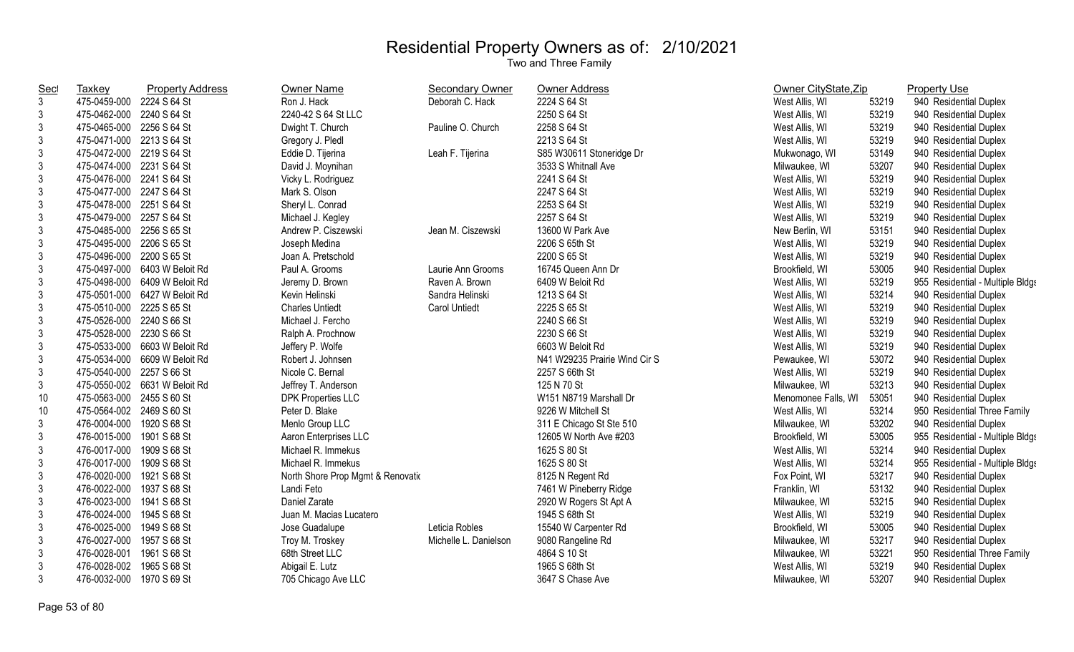| <b>Taxkey</b> | <b>Property Address</b> | Owner Name                                                                                                                                                                                                                                                                                                                                                                                                                                                                                                                                                                                                                                                                                                                                                                                                                                                                                                                                                                                                                                                              | <b>Secondary Owner</b> | Owner Address                 |                     |       | <b>Property Use</b>              |
|---------------|-------------------------|-------------------------------------------------------------------------------------------------------------------------------------------------------------------------------------------------------------------------------------------------------------------------------------------------------------------------------------------------------------------------------------------------------------------------------------------------------------------------------------------------------------------------------------------------------------------------------------------------------------------------------------------------------------------------------------------------------------------------------------------------------------------------------------------------------------------------------------------------------------------------------------------------------------------------------------------------------------------------------------------------------------------------------------------------------------------------|------------------------|-------------------------------|---------------------|-------|----------------------------------|
|               |                         | Ron J. Hack                                                                                                                                                                                                                                                                                                                                                                                                                                                                                                                                                                                                                                                                                                                                                                                                                                                                                                                                                                                                                                                             | Deborah C. Hack        | 2224 S 64 St                  | West Allis, WI      | 53219 | 940 Residential Duplex           |
|               |                         | 2240-42 S 64 St LLC                                                                                                                                                                                                                                                                                                                                                                                                                                                                                                                                                                                                                                                                                                                                                                                                                                                                                                                                                                                                                                                     |                        | 2250 S 64 St                  | West Allis, WI      | 53219 | 940 Residential Duplex           |
|               |                         | Dwight T. Church                                                                                                                                                                                                                                                                                                                                                                                                                                                                                                                                                                                                                                                                                                                                                                                                                                                                                                                                                                                                                                                        | Pauline O. Church      | 2258 S 64 St                  | West Allis, WI      | 53219 | 940 Residential Duplex           |
|               |                         | Gregory J. Pledl                                                                                                                                                                                                                                                                                                                                                                                                                                                                                                                                                                                                                                                                                                                                                                                                                                                                                                                                                                                                                                                        |                        | 2213 S 64 St                  | West Allis, WI      | 53219 | 940 Residential Duplex           |
|               |                         | Eddie D. Tijerina                                                                                                                                                                                                                                                                                                                                                                                                                                                                                                                                                                                                                                                                                                                                                                                                                                                                                                                                                                                                                                                       | Leah F. Tijerina       | S85 W30611 Stoneridge Dr      | Mukwonago, WI       | 53149 | 940 Residential Duplex           |
|               |                         | David J. Moynihan                                                                                                                                                                                                                                                                                                                                                                                                                                                                                                                                                                                                                                                                                                                                                                                                                                                                                                                                                                                                                                                       |                        | 3533 S Whitnall Ave           | Milwaukee, WI       | 53207 | 940 Residential Duplex           |
|               |                         | Vicky L. Rodriguez                                                                                                                                                                                                                                                                                                                                                                                                                                                                                                                                                                                                                                                                                                                                                                                                                                                                                                                                                                                                                                                      |                        | 2241 S 64 St                  | West Allis, WI      | 53219 | 940 Residential Duplex           |
|               |                         | Mark S. Olson                                                                                                                                                                                                                                                                                                                                                                                                                                                                                                                                                                                                                                                                                                                                                                                                                                                                                                                                                                                                                                                           |                        | 2247 S 64 St                  | West Allis, WI      | 53219 | 940 Residential Duplex           |
|               |                         | Sheryl L. Conrad                                                                                                                                                                                                                                                                                                                                                                                                                                                                                                                                                                                                                                                                                                                                                                                                                                                                                                                                                                                                                                                        |                        | 2253 S 64 St                  | West Allis, WI      | 53219 | 940 Residential Duplex           |
|               |                         | Michael J. Kegley                                                                                                                                                                                                                                                                                                                                                                                                                                                                                                                                                                                                                                                                                                                                                                                                                                                                                                                                                                                                                                                       |                        | 2257 S 64 St                  | West Allis, WI      | 53219 | 940 Residential Duplex           |
|               |                         | Andrew P. Ciszewski                                                                                                                                                                                                                                                                                                                                                                                                                                                                                                                                                                                                                                                                                                                                                                                                                                                                                                                                                                                                                                                     | Jean M. Ciszewski      | 13600 W Park Ave              | New Berlin, WI      | 53151 | 940 Residential Duplex           |
|               |                         | Joseph Medina                                                                                                                                                                                                                                                                                                                                                                                                                                                                                                                                                                                                                                                                                                                                                                                                                                                                                                                                                                                                                                                           |                        | 2206 S 65th St                | West Allis, WI      | 53219 | 940 Residential Duplex           |
|               |                         | Joan A. Pretschold                                                                                                                                                                                                                                                                                                                                                                                                                                                                                                                                                                                                                                                                                                                                                                                                                                                                                                                                                                                                                                                      |                        | 2200 S 65 St                  | West Allis, WI      | 53219 | 940 Residential Duplex           |
|               |                         | Paul A. Grooms                                                                                                                                                                                                                                                                                                                                                                                                                                                                                                                                                                                                                                                                                                                                                                                                                                                                                                                                                                                                                                                          | Laurie Ann Grooms      | 16745 Queen Ann Dr            | Brookfield, WI      | 53005 | 940 Residential Duplex           |
|               |                         | Jeremy D. Brown                                                                                                                                                                                                                                                                                                                                                                                                                                                                                                                                                                                                                                                                                                                                                                                                                                                                                                                                                                                                                                                         | Raven A. Brown         | 6409 W Beloit Rd              | West Allis, WI      | 53219 | 955 Residential - Multiple Bldgs |
|               |                         | Kevin Helinski                                                                                                                                                                                                                                                                                                                                                                                                                                                                                                                                                                                                                                                                                                                                                                                                                                                                                                                                                                                                                                                          | Sandra Helinski        | 1213 S 64 St                  | West Allis, WI      | 53214 | 940 Residential Duplex           |
|               |                         | <b>Charles Untiedt</b>                                                                                                                                                                                                                                                                                                                                                                                                                                                                                                                                                                                                                                                                                                                                                                                                                                                                                                                                                                                                                                                  | <b>Carol Untiedt</b>   | 2225 S 65 St                  | West Allis, WI      | 53219 | 940 Residential Duplex           |
|               |                         | Michael J. Fercho                                                                                                                                                                                                                                                                                                                                                                                                                                                                                                                                                                                                                                                                                                                                                                                                                                                                                                                                                                                                                                                       |                        | 2240 S 66 St                  | West Allis, WI      | 53219 | 940 Residential Duplex           |
|               |                         | Ralph A. Prochnow                                                                                                                                                                                                                                                                                                                                                                                                                                                                                                                                                                                                                                                                                                                                                                                                                                                                                                                                                                                                                                                       |                        | 2230 S 66 St                  | West Allis, WI      | 53219 | 940 Residential Duplex           |
|               |                         | Jeffery P. Wolfe                                                                                                                                                                                                                                                                                                                                                                                                                                                                                                                                                                                                                                                                                                                                                                                                                                                                                                                                                                                                                                                        |                        | 6603 W Beloit Rd              | West Allis, WI      | 53219 | 940 Residential Duplex           |
|               |                         | Robert J. Johnsen                                                                                                                                                                                                                                                                                                                                                                                                                                                                                                                                                                                                                                                                                                                                                                                                                                                                                                                                                                                                                                                       |                        | N41 W29235 Prairie Wind Cir S | Pewaukee, WI        | 53072 | 940 Residential Duplex           |
|               |                         | Nicole C. Bernal                                                                                                                                                                                                                                                                                                                                                                                                                                                                                                                                                                                                                                                                                                                                                                                                                                                                                                                                                                                                                                                        |                        | 2257 S 66th St                | West Allis, WI      | 53219 | 940 Residential Duplex           |
|               |                         | Jeffrey T. Anderson                                                                                                                                                                                                                                                                                                                                                                                                                                                                                                                                                                                                                                                                                                                                                                                                                                                                                                                                                                                                                                                     |                        | 125 N 70 St                   | Milwaukee, WI       | 53213 | 940 Residential Duplex           |
|               |                         | <b>DPK Properties LLC</b>                                                                                                                                                                                                                                                                                                                                                                                                                                                                                                                                                                                                                                                                                                                                                                                                                                                                                                                                                                                                                                               |                        | W151 N8719 Marshall Dr        | Menomonee Falls, WI | 53051 | 940 Residential Duplex           |
|               |                         | Peter D. Blake                                                                                                                                                                                                                                                                                                                                                                                                                                                                                                                                                                                                                                                                                                                                                                                                                                                                                                                                                                                                                                                          |                        | 9226 W Mitchell St            | West Allis, WI      | 53214 | 950 Residential Three Family     |
| 476-0004-000  |                         | Menlo Group LLC                                                                                                                                                                                                                                                                                                                                                                                                                                                                                                                                                                                                                                                                                                                                                                                                                                                                                                                                                                                                                                                         |                        | 311 E Chicago St Ste 510      | Milwaukee, WI       | 53202 | 940 Residential Duplex           |
|               |                         | Aaron Enterprises LLC                                                                                                                                                                                                                                                                                                                                                                                                                                                                                                                                                                                                                                                                                                                                                                                                                                                                                                                                                                                                                                                   |                        | 12605 W North Ave #203        | Brookfield, WI      | 53005 | 955 Residential - Multiple Bldgs |
|               |                         | Michael R. Immekus                                                                                                                                                                                                                                                                                                                                                                                                                                                                                                                                                                                                                                                                                                                                                                                                                                                                                                                                                                                                                                                      |                        | 1625 S 80 St                  | West Allis, WI      | 53214 | 940 Residential Duplex           |
|               |                         | Michael R. Immekus                                                                                                                                                                                                                                                                                                                                                                                                                                                                                                                                                                                                                                                                                                                                                                                                                                                                                                                                                                                                                                                      |                        | 1625 S 80 St                  | West Allis, WI      | 53214 | 955 Residential - Multiple Bldgs |
|               |                         | North Shore Prop Mgmt & Renovatio                                                                                                                                                                                                                                                                                                                                                                                                                                                                                                                                                                                                                                                                                                                                                                                                                                                                                                                                                                                                                                       |                        | 8125 N Regent Rd              | Fox Point, WI       | 53217 | 940 Residential Duplex           |
|               |                         | Landi Feto                                                                                                                                                                                                                                                                                                                                                                                                                                                                                                                                                                                                                                                                                                                                                                                                                                                                                                                                                                                                                                                              |                        | 7461 W Pineberry Ridge        | Franklin, WI        | 53132 | 940 Residential Duplex           |
| 476-0023-000  | 1941 S 68 St            | Daniel Zarate                                                                                                                                                                                                                                                                                                                                                                                                                                                                                                                                                                                                                                                                                                                                                                                                                                                                                                                                                                                                                                                           |                        | 2920 W Rogers St Apt A        | Milwaukee, WI       | 53215 | 940 Residential Duplex           |
| 476-0024-000  | 1945 S 68 St            | Juan M. Macias Lucatero                                                                                                                                                                                                                                                                                                                                                                                                                                                                                                                                                                                                                                                                                                                                                                                                                                                                                                                                                                                                                                                 |                        | 1945 S 68th St                | West Allis, WI      | 53219 | 940 Residential Duplex           |
|               |                         | Jose Guadalupe                                                                                                                                                                                                                                                                                                                                                                                                                                                                                                                                                                                                                                                                                                                                                                                                                                                                                                                                                                                                                                                          | Leticia Robles         | 15540 W Carpenter Rd          | Brookfield, WI      | 53005 | 940 Residential Duplex           |
| 476-0027-000  |                         | Troy M. Troskey                                                                                                                                                                                                                                                                                                                                                                                                                                                                                                                                                                                                                                                                                                                                                                                                                                                                                                                                                                                                                                                         | Michelle L. Danielson  | 9080 Rangeline Rd             | Milwaukee, WI       | 53217 | 940 Residential Duplex           |
| 476-0028-001  |                         | 68th Street LLC                                                                                                                                                                                                                                                                                                                                                                                                                                                                                                                                                                                                                                                                                                                                                                                                                                                                                                                                                                                                                                                         |                        | 4864 S 10 St                  | Milwaukee, WI       | 53221 | 950 Residential Three Family     |
|               |                         | Abigail E. Lutz                                                                                                                                                                                                                                                                                                                                                                                                                                                                                                                                                                                                                                                                                                                                                                                                                                                                                                                                                                                                                                                         |                        | 1965 S 68th St                | West Allis, WI      | 53219 | 940 Residential Duplex           |
|               |                         | 705 Chicago Ave LLC                                                                                                                                                                                                                                                                                                                                                                                                                                                                                                                                                                                                                                                                                                                                                                                                                                                                                                                                                                                                                                                     |                        | 3647 S Chase Ave              | Milwaukee, WI       | 53207 | 940 Residential Duplex           |
|               |                         | 475-0459-000 2224 S 64 St<br>475-0462-000 2240 S 64 St<br>475-0465-000 2256 S 64 St<br>475-0471-000 2213 S 64 St<br>475-0472-000 2219 S 64 St<br>475-0474-000 2231 S 64 St<br>475-0476-000 2241 S 64 St<br>475-0477-000 2247 S 64 St<br>475-0478-000 2251 S 64 St<br>475-0479-000 2257 S 64 St<br>475-0485-000 2256 S 65 St<br>475-0495-000<br>2206 S 65 St<br>475-0496-000 2200 S 65 St<br>475-0497-000 6403 W Beloit Rd<br>475-0498-000 6409 W Beloit Rd<br>475-0501-000 6427 W Beloit Rd<br>475-0510-000 2225 S 65 St<br>475-0526-000 2240 S 66 St<br>475-0528-000 2230 S 66 St<br>475-0533-000 6603 W Beloit Rd<br>475-0534-000 6609 W Beloit Rd<br>475-0540-000 2257 S 66 St<br>475-0550-002 6631 W Beloit Rd<br>475-0563-000 2455 S 60 St<br>475-0564-002 2469 S 60 St<br>1920 S 68 St<br>476-0015-000 1901 S 68 St<br>476-0017-000 1909 S 68 St<br>476-0017-000 1909 S 68 St<br>476-0020-000 1921 S 68 St<br>476-0022-000 1937 S 68 St<br>476-0025-000<br>1949 S 68 St<br>1957 S 68 St<br>1961 S 68 St<br>476-0028-002 1965 S 68 St<br>476-0032-000 1970 S 69 St |                        |                               |                     |       | Owner CityState, Zip             |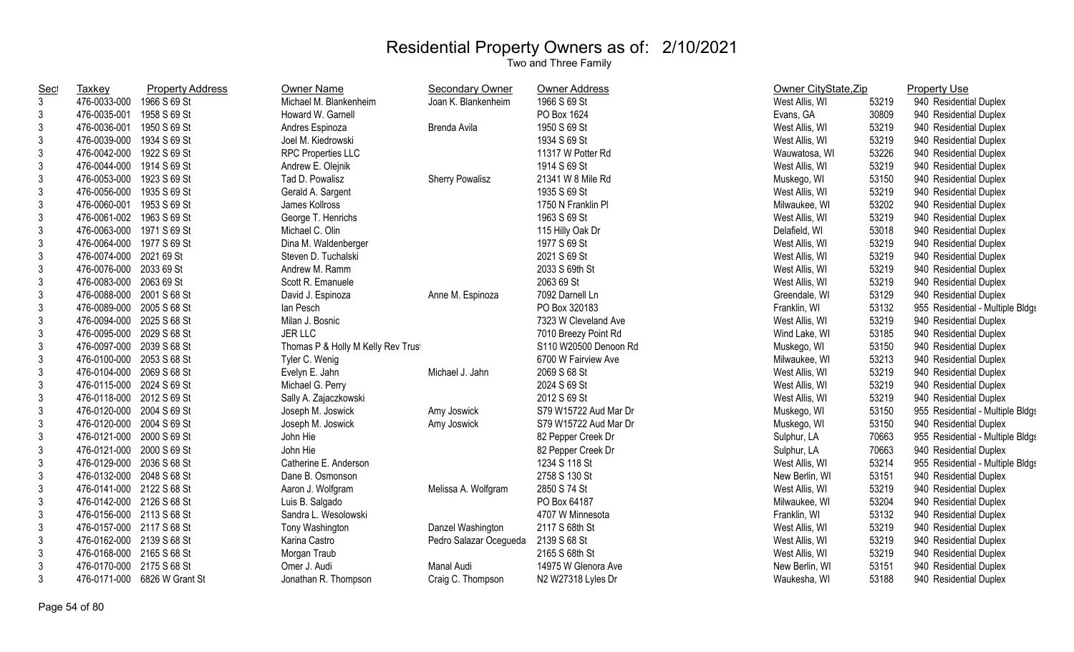| <b>Sec</b>     | Taxkey                    | <b>Property Address</b>      | <b>Owner Name</b>                 | Secondary Owner        | <b>Owner Address</b>  | Owner CityState, Zip |       | <b>Property Use</b>              |
|----------------|---------------------------|------------------------------|-----------------------------------|------------------------|-----------------------|----------------------|-------|----------------------------------|
| 3              | 476-0033-000              | 1966 S 69 St                 | Michael M. Blankenheim            | Joan K. Blankenheim    | 1966 S 69 St          | West Allis, WI       | 53219 | 940 Residential Duplex           |
| 3              | 476-0035-001              | 1958 S 69 St                 | Howard W. Garnell                 |                        | PO Box 1624           | Evans, GA            | 30809 | 940 Residential Duplex           |
| 3              | 476-0036-001              | 1950 S 69 St                 | Andres Espinoza                   | Brenda Avila           | 1950 S 69 St          | West Allis, WI       | 53219 | 940 Residential Duplex           |
| 3              | 476-0039-000              | 1934 S 69 St                 | Joel M. Kiedrowski                |                        | 1934 S 69 St          | West Allis, WI       | 53219 | 940 Residential Duplex           |
| 3              | 476-0042-000 1922 S 69 St |                              | <b>RPC Properties LLC</b>         |                        | 11317 W Potter Rd     | Wauwatosa, WI        | 53226 | 940 Residential Duplex           |
| 3              | 476-0044-000 1914 S 69 St |                              | Andrew E. Olejnik                 |                        | 1914 S 69 St          | West Allis, WI       | 53219 | 940 Residential Duplex           |
| 3              | 476-0053-000 1923 S 69 St |                              | Tad D. Powalisz                   | <b>Sherry Powalisz</b> | 21341 W 8 Mile Rd     | Muskego, WI          | 53150 | 940 Residential Duplex           |
| 3              | 476-0056-000              | 1935 S 69 St                 | Gerald A. Sargent                 |                        | 1935 S 69 St          | West Allis, WI       | 53219 | 940 Residential Duplex           |
| 3              | 476-0060-001              | 1953 S 69 St                 | James Kollross                    |                        | 1750 N Franklin Pl    | Milwaukee, WI        | 53202 | 940 Residential Duplex           |
| $\mathbf{3}$   | 476-0061-002 1963 S 69 St |                              | George T. Henrichs                |                        | 1963 S 69 St          | West Allis, WI       | 53219 | 940 Residential Duplex           |
| $\mathfrak{Z}$ | 476-0063-000 1971 S 69 St |                              | Michael C. Olin                   |                        | 115 Hilly Oak Dr      | Delafield, WI        | 53018 | 940 Residential Duplex           |
| 3              | 476-0064-000 1977 S 69 St |                              | Dina M. Waldenberger              |                        | 1977 S 69 St          | West Allis, WI       | 53219 | 940 Residential Duplex           |
| 3              | 476-0074-000              | 2021 69 St                   | Steven D. Tuchalski               |                        | 2021 S 69 St          | West Allis, WI       | 53219 | 940 Residential Duplex           |
| 3              | 476-0076-000 2033 69 St   |                              | Andrew M. Ramm                    |                        | 2033 S 69th St        | West Allis, WI       | 53219 | 940 Residential Duplex           |
| 3              | 476-0083-000 2063 69 St   |                              | Scott R. Emanuele                 |                        | 2063 69 St            | West Allis, WI       | 53219 | 940 Residential Duplex           |
| 3              | 476-0088-000 2001 S 68 St |                              | David J. Espinoza                 | Anne M. Espinoza       | 7092 Darnell Ln       | Greendale, WI        | 53129 | 940 Residential Duplex           |
| $\mathfrak{Z}$ | 476-0089-000 2005 S 68 St |                              | lan Pesch                         |                        | PO Box 320183         | Franklin, WI         | 53132 | 955 Residential - Multiple Bldgs |
| 3              | 476-0094-000              | 2025 S 68 St                 | Milan J. Bosnic                   |                        | 7323 W Cleveland Ave  | West Allis, WI       | 53219 | 940 Residential Duplex           |
| 3              | 476-0095-000 2029 S 68 St |                              | <b>JER LLC</b>                    |                        | 7010 Breezy Point Rd  | Wind Lake, WI        | 53185 | 940 Residential Duplex           |
| $\mathfrak{Z}$ | 476-0097-000 2039 S 68 St |                              | Thomas P & Holly M Kelly Rev Trus |                        | S110 W20500 Denoon Rd | Muskego, WI          | 53150 | 940 Residential Duplex           |
| $\mathfrak{S}$ | 476-0100-000 2053 S 68 St |                              | Tyler C. Wenig                    |                        | 6700 W Fairview Ave   | Milwaukee, WI        | 53213 | 940 Residential Duplex           |
| $\mathfrak{Z}$ | 476-0104-000 2069 S 68 St |                              | Evelyn E. Jahn                    | Michael J. Jahn        | 2069 S 68 St          | West Allis, WI       | 53219 | 940 Residential Duplex           |
| 3              | 476-0115-000 2024 S 69 St |                              | Michael G. Perry                  |                        | 2024 S 69 St          | West Allis, WI       | 53219 | 940 Residential Duplex           |
| $\mathsf 3$    | 476-0118-000 2012 S 69 St |                              | Sally A. Zajaczkowski             |                        | 2012 S 69 St          | West Allis, WI       | 53219 | 940 Residential Duplex           |
| $\mathfrak{Z}$ | 476-0120-000 2004 S 69 St |                              | Joseph M. Joswick                 | Amy Joswick            | S79 W15722 Aud Mar Dr | Muskego, WI          | 53150 | 955 Residential - Multiple Bldgs |
| 3              | 476-0120-000 2004 S 69 St |                              | Joseph M. Joswick                 | Amy Joswick            | S79 W15722 Aud Mar Dr | Muskego, WI          | 53150 | 940 Residential Duplex           |
| 3              | 476-0121-000 2000 S 69 St |                              | John Hie                          |                        | 82 Pepper Creek Dr    | Sulphur, LA          | 70663 | 955 Residential - Multiple Bldgs |
| 3              | 476-0121-000 2000 S 69 St |                              | John Hie                          |                        | 82 Pepper Creek Dr    | Sulphur, LA          | 70663 | 940 Residential Duplex           |
| 3              | 476-0129-000 2036 S 68 St |                              | Catherine E. Anderson             |                        | 1234 S 118 St         | West Allis, WI       | 53214 | 955 Residential - Multiple Bldgs |
| $\mathfrak{Z}$ | 476-0132-000 2048 S 68 St |                              | Dane B. Osmonson                  |                        | 2758 S 130 St         | New Berlin, WI       | 53151 | 940 Residential Duplex           |
| 3              | 476-0141-000 2122 S 68 St |                              | Aaron J. Wolfgram                 | Melissa A. Wolfgram    | 2850 S 74 St          | West Allis, WI       | 53219 | 940 Residential Duplex           |
| 3              | 476-0142-000 2126 S 68 St |                              | Luis B. Salgado                   |                        | PO Box 64187          | Milwaukee, WI        | 53204 | 940 Residential Duplex           |
| 3              | 476-0156-000 2113 S 68 St |                              | Sandra L. Wesolowski              |                        | 4707 W Minnesota      | Franklin, WI         | 53132 | 940 Residential Duplex           |
| 3              | 476-0157-000 2117 S 68 St |                              | Tony Washington                   | Danzel Washington      | 2117 S 68th St        | West Allis, WI       | 53219 | 940 Residential Duplex           |
| 3              | 476-0162-000 2139 S 68 St |                              | Karina Castro                     | Pedro Salazar Ocegueda | 2139 S 68 St          | West Allis, WI       | 53219 | 940 Residential Duplex           |
| 3              | 476-0168-000 2165 S 68 St |                              | Morgan Traub                      |                        | 2165 S 68th St        | West Allis, WI       | 53219 | 940 Residential Duplex           |
| 3              | 476-0170-000 2175 S 68 St |                              | Omer J. Audi                      | <b>Manal Audi</b>      | 14975 W Glenora Ave   | New Berlin, WI       | 53151 | 940 Residential Duplex           |
| $\mathfrak{Z}$ |                           | 476-0171-000 6826 W Grant St | Jonathan R. Thompson              | Craig C. Thompson      | N2 W27318 Lyles Dr    | Waukesha, WI         | 53188 | 940 Residential Duplex           |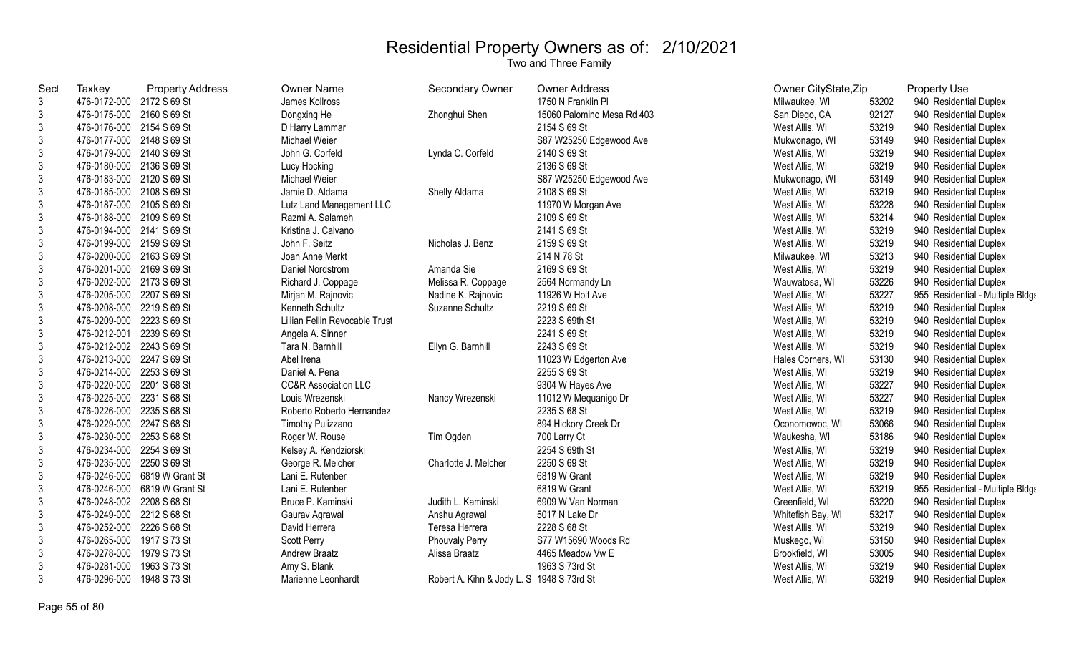| <b>Sec</b>     | Taxkey                    | <b>Property Address</b>      | Owner Name                      | <b>Secondary Owner</b>                    | Owner Address              | Owner CityState, Zip |       | <b>Property Use</b>              |
|----------------|---------------------------|------------------------------|---------------------------------|-------------------------------------------|----------------------------|----------------------|-------|----------------------------------|
| $\mathfrak{Z}$ | 476-0172-000 2172 S 69 St |                              | James Kollross                  |                                           | 1750 N Franklin PI         | Milwaukee, WI        | 53202 | 940 Residential Duplex           |
| 3              | 476-0175-000 2160 S 69 St |                              | Dongxing He                     | Zhonghui Shen                             | 15060 Palomino Mesa Rd 403 | San Diego, CA        | 92127 | 940 Residential Duplex           |
| $\mathfrak{Z}$ | 476-0176-000 2154 S 69 St |                              | D Harry Lammar                  |                                           | 2154 S 69 St               | West Allis, WI       | 53219 | 940 Residential Duplex           |
| 3              | 476-0177-000 2148 S 69 St |                              | Michael Weier                   |                                           | S87 W25250 Edgewood Ave    | Mukwonago, WI        | 53149 | 940 Residential Duplex           |
| 3              | 476-0179-000 2140 S 69 St |                              | John G. Corfeld                 | Lynda C. Corfeld                          | 2140 S 69 St               | West Allis, WI       | 53219 | 940 Residential Duplex           |
| 3              | 476-0180-000 2136 S 69 St |                              | Lucy Hocking                    |                                           | 2136 S 69 St               | West Allis, WI       | 53219 | 940 Residential Duplex           |
| 3              | 476-0183-000 2120 S 69 St |                              | Michael Weier                   |                                           | S87 W25250 Edgewood Ave    | Mukwonago, WI        | 53149 | 940 Residential Duplex           |
| $\mathfrak{Z}$ | 476-0185-000 2108 S 69 St |                              | Jamie D. Aldama                 | Shelly Aldama                             | 2108 S 69 St               | West Allis, WI       | 53219 | 940 Residential Duplex           |
| $\mathfrak{Z}$ | 476-0187-000 2105 S 69 St |                              | Lutz Land Management LLC        |                                           | 11970 W Morgan Ave         | West Allis, WI       | 53228 | 940 Residential Duplex           |
| $\mathfrak{Z}$ | 476-0188-000 2109 S 69 St |                              | Razmi A. Salameh                |                                           | 2109 S 69 St               | West Allis, WI       | 53214 | 940 Residential Duplex           |
| 3              | 476-0194-000 2141 S 69 St |                              | Kristina J. Calvano             |                                           | 2141 S 69 St               | West Allis, WI       | 53219 | 940 Residential Duplex           |
| 3              | 476-0199-000 2159 S 69 St |                              | John F. Seitz                   | Nicholas J. Benz                          | 2159 S 69 St               | West Allis, WI       | 53219 | 940 Residential Duplex           |
| 3              | 476-0200-000 2163 S 69 St |                              | Joan Anne Merkt                 |                                           | 214 N 78 St                | Milwaukee, WI        | 53213 | 940 Residential Duplex           |
| 3              | 476-0201-000 2169 S 69 St |                              | Daniel Nordstrom                | Amanda Sie                                | 2169 S 69 St               | West Allis, WI       | 53219 | 940 Residential Duplex           |
| 3              | 476-0202-000 2173 S 69 St |                              | Richard J. Coppage              | Melissa R. Coppage                        | 2564 Normandy Ln           | Wauwatosa, WI        | 53226 | 940 Residential Duplex           |
| 3              | 476-0205-000 2207 S 69 St |                              | Mirjan M. Rajnovic              | Nadine K. Rajnovic                        | 11926 W Holt Ave           | West Allis, WI       | 53227 | 955 Residential - Multiple Bldgs |
| 3              | 476-0208-000 2219 S 69 St |                              | Kenneth Schultz                 | Suzanne Schultz                           | 2219 S 69 St               | West Allis, WI       | 53219 | 940 Residential Duplex           |
| 3              | 476-0209-000 2223 S 69 St |                              | Lillian Fellin Revocable Trust  |                                           | 2223 S 69th St             | West Allis, WI       | 53219 | 940 Residential Duplex           |
| 3              | 476-0212-001 2239 S 69 St |                              | Angela A. Sinner                |                                           | 2241 S 69 St               | West Allis, WI       | 53219 | 940 Residential Duplex           |
| $\mathfrak{Z}$ | 476-0212-002 2243 S 69 St |                              | Tara N. Barnhill                | Ellyn G. Barnhill                         | 2243 S 69 St               | West Allis, WI       | 53219 | 940 Residential Duplex           |
| $\mathfrak{Z}$ | 476-0213-000 2247 S 69 St |                              | Abel Irena                      |                                           | 11023 W Edgerton Ave       | Hales Corners, WI    | 53130 | 940 Residential Duplex           |
| $\mathbf{3}$   | 476-0214-000 2253 S 69 St |                              | Daniel A. Pena                  |                                           | 2255 S 69 St               | West Allis, WI       | 53219 | 940 Residential Duplex           |
| 3              | 476-0220-000 2201 S 68 St |                              | <b>CC&amp;R Association LLC</b> |                                           | 9304 W Hayes Ave           | West Allis, WI       | 53227 | 940 Residential Duplex           |
| 3              | 476-0225-000 2231 S 68 St |                              | Louis Wrezenski                 | Nancy Wrezenski                           | 11012 W Mequanigo Dr       | West Allis, WI       | 53227 | 940 Residential Duplex           |
| 3              | 476-0226-000 2235 S 68 St |                              | Roberto Roberto Hernandez       |                                           | 2235 S 68 St               | West Allis, WI       | 53219 | 940 Residential Duplex           |
| 3              | 476-0229-000 2247 S 68 St |                              | Timothy Pulizzano               |                                           | 894 Hickory Creek Dr       | Oconomowoc, WI       | 53066 | 940 Residential Duplex           |
| 3              | 476-0230-000 2253 S 68 St |                              | Roger W. Rouse                  | Tim Ogden                                 | 700 Larry Ct               | Waukesha, WI         | 53186 | 940 Residential Duplex           |
| 3              | 476-0234-000 2254 S 69 St |                              | Kelsey A. Kendziorski           |                                           | 2254 S 69th St             | West Allis, WI       | 53219 | 940 Residential Duplex           |
| 3              | 476-0235-000 2250 S 69 St |                              | George R. Melcher               | Charlotte J. Melcher                      | 2250 S 69 St               | West Allis, WI       | 53219 | 940 Residential Duplex           |
| 3              |                           | 476-0246-000 6819 W Grant St | Lani E. Rutenber                |                                           | 6819 W Grant               | West Allis, WI       | 53219 | 940 Residential Duplex           |
| 3              | 476-0246-000              | 6819 W Grant St              | Lani E. Rutenber                |                                           | 6819 W Grant               | West Allis, WI       | 53219 | 955 Residential - Multiple Bldgs |
| $\mathbf{3}$   | 476-0248-002 2208 S 68 St |                              | Bruce P. Kaminski               | Judith L. Kaminski                        | 6909 W Van Norman          | Greenfield, WI       | 53220 | 940 Residential Duplex           |
| $\mathfrak{Z}$ | 476-0249-000 2212 S 68 St |                              | Gaurav Agrawal                  | Anshu Agrawal                             | 5017 N Lake Dr             | Whitefish Bay, WI    | 53217 | 940 Residential Duplex           |
| $\mathfrak{Z}$ | 476-0252-000 2226 S 68 St |                              | David Herrera                   | Teresa Herrera                            | 2228 S 68 St               | West Allis, WI       | 53219 | 940 Residential Duplex           |
| 3              | 476-0265-000 1917 S 73 St |                              | Scott Perry                     | Phouvaly Perry                            | S77 W15690 Woods Rd        | Muskego, WI          | 53150 | 940 Residential Duplex           |
| 3              | 476-0278-000 1979 S 73 St |                              | <b>Andrew Braatz</b>            | Alissa Braatz                             | 4465 Meadow Vw E           | Brookfield, WI       | 53005 | 940 Residential Duplex           |
| 3              | 476-0281-000              | 1963 S 73 St                 | Amy S. Blank                    |                                           | 1963 S 73rd St             | West Allis, WI       | 53219 | 940 Residential Duplex           |
| 3              | 476-0296-000 1948 S 73 St |                              | Marienne Leonhardt              | Robert A. Kihn & Jody L. S 1948 S 73rd St |                            | West Allis, WI       | 53219 | 940 Residential Duplex           |
|                |                           |                              |                                 |                                           |                            |                      |       |                                  |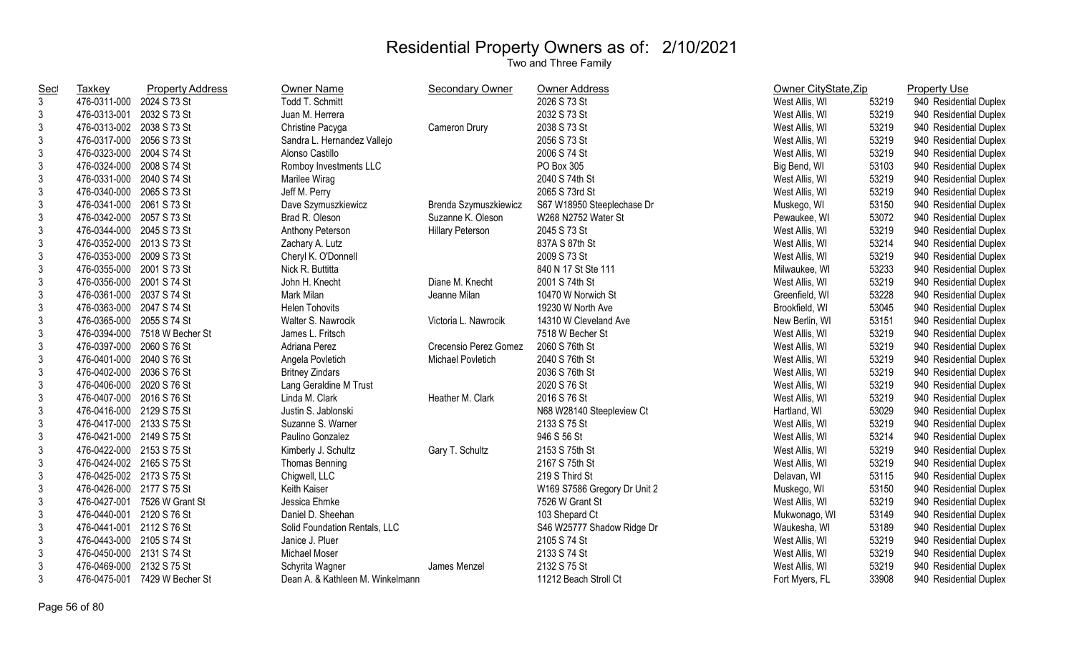| <b>Sec</b>     | <b>Taxkey</b>             | <b>Property Address</b>       | Owner Name                       | <b>Secondary Owner</b>  | Owner Address                | Owner CityState, Zip |       | <b>Property Use</b>    |
|----------------|---------------------------|-------------------------------|----------------------------------|-------------------------|------------------------------|----------------------|-------|------------------------|
| $\mathbf{3}$   | 476-0311-000 2024 S 73 St |                               | Todd T. Schmitt                  |                         | 2026 S 73 St                 | West Allis, WI       | 53219 | 940 Residential Duplex |
| 3              | 476-0313-001 2032 S 73 St |                               | Juan M. Herrera                  |                         | 2032 S 73 St                 | West Allis, WI       | 53219 | 940 Residential Duplex |
| 3              | 476-0313-002 2038 S 73 St |                               | Christine Pacyga                 | Cameron Drury           | 2038 S 73 St                 | West Allis, WI       | 53219 | 940 Residential Duplex |
| 3              | 476-0317-000 2056 S 73 St |                               | Sandra L. Hernandez Vallejo      |                         | 2056 S 73 St                 | West Allis, WI       | 53219 | 940 Residential Duplex |
| $\mathfrak{Z}$ | 476-0323-000 2004 S 74 St |                               | Alonso Castillo                  |                         | 2006 S 74 St                 | West Allis, WI       | 53219 | 940 Residential Duplex |
| 3              | 476-0324-000 2008 S 74 St |                               | Romboy Investments LLC           |                         | PO Box 305                   | Big Bend, WI         | 53103 | 940 Residential Duplex |
| 3              | 476-0331-000 2040 S 74 St |                               | Marilee Wirag                    |                         | 2040 S 74th St               | West Allis, WI       | 53219 | 940 Residential Duplex |
| 3              | 476-0340-000 2065 S 73 St |                               | Jeff M. Perry                    |                         | 2065 S 73rd St               | West Allis, WI       | 53219 | 940 Residential Duplex |
| $\mathfrak{Z}$ | 476-0341-000 2061 S 73 St |                               | Dave Szymuszkiewicz              | Brenda Szymuszkiewicz   | S67 W18950 Steeplechase Dr   | Muskego, WI          | 53150 | 940 Residential Duplex |
| 3              | 476-0342-000 2057 S 73 St |                               | Brad R. Oleson                   | Suzanne K. Oleson       | W268 N2752 Water St          | Pewaukee, WI         | 53072 | 940 Residential Duplex |
| 3              | 476-0344-000 2045 S 73 St |                               | Anthony Peterson                 | <b>Hillary Peterson</b> | 2045 S 73 St                 | West Allis, WI       | 53219 | 940 Residential Duplex |
| 3              | 476-0352-000 2013 S 73 St |                               | Zachary A. Lutz                  |                         | 837A S 87th St               | West Allis, WI       | 53214 | 940 Residential Duplex |
| 3              | 476-0353-000 2009 S 73 St |                               | Cheryl K. O'Donnell              |                         | 2009 S 73 St                 | West Allis, WI       | 53219 | 940 Residential Duplex |
| 3              | 476-0355-000 2001 S 73 St |                               | Nick R. Buttitta                 |                         | 840 N 17 St Ste 111          | Milwaukee, WI        | 53233 | 940 Residential Duplex |
| 3              | 476-0356-000 2001 S 74 St |                               | John H. Knecht                   | Diane M. Knecht         | 2001 S 74th St               | West Allis, WI       | 53219 | 940 Residential Duplex |
| 3              | 476-0361-000 2037 S 74 St |                               | Mark Milan                       | Jeanne Milan            | 10470 W Norwich St           | Greenfield, WI       | 53228 | 940 Residential Duplex |
| $\sqrt{3}$     | 476-0363-000 2047 S 74 St |                               | <b>Helen Tohovits</b>            |                         | 19230 W North Ave            | Brookfield, WI       | 53045 | 940 Residential Duplex |
| $\mathfrak{Z}$ | 476-0365-000 2055 S 74 St |                               | Walter S. Nawrocik               | Victoria L. Nawrocik    | 14310 W Cleveland Ave        | New Berlin, WI       | 53151 | 940 Residential Duplex |
| 3              |                           | 476-0394-000 7518 W Becher St | James L. Fritsch                 |                         | 7518 W Becher St             | West Allis, WI       | 53219 | 940 Residential Duplex |
| $\mathfrak{Z}$ | 476-0397-000 2060 S 76 St |                               | Adriana Perez                    | Crecensio Perez Gomez   | 2060 S 76th St               | West Allis, WI       | 53219 | 940 Residential Duplex |
| $\mathfrak{Z}$ | 476-0401-000 2040 S 76 St |                               | Angela Povletich                 | Michael Povletich       | 2040 S 76th St               | West Allis, WI       | 53219 | 940 Residential Duplex |
| $\mathfrak{Z}$ | 476-0402-000 2036 S 76 St |                               | <b>Britney Zindars</b>           |                         | 2036 S 76th St               | West Allis, WI       | 53219 | 940 Residential Duplex |
| 3              | 476-0406-000 2020 S 76 St |                               | Lang Geraldine M Trust           |                         | 2020 S 76 St                 | West Allis, WI       | 53219 | 940 Residential Duplex |
| 3              | 476-0407-000 2016 S 76 St |                               | Linda M. Clark                   | Heather M. Clark        | 2016 S 76 St                 | West Allis, WI       | 53219 | 940 Residential Duplex |
| 3              | 476-0416-000 2129 S 75 St |                               | Justin S. Jablonski              |                         | N68 W28140 Steepleview Ct    | Hartland, WI         | 53029 | 940 Residential Duplex |
| 3              | 476-0417-000 2133 S 75 St |                               | Suzanne S. Warner                |                         | 2133 S 75 St                 | West Allis, WI       | 53219 | 940 Residential Duplex |
| 3              | 476-0421-000 2149 S 75 St |                               | Paulino Gonzalez                 |                         | 946 S 56 St                  | West Allis, WI       | 53214 | 940 Residential Duplex |
| 3              | 476-0422-000 2153 S 75 St |                               | Kimberly J. Schultz              | Gary T. Schultz         | 2153 S 75th St               | West Allis, WI       | 53219 | 940 Residential Duplex |
| $\mathfrak{Z}$ | 476-0424-002 2165 S 75 St |                               | Thomas Benning                   |                         | 2167 S 75th St               | West Allis, WI       | 53219 | 940 Residential Duplex |
| $\sqrt{3}$     | 476-0425-002 2173 S 75 St |                               | Chigwell, LLC                    |                         | 219 S Third St               | Delavan, WI          | 53115 | 940 Residential Duplex |
| 3              | 476-0426-000 2177 S 75 St |                               | Keith Kaiser                     |                         | W169 S7586 Gregory Dr Unit 2 | Muskego, WI          | 53150 | 940 Residential Duplex |
| 3              |                           | 476-0427-001 7526 W Grant St  | Jessica Ehmke                    |                         | 7526 W Grant St              | West Allis, WI       | 53219 | 940 Residential Duplex |
| 3              | 476-0440-001 2120 S 76 St |                               | Daniel D. Sheehan                |                         | 103 Shepard Ct               | Mukwonago, WI        | 53149 | 940 Residential Duplex |
| $\mathfrak{Z}$ | 476-0441-001 2112 S 76 St |                               | Solid Foundation Rentals, LLC    |                         | S46 W25777 Shadow Ridge Dr   | Waukesha, WI         | 53189 | 940 Residential Duplex |
| 3              | 476-0443-000 2105 S 74 St |                               | Janice J. Pluer                  |                         | 2105 S 74 St                 | West Allis, WI       | 53219 | 940 Residential Duplex |
| 3              | 476-0450-000 2131 S 74 St |                               | Michael Moser                    |                         | 2133 S 74 St                 | West Allis, WI       | 53219 | 940 Residential Duplex |
| 3              | 476-0469-000 2132 S 75 St |                               | Schyrita Wagner                  | James Menzel            | 2132 S 75 St                 | West Allis, WI       | 53219 | 940 Residential Duplex |
| 3              |                           | 476-0475-001 7429 W Becher St | Dean A. & Kathleen M. Winkelmann |                         | 11212 Beach Stroll Ct        | Fort Myers, FL       | 33908 | 940 Residential Duplex |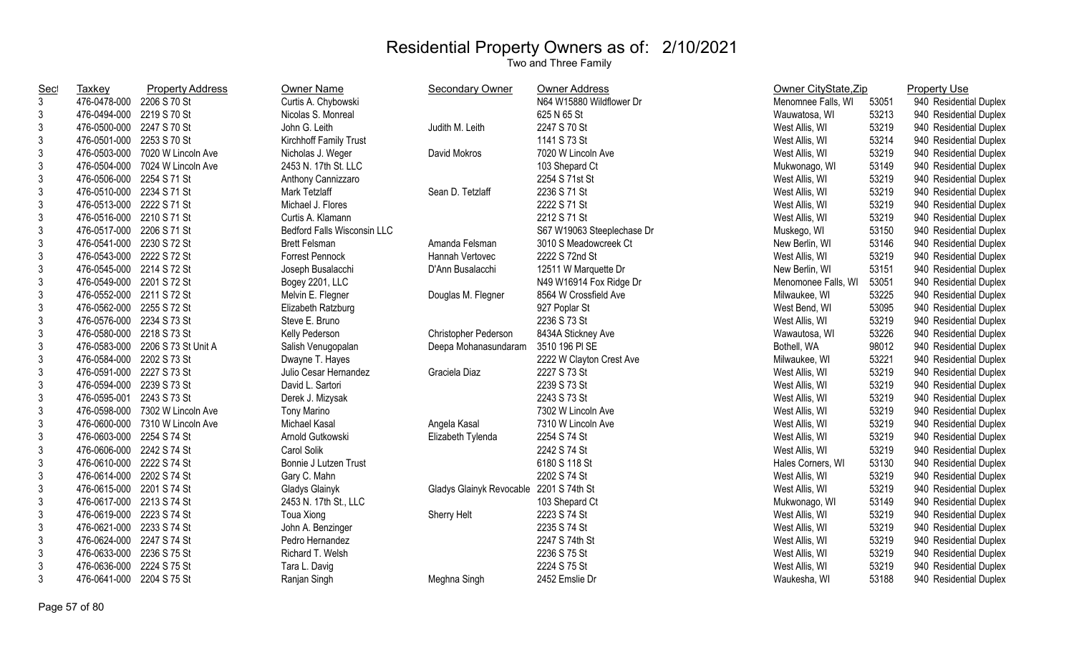| <b>Sec</b>     | Taxkey                    | <b>Property Address</b>          | Owner Name                  | <b>Secondary Owner</b>                  | Owner Address              | Owner CityState, Zip |       | <b>Property Use</b>    |
|----------------|---------------------------|----------------------------------|-----------------------------|-----------------------------------------|----------------------------|----------------------|-------|------------------------|
| $\mathbf{3}$   | 476-0478-000              | 2206 S 70 St                     | Curtis A. Chybowski         |                                         | N64 W15880 Wildflower Dr   | Menomnee Falls, WI   | 53051 | 940 Residential Duplex |
| $\mathbf{3}$   | 476-0494-000 2219 S 70 St |                                  | Nicolas S. Monreal          |                                         | 625 N 65 St                | Wauwatosa, WI        | 53213 | 940 Residential Duplex |
| $\mathbf{3}$   | 476-0500-000 2247 S 70 St |                                  | John G. Leith               | Judith M. Leith                         | 2247 S 70 St               | West Allis, WI       | 53219 | 940 Residential Duplex |
| $\mathbf{3}$   | 476-0501-000 2253 S 70 St |                                  | Kirchhoff Family Trust      |                                         | 1141 S 73 St               | West Allis, WI       | 53214 | 940 Residential Duplex |
| $\mathbf{3}$   | 476-0503-000              | 7020 W Lincoln Ave               | Nicholas J. Weger           | David Mokros                            | 7020 W Lincoln Ave         | West Allis, WI       | 53219 | 940 Residential Duplex |
| $\mathbf{3}$   | 476-0504-000              | 7024 W Lincoln Ave               | 2453 N. 17th St. LLC        |                                         | 103 Shepard Ct             | Mukwonago, WI        | 53149 | 940 Residential Duplex |
| $\mathfrak{3}$ | 476-0506-000              | 2254 S 71 St                     | Anthony Cannizzaro          |                                         | 2254 S 71st St             | West Allis, WI       | 53219 | 940 Residential Duplex |
| $\mathfrak{3}$ | 476-0510-000 2234 S 71 St |                                  | Mark Tetzlaff               | Sean D. Tetzlaff                        | 2236 S 71 St               | West Allis, WI       | 53219 | 940 Residential Duplex |
| $\mathfrak{Z}$ | 476-0513-000 2222 S 71 St |                                  | Michael J. Flores           |                                         | 2222 S 71 St               | West Allis, WI       | 53219 | 940 Residential Duplex |
| $\mathfrak{3}$ | 476-0516-000 2210 S 71 St |                                  | Curtis A. Klamann           |                                         | 2212 S 71 St               | West Allis, WI       | 53219 | 940 Residential Duplex |
| $\mathbf{3}$   | 476-0517-000 2206 S 71 St |                                  | Bedford Falls Wisconsin LLC |                                         | S67 W19063 Steeplechase Dr | Muskego, WI          | 53150 | 940 Residential Duplex |
| $\mathfrak{3}$ | 476-0541-000 2230 S 72 St |                                  | <b>Brett Felsman</b>        | Amanda Felsman                          | 3010 S Meadowcreek Ct      | New Berlin, WI       | 53146 | 940 Residential Duplex |
| 3              | 476-0543-000 2222 S 72 St |                                  | Forrest Pennock             | Hannah Vertovec                         | 2222 S 72nd St             | West Allis, WI       | 53219 | 940 Residential Duplex |
| $\mathbf{3}$   | 476-0545-000 2214 S 72 St |                                  | Joseph Busalacchi           | D'Ann Busalacchi                        | 12511 W Marquette Dr       | New Berlin, WI       | 53151 | 940 Residential Duplex |
| $\mathbf{3}$   | 476-0549-000 2201 S 72 St |                                  | Bogey 2201, LLC             |                                         | N49 W16914 Fox Ridge Dr    | Menomonee Falls, WI  | 53051 | 940 Residential Duplex |
| $\mathbf{3}$   | 476-0552-000 2211 S 72 St |                                  | Melvin E. Flegner           | Douglas M. Flegner                      | 8564 W Crossfield Ave      | Milwaukee, WI        | 53225 | 940 Residential Duplex |
| $\mathfrak{3}$ | 476-0562-000 2255 S 72 St |                                  | Elizabeth Ratzburg          |                                         | 927 Poplar St              | West Bend, WI        | 53095 | 940 Residential Duplex |
| $\mathbf{3}$   | 476-0576-000 2234 S 73 St |                                  | Steve E. Bruno              |                                         | 2236 S 73 St               | West Allis, WI       | 53219 | 940 Residential Duplex |
| $\mathbf{3}$   | 476-0580-000 2218 S 73 St |                                  | Kelly Pederson              | Christopher Pederson                    | 8434A Stickney Ave         | Wawautosa, WI        | 53226 | 940 Residential Duplex |
| $\mathbf{3}$   |                           | 476-0583-000 2206 S 73 St Unit A | Salish Venugopalan          | Deepa Mohanasundaram                    | 3510 196 PI SE             | Bothell, WA          | 98012 | 940 Residential Duplex |
| $\mathbf{3}$   | 476-0584-000 2202 S 73 St |                                  | Dwayne T. Hayes             |                                         | 2222 W Clayton Crest Ave   | Milwaukee, WI        | 53221 | 940 Residential Duplex |
| $\mathfrak{Z}$ | 476-0591-000 2227 S 73 St |                                  | Julio Cesar Hernandez       | Graciela Diaz                           | 2227 S 73 St               | West Allis, WI       | 53219 | 940 Residential Duplex |
| $\mathbf{3}$   | 476-0594-000 2239 S 73 St |                                  | David L. Sartori            |                                         | 2239 S 73 St               | West Allis, WI       | 53219 | 940 Residential Duplex |
| $\mathbf{3}$   | 476-0595-001              | 2243 S 73 St                     | Derek J. Mizysak            |                                         | 2243 S 73 St               | West Allis, WI       | 53219 | 940 Residential Duplex |
| $\mathbf{3}$   |                           | 476-0598-000 7302 W Lincoln Ave  | <b>Tony Marino</b>          |                                         | 7302 W Lincoln Ave         | West Allis, WI       | 53219 | 940 Residential Duplex |
| $\mathbf{3}$   |                           | 476-0600-000 7310 W Lincoln Ave  | Michael Kasal               | Angela Kasal                            | 7310 W Lincoln Ave         | West Allis, WI       | 53219 | 940 Residential Duplex |
| $\mathbf{3}$   | 476-0603-000 2254 S 74 St |                                  | Arnold Gutkowski            | Elizabeth Tylenda                       | 2254 S 74 St               | West Allis, WI       | 53219 | 940 Residential Duplex |
| $\mathbf{3}$   | 476-0606-000 2242 S 74 St |                                  | Carol Solik                 |                                         | 2242 S 74 St               | West Allis, WI       | 53219 | 940 Residential Duplex |
| $\mathbf{3}$   | 476-0610-000 2222 S 74 St |                                  | Bonnie J Lutzen Trust       |                                         | 6180 S 118 St              | Hales Corners, WI    | 53130 | 940 Residential Duplex |
| $\mathfrak{3}$ | 476-0614-000 2202 S 74 St |                                  | Gary C. Mahn                |                                         | 2202 S 74 St               | West Allis, WI       | 53219 | 940 Residential Duplex |
| $\mathbf{3}$   | 476-0615-000 2201 S 74 St |                                  | Gladys Glainyk              | Gladys Glainyk Revocable 2201 S 74th St |                            | West Allis, WI       | 53219 | 940 Residential Duplex |
| $\mathbf{3}$   | 476-0617-000 2213 S 74 St |                                  | 2453 N. 17th St., LLC       |                                         | 103 Shepard Ct             | Mukwonago, WI        | 53149 | 940 Residential Duplex |
| $\mathbf{3}$   | 476-0619-000 2223 S 74 St |                                  | Toua Xiong                  | Sherry Helt                             | 2223 S 74 St               | West Allis, WI       | 53219 | 940 Residential Duplex |
| $\mathbf{3}$   | 476-0621-000 2233 S 74 St |                                  | John A. Benzinger           |                                         | 2235 S 74 St               | West Allis, WI       | 53219 | 940 Residential Duplex |
| $\mathbf{3}$   | 476-0624-000 2247 S 74 St |                                  | Pedro Hernandez             |                                         | 2247 S 74th St             | West Allis, WI       | 53219 | 940 Residential Duplex |
| $\mathfrak{3}$ | 476-0633-000 2236 S 75 St |                                  | Richard T. Welsh            |                                         | 2236 S 75 St               | West Allis, WI       | 53219 | 940 Residential Duplex |
| $\mathfrak{3}$ | 476-0636-000              | 2224 S 75 St                     | Tara L. Davig               |                                         | 2224 S 75 St               | West Allis, WI       | 53219 | 940 Residential Duplex |
| $\mathbf{3}$   | 476-0641-000 2204 S 75 St |                                  | Ranjan Singh                | Meghna Singh                            | 2452 Emslie Dr             | Waukesha, WI         | 53188 | 940 Residential Duplex |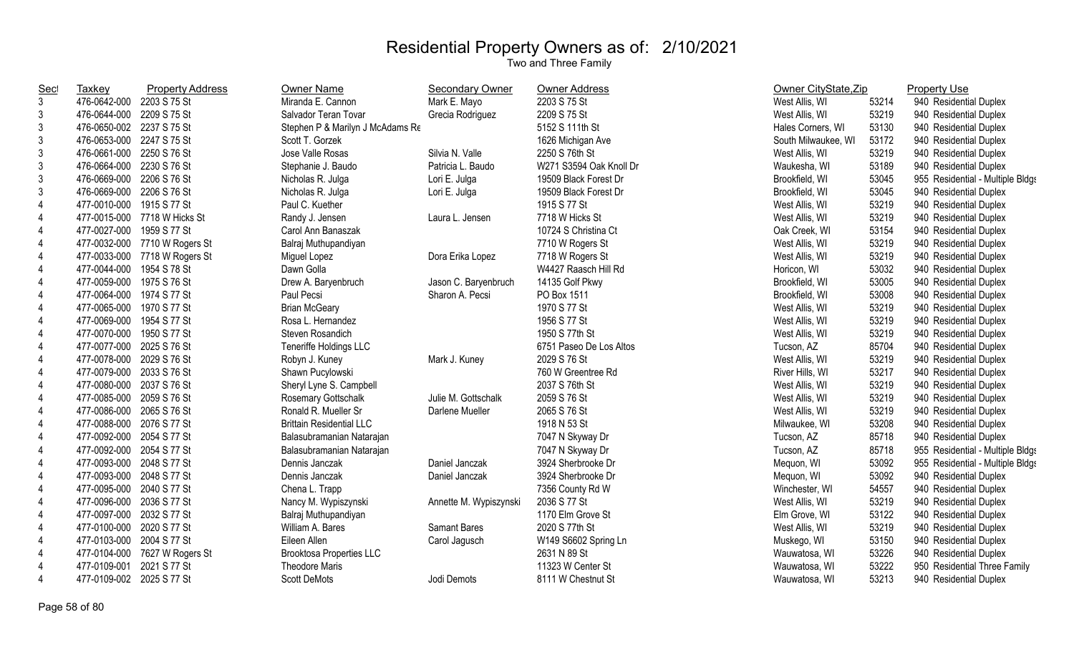| <b>Sec</b>     | Taxkey                    | <b>Property Address</b>       | <b>Owner Name</b>                | Secondary Owner        | Owner Address           | Owner CityState, Zip |       | <b>Property Use</b>              |
|----------------|---------------------------|-------------------------------|----------------------------------|------------------------|-------------------------|----------------------|-------|----------------------------------|
| 3              | 476-0642-000 2203 S 75 St |                               | Miranda E. Cannon                | Mark E. Mayo           | 2203 S 75 St            | West Allis, WI       | 53214 | 940 Residential Duplex           |
| 3              | 476-0644-000 2209 S 75 St |                               | Salvador Teran Tovar             | Grecia Rodriguez       | 2209 S 75 St            | West Allis, WI       | 53219 | 940 Residential Duplex           |
| 3              | 476-0650-002 2237 S 75 St |                               | Stephen P & Marilyn J McAdams Re |                        | 5152 S 111th St         | Hales Corners, WI    | 53130 | 940 Residential Duplex           |
| $\mathfrak{Z}$ | 476-0653-000 2247 S 75 St |                               | Scott T. Gorzek                  |                        | 1626 Michigan Ave       | South Milwaukee, WI  | 53172 | 940 Residential Duplex           |
| 3              | 476-0661-000 2250 S 76 St |                               | Jose Valle Rosas                 | Silvia N. Valle        | 2250 S 76th St          | West Allis, WI       | 53219 | 940 Residential Duplex           |
| 3              | 476-0664-000 2230 S 76 St |                               | Stephanie J. Baudo               | Patricia L. Baudo      | W271 S3594 Oak Knoll Dr | Waukesha, WI         | 53189 | 940 Residential Duplex           |
| $\mathfrak{Z}$ | 476-0669-000 2206 S 76 St |                               | Nicholas R. Julga                | Lori E. Julga          | 19509 Black Forest Dr   | Brookfield, WI       | 53045 | 955 Residential - Multiple Bldgs |
| 3              | 476-0669-000 2206 S 76 St |                               | Nicholas R. Julga                | Lori E. Julga          | 19509 Black Forest Dr   | Brookfield, WI       | 53045 | 940 Residential Duplex           |
| $\overline{4}$ | 477-0010-000              | 1915 S 77 St                  | Paul C. Kuether                  |                        | 1915 S 77 St            | West Allis, WI       | 53219 | 940 Residential Duplex           |
| $\overline{4}$ |                           | 477-0015-000 7718 W Hicks St  | Randy J. Jensen                  | Laura L. Jensen        | 7718 W Hicks St         | West Allis, WI       | 53219 | 940 Residential Duplex           |
| $\overline{4}$ | 477-0027-000              | 1959 S 77 St                  | Carol Ann Banaszak               |                        | 10724 S Christina Ct    | Oak Creek, WI        | 53154 | 940 Residential Duplex           |
| $\overline{4}$ |                           | 477-0032-000 7710 W Rogers St | Balraj Muthupandiyan             |                        | 7710 W Rogers St        | West Allis, WI       | 53219 | 940 Residential Duplex           |
| 4              |                           | 477-0033-000 7718 W Rogers St | Miguel Lopez                     | Dora Erika Lopez       | 7718 W Rogers St        | West Allis, WI       | 53219 | 940 Residential Duplex           |
| 4              | 477-0044-000              | 1954 S 78 St                  | Dawn Golla                       |                        | W4427 Raasch Hill Rd    | Horicon, WI          | 53032 | 940 Residential Duplex           |
| 4              | 477-0059-000              | 1975 S 76 St                  | Drew A. Baryenbruch              | Jason C. Baryenbruch   | 14135 Golf Pkwy         | Brookfield, WI       | 53005 | 940 Residential Duplex           |
| $\overline{4}$ | 477-0064-000 1974 S 77 St |                               | Paul Pecsi                       | Sharon A. Pecsi        | PO Box 1511             | Brookfield, WI       | 53008 | 940 Residential Duplex           |
| 4              | 477-0065-000 1970 S 77 St |                               | <b>Brian McGeary</b>             |                        | 1970 S 77 St            | West Allis, WI       | 53219 | 940 Residential Duplex           |
| 4              | 477-0069-000 1954 S 77 St |                               | Rosa L. Hernandez                |                        | 1956 S 77 St            | West Allis, WI       | 53219 | 940 Residential Duplex           |
| 4              | 477-0070-000 1950 S 77 St |                               | Steven Rosandich                 |                        | 1950 S 77th St          | West Allis, WI       | 53219 | 940 Residential Duplex           |
| $\overline{4}$ | 477-0077-000 2025 S 76 St |                               | <b>Teneriffe Holdings LLC</b>    |                        | 6751 Paseo De Los Altos | Tucson, AZ           | 85704 | 940 Residential Duplex           |
| 4              | 477-0078-000 2029 S 76 St |                               | Robyn J. Kuney                   | Mark J. Kuney          | 2029 S 76 St            | West Allis, WI       | 53219 | 940 Residential Duplex           |
| 4              | 477-0079-000 2033 S 76 St |                               | Shawn Pucylowski                 |                        | 760 W Greentree Rd      | River Hills, WI      | 53217 | 940 Residential Duplex           |
| 4              | 477-0080-000 2037 S 76 St |                               | Sheryl Lyne S. Campbell          |                        | 2037 S 76th St          | West Allis, WI       | 53219 | 940 Residential Duplex           |
| 4              | 477-0085-000 2059 S 76 St |                               | Rosemary Gottschalk              | Julie M. Gottschalk    | 2059 S 76 St            | West Allis, WI       | 53219 | 940 Residential Duplex           |
| $\overline{4}$ | 477-0086-000 2065 S 76 St |                               | Ronald R. Mueller Sr             | Darlene Mueller        | 2065 S 76 St            | West Allis, WI       | 53219 | 940 Residential Duplex           |
| 4              | 477-0088-000 2076 S 77 St |                               | <b>Brittain Residential LLC</b>  |                        | 1918 N 53 St            | Milwaukee, WI        | 53208 | 940 Residential Duplex           |
| $\overline{4}$ | 477-0092-000 2054 S 77 St |                               | Balasubramanian Natarajan        |                        | 7047 N Skyway Dr        | Tucson, AZ           | 85718 | 940 Residential Duplex           |
| 4              | 477-0092-000 2054 S 77 St |                               | Balasubramanian Natarajan        |                        | 7047 N Skyway Dr        | Tucson, AZ           | 85718 | 955 Residential - Multiple Bldgs |
| 4              | 477-0093-000 2048 S 77 St |                               | Dennis Janczak                   | Daniel Janczak         | 3924 Sherbrooke Dr      | Mequon, WI           | 53092 | 955 Residential - Multiple Bldgs |
| 4              | 477-0093-000 2048 S 77 St |                               | Dennis Janczak                   | Daniel Janczak         | 3924 Sherbrooke Dr      | Mequon, WI           | 53092 | 940 Residential Duplex           |
| 4              | 477-0095-000 2040 S 77 St |                               | Chena L. Trapp                   |                        | 7356 County Rd W        | Winchester, WI       | 54557 | 940 Residential Duplex           |
| 4              | 477-0096-000 2036 S 77 St |                               | Nancy M. Wypiszynski             | Annette M. Wypiszynski | 2036 S 77 St            | West Allis, WI       | 53219 | 940 Residential Duplex           |
| 4              | 477-0097-000 2032 S 77 St |                               | Balraj Muthupandiyan             |                        | 1170 Elm Grove St       | Elm Grove, WI        | 53122 | 940 Residential Duplex           |
| 4              | 477-0100-000 2020 S 77 St |                               | William A. Bares                 | Samant Bares           | 2020 S 77th St          | West Allis, WI       | 53219 | 940 Residential Duplex           |
| 4              | 477-0103-000 2004 S 77 St |                               | Eileen Allen                     | Carol Jagusch          | W149 S6602 Spring Ln    | Muskego, WI          | 53150 | 940 Residential Duplex           |
| 4              | 477-0104-000              | 7627 W Rogers St              | <b>Brooktosa Properties LLC</b>  |                        | 2631 N 89 St            | Wauwatosa, WI        | 53226 | 940 Residential Duplex           |
| 4              | 477-0109-001              | 2021 S 77 St                  | <b>Theodore Maris</b>            |                        | 11323 W Center St       | Wauwatosa, WI        | 53222 | 950 Residential Three Family     |
| $\overline{4}$ | 477-0109-002 2025 S 77 St |                               | <b>Scott DeMots</b>              | Jodi Demots            | 8111 W Chestnut St      | Wauwatosa, WI        | 53213 | 940 Residential Duplex           |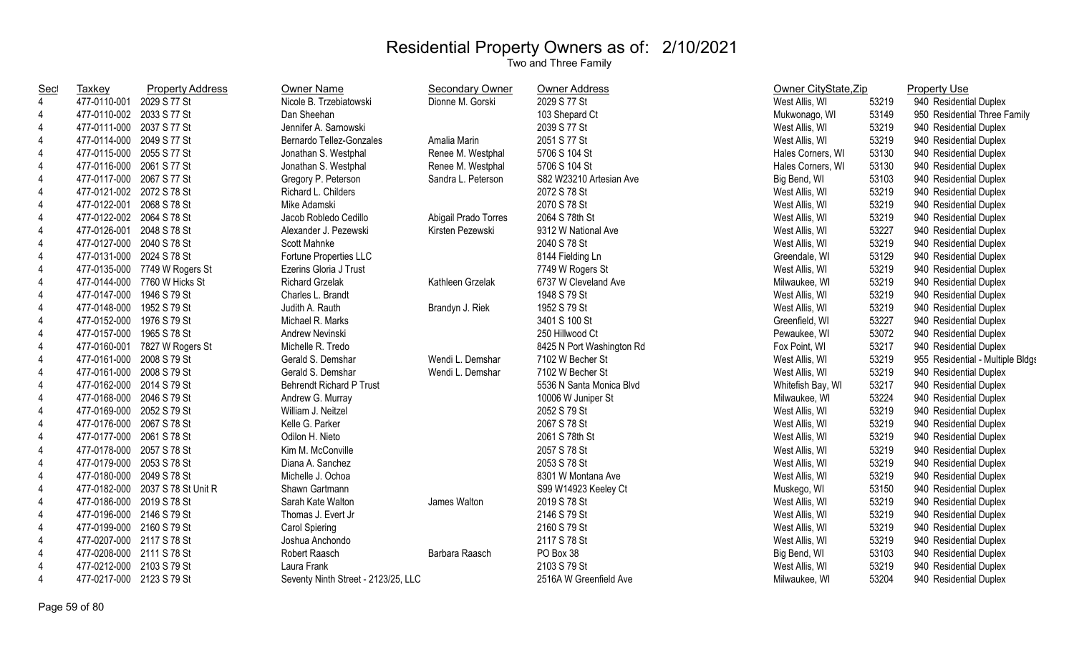| <b>Sec</b>     | <b>Taxkey</b>             | <b>Property Address</b>          | Owner Name                          | <b>Secondary Owner</b> | Owner Address             | Owner CityState, Zip       | <b>Property Use</b>              |
|----------------|---------------------------|----------------------------------|-------------------------------------|------------------------|---------------------------|----------------------------|----------------------------------|
| $\overline{4}$ | 477-0110-001              | 2029 S 77 St                     | Nicole B. Trzebiatowski             | Dionne M. Gorski       | 2029 S 77 St              | West Allis, WI<br>53219    | 940 Residential Duplex           |
| $\overline{4}$ | 477-0110-002 2033 S 77 St |                                  | Dan Sheehan                         |                        | 103 Shepard Ct            | 53149<br>Mukwonago, WI     | 950 Residential Three Family     |
| $\overline{4}$ | 477-0111-000 2037 S 77 St |                                  | Jennifer A. Sarnowski               |                        | 2039 S 77 St              | 53219<br>West Allis, WI    | 940 Residential Duplex           |
| $\overline{4}$ | 477-0114-000 2049 S 77 St |                                  | Bernardo Tellez-Gonzales            | Amalia Marin           | 2051 S 77 St              | 53219<br>West Allis, WI    | 940 Residential Duplex           |
| $\overline{4}$ | 477-0115-000 2055 S 77 St |                                  | Jonathan S. Westphal                | Renee M. Westphal      | 5706 S 104 St             | 53130<br>Hales Corners, WI | 940 Residential Duplex           |
| $\overline{4}$ | 477-0116-000 2061 S 77 St |                                  | Jonathan S. Westphal                | Renee M. Westphal      | 5706 S 104 St             | 53130<br>Hales Corners, WI | 940 Residential Duplex           |
| $\overline{4}$ | 477-0117-000 2067 S 77 St |                                  | Gregory P. Peterson                 | Sandra L. Peterson     | S82 W23210 Artesian Ave   | 53103<br>Big Bend, WI      | 940 Residential Duplex           |
| $\overline{4}$ | 477-0121-002 2072 S 78 St |                                  | Richard L. Childers                 |                        | 2072 S 78 St              | 53219<br>West Allis, WI    | 940 Residential Duplex           |
| $\overline{4}$ | 477-0122-001 2068 S 78 St |                                  | Mike Adamski                        |                        | 2070 S 78 St              | 53219<br>West Allis, WI    | 940 Residential Duplex           |
| $\overline{4}$ | 477-0122-002 2064 S 78 St |                                  | Jacob Robledo Cedillo               | Abigail Prado Torres   | 2064 S 78th St            | 53219<br>West Allis, WI    | 940 Residential Duplex           |
| $\overline{4}$ | 477-0126-001 2048 S 78 St |                                  | Alexander J. Pezewski               | Kirsten Pezewski       | 9312 W National Ave       | 53227<br>West Allis, WI    | 940 Residential Duplex           |
| $\overline{4}$ | 477-0127-000 2040 S 78 St |                                  | Scott Mahnke                        |                        | 2040 S 78 St              | 53219<br>West Allis, WI    | 940 Residential Duplex           |
| $\overline{4}$ | 477-0131-000 2024 S 78 St |                                  | Fortune Properties LLC              |                        | 8144 Fielding Ln          | 53129<br>Greendale, WI     | 940 Residential Duplex           |
| $\overline{4}$ |                           | 477-0135-000 7749 W Rogers St    | Ezerins Gloria J Trust              |                        | 7749 W Rogers St          | 53219<br>West Allis, WI    | 940 Residential Duplex           |
| $\overline{4}$ |                           | 477-0144-000 7760 W Hicks St     | <b>Richard Grzelak</b>              | Kathleen Grzelak       | 6737 W Cleveland Ave      | 53219<br>Milwaukee, WI     | 940 Residential Duplex           |
| $\overline{4}$ | 477-0147-000 1946 S 79 St |                                  | Charles L. Brandt                   |                        | 1948 S 79 St              | 53219<br>West Allis, WI    | 940 Residential Duplex           |
| 4              | 477-0148-000 1952 S 79 St |                                  | Judith A. Rauth                     | Brandyn J. Riek        | 1952 S 79 St              | 53219<br>West Allis, WI    | 940 Residential Duplex           |
| 4              | 477-0152-000              | 1976 S 79 St                     | Michael R. Marks                    |                        | 3401 S 100 St             | 53227<br>Greenfield, WI    | 940 Residential Duplex           |
| 4              | 477-0157-000              | 1965 S 78 St                     | Andrew Nevinski                     |                        | 250 Hillwood Ct           | 53072<br>Pewaukee, WI      | 940 Residential Duplex           |
| $\overline{4}$ |                           | 477-0160-001 7827 W Rogers St    | Michelle R. Tredo                   |                        | 8425 N Port Washington Rd | 53217<br>Fox Point, WI     | 940 Residential Duplex           |
| 4              | 477-0161-000 2008 S 79 St |                                  | Gerald S. Demshar                   | Wendi L. Demshar       | 7102 W Becher St          | 53219<br>West Allis, WI    | 955 Residential - Multiple Bldgs |
| $\overline{4}$ | 477-0161-000 2008 S 79 St |                                  | Gerald S. Demshar                   | Wendi L. Demshar       | 7102 W Becher St          | 53219<br>West Allis, WI    | 940 Residential Duplex           |
| $\overline{4}$ | 477-0162-000 2014 S 79 St |                                  | <b>Behrendt Richard P Trust</b>     |                        | 5536 N Santa Monica Blvd  | 53217<br>Whitefish Bay, WI | 940 Residential Duplex           |
| 4              | 477-0168-000 2046 S 79 St |                                  | Andrew G. Murray                    |                        | 10006 W Juniper St        | 53224<br>Milwaukee, WI     | 940 Residential Duplex           |
| $\overline{4}$ | 477-0169-000 2052 S 79 St |                                  | William J. Neitzel                  |                        | 2052 S 79 St              | 53219<br>West Allis, WI    | 940 Residential Duplex           |
| $\overline{4}$ | 477-0176-000 2067 S 78 St |                                  | Kelle G. Parker                     |                        | 2067 S 78 St              | 53219<br>West Allis, WI    | 940 Residential Duplex           |
| 4              | 477-0177-000 2061 S 78 St |                                  | Odilon H. Nieto                     |                        | 2061 S 78th St            | 53219<br>West Allis, WI    | 940 Residential Duplex           |
| 4              | 477-0178-000 2057 S 78 St |                                  | Kim M. McConville                   |                        | 2057 S 78 St              | 53219<br>West Allis, WI    | 940 Residential Duplex           |
| $\overline{4}$ | 477-0179-000 2053 S 78 St |                                  | Diana A. Sanchez                    |                        | 2053 S 78 St              | 53219<br>West Allis, WI    | 940 Residential Duplex           |
| $\overline{4}$ | 477-0180-000 2049 S 78 St |                                  | Michelle J. Ochoa                   |                        | 8301 W Montana Ave        | 53219<br>West Allis, WI    | 940 Residential Duplex           |
| $\overline{4}$ |                           | 477-0182-000 2037 S 78 St Unit R | Shawn Gartmann                      |                        | S99 W14923 Keeley Ct      | 53150<br>Muskego, WI       | 940 Residential Duplex           |
| 4              | 477-0186-000 2019 S 78 St |                                  | Sarah Kate Walton                   | James Walton           | 2019 S 78 St              | 53219<br>West Allis, WI    | 940 Residential Duplex           |
| $\overline{4}$ | 477-0196-000 2146 S 79 St |                                  | Thomas J. Evert Jr                  |                        | 2146 S 79 St              | 53219<br>West Allis, WI    | 940 Residential Duplex           |
| $\overline{4}$ | 477-0199-000 2160 S 79 St |                                  | <b>Carol Spiering</b>               |                        | 2160 S 79 St              | 53219<br>West Allis, WI    | 940 Residential Duplex           |
| 4              | 477-0207-000 2117 S 78 St |                                  | Joshua Anchondo                     |                        | 2117 S 78 St              | 53219<br>West Allis, WI    | 940 Residential Duplex           |
| 4              | 477-0208-000 2111 S 78 St |                                  | Robert Raasch                       | Barbara Raasch         | PO Box 38                 | 53103<br>Big Bend, WI      | 940 Residential Duplex           |
| $\overline{4}$ | 477-0212-000 2103 S 79 St |                                  | Laura Frank                         |                        | 2103 S 79 St              | 53219<br>West Allis, WI    | 940 Residential Duplex           |
| $\overline{4}$ | 477-0217-000 2123 S 79 St |                                  | Seventy Ninth Street - 2123/25, LLC |                        | 2516A W Greenfield Ave    | 53204<br>Milwaukee, WI     | 940 Residential Duplex           |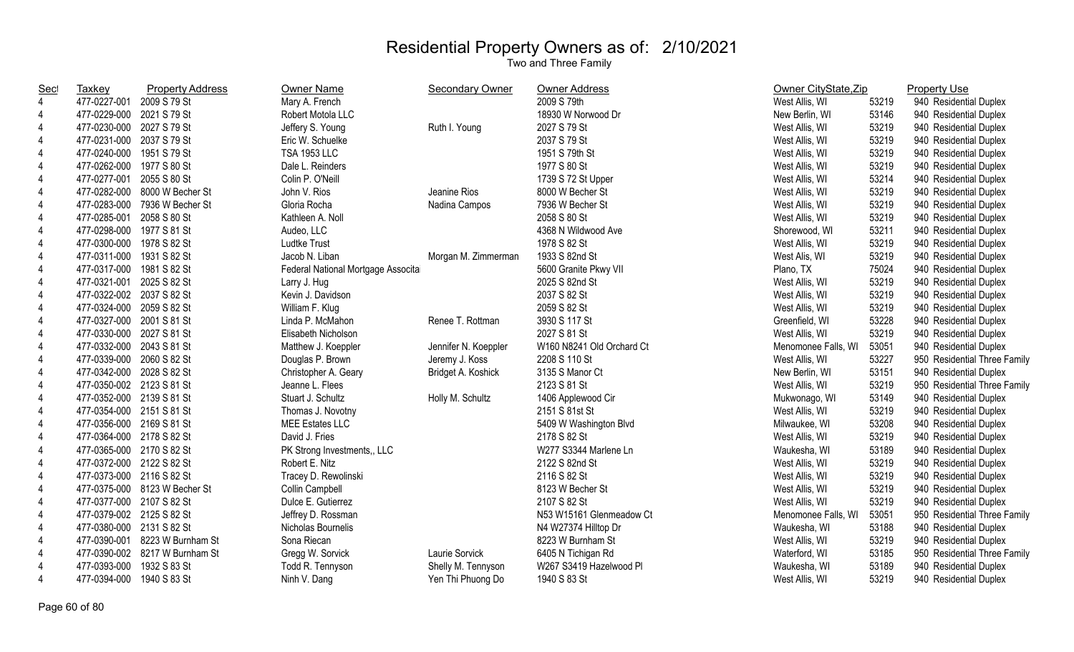| Sec            | <b>Taxkey</b>             | <b>Property Address</b>        | Owner Name                         | <b>Secondary Owner</b> | Owner Address             | Owner CityState, Zip |       | <b>Property Use</b>          |
|----------------|---------------------------|--------------------------------|------------------------------------|------------------------|---------------------------|----------------------|-------|------------------------------|
| $\overline{4}$ | 477-0227-001              | 2009 S 79 St                   | Mary A. French                     |                        | 2009 S 79th               | West Allis, WI       | 53219 | 940 Residential Duplex       |
| 4              | 477-0229-000 2021 S 79 St |                                | Robert Motola LLC                  |                        | 18930 W Norwood Dr        | New Berlin, WI       | 53146 | 940 Residential Duplex       |
| 4              | 477-0230-000 2027 S 79 St |                                | Jeffery S. Young                   | Ruth I. Young          | 2027 S 79 St              | West Allis, WI       | 53219 | 940 Residential Duplex       |
| 4              | 477-0231-000 2037 S 79 St |                                | Eric W. Schuelke                   |                        | 2037 S 79 St              | West Allis, WI       | 53219 | 940 Residential Duplex       |
| 4              | 477-0240-000 1951 S 79 St |                                | <b>TSA 1953 LLC</b>                |                        | 1951 S 79th St            | West Allis, WI       | 53219 | 940 Residential Duplex       |
| 4              | 477-0262-000 1977 S 80 St |                                | Dale L. Reinders                   |                        | 1977 S 80 St              | West Allis, WI       | 53219 | 940 Residential Duplex       |
| 4              | 477-0277-001 2055 S 80 St |                                | Colin P. O'Neill                   |                        | 1739 S 72 St Upper        | West Allis, WI       | 53214 | 940 Residential Duplex       |
| 4              |                           | 477-0282-000 8000 W Becher St  | John V. Rios                       | Jeanine Rios           | 8000 W Becher St          | West Allis, WI       | 53219 | 940 Residential Duplex       |
| 4              |                           | 477-0283-000 7936 W Becher St  | Gloria Rocha                       | Nadina Campos          | 7936 W Becher St          | West Allis, WI       | 53219 | 940 Residential Duplex       |
| 4              | 477-0285-001              | 2058 S 80 St                   | Kathleen A. Noll                   |                        | 2058 S 80 St              | West Allis, WI       | 53219 | 940 Residential Duplex       |
| 4              | 477-0298-000 1977 S 81 St |                                | Audeo, LLC                         |                        | 4368 N Wildwood Ave       | Shorewood, WI        | 53211 | 940 Residential Duplex       |
| 4              | 477-0300-000 1978 S 82 St |                                | <b>Ludtke Trust</b>                |                        | 1978 S 82 St              | West Allis, WI       | 53219 | 940 Residential Duplex       |
| 4              | 477-0311-000 1931 S 82 St |                                | Jacob N. Liban                     | Morgan M. Zimmerman    | 1933 S 82nd St            | West Alis, WI        | 53219 | 940 Residential Duplex       |
| 4              | 477-0317-000 1981 S 82 St |                                | Federal National Mortgage Associta |                        | 5600 Granite Pkwy VII     | Plano, TX            | 75024 | 940 Residential Duplex       |
| 4              | 477-0321-001 2025 S 82 St |                                | Larry J. Hug                       |                        | 2025 S 82nd St            | West Allis, WI       | 53219 | 940 Residential Duplex       |
| $\overline{4}$ | 477-0322-002 2037 S 82 St |                                | Kevin J. Davidson                  |                        | 2037 S 82 St              | West Allis, WI       | 53219 | 940 Residential Duplex       |
| $\overline{4}$ | 477-0324-000 2059 S 82 St |                                | William F. Klug                    |                        | 2059 S 82 St              | West Allis, WI       | 53219 | 940 Residential Duplex       |
| 4              | 477-0327-000 2001 S 81 St |                                | Linda P. McMahon                   | Renee T. Rottman       | 3930 S 117 St             | Greenfield, WI       | 53228 | 940 Residential Duplex       |
| 4              | 477-0330-000 2027 S 81 St |                                | Elisabeth Nicholson                |                        | 2027 S 81 St              | West Allis, WI       | 53219 | 940 Residential Duplex       |
| $\overline{4}$ | 477-0332-000 2043 S 81 St |                                | Matthew J. Koeppler                | Jennifer N. Koeppler   | W160 N8241 Old Orchard Ct | Menomonee Falls, WI  | 53051 | 940 Residential Duplex       |
| 4              | 477-0339-000 2060 S 82 St |                                | Douglas P. Brown                   | Jeremy J. Koss         | 2208 S 110 St             | West Allis, WI       | 53227 | 950 Residential Three Family |
| 4              | 477-0342-000 2028 S 82 St |                                | Christopher A. Geary               | Bridget A. Koshick     | 3135 S Manor Ct           | New Berlin, WI       | 53151 | 940 Residential Duplex       |
| 4              | 477-0350-002 2123 S 81 St |                                | Jeanne L. Flees                    |                        | 2123 S 81 St              | West Allis, WI       | 53219 | 950 Residential Three Family |
| $\overline{4}$ | 477-0352-000 2139 S 81 St |                                | Stuart J. Schultz                  | Holly M. Schultz       | 1406 Applewood Cir        | Mukwonago, WI        | 53149 | 940 Residential Duplex       |
| $\overline{4}$ | 477-0354-000 2151 S 81 St |                                | Thomas J. Novotny                  |                        | 2151 S 81st St            | West Allis, WI       | 53219 | 940 Residential Duplex       |
| 4              | 477-0356-000 2169 S 81 St |                                | MEE Estates LLC                    |                        | 5409 W Washington Blvd    | Milwaukee, WI        | 53208 | 940 Residential Duplex       |
| $\overline{4}$ | 477-0364-000 2178 S 82 St |                                | David J. Fries                     |                        | 2178 S 82 St              | West Allis, WI       | 53219 | 940 Residential Duplex       |
| 4              | 477-0365-000 2170 S 82 St |                                | PK Strong Investments,, LLC        |                        | W277 S3344 Marlene Ln     | Waukesha, WI         | 53189 | 940 Residential Duplex       |
| 4              | 477-0372-000 2122 S 82 St |                                | Robert E. Nitz                     |                        | 2122 S 82nd St            | West Allis, WI       | 53219 | 940 Residential Duplex       |
| 4              | 477-0373-000 2116 S 82 St |                                | Tracey D. Rewolinski               |                        | 2116 S 82 St              | West Allis, WI       | 53219 | 940 Residential Duplex       |
| 4              |                           | 477-0375-000 8123 W Becher St  | Collin Campbell                    |                        | 8123 W Becher St          | West Allis, WI       | 53219 | 940 Residential Duplex       |
| 4              | 477-0377-000 2107 S 82 St |                                | Dulce E. Gutierrez                 |                        | 2107 S 82 St              | West Allis, WI       | 53219 | 940 Residential Duplex       |
| $\overline{4}$ | 477-0379-002 2125 S 82 St |                                | Jeffrey D. Rossman                 |                        | N53 W15161 Glenmeadow Ct  | Menomonee Falls, WI  | 53051 | 950 Residential Three Family |
| 4              | 477-0380-000 2131 S 82 St |                                | Nicholas Bournelis                 |                        | N4 W27374 Hilltop Dr      | Waukesha, WI         | 53188 | 940 Residential Duplex       |
| 4              |                           | 477-0390-001 8223 W Burnham St | Sona Riecan                        |                        | 8223 W Burnham St         | West Allis, WI       | 53219 | 940 Residential Duplex       |
| 4              |                           | 477-0390-002 8217 W Burnham St | Gregg W. Sorvick                   | Laurie Sorvick         | 6405 N Tichigan Rd        | Waterford, WI        | 53185 | 950 Residential Three Family |
| 4              | 477-0393-000              | 1932 S 83 St                   | Todd R. Tennyson                   | Shelly M. Tennyson     | W267 S3419 Hazelwood Pl   | Waukesha, WI         | 53189 | 940 Residential Duplex       |
| $\overline{4}$ | 477-0394-000              | 1940 S 83 St                   | Ninh V. Dang                       | Yen Thi Phuong Do      | 1940 S 83 St              | West Allis, WI       | 53219 | 940 Residential Duplex       |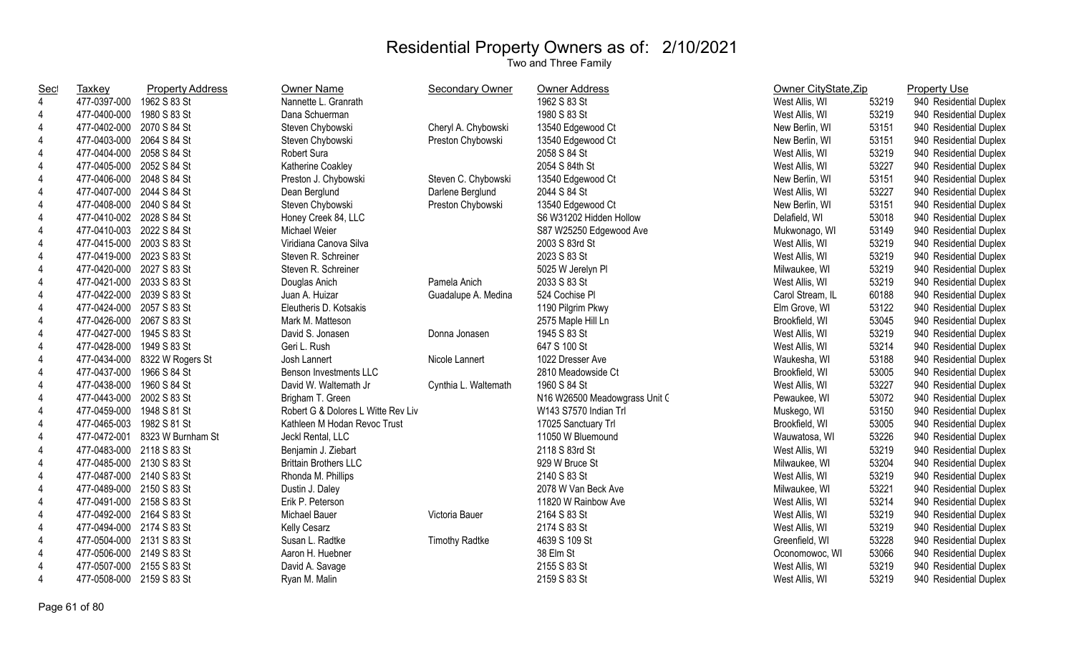| <b>Sec</b>              | <b>Taxkey</b>             | <b>Property Address</b>        | Owner Name                         | <b>Secondary Owner</b> | Owner Address                 | Owner CityState, Zip |       | <b>Property Use</b>    |
|-------------------------|---------------------------|--------------------------------|------------------------------------|------------------------|-------------------------------|----------------------|-------|------------------------|
| $\overline{4}$          | 477-0397-000              | 1962 S 83 St                   | Nannette L. Granrath               |                        | 1962 S 83 St                  | West Allis, WI       | 53219 | 940 Residential Duplex |
| $\overline{\mathbf{4}}$ | 477-0400-000              | 1980 S 83 St                   | Dana Schuerman                     |                        | 1980 S 83 St                  | West Allis, WI       | 53219 | 940 Residential Duplex |
| $\overline{4}$          | 477-0402-000 2070 S 84 St |                                | Steven Chybowski                   | Cheryl A. Chybowski    | 13540 Edgewood Ct             | New Berlin, WI       | 53151 | 940 Residential Duplex |
| 4                       | 477-0403-000 2064 S 84 St |                                | Steven Chybowski                   | Preston Chybowski      | 13540 Edgewood Ct             | New Berlin, WI       | 53151 | 940 Residential Duplex |
| $\overline{\mathbf{4}}$ | 477-0404-000 2058 S 84 St |                                | Robert Sura                        |                        | 2058 S 84 St                  | West Allis, WI       | 53219 | 940 Residential Duplex |
| 4                       | 477-0405-000 2052 S 84 St |                                | Katherine Coakley                  |                        | 2054 S 84th St                | West Allis, WI       | 53227 | 940 Residential Duplex |
| $\overline{\mathbf{4}}$ | 477-0406-000 2048 S 84 St |                                | Preston J. Chybowski               | Steven C. Chybowski    | 13540 Edgewood Ct             | New Berlin, WI       | 53151 | 940 Residential Duplex |
| 4                       | 477-0407-000 2044 S 84 St |                                | Dean Berglund                      | Darlene Berglund       | 2044 S 84 St                  | West Allis, WI       | 53227 | 940 Residential Duplex |
| $\overline{4}$          | 477-0408-000 2040 S 84 St |                                | Steven Chybowski                   | Preston Chybowski      | 13540 Edgewood Ct             | New Berlin, WI       | 53151 | 940 Residential Duplex |
| $\overline{4}$          | 477-0410-002 2028 S 84 St |                                | Honey Creek 84, LLC                |                        | S6 W31202 Hidden Hollow       | Delafield, WI        | 53018 | 940 Residential Duplex |
| $\overline{4}$          | 477-0410-003 2022 S 84 St |                                | Michael Weier                      |                        | S87 W25250 Edgewood Ave       | Mukwonago, WI        | 53149 | 940 Residential Duplex |
| $\overline{4}$          | 477-0415-000 2003 S 83 St |                                | Viridiana Canova Silva             |                        | 2003 S 83rd St                | West Allis, WI       | 53219 | 940 Residential Duplex |
| 4                       | 477-0419-000 2023 S 83 St |                                | Steven R. Schreiner                |                        | 2023 S 83 St                  | West Allis, WI       | 53219 | 940 Residential Duplex |
| $\overline{4}$          | 477-0420-000 2027 S 83 St |                                | Steven R. Schreiner                |                        | 5025 W Jerelyn Pl             | Milwaukee, WI        | 53219 | 940 Residential Duplex |
| $\overline{4}$          | 477-0421-000 2033 S 83 St |                                | Douglas Anich                      | Pamela Anich           | 2033 S 83 St                  | West Allis, WI       | 53219 | 940 Residential Duplex |
| $\overline{4}$          | 477-0422-000 2039 S 83 St |                                | Juan A. Huizar                     | Guadalupe A. Medina    | 524 Cochise PI                | Carol Stream, IL     | 60188 | 940 Residential Duplex |
| $\overline{4}$          | 477-0424-000 2057 S 83 St |                                | Eleutheris D. Kotsakis             |                        | 1190 Pilgrim Pkwy             | Elm Grove, WI        | 53122 | 940 Residential Duplex |
| $\overline{4}$          | 477-0426-000 2067 S 83 St |                                | Mark M. Matteson                   |                        | 2575 Maple Hill Ln            | Brookfield, WI       | 53045 | 940 Residential Duplex |
| 4                       | 477-0427-000 1945 S 83 St |                                | David S. Jonasen                   | Donna Jonasen          | 1945 S 83 St                  | West Allis, WI       | 53219 | 940 Residential Duplex |
| $\overline{\mathbf{4}}$ | 477-0428-000              | 1949 S 83 St                   | Geri L. Rush                       |                        | 647 S 100 St                  | West Allis, WI       | 53214 | 940 Residential Duplex |
| 4                       |                           | 477-0434-000 8322 W Rogers St  | Josh Lannert                       | Nicole Lannert         | 1022 Dresser Ave              | Waukesha, WI         | 53188 | 940 Residential Duplex |
| 4                       | 477-0437-000              | 1966 S 84 St                   | Benson Investments LLC             |                        | 2810 Meadowside Ct            | Brookfield, WI       | 53005 | 940 Residential Duplex |
| $\overline{4}$          | 477-0438-000              | 1960 S 84 St                   | David W. Waltemath Jr              | Cynthia L. Waltemath   | 1960 S 84 St                  | West Allis, WI       | 53227 | 940 Residential Duplex |
| $\overline{4}$          | 477-0443-000 2002 S 83 St |                                | Brigham T. Green                   |                        | N16 W26500 Meadowgrass Unit C | Pewaukee, WI         | 53072 | 940 Residential Duplex |
| $\overline{4}$          | 477-0459-000 1948 S 81 St |                                | Robert G & Dolores L Witte Rev Liv |                        | W143 S7570 Indian Trl         | Muskego, WI          | 53150 | 940 Residential Duplex |
| $\overline{4}$          | 477-0465-003 1982 S 81 St |                                | Kathleen M Hodan Revoc Trust       |                        | 17025 Sanctuary Trl           | Brookfield, WI       | 53005 | 940 Residential Duplex |
| $\overline{4}$          |                           | 477-0472-001 8323 W Burnham St | Jeckl Rental, LLC                  |                        | 11050 W Bluemound             | Wauwatosa, WI        | 53226 | 940 Residential Duplex |
| $\overline{4}$          | 477-0483-000 2118 S 83 St |                                | Benjamin J. Ziebart                |                        | 2118 S 83rd St                | West Allis, WI       | 53219 | 940 Residential Duplex |
| $\overline{4}$          | 477-0485-000 2130 S 83 St |                                | <b>Brittain Brothers LLC</b>       |                        | 929 W Bruce St                | Milwaukee, WI        | 53204 | 940 Residential Duplex |
| $\overline{4}$          | 477-0487-000 2140 S 83 St |                                | Rhonda M. Phillips                 |                        | 2140 S 83 St                  | West Allis, WI       | 53219 | 940 Residential Duplex |
| 4                       | 477-0489-000 2150 S 83 St |                                | Dustin J. Daley                    |                        | 2078 W Van Beck Ave           | Milwaukee, WI        | 53221 | 940 Residential Duplex |
| 4                       | 477-0491-000 2158 S 83 St |                                | Erik P. Peterson                   |                        | 11820 W Rainbow Ave           | West Allis, WI       | 53214 | 940 Residential Duplex |
| $\overline{\mathbf{4}}$ | 477-0492-000 2164 S 83 St |                                | Michael Bauer                      | Victoria Bauer         | 2164 S 83 St                  | West Allis, WI       | 53219 | 940 Residential Duplex |
| 4                       | 477-0494-000 2174 S 83 St |                                | Kelly Cesarz                       |                        | 2174 S 83 St                  | West Allis, WI       | 53219 | 940 Residential Duplex |
| $\overline{4}$          | 477-0504-000 2131 S 83 St |                                | Susan L. Radtke                    | <b>Timothy Radtke</b>  | 4639 S 109 St                 | Greenfield, WI       | 53228 | 940 Residential Duplex |
| 4                       | 477-0506-000 2149 S 83 St |                                | Aaron H. Huebner                   |                        | 38 Elm St                     | Oconomowoc, WI       | 53066 | 940 Residential Duplex |
| $\overline{\mathbf{4}}$ | 477-0507-000 2155 S 83 St |                                | David A. Savage                    |                        | 2155 S 83 St                  | West Allis, WI       | 53219 | 940 Residential Duplex |
| $\overline{4}$          | 477-0508-000 2159 S 83 St |                                | Ryan M. Malin                      |                        | 2159 S 83 St                  | West Allis, WI       | 53219 | 940 Residential Duplex |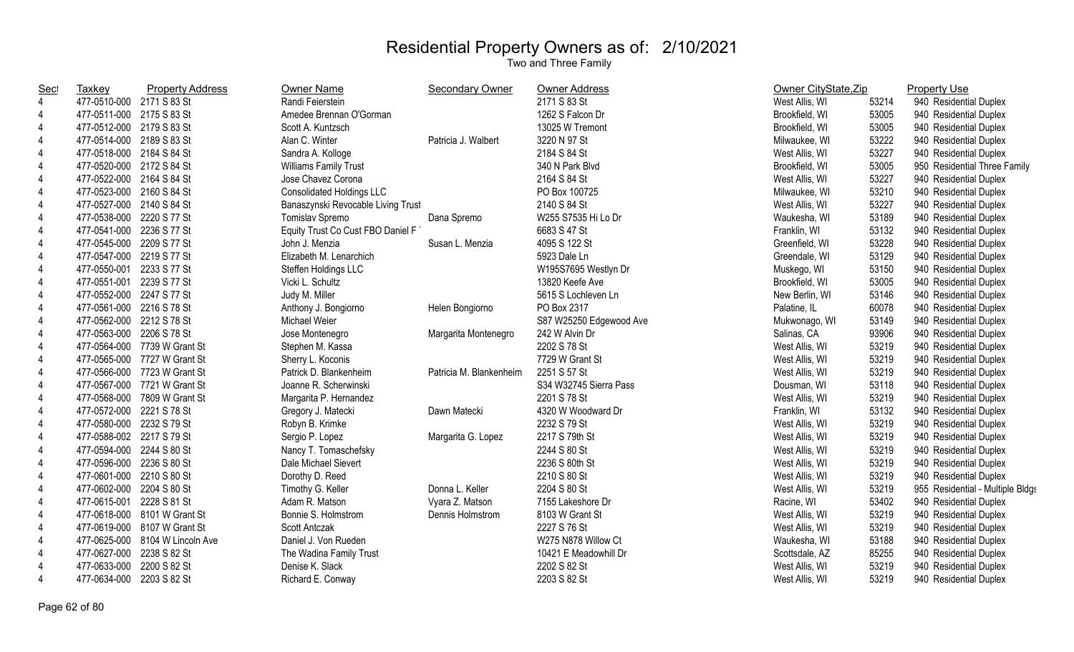| <u>Sec</u>               | <b>Taxkey</b>             | <b>Property Address</b>      | Owner Name                         | <b>Secondary Owner</b>  | Owner Address           | Owner CityState, Zip |       | <b>Property Use</b>              |
|--------------------------|---------------------------|------------------------------|------------------------------------|-------------------------|-------------------------|----------------------|-------|----------------------------------|
| 4                        | 477-0510-000 2171 S 83 St |                              | Randi Feierstein                   |                         | 2171 S 83 St            | West Allis, WI       | 53214 | 940 Residential Duplex           |
| 4                        | 477-0511-000 2175 S 83 St |                              | Amedee Brennan O'Gorman            |                         | 1262 S Falcon Dr        | Brookfield, WI       | 53005 | 940 Residential Duplex           |
| 4                        | 477-0512-000 2179 S 83 St |                              | Scott A. Kuntzsch                  |                         | 13025 W Tremont         | Brookfield, WI       | 53005 | 940 Residential Duplex           |
| $\overline{4}$           | 477-0514-000 2189 S 83 St |                              | Alan C. Winter                     | Patricia J. Walbert     | 3220 N 97 St            | Milwaukee, WI        | 53222 | 940 Residential Duplex           |
| 4                        | 477-0518-000 2184 S 84 St |                              | Sandra A. Kolloge                  |                         | 2184 S 84 St            | West Allis, WI       | 53227 | 940 Residential Duplex           |
| 4                        | 477-0520-000 2172 S 84 St |                              | <b>Williams Family Trust</b>       |                         | 340 N Park Blvd         | Brookfield, WI       | 53005 | 950 Residential Three Family     |
| $\overline{4}$           | 477-0522-000 2164 S 84 St |                              | Jose Chavez Corona                 |                         | 2164 S 84 St            | West Allis, WI       | 53227 | 940 Residential Duplex           |
| 4                        | 477-0523-000 2160 S 84 St |                              | <b>Consolidated Holdings LLC</b>   |                         | PO Box 100725           | Milwaukee, WI        | 53210 | 940 Residential Duplex           |
| 4                        | 477-0527-000 2140 S 84 St |                              | Banaszynski Revocable Living Trust |                         | 2140 S 84 St            | West Allis, WI       | 53227 | 940 Residential Duplex           |
| $\overline{4}$           | 477-0538-000 2220 S 77 St |                              | Tomislav Spremo                    | Dana Spremo             | W255 S7535 Hi Lo Dr     | Waukesha, WI         | 53189 | 940 Residential Duplex           |
| 4                        | 477-0541-000              | 2236 S 77 St                 | Equity Trust Co Cust FBO Daniel F  |                         | 6683 S 47 St            | Franklin, WI         | 53132 | 940 Residential Duplex           |
| 4                        | 477-0545-000 2209 S 77 St |                              | John J. Menzia                     | Susan L. Menzia         | 4095 S 122 St           | Greenfield, WI       | 53228 | 940 Residential Duplex           |
| 4                        | 477-0547-000 2219 S 77 St |                              | Elizabeth M. Lenarchich            |                         | 5923 Dale Ln            | Greendale, WI        | 53129 | 940 Residential Duplex           |
| 4                        | 477-0550-001 2233 S 77 St |                              | Steffen Holdings LLC               |                         | W195S7695 Westlyn Dr    | Muskego, WI          | 53150 | 940 Residential Duplex           |
| 4                        | 477-0551-001 2239 S 77 St |                              | Vicki L. Schultz                   |                         | 13820 Keefe Ave         | Brookfield, WI       | 53005 | 940 Residential Duplex           |
| $\overline{4}$           | 477-0552-000 2247 S 77 St |                              | Judy M. Miller                     |                         | 5615 S Lochleven Ln     | New Berlin, WI       | 53146 | 940 Residential Duplex           |
| 4                        | 477-0561-000 2216 S 78 St |                              | Anthony J. Bongiorno               | Helen Bongiorno         | PO Box 2317             | Palatine, IL         | 60078 | 940 Residential Duplex           |
| $\overline{4}$           | 477-0562-000 2212 S 78 St |                              | Michael Weier                      |                         | S87 W25250 Edgewood Ave | Mukwonago, WI        | 53149 | 940 Residential Duplex           |
| 4                        | 477-0563-000 2206 S 78 St |                              | Jose Montenegro                    | Margarita Montenegro    | 242 W Alvin Dr          | Salinas, CA          | 93906 | 940 Residential Duplex           |
| $\overline{4}$           |                           | 477-0564-000 7739 W Grant St | Stephen M. Kassa                   |                         | 2202 S 78 St            | West Allis, WI       | 53219 | 940 Residential Duplex           |
| $\overline{4}$           |                           | 477-0565-000 7727 W Grant St | Sherry L. Koconis                  |                         | 7729 W Grant St         | West Allis, WI       | 53219 | 940 Residential Duplex           |
| $\overline{4}$           |                           | 477-0566-000 7723 W Grant St | Patrick D. Blankenheim             | Patricia M. Blankenheim | 2251 S 57 St            | West Allis, WI       | 53219 | 940 Residential Duplex           |
| $\overline{4}$           |                           | 477-0567-000 7721 W Grant St | Joanne R. Scherwinski              |                         | S34 W32745 Sierra Pass  | Dousman, WI          | 53118 | 940 Residential Duplex           |
| $\overline{4}$           |                           | 477-0568-000 7809 W Grant St | Margarita P. Hernandez             |                         | 2201 S 78 St            | West Allis, WI       | 53219 | 940 Residential Duplex           |
| 4                        | 477-0572-000 2221 S 78 St |                              | Gregory J. Matecki                 | Dawn Matecki            | 4320 W Woodward Dr      | Franklin, WI         | 53132 | 940 Residential Duplex           |
| 4                        | 477-0580-000 2232 S 79 St |                              | Robyn B. Krimke                    |                         | 2232 S 79 St            | West Allis, WI       | 53219 | 940 Residential Duplex           |
| $\overline{4}$           | 477-0588-002 2217 S 79 St |                              | Sergio P. Lopez                    | Margarita G. Lopez      | 2217 S 79th St          | West Allis, WI       | 53219 | 940 Residential Duplex           |
| 4                        | 477-0594-000 2244 S 80 St |                              | Nancy T. Tomaschefsky              |                         | 2244 S 80 St            | West Allis, WI       | 53219 | 940 Residential Duplex           |
| 4                        | 477-0596-000 2236 S 80 St |                              | Dale Michael Sievert               |                         | 2236 S 80th St          | West Allis, WI       | 53219 | 940 Residential Duplex           |
| 4                        | 477-0601-000 2210 S 80 St |                              | Dorothy D. Reed                    |                         | 2210 S 80 St            | West Allis, WI       | 53219 | 940 Residential Duplex           |
| 4                        | 477-0602-000 2204 S 80 St |                              | Timothy G. Keller                  | Donna L. Keller         | 2204 S 80 St            | West Allis, WI       | 53219 | 955 Residential - Multiple Bldgs |
| 4                        | 477-0615-001 2228 S 81 St |                              | Adam R. Matson                     | Vyara Z. Matson         | 7155 Lakeshore Dr       | Racine, WI           | 53402 | 940 Residential Duplex           |
| 4                        |                           | 477-0618-000 8101 W Grant St | Bonnie S. Holmstrom                | Dennis Holmstrom        | 8103 W Grant St         | West Allis, WI       | 53219 | 940 Residential Duplex           |
| 4                        |                           | 477-0619-000 8107 W Grant St | Scott Antczak                      |                         | 2227 S 76 St            | West Allis, WI       | 53219 | 940 Residential Duplex           |
| 4                        | 477-0625-000              | 8104 W Lincoln Ave           | Daniel J. Von Rueden               |                         | W275 N878 Willow Ct     | Waukesha, WI         | 53188 | 940 Residential Duplex           |
| 4                        | 477-0627-000              | 2238 S 82 St                 | The Wadina Family Trust            |                         | 10421 E Meadowhill Dr   | Scottsdale, AZ       | 85255 | 940 Residential Duplex           |
| 4                        | 477-0633-000              | 2200 S 82 St                 | Denise K. Slack                    |                         | 2202 S 82 St            | West Allis, WI       | 53219 | 940 Residential Duplex           |
| $\overline{\mathcal{L}}$ | 477-0634-000              | 2203 S 82 St                 | Richard E. Conway                  |                         | 2203 S 82 St            | West Allis, WI       | 53219 | 940 Residential Duplex           |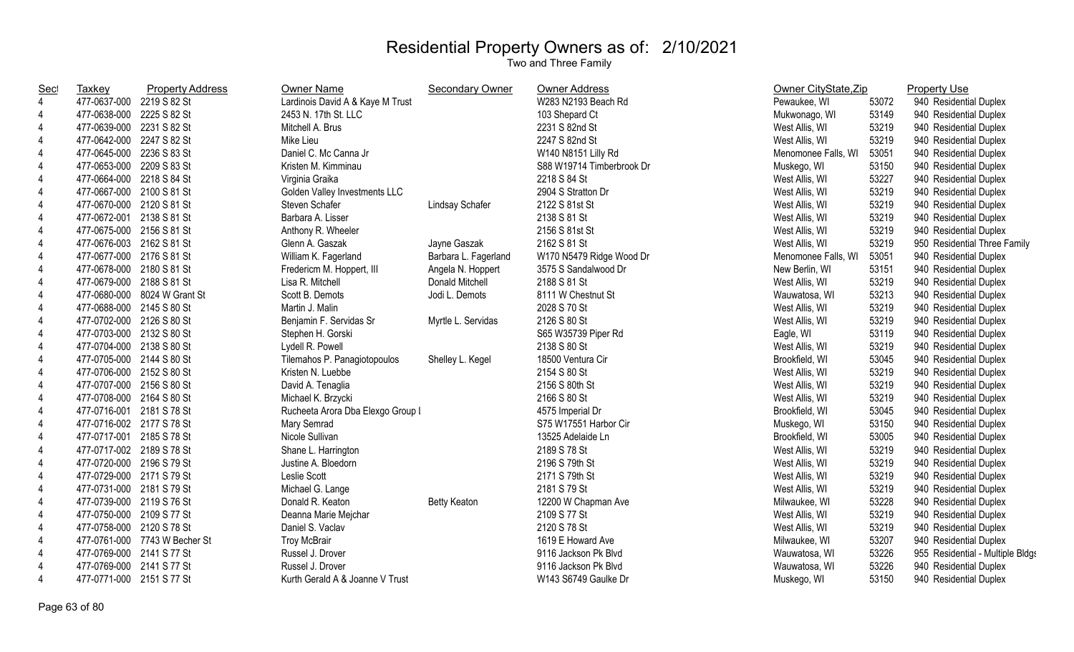| <b>Sec</b>     | <b>Taxkey</b>             | <b>Property Address</b>       | Owner Name                        | <b>Secondary Owner</b> | <b>Owner Address</b>      | Owner CityState, Zip |       | <b>Property Use</b>              |
|----------------|---------------------------|-------------------------------|-----------------------------------|------------------------|---------------------------|----------------------|-------|----------------------------------|
| $\overline{4}$ | 477-0637-000 2219 S 82 St |                               | Lardinois David A & Kaye M Trust  |                        | W283 N2193 Beach Rd       | Pewaukee, WI         | 53072 | 940 Residential Duplex           |
| 4              | 477-0638-000 2225 S 82 St |                               | 2453 N. 17th St. LLC              |                        | 103 Shepard Ct            | Mukwonago, WI        | 53149 | 940 Residential Duplex           |
|                | 477-0639-000 2231 S 82 St |                               | Mitchell A. Brus                  |                        | 2231 S 82nd St            | West Allis, WI       | 53219 | 940 Residential Duplex           |
|                | 477-0642-000 2247 S 82 St |                               | Mike Lieu                         |                        | 2247 S 82nd St            | West Allis, WI       | 53219 | 940 Residential Duplex           |
|                | 477-0645-000 2236 S 83 St |                               | Daniel C. Mc Canna Jr             |                        | W140 N8151 Lilly Rd       | Menomonee Falls, WI  | 53051 | 940 Residential Duplex           |
|                | 477-0653-000 2209 S 83 St |                               | Kristen M. Kimminau               |                        | S88 W19714 Timberbrook Dr | Muskego, WI          | 53150 | 940 Residential Duplex           |
|                | 477-0664-000 2218 S 84 St |                               | Virginia Graika                   |                        | 2218 S 84 St              | West Allis, WI       | 53227 | 940 Residential Duplex           |
| 4              | 477-0667-000 2100 S 81 St |                               | Golden Valley Investments LLC     |                        | 2904 S Stratton Dr        | West Allis, WI       | 53219 | 940 Residential Duplex           |
| $\overline{4}$ | 477-0670-000 2120 S 81 St |                               | Steven Schafer                    | Lindsay Schafer        | 2122 S 81st St            | West Allis, WI       | 53219 | 940 Residential Duplex           |
|                | 477-0672-001 2138 S 81 St |                               | Barbara A. Lisser                 |                        | 2138 S 81 St              | West Allis, WI       | 53219 | 940 Residential Duplex           |
|                | 477-0675-000 2156 S 81 St |                               | Anthony R. Wheeler                |                        | 2156 S 81st St            | West Allis, WI       | 53219 | 940 Residential Duplex           |
|                | 477-0676-003 2162 S 81 St |                               | Glenn A. Gaszak                   | Jayne Gaszak           | 2162 S 81 St              | West Allis, WI       | 53219 | 950 Residential Three Family     |
|                | 477-0677-000 2176 S 81 St |                               | William K. Fagerland              | Barbara L. Fagerland   | W170 N5479 Ridge Wood Dr  | Menomonee Falls, WI  | 53051 | 940 Residential Duplex           |
|                | 477-0678-000 2180 S 81 St |                               | Fredericm M. Hoppert, III         | Angela N. Hoppert      | 3575 S Sandalwood Dr      | New Berlin, WI       | 53151 | 940 Residential Duplex           |
| 4              | 477-0679-000 2188 S 81 St |                               | Lisa R. Mitchell                  | Donald Mitchell        | 2188 S 81 St              | West Allis, WI       | 53219 | 940 Residential Duplex           |
| 4              |                           | 477-0680-000 8024 W Grant St  | Scott B. Demots                   | Jodi L. Demots         | 8111 W Chestnut St        | Wauwatosa, WI        | 53213 | 940 Residential Duplex           |
|                | 477-0688-000 2145 S 80 St |                               | Martin J. Malin                   |                        | 2028 S 70 St              | West Allis, WI       | 53219 | 940 Residential Duplex           |
| 4              | 477-0702-000 2126 S 80 St |                               | Benjamin F. Servidas Sr           | Myrtle L. Servidas     | 2126 S 80 St              | West Allis, WI       | 53219 | 940 Residential Duplex           |
| 4              | 477-0703-000 2132 S 80 St |                               | Stephen H. Gorski                 |                        | S65 W35739 Piper Rd       | Eagle, WI            | 53119 | 940 Residential Duplex           |
| $\overline{4}$ | 477-0704-000 2138 S 80 St |                               | Lydell R. Powell                  |                        | 2138 S 80 St              | West Allis, WI       | 53219 | 940 Residential Duplex           |
| 4              | 477-0705-000 2144 S 80 St |                               | Tilemahos P. Panagiotopoulos      | Shelley L. Kegel       | 18500 Ventura Cir         | Brookfield, WI       | 53045 | 940 Residential Duplex           |
| $\overline{4}$ | 477-0706-000 2152 S 80 St |                               | Kristen N. Luebbe                 |                        | 2154 S 80 St              | West Allis, WI       | 53219 | 940 Residential Duplex           |
| $\overline{4}$ | 477-0707-000 2156 S 80 St |                               | David A. Tenaglia                 |                        | 2156 S 80th St            | West Allis, WI       | 53219 | 940 Residential Duplex           |
|                | 477-0708-000 2164 S 80 St |                               | Michael K. Brzycki                |                        | 2166 S 80 St              | West Allis, WI       | 53219 | 940 Residential Duplex           |
|                | 477-0716-001 2181 S 78 St |                               | Rucheeta Arora Dba Elexgo Group I |                        | 4575 Imperial Dr          | Brookfield, WI       | 53045 | 940 Residential Duplex           |
|                | 477-0716-002 2177 S 78 St |                               | Mary Semrad                       |                        | S75 W17551 Harbor Cir     | Muskego, WI          | 53150 | 940 Residential Duplex           |
|                | 477-0717-001 2185 S 78 St |                               | Nicole Sullivan                   |                        | 13525 Adelaide Ln         | Brookfield, WI       | 53005 | 940 Residential Duplex           |
|                | 477-0717-002 2189 S 78 St |                               | Shane L. Harrington               |                        | 2189 S 78 St              | West Allis, WI       | 53219 | 940 Residential Duplex           |
| 4              | 477-0720-000 2196 S 79 St |                               | Justine A. Bloedorn               |                        | 2196 S 79th St            | West Allis, WI       | 53219 | 940 Residential Duplex           |
|                | 477-0729-000 2171 S 79 St |                               | Leslie Scott                      |                        | 2171 S 79th St            | West Allis, WI       | 53219 | 940 Residential Duplex           |
|                | 477-0731-000 2181 S 79 St |                               | Michael G. Lange                  |                        | 2181 S 79 St              | West Allis, WI       | 53219 | 940 Residential Duplex           |
|                | 477-0739-000 2119 S 76 St |                               | Donald R. Keaton                  | <b>Betty Keaton</b>    | 12200 W Chapman Ave       | Milwaukee, WI        | 53228 | 940 Residential Duplex           |
|                | 477-0750-000 2109 S 77 St |                               | Deanna Marie Mejchar              |                        | 2109 S 77 St              | West Allis, WI       | 53219 | 940 Residential Duplex           |
|                | 477-0758-000 2120 S 78 St |                               | Daniel S. Vaclav                  |                        | 2120 S 78 St              | West Allis, WI       | 53219 | 940 Residential Duplex           |
|                |                           | 477-0761-000 7743 W Becher St | <b>Troy McBrair</b>               |                        | 1619 E Howard Ave         | Milwaukee, WI        | 53207 | 940 Residential Duplex           |
|                | 477-0769-000 2141 S 77 St |                               | Russel J. Drover                  |                        | 9116 Jackson Pk Blvd      | Wauwatosa, WI        | 53226 | 955 Residential - Multiple Bldgs |
|                | 477-0769-000 2141 S 77 St |                               | Russel J. Drover                  |                        | 9116 Jackson Pk Blvd      | Wauwatosa, WI        | 53226 | 940 Residential Duplex           |
| $\overline{4}$ | 477-0771-000 2151 S 77 St |                               | Kurth Gerald A & Joanne V Trust   |                        | W143 S6749 Gaulke Dr      | Muskego, WI          | 53150 | 940 Residential Duplex           |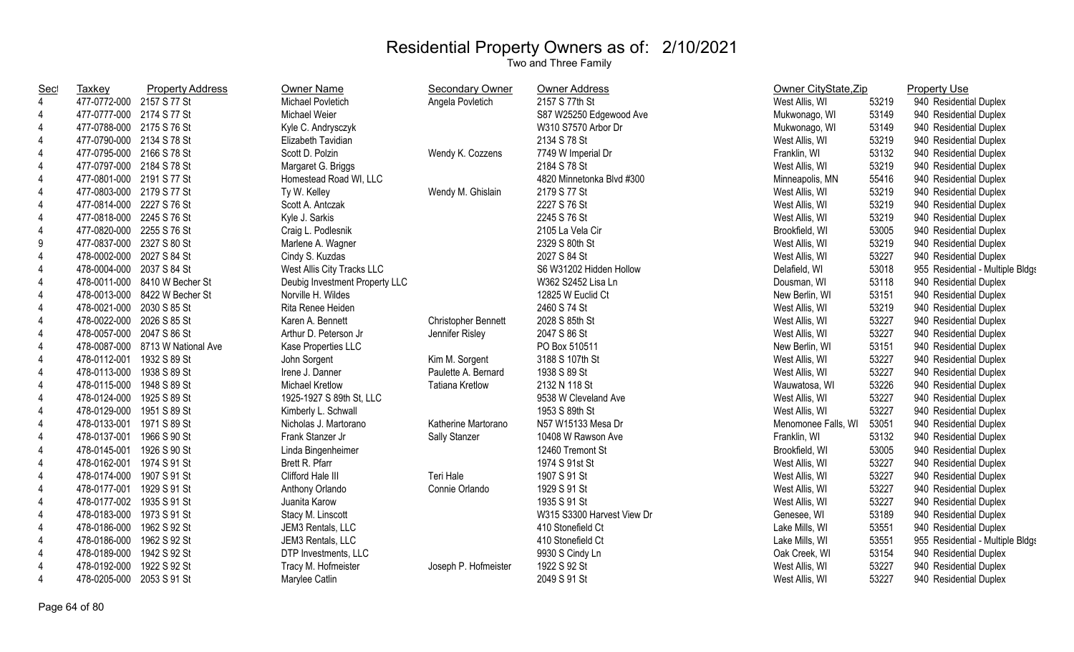| <b>Sec</b>     | <b>Taxkey</b>             | <b>Property Address</b>          | <b>Owner Name</b>              | <b>Secondary Owner</b>     | Owner Address              | Owner CityState, Zip |       | <b>Property Use</b>              |
|----------------|---------------------------|----------------------------------|--------------------------------|----------------------------|----------------------------|----------------------|-------|----------------------------------|
| $\overline{4}$ | 477-0772-000 2157 S 77 St |                                  | Michael Povletich              | Angela Povletich           | 2157 S 77th St             | West Allis, WI       | 53219 | 940 Residential Duplex           |
| $\overline{4}$ | 477-0777-000 2174 S 77 St |                                  | Michael Weier                  |                            | S87 W25250 Edgewood Ave    | Mukwonago, WI        | 53149 | 940 Residential Duplex           |
| 4              | 477-0788-000 2175 S 76 St |                                  | Kyle C. Andrysczyk             |                            | W310 S7570 Arbor Dr        | Mukwonago, WI        | 53149 | 940 Residential Duplex           |
| 4              | 477-0790-000 2134 S 78 St |                                  | Elizabeth Tavidian             |                            | 2134 S 78 St               | West Allis, WI       | 53219 | 940 Residential Duplex           |
| 4              | 477-0795-000 2166 S 78 St |                                  | Scott D. Polzin                | Wendy K. Cozzens           | 7749 W Imperial Dr         | Franklin, WI         | 53132 | 940 Residential Duplex           |
| 4              | 477-0797-000 2184 S 78 St |                                  | Margaret G. Briggs             |                            | 2184 S 78 St               | West Allis, WI       | 53219 | 940 Residential Duplex           |
| 4              | 477-0801-000 2191 S 77 St |                                  | Homestead Road WI, LLC         |                            | 4820 Minnetonka Blvd #300  | Minneapolis, MN      | 55416 | 940 Residential Duplex           |
| 4              | 477-0803-000 2179 S 77 St |                                  | Ty W. Kelley                   | Wendy M. Ghislain          | 2179 S 77 St               | West Allis, WI       | 53219 | 940 Residential Duplex           |
| 4              | 477-0814-000 2227 S 76 St |                                  | Scott A. Antczak               |                            | 2227 S 76 St               | West Allis, WI       | 53219 | 940 Residential Duplex           |
| $\overline{4}$ | 477-0818-000 2245 S 76 St |                                  | Kyle J. Sarkis                 |                            | 2245 S 76 St               | West Allis, WI       | 53219 | 940 Residential Duplex           |
| $\overline{4}$ | 477-0820-000 2255 S 76 St |                                  | Craig L. Podlesnik             |                            | 2105 La Vela Cir           | Brookfield, WI       | 53005 | 940 Residential Duplex           |
| 9              | 477-0837-000 2327 S 80 St |                                  | Marlene A. Wagner              |                            | 2329 S 80th St             | West Allis, WI       | 53219 | 940 Residential Duplex           |
| 4              | 478-0002-000 2027 S 84 St |                                  | Cindy S. Kuzdas                |                            | 2027 S 84 St               | West Allis, WI       | 53227 | 940 Residential Duplex           |
| 4              | 478-0004-000 2037 S 84 St |                                  | West Allis City Tracks LLC     |                            | S6 W31202 Hidden Hollow    | Delafield, WI        | 53018 | 955 Residential - Multiple Bldgs |
| 4              |                           | 478-0011-000 8410 W Becher St    | Deubig Investment Property LLC |                            | W362 S2452 Lisa Ln         | Dousman, WI          | 53118 | 940 Residential Duplex           |
| 4              |                           | 478-0013-000 8422 W Becher St    | Norville H. Wildes             |                            | 12825 W Euclid Ct          | New Berlin, WI       | 53151 | 940 Residential Duplex           |
| $\overline{4}$ | 478-0021-000 2030 S 85 St |                                  | Rita Renee Heiden              |                            | 2460 S 74 St               | West Allis, WI       | 53219 | 940 Residential Duplex           |
| $\overline{4}$ | 478-0022-000 2026 S 85 St |                                  | Karen A. Bennett               | <b>Christopher Bennett</b> | 2028 S 85th St             | West Allis, WI       | 53227 | 940 Residential Duplex           |
| 4              | 478-0057-000 2047 S 86 St |                                  | Arthur D. Peterson Jr          | Jennifer Risley            | 2047 S 86 St               | West Allis, WI       | 53227 | 940 Residential Duplex           |
| $\overline{4}$ |                           | 478-0087-000 8713 W National Ave | Kase Properties LLC            |                            | PO Box 510511              | New Berlin, WI       | 53151 | 940 Residential Duplex           |
| 4              | 478-0112-001 1932 S 89 St |                                  | John Sorgent                   | Kim M. Sorgent             | 3188 S 107th St            | West Allis, WI       | 53227 | 940 Residential Duplex           |
| 4              | 478-0113-000              | 1938 S 89 St                     | Irene J. Danner                | Paulette A. Bernard        | 1938 S 89 St               | West Allis, WI       | 53227 | 940 Residential Duplex           |
| 4              | 478-0115-000 1948 S 89 St |                                  | Michael Kretlow                | <b>Tatiana Kretlow</b>     | 2132 N 118 St              | Wauwatosa, WI        | 53226 | 940 Residential Duplex           |
| 4              | 478-0124-000              | 1925 S 89 St                     | 1925-1927 S 89th St, LLC       |                            | 9538 W Cleveland Ave       | West Allis, WI       | 53227 | 940 Residential Duplex           |
| 4              | 478-0129-000              | 1951 S 89 St                     | Kimberly L. Schwall            |                            | 1953 S 89th St             | West Allis, WI       | 53227 | 940 Residential Duplex           |
| 4              | 478-0133-001 1971 S 89 St |                                  | Nicholas J. Martorano          | Katherine Martorano        | N57 W15133 Mesa Dr         | Menomonee Falls, WI  | 53051 | 940 Residential Duplex           |
| 4              | 478-0137-001 1966 S 90 St |                                  | Frank Stanzer Jr               | Sally Stanzer              | 10408 W Rawson Ave         | Franklin, WI         | 53132 | 940 Residential Duplex           |
| 4              | 478-0145-001 1926 S 90 St |                                  | Linda Bingenheimer             |                            | 12460 Tremont St           | Brookfield, WI       | 53005 | 940 Residential Duplex           |
| $\overline{4}$ | 478-0162-001 1974 S 91 St |                                  | Brett R. Pfarr                 |                            | 1974 S 91st St             | West Allis, WI       | 53227 | 940 Residential Duplex           |
| 4              | 478-0174-000 1907 S 91 St |                                  | Clifford Hale III              | Teri Hale                  | 1907 S 91 St               | West Allis, WI       | 53227 | 940 Residential Duplex           |
| $\overline{4}$ | 478-0177-001 1929 S 91 St |                                  | Anthony Orlando                | Connie Orlando             | 1929 S 91 St               | West Allis, WI       | 53227 | 940 Residential Duplex           |
| 4              | 478-0177-002 1935 S 91 St |                                  | Juanita Karow                  |                            | 1935 S 91 St               | West Allis, WI       | 53227 | 940 Residential Duplex           |
| 4              | 478-0183-000 1973 S 91 St |                                  | Stacy M. Linscott              |                            | W315 S3300 Harvest View Dr | Genesee, WI          | 53189 | 940 Residential Duplex           |
| 4              | 478-0186-000              | 1962 S 92 St                     | JEM3 Rentals, LLC              |                            | 410 Stonefield Ct          | Lake Mills, WI       | 53551 | 940 Residential Duplex           |
| 4              | 478-0186-000              | 1962 S 92 St                     | JEM3 Rentals, LLC              |                            | 410 Stonefield Ct          | Lake Mills, WI       | 53551 | 955 Residential - Multiple Bldgs |
| 4              | 478-0189-000              | 1942 S 92 St                     | DTP Investments, LLC           |                            | 9930 S Cindy Ln            | Oak Creek, WI        | 53154 | 940 Residential Duplex           |
| 4              | 478-0192-000              | 1922 S 92 St                     | Tracy M. Hofmeister            | Joseph P. Hofmeister       | 1922 S 92 St               | West Allis, WI       | 53227 | 940 Residential Duplex           |
| 4              | 478-0205-000              | 2053 S 91 St                     | Marylee Catlin                 |                            | 2049 S 91 St               | West Allis, WI       | 53227 | 940 Residential Duplex           |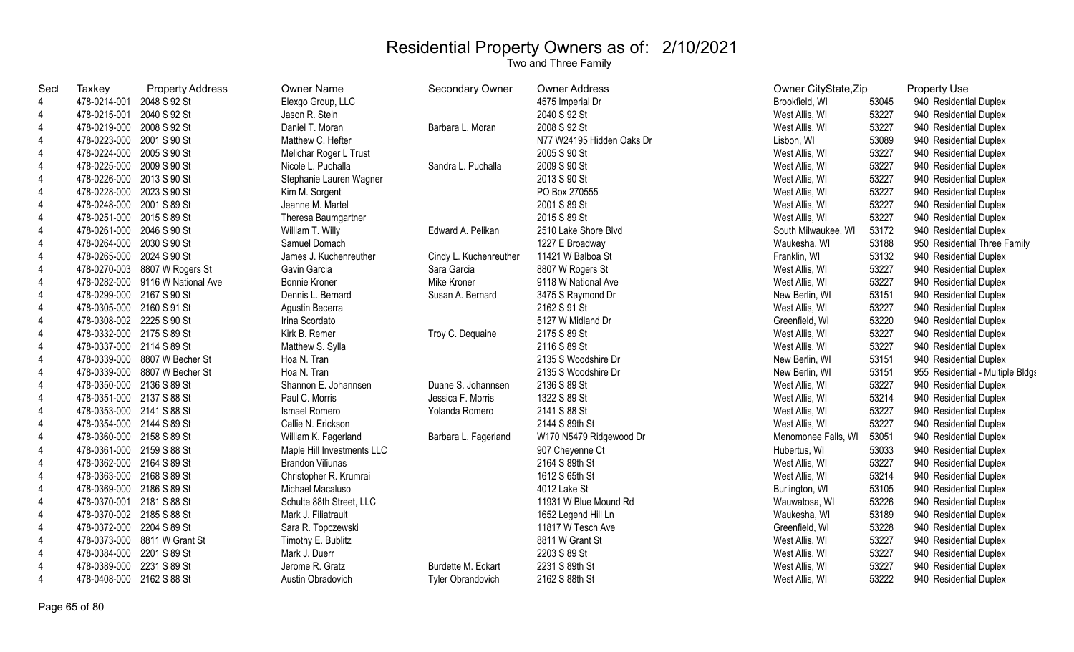| $\overline{4}$<br>Elexgo Group, LLC<br>4575 Imperial Dr<br>478-0214-001 2048 S 92 St<br>Brookfield, WI<br>53045<br>53227<br>4<br>478-0215-001 2040 S 92 St<br>Jason R. Stein<br>2040 S 92 St<br>West Allis, WI<br>$\overline{4}$<br>Daniel T. Moran<br>2008 S 92 St<br>53227<br>478-0219-000 2008 S 92 St<br>Barbara L. Moran<br>West Allis, WI<br>53089<br>4<br>478-0223-000 2001 S 90 St<br>Matthew C. Hefter<br>N77 W24195 Hidden Oaks Dr<br>Lisbon, WI<br>53227<br>$\overline{4}$<br>478-0224-000 2005 S 90 St<br>Melichar Roger L Trust<br>2005 S 90 St<br>West Allis, WI<br>2009 S 90 St<br>53227<br>4<br>478-0225-000 2009 S 90 St<br>Nicole L. Puchalla<br>Sandra L. Puchalla<br>West Allis, WI<br>53227<br>478-0226-000 2013 S 90 St<br>Stephanie Lauren Wagner<br>2013 S 90 St<br>4<br>West Allis, WI<br>$\overline{4}$<br>53227<br>478-0228-000 2023 S 90 St<br>Kim M. Sorgent<br>PO Box 270555<br>West Allis, WI<br>$\overline{4}$<br>53227<br>478-0248-000 2001 S 89 St<br>Jeanne M. Martel<br>2001 S 89 St<br>West Allis, WI | 940 Residential Duplex<br>940 Residential Duplex<br>940 Residential Duplex<br>940 Residential Duplex<br>940 Residential Duplex<br>940 Residential Duplex<br>940 Residential Duplex<br>940 Residential Duplex<br>940 Residential Duplex<br>940 Residential Duplex<br>940 Residential Duplex<br>950 Residential Three Family |
|--------------------------------------------------------------------------------------------------------------------------------------------------------------------------------------------------------------------------------------------------------------------------------------------------------------------------------------------------------------------------------------------------------------------------------------------------------------------------------------------------------------------------------------------------------------------------------------------------------------------------------------------------------------------------------------------------------------------------------------------------------------------------------------------------------------------------------------------------------------------------------------------------------------------------------------------------------------------------------------------------------------------------------------------|----------------------------------------------------------------------------------------------------------------------------------------------------------------------------------------------------------------------------------------------------------------------------------------------------------------------------|
|                                                                                                                                                                                                                                                                                                                                                                                                                                                                                                                                                                                                                                                                                                                                                                                                                                                                                                                                                                                                                                            |                                                                                                                                                                                                                                                                                                                            |
|                                                                                                                                                                                                                                                                                                                                                                                                                                                                                                                                                                                                                                                                                                                                                                                                                                                                                                                                                                                                                                            |                                                                                                                                                                                                                                                                                                                            |
|                                                                                                                                                                                                                                                                                                                                                                                                                                                                                                                                                                                                                                                                                                                                                                                                                                                                                                                                                                                                                                            |                                                                                                                                                                                                                                                                                                                            |
|                                                                                                                                                                                                                                                                                                                                                                                                                                                                                                                                                                                                                                                                                                                                                                                                                                                                                                                                                                                                                                            |                                                                                                                                                                                                                                                                                                                            |
|                                                                                                                                                                                                                                                                                                                                                                                                                                                                                                                                                                                                                                                                                                                                                                                                                                                                                                                                                                                                                                            |                                                                                                                                                                                                                                                                                                                            |
|                                                                                                                                                                                                                                                                                                                                                                                                                                                                                                                                                                                                                                                                                                                                                                                                                                                                                                                                                                                                                                            |                                                                                                                                                                                                                                                                                                                            |
|                                                                                                                                                                                                                                                                                                                                                                                                                                                                                                                                                                                                                                                                                                                                                                                                                                                                                                                                                                                                                                            |                                                                                                                                                                                                                                                                                                                            |
|                                                                                                                                                                                                                                                                                                                                                                                                                                                                                                                                                                                                                                                                                                                                                                                                                                                                                                                                                                                                                                            |                                                                                                                                                                                                                                                                                                                            |
|                                                                                                                                                                                                                                                                                                                                                                                                                                                                                                                                                                                                                                                                                                                                                                                                                                                                                                                                                                                                                                            |                                                                                                                                                                                                                                                                                                                            |
| $\overline{4}$<br>53227<br>478-0251-000 2015 S 89 St<br>Theresa Baumgartner<br>2015 S 89 St<br>West Allis, WI                                                                                                                                                                                                                                                                                                                                                                                                                                                                                                                                                                                                                                                                                                                                                                                                                                                                                                                              |                                                                                                                                                                                                                                                                                                                            |
| 53172<br>4<br>478-0261-000 2046 S 90 St<br>William T. Willy<br>Edward A. Pelikan<br>2510 Lake Shore Blvd<br>South Milwaukee, WI                                                                                                                                                                                                                                                                                                                                                                                                                                                                                                                                                                                                                                                                                                                                                                                                                                                                                                            |                                                                                                                                                                                                                                                                                                                            |
| $\overline{4}$<br>Samuel Domach<br>1227 E Broadway<br>53188<br>478-0264-000 2030 S 90 St<br>Waukesha, WI                                                                                                                                                                                                                                                                                                                                                                                                                                                                                                                                                                                                                                                                                                                                                                                                                                                                                                                                   |                                                                                                                                                                                                                                                                                                                            |
| 53132<br>4<br>478-0265-000 2024 S 90 St<br>James J. Kuchenreuther<br>11421 W Balboa St<br>Cindy L. Kuchenreuther<br>Franklin, WI                                                                                                                                                                                                                                                                                                                                                                                                                                                                                                                                                                                                                                                                                                                                                                                                                                                                                                           | 940 Residential Duplex                                                                                                                                                                                                                                                                                                     |
| 53227<br>$\overline{4}$<br>Gavin Garcia<br>8807 W Rogers St<br>478-0270-003 8807 W Rogers St<br>Sara Garcia<br>West Allis, WI                                                                                                                                                                                                                                                                                                                                                                                                                                                                                                                                                                                                                                                                                                                                                                                                                                                                                                              | 940 Residential Duplex                                                                                                                                                                                                                                                                                                     |
| Mike Kroner<br>9118 W National Ave<br>53227<br>4<br>478-0282-000 9116 W National Ave<br>Bonnie Kroner<br>West Allis, WI                                                                                                                                                                                                                                                                                                                                                                                                                                                                                                                                                                                                                                                                                                                                                                                                                                                                                                                    | 940 Residential Duplex                                                                                                                                                                                                                                                                                                     |
| $\overline{4}$<br>478-0299-000 2167 S 90 St<br>Dennis L. Bernard<br>3475 S Raymond Dr<br>53151<br>Susan A. Bernard<br>New Berlin, WI                                                                                                                                                                                                                                                                                                                                                                                                                                                                                                                                                                                                                                                                                                                                                                                                                                                                                                       | 940 Residential Duplex                                                                                                                                                                                                                                                                                                     |
| 53227<br>4<br>478-0305-000 2160 S 91 St<br>2162 S 91 St<br>Agustin Becerra<br>West Allis, WI                                                                                                                                                                                                                                                                                                                                                                                                                                                                                                                                                                                                                                                                                                                                                                                                                                                                                                                                               | 940 Residential Duplex                                                                                                                                                                                                                                                                                                     |
| 53220<br>478-0308-002 2225 S 90 St<br>5127 W Midland Dr<br>4<br>Irina Scordato<br>Greenfield, WI                                                                                                                                                                                                                                                                                                                                                                                                                                                                                                                                                                                                                                                                                                                                                                                                                                                                                                                                           | 940 Residential Duplex                                                                                                                                                                                                                                                                                                     |
| 478-0332-000 2175 S 89 St<br>Kirk B. Remer<br>53227<br>4<br>Troy C. Dequaine<br>2175 S 89 St<br>West Allis, WI                                                                                                                                                                                                                                                                                                                                                                                                                                                                                                                                                                                                                                                                                                                                                                                                                                                                                                                             | 940 Residential Duplex                                                                                                                                                                                                                                                                                                     |
| $\overline{4}$<br>478-0337-000 2114 S 89 St<br>2116 S 89 St<br>53227<br>Matthew S. Sylla<br>West Allis, WI                                                                                                                                                                                                                                                                                                                                                                                                                                                                                                                                                                                                                                                                                                                                                                                                                                                                                                                                 | 940 Residential Duplex                                                                                                                                                                                                                                                                                                     |
| $\overline{4}$<br>53151<br>478-0339-000 8807 W Becher St<br>Hoa N. Tran<br>2135 S Woodshire Dr<br>New Berlin, WI                                                                                                                                                                                                                                                                                                                                                                                                                                                                                                                                                                                                                                                                                                                                                                                                                                                                                                                           | 940 Residential Duplex                                                                                                                                                                                                                                                                                                     |
| Hoa N. Tran<br>53151<br>$\overline{4}$<br>478-0339-000 8807 W Becher St<br>2135 S Woodshire Dr<br>New Berlin, WI                                                                                                                                                                                                                                                                                                                                                                                                                                                                                                                                                                                                                                                                                                                                                                                                                                                                                                                           | 955 Residential - Multiple Bldgs                                                                                                                                                                                                                                                                                           |
| $\overline{4}$<br>478-0350-000 2136 S 89 St<br>Shannon E. Johannsen<br>2136 S 89 St<br>53227<br>Duane S. Johannsen<br>West Allis, WI                                                                                                                                                                                                                                                                                                                                                                                                                                                                                                                                                                                                                                                                                                                                                                                                                                                                                                       | 940 Residential Duplex                                                                                                                                                                                                                                                                                                     |
| 53214<br>4<br>478-0351-000 2137 S 88 St<br>Paul C. Morris<br>Jessica F. Morris<br>1322 S 89 St<br>West Allis, WI                                                                                                                                                                                                                                                                                                                                                                                                                                                                                                                                                                                                                                                                                                                                                                                                                                                                                                                           | 940 Residential Duplex                                                                                                                                                                                                                                                                                                     |
| 478-0353-000 2141 S 88 St<br>Ismael Romero<br>2141 S 88 St<br>53227<br>4<br>Yolanda Romero<br>West Allis, WI                                                                                                                                                                                                                                                                                                                                                                                                                                                                                                                                                                                                                                                                                                                                                                                                                                                                                                                               | 940 Residential Duplex                                                                                                                                                                                                                                                                                                     |
| 2144 S 89th St<br>53227<br>478-0354-000 2144 S 89 St<br>Callie N. Erickson<br>4<br>West Allis, WI                                                                                                                                                                                                                                                                                                                                                                                                                                                                                                                                                                                                                                                                                                                                                                                                                                                                                                                                          | 940 Residential Duplex                                                                                                                                                                                                                                                                                                     |
| $\overline{4}$<br>W170 N5479 Ridgewood Dr<br>53051<br>478-0360-000 2158 S 89 St<br>William K. Fagerland<br>Barbara L. Fagerland<br>Menomonee Falls, WI                                                                                                                                                                                                                                                                                                                                                                                                                                                                                                                                                                                                                                                                                                                                                                                                                                                                                     | 940 Residential Duplex                                                                                                                                                                                                                                                                                                     |
| 53033<br>4<br>478-0361-000 2159 S 88 St<br>Maple Hill Investments LLC<br>907 Cheyenne Ct<br>Hubertus, WI                                                                                                                                                                                                                                                                                                                                                                                                                                                                                                                                                                                                                                                                                                                                                                                                                                                                                                                                   | 940 Residential Duplex                                                                                                                                                                                                                                                                                                     |
| 53227<br>4<br>478-0362-000 2164 S 89 St<br><b>Brandon Viliunas</b><br>2164 S 89th St<br>West Allis, WI                                                                                                                                                                                                                                                                                                                                                                                                                                                                                                                                                                                                                                                                                                                                                                                                                                                                                                                                     | 940 Residential Duplex                                                                                                                                                                                                                                                                                                     |
| 53214<br>4<br>478-0363-000 2168 S 89 St<br>Christopher R. Krumrai<br>1612 S 65th St<br>West Allis, WI                                                                                                                                                                                                                                                                                                                                                                                                                                                                                                                                                                                                                                                                                                                                                                                                                                                                                                                                      | 940 Residential Duplex                                                                                                                                                                                                                                                                                                     |
| 53105<br>4<br>478-0369-000 2186 S 89 St<br>Michael Macaluso<br>4012 Lake St<br>Burlington, WI                                                                                                                                                                                                                                                                                                                                                                                                                                                                                                                                                                                                                                                                                                                                                                                                                                                                                                                                              | 940 Residential Duplex                                                                                                                                                                                                                                                                                                     |
| 53226<br>4<br>Schulte 88th Street, LLC<br>11931 W Blue Mound Rd<br>478-0370-001 2181 S 88 St<br>Wauwatosa, WI                                                                                                                                                                                                                                                                                                                                                                                                                                                                                                                                                                                                                                                                                                                                                                                                                                                                                                                              | 940 Residential Duplex                                                                                                                                                                                                                                                                                                     |
| $\overline{4}$<br>53189<br>478-0370-002 2185 S 88 St<br>Mark J. Filiatrault<br>1652 Legend Hill Ln<br>Waukesha, WI                                                                                                                                                                                                                                                                                                                                                                                                                                                                                                                                                                                                                                                                                                                                                                                                                                                                                                                         | 940 Residential Duplex                                                                                                                                                                                                                                                                                                     |
| $\overline{4}$<br>11817 W Tesch Ave<br>53228<br>478-0372-000 2204 S 89 St<br>Sara R. Topczewski<br>Greenfield, WI                                                                                                                                                                                                                                                                                                                                                                                                                                                                                                                                                                                                                                                                                                                                                                                                                                                                                                                          | 940 Residential Duplex                                                                                                                                                                                                                                                                                                     |
| $\overline{4}$<br>478-0373-000 8811 W Grant St<br>8811 W Grant St<br>53227<br>Timothy E. Bublitz<br>West Allis, WI                                                                                                                                                                                                                                                                                                                                                                                                                                                                                                                                                                                                                                                                                                                                                                                                                                                                                                                         | 940 Residential Duplex                                                                                                                                                                                                                                                                                                     |
| 53227<br>4<br>478-0384-000 2201 S 89 St<br>Mark J. Duerr<br>2203 S 89 St<br>West Allis, WI                                                                                                                                                                                                                                                                                                                                                                                                                                                                                                                                                                                                                                                                                                                                                                                                                                                                                                                                                 | 940 Residential Duplex                                                                                                                                                                                                                                                                                                     |
| 53227<br>4<br>478-0389-000 2231 S 89 St<br>Jerome R. Gratz<br>Burdette M. Eckart<br>2231 S 89th St<br>West Allis, WI                                                                                                                                                                                                                                                                                                                                                                                                                                                                                                                                                                                                                                                                                                                                                                                                                                                                                                                       | 940 Residential Duplex                                                                                                                                                                                                                                                                                                     |
| $\overline{4}$<br>53222<br>478-0408-000 2162 S 88 St<br>Austin Obradovich<br><b>Tyler Obrandovich</b><br>2162 S 88th St<br>940 Residential Duplex<br>West Allis, WI                                                                                                                                                                                                                                                                                                                                                                                                                                                                                                                                                                                                                                                                                                                                                                                                                                                                        |                                                                                                                                                                                                                                                                                                                            |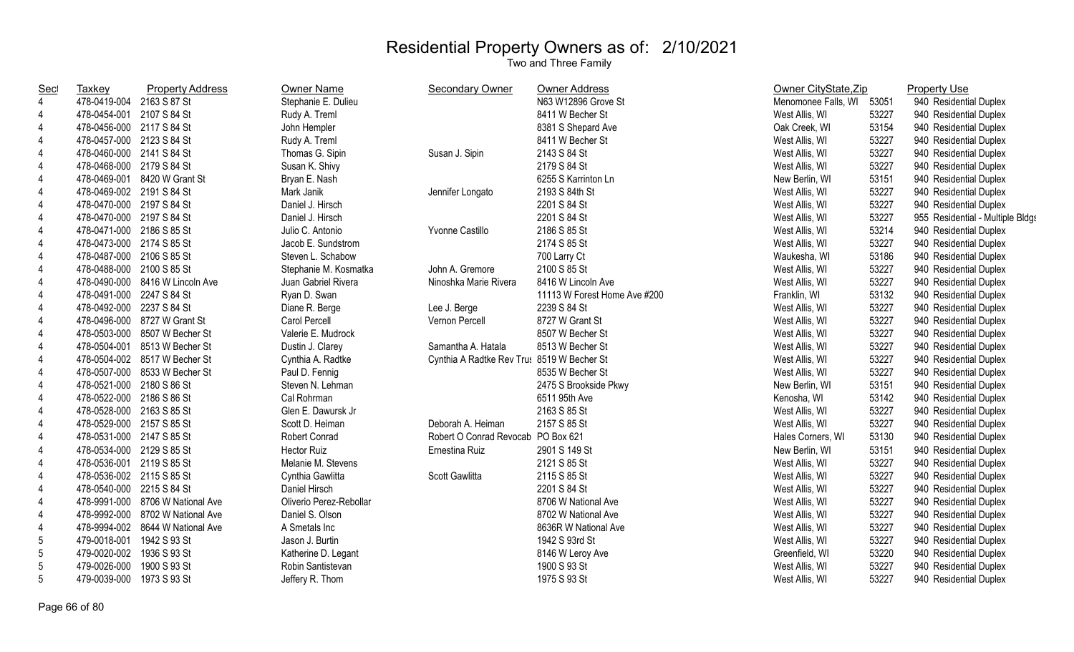| <u>Sec</u>     | <b>Taxkey</b>             | <b>Property Address</b>          | <b>Owner Name</b>       | Secondary Owner                            | <b>Owner Address</b>         | Owner CityState, Zip |       | <b>Property Use</b>              |
|----------------|---------------------------|----------------------------------|-------------------------|--------------------------------------------|------------------------------|----------------------|-------|----------------------------------|
| 4              | 478-0419-004 2163 S 87 St |                                  | Stephanie E. Dulieu     |                                            | N63 W12896 Grove St          | Menomonee Falls, WI  | 53051 | 940 Residential Duplex           |
| $\overline{4}$ | 478-0454-001 2107 S 84 St |                                  | Rudy A. Treml           |                                            | 8411 W Becher St             | West Allis, WI       | 53227 | 940 Residential Duplex           |
| $\overline{4}$ | 478-0456-000 2117 S 84 St |                                  | John Hempler            |                                            | 8381 S Shepard Ave           | Oak Creek, WI        | 53154 | 940 Residential Duplex           |
| $\overline{4}$ | 478-0457-000 2123 S 84 St |                                  | Rudy A. Treml           |                                            | 8411 W Becher St             | West Allis, WI       | 53227 | 940 Residential Duplex           |
| $\overline{4}$ | 478-0460-000 2141 S 84 St |                                  | Thomas G. Sipin         | Susan J. Sipin                             | 2143 S 84 St                 | West Allis, WI       | 53227 | 940 Residential Duplex           |
| 4              | 478-0468-000 2179 S 84 St |                                  | Susan K. Shivy          |                                            | 2179 S 84 St                 | West Allis, WI       | 53227 | 940 Residential Duplex           |
| 4              |                           | 478-0469-001 8420 W Grant St     | Bryan E. Nash           |                                            | 6255 S Karrinton Ln          | New Berlin, WI       | 53151 | 940 Residential Duplex           |
| 4              | 478-0469-002 2191 S 84 St |                                  | Mark Janik              | Jennifer Longato                           | 2193 S 84th St               | West Allis, WI       | 53227 | 940 Residential Duplex           |
| 4              | 478-0470-000 2197 S 84 St |                                  | Daniel J. Hirsch        |                                            | 2201 S 84 St                 | West Allis, WI       | 53227 | 940 Residential Duplex           |
| 4              | 478-0470-000 2197 S 84 St |                                  | Daniel J. Hirsch        |                                            | 2201 S 84 St                 | West Allis, WI       | 53227 | 955 Residential - Multiple Bldgs |
| 4              | 478-0471-000 2186 S 85 St |                                  | Julio C. Antonio        | Yvonne Castillo                            | 2186 S 85 St                 | West Allis, WI       | 53214 | 940 Residential Duplex           |
| 4              | 478-0473-000 2174 S 85 St |                                  | Jacob E. Sundstrom      |                                            | 2174 S 85 St                 | West Allis, WI       | 53227 | 940 Residential Duplex           |
| $\overline{4}$ | 478-0487-000 2106 S 85 St |                                  | Steven L. Schabow       |                                            | 700 Larry Ct                 | Waukesha, WI         | 53186 | 940 Residential Duplex           |
| $\overline{4}$ | 478-0488-000 2100 S 85 St |                                  | Stephanie M. Kosmatka   | John A. Gremore                            | 2100 S 85 St                 | West Allis, WI       | 53227 | 940 Residential Duplex           |
| 4              |                           | 478-0490-000 8416 W Lincoln Ave  | Juan Gabriel Rivera     | Ninoshka Marie Rivera                      | 8416 W Lincoln Ave           | West Allis, WI       | 53227 | 940 Residential Duplex           |
| $\overline{4}$ | 478-0491-000 2247 S 84 St |                                  | Ryan D. Swan            |                                            | 11113 W Forest Home Ave #200 | Franklin, WI         | 53132 | 940 Residential Duplex           |
| 4              | 478-0492-000 2237 S 84 St |                                  | Diane R. Berge          | Lee J. Berge                               | 2239 S 84 St                 | West Allis, WI       | 53227 | 940 Residential Duplex           |
| $\overline{4}$ |                           | 478-0496-000 8727 W Grant St     | Carol Percell           | Vernon Percell                             | 8727 W Grant St              | West Allis, WI       | 53227 | 940 Residential Duplex           |
| $\overline{4}$ |                           | 478-0503-000 8507 W Becher St    | Valerie E. Mudrock      |                                            | 8507 W Becher St             | West Allis, WI       | 53227 | 940 Residential Duplex           |
| $\overline{4}$ |                           | 478-0504-001 8513 W Becher St    | Dustin J. Clarey        | Samantha A. Hatala                         | 8513 W Becher St             | West Allis, WI       | 53227 | 940 Residential Duplex           |
| 4              |                           | 478-0504-002 8517 W Becher St    | Cynthia A. Radtke       | Cynthia A Radtke Rev Tru: 8519 W Becher St |                              | West Allis, WI       | 53227 | 940 Residential Duplex           |
| 4              |                           | 478-0507-000 8533 W Becher St    | Paul D. Fennig          |                                            | 8535 W Becher St             | West Allis, WI       | 53227 | 940 Residential Duplex           |
| $\overline{4}$ | 478-0521-000 2180 S 86 St |                                  | Steven N. Lehman        |                                            | 2475 S Brookside Pkwy        | New Berlin, WI       | 53151 | 940 Residential Duplex           |
| 4              | 478-0522-000 2186 S 86 St |                                  | Cal Rohrman             |                                            | 6511 95th Ave                | Kenosha, WI          | 53142 | 940 Residential Duplex           |
| 4              | 478-0528-000 2163 S 85 St |                                  | Glen E. Dawursk Jr      |                                            | 2163 S 85 St                 | West Allis, WI       | 53227 | 940 Residential Duplex           |
| 4              | 478-0529-000 2157 S 85 St |                                  | Scott D. Heiman         | Deborah A. Heiman                          | 2157 S 85 St                 | West Allis, WI       | 53227 | 940 Residential Duplex           |
| $\overline{4}$ | 478-0531-000 2147 S 85 St |                                  | Robert Conrad           | Robert O Conrad Revocab PO Box 621         |                              | Hales Corners, WI    | 53130 | 940 Residential Duplex           |
| 4              | 478-0534-000 2129 S 85 St |                                  | <b>Hector Ruiz</b>      | Ernestina Ruiz                             | 2901 S 149 St                | New Berlin, WI       | 53151 | 940 Residential Duplex           |
| $\overline{4}$ | 478-0536-001 2119 S 85 St |                                  | Melanie M. Stevens      |                                            | 2121 S 85 St                 | West Allis, WI       | 53227 | 940 Residential Duplex           |
| $\overline{4}$ | 478-0536-002 2115 S 85 St |                                  | Cynthia Gawlitta        | Scott Gawlitta                             | 2115 S 85 St                 | West Allis, WI       | 53227 | 940 Residential Duplex           |
| $\overline{4}$ | 478-0540-000 2215 S 84 St |                                  | Daniel Hirsch           |                                            | 2201 S 84 St                 | West Allis, WI       | 53227 | 940 Residential Duplex           |
| $\overline{4}$ |                           | 478-9991-000 8706 W National Ave | Oliverio Perez-Rebollar |                                            | 8706 W National Ave          | West Allis, WI       | 53227 | 940 Residential Duplex           |
| $\overline{4}$ |                           | 478-9992-000 8702 W National Ave | Daniel S. Olson         |                                            | 8702 W National Ave          | West Allis, WI       | 53227 | 940 Residential Duplex           |
| 4              |                           | 478-9994-002 8644 W National Ave | A Smetals Inc           |                                            | 8636R W National Ave         | West Allis, WI       | 53227 | 940 Residential Duplex           |
| 5              | 479-0018-001              | 1942 S 93 St                     | Jason J. Burtin         |                                            | 1942 S 93rd St               | West Allis, WI       | 53227 | 940 Residential Duplex           |
| 5              | 479-0020-002              | 1936 S 93 St                     | Katherine D. Legant     |                                            | 8146 W Leroy Ave             | Greenfield, WI       | 53220 | 940 Residential Duplex           |
| 5              | 479-0026-000              | 1900 S 93 St                     | Robin Santistevan       |                                            | 1900 S 93 St                 | West Allis, WI       | 53227 | 940 Residential Duplex           |
| 5              | 479-0039-000 1973 S 93 St |                                  | Jeffery R. Thom         |                                            | 1975 S 93 St                 | West Allis, WI       | 53227 | 940 Residential Duplex           |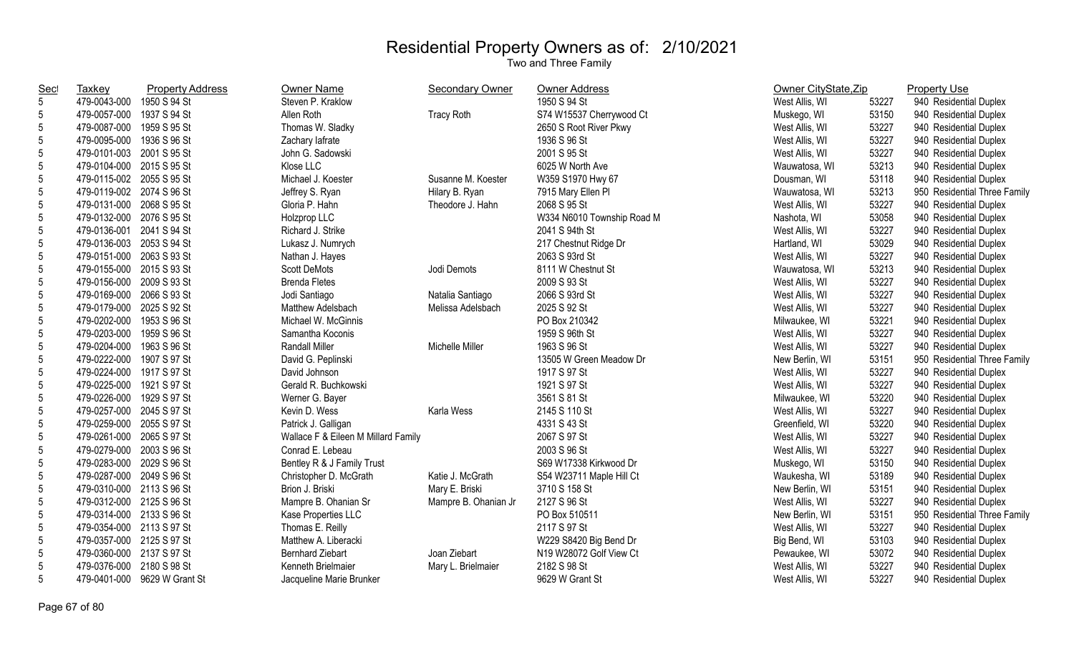| Taxkey       | <b>Property Address</b> | Owner Name                                                                                                                                                                                                                                                                                                                                                                                                                                                                                                                                                                                                                                                                                                                                                                                                                                                                                                                                                                                                                                                                                | <b>Secondary Owner</b> | <b>Owner Address</b>       |                |       | <b>Property Use</b>          |
|--------------|-------------------------|-------------------------------------------------------------------------------------------------------------------------------------------------------------------------------------------------------------------------------------------------------------------------------------------------------------------------------------------------------------------------------------------------------------------------------------------------------------------------------------------------------------------------------------------------------------------------------------------------------------------------------------------------------------------------------------------------------------------------------------------------------------------------------------------------------------------------------------------------------------------------------------------------------------------------------------------------------------------------------------------------------------------------------------------------------------------------------------------|------------------------|----------------------------|----------------|-------|------------------------------|
| 479-0043-000 |                         | Steven P. Kraklow                                                                                                                                                                                                                                                                                                                                                                                                                                                                                                                                                                                                                                                                                                                                                                                                                                                                                                                                                                                                                                                                         |                        | 1950 S 94 St               | West Allis, WI | 53227 | 940 Residential Duplex       |
|              |                         | Allen Roth                                                                                                                                                                                                                                                                                                                                                                                                                                                                                                                                                                                                                                                                                                                                                                                                                                                                                                                                                                                                                                                                                | <b>Tracy Roth</b>      | S74 W15537 Cherrywood Ct   | Muskego, WI    | 53150 | 940 Residential Duplex       |
|              |                         | Thomas W. Sladky                                                                                                                                                                                                                                                                                                                                                                                                                                                                                                                                                                                                                                                                                                                                                                                                                                                                                                                                                                                                                                                                          |                        | 2650 S Root River Pkwy     | West Allis, WI | 53227 | 940 Residential Duplex       |
|              |                         | Zachary lafrate                                                                                                                                                                                                                                                                                                                                                                                                                                                                                                                                                                                                                                                                                                                                                                                                                                                                                                                                                                                                                                                                           |                        | 1936 S 96 St               | West Allis, WI | 53227 | 940 Residential Duplex       |
|              |                         | John G. Sadowski                                                                                                                                                                                                                                                                                                                                                                                                                                                                                                                                                                                                                                                                                                                                                                                                                                                                                                                                                                                                                                                                          |                        | 2001 S 95 St               | West Allis, WI | 53227 | 940 Residential Duplex       |
|              |                         | Klose LLC                                                                                                                                                                                                                                                                                                                                                                                                                                                                                                                                                                                                                                                                                                                                                                                                                                                                                                                                                                                                                                                                                 |                        | 6025 W North Ave           | Wauwatosa, WI  | 53213 | 940 Residential Duplex       |
|              |                         | Michael J. Koester                                                                                                                                                                                                                                                                                                                                                                                                                                                                                                                                                                                                                                                                                                                                                                                                                                                                                                                                                                                                                                                                        | Susanne M. Koester     | W359 S1970 Hwy 67          | Dousman, WI    | 53118 | 940 Residential Duplex       |
|              |                         | Jeffrey S. Ryan                                                                                                                                                                                                                                                                                                                                                                                                                                                                                                                                                                                                                                                                                                                                                                                                                                                                                                                                                                                                                                                                           | Hilary B. Ryan         | 7915 Mary Ellen Pl         | Wauwatosa, WI  | 53213 | 950 Residential Three Family |
|              |                         | Gloria P. Hahn                                                                                                                                                                                                                                                                                                                                                                                                                                                                                                                                                                                                                                                                                                                                                                                                                                                                                                                                                                                                                                                                            | Theodore J. Hahn       | 2068 S 95 St               | West Allis, WI | 53227 | 940 Residential Duplex       |
|              |                         | Holzprop LLC                                                                                                                                                                                                                                                                                                                                                                                                                                                                                                                                                                                                                                                                                                                                                                                                                                                                                                                                                                                                                                                                              |                        | W334 N6010 Township Road M | Nashota, WI    | 53058 | 940 Residential Duplex       |
|              |                         | Richard J. Strike                                                                                                                                                                                                                                                                                                                                                                                                                                                                                                                                                                                                                                                                                                                                                                                                                                                                                                                                                                                                                                                                         |                        | 2041 S 94th St             | West Allis, WI | 53227 | 940 Residential Duplex       |
|              |                         | Lukasz J. Numrych                                                                                                                                                                                                                                                                                                                                                                                                                                                                                                                                                                                                                                                                                                                                                                                                                                                                                                                                                                                                                                                                         |                        | 217 Chestnut Ridge Dr      | Hartland, WI   | 53029 | 940 Residential Duplex       |
|              |                         | Nathan J. Hayes                                                                                                                                                                                                                                                                                                                                                                                                                                                                                                                                                                                                                                                                                                                                                                                                                                                                                                                                                                                                                                                                           |                        | 2063 S 93rd St             | West Allis, WI | 53227 | 940 Residential Duplex       |
|              |                         | <b>Scott DeMots</b>                                                                                                                                                                                                                                                                                                                                                                                                                                                                                                                                                                                                                                                                                                                                                                                                                                                                                                                                                                                                                                                                       | Jodi Demots            | 8111 W Chestnut St         | Wauwatosa, WI  | 53213 | 940 Residential Duplex       |
|              |                         | <b>Brenda Fletes</b>                                                                                                                                                                                                                                                                                                                                                                                                                                                                                                                                                                                                                                                                                                                                                                                                                                                                                                                                                                                                                                                                      |                        | 2009 S 93 St               | West Allis, WI | 53227 | 940 Residential Duplex       |
|              |                         | Jodi Santiago                                                                                                                                                                                                                                                                                                                                                                                                                                                                                                                                                                                                                                                                                                                                                                                                                                                                                                                                                                                                                                                                             | Natalia Santiago       | 2066 S 93rd St             | West Allis, WI | 53227 | 940 Residential Duplex       |
|              |                         | Matthew Adelsbach                                                                                                                                                                                                                                                                                                                                                                                                                                                                                                                                                                                                                                                                                                                                                                                                                                                                                                                                                                                                                                                                         | Melissa Adelsbach      | 2025 S 92 St               | West Allis, WI | 53227 | 940 Residential Duplex       |
|              |                         | Michael W. McGinnis                                                                                                                                                                                                                                                                                                                                                                                                                                                                                                                                                                                                                                                                                                                                                                                                                                                                                                                                                                                                                                                                       |                        | PO Box 210342              | Milwaukee, WI  | 53221 | 940 Residential Duplex       |
| 479-0203-000 |                         | Samantha Koconis                                                                                                                                                                                                                                                                                                                                                                                                                                                                                                                                                                                                                                                                                                                                                                                                                                                                                                                                                                                                                                                                          |                        | 1959 S 96th St             | West Allis, WI | 53227 | 940 Residential Duplex       |
| 479-0204-000 |                         | <b>Randall Miller</b>                                                                                                                                                                                                                                                                                                                                                                                                                                                                                                                                                                                                                                                                                                                                                                                                                                                                                                                                                                                                                                                                     | Michelle Miller        | 1963 S 96 St               | West Allis, WI | 53227 | 940 Residential Duplex       |
|              |                         | David G. Peplinski                                                                                                                                                                                                                                                                                                                                                                                                                                                                                                                                                                                                                                                                                                                                                                                                                                                                                                                                                                                                                                                                        |                        | 13505 W Green Meadow Dr    | New Berlin, WI | 53151 | 950 Residential Three Family |
|              |                         | David Johnson                                                                                                                                                                                                                                                                                                                                                                                                                                                                                                                                                                                                                                                                                                                                                                                                                                                                                                                                                                                                                                                                             |                        | 1917 S 97 St               | West Allis, WI | 53227 | 940 Residential Duplex       |
|              |                         | Gerald R. Buchkowski                                                                                                                                                                                                                                                                                                                                                                                                                                                                                                                                                                                                                                                                                                                                                                                                                                                                                                                                                                                                                                                                      |                        | 1921 S 97 St               | West Allis, WI | 53227 | 940 Residential Duplex       |
|              |                         | Werner G. Bayer                                                                                                                                                                                                                                                                                                                                                                                                                                                                                                                                                                                                                                                                                                                                                                                                                                                                                                                                                                                                                                                                           |                        | 3561 S 81 St               | Milwaukee, WI  | 53220 | 940 Residential Duplex       |
|              |                         | Kevin D. Wess                                                                                                                                                                                                                                                                                                                                                                                                                                                                                                                                                                                                                                                                                                                                                                                                                                                                                                                                                                                                                                                                             | Karla Wess             | 2145 S 110 St              | West Allis, WI | 53227 | 940 Residential Duplex       |
|              |                         | Patrick J. Galligan                                                                                                                                                                                                                                                                                                                                                                                                                                                                                                                                                                                                                                                                                                                                                                                                                                                                                                                                                                                                                                                                       |                        | 4331 S 43 St               | Greenfield, WI | 53220 | 940 Residential Duplex       |
|              |                         | Wallace F & Eileen M Millard Family                                                                                                                                                                                                                                                                                                                                                                                                                                                                                                                                                                                                                                                                                                                                                                                                                                                                                                                                                                                                                                                       |                        | 2067 S 97 St               | West Allis, WI | 53227 | 940 Residential Duplex       |
|              |                         | Conrad E. Lebeau                                                                                                                                                                                                                                                                                                                                                                                                                                                                                                                                                                                                                                                                                                                                                                                                                                                                                                                                                                                                                                                                          |                        | 2003 S 96 St               | West Allis, WI | 53227 | 940 Residential Duplex       |
|              |                         | Bentley R & J Family Trust                                                                                                                                                                                                                                                                                                                                                                                                                                                                                                                                                                                                                                                                                                                                                                                                                                                                                                                                                                                                                                                                |                        | S69 W17338 Kirkwood Dr     | Muskego, WI    | 53150 | 940 Residential Duplex       |
|              |                         | Christopher D. McGrath                                                                                                                                                                                                                                                                                                                                                                                                                                                                                                                                                                                                                                                                                                                                                                                                                                                                                                                                                                                                                                                                    | Katie J. McGrath       | S54 W23711 Maple Hill Ct   | Waukesha, WI   | 53189 | 940 Residential Duplex       |
|              |                         | Brion J. Briski                                                                                                                                                                                                                                                                                                                                                                                                                                                                                                                                                                                                                                                                                                                                                                                                                                                                                                                                                                                                                                                                           | Mary E. Briski         | 3710 S 158 St              | New Berlin, WI | 53151 | 940 Residential Duplex       |
|              |                         | Mampre B. Ohanian Sr                                                                                                                                                                                                                                                                                                                                                                                                                                                                                                                                                                                                                                                                                                                                                                                                                                                                                                                                                                                                                                                                      | Mampre B. Ohanian Jr   | 2127 S 96 St               | West Allis, WI | 53227 | 940 Residential Duplex       |
|              |                         | Kase Properties LLC                                                                                                                                                                                                                                                                                                                                                                                                                                                                                                                                                                                                                                                                                                                                                                                                                                                                                                                                                                                                                                                                       |                        | PO Box 510511              | New Berlin, WI | 53151 | 950 Residential Three Family |
|              |                         | Thomas E. Reilly                                                                                                                                                                                                                                                                                                                                                                                                                                                                                                                                                                                                                                                                                                                                                                                                                                                                                                                                                                                                                                                                          |                        | 2117 S 97 St               | West Allis, WI | 53227 | 940 Residential Duplex       |
|              |                         | Matthew A. Liberacki                                                                                                                                                                                                                                                                                                                                                                                                                                                                                                                                                                                                                                                                                                                                                                                                                                                                                                                                                                                                                                                                      |                        | W229 S8420 Big Bend Dr     | Big Bend, WI   | 53103 | 940 Residential Duplex       |
|              |                         | <b>Bernhard Ziebart</b>                                                                                                                                                                                                                                                                                                                                                                                                                                                                                                                                                                                                                                                                                                                                                                                                                                                                                                                                                                                                                                                                   | Joan Ziebart           | N19 W28072 Golf View Ct    | Pewaukee, WI   | 53072 | 940 Residential Duplex       |
| 479-0376-000 |                         | Kenneth Brielmaier                                                                                                                                                                                                                                                                                                                                                                                                                                                                                                                                                                                                                                                                                                                                                                                                                                                                                                                                                                                                                                                                        | Mary L. Brielmaier     | 2182 S 98 St               | West Allis, WI | 53227 | 940 Residential Duplex       |
|              |                         | Jacqueline Marie Brunker                                                                                                                                                                                                                                                                                                                                                                                                                                                                                                                                                                                                                                                                                                                                                                                                                                                                                                                                                                                                                                                                  |                        | 9629 W Grant St            | West Allis, WI | 53227 | 940 Residential Duplex       |
|              |                         | 1950 S 94 St<br>479-0057-000 1937 S 94 St<br>479-0087-000 1959 S 95 St<br>479-0095-000 1936 S 96 St<br>479-0101-003 2001 S 95 St<br>479-0104-000 2015 S 95 St<br>479-0115-002 2055 S 95 St<br>479-0119-002 2074 S 96 St<br>479-0131-000 2068 S 95 St<br>479-0132-000 2076 S 95 St<br>479-0136-001 2041 S 94 St<br>479-0136-003 2053 S 94 St<br>479-0151-000 2063 S 93 St<br>479-0155-000 2015 S 93 St<br>479-0156-000 2009 S 93 St<br>479-0169-000 2066 S 93 St<br>479-0179-000 2025 S 92 St<br>479-0202-000 1953 S 96 St<br>1959 S 96 St<br>1963 S 96 St<br>479-0222-000 1907 S 97 St<br>479-0224-000 1917 S 97 St<br>479-0225-000 1921 S 97 St<br>479-0226-000 1929 S 97 St<br>479-0257-000 2045 S 97 St<br>479-0259-000 2055 S 97 St<br>479-0261-000 2065 S 97 St<br>479-0279-000 2003 S 96 St<br>479-0283-000 2029 S 96 St<br>479-0287-000 2049 S 96 St<br>479-0310-000 2113 S 96 St<br>479-0312-000 2125 S 96 St<br>479-0314-000 2133 S 96 St<br>479-0354-000 2113 S 97 St<br>479-0357-000 2125 S 97 St<br>479-0360-000 2137 S 97 St<br>2180 S 98 St<br>479-0401-000 9629 W Grant St |                        |                            |                |       | Owner CityState, Zip         |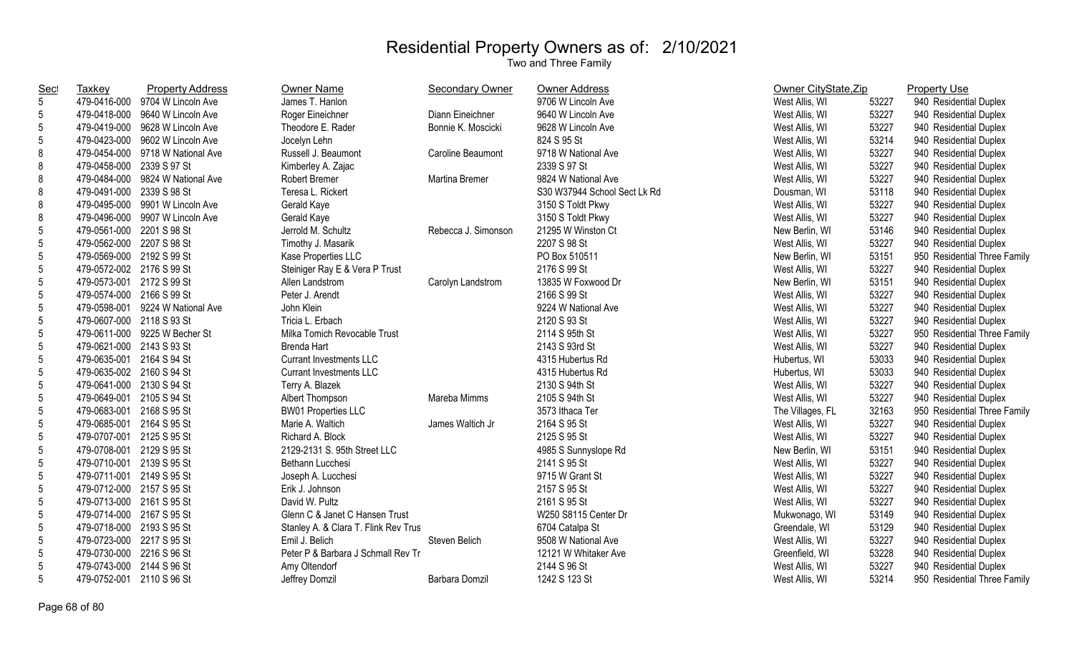| <u>Sec</u>      | <b>Taxkey</b>             | <b>Property Address</b>          | Owner Name                           | <b>Secondary Owner</b> | <b>Owner Address</b>         | Owner CityState, Zip |       | <b>Property Use</b>          |
|-----------------|---------------------------|----------------------------------|--------------------------------------|------------------------|------------------------------|----------------------|-------|------------------------------|
| $5\phantom{.0}$ |                           | 479-0416-000 9704 W Lincoln Ave  | James T. Hanlon                      |                        | 9706 W Lincoln Ave           | West Allis, WI       | 53227 | 940 Residential Duplex       |
| 5               |                           | 479-0418-000 9640 W Lincoln Ave  | Roger Eineichner                     | Diann Eineichner       | 9640 W Lincoln Ave           | West Allis, WI       | 53227 | 940 Residential Duplex       |
| 5               |                           | 479-0419-000 9628 W Lincoln Ave  | Theodore E. Rader                    | Bonnie K. Moscicki     | 9628 W Lincoln Ave           | West Allis, WI       | 53227 | 940 Residential Duplex       |
| 5               |                           | 479-0423-000 9602 W Lincoln Ave  | Jocelyn Lehn                         |                        | 824 S 95 St                  | West Allis, WI       | 53214 | 940 Residential Duplex       |
| 8               |                           | 479-0454-000 9718 W National Ave | Russell J. Beaumont                  | Caroline Beaumont      | 9718 W National Ave          | West Allis, WI       | 53227 | 940 Residential Duplex       |
| 8               | 479-0458-000 2339 S 97 St |                                  | Kimberley A. Zajac                   |                        | 2339 S 97 St                 | West Allis, WI       | 53227 | 940 Residential Duplex       |
| 8               |                           | 479-0484-000 9824 W National Ave | <b>Robert Bremer</b>                 | Martina Bremer         | 9824 W National Ave          | West Allis, WI       | 53227 | 940 Residential Duplex       |
| 8               | 479-0491-000 2339 S 98 St |                                  | Teresa L. Rickert                    |                        | S30 W37944 School Sect Lk Rd | Dousman, WI          | 53118 | 940 Residential Duplex       |
| 8               |                           | 479-0495-000 9901 W Lincoln Ave  | Gerald Kaye                          |                        | 3150 S Toldt Pkwy            | West Allis, WI       | 53227 | 940 Residential Duplex       |
| 8               |                           | 479-0496-000 9907 W Lincoln Ave  | Gerald Kaye                          |                        | 3150 S Toldt Pkwy            | West Allis, WI       | 53227 | 940 Residential Duplex       |
| 5               | 479-0561-000 2201 S 98 St |                                  | Jerrold M. Schultz                   | Rebecca J. Simonson    | 21295 W Winston Ct           | New Berlin, WI       | 53146 | 940 Residential Duplex       |
| 5               | 479-0562-000 2207 S 98 St |                                  | Timothy J. Masarik                   |                        | 2207 S 98 St                 | West Allis, WI       | 53227 | 940 Residential Duplex       |
| 5               | 479-0569-000 2192 S 99 St |                                  | Kase Properties LLC                  |                        | PO Box 510511                | New Berlin, WI       | 53151 | 950 Residential Three Family |
| 5               | 479-0572-002 2176 S 99 St |                                  | Steiniger Ray E & Vera P Trust       |                        | 2176 S 99 St                 | West Allis, WI       | 53227 | 940 Residential Duplex       |
| 5               | 479-0573-001 2172 S 99 St |                                  | Allen Landstrom                      | Carolyn Landstrom      | 13835 W Foxwood Dr           | New Berlin, WI       | 53151 | 940 Residential Duplex       |
| 5               | 479-0574-000 2166 S 99 St |                                  | Peter J. Arendt                      |                        | 2166 S 99 St                 | West Allis, WI       | 53227 | 940 Residential Duplex       |
| 5               |                           | 479-0598-001 9224 W National Ave | John Klein                           |                        | 9224 W National Ave          | West Allis, WI       | 53227 | 940 Residential Duplex       |
| 5               | 479-0607-000 2118 S 93 St |                                  | Tricia L. Erbach                     |                        | 2120 S 93 St                 | West Allis, WI       | 53227 | 940 Residential Duplex       |
| 5               |                           | 479-0611-000 9225 W Becher St    | Milka Tomich Revocable Trust         |                        | 2114 S 95th St               | West Allis, WI       | 53227 | 950 Residential Three Family |
| 5               | 479-0621-000 2143 S 93 St |                                  | <b>Brenda Hart</b>                   |                        | 2143 S 93rd St               | West Allis, WI       | 53227 | 940 Residential Duplex       |
| 5               | 479-0635-001 2164 S 94 St |                                  | <b>Currant Investments LLC</b>       |                        | 4315 Hubertus Rd             | Hubertus, WI         | 53033 | 940 Residential Duplex       |
| 5               | 479-0635-002 2160 S 94 St |                                  | <b>Currant Investments LLC</b>       |                        | 4315 Hubertus Rd             | Hubertus, WI         | 53033 | 940 Residential Duplex       |
| 5               | 479-0641-000 2130 S 94 St |                                  | Terry A. Blazek                      |                        | 2130 S 94th St               | West Allis, WI       | 53227 | 940 Residential Duplex       |
| 5               | 479-0649-001 2105 S 94 St |                                  | Albert Thompson                      | Mareba Mimms           | 2105 S 94th St               | West Allis, WI       | 53227 | 940 Residential Duplex       |
| 5               | 479-0683-001 2168 S 95 St |                                  | <b>BW01 Properties LLC</b>           |                        | 3573 Ithaca Ter              | The Villages, FL     | 32163 | 950 Residential Three Family |
| 5               | 479-0685-001 2164 S 95 St |                                  | Marie A. Waltich                     | James Waltich Jr       | 2164 S 95 St                 | West Allis, WI       | 53227 | 940 Residential Duplex       |
| 5               | 479-0707-001 2125 S 95 St |                                  | Richard A. Block                     |                        | 2125 S 95 St                 | West Allis, WI       | 53227 | 940 Residential Duplex       |
| 5               | 479-0708-001 2129 S 95 St |                                  | 2129-2131 S. 95th Street LLC         |                        | 4985 S Sunnyslope Rd         | New Berlin, WI       | 53151 | 940 Residential Duplex       |
| 5               | 479-0710-001 2139 S 95 St |                                  | Bethann Lucchesi                     |                        | 2141 S 95 St                 | West Allis, WI       | 53227 | 940 Residential Duplex       |
| 5               | 479-0711-001 2149 S 95 St |                                  | Joseph A. Lucchesi                   |                        | 9715 W Grant St              | West Allis, WI       | 53227 | 940 Residential Duplex       |
| 5               | 479-0712-000 2157 S 95 St |                                  | Erik J. Johnson                      |                        | 2157 S 95 St                 | West Allis, WI       | 53227 | 940 Residential Duplex       |
| 5               | 479-0713-000 2161 S 95 St |                                  | David W. Pultz                       |                        | 2161 S 95 St                 | West Allis, WI       | 53227 | 940 Residential Duplex       |
| 5               | 479-0714-000 2167 S 95 St |                                  | Glenn C & Janet C Hansen Trust       |                        | W250 S8115 Center Dr         | Mukwonago, WI        | 53149 | 940 Residential Duplex       |
| 5               | 479-0718-000 2193 S 95 St |                                  | Stanley A. & Clara T. Flink Rev Trus |                        | 6704 Catalpa St              | Greendale, WI        | 53129 | 940 Residential Duplex       |
| 5               | 479-0723-000 2217 S 95 St |                                  | Emil J. Belich                       | Steven Belich          | 9508 W National Ave          | West Allis, WI       | 53227 | 940 Residential Duplex       |
| 5               | 479-0730-000 2216 S 96 St |                                  | Peter P & Barbara J Schmall Rev Tr   |                        | 12121 W Whitaker Ave         | Greenfield, WI       | 53228 | 940 Residential Duplex       |
| 5               | 479-0743-000 2144 S 96 St |                                  | Amy Oltendorf                        |                        | 2144 S 96 St                 | West Allis, WI       | 53227 | 940 Residential Duplex       |
| 5               | 479-0752-001 2110 S 96 St |                                  | Jeffrey Domzil                       | Barbara Domzil         | 1242 S 123 St                | West Allis, WI       | 53214 | 950 Residential Three Family |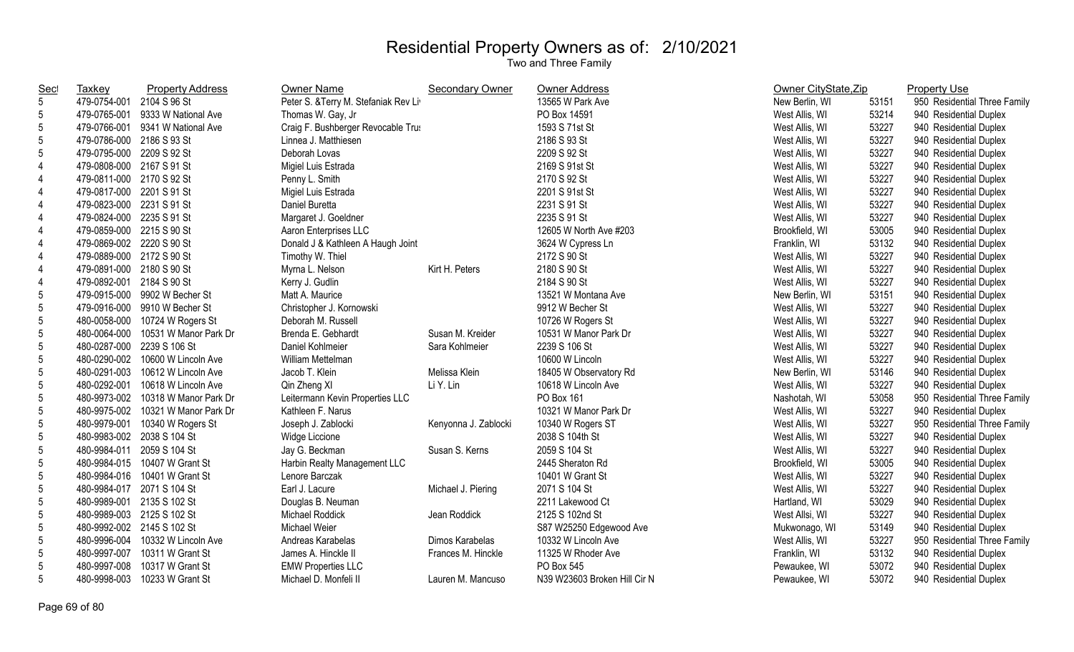| <b>Sec</b>     | Taxkey                     | <b>Property Address</b>          | <b>Owner Name</b>                    | <b>Secondary Owner</b> | Owner Address                | Owner CityState, Zip |       | <b>Property Use</b>          |
|----------------|----------------------------|----------------------------------|--------------------------------------|------------------------|------------------------------|----------------------|-------|------------------------------|
| 5              | 479-0754-001               | 2104 S 96 St                     | Peter S. & Terry M. Stefaniak Rev Li |                        | 13565 W Park Ave             | New Berlin, WI       | 53151 | 950 Residential Three Family |
| 5              | 479-0765-001               | 9333 W National Ave              | Thomas W. Gay, Jr                    |                        | PO Box 14591                 | West Allis, WI       | 53214 | 940 Residential Duplex       |
| $5\,$          |                            | 479-0766-001 9341 W National Ave | Craig F. Bushberger Revocable Trus   |                        | 1593 S 71st St               | West Allis, WI       | 53227 | 940 Residential Duplex       |
| 5              | 479-0786-000 2186 S 93 St  |                                  | Linnea J. Matthiesen                 |                        | 2186 S 93 St                 | West Allis, WI       | 53227 | 940 Residential Duplex       |
| 5              | 479-0795-000 2209 S 92 St  |                                  | Deborah Lovas                        |                        | 2209 S 92 St                 | West Allis, WI       | 53227 | 940 Residential Duplex       |
| 4              | 479-0808-000 2167 S 91 St  |                                  | Migiel Luis Estrada                  |                        | 2169 S 91st St               | West Allis, WI       | 53227 | 940 Residential Duplex       |
| 4              | 479-0811-000 2170 S 92 St  |                                  | Penny L. Smith                       |                        | 2170 S 92 St                 | West Allis, WI       | 53227 | 940 Residential Duplex       |
| 4              | 479-0817-000 2201 S 91 St  |                                  | Migiel Luis Estrada                  |                        | 2201 S 91st St               | West Allis, WI       | 53227 | 940 Residential Duplex       |
| $\overline{4}$ | 479-0823-000 2231 S 91 St  |                                  | Daniel Buretta                       |                        | 2231 S 91 St                 | West Allis, WI       | 53227 | 940 Residential Duplex       |
| 4              | 479-0824-000 2235 S 91 St  |                                  | Margaret J. Goeldner                 |                        | 2235 S 91 St                 | West Allis, WI       | 53227 | 940 Residential Duplex       |
| 4              | 479-0859-000 2215 S 90 St  |                                  | Aaron Enterprises LLC                |                        | 12605 W North Ave #203       | Brookfield, WI       | 53005 | 940 Residential Duplex       |
| $\overline{4}$ | 479-0869-002 2220 S 90 St  |                                  | Donald J & Kathleen A Haugh Joint    |                        | 3624 W Cypress Ln            | Franklin, WI         | 53132 | 940 Residential Duplex       |
| $\overline{4}$ | 479-0889-000 2172 S 90 St  |                                  | Timothy W. Thiel                     |                        | 2172 S 90 St                 | West Allis, WI       | 53227 | 940 Residential Duplex       |
| $\overline{4}$ | 479-0891-000 2180 S 90 St  |                                  | Myrna L. Nelson                      | Kirt H. Peters         | 2180 S 90 St                 | West Allis, WI       | 53227 | 940 Residential Duplex       |
| $\overline{4}$ | 479-0892-001 2184 S 90 St  |                                  | Kerry J. Gudlin                      |                        | 2184 S 90 St                 | West Allis, WI       | 53227 | 940 Residential Duplex       |
| 5              |                            | 479-0915-000 9902 W Becher St    | Matt A. Maurice                      |                        | 13521 W Montana Ave          | New Berlin, WI       | 53151 | 940 Residential Duplex       |
| 5              |                            | 479-0916-000 9910 W Becher St    | Christopher J. Kornowski             |                        | 9912 W Becher St             | West Allis, WI       | 53227 | 940 Residential Duplex       |
| 5              | 480-0058-000               | 10724 W Rogers St                | Deborah M. Russell                   |                        | 10726 W Rogers St            | West Allis, WI       | 53227 | 940 Residential Duplex       |
| $5\,$          | 480-0064-000               | 10531 W Manor Park Dr            | Brenda E. Gebhardt                   | Susan M. Kreider       | 10531 W Manor Park Dr        | West Allis, WI       | 53227 | 940 Residential Duplex       |
| 5              | 480-0287-000 2239 S 106 St |                                  | Daniel Kohlmeier                     | Sara Kohlmeier         | 2239 S 106 St                | West Allis, WI       | 53227 | 940 Residential Duplex       |
| $5\,$          |                            | 480-0290-002 10600 W Lincoln Ave | William Mettelman                    |                        | 10600 W Lincoln              | West Allis, WI       | 53227 | 940 Residential Duplex       |
| $5\,$          | 480-0291-003               | 10612 W Lincoln Ave              | Jacob T. Klein                       | Melissa Klein          | 18405 W Observatory Rd       | New Berlin, WI       | 53146 | 940 Residential Duplex       |
| $\overline{5}$ | 480-0292-001               | 10618 W Lincoln Ave              | Qin Zheng XI                         | Li Y. Lin              | 10618 W Lincoln Ave          | West Allis, WI       | 53227 | 940 Residential Duplex       |
| 5              | 480-9973-002               | 10318 W Manor Park Dr            | Leitermann Kevin Properties LLC      |                        | PO Box 161                   | Nashotah, WI         | 53058 | 950 Residential Three Family |
| 5              | 480-9975-002               | 10321 W Manor Park Dr            | Kathleen F. Narus                    |                        | 10321 W Manor Park Dr        | West Allis, WI       | 53227 | 940 Residential Duplex       |
| 5              | 480-9979-001               | 10340 W Rogers St                | Joseph J. Zablocki                   | Kenyonna J. Zablocki   | 10340 W Rogers ST            | West Allis, WI       | 53227 | 950 Residential Three Family |
| 5              | 480-9983-002 2038 S 104 St |                                  | Widge Liccione                       |                        | 2038 S 104th St              | West Allis, WI       | 53227 | 940 Residential Duplex       |
| $5\,$          | 480-9984-011 2059 S 104 St |                                  | Jay G. Beckman                       | Susan S. Kerns         | 2059 S 104 St                | West Allis, WI       | 53227 | 940 Residential Duplex       |
| $5\,$          |                            | 480-9984-015 10407 W Grant St    | Harbin Realty Management LLC         |                        | 2445 Sheraton Rd             | Brookfield, WI       | 53005 | 940 Residential Duplex       |
| 5              |                            | 480-9984-016 10401 W Grant St    | Lenore Barczak                       |                        | 10401 W Grant St             | West Allis, WI       | 53227 | 940 Residential Duplex       |
| $5\,$          | 480-9984-017               | 2071 S 104 St                    | Earl J. Lacure                       | Michael J. Piering     | 2071 S 104 St                | West Allis, WI       | 53227 | 940 Residential Duplex       |
| 5              | 480-9989-001               | 2135 S 102 St                    | Douglas B. Neuman                    |                        | 2211 Lakewood Ct             | Hartland, WI         | 53029 | 940 Residential Duplex       |
| $5\,$          | 480-9989-003 2125 S 102 St |                                  | Michael Roddick                      | Jean Roddick           | 2125 S 102nd St              | West Allsi, WI       | 53227 | 940 Residential Duplex       |
| $5\,$          | 480-9992-002 2145 S 102 St |                                  | Michael Weier                        |                        | S87 W25250 Edgewood Ave      | Mukwonago, WI        | 53149 | 940 Residential Duplex       |
| 5              | 480-9996-004               | 10332 W Lincoln Ave              | Andreas Karabelas                    | Dimos Karabelas        | 10332 W Lincoln Ave          | West Allis, WI       | 53227 | 950 Residential Three Family |
| 5              | 480-9997-007               | 10311 W Grant St                 | James A. Hinckle II                  | Frances M. Hinckle     | 11325 W Rhoder Ave           | Franklin, WI         | 53132 | 940 Residential Duplex       |
| 5              | 480-9997-008               | 10317 W Grant St                 | <b>EMW Properties LLC</b>            |                        | PO Box 545                   | Pewaukee, WI         | 53072 | 940 Residential Duplex       |
| 5              | 480-9998-003               | 10233 W Grant St                 | Michael D. Monfeli II                | Lauren M. Mancuso      | N39 W23603 Broken Hill Cir N | Pewaukee, WI         | 53072 | 940 Residential Duplex       |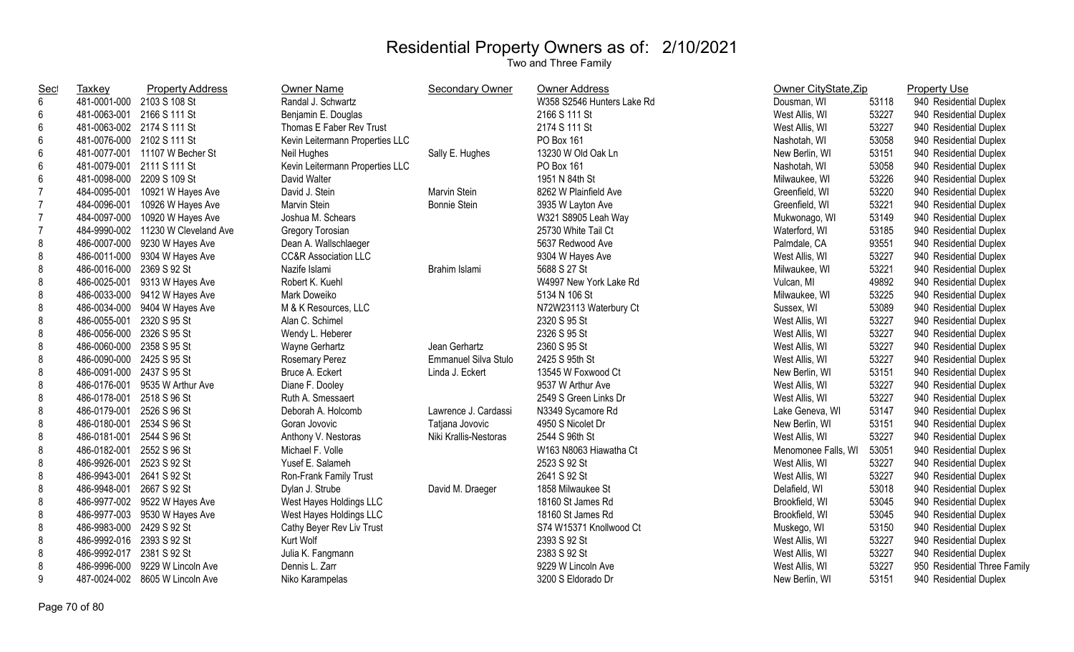| <b>Sec</b>      | <b>Taxkey</b>              | <b>Property Address</b>            | Owner Name                      | Secondary Owner       | <b>Owner Address</b>       | Owner CityState, Zip |       | <b>Property Use</b>          |
|-----------------|----------------------------|------------------------------------|---------------------------------|-----------------------|----------------------------|----------------------|-------|------------------------------|
| $6\phantom{a}$  |                            | 481-0001-000 2103 S 108 St         | Randal J. Schwartz              |                       | W358 S2546 Hunters Lake Rd | Dousman, WI          | 53118 | 940 Residential Duplex       |
| 6               |                            | 481-0063-001 2166 S 111 St         | Benjamin E. Douglas             |                       | 2166 S 111 St              | West Allis, WI       | 53227 | 940 Residential Duplex       |
| 6               |                            | 481-0063-002 2174 S 111 St         | Thomas E Faber Rev Trust        |                       | 2174 S 111 St              | West Allis, WI       | 53227 | 940 Residential Duplex       |
| $6\phantom{1}6$ |                            | 481-0076-000 2102 S 111 St         | Kevin Leitermann Properties LLC |                       | PO Box 161                 | Nashotah, WI         | 53058 | 940 Residential Duplex       |
| 6               |                            | 481-0077-001 11107 W Becher St     | Neil Hughes                     | Sally E. Hughes       | 13230 W Old Oak Ln         | New Berlin, WI       | 53151 | 940 Residential Duplex       |
| 6               | 481-0079-001 2111 S 111 St |                                    | Kevin Leitermann Properties LLC |                       | PO Box 161                 | Nashotah, WI         | 53058 | 940 Residential Duplex       |
| 6               | 481-0098-000 2209 S 109 St |                                    | David Walter                    |                       | 1951 N 84th St             | Milwaukee, WI        | 53226 | 940 Residential Duplex       |
| $\overline{7}$  | 484-0095-001               | 10921 W Hayes Ave                  | David J. Stein                  | Marvin Stein          | 8262 W Plainfield Ave      | Greenfield, WI       | 53220 | 940 Residential Duplex       |
| $\overline{7}$  | 484-0096-001               | 10926 W Hayes Ave                  | Marvin Stein                    | <b>Bonnie Stein</b>   | 3935 W Layton Ave          | Greenfield, WI       | 53221 | 940 Residential Duplex       |
| $\overline{7}$  | 484-0097-000               | 10920 W Hayes Ave                  | Joshua M. Schears               |                       | W321 S8905 Leah Way        | Mukwonago, WI        | 53149 | 940 Residential Duplex       |
| $\overline{7}$  |                            | 484-9990-002 11230 W Cleveland Ave | Gregory Torosian                |                       | 25730 White Tail Ct        | Waterford, WI        | 53185 | 940 Residential Duplex       |
| $\bf 8$         |                            | 486-0007-000 9230 W Hayes Ave      | Dean A. Wallschlaeger           |                       | 5637 Redwood Ave           | Palmdale, CA         | 93551 | 940 Residential Duplex       |
| 8               |                            | 486-0011-000 9304 W Hayes Ave      | <b>CC&amp;R Association LLC</b> |                       | 9304 W Hayes Ave           | West Allis, WI       | 53227 | 940 Residential Duplex       |
| 8               | 486-0016-000 2369 S 92 St  |                                    | Nazife Islami                   | Brahim Islami         | 5688 S 27 St               | Milwaukee, WI        | 53221 | 940 Residential Duplex       |
| 8               |                            | 486-0025-001 9313 W Hayes Ave      | Robert K. Kuehl                 |                       | W4997 New York Lake Rd     | Vulcan, MI           | 49892 | 940 Residential Duplex       |
| 8               |                            | 486-0033-000 9412 W Hayes Ave      | Mark Doweiko                    |                       | 5134 N 106 St              | Milwaukee, WI        | 53225 | 940 Residential Duplex       |
| 8               |                            | 486-0034-000 9404 W Hayes Ave      | M & K Resources, LLC            |                       | N72W23113 Waterbury Ct     | Sussex, WI           | 53089 | 940 Residential Duplex       |
| 8               | 486-0055-001 2320 S 95 St  |                                    | Alan C. Schimel                 |                       | 2320 S 95 St               | West Allis, WI       | 53227 | 940 Residential Duplex       |
| 8               | 486-0056-000 2326 S 95 St  |                                    | Wendy L. Heberer                |                       | 2326 S 95 St               | West Allis, WI       | 53227 | 940 Residential Duplex       |
| 8               | 486-0060-000 2358 S 95 St  |                                    | Wayne Gerhartz                  | Jean Gerhartz         | 2360 S 95 St               | West Allis, WI       | 53227 | 940 Residential Duplex       |
| 8               | 486-0090-000 2425 S 95 St  |                                    | Rosemary Perez                  | Emmanuel Silva Stulo  | 2425 S 95th St             | West Allis, WI       | 53227 | 940 Residential Duplex       |
| 8               | 486-0091-000 2437 S 95 St  |                                    | Bruce A. Eckert                 | Linda J. Eckert       | 13545 W Foxwood Ct         | New Berlin, WI       | 53151 | 940 Residential Duplex       |
| 8               |                            | 486-0176-001 9535 W Arthur Ave     | Diane F. Dooley                 |                       | 9537 W Arthur Ave          | West Allis, WI       | 53227 | 940 Residential Duplex       |
| 8               | 486-0178-001 2518 S 96 St  |                                    | Ruth A. Smessaert               |                       | 2549 S Green Links Dr      | West Allis, WI       | 53227 | 940 Residential Duplex       |
| 8               | 486-0179-001 2526 S 96 St  |                                    | Deborah A. Holcomb              | Lawrence J. Cardassi  | N3349 Sycamore Rd          | Lake Geneva, WI      | 53147 | 940 Residential Duplex       |
| 8               | 486-0180-001               | 2534 S 96 St                       | Goran Jovovic                   | Tatjana Jovovic       | 4950 S Nicolet Dr          | New Berlin, WI       | 53151 | 940 Residential Duplex       |
| 8               | 486-0181-001 2544 S 96 St  |                                    | Anthony V. Nestoras             | Niki Krallis-Nestoras | 2544 S 96th St             | West Allis, WI       | 53227 | 940 Residential Duplex       |
| 8               | 486-0182-001 2552 S 96 St  |                                    | Michael F. Volle                |                       | W163 N8063 Hiawatha Ct     | Menomonee Falls, WI  | 53051 | 940 Residential Duplex       |
| 8               | 486-9926-001               | 2523 S 92 St                       | Yusef E. Salameh                |                       | 2523 S 92 St               | West Allis, WI       | 53227 | 940 Residential Duplex       |
| 8               | 486-9943-001               | 2641 S 92 St                       | Ron-Frank Family Trust          |                       | 2641 S 92 St               | West Allis, WI       | 53227 | 940 Residential Duplex       |
| 8               | 486-9948-001 2667 S 92 St  |                                    | Dylan J. Strube                 | David M. Draeger      | 1858 Milwaukee St          | Delafield, WI        | 53018 | 940 Residential Duplex       |
| 8               |                            | 486-9977-002 9522 W Hayes Ave      | West Hayes Holdings LLC         |                       | 18160 St James Rd          | Brookfield, WI       | 53045 | 940 Residential Duplex       |
| 8               |                            | 486-9977-003 9530 W Hayes Ave      | West Hayes Holdings LLC         |                       | 18160 St James Rd          | Brookfield, WI       | 53045 | 940 Residential Duplex       |
| 8               | 486-9983-000 2429 S 92 St  |                                    | Cathy Beyer Rev Liv Trust       |                       | S74 W15371 Knollwood Ct    | Muskego, WI          | 53150 | 940 Residential Duplex       |
| 8               | 486-9992-016 2393 S 92 St  |                                    | Kurt Wolf                       |                       | 2393 S 92 St               | West Allis, WI       | 53227 | 940 Residential Duplex       |
| 8               | 486-9992-017 2381 S 92 St  |                                    | Julia K. Fangmann               |                       | 2383 S 92 St               | West Allis, WI       | 53227 | 940 Residential Duplex       |
| 8               |                            | 486-9996-000 9229 W Lincoln Ave    | Dennis L. Zarr                  |                       | 9229 W Lincoln Ave         | West Allis, WI       | 53227 | 950 Residential Three Family |
| 9               |                            | 487-0024-002 8605 W Lincoln Ave    | Niko Karampelas                 |                       | 3200 S Eldorado Dr         | New Berlin, WI       | 53151 | 940 Residential Duplex       |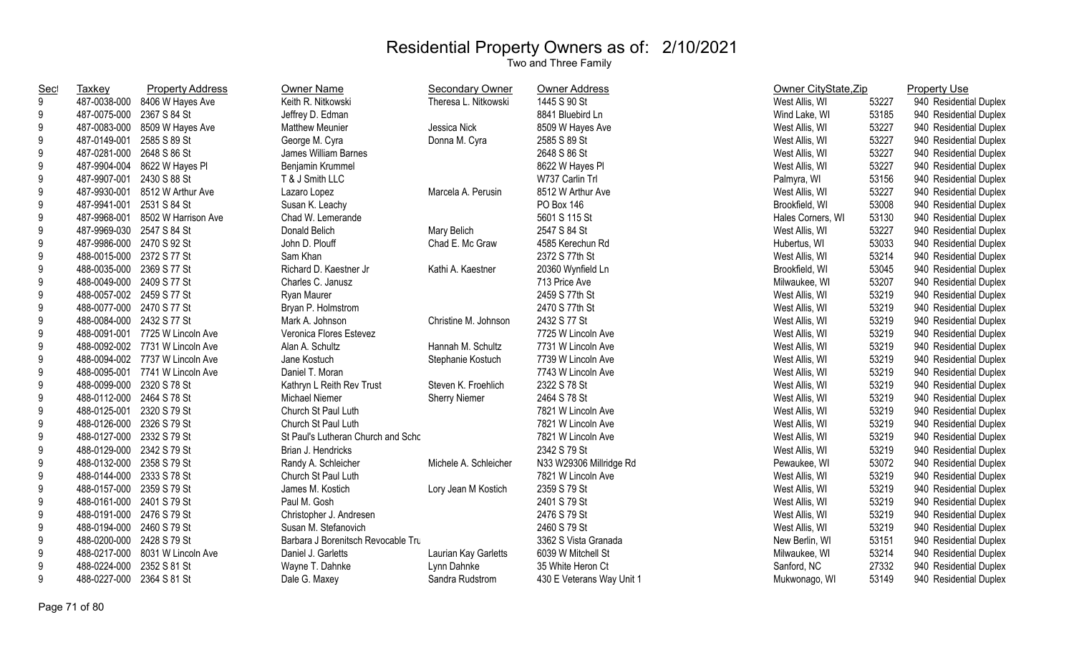| <u>Sec</u>       | Taxkey                    | <b>Property Address</b>          | Owner Name                         | <b>Secondary Owner</b> | <b>Owner Address</b>      | Owner CityState, Zip |       | <b>Property Use</b>    |
|------------------|---------------------------|----------------------------------|------------------------------------|------------------------|---------------------------|----------------------|-------|------------------------|
| 9                | 487-0038-000              | 8406 W Hayes Ave                 | Keith R. Nitkowski                 | Theresa L. Nitkowski   | 1445 S 90 St              | West Allis, WI       | 53227 | 940 Residential Duplex |
| 9                | 487-0075-000              | 2367 S 84 St                     | Jeffrey D. Edman                   |                        | 8841 Bluebird Ln          | Wind Lake, WI        | 53185 | 940 Residential Duplex |
| 9                |                           | 487-0083-000 8509 W Hayes Ave    | <b>Matthew Meunier</b>             | Jessica Nick           | 8509 W Hayes Ave          | West Allis, WI       | 53227 | 940 Residential Duplex |
| 9                | 487-0149-001 2585 S 89 St |                                  | George M. Cyra                     | Donna M. Cyra          | 2585 S 89 St              | West Allis, WI       | 53227 | 940 Residential Duplex |
| $\boldsymbol{9}$ | 487-0281-000 2648 S 86 St |                                  | James William Barnes               |                        | 2648 S 86 St              | West Allis, WI       | 53227 | 940 Residential Duplex |
| $\boldsymbol{9}$ |                           | 487-9904-004 8622 W Hayes PI     | Benjamin Krummel                   |                        | 8622 W Hayes Pl           | West Allis, WI       | 53227 | 940 Residential Duplex |
| $\boldsymbol{9}$ | 487-9907-001 2430 S 88 St |                                  | T & J Smith LLC                    |                        | W737 Carlin Trl           | Palmyra, WI          | 53156 | 940 Residential Duplex |
| 9                |                           | 487-9930-001 8512 W Arthur Ave   | Lazaro Lopez                       | Marcela A. Perusin     | 8512 W Arthur Ave         | West Allis, WI       | 53227 | 940 Residential Duplex |
| $\boldsymbol{9}$ | 487-9941-001 2531 S 84 St |                                  | Susan K. Leachy                    |                        | PO Box 146                | Brookfield, WI       | 53008 | 940 Residential Duplex |
| $\boldsymbol{9}$ |                           | 487-9968-001 8502 W Harrison Ave | Chad W. Lemerande                  |                        | 5601 S 115 St             | Hales Corners, WI    | 53130 | 940 Residential Duplex |
| $\boldsymbol{9}$ | 487-9969-030 2547 S 84 St |                                  | Donald Belich                      | Mary Belich            | 2547 S 84 St              | West Allis, WI       | 53227 | 940 Residential Duplex |
| $\boldsymbol{9}$ | 487-9986-000 2470 S 92 St |                                  | John D. Plouff                     | Chad E. Mc Graw        | 4585 Kerechun Rd          | Hubertus, WI         | 53033 | 940 Residential Duplex |
| $\boldsymbol{9}$ | 488-0015-000 2372 S 77 St |                                  | Sam Khan                           |                        | 2372 S 77th St            | West Allis, WI       | 53214 | 940 Residential Duplex |
| $\boldsymbol{9}$ | 488-0035-000 2369 S 77 St |                                  | Richard D. Kaestner Jr             | Kathi A. Kaestner      | 20360 Wynfield Ln         | Brookfield, WI       | 53045 | 940 Residential Duplex |
| 9                | 488-0049-000 2409 S 77 St |                                  | Charles C. Janusz                  |                        | 713 Price Ave             | Milwaukee, WI        | 53207 | 940 Residential Duplex |
| 9                | 488-0057-002 2459 S 77 St |                                  | Ryan Maurer                        |                        | 2459 S 77th St            | West Allis, WI       | 53219 | 940 Residential Duplex |
| 9                | 488-0077-000 2470 S 77 St |                                  | Bryan P. Holmstrom                 |                        | 2470 S 77th St            | West Allis, WI       | 53219 | 940 Residential Duplex |
| $\boldsymbol{9}$ | 488-0084-000 2432 S 77 St |                                  | Mark A. Johnson                    | Christine M. Johnson   | 2432 S 77 St              | West Allis, WI       | 53219 | 940 Residential Duplex |
| $\boldsymbol{9}$ |                           | 488-0091-001 7725 W Lincoln Ave  | Veronica Flores Estevez            |                        | 7725 W Lincoln Ave        | West Allis, WI       | 53219 | 940 Residential Duplex |
| $\boldsymbol{9}$ |                           | 488-0092-002 7731 W Lincoln Ave  | Alan A. Schultz                    | Hannah M. Schultz      | 7731 W Lincoln Ave        | West Allis, WI       | 53219 | 940 Residential Duplex |
| $\boldsymbol{9}$ |                           | 488-0094-002 7737 W Lincoln Ave  | Jane Kostuch                       | Stephanie Kostuch      | 7739 W Lincoln Ave        | West Allis, WI       | 53219 | 940 Residential Duplex |
| $\boldsymbol{9}$ |                           | 488-0095-001 7741 W Lincoln Ave  | Daniel T. Moran                    |                        | 7743 W Lincoln Ave        | West Allis, WI       | 53219 | 940 Residential Duplex |
| $\boldsymbol{9}$ | 488-0099-000 2320 S 78 St |                                  | Kathryn L Reith Rev Trust          | Steven K. Froehlich    | 2322 S 78 St              | West Allis, WI       | 53219 | 940 Residential Duplex |
| $\boldsymbol{9}$ | 488-0112-000 2464 S 78 St |                                  | <b>Michael Niemer</b>              | <b>Sherry Niemer</b>   | 2464 S 78 St              | West Allis, WI       | 53219 | 940 Residential Duplex |
| $\boldsymbol{9}$ | 488-0125-001              | 2320 S 79 St                     | Church St Paul Luth                |                        | 7821 W Lincoln Ave        | West Allis, WI       | 53219 | 940 Residential Duplex |
| $\boldsymbol{9}$ | 488-0126-000 2326 S 79 St |                                  | Church St Paul Luth                |                        | 7821 W Lincoln Ave        | West Allis, WI       | 53219 | 940 Residential Duplex |
| 9                | 488-0127-000 2332 S 79 St |                                  | St Paul's Lutheran Church and Schc |                        | 7821 W Lincoln Ave        | West Allis, WI       | 53219 | 940 Residential Duplex |
| 9                | 488-0129-000 2342 S 79 St |                                  | Brian J. Hendricks                 |                        | 2342 S 79 St              | West Allis, WI       | 53219 | 940 Residential Duplex |
| $\boldsymbol{9}$ | 488-0132-000 2358 S 79 St |                                  | Randy A. Schleicher                | Michele A. Schleicher  | N33 W29306 Millridge Rd   | Pewaukee, WI         | 53072 | 940 Residential Duplex |
| $\boldsymbol{9}$ | 488-0144-000 2333 S 78 St |                                  | Church St Paul Luth                |                        | 7821 W Lincoln Ave        | West Allis, WI       | 53219 | 940 Residential Duplex |
| $\boldsymbol{9}$ | 488-0157-000 2359 S 79 St |                                  | James M. Kostich                   | Lory Jean M Kostich    | 2359 S 79 St              | West Allis, WI       | 53219 | 940 Residential Duplex |
| $\boldsymbol{9}$ | 488-0161-000 2401 S 79 St |                                  | Paul M. Gosh                       |                        | 2401 S 79 St              | West Allis, WI       | 53219 | 940 Residential Duplex |
| $\boldsymbol{9}$ | 488-0191-000 2476 S 79 St |                                  | Christopher J. Andresen            |                        | 2476 S 79 St              | West Allis, WI       | 53219 | 940 Residential Duplex |
| 9                | 488-0194-000 2460 S 79 St |                                  | Susan M. Stefanovich               |                        | 2460 S 79 St              | West Allis, WI       | 53219 | 940 Residential Duplex |
| $\boldsymbol{9}$ | 488-0200-000 2428 S 79 St |                                  | Barbara J Borenitsch Revocable Tru |                        | 3362 S Vista Granada      | New Berlin, WI       | 53151 | 940 Residential Duplex |
| 9                |                           | 488-0217-000 8031 W Lincoln Ave  | Daniel J. Garletts                 | Laurian Kay Garletts   | 6039 W Mitchell St        | Milwaukee, WI        | 53214 | 940 Residential Duplex |
| 9                | 488-0224-000              | 2352 S 81 St                     | Wayne T. Dahnke                    | Lynn Dahnke            | 35 White Heron Ct         | Sanford, NC          | 27332 | 940 Residential Duplex |
| 9                | 488-0227-000 2364 S 81 St |                                  | Dale G. Maxey                      | Sandra Rudstrom        | 430 E Veterans Way Unit 1 | Mukwonago, WI        | 53149 | 940 Residential Duplex |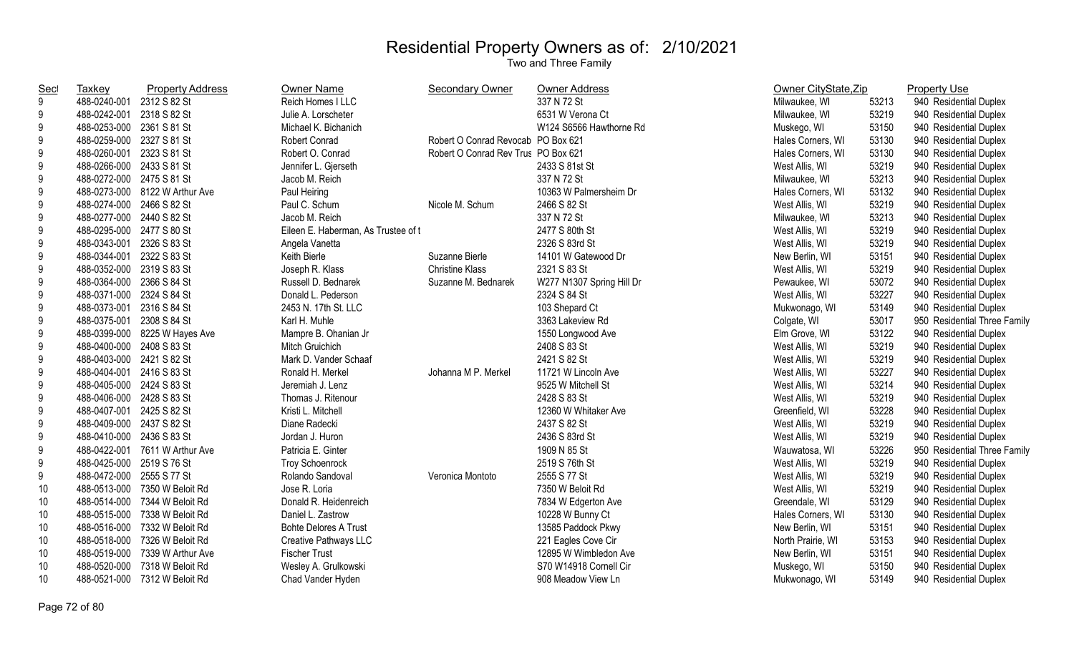| <u>Sec</u> | Taxkey                    | <b>Property Address</b>        | <b>Owner Name</b>                   | Secondary Owner                     | <b>Owner Address</b>      | Owner CityState, Zip |       | <b>Property Use</b>          |
|------------|---------------------------|--------------------------------|-------------------------------------|-------------------------------------|---------------------------|----------------------|-------|------------------------------|
| 9          | 488-0240-001              | 2312 S 82 St                   | Reich Homes   LLC                   |                                     | 337 N 72 St               | Milwaukee, WI        | 53213 | 940 Residential Duplex       |
| 9          | 488-0242-001 2318 S 82 St |                                | Julie A. Lorscheter                 |                                     | 6531 W Verona Ct          | Milwaukee, WI        | 53219 | 940 Residential Duplex       |
| 9          | 488-0253-000 2361 S 81 St |                                | Michael K. Bichanich                |                                     | W124 S6566 Hawthorne Rd   | Muskego, WI          | 53150 | 940 Residential Duplex       |
| 9          | 488-0259-000 2327 S 81 St |                                | Robert Conrad                       | Robert O Conrad Revocab PO Box 621  |                           | Hales Corners, WI    | 53130 | 940 Residential Duplex       |
| 9          | 488-0260-001 2323 S 81 St |                                | Robert O. Conrad                    | Robert O Conrad Rev Trus PO Box 621 |                           | Hales Corners, WI    | 53130 | 940 Residential Duplex       |
| 9          | 488-0266-000 2433 S 81 St |                                | Jennifer L. Gjerseth                |                                     | 2433 S 81st St            | West Allis, WI       | 53219 | 940 Residential Duplex       |
| 9          | 488-0272-000 2475 S 81 St |                                | Jacob M. Reich                      |                                     | 337 N 72 St               | Milwaukee, WI        | 53213 | 940 Residential Duplex       |
| 9          |                           | 488-0273-000 8122 W Arthur Ave | Paul Heiring                        |                                     | 10363 W Palmersheim Dr    | Hales Corners, WI    | 53132 | 940 Residential Duplex       |
| 9          | 488-0274-000 2466 S 82 St |                                | Paul C. Schum                       | Nicole M. Schum                     | 2466 S 82 St              | West Allis, WI       | 53219 | 940 Residential Duplex       |
| 9          | 488-0277-000 2440 S 82 St |                                | Jacob M. Reich                      |                                     | 337 N 72 St               | Milwaukee, WI        | 53213 | 940 Residential Duplex       |
| 9          | 488-0295-000 2477 S 80 St |                                | Eileen E. Haberman, As Trustee of t |                                     | 2477 S 80th St            | West Allis, WI       | 53219 | 940 Residential Duplex       |
| 9          | 488-0343-001 2326 S 83 St |                                | Angela Vanetta                      |                                     | 2326 S 83rd St            | West Allis, WI       | 53219 | 940 Residential Duplex       |
| $9\,$      | 488-0344-001 2322 S 83 St |                                | Keith Bierle                        | Suzanne Bierle                      | 14101 W Gatewood Dr       | New Berlin, WI       | 53151 | 940 Residential Duplex       |
| 9          | 488-0352-000 2319 S 83 St |                                | Joseph R. Klass                     | <b>Christine Klass</b>              | 2321 S 83 St              | West Allis, WI       | 53219 | 940 Residential Duplex       |
| 9          | 488-0364-000 2366 S 84 St |                                | Russell D. Bednarek                 | Suzanne M. Bednarek                 | W277 N1307 Spring Hill Dr | Pewaukee, WI         | 53072 | 940 Residential Duplex       |
| 9          | 488-0371-000 2324 S 84 St |                                | Donald L. Pederson                  |                                     | 2324 S 84 St              | West Allis, WI       | 53227 | 940 Residential Duplex       |
| 9          | 488-0373-001 2316 S 84 St |                                | 2453 N. 17th St. LLC                |                                     | 103 Shepard Ct            | Mukwonago, WI        | 53149 | 940 Residential Duplex       |
| 9          | 488-0375-001 2308 S 84 St |                                | Karl H. Muhle                       |                                     | 3363 Lakeview Rd          | Colgate, WI          | 53017 | 950 Residential Three Family |
| 9          |                           | 488-0399-000 8225 W Hayes Ave  | Mampre B. Ohanian Jr                |                                     | 1550 Longwood Ave         | Elm Grove, WI        | 53122 | 940 Residential Duplex       |
| 9          | 488-0400-000 2408 S 83 St |                                | Mitch Gruichich                     |                                     | 2408 S 83 St              | West Allis, WI       | 53219 | 940 Residential Duplex       |
| 9          | 488-0403-000 2421 S 82 St |                                | Mark D. Vander Schaaf               |                                     | 2421 S 82 St              | West Allis, WI       | 53219 | 940 Residential Duplex       |
| 9          | 488-0404-001 2416 S 83 St |                                | Ronald H. Merkel                    | Johanna M P. Merkel                 | 11721 W Lincoln Ave       | West Allis, WI       | 53227 | 940 Residential Duplex       |
| 9          | 488-0405-000 2424 S 83 St |                                | Jeremiah J. Lenz                    |                                     | 9525 W Mitchell St        | West Allis, WI       | 53214 | 940 Residential Duplex       |
| 9          | 488-0406-000 2428 S 83 St |                                | Thomas J. Ritenour                  |                                     | 2428 S 83 St              | West Allis, WI       | 53219 | 940 Residential Duplex       |
| 9          | 488-0407-001 2425 S 82 St |                                | Kristi L. Mitchell                  |                                     | 12360 W Whitaker Ave      | Greenfield, WI       | 53228 | 940 Residential Duplex       |
| 9          | 488-0409-000 2437 S 82 St |                                | Diane Radecki                       |                                     | 2437 S 82 St              | West Allis, WI       | 53219 | 940 Residential Duplex       |
| 9          | 488-0410-000 2436 S 83 St |                                | Jordan J. Huron                     |                                     | 2436 S 83rd St            | West Allis, WI       | 53219 | 940 Residential Duplex       |
| 9          |                           | 488-0422-001 7611 W Arthur Ave | Patricia E. Ginter                  |                                     | 1909 N 85 St              | Wauwatosa, WI        | 53226 | 950 Residential Three Family |
| 9          | 488-0425-000 2519 S 76 St |                                | <b>Troy Schoenrock</b>              |                                     | 2519 S 76th St            | West Allis, WI       | 53219 | 940 Residential Duplex       |
| 9          | 488-0472-000 2555 S 77 St |                                | Rolando Sandoval                    | Veronica Montoto                    | 2555 S 77 St              | West Allis, WI       | 53219 | 940 Residential Duplex       |
| 10         |                           | 488-0513-000 7350 W Beloit Rd  | Jose R. Loria                       |                                     | 7350 W Beloit Rd          | West Allis, WI       | 53219 | 940 Residential Duplex       |
| 10         |                           | 488-0514-000 7344 W Beloit Rd  | Donald R. Heidenreich               |                                     | 7834 W Edgerton Ave       | Greendale, WI        | 53129 | 940 Residential Duplex       |
| 10         |                           | 488-0515-000 7338 W Beloit Rd  | Daniel L. Zastrow                   |                                     | 10228 W Bunny Ct          | Hales Corners, WI    | 53130 | 940 Residential Duplex       |
| 10         |                           | 488-0516-000 7332 W Beloit Rd  | <b>Bohte Delores A Trust</b>        |                                     | 13585 Paddock Pkwy        | New Berlin, WI       | 53151 | 940 Residential Duplex       |
| 10         |                           | 488-0518-000 7326 W Beloit Rd  | Creative Pathways LLC               |                                     | 221 Eagles Cove Cir       | North Prairie, WI    | 53153 | 940 Residential Duplex       |
| 10         |                           | 488-0519-000 7339 W Arthur Ave | <b>Fischer Trust</b>                |                                     | 12895 W Wimbledon Ave     | New Berlin, WI       | 53151 | 940 Residential Duplex       |
| 10         |                           | 488-0520-000 7318 W Beloit Rd  | Wesley A. Grulkowski                |                                     | S70 W14918 Cornell Cir    | Muskego, WI          | 53150 | 940 Residential Duplex       |
| 10         |                           | 488-0521-000 7312 W Beloit Rd  | Chad Vander Hyden                   |                                     | 908 Meadow View Ln        | Mukwonago, WI        | 53149 | 940 Residential Duplex       |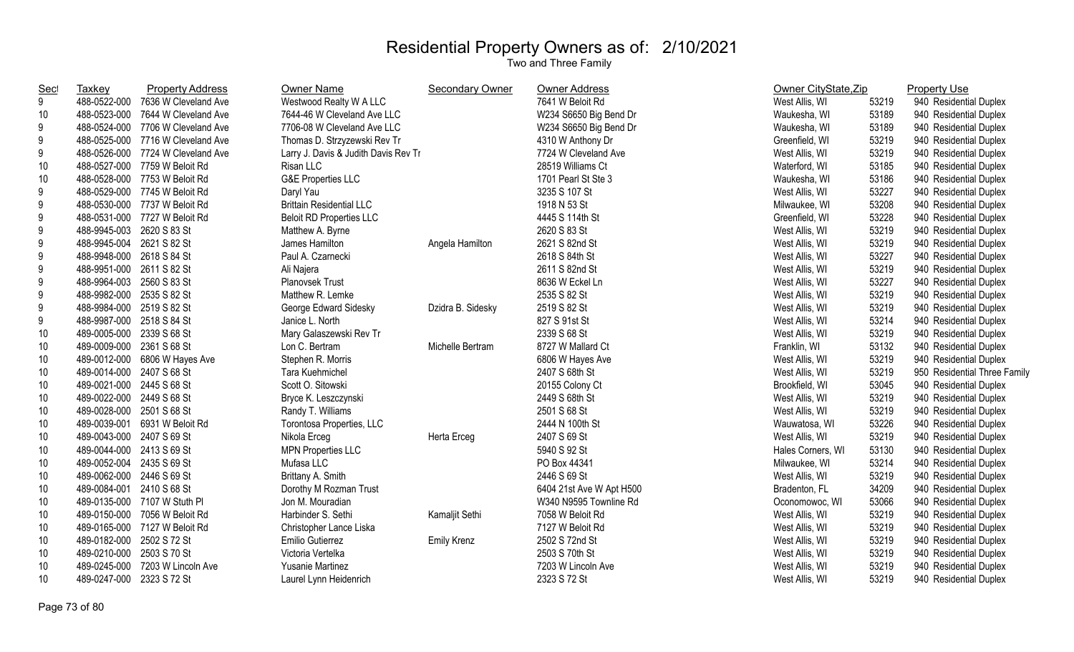| <b>Sec</b> | <b>Taxkey</b>             | <b>Property Address</b>           | Owner Name                           | <b>Secondary Owner</b> | <b>Owner Address</b>     | Owner CityState, Zip |       | <b>Property Use</b>          |
|------------|---------------------------|-----------------------------------|--------------------------------------|------------------------|--------------------------|----------------------|-------|------------------------------|
| 9          | 488-0522-000              | 7636 W Cleveland Ave              | Westwood Realty W A LLC              |                        | 7641 W Beloit Rd         | West Allis, WI       | 53219 | 940 Residential Duplex       |
| 10         | 488-0523-000              | 7644 W Cleveland Ave              | 7644-46 W Cleveland Ave LLC          |                        | W234 S6650 Big Bend Dr   | Waukesha, WI         | 53189 | 940 Residential Duplex       |
| 9          |                           | 488-0524-000 7706 W Cleveland Ave | 7706-08 W Cleveland Ave LLC          |                        | W234 S6650 Big Bend Dr   | Waukesha, WI         | 53189 | 940 Residential Duplex       |
| 9          |                           | 488-0525-000 7716 W Cleveland Ave | Thomas D. Strzyzewski Rev Tr         |                        | 4310 W Anthony Dr        | Greenfield, WI       | 53219 | 940 Residential Duplex       |
| 9          |                           | 488-0526-000 7724 W Cleveland Ave | Larry J. Davis & Judith Davis Rev Tr |                        | 7724 W Cleveland Ave     | West Allis, WI       | 53219 | 940 Residential Duplex       |
| 10         |                           | 488-0527-000 7759 W Beloit Rd     | Risan LLC                            |                        | 28519 Williams Ct        | Waterford, WI        | 53185 | 940 Residential Duplex       |
| 10         |                           | 488-0528-000 7753 W Beloit Rd     | <b>G&amp;E Properties LLC</b>        |                        | 1701 Pearl St Ste 3      | Waukesha, WI         | 53186 | 940 Residential Duplex       |
| 9          |                           | 488-0529-000 7745 W Beloit Rd     | Daryl Yau                            |                        | 3235 S 107 St            | West Allis, WI       | 53227 | 940 Residential Duplex       |
| 9          |                           | 488-0530-000 7737 W Beloit Rd     | <b>Brittain Residential LLC</b>      |                        | 1918 N 53 St             | Milwaukee, WI        | 53208 | 940 Residential Duplex       |
| 9          |                           | 488-0531-000 7727 W Beloit Rd     | <b>Beloit RD Properties LLC</b>      |                        | 4445 S 114th St          | Greenfield, WI       | 53228 | 940 Residential Duplex       |
| 9          | 488-9945-003 2620 S 83 St |                                   | Matthew A. Byrne                     |                        | 2620 S 83 St             | West Allis, WI       | 53219 | 940 Residential Duplex       |
| 9          | 488-9945-004 2621 S 82 St |                                   | James Hamilton                       | Angela Hamilton        | 2621 S 82nd St           | West Allis, WI       | 53219 | 940 Residential Duplex       |
| 9          | 488-9948-000 2618 S 84 St |                                   | Paul A. Czarnecki                    |                        | 2618 S 84th St           | West Allis, WI       | 53227 | 940 Residential Duplex       |
| 9          | 488-9951-000 2611 S 82 St |                                   | Ali Najera                           |                        | 2611 S 82nd St           | West Allis, WI       | 53219 | 940 Residential Duplex       |
| 9          | 488-9964-003 2560 S 83 St |                                   | Planovsek Trust                      |                        | 8636 W Eckel Ln          | West Allis, WI       | 53227 | 940 Residential Duplex       |
| 9          | 488-9982-000 2535 S 82 St |                                   | Matthew R. Lemke                     |                        | 2535 S 82 St             | West Allis, WI       | 53219 | 940 Residential Duplex       |
| 9          | 488-9984-000 2519 S 82 St |                                   | George Edward Sidesky                | Dzidra B. Sidesky      | 2519 S 82 St             | West Allis, WI       | 53219 | 940 Residential Duplex       |
| 9          | 488-9987-000 2518 S 84 St |                                   | Janice L. North                      |                        | 827 S 91st St            | West Allis, WI       | 53214 | 940 Residential Duplex       |
| 10         | 489-0005-000 2339 S 68 St |                                   | Mary Galaszewski Rev Tr              |                        | 2339 S 68 St             | West Allis, WI       | 53219 | 940 Residential Duplex       |
| 10         | 489-0009-000 2361 S 68 St |                                   | Lon C. Bertram                       | Michelle Bertram       | 8727 W Mallard Ct        | Franklin, WI         | 53132 | 940 Residential Duplex       |
| 10         | 489-0012-000              | 6806 W Hayes Ave                  | Stephen R. Morris                    |                        | 6806 W Hayes Ave         | West Allis, WI       | 53219 | 940 Residential Duplex       |
| 10         | 489-0014-000 2407 S 68 St |                                   | Tara Kuehmichel                      |                        | 2407 S 68th St           | West Allis, WI       | 53219 | 950 Residential Three Family |
| 10         | 489-0021-000 2445 S 68 St |                                   | Scott O. Sitowski                    |                        | 20155 Colony Ct          | Brookfield, WI       | 53045 | 940 Residential Duplex       |
| 10         | 489-0022-000 2449 S 68 St |                                   | Bryce K. Leszczynski                 |                        | 2449 S 68th St           | West Allis, WI       | 53219 | 940 Residential Duplex       |
| 10         | 489-0028-000 2501 S 68 St |                                   | Randy T. Williams                    |                        | 2501 S 68 St             | West Allis, WI       | 53219 | 940 Residential Duplex       |
| 10         |                           | 489-0039-001 6931 W Beloit Rd     | Torontosa Properties, LLC            |                        | 2444 N 100th St          | Wauwatosa, WI        | 53226 | 940 Residential Duplex       |
| 10         | 489-0043-000 2407 S 69 St |                                   | Nikola Erceg                         | Herta Erceg            | 2407 S 69 St             | West Allis, WI       | 53219 | 940 Residential Duplex       |
| 10         | 489-0044-000 2413 S 69 St |                                   | <b>MPN Properties LLC</b>            |                        | 5940 S 92 St             | Hales Corners, WI    | 53130 | 940 Residential Duplex       |
| 10         | 489-0052-004 2435 S 69 St |                                   | Mufasa LLC                           |                        | PO Box 44341             | Milwaukee, WI        | 53214 | 940 Residential Duplex       |
| 10         | 489-0062-000 2446 S 69 St |                                   | Brittany A. Smith                    |                        | 2446 S 69 St             | West Allis, WI       | 53219 | 940 Residential Duplex       |
| 10         | 489-0084-001 2410 S 68 St |                                   | Dorothy M Rozman Trust               |                        | 6404 21st Ave W Apt H500 | Bradenton, FL        | 34209 | 940 Residential Duplex       |
| 10         |                           | 489-0135-000 7107 W Stuth PI      | Jon M. Mouradian                     |                        | W340 N9595 Townline Rd   | Oconomowoc, WI       | 53066 | 940 Residential Duplex       |
| 10         |                           | 489-0150-000 7056 W Beloit Rd     | Harbinder S. Sethi                   | Kamaljit Sethi         | 7058 W Beloit Rd         | West Allis, WI       | 53219 | 940 Residential Duplex       |
| 10         |                           | 489-0165-000 7127 W Beloit Rd     | Christopher Lance Liska              |                        | 7127 W Beloit Rd         | West Allis, WI       | 53219 | 940 Residential Duplex       |
| 10         | 489-0182-000              | 2502 S 72 St                      | Emilio Gutierrez                     | <b>Emily Krenz</b>     | 2502 S 72nd St           | West Allis, WI       | 53219 | 940 Residential Duplex       |
| 10         | 489-0210-000              | 2503 S 70 St                      | Victoria Vertelka                    |                        | 2503 S 70th St           | West Allis, WI       | 53219 | 940 Residential Duplex       |
| 10         | 489-0245-000              | 7203 W Lincoln Ave                | Yusanie Martinez                     |                        | 7203 W Lincoln Ave       | West Allis, WI       | 53219 | 940 Residential Duplex       |
| 10         | 489-0247-000              | 2323 S 72 St                      | Laurel Lynn Heidenrich               |                        | 2323 S 72 St             | West Allis, WI       | 53219 | 940 Residential Duplex       |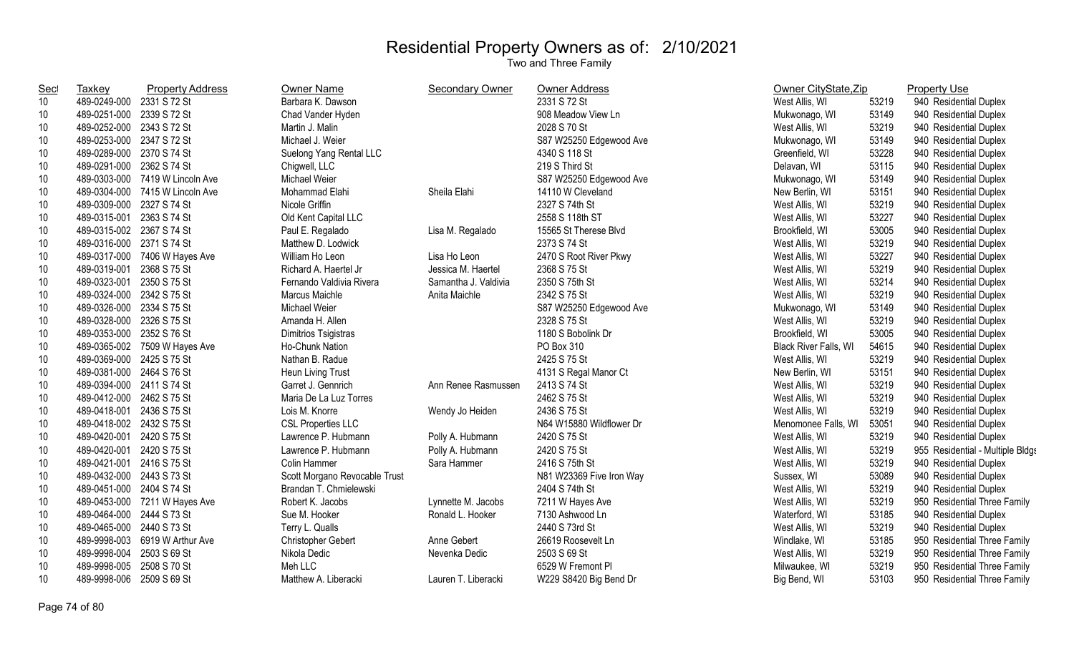| <b>Sec</b> | <b>Taxkey</b>             | <b>Property Address</b>       | Owner Name                    | Secondary Owner      | Owner Address            | Owner CityState, Zip  |       | <b>Property Use</b>              |
|------------|---------------------------|-------------------------------|-------------------------------|----------------------|--------------------------|-----------------------|-------|----------------------------------|
| 10         | 489-0249-000              | 2331 S 72 St                  | Barbara K. Dawson             |                      | 2331 S 72 St             | West Allis, WI        | 53219 | 940 Residential Duplex           |
| 10         | 489-0251-000              | 2339 S 72 St                  | Chad Vander Hyden             |                      | 908 Meadow View Ln       | Mukwonago, WI         | 53149 | 940 Residential Duplex           |
| 10         | 489-0252-000 2343 S 72 St |                               | Martin J. Malin               |                      | 2028 S 70 St             | West Allis, WI        | 53219 | 940 Residential Duplex           |
| 10         | 489-0253-000 2347 S 72 St |                               | Michael J. Weier              |                      | S87 W25250 Edgewood Ave  | Mukwonago, WI         | 53149 | 940 Residential Duplex           |
| 10         | 489-0289-000              | 2370 S 74 St                  | Suelong Yang Rental LLC       |                      | 4340 S 118 St            | Greenfield, WI        | 53228 | 940 Residential Duplex           |
| 10         | 489-0291-000              | 2362 S 74 St                  | Chigwell, LLC                 |                      | 219 S Third St           | Delavan, WI           | 53115 | 940 Residential Duplex           |
| 10         | 489-0303-000              | 7419 W Lincoln Ave            | Michael Weier                 |                      | S87 W25250 Edgewood Ave  | Mukwonago, WI         | 53149 | 940 Residential Duplex           |
| 10         | 489-0304-000              | 7415 W Lincoln Ave            | Mohammad Elahi                | Sheila Elahi         | 14110 W Cleveland        | New Berlin, WI        | 53151 | 940 Residential Duplex           |
| 10         | 489-0309-000              | 2327 S 74 St                  | Nicole Griffin                |                      | 2327 S 74th St           | West Allis, WI        | 53219 | 940 Residential Duplex           |
| 10         | 489-0315-001              | 2363 S 74 St                  | Old Kent Capital LLC          |                      | 2558 S 118th ST          | West Allis, WI        | 53227 | 940 Residential Duplex           |
| 10         | 489-0315-002              | 2367 S 74 St                  | Paul E. Regalado              | Lisa M. Regalado     | 15565 St Therese Blvd    | Brookfield, WI        | 53005 | 940 Residential Duplex           |
| 10         | 489-0316-000              | 2371 S 74 St                  | Matthew D. Lodwick            |                      | 2373 S 74 St             | West Allis, WI        | 53219 | 940 Residential Duplex           |
| 10         | 489-0317-000              | 7406 W Hayes Ave              | William Ho Leon               | Lisa Ho Leon         | 2470 S Root River Pkwy   | West Allis, WI        | 53227 | 940 Residential Duplex           |
| 10         | 489-0319-001              | 2368 S 75 St                  | Richard A. Haertel Jr         | Jessica M. Haertel   | 2368 S 75 St             | West Allis, WI        | 53219 | 940 Residential Duplex           |
| 10         | 489-0323-001              | 2350 S 75 St                  | Fernando Valdivia Rivera      | Samantha J. Valdivia | 2350 S 75th St           | West Allis, WI        | 53214 | 940 Residential Duplex           |
| 10         | 489-0324-000              | 2342 S 75 St                  | Marcus Maichle                | Anita Maichle        | 2342 S 75 St             | West Allis, WI        | 53219 | 940 Residential Duplex           |
| 10         | 489-0326-000 2334 S 75 St |                               | Michael Weier                 |                      | S87 W25250 Edgewood Ave  | Mukwonago, WI         | 53149 | 940 Residential Duplex           |
| 10         | 489-0328-000              | 2326 S 75 St                  | Amanda H. Allen               |                      | 2328 S 75 St             | West Allis, WI        | 53219 | 940 Residential Duplex           |
| 10         | 489-0353-000              | 2352 S 76 St                  | Dimitrios Tsigistras          |                      | 1180 S Bobolink Dr       | Brookfield, WI        | 53005 | 940 Residential Duplex           |
| 10         | 489-0365-002              | 7509 W Hayes Ave              | Ho-Chunk Nation               |                      | PO Box 310               | Black River Falls, WI | 54615 | 940 Residential Duplex           |
| 10         | 489-0369-000              | 2425 S 75 St                  | Nathan B. Radue               |                      | 2425 S 75 St             | West Allis, WI        | 53219 | 940 Residential Duplex           |
| 10         | 489-0381-000              | 2464 S 76 St                  | Heun Living Trust             |                      | 4131 S Regal Manor Ct    | New Berlin, WI        | 53151 | 940 Residential Duplex           |
| 10         | 489-0394-000 2411 S 74 St |                               | Garret J. Gennrich            | Ann Renee Rasmussen  | 2413 S 74 St             | West Allis, WI        | 53219 | 940 Residential Duplex           |
| 10         | 489-0412-000 2462 S 75 St |                               | Maria De La Luz Torres        |                      | 2462 S 75 St             | West Allis, WI        | 53219 | 940 Residential Duplex           |
| 10         | 489-0418-001              | 2436 S 75 St                  | Lois M. Knorre                | Wendy Jo Heiden      | 2436 S 75 St             | West Allis, WI        | 53219 | 940 Residential Duplex           |
| 10         | 489-0418-002 2432 S 75 St |                               | <b>CSL Properties LLC</b>     |                      | N64 W15880 Wildflower Dr | Menomonee Falls, WI   | 53051 | 940 Residential Duplex           |
| 10         | 489-0420-001              | 2420 S 75 St                  | Lawrence P. Hubmann           | Polly A. Hubmann     | 2420 S 75 St             | West Allis, WI        | 53219 | 940 Residential Duplex           |
| 10         | 489-0420-001              | 2420 S 75 St                  | Lawrence P. Hubmann           | Polly A. Hubmann     | 2420 S 75 St             | West Allis, WI        | 53219 | 955 Residential - Multiple Bldgs |
| 10         | 489-0421-001              | 2416 S 75 St                  | Colin Hammer                  | Sara Hammer          | 2416 S 75th St           | West Allis, WI        | 53219 | 940 Residential Duplex           |
| 10         | 489-0432-000 2443 S 73 St |                               | Scott Morgano Revocable Trust |                      | N81 W23369 Five Iron Way | Sussex, WI            | 53089 | 940 Residential Duplex           |
| 10         | 489-0451-000 2404 S 74 St |                               | Brandan T. Chmielewski        |                      | 2404 S 74th St           | West Allis, WI        | 53219 | 940 Residential Duplex           |
| 10         |                           | 489-0453-000 7211 W Hayes Ave | Robert K. Jacobs              | Lynnette M. Jacobs   | 7211 W Hayes Ave         | West Allis, WI        | 53219 | 950 Residential Three Family     |
| 10         | 489-0464-000              | 2444 S 73 St                  | Sue M. Hooker                 | Ronald L. Hooker     | 7130 Ashwood Ln          | Waterford, WI         | 53185 | 940 Residential Duplex           |
| 10         | 489-0465-000              | 2440 S 73 St                  | Terry L. Qualls               |                      | 2440 S 73rd St           | West Allis, WI        | 53219 | 940 Residential Duplex           |
| 10         | 489-9998-003              | 6919 W Arthur Ave             | Christopher Gebert            | Anne Gebert          | 26619 Roosevelt Ln       | Windlake, WI          | 53185 | 950 Residential Three Family     |
| 10         | 489-9998-004              | 2503 S 69 St                  | Nikola Dedic                  | Nevenka Dedic        | 2503 S 69 St             | West Allis, WI        | 53219 | 950 Residential Three Family     |
| 10         | 489-9998-005              | 2508 S 70 St                  | Meh LLC                       |                      | 6529 W Fremont Pl        | Milwaukee, WI         | 53219 | 950 Residential Three Family     |
| 10         | 489-9998-006              | 2509 S 69 St                  | Matthew A. Liberacki          | Lauren T. Liberacki  | W229 S8420 Big Bend Dr   | Big Bend, WI          | 53103 | 950 Residential Three Family     |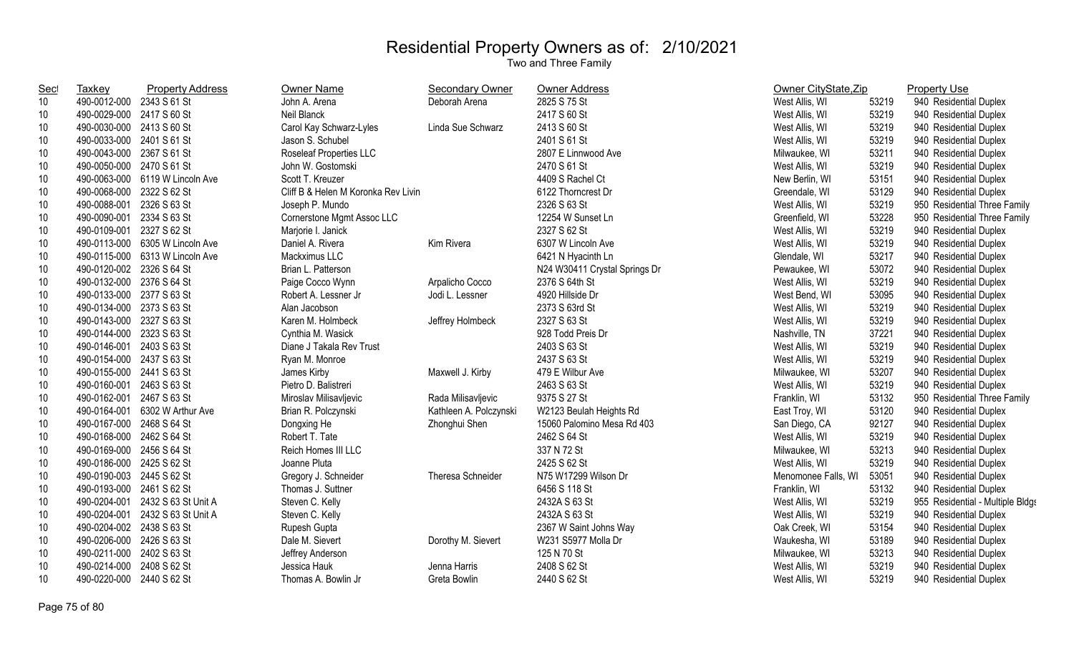| <b>Sec</b>      | Taxkey                    | <b>Property Address</b> | <b>Owner Name</b>                   | <b>Secondary Owner</b> | Owner Address                 | Owner CityState, Zip |       | <b>Property Use</b>              |
|-----------------|---------------------------|-------------------------|-------------------------------------|------------------------|-------------------------------|----------------------|-------|----------------------------------|
| 10              | 490-0012-000              | 2343 S 61 St            | John A. Arena                       | Deborah Arena          | 2825 S 75 St                  | West Allis, WI       | 53219 | 940 Residential Duplex           |
| 10 <sup>°</sup> | 490-0029-000              | 2417 S 60 St            | Neil Blanck                         |                        | 2417 S 60 St                  | West Allis, WI       | 53219 | 940 Residential Duplex           |
| 10              | 490-0030-000              | 2413 S 60 St            | Carol Kay Schwarz-Lyles             | Linda Sue Schwarz      | 2413 S 60 St                  | West Allis, WI       | 53219 | 940 Residential Duplex           |
| 10              | 490-0033-000              | 2401 S 61 St            | Jason S. Schubel                    |                        | 2401 S 61 St                  | West Allis, WI       | 53219 | 940 Residential Duplex           |
| 10              | 490-0043-000              | 2367 S 61 St            | Roseleaf Properties LLC             |                        | 2807 E Linnwood Ave           | Milwaukee, WI        | 53211 | 940 Residential Duplex           |
| 10              | 490-0050-000              | 2470 S 61 St            | John W. Gostomski                   |                        | 2470 S 61 St                  | West Allis, WI       | 53219 | 940 Residential Duplex           |
| 10              | 490-0063-000              | 6119 W Lincoln Ave      | Scott T. Kreuzer                    |                        | 4409 S Rachel Ct              | New Berlin, WI       | 53151 | 940 Residential Duplex           |
| 10              | 490-0068-000              | 2322 S 62 St            | Cliff B & Helen M Koronka Rev Livin |                        | 6122 Thorncrest Dr            | Greendale, WI        | 53129 | 940 Residential Duplex           |
| 10              | 490-0088-001              | 2326 S 63 St            | Joseph P. Mundo                     |                        | 2326 S 63 St                  | West Allis, WI       | 53219 | 950 Residential Three Family     |
| 10              | 490-0090-001              | 2334 S 63 St            | Cornerstone Mgmt Assoc LLC          |                        | 12254 W Sunset Ln             | Greenfield, WI       | 53228 | 950 Residential Three Family     |
| 10              | 490-0109-001              | 2327 S 62 St            | Marjorie I. Janick                  |                        | 2327 S 62 St                  | West Allis, WI       | 53219 | 940 Residential Duplex           |
| 10              | 490-0113-000              | 6305 W Lincoln Ave      | Daniel A. Rivera                    | Kim Rivera             | 6307 W Lincoln Ave            | West Allis, WI       | 53219 | 940 Residential Duplex           |
| 10              | 490-0115-000              | 6313 W Lincoln Ave      | Mackximus LLC                       |                        | 6421 N Hyacinth Ln            | Glendale, WI         | 53217 | 940 Residential Duplex           |
| 10              | 490-0120-002              | 2326 S 64 St            | Brian L. Patterson                  |                        | N24 W30411 Crystal Springs Dr | Pewaukee, WI         | 53072 | 940 Residential Duplex           |
| 10              | 490-0132-000              | 2376 S 64 St            | Paige Cocco Wynn                    | Arpalicho Cocco        | 2376 S 64th St                | West Allis, WI       | 53219 | 940 Residential Duplex           |
| 10              | 490-0133-000 2377 S 63 St |                         | Robert A. Lessner Jr                | Jodi L. Lessner        | 4920 Hillside Dr              | West Bend, WI        | 53095 | 940 Residential Duplex           |
| 10              | 490-0134-000 2373 S 63 St |                         | Alan Jacobson                       |                        | 2373 S 63rd St                | West Allis, WI       | 53219 | 940 Residential Duplex           |
| 10              | 490-0143-000 2327 S 63 St |                         | Karen M. Holmbeck                   | Jeffrey Holmbeck       | 2327 S 63 St                  | West Allis, WI       | 53219 | 940 Residential Duplex           |
| 10              | 490-0144-000 2323 S 63 St |                         | Cynthia M. Wasick                   |                        | 928 Todd Preis Dr             | Nashville, TN        | 37221 | 940 Residential Duplex           |
| 10              | 490-0146-001              | 2403 S 63 St            | Diane J Takala Rev Trust            |                        | 2403 S 63 St                  | West Allis, WI       | 53219 | 940 Residential Duplex           |
| 10              | 490-0154-000              | 2437 S 63 St            | Ryan M. Monroe                      |                        | 2437 S 63 St                  | West Allis, WI       | 53219 | 940 Residential Duplex           |
| 10              | 490-0155-000              | 2441 S 63 St            | James Kirby                         | Maxwell J. Kirby       | 479 E Wilbur Ave              | Milwaukee, WI        | 53207 | 940 Residential Duplex           |
| 10              | 490-0160-001 2463 S 63 St |                         | Pietro D. Balistreri                |                        | 2463 S 63 St                  | West Allis, WI       | 53219 | 940 Residential Duplex           |
| 10              | 490-0162-001 2467 S 63 St |                         | Miroslav Milisavljevic              | Rada Milisavljevic     | 9375 S 27 St                  | Franklin, WI         | 53132 | 950 Residential Three Family     |
| 10              | 490-0164-001              | 6302 W Arthur Ave       | Brian R. Polczynski                 | Kathleen A. Polczynski | W2123 Beulah Heights Rd       | East Troy, WI        | 53120 | 940 Residential Duplex           |
| 10              | 490-0167-000              | 2468 S 64 St            | Dongxing He                         | Zhonghui Shen          | 15060 Palomino Mesa Rd 403    | San Diego, CA        | 92127 | 940 Residential Duplex           |
| 10              | 490-0168-000              | 2462 S 64 St            | Robert T. Tate                      |                        | 2462 S 64 St                  | West Allis, WI       | 53219 | 940 Residential Duplex           |
| 10              | 490-0169-000              | 2456 S 64 St            | Reich Homes III LLC                 |                        | 337 N 72 St                   | Milwaukee, WI        | 53213 | 940 Residential Duplex           |
| 10              | 490-0186-000              | 2425 S 62 St            | Joanne Pluta                        |                        | 2425 S 62 St                  | West Allis, WI       | 53219 | 940 Residential Duplex           |
| 10              | 490-0190-003 2445 S 62 St |                         | Gregory J. Schneider                | Theresa Schneider      | N75 W17299 Wilson Dr          | Menomonee Falls, WI  | 53051 | 940 Residential Duplex           |
| 10              | 490-0193-000              | 2461 S 62 St            | Thomas J. Suttner                   |                        | 6456 S 118 St                 | Franklin, WI         | 53132 | 940 Residential Duplex           |
| 10              | 490-0204-001              | 2432 S 63 St Unit A     | Steven C. Kelly                     |                        | 2432A S 63 St                 | West Allis, WI       | 53219 | 955 Residential - Multiple Bldgs |
| 10              | 490-0204-001              | 2432 S 63 St Unit A     | Steven C. Kelly                     |                        | 2432A S 63 St                 | West Allis, WI       | 53219 | 940 Residential Duplex           |
| 10              | 490-0204-002              | 2438 S 63 St            | Rupesh Gupta                        |                        | 2367 W Saint Johns Way        | Oak Creek, WI        | 53154 | 940 Residential Duplex           |
| 10              | 490-0206-000              | 2426 S 63 St            | Dale M. Sievert                     | Dorothy M. Sievert     | W231 S5977 Molla Dr           | Waukesha, WI         | 53189 | 940 Residential Duplex           |
| 10              | 490-0211-000              | 2402 S 63 St            | Jeffrey Anderson                    |                        | 125 N 70 St                   | Milwaukee, WI        | 53213 | 940 Residential Duplex           |
| 10              | 490-0214-000              | 2408 S 62 St            | Jessica Hauk                        | Jenna Harris           | 2408 S 62 St                  | West Allis, WI       | 53219 | 940 Residential Duplex           |
| 10              | 490-0220-000              | 2440 S 62 St            | Thomas A. Bowlin Jr                 | Greta Bowlin           | 2440 S 62 St                  | West Allis, WI       | 53219 | 940 Residential Duplex           |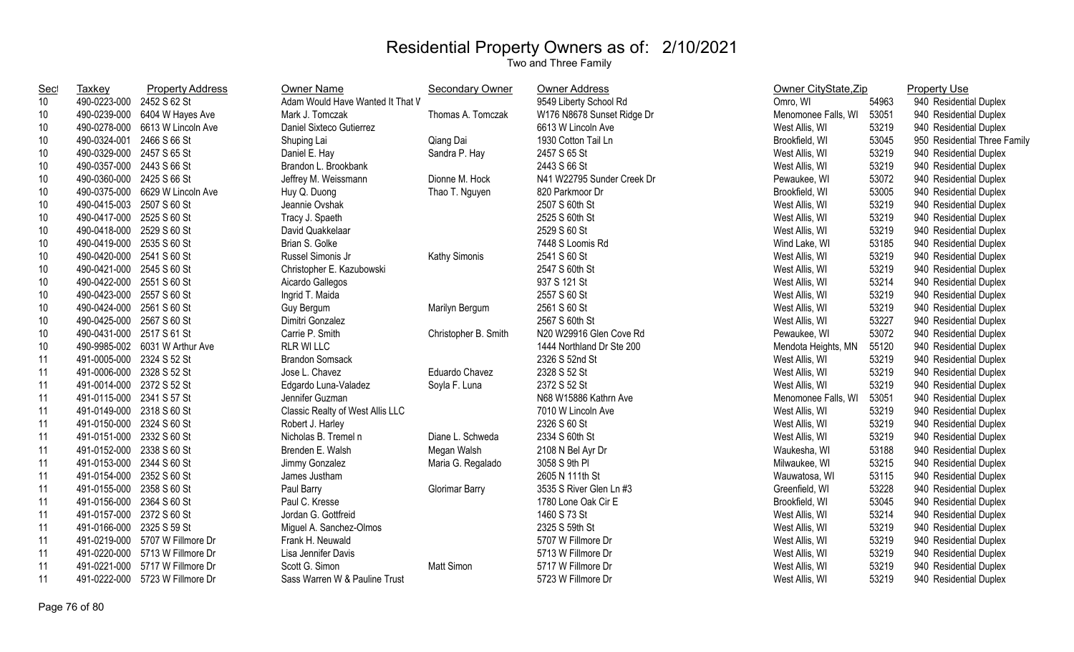| <b>Sec</b> | Taxkey                    | <b>Property Address</b>         | Owner Name                       | <b>Secondary Owner</b> | <b>Owner Address</b>       | Owner CityState, Zip |       | <b>Property Use</b>          |
|------------|---------------------------|---------------------------------|----------------------------------|------------------------|----------------------------|----------------------|-------|------------------------------|
| 10         | 490-0223-000 2452 S 62 St |                                 | Adam Would Have Wanted It That V |                        | 9549 Liberty School Rd     | Omro, WI             | 54963 | 940 Residential Duplex       |
| 10         |                           | 490-0239-000 6404 W Hayes Ave   | Mark J. Tomczak                  | Thomas A. Tomczak      | W176 N8678 Sunset Ridge Dr | Menomonee Falls, WI  | 53051 | 940 Residential Duplex       |
| 10         |                           | 490-0278-000 6613 W Lincoln Ave | Daniel Sixteco Gutierrez         |                        | 6613 W Lincoln Ave         | West Allis, WI       | 53219 | 940 Residential Duplex       |
| 10         | 490-0324-001 2466 S 66 St |                                 | Shuping Lai                      | Qiang Dai              | 1930 Cotton Tail Ln        | Brookfield, WI       | 53045 | 950 Residential Three Family |
| 10         | 490-0329-000 2457 S 65 St |                                 | Daniel E. Hay                    | Sandra P. Hay          | 2457 S 65 St               | West Allis, WI       | 53219 | 940 Residential Duplex       |
| 10         | 490-0357-000 2443 S 66 St |                                 | Brandon L. Brookbank             |                        | 2443 S 66 St               | West Allis, WI       | 53219 | 940 Residential Duplex       |
| 10         | 490-0360-000 2425 S 66 St |                                 | Jeffrey M. Weissmann             | Dionne M. Hock         | N41 W22795 Sunder Creek Dr | Pewaukee, WI         | 53072 | 940 Residential Duplex       |
| 10         | 490-0375-000              | 6629 W Lincoln Ave              | Huy Q. Duong                     | Thao T. Nguyen         | 820 Parkmoor Dr            | Brookfield, WI       | 53005 | 940 Residential Duplex       |
| 10         | 490-0415-003              | 2507 S 60 St                    | Jeannie Ovshak                   |                        | 2507 S 60th St             | West Allis, WI       | 53219 | 940 Residential Duplex       |
| 10         | 490-0417-000 2525 S 60 St |                                 | Tracy J. Spaeth                  |                        | 2525 S 60th St             | West Allis, WI       | 53219 | 940 Residential Duplex       |
| 10         | 490-0418-000 2529 S 60 St |                                 | David Quakkelaar                 |                        | 2529 S 60 St               | West Allis, WI       | 53219 | 940 Residential Duplex       |
| 10         | 490-0419-000 2535 S 60 St |                                 | Brian S. Golke                   |                        | 7448 S Loomis Rd           | Wind Lake, WI        | 53185 | 940 Residential Duplex       |
| 10         | 490-0420-000 2541 S 60 St |                                 | Russel Simonis Jr                | Kathy Simonis          | 2541 S 60 St               | West Allis, WI       | 53219 | 940 Residential Duplex       |
| 10         | 490-0421-000 2545 S 60 St |                                 | Christopher E. Kazubowski        |                        | 2547 S 60th St             | West Allis, WI       | 53219 | 940 Residential Duplex       |
| 10         | 490-0422-000 2551 S 60 St |                                 | Aicardo Gallegos                 |                        | 937 S 121 St               | West Allis, WI       | 53214 | 940 Residential Duplex       |
| 10         | 490-0423-000 2557 S 60 St |                                 | Ingrid T. Maida                  |                        | 2557 S 60 St               | West Allis, WI       | 53219 | 940 Residential Duplex       |
| 10         | 490-0424-000 2561 S 60 St |                                 | Guy Bergum                       | Marilyn Bergum         | 2561 S 60 St               | West Allis, WI       | 53219 | 940 Residential Duplex       |
| 10         | 490-0425-000 2567 S 60 St |                                 | Dimitri Gonzalez                 |                        | 2567 S 60th St             | West Allis, WI       | 53227 | 940 Residential Duplex       |
| 10         | 490-0431-000 2517 S 61 St |                                 | Carrie P. Smith                  | Christopher B. Smith   | N20 W29916 Glen Cove Rd    | Pewaukee, WI         | 53072 | 940 Residential Duplex       |
| 10         |                           | 490-9985-002 6031 W Arthur Ave  | <b>RLR WI LLC</b>                |                        | 1444 Northland Dr Ste 200  | Mendota Heights, MN  | 55120 | 940 Residential Duplex       |
| 11         | 491-0005-000 2324 S 52 St |                                 | <b>Brandon Somsack</b>           |                        | 2326 S 52nd St             | West Allis, WI       | 53219 | 940 Residential Duplex       |
| 11         | 491-0006-000 2328 S 52 St |                                 | Jose L. Chavez                   | Eduardo Chavez         | 2328 S 52 St               | West Allis, WI       | 53219 | 940 Residential Duplex       |
| 11         | 491-0014-000 2372 S 52 St |                                 | Edgardo Luna-Valadez             | Soyla F. Luna          | 2372 S 52 St               | West Allis, WI       | 53219 | 940 Residential Duplex       |
| 11         | 491-0115-000 2341 S 57 St |                                 | Jennifer Guzman                  |                        | N68 W15886 Kathrn Ave      | Menomonee Falls, WI  | 53051 | 940 Residential Duplex       |
| 11         | 491-0149-000 2318 S 60 St |                                 | Classic Realty of West Allis LLC |                        | 7010 W Lincoln Ave         | West Allis, WI       | 53219 | 940 Residential Duplex       |
| 11         | 491-0150-000 2324 S 60 St |                                 | Robert J. Harley                 |                        | 2326 S 60 St               | West Allis, WI       | 53219 | 940 Residential Duplex       |
| 11         | 491-0151-000 2332 S 60 St |                                 | Nicholas B. Tremel n             | Diane L. Schweda       | 2334 S 60th St             | West Allis, WI       | 53219 | 940 Residential Duplex       |
| 11         | 491-0152-000 2338 S 60 St |                                 | Brenden E. Walsh                 | Megan Walsh            | 2108 N Bel Ayr Dr          | Waukesha, WI         | 53188 | 940 Residential Duplex       |
| 11         | 491-0153-000 2344 S 60 St |                                 | Jimmy Gonzalez                   | Maria G. Regalado      | 3058 S 9th PI              | Milwaukee, WI        | 53215 | 940 Residential Duplex       |
| 11         | 491-0154-000 2352 S 60 St |                                 | James Justham                    |                        | 2605 N 111th St            | Wauwatosa, WI        | 53115 | 940 Residential Duplex       |
| 11         | 491-0155-000 2358 S 60 St |                                 | Paul Barry                       | <b>Glorimar Barry</b>  | 3535 S River Glen Ln #3    | Greenfield, WI       | 53228 | 940 Residential Duplex       |
| 11         | 491-0156-000 2364 S 60 St |                                 | Paul C. Kresse                   |                        | 1780 Lone Oak Cir E        | Brookfield, WI       | 53045 | 940 Residential Duplex       |
| 11         | 491-0157-000 2372 S 60 St |                                 | Jordan G. Gottfreid              |                        | 1460 S 73 St               | West Allis, WI       | 53214 | 940 Residential Duplex       |
| 11         | 491-0166-000              | 2325 S 59 St                    | Miguel A. Sanchez-Olmos          |                        | 2325 S 59th St             | West Allis, WI       | 53219 | 940 Residential Duplex       |
| 11         |                           | 491-0219-000 5707 W Fillmore Dr | Frank H. Neuwald                 |                        | 5707 W Fillmore Dr         | West Allis, WI       | 53219 | 940 Residential Duplex       |
| 11         |                           | 491-0220-000 5713 W Fillmore Dr | Lisa Jennifer Davis              |                        | 5713 W Fillmore Dr         | West Allis, WI       | 53219 | 940 Residential Duplex       |
| 11         |                           | 491-0221-000 5717 W Fillmore Dr | Scott G. Simon                   | <b>Matt Simon</b>      | 5717 W Fillmore Dr         | West Allis, WI       | 53219 | 940 Residential Duplex       |
| 11         |                           | 491-0222-000 5723 W Fillmore Dr | Sass Warren W & Pauline Trust    |                        | 5723 W Fillmore Dr         | West Allis, WI       | 53219 | 940 Residential Duplex       |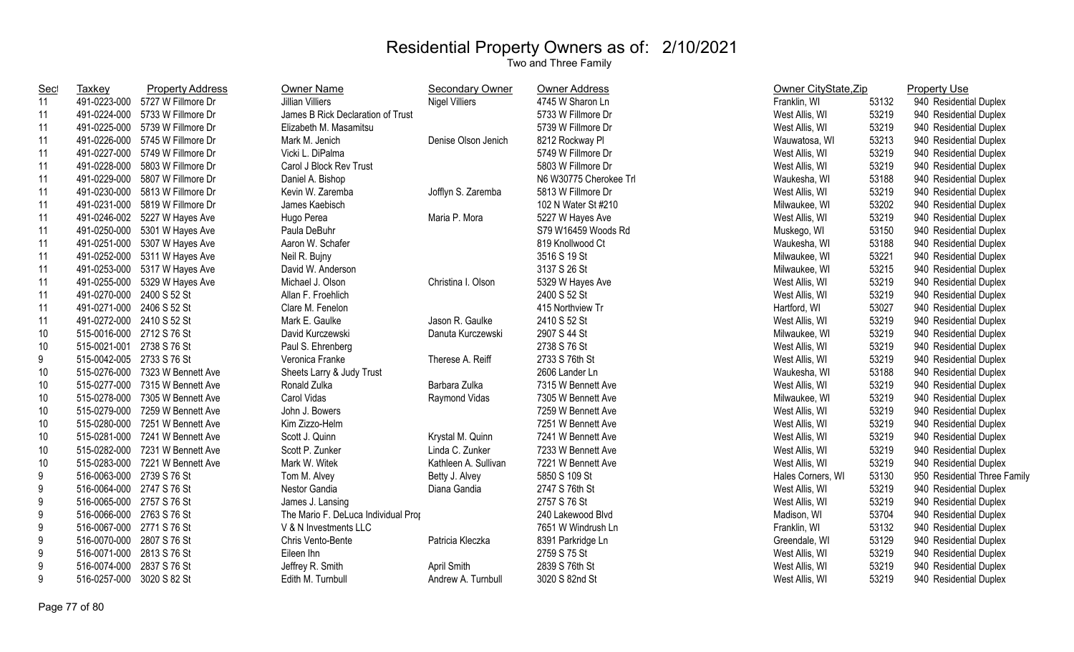| <b>Sec</b> | Taxkey                    | <b>Property Address</b>       | <b>Owner Name</b>                   | <b>Secondary Owner</b> | <b>Owner Address</b>   | Owner CityState, Zip |       | <b>Property Use</b>          |
|------------|---------------------------|-------------------------------|-------------------------------------|------------------------|------------------------|----------------------|-------|------------------------------|
| 11         | 491-0223-000              | 5727 W Fillmore Dr            | <b>Jillian Villiers</b>             | <b>Nigel Villiers</b>  | 4745 W Sharon Ln       | Franklin, WI         | 53132 | 940 Residential Duplex       |
| 11         | 491-0224-000              | 5733 W Fillmore Dr            | James B Rick Declaration of Trust   |                        | 5733 W Fillmore Dr     | West Allis, WI       | 53219 | 940 Residential Duplex       |
| 11         | 491-0225-000              | 5739 W Fillmore Dr            | Elizabeth M. Masamitsu              |                        | 5739 W Fillmore Dr     | West Allis, WI       | 53219 | 940 Residential Duplex       |
| 11         | 491-0226-000              | 5745 W Fillmore Dr            | Mark M. Jenich                      | Denise Olson Jenich    | 8212 Rockway Pl        | Wauwatosa, WI        | 53213 | 940 Residential Duplex       |
| 11         | 491-0227-000              | 5749 W Fillmore Dr            | Vicki L. DiPalma                    |                        | 5749 W Fillmore Dr     | West Allis, WI       | 53219 | 940 Residential Duplex       |
| 11         | 491-0228-000              | 5803 W Fillmore Dr            | Carol J Block Rev Trust             |                        | 5803 W Fillmore Dr     | West Allis, WI       | 53219 | 940 Residential Duplex       |
| 11         | 491-0229-000              | 5807 W Fillmore Dr            | Daniel A. Bishop                    |                        | N6 W30775 Cherokee Trl | Waukesha, WI         | 53188 | 940 Residential Duplex       |
| 11         | 491-0230-000              | 5813 W Fillmore Dr            | Kevin W. Zaremba                    | Jofflyn S. Zaremba     | 5813 W Fillmore Dr     | West Allis, WI       | 53219 | 940 Residential Duplex       |
| 11         | 491-0231-000              | 5819 W Fillmore Dr            | James Kaebisch                      |                        | 102 N Water St #210    | Milwaukee, WI        | 53202 | 940 Residential Duplex       |
| 11         |                           | 491-0246-002 5227 W Hayes Ave | Hugo Perea                          | Maria P. Mora          | 5227 W Hayes Ave       | West Allis, WI       | 53219 | 940 Residential Duplex       |
| 11         | 491-0250-000              | 5301 W Hayes Ave              | Paula DeBuhr                        |                        | S79 W16459 Woods Rd    | Muskego, WI          | 53150 | 940 Residential Duplex       |
| 11         | 491-0251-000              | 5307 W Hayes Ave              | Aaron W. Schafer                    |                        | 819 Knollwood Ct       | Waukesha, WI         | 53188 | 940 Residential Duplex       |
| 11         | 491-0252-000              | 5311 W Hayes Ave              | Neil R. Bujny                       |                        | 3516 S 19 St           | Milwaukee, WI        | 53221 | 940 Residential Duplex       |
| 11         | 491-0253-000              | 5317 W Hayes Ave              | David W. Anderson                   |                        | 3137 S 26 St           | Milwaukee, WI        | 53215 | 940 Residential Duplex       |
| 11         | 491-0255-000              | 5329 W Hayes Ave              | Michael J. Olson                    | Christina I. Olson     | 5329 W Hayes Ave       | West Allis, WI       | 53219 | 940 Residential Duplex       |
| 11         | 491-0270-000              | 2400 S 52 St                  | Allan F. Froehlich                  |                        | 2400 S 52 St           | West Allis, WI       | 53219 | 940 Residential Duplex       |
| 11         | 491-0271-000 2406 S 52 St |                               | Clare M. Fenelon                    |                        | 415 Northview Tr       | Hartford, WI         | 53027 | 940 Residential Duplex       |
| 11         | 491-0272-000 2410 S 52 St |                               | Mark E. Gaulke                      | Jason R. Gaulke        | 2410 S 52 St           | West Allis, WI       | 53219 | 940 Residential Duplex       |
| 10         | 515-0016-000 2712 S 76 St |                               | David Kurczewski                    | Danuta Kurczewski      | 2907 S 44 St           | Milwaukee, WI        | 53219 | 940 Residential Duplex       |
| 10         | 515-0021-001 2738 S 76 St |                               | Paul S. Ehrenberg                   |                        | 2738 S 76 St           | West Allis, WI       | 53219 | 940 Residential Duplex       |
| 9          | 515-0042-005 2733 S 76 St |                               | Veronica Franke                     | Therese A. Reiff       | 2733 S 76th St         | West Allis, WI       | 53219 | 940 Residential Duplex       |
| 10         | 515-0276-000              | 7323 W Bennett Ave            | Sheets Larry & Judy Trust           |                        | 2606 Lander Ln         | Waukesha, WI         | 53188 | 940 Residential Duplex       |
| 10         | 515-0277-000              | 7315 W Bennett Ave            | Ronald Zulka                        | Barbara Zulka          | 7315 W Bennett Ave     | West Allis, WI       | 53219 | 940 Residential Duplex       |
| 10         | 515-0278-000              | 7305 W Bennett Ave            | Carol Vidas                         | Raymond Vidas          | 7305 W Bennett Ave     | Milwaukee, WI        | 53219 | 940 Residential Duplex       |
| 10         | 515-0279-000              | 7259 W Bennett Ave            | John J. Bowers                      |                        | 7259 W Bennett Ave     | West Allis, WI       | 53219 | 940 Residential Duplex       |
| 10         | 515-0280-000              | 7251 W Bennett Ave            | Kim Zizzo-Helm                      |                        | 7251 W Bennett Ave     | West Allis, WI       | 53219 | 940 Residential Duplex       |
| 10         | 515-0281-000              | 7241 W Bennett Ave            | Scott J. Quinn                      | Krystal M. Quinn       | 7241 W Bennett Ave     | West Allis, WI       | 53219 | 940 Residential Duplex       |
| 10         | 515-0282-000              | 7231 W Bennett Ave            | Scott P. Zunker                     | Linda C. Zunker        | 7233 W Bennett Ave     | West Allis, WI       | 53219 | 940 Residential Duplex       |
| 10         | 515-0283-000              | 7221 W Bennett Ave            | Mark W. Witek                       | Kathleen A. Sullivan   | 7221 W Bennett Ave     | West Allis, WI       | 53219 | 940 Residential Duplex       |
| 9          | 516-0063-000              | 2739 S 76 St                  | Tom M. Alvey                        | Betty J. Alvey         | 5850 S 109 St          | Hales Corners, WI    | 53130 | 950 Residential Three Family |
| 9          | 516-0064-000 2747 S 76 St |                               | Nestor Gandia                       | Diana Gandia           | 2747 S 76th St         | West Allis, WI       | 53219 | 940 Residential Duplex       |
| 9          | 516-0065-000 2757 S 76 St |                               | James J. Lansing                    |                        | 2757 S 76 St           | West Allis, WI       | 53219 | 940 Residential Duplex       |
| 9          | 516-0066-000 2763 S 76 St |                               | The Mario F. DeLuca Individual Prop |                        | 240 Lakewood Blvd      | Madison, WI          | 53704 | 940 Residential Duplex       |
| 9          | 516-0067-000 2771 S 76 St |                               | V & N Investments LLC               |                        | 7651 W Windrush Ln     | Franklin, WI         | 53132 | 940 Residential Duplex       |
| 9          | 516-0070-000              | 2807 S 76 St                  | Chris Vento-Bente                   | Patricia Kleczka       | 8391 Parkridge Ln      | Greendale, WI        | 53129 | 940 Residential Duplex       |
| 9          | 516-0071-000              | 2813 S 76 St                  | Eileen Ihn                          |                        | 2759 S 75 St           | West Allis, WI       | 53219 | 940 Residential Duplex       |
| 9          | 516-0074-000              | 2837 S 76 St                  | Jeffrey R. Smith                    | April Smith            | 2839 S 76th St         | West Allis, WI       | 53219 | 940 Residential Duplex       |
| 9          | 516-0257-000              | 3020 S 82 St                  | Edith M. Turnbull                   | Andrew A. Turnbull     | 3020 S 82nd St         | West Allis, WI       | 53219 | 940 Residential Duplex       |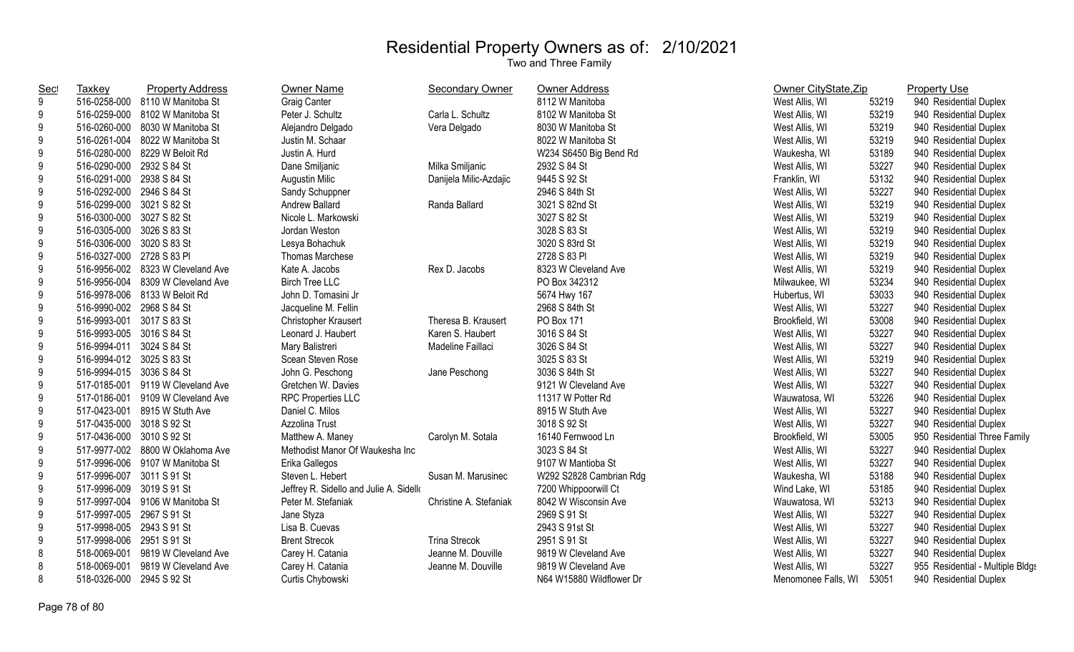| <b>Sec</b>       | Taxkey                    | <b>Property Address</b>           | <b>Owner Name</b>                       | Secondary Owner        | Owner Address            | Owner CityState, Zip |       | <b>Property Use</b>              |
|------------------|---------------------------|-----------------------------------|-----------------------------------------|------------------------|--------------------------|----------------------|-------|----------------------------------|
| 9                |                           | 516-0258-000 8110 W Manitoba St   | <b>Graig Canter</b>                     |                        | 8112 W Manitoba          | West Allis, WI       | 53219 | 940 Residential Duplex           |
| 9                | 516-0259-000              | 8102 W Manitoba St                | Peter J. Schultz                        | Carla L. Schultz       | 8102 W Manitoba St       | West Allis, WI       | 53219 | 940 Residential Duplex           |
| 9                | 516-0260-000              | 8030 W Manitoba St                | Alejandro Delgado                       | Vera Delgado           | 8030 W Manitoba St       | West Allis, WI       | 53219 | 940 Residential Duplex           |
| 9                | 516-0261-004              | 8022 W Manitoba St                | Justin M. Schaar                        |                        | 8022 W Manitoba St       | West Allis, WI       | 53219 | 940 Residential Duplex           |
| 9                | 516-0280-000              | 8229 W Beloit Rd                  | Justin A. Hurd                          |                        | W234 S6450 Big Bend Rd   | Waukesha, WI         | 53189 | 940 Residential Duplex           |
| 9                | 516-0290-000              | 2932 S 84 St                      | Dane Smiljanic                          | Milka Smiljanic        | 2932 S 84 St             | West Allis, WI       | 53227 | 940 Residential Duplex           |
| 9                | 516-0291-000              | 2938 S 84 St                      | Augustin Milic                          | Danijela Milic-Azdajic | 9445 S 92 St             | Franklin, WI         | 53132 | 940 Residential Duplex           |
| 9                | 516-0292-000              | 2946 S 84 St                      | Sandy Schuppner                         |                        | 2946 S 84th St           | West Allis, WI       | 53227 | 940 Residential Duplex           |
| 9                | 516-0299-000 3021 S 82 St |                                   | Andrew Ballard                          | Randa Ballard          | 3021 S 82nd St           | West Allis, WI       | 53219 | 940 Residential Duplex           |
| 9                | 516-0300-000 3027 S 82 St |                                   | Nicole L. Markowski                     |                        | 3027 S 82 St             | West Allis, WI       | 53219 | 940 Residential Duplex           |
| 9                | 516-0305-000 3026 S 83 St |                                   | Jordan Weston                           |                        | 3028 S 83 St             | West Allis, WI       | 53219 | 940 Residential Duplex           |
| 9                | 516-0306-000 3020 S 83 St |                                   | Lesya Bohachuk                          |                        | 3020 S 83rd St           | West Allis, WI       | 53219 | 940 Residential Duplex           |
| 9                | 516-0327-000 2728 S 83 Pl |                                   | Thomas Marchese                         |                        | 2728 S 83 PI             | West Allis, WI       | 53219 | 940 Residential Duplex           |
| 9                |                           | 516-9956-002 8323 W Cleveland Ave | Kate A. Jacobs                          | Rex D. Jacobs          | 8323 W Cleveland Ave     | West Allis, WI       | 53219 | 940 Residential Duplex           |
| 9                |                           | 516-9956-004 8309 W Cleveland Ave | <b>Birch Tree LLC</b>                   |                        | PO Box 342312            | Milwaukee, WI        | 53234 | 940 Residential Duplex           |
| 9                |                           | 516-9978-006 8133 W Beloit Rd     | John D. Tomasini Jr                     |                        | 5674 Hwy 167             | Hubertus, WI         | 53033 | 940 Residential Duplex           |
| 9                | 516-9990-002 2968 S 84 St |                                   | Jacqueline M. Fellin                    |                        | 2968 S 84th St           | West Allis, WI       | 53227 | 940 Residential Duplex           |
| $\boldsymbol{9}$ | 516-9993-001 3017 S 83 St |                                   | Christopher Krausert                    | Theresa B. Krausert    | PO Box 171               | Brookfield, WI       | 53008 | 940 Residential Duplex           |
| 9                | 516-9993-005 3016 S 84 St |                                   | Leonard J. Haubert                      | Karen S. Haubert       | 3016 S 84 St             | West Allis, WI       | 53227 | 940 Residential Duplex           |
| 9                | 516-9994-011 3024 S 84 St |                                   | Mary Balistreri                         | Madeline Faillaci      | 3026 S 84 St             | West Allis, WI       | 53227 | 940 Residential Duplex           |
| 9                | 516-9994-012 3025 S 83 St |                                   | Scean Steven Rose                       |                        | 3025 S 83 St             | West Allis, WI       | 53219 | 940 Residential Duplex           |
| 9                | 516-9994-015 3036 S 84 St |                                   | John G. Peschong                        | Jane Peschong          | 3036 S 84th St           | West Allis, WI       | 53227 | 940 Residential Duplex           |
| 9                |                           | 517-0185-001 9119 W Cleveland Ave | Gretchen W. Davies                      |                        | 9121 W Cleveland Ave     | West Allis, WI       | 53227 | 940 Residential Duplex           |
| 9                |                           | 517-0186-001 9109 W Cleveland Ave | <b>RPC Properties LLC</b>               |                        | 11317 W Potter Rd        | Wauwatosa, WI        | 53226 | 940 Residential Duplex           |
| 9                |                           | 517-0423-001 8915 W Stuth Ave     | Daniel C. Milos                         |                        | 8915 W Stuth Ave         | West Allis, WI       | 53227 | 940 Residential Duplex           |
| 9                | 517-0435-000 3018 S 92 St |                                   | Azzolina Trust                          |                        | 3018 S 92 St             | West Allis, WI       | 53227 | 940 Residential Duplex           |
| 9                | 517-0436-000 3010 S 92 St |                                   | Matthew A. Maney                        | Carolyn M. Sotala      | 16140 Fernwood Ln        | Brookfield, WI       | 53005 | 950 Residential Three Family     |
| 9                |                           | 517-9977-002 8800 W Oklahoma Ave  | Methodist Manor Of Waukesha Inc         |                        | 3023 S 84 St             | West Allis, WI       | 53227 | 940 Residential Duplex           |
| 9                |                           | 517-9996-006 9107 W Manitoba St   | Erika Gallegos                          |                        | 9107 W Mantioba St       | West Allis, WI       | 53227 | 940 Residential Duplex           |
| 9                | 517-9996-007              | 3011 S 91 St                      | Steven L. Hebert                        | Susan M. Marusinec     | W292 S2828 Cambrian Rdg  | Waukesha, WI         | 53188 | 940 Residential Duplex           |
| 9                | 517-9996-009              | 3019 S 91 St                      | Jeffrey R. Sidello and Julie A. Sidello |                        | 7200 Whippoorwill Ct     | Wind Lake, WI        | 53185 | 940 Residential Duplex           |
| 9                | 517-9997-004              | 9106 W Manitoba St                | Peter M. Stefaniak                      | Christine A. Stefaniak | 8042 W Wisconsin Ave     | Wauwatosa, WI        | 53213 | 940 Residential Duplex           |
| 9                | 517-9997-005              | 2967 S 91 St                      | Jane Styza                              |                        | 2969 S 91 St             | West Allis, WI       | 53227 | 940 Residential Duplex           |
| 9                | 517-9998-005              | 2943 S 91 St                      | Lisa B. Cuevas                          |                        | 2943 S 91st St           | West Allis, WI       | 53227 | 940 Residential Duplex           |
| 9                | 517-9998-006              | 2951 S 91 St                      | <b>Brent Strecok</b>                    | <b>Trina Strecok</b>   | 2951 S 91 St             | West Allis, WI       | 53227 | 940 Residential Duplex           |
| 8                | 518-0069-001              | 9819 W Cleveland Ave              | Carey H. Catania                        | Jeanne M. Douville     | 9819 W Cleveland Ave     | West Allis, WI       | 53227 | 940 Residential Duplex           |
| 8                | 518-0069-001              | 9819 W Cleveland Ave              | Carey H. Catania                        | Jeanne M. Douville     | 9819 W Cleveland Ave     | West Allis, WI       | 53227 | 955 Residential - Multiple Bldgs |
| 8                | 518-0326-000              | 2945 S 92 St                      | Curtis Chybowski                        |                        | N64 W15880 Wildflower Dr | Menomonee Falls, WI  | 53051 | 940 Residential Duplex           |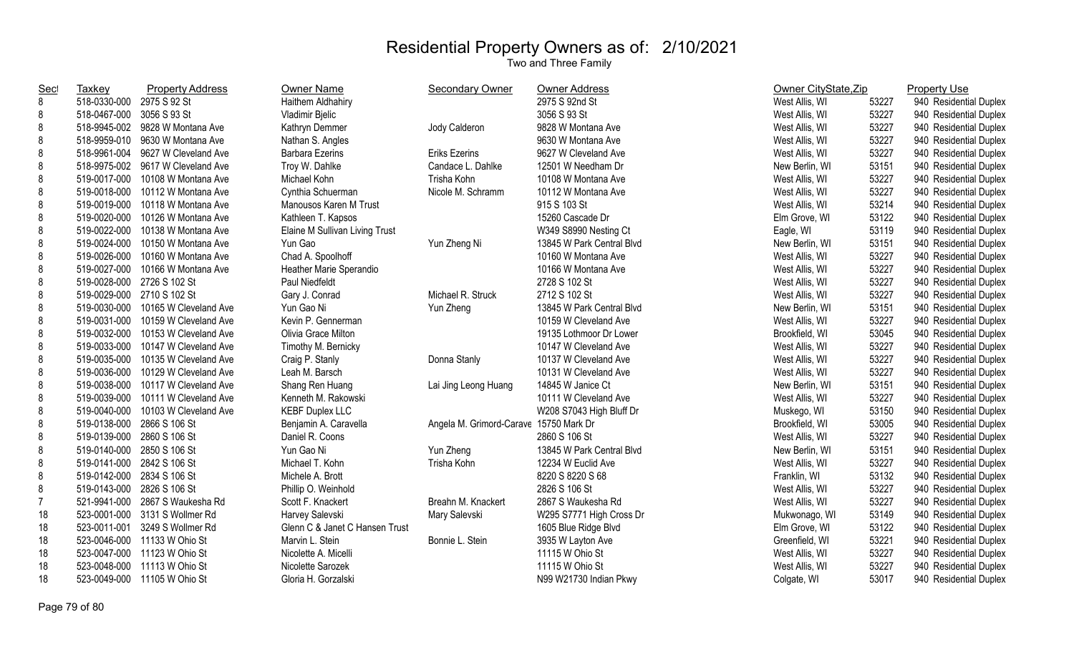| <b>Sec</b> | <b>Taxkey</b>              | <b>Property Address</b>           | Owner Name                     | Secondary Owner                        | Owner Address             | Owner CityState, Zip |       | <b>Property Use</b>    |
|------------|----------------------------|-----------------------------------|--------------------------------|----------------------------------------|---------------------------|----------------------|-------|------------------------|
| 8          | 518-0330-000 2975 S 92 St  |                                   | Haithem Aldhahiry              |                                        | 2975 S 92nd St            | West Allis, WI       | 53227 | 940 Residential Duplex |
| 8          | 518-0467-000               | 3056 S 93 St                      | Vladimir Bjelic                |                                        | 3056 S 93 St              | West Allis, WI       | 53227 | 940 Residential Duplex |
| 8          |                            | 518-9945-002 9828 W Montana Ave   | Kathryn Demmer                 | Jody Calderon                          | 9828 W Montana Ave        | West Allis, WI       | 53227 | 940 Residential Duplex |
| 8          | 518-9959-010               | 9630 W Montana Ave                | Nathan S. Angles               |                                        | 9630 W Montana Ave        | West Allis, WI       | 53227 | 940 Residential Duplex |
| 8          | 518-9961-004               | 9627 W Cleveland Ave              | <b>Barbara Ezerins</b>         | <b>Eriks Ezerins</b>                   | 9627 W Cleveland Ave      | West Allis, WI       | 53227 | 940 Residential Duplex |
| 8          |                            | 518-9975-002 9617 W Cleveland Ave | Troy W. Dahlke                 | Candace L. Dahlke                      | 12501 W Needham Dr        | New Berlin, WI       | 53151 | 940 Residential Duplex |
| 8          | 519-0017-000               | 10108 W Montana Ave               | Michael Kohn                   | Trisha Kohn                            | 10108 W Montana Ave       | West Allis, WI       | 53227 | 940 Residential Duplex |
| 8          | 519-0018-000               | 10112 W Montana Ave               | Cynthia Schuerman              | Nicole M. Schramm                      | 10112 W Montana Ave       | West Allis, WI       | 53227 | 940 Residential Duplex |
| 8          | 519-0019-000               | 10118 W Montana Ave               | Manousos Karen M Trust         |                                        | 915 S 103 St              | West Allis, WI       | 53214 | 940 Residential Duplex |
| 8          | 519-0020-000               | 10126 W Montana Ave               | Kathleen T. Kapsos             |                                        | 15260 Cascade Dr          | Elm Grove, WI        | 53122 | 940 Residential Duplex |
| 8          | 519-0022-000               | 10138 W Montana Ave               | Elaine M Sullivan Living Trust |                                        | W349 S8990 Nesting Ct     | Eagle, WI            | 53119 | 940 Residential Duplex |
| 8          | 519-0024-000               | 10150 W Montana Ave               | Yun Gao                        | Yun Zheng Ni                           | 13845 W Park Central Blvd | New Berlin, WI       | 53151 | 940 Residential Duplex |
| 8          | 519-0026-000               | 10160 W Montana Ave               | Chad A. Spoolhoff              |                                        | 10160 W Montana Ave       | West Allis, WI       | 53227 | 940 Residential Duplex |
| 8          | 519-0027-000               | 10166 W Montana Ave               | Heather Marie Sperandio        |                                        | 10166 W Montana Ave       | West Allis, WI       | 53227 | 940 Residential Duplex |
| 8          | 519-0028-000 2726 S 102 St |                                   | Paul Niedfeldt                 |                                        | 2728 S 102 St             | West Allis, WI       | 53227 | 940 Residential Duplex |
| 8          | 519-0029-000 2710 S 102 St |                                   | Gary J. Conrad                 | Michael R. Struck                      | 2712 S 102 St             | West Allis, WI       | 53227 | 940 Residential Duplex |
| 8          | 519-0030-000               | 10165 W Cleveland Ave             | Yun Gao Ni                     | Yun Zheng                              | 13845 W Park Central Blvd | New Berlin, WI       | 53151 | 940 Residential Duplex |
| 8          | 519-0031-000               | 10159 W Cleveland Ave             | Kevin P. Gennerman             |                                        | 10159 W Cleveland Ave     | West Allis, WI       | 53227 | 940 Residential Duplex |
| 8          | 519-0032-000               | 10153 W Cleveland Ave             | Olivia Grace Milton            |                                        | 19135 Lothmoor Dr Lower   | Brookfield, WI       | 53045 | 940 Residential Duplex |
| 8          | 519-0033-000               | 10147 W Cleveland Ave             | Timothy M. Bernicky            |                                        | 10147 W Cleveland Ave     | West Allis, WI       | 53227 | 940 Residential Duplex |
| 8          | 519-0035-000               | 10135 W Cleveland Ave             | Craig P. Stanly                | Donna Stanly                           | 10137 W Cleveland Ave     | West Allis, WI       | 53227 | 940 Residential Duplex |
| 8          | 519-0036-000               | 10129 W Cleveland Ave             | Leah M. Barsch                 |                                        | 10131 W Cleveland Ave     | West Allis, WI       | 53227 | 940 Residential Duplex |
| 8          | 519-0038-000               | 10117 W Cleveland Ave             | Shang Ren Huang                | Lai Jing Leong Huang                   | 14845 W Janice Ct         | New Berlin, WI       | 53151 | 940 Residential Duplex |
| 8          | 519-0039-000               | 10111 W Cleveland Ave             | Kenneth M. Rakowski            |                                        | 10111 W Cleveland Ave     | West Allis, WI       | 53227 | 940 Residential Duplex |
| 8          | 519-0040-000               | 10103 W Cleveland Ave             | <b>KEBF Duplex LLC</b>         |                                        | W208 S7043 High Bluff Dr  | Muskego, WI          | 53150 | 940 Residential Duplex |
| 8          | 519-0138-000               | 2866 S 106 St                     | Benjamin A. Caravella          | Angela M. Grimord-Carave 15750 Mark Dr |                           | Brookfield, WI       | 53005 | 940 Residential Duplex |
| 8          | 519-0139-000               | 2860 S 106 St                     | Daniel R. Coons                |                                        | 2860 S 106 St             | West Allis, WI       | 53227 | 940 Residential Duplex |
| 8          | 519-0140-000 2850 S 106 St |                                   | Yun Gao Ni                     | Yun Zheng                              | 13845 W Park Central Blvd | New Berlin, WI       | 53151 | 940 Residential Duplex |
| 8          | 519-0141-000 2842 S 106 St |                                   | Michael T. Kohn                | Trisha Kohn                            | 12234 W Euclid Ave        | West Allis, WI       | 53227 | 940 Residential Duplex |
| 8          | 519-0142-000               | 2834 S 106 St                     | Michele A. Brott               |                                        | 8220 S 8220 S 68          | Franklin, WI         | 53132 | 940 Residential Duplex |
| 8          | 519-0143-000               | 2826 S 106 St                     | Phillip O. Weinhold            |                                        | 2826 S 106 St             | West Allis, WI       | 53227 | 940 Residential Duplex |
| 7          | 521-9941-000               | 2867 S Waukesha Rd                | Scott F. Knackert              | Breahn M. Knackert                     | 2867 S Waukesha Rd        | West Allis, WI       | 53227 | 940 Residential Duplex |
| 18         | 523-0001-000               | 3131 S Wollmer Rd                 | Harvey Salevski                | Mary Salevski                          | W295 S7771 High Cross Dr  | Mukwonago, WI        | 53149 | 940 Residential Duplex |
| 18         | 523-0011-001               | 3249 S Wollmer Rd                 | Glenn C & Janet C Hansen Trust |                                        | 1605 Blue Ridge Blvd      | Elm Grove, WI        | 53122 | 940 Residential Duplex |
| 18         |                            | 523-0046-000 11133 W Ohio St      | Marvin L. Stein                | Bonnie L. Stein                        | 3935 W Layton Ave         | Greenfield, WI       | 53221 | 940 Residential Duplex |
| 18         |                            | 523-0047-000 11123 W Ohio St      | Nicolette A. Micelli           |                                        | 11115 W Ohio St           | West Allis, WI       | 53227 | 940 Residential Duplex |
| 18         |                            | 523-0048-000 11113 W Ohio St      | Nicolette Sarozek              |                                        | 11115 W Ohio St           | West Allis, WI       | 53227 | 940 Residential Duplex |
| 18         |                            | 523-0049-000 11105 W Ohio St      | Gloria H. Gorzalski            |                                        | N99 W21730 Indian Pkwy    | Colgate, WI          | 53017 | 940 Residential Duplex |